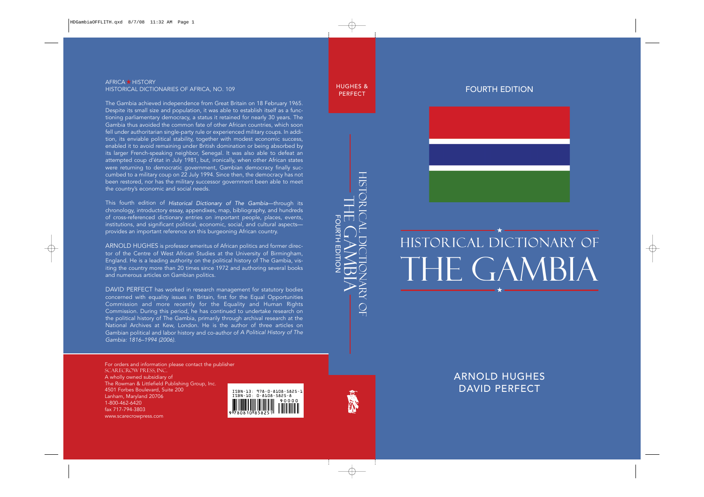FOURTH EDITION



# HISTORICAL DICTIONARY OF THE GAMBIA

ARNOLD HUGHES DAVID PERFECT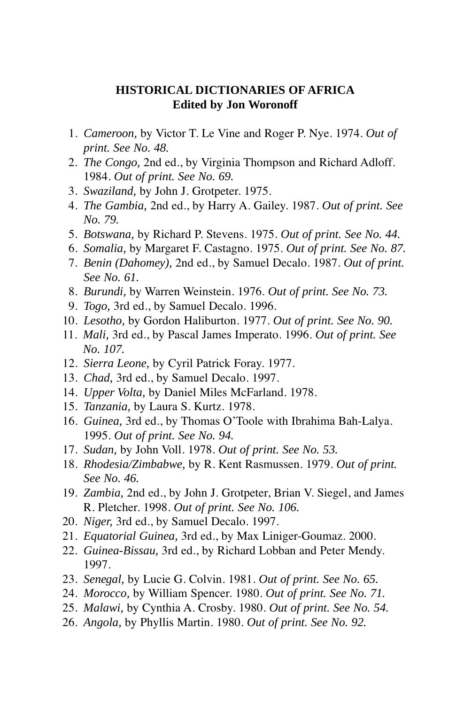## **HISTORICAL DICTIONARIES OF AFRICA Edited by Jon Woronoff**

- 1. *Cameroon,* by Victor T. Le Vine and Roger P. Nye. 1974. *Out of print. See No. 48.*
- 2. *The Congo,* 2nd ed., by Virginia Thompson and Richard Adloff. 1984. *Out of print. See No. 69.*
- 3. *Swaziland,* by John J. Grotpeter. 1975.
- 4. *The Gambia,* 2nd ed., by Harry A. Gailey. 1987. *Out of print. See No. 79.*
- 5. *Botswana,* by Richard P. Stevens. 1975. *Out of print. See No. 44.*
- 6. *Somalia,* by Margaret F. Castagno. 1975. *Out of print. See No. 87.*
- 7. *Benin (Dahomey),* 2nd ed., by Samuel Decalo. 1987. *Out of print. See No. 61.*
- 8. *Burundi,* by Warren Weinstein. 1976. *Out of print. See No. 73.*
- 9. *Togo,* 3rd ed., by Samuel Decalo. 1996.
- 10. *Lesotho,* by Gordon Haliburton. 1977. *Out of print. See No. 90.*
- 11. *Mali,* 3rd ed., by Pascal James Imperato. 1996. *Out of print. See No. 107.*
- 12. *Sierra Leone,* by Cyril Patrick Foray. 1977.
- 13. *Chad,* 3rd ed., by Samuel Decalo. 1997.
- 14. *Upper Volta,* by Daniel Miles McFarland. 1978.
- 15. *Tanzania,* by Laura S. Kurtz. 1978.
- 16. *Guinea,* 3rd ed., by Thomas O'Toole with Ibrahima Bah-Lalya. 1995. *Out of print. See No. 94.*
- 17. *Sudan,* by John Voll. 1978. *Out of print. See No. 53.*
- 18. *Rhodesia/Zimbabwe,* by R. Kent Rasmussen. 1979. *Out of print. See No. 46.*
- 19. *Zambia,* 2nd ed., by John J. Grotpeter, Brian V. Siegel, and James R. Pletcher. 1998. *Out of print. See No. 106.*
- 20. *Niger,* 3rd ed., by Samuel Decalo. 1997.
- 21. *Equatorial Guinea,* 3rd ed., by Max Liniger-Goumaz. 2000.
- 22. *Guinea-Bissau,* 3rd ed., by Richard Lobban and Peter Mendy. 1997.
- 23. *Senegal,* by Lucie G. Colvin. 1981. *Out of print. See No. 65.*
- 24. *Morocco,* by William Spencer. 1980. *Out of print. See No. 71.*
- 25. *Malawi,* by Cynthia A. Crosby. 1980. *Out of print. See No. 54.*
- 26. *Angola,* by Phyllis Martin. 1980. *Out of print. See No. 92.*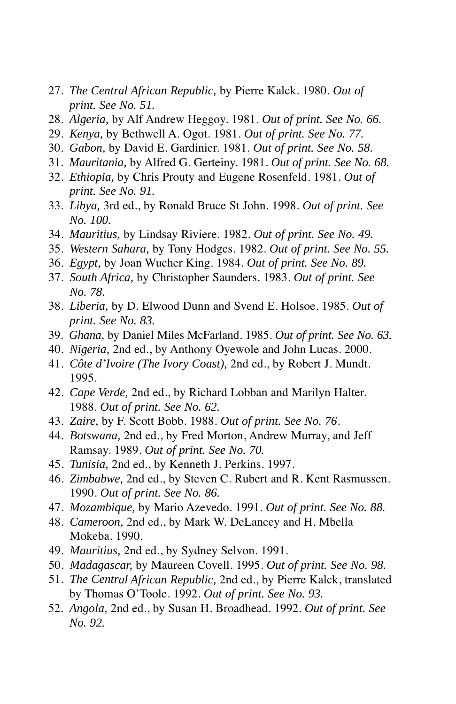- 27. *The Central African Republic,* by Pierre Kalck. 1980. *Out of print. See No. 51.*
- 28. *Algeria,* by Alf Andrew Heggoy. 1981. *Out of print. See No. 66.*
- 29. *Kenya,* by Bethwell A. Ogot. 1981. *Out of print. See No. 77.*
- 30. *Gabon,* by David E. Gardinier. 1981. *Out of print. See No. 58.*
- 31. *Mauritania,* by Alfred G. Gerteiny. 1981. *Out of print. See No. 68.*
- 32. *Ethiopia,* by Chris Prouty and Eugene Rosenfeld. 1981. *Out of print. See No. 91.*
- 33. *Libya,* 3rd ed., by Ronald Bruce St John. 1998. *Out of print. See No. 100.*
- 34. *Mauritius,* by Lindsay Riviere. 1982. *Out of print. See No. 49.*
- 35. *Western Sahara,* by Tony Hodges. 1982. *Out of print. See No. 55.*
- 36. *Egypt,* by Joan Wucher King. 1984. *Out of print. See No. 89.*
- 37. *South Africa,* by Christopher Saunders. 1983. *Out of print. See No. 78.*
- 38. *Liberia,* by D. Elwood Dunn and Svend E. Holsoe. 1985. *Out of print. See No. 83.*
- 39. *Ghana,* by Daniel Miles McFarland. 1985. *Out of print. See No. 63.*
- 40. *Nigeria,* 2nd ed., by Anthony Oyewole and John Lucas. 2000.
- 41. *Côte d'Ivoire (The Ivory Coast),* 2nd ed., by Robert J. Mundt. 1995.
- 42. *Cape Verde,* 2nd ed., by Richard Lobban and Marilyn Halter. 1988. *Out of print. See No. 62.*
- 43. *Zaire,* by F. Scott Bobb. 1988. *Out of print. See No. 76*.
- 44. *Botswana,* 2nd ed., by Fred Morton, Andrew Murray, and Jeff Ramsay. 1989. *Out of print. See No. 70.*
- 45. *Tunisia,* 2nd ed., by Kenneth J. Perkins. 1997.
- 46. *Zimbabwe,* 2nd ed., by Steven C. Rubert and R. Kent Rasmussen. 1990. *Out of print. See No. 86.*
- 47. *Mozambique,* by Mario Azevedo. 1991. *Out of print. See No. 88.*
- 48. *Cameroon,* 2nd ed., by Mark W. DeLancey and H. Mbella Mokeba. 1990.
- 49. *Mauritius,* 2nd ed., by Sydney Selvon. 1991.
- 50. *Madagascar,* by Maureen Covell. 1995. *Out of print. See No. 98.*
- 51. *The Central African Republic,* 2nd ed., by Pierre Kalck, translated by Thomas O'Toole. 1992. *Out of print. See No. 93.*
- 52. *Angola,* 2nd ed., by Susan H. Broadhead. 1992. *Out of print. See No. 92.*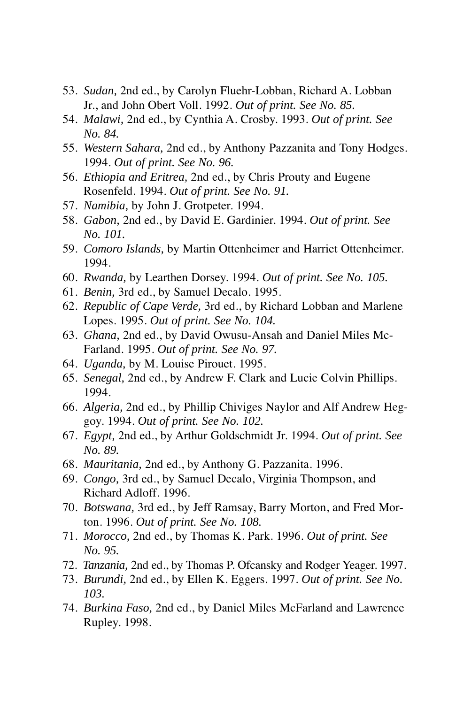- 53. *Sudan,* 2nd ed., by Carolyn Fluehr-Lobban, Richard A. Lobban Jr., and John Obert Voll. 1992. *Out of print. See No. 85.*
- 54. *Malawi,* 2nd ed., by Cynthia A. Crosby. 1993. *Out of print. See No. 84.*
- 55. *Western Sahara,* 2nd ed., by Anthony Pazzanita and Tony Hodges. 1994. *Out of print. See No. 96.*
- 56. *Ethiopia and Eritrea,* 2nd ed., by Chris Prouty and Eugene Rosenfeld. 1994. *Out of print. See No. 91.*
- 57. *Namibia,* by John J. Grotpeter. 1994.
- 58. *Gabon,* 2nd ed., by David E. Gardinier. 1994. *Out of print. See No. 101.*
- 59. *Comoro Islands,* by Martin Ottenheimer and Harriet Ottenheimer. 1994.
- 60. *Rwanda,* by Learthen Dorsey. 1994. *Out of print. See No. 105.*
- 61. *Benin,* 3rd ed., by Samuel Decalo. 1995.
- 62. *Republic of Cape Verde,* 3rd ed., by Richard Lobban and Marlene Lopes. 1995. *Out of print. See No. 104.*
- 63. *Ghana,* 2nd ed., by David Owusu-Ansah and Daniel Miles Mc-Farland. 1995. *Out of print. See No. 97.*
- 64. *Uganda,* by M. Louise Pirouet. 1995.
- 65. *Senegal,* 2nd ed., by Andrew F. Clark and Lucie Colvin Phillips. 1994.
- 66. *Algeria,* 2nd ed., by Phillip Chiviges Naylor and Alf Andrew Heggoy. 1994. *Out of print. See No. 102.*
- 67. *Egypt,* 2nd ed., by Arthur Goldschmidt Jr. 1994. *Out of print. See No. 89.*
- 68. *Mauritania,* 2nd ed., by Anthony G. Pazzanita. 1996.
- 69. *Congo,* 3rd ed., by Samuel Decalo, Virginia Thompson, and Richard Adloff. 1996.
- 70. *Botswana,* 3rd ed., by Jeff Ramsay, Barry Morton, and Fred Morton. 1996. *Out of print. See No. 108.*
- 71. *Morocco,* 2nd ed., by Thomas K. Park. 1996. *Out of print. See No. 95.*
- 72. *Tanzania,* 2nd ed., by Thomas P. Ofcansky and Rodger Yeager. 1997.
- 73. *Burundi,* 2nd ed., by Ellen K. Eggers. 1997. *Out of print. See No. 103.*
- 74. *Burkina Faso,* 2nd ed., by Daniel Miles McFarland and Lawrence Rupley. 1998.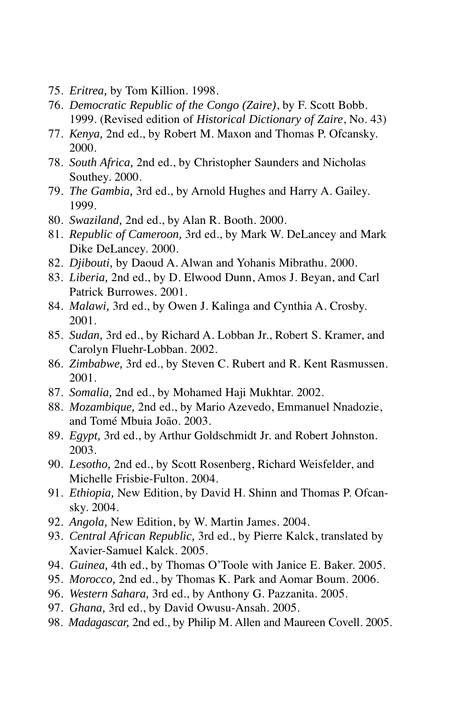- 75. *Eritrea,* by Tom Killion. 1998.
- 76. *Democratic Republic of the Congo (Zaire)*, by F. Scott Bobb. 1999. (Revised edition of *Historical Dictionary of Zaire*, No. 43)
- 77. *Kenya,* 2nd ed., by Robert M. Maxon and Thomas P. Ofcansky. 2000.
- 78. *South Africa,* 2nd ed., by Christopher Saunders and Nicholas Southey. 2000.
- 79. *The Gambia,* 3rd ed., by Arnold Hughes and Harry A. Gailey. 1999.
- 80. *Swaziland,* 2nd ed., by Alan R. Booth. 2000.
- 81. *Republic of Cameroon,* 3rd ed., by Mark W. DeLancey and Mark Dike DeLancey. 2000.
- 82. *Djibouti,* by Daoud A. Alwan and Yohanis Mibrathu. 2000.
- 83. *Liberia,* 2nd ed., by D. Elwood Dunn, Amos J. Beyan, and Carl Patrick Burrowes. 2001.
- 84. *Malawi,* 3rd ed., by Owen J. Kalinga and Cynthia A. Crosby. 2001.
- 85. *Sudan,* 3rd ed., by Richard A. Lobban Jr., Robert S. Kramer, and Carolyn Fluehr-Lobban. 2002.
- 86. *Zimbabwe,* 3rd ed., by Steven C. Rubert and R. Kent Rasmussen. 2001.
- 87. *Somalia,* 2nd ed., by Mohamed Haji Mukhtar. 2002.
- 88. *Mozambique,* 2nd ed., by Mario Azevedo, Emmanuel Nnadozie, and Tomé Mbuia João. 2003.
- 89. *Egypt,* 3rd ed., by Arthur Goldschmidt Jr. and Robert Johnston. 2003.
- 90. *Lesotho,* 2nd ed., by Scott Rosenberg, Richard Weisfelder, and Michelle Frisbie-Fulton. 2004.
- 91. *Ethiopia,* New Edition, by David H. Shinn and Thomas P. Ofcansky. 2004.
- 92. *Angola,* New Edition, by W. Martin James. 2004.
- 93. *Central African Republic,* 3rd ed., by Pierre Kalck, translated by Xavier-Samuel Kalck. 2005.
- 94. *Guinea,* 4th ed., by Thomas O'Toole with Janice E. Baker. 2005.
- 95. *Morocco,* 2nd ed., by Thomas K. Park and Aomar Boum. 2006.
- 96. *Western Sahara,* 3rd ed., by Anthony G. Pazzanita. 2005.
- 97. *Ghana,* 3rd ed., by David Owusu-Ansah. 2005.
- 98. *Madagascar,* 2nd ed., by Philip M. Allen and Maureen Covell. 2005.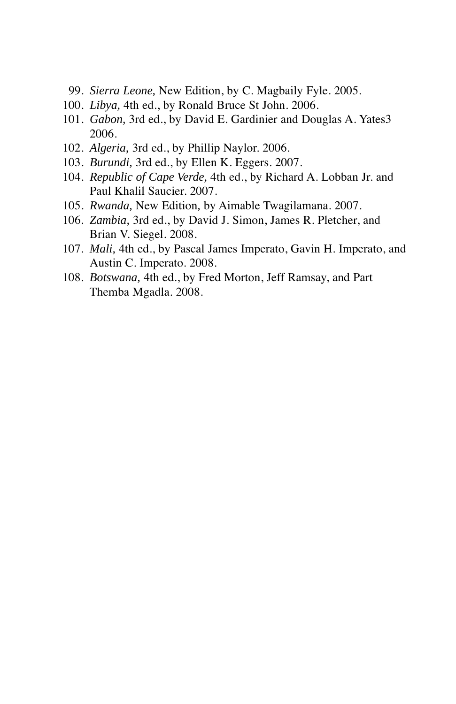- 99. *Sierra Leone,* New Edition, by C. Magbaily Fyle. 2005.
- 100. *Libya,* 4th ed., by Ronald Bruce St John. 2006.
- 101. *Gabon,* 3rd ed., by David E. Gardinier and Douglas A. Yates3 2006.
- 102. *Algeria,* 3rd ed., by Phillip Naylor. 2006.
- 103. *Burundi,* 3rd ed., by Ellen K. Eggers. 2007.
- 104. *Republic of Cape Verde,* 4th ed., by Richard A. Lobban Jr. and Paul Khalil Saucier. 2007.
- 105. *Rwanda,* New Edition*,* by Aimable Twagilamana. 2007.
- 106. *Zambia,* 3rd ed., by David J. Simon, James R. Pletcher, and Brian V. Siegel. 2008.
- 107. *Mali,* 4th ed., by Pascal James Imperato, Gavin H. Imperato, and Austin C. Imperato. 2008.
- 108. *Botswana,* 4th ed., by Fred Morton, Jeff Ramsay, and Part Themba Mgadla. 2008.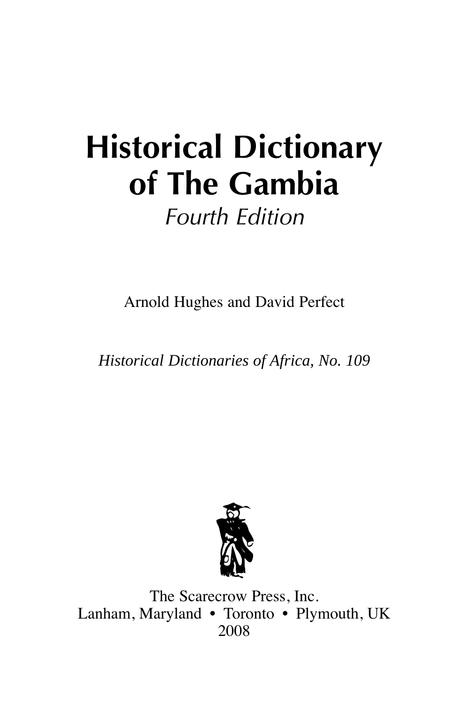## **Historical Dictionary of The Gambia** Fourth Edition

Arnold Hughes and David Perfect

*Historical Dictionaries of Africa, No. 109*



The Scarecrow Press, Inc. Lanham, Maryland • Toronto • Plymouth, UK 2008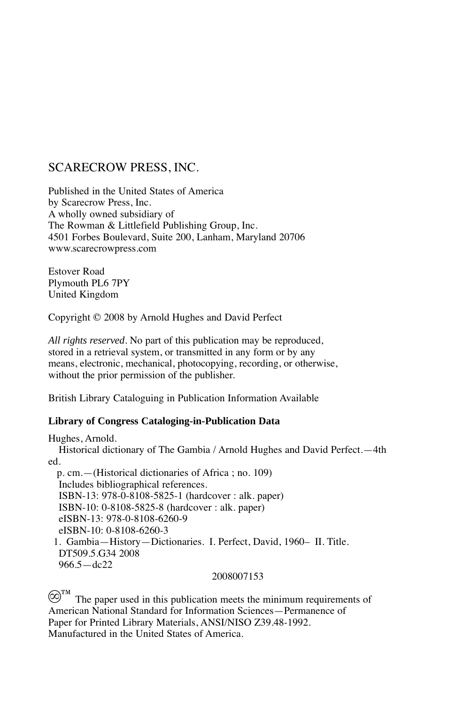### SCARECROW PRESS, INC.

Published in the United States of America by Scarecrow Press, Inc. A wholly owned subsidiary of The Rowman & Littlefield Publishing Group, Inc. 4501 Forbes Boulevard, Suite 200, Lanham, Maryland 20706 www.scarecrowpress.com

Estover Road Plymouth PL6 7PY United Kingdom

Copyright © 2008 by Arnold Hughes and David Perfect

*All rights reserved*. No part of this publication may be reproduced, stored in a retrieval system, or transmitted in any form or by any means, electronic, mechanical, photocopying, recording, or otherwise, without the prior permission of the publisher.

British Library Cataloguing in Publication Information Available

#### **Library of Congress Cataloging-in-Publication Data**

Hughes, Arnold.

Historical dictionary of The Gambia / Arnold Hughes and David Perfect.—4th ed.

p. cm.—(Historical dictionaries of Africa ; no. 109) Includes bibliographical references. ISBN-13: 978-0-8108-5825-1 (hardcover : alk. paper) ISBN-10: 0-8108-5825-8 (hardcover : alk. paper) eISBN-13: 978-0-8108-6260-9 eISBN-10: 0-8108-6260-3 1. Gambia—History—Dictionaries. I. Perfect, David, 1960– II. Title. DT509.5.G34 2008 966.5—dc22

#### 2008007153

 $\circledS$ The paper used in this publication meets the minimum requirements of American National Standard for Information Sciences—Permanence of Paper for Printed Library Materials, ANSI/NISO Z39.48-1992. Manufactured in the United States of America.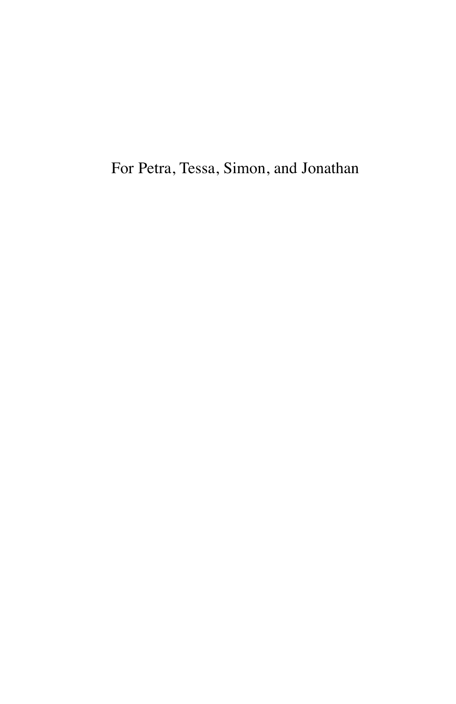For Petra, Tessa, Simon, and Jonathan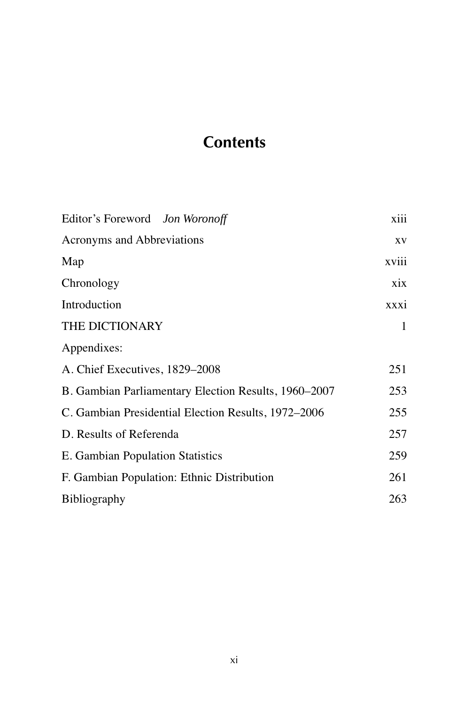## **Contents**

| Editor's Foreword Jon Woronoff                       | xiii  |
|------------------------------------------------------|-------|
| Acronyms and Abbreviations                           | XV    |
| Map                                                  | xviii |
| Chronology                                           | xix   |
| Introduction                                         | xxxi  |
| THE DICTIONARY                                       | 1     |
| Appendixes:                                          |       |
| A. Chief Executives, 1829–2008                       | 251   |
| B. Gambian Parliamentary Election Results, 1960–2007 | 253   |
| C. Gambian Presidential Election Results, 1972–2006  | 255   |
| D. Results of Referenda                              | 257   |
| E. Gambian Population Statistics                     | 259   |
| F. Gambian Population: Ethnic Distribution           | 261   |
| <b>Bibliography</b>                                  | 263   |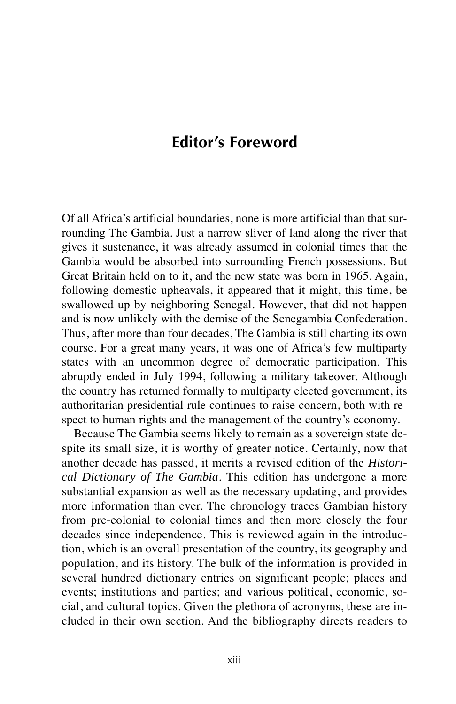## **Editor's Foreword**

Of all Africa's artificial boundaries, none is more artificial than that surrounding The Gambia. Just a narrow sliver of land along the river that gives it sustenance, it was already assumed in colonial times that the Gambia would be absorbed into surrounding French possessions. But Great Britain held on to it, and the new state was born in 1965. Again, following domestic upheavals, it appeared that it might, this time, be swallowed up by neighboring Senegal. However, that did not happen and is now unlikely with the demise of the Senegambia Confederation. Thus, after more than four decades, The Gambia is still charting its own course. For a great many years, it was one of Africa's few multiparty states with an uncommon degree of democratic participation. This abruptly ended in July 1994, following a military takeover. Although the country has returned formally to multiparty elected government, its authoritarian presidential rule continues to raise concern, both with respect to human rights and the management of the country's economy.

Because The Gambia seems likely to remain as a sovereign state despite its small size, it is worthy of greater notice. Certainly, now that another decade has passed, it merits a revised edition of the *Historical Dictionary of The Gambia*. This edition has undergone a more substantial expansion as well as the necessary updating, and provides more information than ever. The chronology traces Gambian history from pre-colonial to colonial times and then more closely the four decades since independence. This is reviewed again in the introduction, which is an overall presentation of the country, its geography and population, and its history. The bulk of the information is provided in several hundred dictionary entries on significant people; places and events; institutions and parties; and various political, economic, social, and cultural topics. Given the plethora of acronyms, these are included in their own section. And the bibliography directs readers to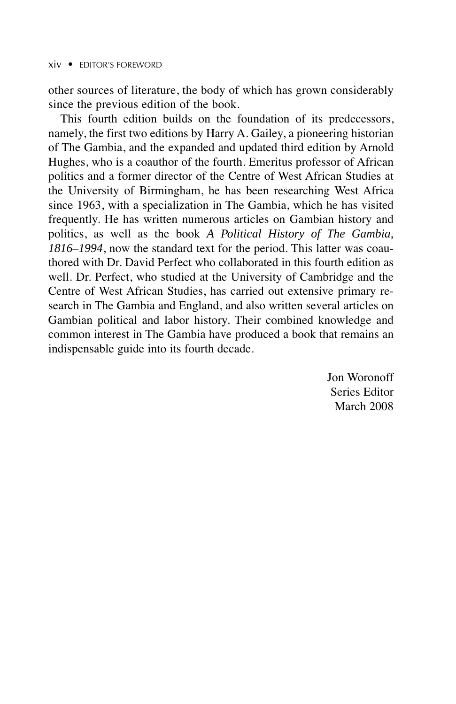other sources of literature, the body of which has grown considerably since the previous edition of the book.

This fourth edition builds on the foundation of its predecessors, namely, the first two editions by Harry A. Gailey, a pioneering historian of The Gambia, and the expanded and updated third edition by Arnold Hughes, who is a coauthor of the fourth. Emeritus professor of African politics and a former director of the Centre of West African Studies at the University of Birmingham, he has been researching West Africa since 1963, with a specialization in The Gambia, which he has visited frequently. He has written numerous articles on Gambian history and politics, as well as the book *A Political History of The Gambia, 1816–1994*, now the standard text for the period. This latter was coauthored with Dr. David Perfect who collaborated in this fourth edition as well. Dr. Perfect, who studied at the University of Cambridge and the Centre of West African Studies, has carried out extensive primary research in The Gambia and England, and also written several articles on Gambian political and labor history. Their combined knowledge and common interest in The Gambia have produced a book that remains an indispensable guide into its fourth decade.

> Jon Woronoff Series Editor March 2008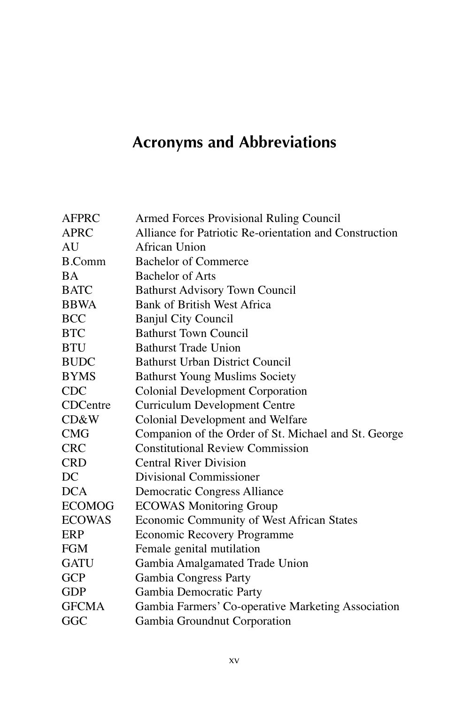## **Acronyms and Abbreviations**

| AFPRC         | Armed Forces Provisional Ruling Council                |
|---------------|--------------------------------------------------------|
| APRC          | Alliance for Patriotic Re-orientation and Construction |
| AU            | African Union                                          |
| <b>B.Comm</b> | <b>Bachelor of Commerce</b>                            |
| <b>BA</b>     | <b>Bachelor of Arts</b>                                |
| <b>BATC</b>   | <b>Bathurst Advisory Town Council</b>                  |
| <b>BBWA</b>   | Bank of British West Africa                            |
| <b>BCC</b>    | <b>Banjul City Council</b>                             |
| <b>BTC</b>    | <b>Bathurst Town Council</b>                           |
| <b>BTU</b>    | <b>Bathurst Trade Union</b>                            |
| <b>BUDC</b>   | <b>Bathurst Urban District Council</b>                 |
| <b>BYMS</b>   | <b>Bathurst Young Muslims Society</b>                  |
| <b>CDC</b>    | <b>Colonial Development Corporation</b>                |
| CDCentre      | <b>Curriculum Development Centre</b>                   |
| CD&W          | Colonial Development and Welfare                       |
| <b>CMG</b>    | Companion of the Order of St. Michael and St. George   |
| <b>CRC</b>    | <b>Constitutional Review Commission</b>                |
| <b>CRD</b>    | <b>Central River Division</b>                          |
| DC            | Divisional Commissioner                                |
| <b>DCA</b>    | Democratic Congress Alliance                           |
| <b>ECOMOG</b> | <b>ECOWAS Monitoring Group</b>                         |
| <b>ECOWAS</b> | Economic Community of West African States              |
| ERP           | Economic Recovery Programme                            |
| <b>FGM</b>    | Female genital mutilation                              |
| <b>GATU</b>   | Gambia Amalgamated Trade Union                         |
| <b>GCP</b>    | <b>Gambia Congress Party</b>                           |
| <b>GDP</b>    | Gambia Democratic Party                                |
| <b>GFCMA</b>  | Gambia Farmers' Co-operative Marketing Association     |
| GGC           | Gambia Groundnut Corporation                           |
|               |                                                        |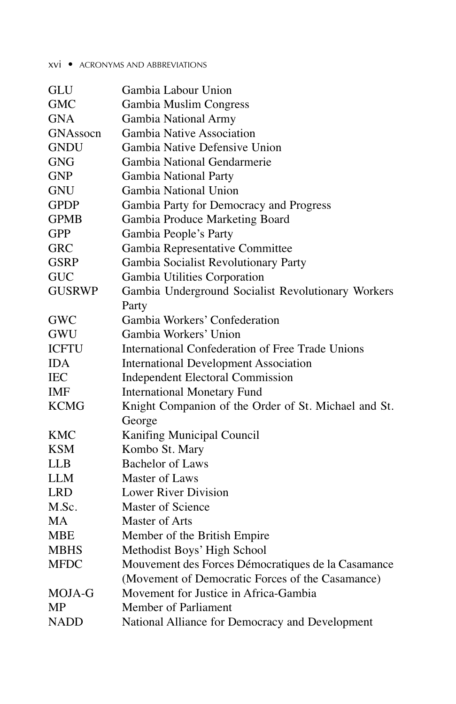#### xvi • ACRONYMS AND ABBREVIATIONS

| <b>GLU</b>    | Gambia Labour Union                                  |
|---------------|------------------------------------------------------|
| <b>GMC</b>    | Gambia Muslim Congress                               |
| <b>GNA</b>    | Gambia National Army                                 |
| GNAssocn      | Gambia Native Association                            |
| <b>GNDU</b>   | Gambia Native Defensive Union                        |
| <b>GNG</b>    | Gambia National Gendarmerie                          |
| <b>GNP</b>    | Gambia National Party                                |
| <b>GNU</b>    | Gambia National Union                                |
| <b>GPDP</b>   | Gambia Party for Democracy and Progress              |
| <b>GPMB</b>   | Gambia Produce Marketing Board                       |
| <b>GPP</b>    | Gambia People's Party                                |
| <b>GRC</b>    | Gambia Representative Committee                      |
| <b>GSRP</b>   | Gambia Socialist Revolutionary Party                 |
| <b>GUC</b>    | Gambia Utilities Corporation                         |
| <b>GUSRWP</b> | Gambia Underground Socialist Revolutionary Workers   |
|               | Party                                                |
| GWC           | Gambia Workers' Confederation                        |
| <b>GWU</b>    | Gambia Workers' Union                                |
| <b>ICFTU</b>  | International Confederation of Free Trade Unions     |
| <b>IDA</b>    | <b>International Development Association</b>         |
| <b>IEC</b>    | <b>Independent Electoral Commission</b>              |
| <b>IMF</b>    | <b>International Monetary Fund</b>                   |
| <b>KCMG</b>   | Knight Companion of the Order of St. Michael and St. |
|               | George                                               |
| <b>KMC</b>    | Kanifing Municipal Council                           |
| <b>KSM</b>    | Kombo St. Mary                                       |
| <b>LLB</b>    | <b>Bachelor of Laws</b>                              |
| <b>LLM</b>    | Master of Laws                                       |
| <b>LRD</b>    | <b>Lower River Division</b>                          |
| M.Sc.         | Master of Science                                    |
| MA            | Master of Arts                                       |
| MBE           | Member of the British Empire                         |
| <b>MBHS</b>   | Methodist Boys' High School                          |
| <b>MFDC</b>   | Mouvement des Forces Démocratiques de la Casamance   |
|               | (Movement of Democratic Forces of the Casamance)     |
| MOJA-G        | Movement for Justice in Africa-Gambia                |
| <b>MP</b>     | Member of Parliament                                 |
| <b>NADD</b>   | National Alliance for Democracy and Development      |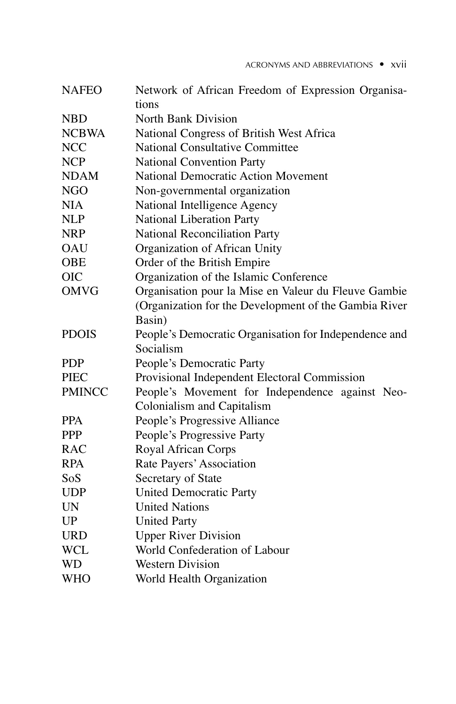| <b>NAFEO</b>  | Network of African Freedom of Expression Organisa-    |  |  |  |  |
|---------------|-------------------------------------------------------|--|--|--|--|
|               | tions                                                 |  |  |  |  |
| <b>NBD</b>    | North Bank Division                                   |  |  |  |  |
| <b>NCBWA</b>  | National Congress of British West Africa              |  |  |  |  |
| <b>NCC</b>    | <b>National Consultative Committee</b>                |  |  |  |  |
| <b>NCP</b>    | <b>National Convention Party</b>                      |  |  |  |  |
| <b>NDAM</b>   | <b>National Democratic Action Movement</b>            |  |  |  |  |
| NGO           | Non-governmental organization                         |  |  |  |  |
| NIA           | National Intelligence Agency                          |  |  |  |  |
| <b>NLP</b>    | National Liberation Party                             |  |  |  |  |
| <b>NRP</b>    | <b>National Reconciliation Party</b>                  |  |  |  |  |
| <b>OAU</b>    | Organization of African Unity                         |  |  |  |  |
| <b>OBE</b>    | Order of the British Empire                           |  |  |  |  |
| <b>OIC</b>    | Organization of the Islamic Conference                |  |  |  |  |
| <b>OMVG</b>   | Organisation pour la Mise en Valeur du Fleuve Gambie  |  |  |  |  |
|               | (Organization for the Development of the Gambia River |  |  |  |  |
|               | Basin)                                                |  |  |  |  |
| <b>PDOIS</b>  | People's Democratic Organisation for Independence and |  |  |  |  |
|               | Socialism                                             |  |  |  |  |
| <b>PDP</b>    | People's Democratic Party                             |  |  |  |  |
| <b>PIEC</b>   | Provisional Independent Electoral Commission          |  |  |  |  |
| <b>PMINCC</b> | People's Movement for Independence against Neo-       |  |  |  |  |
|               | Colonialism and Capitalism                            |  |  |  |  |
| <b>PPA</b>    | People's Progressive Alliance                         |  |  |  |  |
| <b>PPP</b>    | People's Progressive Party                            |  |  |  |  |
| <b>RAC</b>    | Royal African Corps                                   |  |  |  |  |
| <b>RPA</b>    | Rate Payers' Association                              |  |  |  |  |
| SoS           | Secretary of State                                    |  |  |  |  |
| <b>UDP</b>    | <b>United Democratic Party</b>                        |  |  |  |  |
| <b>UN</b>     | <b>United Nations</b>                                 |  |  |  |  |
| <b>UP</b>     | <b>United Party</b>                                   |  |  |  |  |
| <b>URD</b>    | <b>Upper River Division</b>                           |  |  |  |  |
| <b>WCL</b>    | World Confederation of Labour                         |  |  |  |  |
| <b>WD</b>     | <b>Western Division</b>                               |  |  |  |  |
| <b>WHO</b>    | World Health Organization                             |  |  |  |  |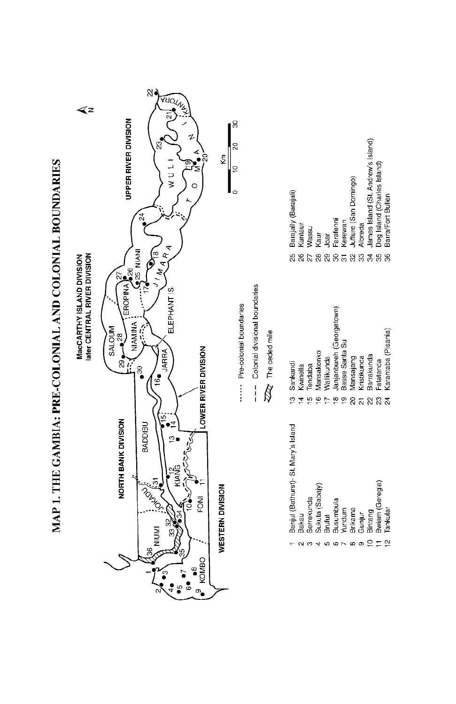



----- Pre-colonial boundaries

-- Colonial divisional boundaries

22、The ceded mile

Sankandi Tendaba Kwinella

| Banjul (Bathurst)- St. Mary's Island |       |            |                 |        |           |                |         |        |                |                 |               |
|--------------------------------------|-------|------------|-----------------|--------|-----------|----------------|---------|--------|----------------|-----------------|---------------|
|                                      | Bakau | Serrekunda | Sukuta (Sabajy) | Brufut | Busumbula | Yundum         | Brikama | Gunjur | Bintang        | Bwiam (Geregia) | Tankular      |
|                                      |       |            | 4               | ю      | G         | $\overline{ }$ | œ       | တ      | $\overline{a}$ | ÷               | $\frac{1}{2}$ |

Barajally (Barajali)

- Kuntaur
	- wassu Kaur
- Joar 885888588388
- Faratenni

Janjanbureh (Georgetown)

Mansakonko

Wallikunda

Basse Santa Su

121997828283

Mansajang Kristikunda Fatatenda

- 
- Kerewan
- Juffure (San Domingo)
- Albreda
- James Island (St. Andrew's Island)
	- Dog Island (Charles Island)
		- Barra/Fort Bullen

Karantaba (Pisania)

Barrakunda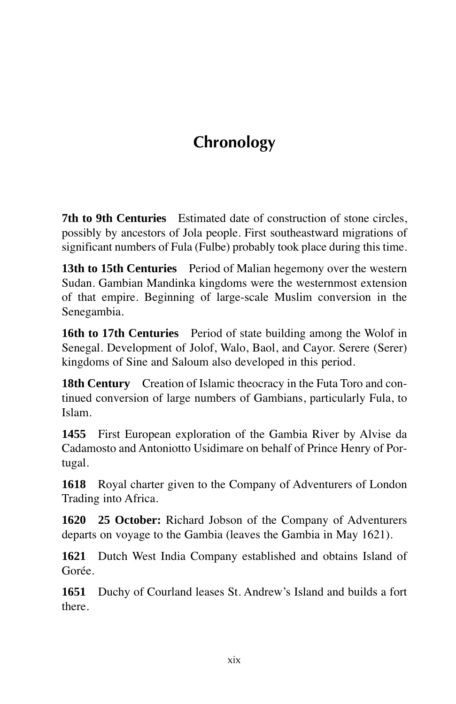## **Chronology**

**7th to 9th Centuries** Estimated date of construction of stone circles, possibly by ancestors of Jola people. First southeastward migrations of significant numbers of Fula (Fulbe) probably took place during this time.

**13th to 15th Centuries** Period of Malian hegemony over the western Sudan. Gambian Mandinka kingdoms were the westernmost extension of that empire. Beginning of large-scale Muslim conversion in the Senegambia.

**16th to 17th Centuries** Period of state building among the Wolof in Senegal. Development of Jolof, Walo, Baol, and Cayor. Serere (Serer) kingdoms of Sine and Saloum also developed in this period.

**18th Century** Creation of Islamic theocracy in the Futa Toro and continued conversion of large numbers of Gambians, particularly Fula, to Islam.

**1455** First European exploration of the Gambia River by Alvise da Cadamosto and Antoniotto Usidimare on behalf of Prince Henry of Portugal.

**1618** Royal charter given to the Company of Adventurers of London Trading into Africa.

**1620 25 October:** Richard Jobson of the Company of Adventurers departs on voyage to the Gambia (leaves the Gambia in May 1621).

**1621** Dutch West India Company established and obtains Island of Gorée.

**1651** Duchy of Courland leases St. Andrew's Island and builds a fort there.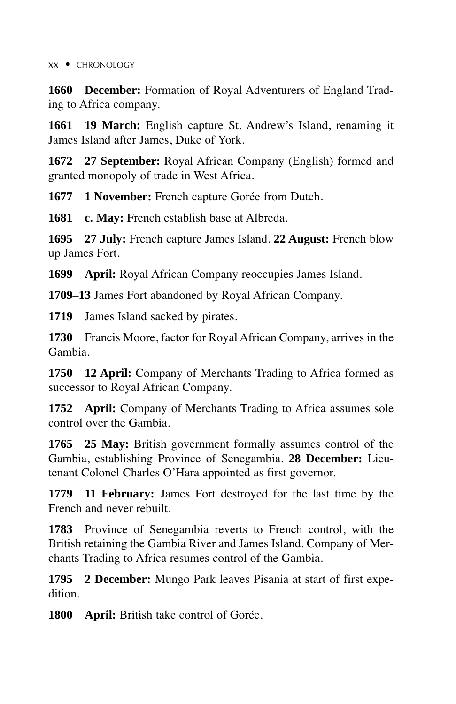xx • CHRONOLOGY

**1660 December:** Formation of Royal Adventurers of England Trading to Africa company.

**1661 19 March:** English capture St. Andrew's Island, renaming it James Island after James, Duke of York.

**1672 27 September:** Royal African Company (English) formed and granted monopoly of trade in West Africa.

**1677 1 November:** French capture Gorée from Dutch.

**1681 c. May:** French establish base at Albreda.

**1695 27 July:** French capture James Island. **22 August:** French blow up James Fort.

**1699 April:** Royal African Company reoccupies James Island.

**1709–13** James Fort abandoned by Royal African Company.

**1719** James Island sacked by pirates.

**1730** Francis Moore, factor for Royal African Company, arrives in the Gambia.

**1750 12 April:** Company of Merchants Trading to Africa formed as successor to Royal African Company.

**1752 April:** Company of Merchants Trading to Africa assumes sole control over the Gambia.

**1765 25 May:** British government formally assumes control of the Gambia, establishing Province of Senegambia. **28 December:** Lieutenant Colonel Charles O'Hara appointed as first governor.

**1779 11 February:** James Fort destroyed for the last time by the French and never rebuilt.

**1783** Province of Senegambia reverts to French control, with the British retaining the Gambia River and James Island. Company of Merchants Trading to Africa resumes control of the Gambia.

**1795 2 December:** Mungo Park leaves Pisania at start of first expedition.

**1800 April:** British take control of Gorée.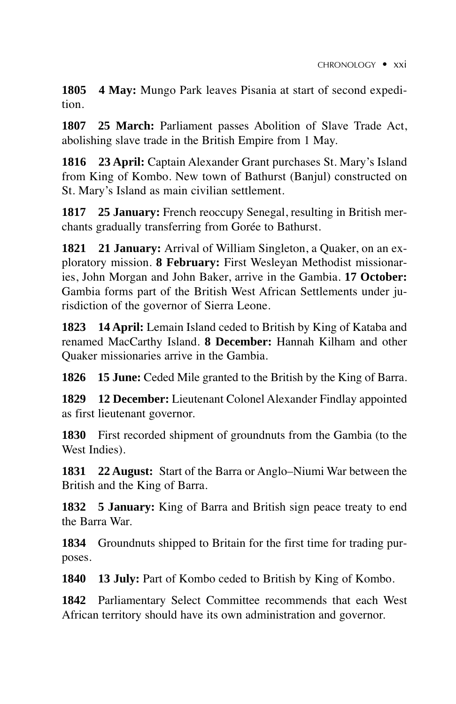**1805 4 May:** Mungo Park leaves Pisania at start of second expedition.

**1807 25 March:** Parliament passes Abolition of Slave Trade Act, abolishing slave trade in the British Empire from 1 May.

**1816 23 April:** Captain Alexander Grant purchases St. Mary's Island from King of Kombo. New town of Bathurst (Banjul) constructed on St. Mary's Island as main civilian settlement.

**1817 25 January:** French reoccupy Senegal, resulting in British merchants gradually transferring from Gorée to Bathurst.

**1821 21 January:** Arrival of William Singleton, a Quaker, on an exploratory mission. **8 February:** First Wesleyan Methodist missionaries, John Morgan and John Baker, arrive in the Gambia. **17 October:** Gambia forms part of the British West African Settlements under jurisdiction of the governor of Sierra Leone.

**1823 14 April:** Lemain Island ceded to British by King of Kataba and renamed MacCarthy Island. **8 December:** Hannah Kilham and other Quaker missionaries arrive in the Gambia.

**1826 15 June:** Ceded Mile granted to the British by the King of Barra.

**1829 12 December:** Lieutenant Colonel Alexander Findlay appointed as first lieutenant governor.

**1830** First recorded shipment of groundnuts from the Gambia (to the West Indies).

**1831 22 August:** Start of the Barra or Anglo–Niumi War between the British and the King of Barra.

**1832 5 January:** King of Barra and British sign peace treaty to end the Barra War.

**1834** Groundnuts shipped to Britain for the first time for trading purposes.

**1840 13 July:** Part of Kombo ceded to British by King of Kombo.

**1842** Parliamentary Select Committee recommends that each West African territory should have its own administration and governor.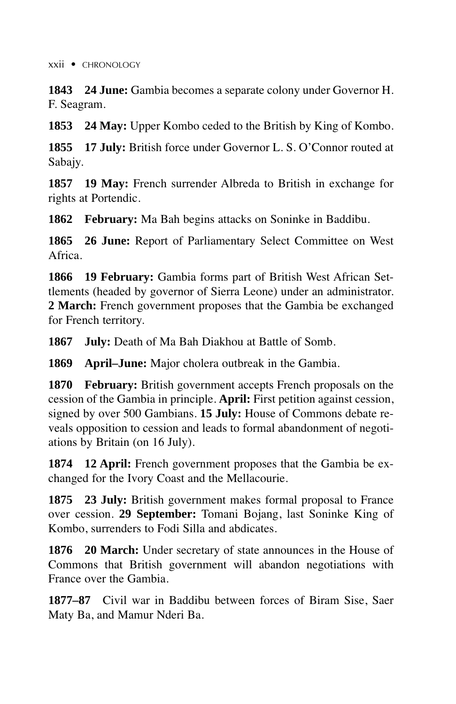xxii • CHRONOLOGY

**1843 24 June:** Gambia becomes a separate colony under Governor H. F. Seagram.

**1853 24 May:** Upper Kombo ceded to the British by King of Kombo.

**1855 17 July:** British force under Governor L. S. O'Connor routed at Sabajy.

**1857 19 May:** French surrender Albreda to British in exchange for rights at Portendic.

**1862 February:** Ma Bah begins attacks on Soninke in Baddibu.

**1865 26 June:** Report of Parliamentary Select Committee on West Africa.

**1866 19 February:** Gambia forms part of British West African Settlements (headed by governor of Sierra Leone) under an administrator. **2 March:** French government proposes that the Gambia be exchanged for French territory.

**1867 July:** Death of Ma Bah Diakhou at Battle of Somb.

**1869 April–June:** Major cholera outbreak in the Gambia.

**1870 February:** British government accepts French proposals on the cession of the Gambia in principle. **April:** First petition against cession, signed by over 500 Gambians. **15 July:** House of Commons debate reveals opposition to cession and leads to formal abandonment of negotiations by Britain (on 16 July).

**1874 12 April:** French government proposes that the Gambia be exchanged for the Ivory Coast and the Mellacourie.

**1875 23 July:** British government makes formal proposal to France over cession. **29 September:** Tomani Bojang, last Soninke King of Kombo, surrenders to Fodi Silla and abdicates.

**1876** 20 March: Under secretary of state announces in the House of Commons that British government will abandon negotiations with France over the Gambia.

**1877–87** Civil war in Baddibu between forces of Biram Sise, Saer Maty Ba, and Mamur Nderi Ba.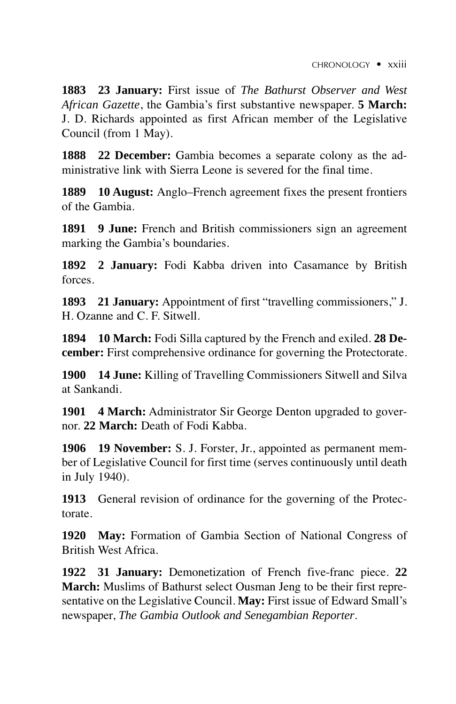**1883 23 January:** First issue of *The Bathurst Observer and West African Gazette*, the Gambia's first substantive newspaper. **5 March:** J. D. Richards appointed as first African member of the Legislative Council (from 1 May).

**1888 22 December:** Gambia becomes a separate colony as the administrative link with Sierra Leone is severed for the final time.

**1889 10 August:** Anglo–French agreement fixes the present frontiers of the Gambia.

**1891 9 June:** French and British commissioners sign an agreement marking the Gambia's boundaries.

**1892 2 January:** Fodi Kabba driven into Casamance by British forces.

**1893 21 January:** Appointment of first "travelling commissioners," J. H. Ozanne and C. F. Sitwell.

**1894 10 March:** Fodi Silla captured by the French and exiled. **28 December:** First comprehensive ordinance for governing the Protectorate.

**1900 14 June:** Killing of Travelling Commissioners Sitwell and Silva at Sankandi.

**1901 4 March:** Administrator Sir George Denton upgraded to governor. **22 March:** Death of Fodi Kabba.

**1906 19 November:** S. J. Forster, Jr., appointed as permanent member of Legislative Council for first time (serves continuously until death in July 1940).

**1913** General revision of ordinance for the governing of the Protectorate.

**1920 May:** Formation of Gambia Section of National Congress of British West Africa.

**1922 31 January:** Demonetization of French five-franc piece. **22 March:** Muslims of Bathurst select Ousman Jeng to be their first representative on the Legislative Council. **May:** First issue of Edward Small's newspaper, *The Gambia Outlook and Senegambian Reporter*.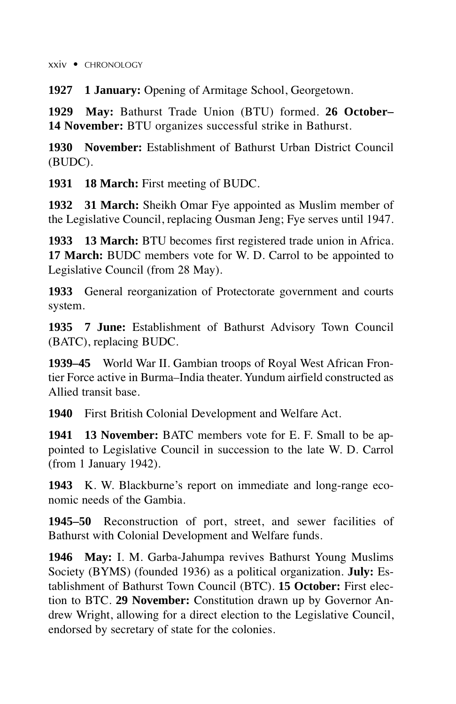xxiv • CHRONOLOGY

**1927 1 January:** Opening of Armitage School, Georgetown.

**1929 May:** Bathurst Trade Union (BTU) formed. **26 October– 14 November:** BTU organizes successful strike in Bathurst.

**1930 November:** Establishment of Bathurst Urban District Council (BUDC).

1931 18 March: First meeting of BUDC.

**1932 31 March:** Sheikh Omar Fye appointed as Muslim member of the Legislative Council, replacing Ousman Jeng; Fye serves until 1947.

**1933 13 March:** BTU becomes first registered trade union in Africa. **17 March:** BUDC members vote for W. D. Carrol to be appointed to Legislative Council (from 28 May).

**1933** General reorganization of Protectorate government and courts system.

**1935 7 June:** Establishment of Bathurst Advisory Town Council (BATC), replacing BUDC.

**1939–45** World War II. Gambian troops of Royal West African Frontier Force active in Burma–India theater. Yundum airfield constructed as Allied transit base.

**1940** First British Colonial Development and Welfare Act.

**1941 13 November:** BATC members vote for E. F. Small to be appointed to Legislative Council in succession to the late W. D. Carrol (from 1 January 1942).

**1943** K. W. Blackburne's report on immediate and long-range economic needs of the Gambia.

**1945–50** Reconstruction of port, street, and sewer facilities of Bathurst with Colonial Development and Welfare funds.

**1946 May:** I. M. Garba-Jahumpa revives Bathurst Young Muslims Society (BYMS) (founded 1936) as a political organization. **July:** Establishment of Bathurst Town Council (BTC). **15 October:** First election to BTC. **29 November:** Constitution drawn up by Governor Andrew Wright, allowing for a direct election to the Legislative Council, endorsed by secretary of state for the colonies.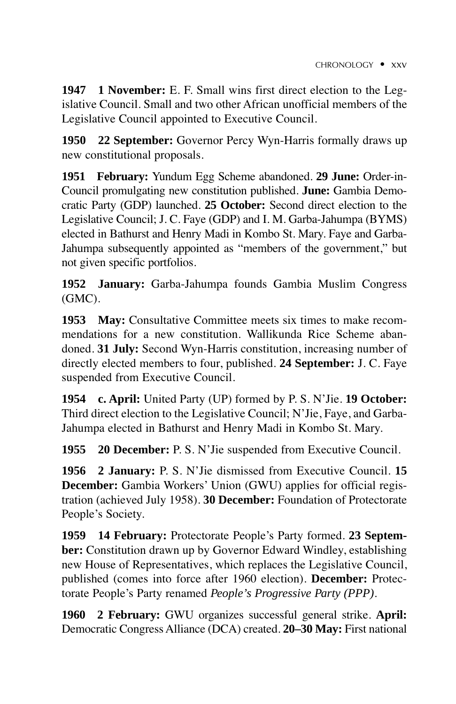**1947 1 November:** E. F. Small wins first direct election to the Legislative Council. Small and two other African unofficial members of the Legislative Council appointed to Executive Council.

**1950 22 September:** Governor Percy Wyn-Harris formally draws up new constitutional proposals.

**1951 February:** Yundum Egg Scheme abandoned. **29 June:** Order-in-Council promulgating new constitution published. **June:** Gambia Democratic Party (GDP) launched. **25 October:** Second direct election to the Legislative Council; J. C. Faye (GDP) and I. M. Garba-Jahumpa (BYMS) elected in Bathurst and Henry Madi in Kombo St. Mary. Faye and Garba-Jahumpa subsequently appointed as "members of the government," but not given specific portfolios.

**1952 January:** Garba-Jahumpa founds Gambia Muslim Congress (GMC).

**1953 May:** Consultative Committee meets six times to make recommendations for a new constitution. Wallikunda Rice Scheme abandoned. **31 July:** Second Wyn-Harris constitution, increasing number of directly elected members to four, published. **24 September:** J. C. Faye suspended from Executive Council.

**1954 c. April:** United Party (UP) formed by P. S. N'Jie. **19 October:** Third direct election to the Legislative Council; N'Jie, Faye, and Garba-Jahumpa elected in Bathurst and Henry Madi in Kombo St. Mary.

**1955 20 December:** P. S. N'Jie suspended from Executive Council.

**1956 2 January:** P. S. N'Jie dismissed from Executive Council. **15 December:** Gambia Workers' Union (GWU) applies for official registration (achieved July 1958). **30 December:** Foundation of Protectorate People's Society.

**1959 14 February:** Protectorate People's Party formed. **23 September:** Constitution drawn up by Governor Edward Windley, establishing new House of Representatives, which replaces the Legislative Council, published (comes into force after 1960 election). **December:** Protectorate People's Party renamed *People's Progressive Party (PPP)*.

**1960 2 February:** GWU organizes successful general strike. **April:** Democratic Congress Alliance (DCA) created. **20–30 May:** First national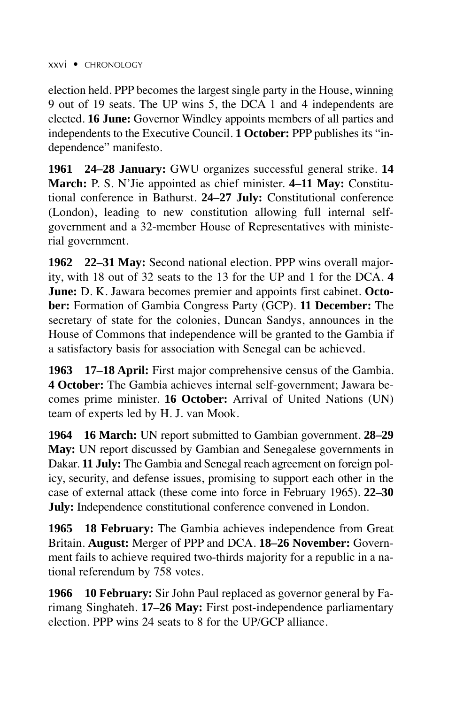election held. PPP becomes the largest single party in the House, winning 9 out of 19 seats. The UP wins 5, the DCA 1 and 4 independents are elected. **16 June:** Governor Windley appoints members of all parties and independents to the Executive Council. **1 October:** PPP publishes its "independence" manifesto.

**1961 24–28 January:** GWU organizes successful general strike. **14 March:** P. S. N'Jie appointed as chief minister. **4–11 May:** Constitutional conference in Bathurst. **24–27 July:** Constitutional conference (London), leading to new constitution allowing full internal selfgovernment and a 32-member House of Representatives with ministerial government.

**1962 22–31 May:** Second national election. PPP wins overall majority, with 18 out of 32 seats to the 13 for the UP and 1 for the DCA. **4 June:** D. K. Jawara becomes premier and appoints first cabinet. **October:** Formation of Gambia Congress Party (GCP). **11 December:** The secretary of state for the colonies, Duncan Sandys, announces in the House of Commons that independence will be granted to the Gambia if a satisfactory basis for association with Senegal can be achieved.

**1963 17–18 April:** First major comprehensive census of the Gambia. **4 October:** The Gambia achieves internal self-government; Jawara becomes prime minister. **16 October:** Arrival of United Nations (UN) team of experts led by H. J. van Mook.

**1964 16 March:** UN report submitted to Gambian government. **28–29 May:** UN report discussed by Gambian and Senegalese governments in Dakar. **11 July:** The Gambia and Senegal reach agreement on foreign policy, security, and defense issues, promising to support each other in the case of external attack (these come into force in February 1965). **22–30 July:** Independence constitutional conference convened in London.

**1965 18 February:** The Gambia achieves independence from Great Britain. **August:** Merger of PPP and DCA. **18–26 November:** Government fails to achieve required two-thirds majority for a republic in a national referendum by 758 votes.

**1966 10 February:** Sir John Paul replaced as governor general by Farimang Singhateh. **17–26 May:** First post-independence parliamentary election. PPP wins 24 seats to 8 for the UP/GCP alliance.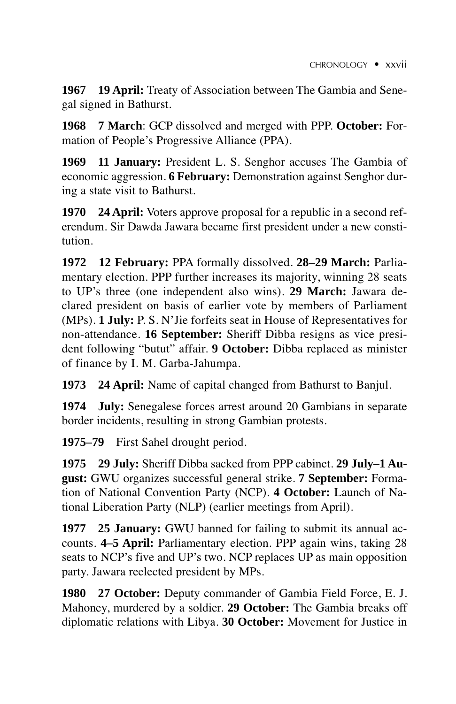**1967 19 April:** Treaty of Association between The Gambia and Senegal signed in Bathurst.

**1968 7 March**: GCP dissolved and merged with PPP. **October:** Formation of People's Progressive Alliance (PPA).

**1969 11 January:** President L. S. Senghor accuses The Gambia of economic aggression. **6 February:** Demonstration against Senghor during a state visit to Bathurst.

**1970 24 April:** Voters approve proposal for a republic in a second referendum. Sir Dawda Jawara became first president under a new constitution.

**1972 12 February:** PPA formally dissolved. **28–29 March:** Parliamentary election. PPP further increases its majority, winning 28 seats to UP's three (one independent also wins). **29 March:** Jawara declared president on basis of earlier vote by members of Parliament (MPs). **1 July:** P. S. N'Jie forfeits seat in House of Representatives for non-attendance. **16 September:** Sheriff Dibba resigns as vice president following "butut" affair. **9 October:** Dibba replaced as minister of finance by I. M. Garba-Jahumpa.

**1973 24 April:** Name of capital changed from Bathurst to Banjul.

**1974 July:** Senegalese forces arrest around 20 Gambians in separate border incidents, resulting in strong Gambian protests.

**1975–79** First Sahel drought period.

**1975 29 July:** Sheriff Dibba sacked from PPP cabinet. **29 July–1 August:** GWU organizes successful general strike. **7 September:** Formation of National Convention Party (NCP). **4 October:** Launch of National Liberation Party (NLP) (earlier meetings from April).

**1977 25 January:** GWU banned for failing to submit its annual accounts. **4–5 April:** Parliamentary election. PPP again wins, taking 28 seats to NCP's five and UP's two. NCP replaces UP as main opposition party. Jawara reelected president by MPs.

**1980 27 October:** Deputy commander of Gambia Field Force, E. J. Mahoney, murdered by a soldier. **29 October:** The Gambia breaks off diplomatic relations with Libya. **30 October:** Movement for Justice in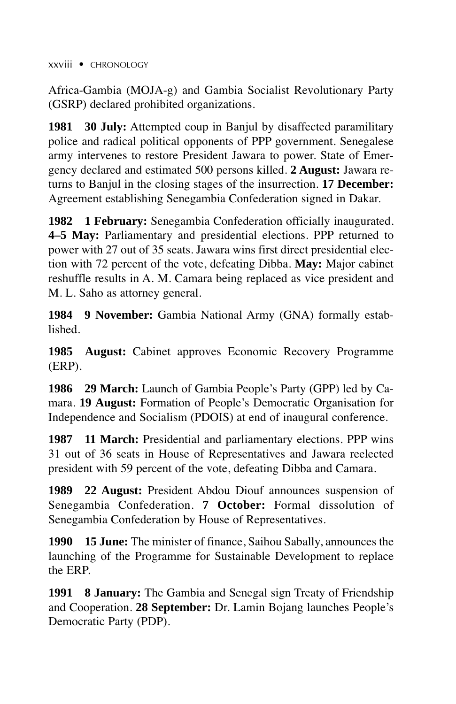xxviii • CHRONOLOGY

Africa-Gambia (MOJA-g) and Gambia Socialist Revolutionary Party (GSRP) declared prohibited organizations.

**1981 30 July:** Attempted coup in Banjul by disaffected paramilitary police and radical political opponents of PPP government. Senegalese army intervenes to restore President Jawara to power. State of Emergency declared and estimated 500 persons killed. **2 August:** Jawara returns to Banjul in the closing stages of the insurrection. **17 December:** Agreement establishing Senegambia Confederation signed in Dakar.

**1982 1 February:** Senegambia Confederation officially inaugurated. **4–5 May:** Parliamentary and presidential elections. PPP returned to power with 27 out of 35 seats. Jawara wins first direct presidential election with 72 percent of the vote, defeating Dibba. **May:** Major cabinet reshuffle results in A. M. Camara being replaced as vice president and M. L. Saho as attorney general.

**1984 9 November:** Gambia National Army (GNA) formally established.

**1985 August:** Cabinet approves Economic Recovery Programme (ERP).

**1986 29 March:** Launch of Gambia People's Party (GPP) led by Camara. **19 August:** Formation of People's Democratic Organisation for Independence and Socialism (PDOIS) at end of inaugural conference.

**1987 11 March:** Presidential and parliamentary elections. PPP wins 31 out of 36 seats in House of Representatives and Jawara reelected president with 59 percent of the vote, defeating Dibba and Camara.

**1989 22 August:** President Abdou Diouf announces suspension of Senegambia Confederation. **7 October:** Formal dissolution of Senegambia Confederation by House of Representatives.

**1990 15 June:** The minister of finance, Saihou Sabally, announces the launching of the Programme for Sustainable Development to replace the ERP.

**1991 8 January:** The Gambia and Senegal sign Treaty of Friendship and Cooperation. **28 September:** Dr. Lamin Bojang launches People's Democratic Party (PDP).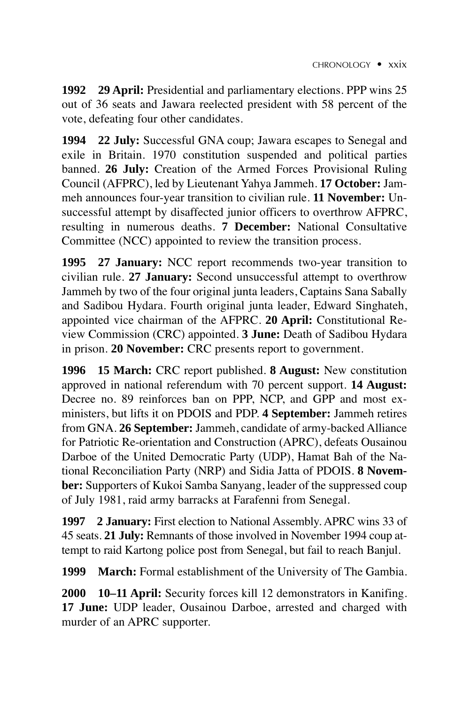**1992 29 April:** Presidential and parliamentary elections. PPP wins 25 out of 36 seats and Jawara reelected president with 58 percent of the vote, defeating four other candidates.

**1994 22 July:** Successful GNA coup; Jawara escapes to Senegal and exile in Britain. 1970 constitution suspended and political parties banned. **26 July:** Creation of the Armed Forces Provisional Ruling Council (AFPRC), led by Lieutenant Yahya Jammeh. **17 October:** Jammeh announces four-year transition to civilian rule. **11 November:** Unsuccessful attempt by disaffected junior officers to overthrow AFPRC, resulting in numerous deaths. **7 December:** National Consultative Committee (NCC) appointed to review the transition process.

**1995 27 January:** NCC report recommends two-year transition to civilian rule. **27 January:** Second unsuccessful attempt to overthrow Jammeh by two of the four original junta leaders, Captains Sana Sabally and Sadibou Hydara. Fourth original junta leader, Edward Singhateh, appointed vice chairman of the AFPRC. **20 April:** Constitutional Review Commission (CRC) appointed. **3 June:** Death of Sadibou Hydara in prison. **20 November:** CRC presents report to government.

**1996 15 March:** CRC report published. **8 August:** New constitution approved in national referendum with 70 percent support. **14 August:** Decree no. 89 reinforces ban on PPP, NCP, and GPP and most exministers, but lifts it on PDOIS and PDP. **4 September:** Jammeh retires from GNA. **26 September:** Jammeh, candidate of army-backed Alliance for Patriotic Re-orientation and Construction (APRC), defeats Ousainou Darboe of the United Democratic Party (UDP), Hamat Bah of the National Reconciliation Party (NRP) and Sidia Jatta of PDOIS. **8 November:** Supporters of Kukoi Samba Sanyang, leader of the suppressed coup of July 1981, raid army barracks at Farafenni from Senegal.

**1997 2 January:** First election to National Assembly. APRC wins 33 of 45 seats. **21 July:** Remnants of those involved in November 1994 coup attempt to raid Kartong police post from Senegal, but fail to reach Banjul.

**1999 March:** Formal establishment of the University of The Gambia.

**2000 10–11 April:** Security forces kill 12 demonstrators in Kanifing. **17 June:** UDP leader, Ousainou Darboe, arrested and charged with murder of an APRC supporter.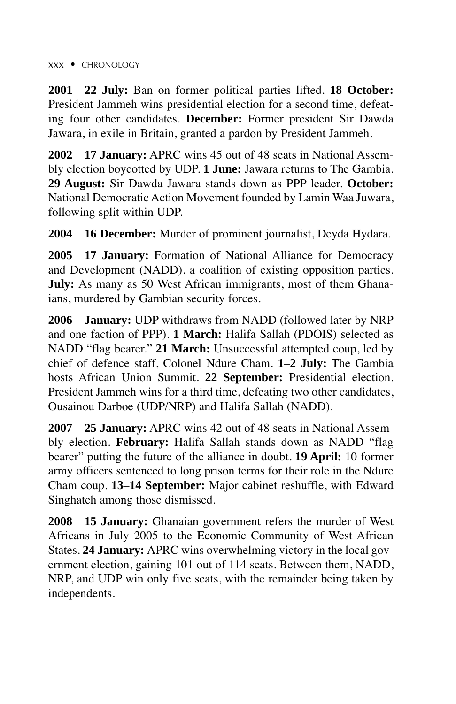xxx • CHRONOLOGY

**2001 22 July:** Ban on former political parties lifted. **18 October:** President Jammeh wins presidential election for a second time, defeating four other candidates. **December:** Former president Sir Dawda Jawara, in exile in Britain, granted a pardon by President Jammeh.

**2002 17 January:** APRC wins 45 out of 48 seats in National Assembly election boycotted by UDP. **1 June:** Jawara returns to The Gambia. **29 August:** Sir Dawda Jawara stands down as PPP leader. **October:** National Democratic Action Movement founded by Lamin Waa Juwara, following split within UDP.

**2004 16 December:** Murder of prominent journalist, Deyda Hydara.

**2005 17 January:** Formation of National Alliance for Democracy and Development (NADD), a coalition of existing opposition parties. **July:** As many as 50 West African immigrants, most of them Ghanaians, murdered by Gambian security forces.

**2006 January:** UDP withdraws from NADD (followed later by NRP and one faction of PPP). **1 March:** Halifa Sallah (PDOIS) selected as NADD "flag bearer." **21 March:** Unsuccessful attempted coup, led by chief of defence staff, Colonel Ndure Cham. **1–2 July:** The Gambia hosts African Union Summit. **22 September:** Presidential election. President Jammeh wins for a third time, defeating two other candidates, Ousainou Darboe (UDP/NRP) and Halifa Sallah (NADD).

**2007 25 January:** APRC wins 42 out of 48 seats in National Assembly election. **February:** Halifa Sallah stands down as NADD "flag bearer" putting the future of the alliance in doubt. **19 April:** 10 former army officers sentenced to long prison terms for their role in the Ndure Cham coup. **13–14 September:** Major cabinet reshuffle, with Edward Singhateh among those dismissed.

**2008 15 January:** Ghanaian government refers the murder of West Africans in July 2005 to the Economic Community of West African States. **24 January:** APRC wins overwhelming victory in the local government election, gaining 101 out of 114 seats. Between them, NADD, NRP, and UDP win only five seats, with the remainder being taken by independents.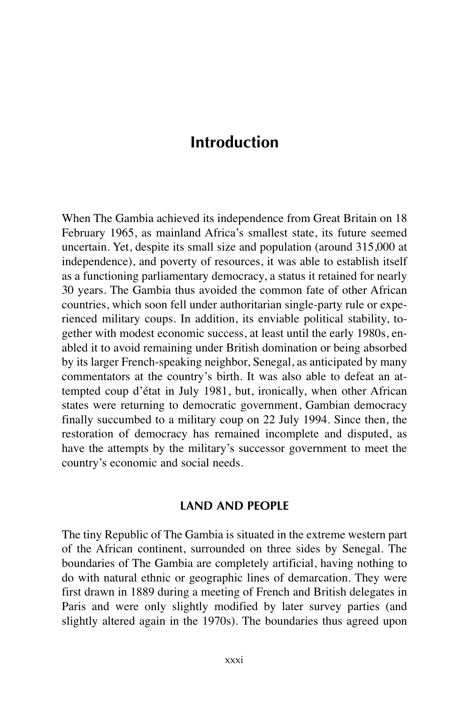## **Introduction**

When The Gambia achieved its independence from Great Britain on 18 February 1965, as mainland Africa's smallest state, its future seemed uncertain. Yet, despite its small size and population (around 315,000 at independence), and poverty of resources, it was able to establish itself as a functioning parliamentary democracy, a status it retained for nearly 30 years. The Gambia thus avoided the common fate of other African countries, which soon fell under authoritarian single-party rule or experienced military coups. In addition, its enviable political stability, together with modest economic success, at least until the early 1980s, enabled it to avoid remaining under British domination or being absorbed by its larger French-speaking neighbor, Senegal, as anticipated by many commentators at the country's birth. It was also able to defeat an attempted coup d'état in July 1981, but, ironically, when other African states were returning to democratic government, Gambian democracy finally succumbed to a military coup on 22 July 1994. Since then, the restoration of democracy has remained incomplete and disputed, as have the attempts by the military's successor government to meet the country's economic and social needs.

## **LAND AND PEOPLE**

The tiny Republic of The Gambia is situated in the extreme western part of the African continent, surrounded on three sides by Senegal. The boundaries of The Gambia are completely artificial, having nothing to do with natural ethnic or geographic lines of demarcation. They were first drawn in 1889 during a meeting of French and British delegates in Paris and were only slightly modified by later survey parties (and slightly altered again in the 1970s). The boundaries thus agreed upon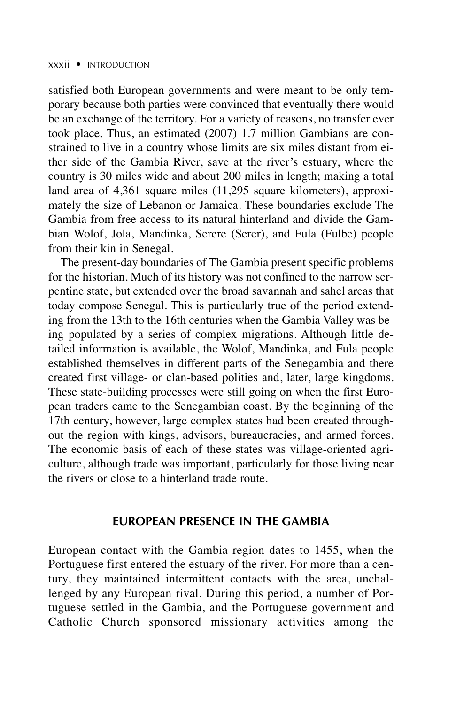satisfied both European governments and were meant to be only temporary because both parties were convinced that eventually there would be an exchange of the territory. For a variety of reasons, no transfer ever took place. Thus, an estimated (2007) 1.7 million Gambians are constrained to live in a country whose limits are six miles distant from either side of the Gambia River, save at the river's estuary, where the country is 30 miles wide and about 200 miles in length; making a total land area of 4,361 square miles (11,295 square kilometers), approximately the size of Lebanon or Jamaica. These boundaries exclude The Gambia from free access to its natural hinterland and divide the Gambian Wolof, Jola, Mandinka, Serere (Serer), and Fula (Fulbe) people from their kin in Senegal.

The present-day boundaries of The Gambia present specific problems for the historian. Much of its history was not confined to the narrow serpentine state, but extended over the broad savannah and sahel areas that today compose Senegal. This is particularly true of the period extending from the 13th to the 16th centuries when the Gambia Valley was being populated by a series of complex migrations. Although little detailed information is available, the Wolof, Mandinka, and Fula people established themselves in different parts of the Senegambia and there created first village- or clan-based polities and, later, large kingdoms. These state-building processes were still going on when the first European traders came to the Senegambian coast. By the beginning of the 17th century, however, large complex states had been created throughout the region with kings, advisors, bureaucracies, and armed forces. The economic basis of each of these states was village-oriented agriculture, although trade was important, particularly for those living near the rivers or close to a hinterland trade route.

### **EUROPEAN PRESENCE IN THE GAMBIA**

European contact with the Gambia region dates to 1455, when the Portuguese first entered the estuary of the river. For more than a century, they maintained intermittent contacts with the area, unchallenged by any European rival. During this period, a number of Portuguese settled in the Gambia, and the Portuguese government and Catholic Church sponsored missionary activities among the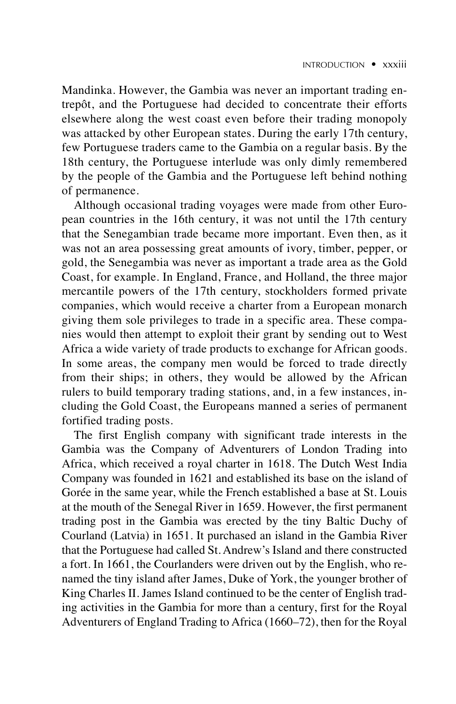Mandinka. However, the Gambia was never an important trading entrepôt, and the Portuguese had decided to concentrate their efforts elsewhere along the west coast even before their trading monopoly was attacked by other European states. During the early 17th century, few Portuguese traders came to the Gambia on a regular basis. By the 18th century, the Portuguese interlude was only dimly remembered by the people of the Gambia and the Portuguese left behind nothing of permanence.

Although occasional trading voyages were made from other European countries in the 16th century, it was not until the 17th century that the Senegambian trade became more important. Even then, as it was not an area possessing great amounts of ivory, timber, pepper, or gold, the Senegambia was never as important a trade area as the Gold Coast, for example. In England, France, and Holland, the three major mercantile powers of the 17th century, stockholders formed private companies, which would receive a charter from a European monarch giving them sole privileges to trade in a specific area. These companies would then attempt to exploit their grant by sending out to West Africa a wide variety of trade products to exchange for African goods. In some areas, the company men would be forced to trade directly from their ships; in others, they would be allowed by the African rulers to build temporary trading stations, and, in a few instances, including the Gold Coast, the Europeans manned a series of permanent fortified trading posts.

The first English company with significant trade interests in the Gambia was the Company of Adventurers of London Trading into Africa, which received a royal charter in 1618. The Dutch West India Company was founded in 1621 and established its base on the island of Gorée in the same year, while the French established a base at St. Louis at the mouth of the Senegal River in 1659. However, the first permanent trading post in the Gambia was erected by the tiny Baltic Duchy of Courland (Latvia) in 1651. It purchased an island in the Gambia River that the Portuguese had called St. Andrew's Island and there constructed a fort. In 1661, the Courlanders were driven out by the English, who renamed the tiny island after James, Duke of York, the younger brother of King Charles II. James Island continued to be the center of English trading activities in the Gambia for more than a century, first for the Royal Adventurers of England Trading to Africa (1660–72), then for the Royal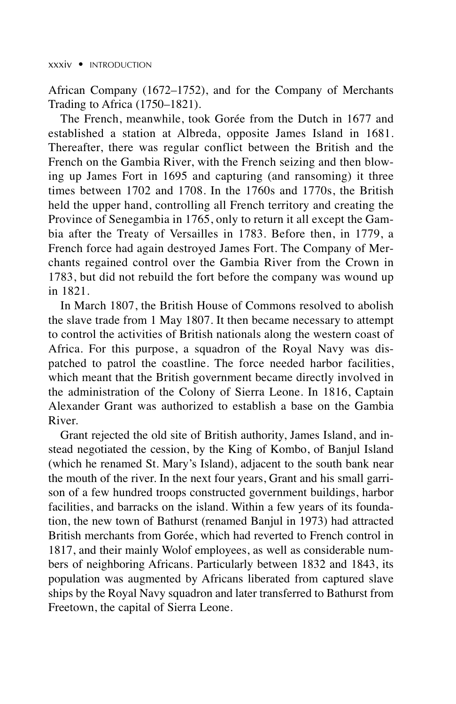African Company (1672–1752), and for the Company of Merchants Trading to Africa (1750–1821).

The French, meanwhile, took Gorée from the Dutch in 1677 and established a station at Albreda, opposite James Island in 1681. Thereafter, there was regular conflict between the British and the French on the Gambia River, with the French seizing and then blowing up James Fort in 1695 and capturing (and ransoming) it three times between 1702 and 1708. In the 1760s and 1770s, the British held the upper hand, controlling all French territory and creating the Province of Senegambia in 1765, only to return it all except the Gambia after the Treaty of Versailles in 1783. Before then, in 1779, a French force had again destroyed James Fort. The Company of Merchants regained control over the Gambia River from the Crown in 1783, but did not rebuild the fort before the company was wound up in 1821.

In March 1807, the British House of Commons resolved to abolish the slave trade from 1 May 1807. It then became necessary to attempt to control the activities of British nationals along the western coast of Africa. For this purpose, a squadron of the Royal Navy was dispatched to patrol the coastline. The force needed harbor facilities, which meant that the British government became directly involved in the administration of the Colony of Sierra Leone. In 1816, Captain Alexander Grant was authorized to establish a base on the Gambia River.

Grant rejected the old site of British authority, James Island, and instead negotiated the cession, by the King of Kombo, of Banjul Island (which he renamed St. Mary's Island), adjacent to the south bank near the mouth of the river. In the next four years, Grant and his small garrison of a few hundred troops constructed government buildings, harbor facilities, and barracks on the island. Within a few years of its foundation, the new town of Bathurst (renamed Banjul in 1973) had attracted British merchants from Gorée, which had reverted to French control in 1817, and their mainly Wolof employees, as well as considerable numbers of neighboring Africans. Particularly between 1832 and 1843, its population was augmented by Africans liberated from captured slave ships by the Royal Navy squadron and later transferred to Bathurst from Freetown, the capital of Sierra Leone.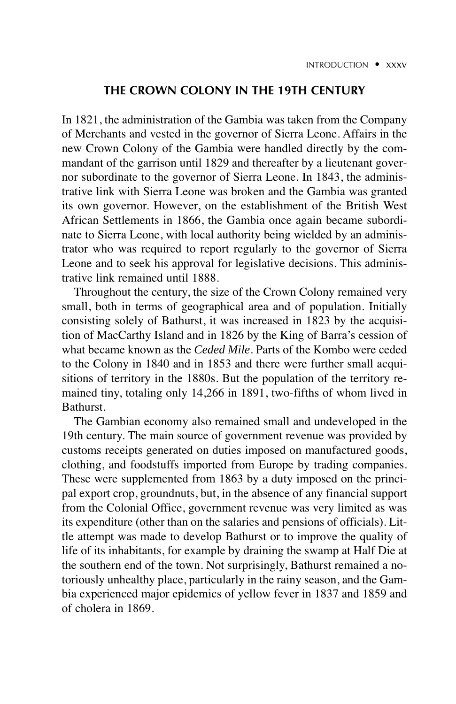### **THE CROWN COLONY IN THE 19TH CENTURY**

In 1821, the administration of the Gambia was taken from the Company of Merchants and vested in the governor of Sierra Leone. Affairs in the new Crown Colony of the Gambia were handled directly by the commandant of the garrison until 1829 and thereafter by a lieutenant governor subordinate to the governor of Sierra Leone. In 1843, the administrative link with Sierra Leone was broken and the Gambia was granted its own governor. However, on the establishment of the British West African Settlements in 1866, the Gambia once again became subordinate to Sierra Leone, with local authority being wielded by an administrator who was required to report regularly to the governor of Sierra Leone and to seek his approval for legislative decisions. This administrative link remained until 1888.

Throughout the century, the size of the Crown Colony remained very small, both in terms of geographical area and of population. Initially consisting solely of Bathurst, it was increased in 1823 by the acquisition of MacCarthy Island and in 1826 by the King of Barra's cession of what became known as the *Ceded Mile*. Parts of the Kombo were ceded to the Colony in 1840 and in 1853 and there were further small acquisitions of territory in the 1880s. But the population of the territory remained tiny, totaling only 14,266 in 1891, two-fifths of whom lived in Bathurst.

The Gambian economy also remained small and undeveloped in the 19th century. The main source of government revenue was provided by customs receipts generated on duties imposed on manufactured goods, clothing, and foodstuffs imported from Europe by trading companies. These were supplemented from 1863 by a duty imposed on the principal export crop, groundnuts, but, in the absence of any financial support from the Colonial Office, government revenue was very limited as was its expenditure (other than on the salaries and pensions of officials). Little attempt was made to develop Bathurst or to improve the quality of life of its inhabitants, for example by draining the swamp at Half Die at the southern end of the town. Not surprisingly, Bathurst remained a notoriously unhealthy place, particularly in the rainy season, and the Gambia experienced major epidemics of yellow fever in 1837 and 1859 and of cholera in 1869.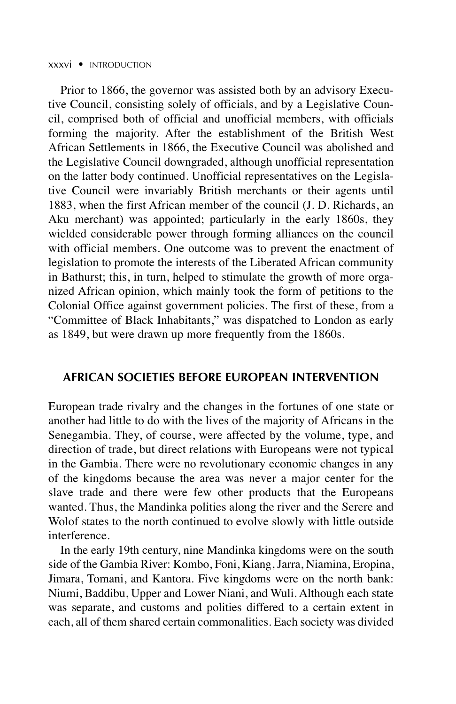#### xxxvi • INTRODUCTION

Prior to 1866, the governor was assisted both by an advisory Executive Council, consisting solely of officials, and by a Legislative Council, comprised both of official and unofficial members, with officials forming the majority. After the establishment of the British West African Settlements in 1866, the Executive Council was abolished and the Legislative Council downgraded, although unofficial representation on the latter body continued. Unofficial representatives on the Legislative Council were invariably British merchants or their agents until 1883, when the first African member of the council (J. D. Richards, an Aku merchant) was appointed; particularly in the early 1860s, they wielded considerable power through forming alliances on the council with official members. One outcome was to prevent the enactment of legislation to promote the interests of the Liberated African community in Bathurst; this, in turn, helped to stimulate the growth of more organized African opinion, which mainly took the form of petitions to the Colonial Office against government policies. The first of these, from a "Committee of Black Inhabitants," was dispatched to London as early as 1849, but were drawn up more frequently from the 1860s.

### **AFRICAN SOCIETIES BEFORE EUROPEAN INTERVENTION**

European trade rivalry and the changes in the fortunes of one state or another had little to do with the lives of the majority of Africans in the Senegambia. They, of course, were affected by the volume, type, and direction of trade, but direct relations with Europeans were not typical in the Gambia. There were no revolutionary economic changes in any of the kingdoms because the area was never a major center for the slave trade and there were few other products that the Europeans wanted. Thus, the Mandinka polities along the river and the Serere and Wolof states to the north continued to evolve slowly with little outside interference.

In the early 19th century, nine Mandinka kingdoms were on the south side of the Gambia River: Kombo, Foni, Kiang, Jarra, Niamina, Eropina, Jimara, Tomani, and Kantora. Five kingdoms were on the north bank: Niumi, Baddibu, Upper and Lower Niani, and Wuli. Although each state was separate, and customs and polities differed to a certain extent in each, all of them shared certain commonalities. Each society was divided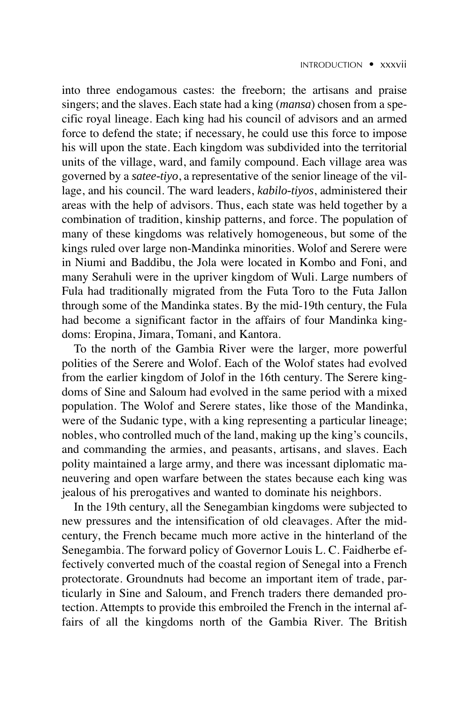into three endogamous castes: the freeborn; the artisans and praise singers; and the slaves. Each state had a king (*mansa*) chosen from a specific royal lineage. Each king had his council of advisors and an armed force to defend the state; if necessary, he could use this force to impose his will upon the state. Each kingdom was subdivided into the territorial units of the village, ward, and family compound. Each village area was governed by a *satee-tiyo*, a representative of the senior lineage of the village, and his council. The ward leaders, *kabilo-tiyos*, administered their areas with the help of advisors. Thus, each state was held together by a combination of tradition, kinship patterns, and force. The population of many of these kingdoms was relatively homogeneous, but some of the kings ruled over large non-Mandinka minorities. Wolof and Serere were in Niumi and Baddibu, the Jola were located in Kombo and Foni, and many Serahuli were in the upriver kingdom of Wuli. Large numbers of Fula had traditionally migrated from the Futa Toro to the Futa Jallon through some of the Mandinka states. By the mid-19th century, the Fula had become a significant factor in the affairs of four Mandinka kingdoms: Eropina, Jimara, Tomani, and Kantora.

To the north of the Gambia River were the larger, more powerful polities of the Serere and Wolof. Each of the Wolof states had evolved from the earlier kingdom of Jolof in the 16th century. The Serere kingdoms of Sine and Saloum had evolved in the same period with a mixed population. The Wolof and Serere states, like those of the Mandinka, were of the Sudanic type, with a king representing a particular lineage; nobles, who controlled much of the land, making up the king's councils, and commanding the armies, and peasants, artisans, and slaves. Each polity maintained a large army, and there was incessant diplomatic maneuvering and open warfare between the states because each king was jealous of his prerogatives and wanted to dominate his neighbors.

In the 19th century, all the Senegambian kingdoms were subjected to new pressures and the intensification of old cleavages. After the midcentury, the French became much more active in the hinterland of the Senegambia. The forward policy of Governor Louis L. C. Faidherbe effectively converted much of the coastal region of Senegal into a French protectorate. Groundnuts had become an important item of trade, particularly in Sine and Saloum, and French traders there demanded protection. Attempts to provide this embroiled the French in the internal affairs of all the kingdoms north of the Gambia River. The British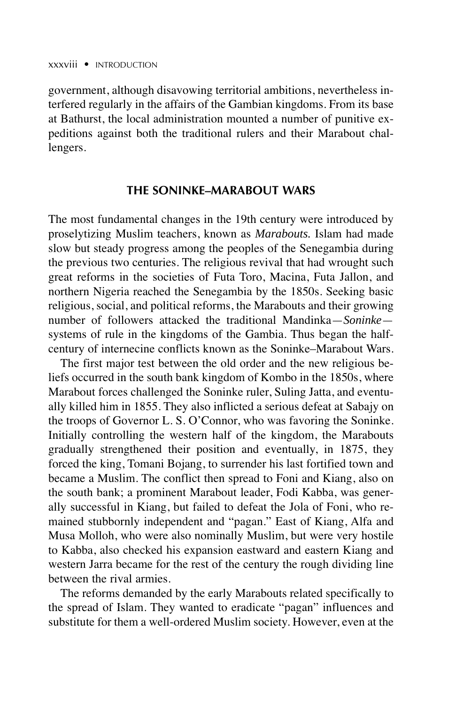xxxviii • INTRODUCTION

government, although disavowing territorial ambitions, nevertheless interfered regularly in the affairs of the Gambian kingdoms. From its base at Bathurst, the local administration mounted a number of punitive expeditions against both the traditional rulers and their Marabout challengers.

### **THE SONINKE–MARABOUT WARS**

The most fundamental changes in the 19th century were introduced by proselytizing Muslim teachers, known as *Marabouts.* Islam had made slow but steady progress among the peoples of the Senegambia during the previous two centuries. The religious revival that had wrought such great reforms in the societies of Futa Toro, Macina, Futa Jallon, and northern Nigeria reached the Senegambia by the 1850s. Seeking basic religious, social, and political reforms, the Marabouts and their growing number of followers attacked the traditional Mandinka—*Soninke* systems of rule in the kingdoms of the Gambia. Thus began the halfcentury of internecine conflicts known as the Soninke*–*Marabout Wars.

The first major test between the old order and the new religious beliefs occurred in the south bank kingdom of Kombo in the 1850s, where Marabout forces challenged the Soninke ruler, Suling Jatta, and eventually killed him in 1855. They also inflicted a serious defeat at Sabajy on the troops of Governor L. S. O'Connor, who was favoring the Soninke. Initially controlling the western half of the kingdom, the Marabouts gradually strengthened their position and eventually, in 1875, they forced the king, Tomani Bojang, to surrender his last fortified town and became a Muslim. The conflict then spread to Foni and Kiang, also on the south bank; a prominent Marabout leader, Fodi Kabba, was generally successful in Kiang, but failed to defeat the Jola of Foni, who remained stubbornly independent and "pagan." East of Kiang, Alfa and Musa Molloh, who were also nominally Muslim, but were very hostile to Kabba, also checked his expansion eastward and eastern Kiang and western Jarra became for the rest of the century the rough dividing line between the rival armies.

The reforms demanded by the early Marabouts related specifically to the spread of Islam. They wanted to eradicate "pagan" influences and substitute for them a well-ordered Muslim society. However, even at the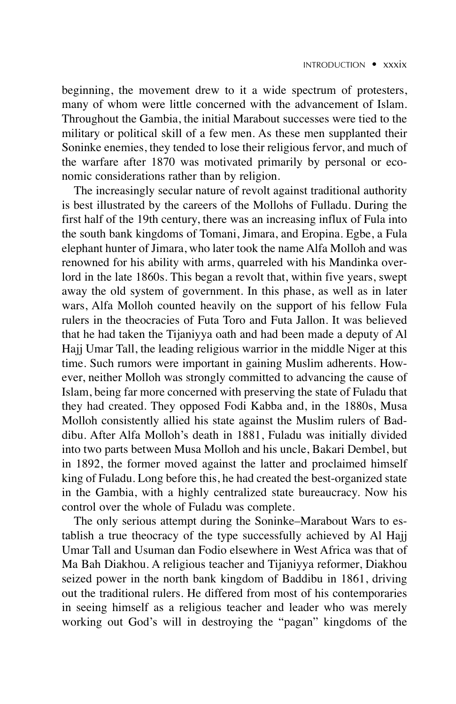beginning, the movement drew to it a wide spectrum of protesters, many of whom were little concerned with the advancement of Islam. Throughout the Gambia, the initial Marabout successes were tied to the military or political skill of a few men. As these men supplanted their Soninke enemies, they tended to lose their religious fervor, and much of the warfare after 1870 was motivated primarily by personal or economic considerations rather than by religion.

The increasingly secular nature of revolt against traditional authority is best illustrated by the careers of the Mollohs of Fulladu. During the first half of the 19th century, there was an increasing influx of Fula into the south bank kingdoms of Tomani, Jimara, and Eropina. Egbe, a Fula elephant hunter of Jimara, who later took the name Alfa Molloh and was renowned for his ability with arms, quarreled with his Mandinka overlord in the late 1860s. This began a revolt that, within five years, swept away the old system of government. In this phase, as well as in later wars, Alfa Molloh counted heavily on the support of his fellow Fula rulers in the theocracies of Futa Toro and Futa Jallon. It was believed that he had taken the Tijaniyya oath and had been made a deputy of Al Hajj Umar Tall, the leading religious warrior in the middle Niger at this time. Such rumors were important in gaining Muslim adherents. However, neither Molloh was strongly committed to advancing the cause of Islam, being far more concerned with preserving the state of Fuladu that they had created. They opposed Fodi Kabba and, in the 1880s, Musa Molloh consistently allied his state against the Muslim rulers of Baddibu. After Alfa Molloh's death in 1881, Fuladu was initially divided into two parts between Musa Molloh and his uncle, Bakari Dembel, but in 1892, the former moved against the latter and proclaimed himself king of Fuladu. Long before this, he had created the best-organized state in the Gambia, with a highly centralized state bureaucracy. Now his control over the whole of Fuladu was complete.

The only serious attempt during the Soninke–Marabout Wars to establish a true theocracy of the type successfully achieved by Al Hajj Umar Tall and Usuman dan Fodio elsewhere in West Africa was that of Ma Bah Diakhou. A religious teacher and Tijaniyya reformer, Diakhou seized power in the north bank kingdom of Baddibu in 1861, driving out the traditional rulers. He differed from most of his contemporaries in seeing himself as a religious teacher and leader who was merely working out God's will in destroying the "pagan" kingdoms of the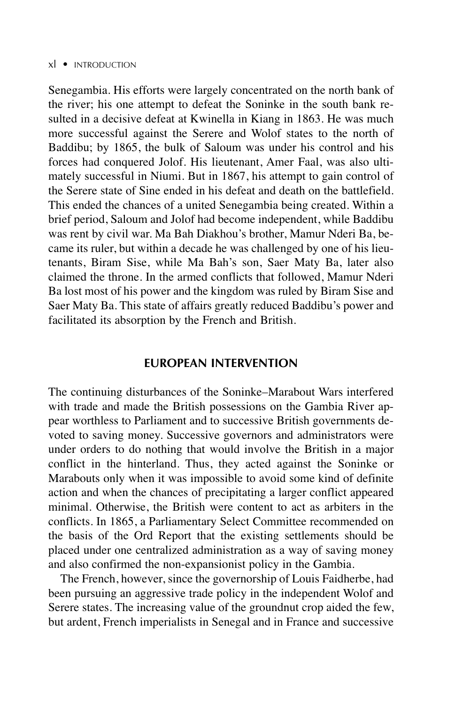Senegambia. His efforts were largely concentrated on the north bank of the river; his one attempt to defeat the Soninke in the south bank resulted in a decisive defeat at Kwinella in Kiang in 1863. He was much more successful against the Serere and Wolof states to the north of Baddibu; by 1865, the bulk of Saloum was under his control and his forces had conquered Jolof. His lieutenant, Amer Faal, was also ultimately successful in Niumi. But in 1867, his attempt to gain control of the Serere state of Sine ended in his defeat and death on the battlefield. This ended the chances of a united Senegambia being created. Within a brief period, Saloum and Jolof had become independent, while Baddibu was rent by civil war. Ma Bah Diakhou's brother, Mamur Nderi Ba, became its ruler, but within a decade he was challenged by one of his lieutenants, Biram Sise, while Ma Bah's son, Saer Maty Ba, later also claimed the throne. In the armed conflicts that followed, Mamur Nderi Ba lost most of his power and the kingdom was ruled by Biram Sise and Saer Maty Ba. This state of affairs greatly reduced Baddibu's power and facilitated its absorption by the French and British.

# **EUROPEAN INTERVENTION**

The continuing disturbances of the Soninke–Marabout Wars interfered with trade and made the British possessions on the Gambia River appear worthless to Parliament and to successive British governments devoted to saving money. Successive governors and administrators were under orders to do nothing that would involve the British in a major conflict in the hinterland. Thus, they acted against the Soninke or Marabouts only when it was impossible to avoid some kind of definite action and when the chances of precipitating a larger conflict appeared minimal. Otherwise, the British were content to act as arbiters in the conflicts. In 1865, a Parliamentary Select Committee recommended on the basis of the Ord Report that the existing settlements should be placed under one centralized administration as a way of saving money and also confirmed the non-expansionist policy in the Gambia.

The French, however, since the governorship of Louis Faidherbe, had been pursuing an aggressive trade policy in the independent Wolof and Serere states. The increasing value of the groundnut crop aided the few, but ardent, French imperialists in Senegal and in France and successive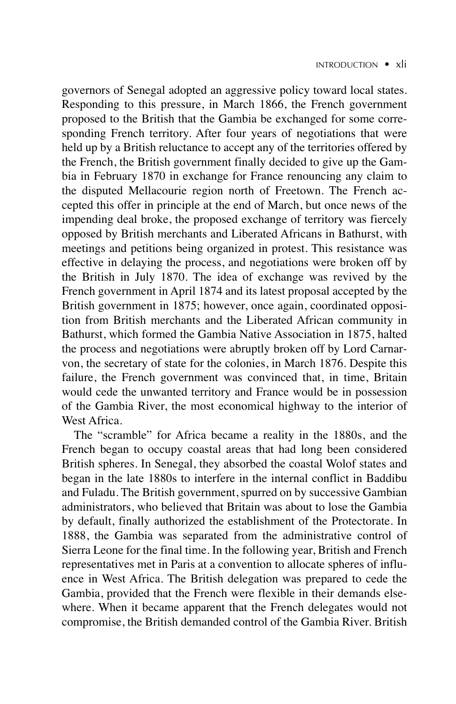governors of Senegal adopted an aggressive policy toward local states. Responding to this pressure, in March 1866, the French government proposed to the British that the Gambia be exchanged for some corresponding French territory. After four years of negotiations that were held up by a British reluctance to accept any of the territories offered by the French, the British government finally decided to give up the Gambia in February 1870 in exchange for France renouncing any claim to the disputed Mellacourie region north of Freetown. The French accepted this offer in principle at the end of March, but once news of the impending deal broke, the proposed exchange of territory was fiercely opposed by British merchants and Liberated Africans in Bathurst, with meetings and petitions being organized in protest. This resistance was effective in delaying the process, and negotiations were broken off by the British in July 1870. The idea of exchange was revived by the French government in April 1874 and its latest proposal accepted by the British government in 1875; however, once again, coordinated opposition from British merchants and the Liberated African community in Bathurst, which formed the Gambia Native Association in 1875, halted the process and negotiations were abruptly broken off by Lord Carnarvon, the secretary of state for the colonies, in March 1876. Despite this failure, the French government was convinced that, in time, Britain would cede the unwanted territory and France would be in possession of the Gambia River, the most economical highway to the interior of West Africa.

The "scramble" for Africa became a reality in the 1880s, and the French began to occupy coastal areas that had long been considered British spheres. In Senegal, they absorbed the coastal Wolof states and began in the late 1880s to interfere in the internal conflict in Baddibu and Fuladu. The British government, spurred on by successive Gambian administrators, who believed that Britain was about to lose the Gambia by default, finally authorized the establishment of the Protectorate. In 1888, the Gambia was separated from the administrative control of Sierra Leone for the final time. In the following year, British and French representatives met in Paris at a convention to allocate spheres of influence in West Africa. The British delegation was prepared to cede the Gambia, provided that the French were flexible in their demands elsewhere. When it became apparent that the French delegates would not compromise, the British demanded control of the Gambia River. British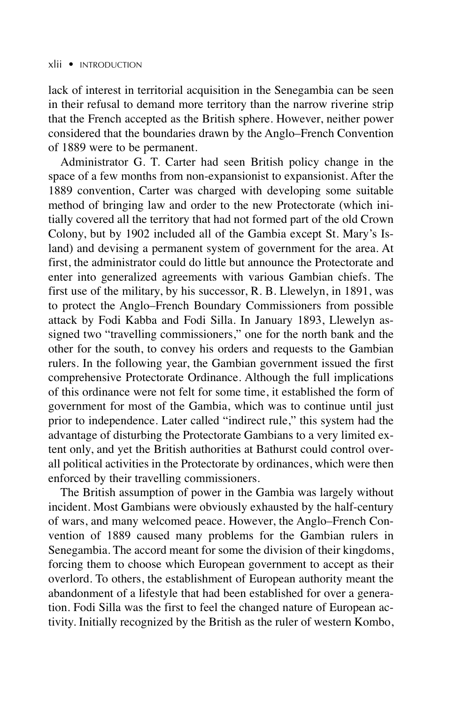lack of interest in territorial acquisition in the Senegambia can be seen in their refusal to demand more territory than the narrow riverine strip that the French accepted as the British sphere. However, neither power considered that the boundaries drawn by the Anglo–French Convention of 1889 were to be permanent.

Administrator G. T. Carter had seen British policy change in the space of a few months from non-expansionist to expansionist. After the 1889 convention, Carter was charged with developing some suitable method of bringing law and order to the new Protectorate (which initially covered all the territory that had not formed part of the old Crown Colony, but by 1902 included all of the Gambia except St. Mary's Island) and devising a permanent system of government for the area. At first, the administrator could do little but announce the Protectorate and enter into generalized agreements with various Gambian chiefs. The first use of the military, by his successor, R. B. Llewelyn, in 1891, was to protect the Anglo–French Boundary Commissioners from possible attack by Fodi Kabba and Fodi Silla. In January 1893, Llewelyn assigned two "travelling commissioners," one for the north bank and the other for the south, to convey his orders and requests to the Gambian rulers. In the following year, the Gambian government issued the first comprehensive Protectorate Ordinance. Although the full implications of this ordinance were not felt for some time, it established the form of government for most of the Gambia, which was to continue until just prior to independence. Later called "indirect rule," this system had the advantage of disturbing the Protectorate Gambians to a very limited extent only, and yet the British authorities at Bathurst could control overall political activities in the Protectorate by ordinances, which were then enforced by their travelling commissioners.

The British assumption of power in the Gambia was largely without incident. Most Gambians were obviously exhausted by the half-century of wars, and many welcomed peace. However, the Anglo–French Convention of 1889 caused many problems for the Gambian rulers in Senegambia. The accord meant for some the division of their kingdoms, forcing them to choose which European government to accept as their overlord. To others, the establishment of European authority meant the abandonment of a lifestyle that had been established for over a generation. Fodi Silla was the first to feel the changed nature of European activity. Initially recognized by the British as the ruler of western Kombo,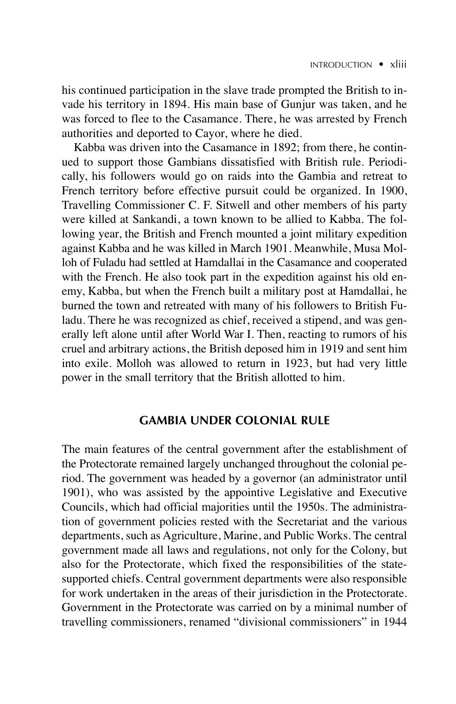his continued participation in the slave trade prompted the British to invade his territory in 1894. His main base of Gunjur was taken, and he was forced to flee to the Casamance. There, he was arrested by French authorities and deported to Cayor, where he died.

Kabba was driven into the Casamance in 1892; from there, he continued to support those Gambians dissatisfied with British rule. Periodically, his followers would go on raids into the Gambia and retreat to French territory before effective pursuit could be organized. In 1900, Travelling Commissioner C. F. Sitwell and other members of his party were killed at Sankandi, a town known to be allied to Kabba. The following year, the British and French mounted a joint military expedition against Kabba and he was killed in March 1901. Meanwhile, Musa Molloh of Fuladu had settled at Hamdallai in the Casamance and cooperated with the French. He also took part in the expedition against his old enemy, Kabba, but when the French built a military post at Hamdallai, he burned the town and retreated with many of his followers to British Fuladu. There he was recognized as chief, received a stipend, and was generally left alone until after World War I. Then, reacting to rumors of his cruel and arbitrary actions, the British deposed him in 1919 and sent him into exile. Molloh was allowed to return in 1923, but had very little power in the small territory that the British allotted to him.

#### **GAMBIA UNDER COLONIAL RULE**

The main features of the central government after the establishment of the Protectorate remained largely unchanged throughout the colonial period. The government was headed by a governor (an administrator until 1901), who was assisted by the appointive Legislative and Executive Councils, which had official majorities until the 1950s. The administration of government policies rested with the Secretariat and the various departments, such as Agriculture, Marine, and Public Works. The central government made all laws and regulations, not only for the Colony, but also for the Protectorate, which fixed the responsibilities of the statesupported chiefs. Central government departments were also responsible for work undertaken in the areas of their jurisdiction in the Protectorate. Government in the Protectorate was carried on by a minimal number of travelling commissioners, renamed "divisional commissioners" in 1944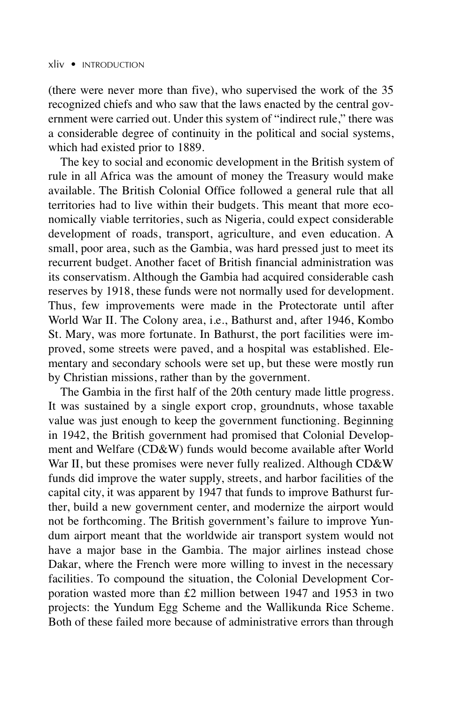(there were never more than five), who supervised the work of the 35 recognized chiefs and who saw that the laws enacted by the central government were carried out. Under this system of "indirect rule," there was a considerable degree of continuity in the political and social systems, which had existed prior to 1889.

The key to social and economic development in the British system of rule in all Africa was the amount of money the Treasury would make available. The British Colonial Office followed a general rule that all territories had to live within their budgets. This meant that more economically viable territories, such as Nigeria, could expect considerable development of roads, transport, agriculture, and even education. A small, poor area, such as the Gambia, was hard pressed just to meet its recurrent budget. Another facet of British financial administration was its conservatism. Although the Gambia had acquired considerable cash reserves by 1918, these funds were not normally used for development. Thus, few improvements were made in the Protectorate until after World War II. The Colony area, i.e., Bathurst and, after 1946, Kombo St. Mary, was more fortunate. In Bathurst, the port facilities were improved, some streets were paved, and a hospital was established. Elementary and secondary schools were set up, but these were mostly run by Christian missions, rather than by the government.

The Gambia in the first half of the 20th century made little progress. It was sustained by a single export crop, groundnuts, whose taxable value was just enough to keep the government functioning. Beginning in 1942, the British government had promised that Colonial Development and Welfare (CD&W) funds would become available after World War II, but these promises were never fully realized. Although CD&W funds did improve the water supply, streets, and harbor facilities of the capital city, it was apparent by 1947 that funds to improve Bathurst further, build a new government center, and modernize the airport would not be forthcoming. The British government's failure to improve Yundum airport meant that the worldwide air transport system would not have a major base in the Gambia. The major airlines instead chose Dakar, where the French were more willing to invest in the necessary facilities. To compound the situation, the Colonial Development Corporation wasted more than £2 million between 1947 and 1953 in two projects: the Yundum Egg Scheme and the Wallikunda Rice Scheme. Both of these failed more because of administrative errors than through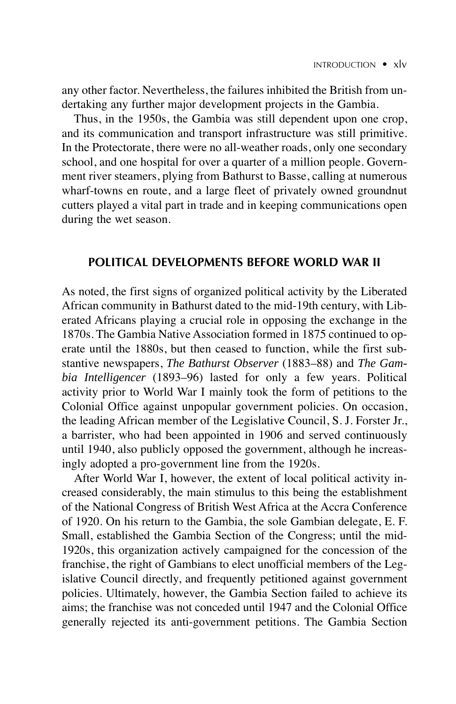any other factor. Nevertheless, the failures inhibited the British from undertaking any further major development projects in the Gambia.

Thus, in the 1950s, the Gambia was still dependent upon one crop, and its communication and transport infrastructure was still primitive. In the Protectorate, there were no all-weather roads, only one secondary school, and one hospital for over a quarter of a million people. Government river steamers, plying from Bathurst to Basse, calling at numerous wharf-towns en route, and a large fleet of privately owned groundnut cutters played a vital part in trade and in keeping communications open during the wet season.

# **POLITICAL DEVELOPMENTS BEFORE WORLD WAR II**

As noted, the first signs of organized political activity by the Liberated African community in Bathurst dated to the mid-19th century, with Liberated Africans playing a crucial role in opposing the exchange in the 1870s. The Gambia Native Association formed in 1875 continued to operate until the 1880s, but then ceased to function, while the first substantive newspapers, *The Bathurst Observer* (1883–88) and *The Gambia Intelligencer* (1893–96) lasted for only a few years. Political activity prior to World War I mainly took the form of petitions to the Colonial Office against unpopular government policies. On occasion, the leading African member of the Legislative Council, S. J. Forster Jr., a barrister, who had been appointed in 1906 and served continuously until 1940, also publicly opposed the government, although he increasingly adopted a pro-government line from the 1920s.

After World War I, however, the extent of local political activity increased considerably, the main stimulus to this being the establishment of the National Congress of British West Africa at the Accra Conference of 1920. On his return to the Gambia, the sole Gambian delegate, E. F. Small, established the Gambia Section of the Congress; until the mid-1920s, this organization actively campaigned for the concession of the franchise, the right of Gambians to elect unofficial members of the Legislative Council directly, and frequently petitioned against government policies. Ultimately, however, the Gambia Section failed to achieve its aims; the franchise was not conceded until 1947 and the Colonial Office generally rejected its anti-government petitions. The Gambia Section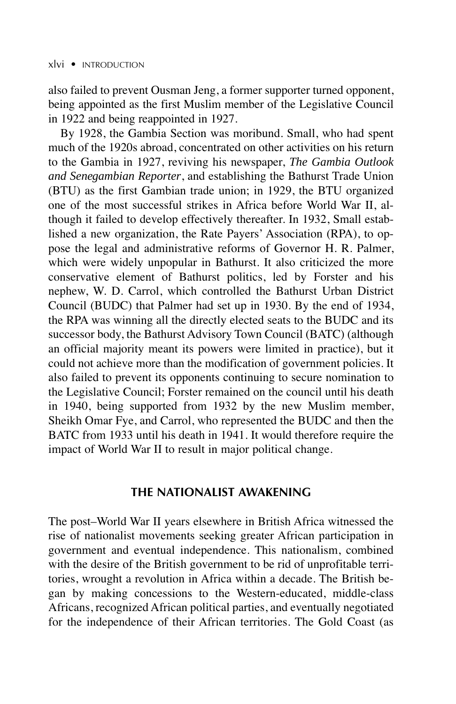also failed to prevent Ousman Jeng, a former supporter turned opponent, being appointed as the first Muslim member of the Legislative Council in 1922 and being reappointed in 1927.

By 1928, the Gambia Section was moribund. Small, who had spent much of the 1920s abroad, concentrated on other activities on his return to the Gambia in 1927, reviving his newspaper, *The Gambia Outlook and Senegambian Reporter*, and establishing the Bathurst Trade Union (BTU) as the first Gambian trade union; in 1929, the BTU organized one of the most successful strikes in Africa before World War II, although it failed to develop effectively thereafter. In 1932, Small established a new organization, the Rate Payers' Association (RPA), to oppose the legal and administrative reforms of Governor H. R. Palmer, which were widely unpopular in Bathurst. It also criticized the more conservative element of Bathurst politics, led by Forster and his nephew, W. D. Carrol, which controlled the Bathurst Urban District Council (BUDC) that Palmer had set up in 1930. By the end of 1934, the RPA was winning all the directly elected seats to the BUDC and its successor body, the Bathurst Advisory Town Council (BATC) (although an official majority meant its powers were limited in practice), but it could not achieve more than the modification of government policies. It also failed to prevent its opponents continuing to secure nomination to the Legislative Council; Forster remained on the council until his death in 1940, being supported from 1932 by the new Muslim member, Sheikh Omar Fye, and Carrol, who represented the BUDC and then the BATC from 1933 until his death in 1941. It would therefore require the impact of World War II to result in major political change.

### **THE NATIONALIST AWAKENING**

The post–World War II years elsewhere in British Africa witnessed the rise of nationalist movements seeking greater African participation in government and eventual independence. This nationalism, combined with the desire of the British government to be rid of unprofitable territories, wrought a revolution in Africa within a decade. The British began by making concessions to the Western-educated, middle-class Africans, recognized African political parties, and eventually negotiated for the independence of their African territories. The Gold Coast (as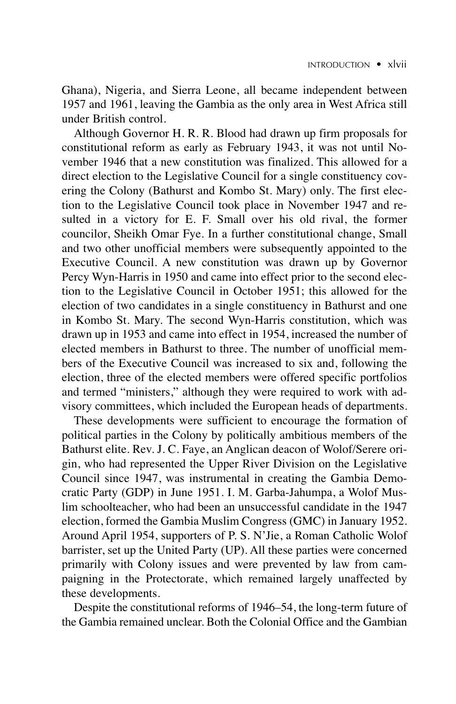Ghana), Nigeria, and Sierra Leone, all became independent between 1957 and 1961, leaving the Gambia as the only area in West Africa still under British control.

Although Governor H. R. R. Blood had drawn up firm proposals for constitutional reform as early as February 1943, it was not until November 1946 that a new constitution was finalized. This allowed for a direct election to the Legislative Council for a single constituency covering the Colony (Bathurst and Kombo St. Mary) only. The first election to the Legislative Council took place in November 1947 and resulted in a victory for E. F. Small over his old rival, the former councilor, Sheikh Omar Fye. In a further constitutional change, Small and two other unofficial members were subsequently appointed to the Executive Council. A new constitution was drawn up by Governor Percy Wyn-Harris in 1950 and came into effect prior to the second election to the Legislative Council in October 1951; this allowed for the election of two candidates in a single constituency in Bathurst and one in Kombo St. Mary. The second Wyn-Harris constitution, which was drawn up in 1953 and came into effect in 1954, increased the number of elected members in Bathurst to three. The number of unofficial members of the Executive Council was increased to six and, following the election, three of the elected members were offered specific portfolios and termed "ministers," although they were required to work with advisory committees, which included the European heads of departments.

These developments were sufficient to encourage the formation of political parties in the Colony by politically ambitious members of the Bathurst elite. Rev. J. C. Faye, an Anglican deacon of Wolof/Serere origin, who had represented the Upper River Division on the Legislative Council since 1947, was instrumental in creating the Gambia Democratic Party (GDP) in June 1951. I. M. Garba-Jahumpa, a Wolof Muslim schoolteacher, who had been an unsuccessful candidate in the 1947 election, formed the Gambia Muslim Congress (GMC) in January 1952. Around April 1954, supporters of P. S. N'Jie, a Roman Catholic Wolof barrister, set up the United Party (UP). All these parties were concerned primarily with Colony issues and were prevented by law from campaigning in the Protectorate, which remained largely unaffected by these developments.

Despite the constitutional reforms of 1946–54, the long-term future of the Gambia remained unclear. Both the Colonial Office and the Gambian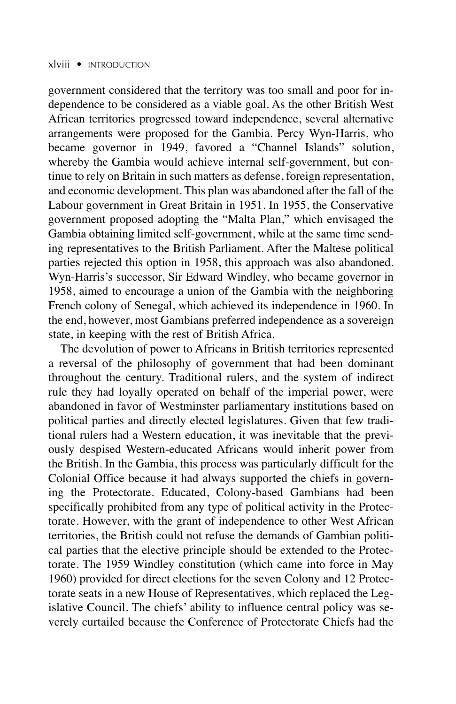government considered that the territory was too small and poor for independence to be considered as a viable goal. As the other British West African territories progressed toward independence, several alternative arrangements were proposed for the Gambia. Percy Wyn-Harris, who became governor in 1949, favored a "Channel Islands" solution, whereby the Gambia would achieve internal self-government, but continue to rely on Britain in such matters as defense, foreign representation, and economic development. This plan was abandoned after the fall of the Labour government in Great Britain in 1951. In 1955, the Conservative government proposed adopting the "Malta Plan," which envisaged the Gambia obtaining limited self-government, while at the same time sending representatives to the British Parliament. After the Maltese political parties rejected this option in 1958, this approach was also abandoned. Wyn-Harris's successor, Sir Edward Windley, who became governor in 1958, aimed to encourage a union of the Gambia with the neighboring French colony of Senegal, which achieved its independence in 1960. In the end, however, most Gambians preferred independence as a sovereign state, in keeping with the rest of British Africa.

The devolution of power to Africans in British territories represented a reversal of the philosophy of government that had been dominant throughout the century. Traditional rulers, and the system of indirect rule they had loyally operated on behalf of the imperial power, were abandoned in favor of Westminster parliamentary institutions based on political parties and directly elected legislatures. Given that few traditional rulers had a Western education, it was inevitable that the previously despised Western-educated Africans would inherit power from the British. In the Gambia, this process was particularly difficult for the Colonial Office because it had always supported the chiefs in governing the Protectorate. Educated, Colony-based Gambians had been specifically prohibited from any type of political activity in the Protectorate. However, with the grant of independence to other West African territories, the British could not refuse the demands of Gambian political parties that the elective principle should be extended to the Protectorate. The 1959 Windley constitution (which came into force in May 1960) provided for direct elections for the seven Colony and 12 Protectorate seats in a new House of Representatives, which replaced the Legislative Council. The chiefs' ability to influence central policy was severely curtailed because the Conference of Protectorate Chiefs had the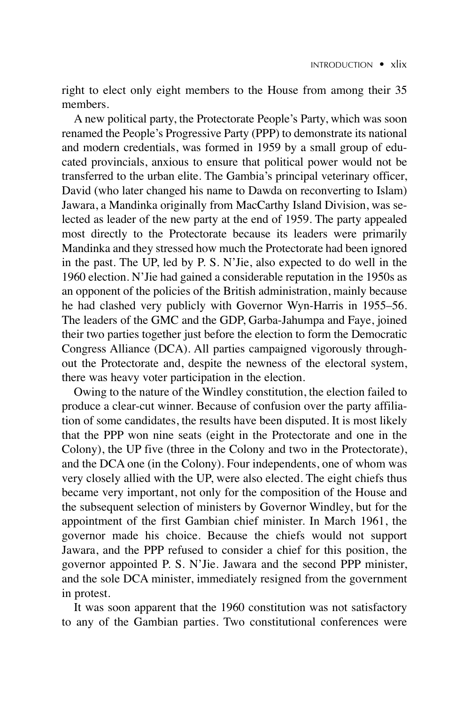right to elect only eight members to the House from among their 35 members.

A new political party, the Protectorate People's Party, which was soon renamed the People's Progressive Party (PPP) to demonstrate its national and modern credentials, was formed in 1959 by a small group of educated provincials, anxious to ensure that political power would not be transferred to the urban elite. The Gambia's principal veterinary officer, David (who later changed his name to Dawda on reconverting to Islam) Jawara, a Mandinka originally from MacCarthy Island Division, was selected as leader of the new party at the end of 1959. The party appealed most directly to the Protectorate because its leaders were primarily Mandinka and they stressed how much the Protectorate had been ignored in the past. The UP, led by P. S. N'Jie, also expected to do well in the 1960 election. N'Jie had gained a considerable reputation in the 1950s as an opponent of the policies of the British administration, mainly because he had clashed very publicly with Governor Wyn-Harris in 1955–56. The leaders of the GMC and the GDP, Garba-Jahumpa and Faye, joined their two parties together just before the election to form the Democratic Congress Alliance (DCA). All parties campaigned vigorously throughout the Protectorate and, despite the newness of the electoral system, there was heavy voter participation in the election.

Owing to the nature of the Windley constitution, the election failed to produce a clear-cut winner. Because of confusion over the party affiliation of some candidates, the results have been disputed. It is most likely that the PPP won nine seats (eight in the Protectorate and one in the Colony), the UP five (three in the Colony and two in the Protectorate), and the DCA one (in the Colony). Four independents, one of whom was very closely allied with the UP, were also elected. The eight chiefs thus became very important, not only for the composition of the House and the subsequent selection of ministers by Governor Windley, but for the appointment of the first Gambian chief minister. In March 1961, the governor made his choice. Because the chiefs would not support Jawara, and the PPP refused to consider a chief for this position, the governor appointed P. S. N'Jie. Jawara and the second PPP minister, and the sole DCA minister, immediately resigned from the government in protest.

It was soon apparent that the 1960 constitution was not satisfactory to any of the Gambian parties. Two constitutional conferences were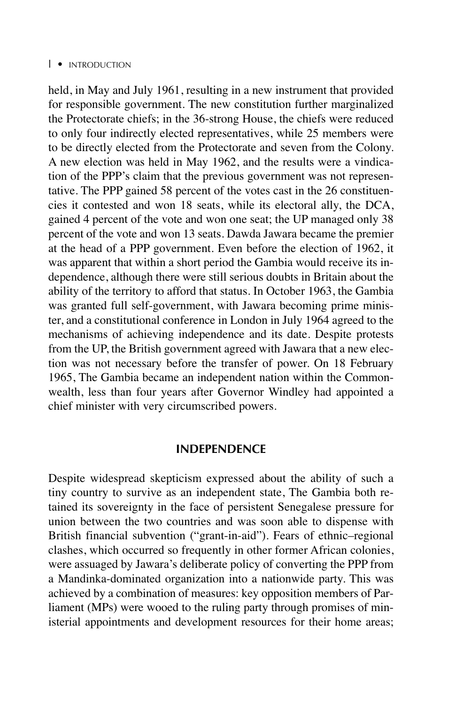#### l • INTRODUCTION

held, in May and July 1961, resulting in a new instrument that provided for responsible government. The new constitution further marginalized the Protectorate chiefs; in the 36-strong House, the chiefs were reduced to only four indirectly elected representatives, while 25 members were to be directly elected from the Protectorate and seven from the Colony. A new election was held in May 1962, and the results were a vindication of the PPP's claim that the previous government was not representative. The PPP gained 58 percent of the votes cast in the 26 constituencies it contested and won 18 seats, while its electoral ally, the DCA, gained 4 percent of the vote and won one seat; the UP managed only 38 percent of the vote and won 13 seats. Dawda Jawara became the premier at the head of a PPP government. Even before the election of 1962, it was apparent that within a short period the Gambia would receive its independence, although there were still serious doubts in Britain about the ability of the territory to afford that status. In October 1963, the Gambia was granted full self-government, with Jawara becoming prime minister, and a constitutional conference in London in July 1964 agreed to the mechanisms of achieving independence and its date. Despite protests from the UP, the British government agreed with Jawara that a new election was not necessary before the transfer of power. On 18 February 1965, The Gambia became an independent nation within the Commonwealth, less than four years after Governor Windley had appointed a chief minister with very circumscribed powers.

### **INDEPENDENCE**

Despite widespread skepticism expressed about the ability of such a tiny country to survive as an independent state, The Gambia both retained its sovereignty in the face of persistent Senegalese pressure for union between the two countries and was soon able to dispense with British financial subvention ("grant-in-aid"). Fears of ethnic–regional clashes, which occurred so frequently in other former African colonies, were assuaged by Jawara's deliberate policy of converting the PPP from a Mandinka-dominated organization into a nationwide party. This was achieved by a combination of measures: key opposition members of Parliament (MPs) were wooed to the ruling party through promises of ministerial appointments and development resources for their home areas;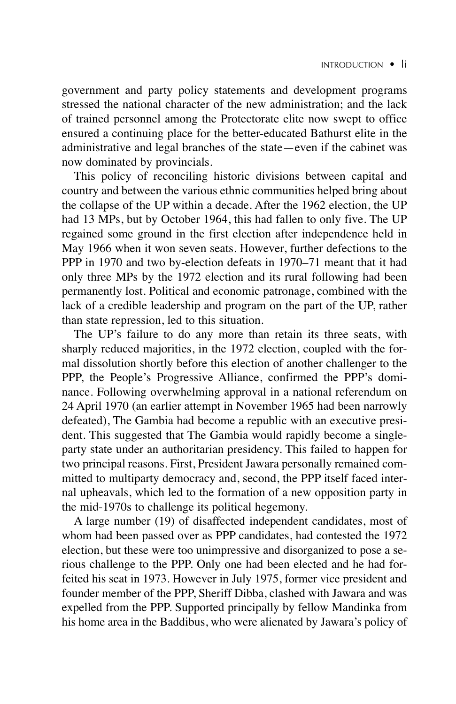government and party policy statements and development programs stressed the national character of the new administration; and the lack of trained personnel among the Protectorate elite now swept to office ensured a continuing place for the better-educated Bathurst elite in the administrative and legal branches of the state—even if the cabinet was now dominated by provincials.

This policy of reconciling historic divisions between capital and country and between the various ethnic communities helped bring about the collapse of the UP within a decade. After the 1962 election, the UP had 13 MPs, but by October 1964, this had fallen to only five. The UP regained some ground in the first election after independence held in May 1966 when it won seven seats. However, further defections to the PPP in 1970 and two by-election defeats in 1970–71 meant that it had only three MPs by the 1972 election and its rural following had been permanently lost. Political and economic patronage, combined with the lack of a credible leadership and program on the part of the UP, rather than state repression, led to this situation.

The UP's failure to do any more than retain its three seats, with sharply reduced majorities, in the 1972 election, coupled with the formal dissolution shortly before this election of another challenger to the PPP, the People's Progressive Alliance, confirmed the PPP's dominance. Following overwhelming approval in a national referendum on 24 April 1970 (an earlier attempt in November 1965 had been narrowly defeated), The Gambia had become a republic with an executive president. This suggested that The Gambia would rapidly become a singleparty state under an authoritarian presidency. This failed to happen for two principal reasons. First, President Jawara personally remained committed to multiparty democracy and, second, the PPP itself faced internal upheavals, which led to the formation of a new opposition party in the mid-1970s to challenge its political hegemony.

A large number (19) of disaffected independent candidates, most of whom had been passed over as PPP candidates, had contested the 1972 election, but these were too unimpressive and disorganized to pose a serious challenge to the PPP. Only one had been elected and he had forfeited his seat in 1973. However in July 1975, former vice president and founder member of the PPP, Sheriff Dibba, clashed with Jawara and was expelled from the PPP. Supported principally by fellow Mandinka from his home area in the Baddibus, who were alienated by Jawara's policy of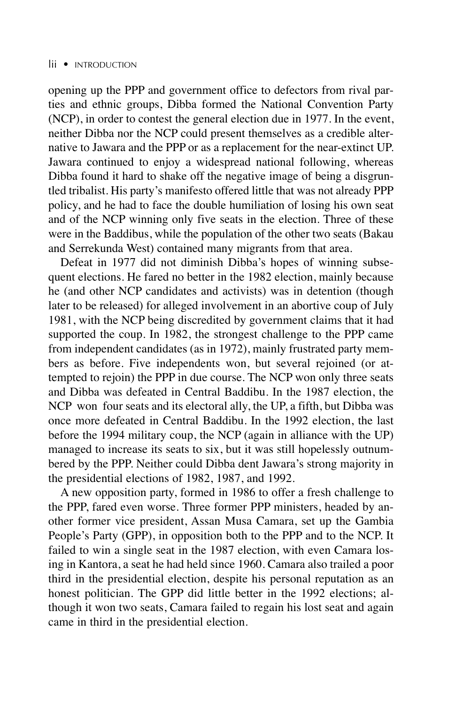opening up the PPP and government office to defectors from rival parties and ethnic groups, Dibba formed the National Convention Party (NCP), in order to contest the general election due in 1977. In the event, neither Dibba nor the NCP could present themselves as a credible alternative to Jawara and the PPP or as a replacement for the near-extinct UP. Jawara continued to enjoy a widespread national following, whereas Dibba found it hard to shake off the negative image of being a disgruntled tribalist. His party's manifesto offered little that was not already PPP policy, and he had to face the double humiliation of losing his own seat and of the NCP winning only five seats in the election. Three of these were in the Baddibus, while the population of the other two seats (Bakau and Serrekunda West) contained many migrants from that area.

Defeat in 1977 did not diminish Dibba's hopes of winning subsequent elections. He fared no better in the 1982 election, mainly because he (and other NCP candidates and activists) was in detention (though later to be released) for alleged involvement in an abortive coup of July 1981, with the NCP being discredited by government claims that it had supported the coup. In 1982, the strongest challenge to the PPP came from independent candidates (as in 1972), mainly frustrated party members as before. Five independents won, but several rejoined (or attempted to rejoin) the PPP in due course. The NCP won only three seats and Dibba was defeated in Central Baddibu. In the 1987 election, the NCP won four seats and its electoral ally, the UP, a fifth, but Dibba was once more defeated in Central Baddibu. In the 1992 election, the last before the 1994 military coup, the NCP (again in alliance with the UP) managed to increase its seats to six, but it was still hopelessly outnumbered by the PPP. Neither could Dibba dent Jawara's strong majority in the presidential elections of 1982, 1987, and 1992.

A new opposition party, formed in 1986 to offer a fresh challenge to the PPP, fared even worse. Three former PPP ministers, headed by another former vice president, Assan Musa Camara, set up the Gambia People's Party (GPP), in opposition both to the PPP and to the NCP. It failed to win a single seat in the 1987 election, with even Camara losing in Kantora, a seat he had held since 1960. Camara also trailed a poor third in the presidential election, despite his personal reputation as an honest politician. The GPP did little better in the 1992 elections; although it won two seats, Camara failed to regain his lost seat and again came in third in the presidential election.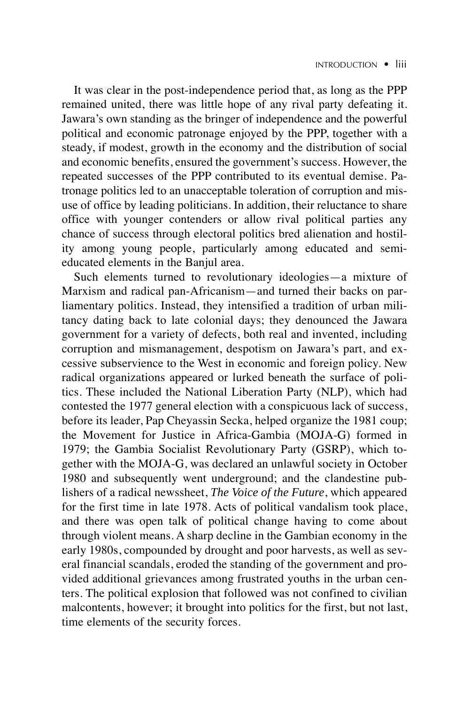It was clear in the post-independence period that, as long as the PPP remained united, there was little hope of any rival party defeating it. Jawara's own standing as the bringer of independence and the powerful political and economic patronage enjoyed by the PPP, together with a steady, if modest, growth in the economy and the distribution of social and economic benefits, ensured the government's success. However, the repeated successes of the PPP contributed to its eventual demise. Patronage politics led to an unacceptable toleration of corruption and misuse of office by leading politicians. In addition, their reluctance to share office with younger contenders or allow rival political parties any chance of success through electoral politics bred alienation and hostility among young people, particularly among educated and semieducated elements in the Banjul area.

Such elements turned to revolutionary ideologies—a mixture of Marxism and radical pan-Africanism—and turned their backs on parliamentary politics. Instead, they intensified a tradition of urban militancy dating back to late colonial days; they denounced the Jawara government for a variety of defects, both real and invented, including corruption and mismanagement, despotism on Jawara's part, and excessive subservience to the West in economic and foreign policy. New radical organizations appeared or lurked beneath the surface of politics. These included the National Liberation Party (NLP), which had contested the 1977 general election with a conspicuous lack of success, before its leader, Pap Cheyassin Secka, helped organize the 1981 coup; the Movement for Justice in Africa-Gambia (MOJA-G) formed in 1979; the Gambia Socialist Revolutionary Party (GSRP), which together with the MOJA-G, was declared an unlawful society in October 1980 and subsequently went underground; and the clandestine publishers of a radical newssheet, *The Voice of the Future*, which appeared for the first time in late 1978. Acts of political vandalism took place, and there was open talk of political change having to come about through violent means. A sharp decline in the Gambian economy in the early 1980s, compounded by drought and poor harvests, as well as several financial scandals, eroded the standing of the government and provided additional grievances among frustrated youths in the urban centers. The political explosion that followed was not confined to civilian malcontents, however; it brought into politics for the first, but not last, time elements of the security forces.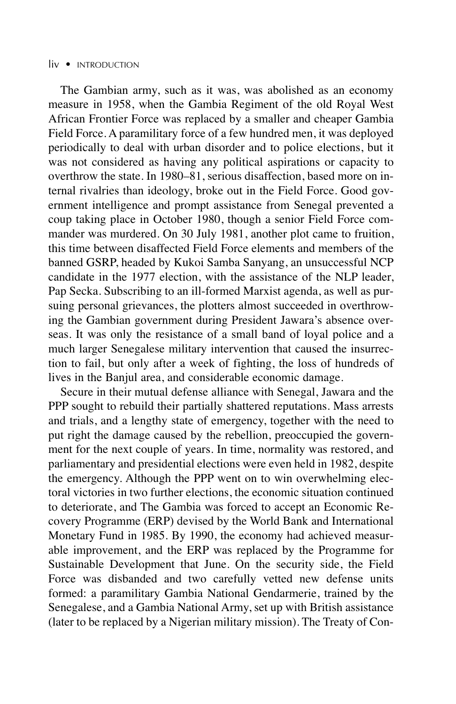#### liv • INTRODUCTION

The Gambian army, such as it was, was abolished as an economy measure in 1958, when the Gambia Regiment of the old Royal West African Frontier Force was replaced by a smaller and cheaper Gambia Field Force. A paramilitary force of a few hundred men, it was deployed periodically to deal with urban disorder and to police elections, but it was not considered as having any political aspirations or capacity to overthrow the state. In 1980–81, serious disaffection, based more on internal rivalries than ideology, broke out in the Field Force. Good government intelligence and prompt assistance from Senegal prevented a coup taking place in October 1980, though a senior Field Force commander was murdered. On 30 July 1981, another plot came to fruition, this time between disaffected Field Force elements and members of the banned GSRP, headed by Kukoi Samba Sanyang, an unsuccessful NCP candidate in the 1977 election, with the assistance of the NLP leader, Pap Secka. Subscribing to an ill-formed Marxist agenda, as well as pursuing personal grievances, the plotters almost succeeded in overthrowing the Gambian government during President Jawara's absence overseas. It was only the resistance of a small band of loyal police and a much larger Senegalese military intervention that caused the insurrection to fail, but only after a week of fighting, the loss of hundreds of lives in the Banjul area, and considerable economic damage.

Secure in their mutual defense alliance with Senegal, Jawara and the PPP sought to rebuild their partially shattered reputations. Mass arrests and trials, and a lengthy state of emergency, together with the need to put right the damage caused by the rebellion, preoccupied the government for the next couple of years. In time, normality was restored, and parliamentary and presidential elections were even held in 1982, despite the emergency. Although the PPP went on to win overwhelming electoral victories in two further elections, the economic situation continued to deteriorate, and The Gambia was forced to accept an Economic Recovery Programme (ERP) devised by the World Bank and International Monetary Fund in 1985. By 1990, the economy had achieved measurable improvement, and the ERP was replaced by the Programme for Sustainable Development that June. On the security side, the Field Force was disbanded and two carefully vetted new defense units formed: a paramilitary Gambia National Gendarmerie, trained by the Senegalese, and a Gambia National Army, set up with British assistance (later to be replaced by a Nigerian military mission). The Treaty of Con-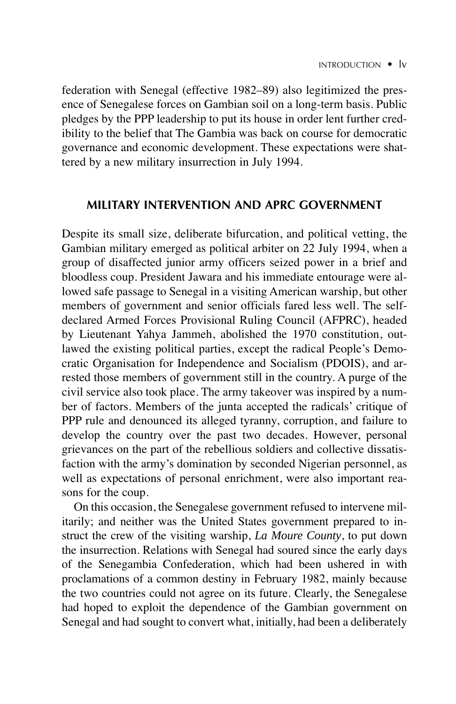federation with Senegal (effective 1982–89) also legitimized the presence of Senegalese forces on Gambian soil on a long-term basis. Public pledges by the PPP leadership to put its house in order lent further credibility to the belief that The Gambia was back on course for democratic governance and economic development. These expectations were shattered by a new military insurrection in July 1994.

# **MILITARY INTERVENTION AND APRC GOVERNMENT**

Despite its small size, deliberate bifurcation, and political vetting, the Gambian military emerged as political arbiter on 22 July 1994, when a group of disaffected junior army officers seized power in a brief and bloodless coup. President Jawara and his immediate entourage were allowed safe passage to Senegal in a visiting American warship, but other members of government and senior officials fared less well. The selfdeclared Armed Forces Provisional Ruling Council (AFPRC), headed by Lieutenant Yahya Jammeh, abolished the 1970 constitution, outlawed the existing political parties, except the radical People's Democratic Organisation for Independence and Socialism (PDOIS), and arrested those members of government still in the country. A purge of the civil service also took place. The army takeover was inspired by a number of factors. Members of the junta accepted the radicals' critique of PPP rule and denounced its alleged tyranny, corruption, and failure to develop the country over the past two decades. However, personal grievances on the part of the rebellious soldiers and collective dissatisfaction with the army's domination by seconded Nigerian personnel, as well as expectations of personal enrichment, were also important reasons for the coup.

On this occasion, the Senegalese government refused to intervene militarily; and neither was the United States government prepared to instruct the crew of the visiting warship, *La Moure County*, to put down the insurrection. Relations with Senegal had soured since the early days of the Senegambia Confederation, which had been ushered in with proclamations of a common destiny in February 1982, mainly because the two countries could not agree on its future. Clearly, the Senegalese had hoped to exploit the dependence of the Gambian government on Senegal and had sought to convert what, initially, had been a deliberately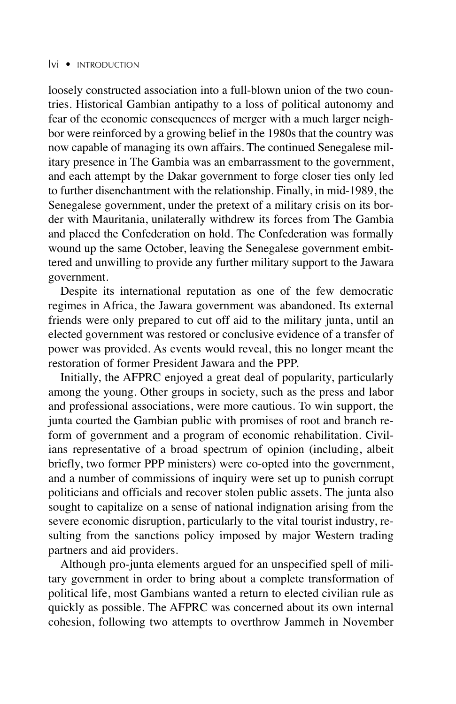#### lvi • INTRODUCTION

loosely constructed association into a full-blown union of the two countries. Historical Gambian antipathy to a loss of political autonomy and fear of the economic consequences of merger with a much larger neighbor were reinforced by a growing belief in the 1980s that the country was now capable of managing its own affairs. The continued Senegalese military presence in The Gambia was an embarrassment to the government, and each attempt by the Dakar government to forge closer ties only led to further disenchantment with the relationship. Finally, in mid-1989, the Senegalese government, under the pretext of a military crisis on its border with Mauritania, unilaterally withdrew its forces from The Gambia and placed the Confederation on hold. The Confederation was formally wound up the same October, leaving the Senegalese government embittered and unwilling to provide any further military support to the Jawara government.

Despite its international reputation as one of the few democratic regimes in Africa, the Jawara government was abandoned. Its external friends were only prepared to cut off aid to the military junta, until an elected government was restored or conclusive evidence of a transfer of power was provided. As events would reveal, this no longer meant the restoration of former President Jawara and the PPP.

Initially, the AFPRC enjoyed a great deal of popularity, particularly among the young. Other groups in society, such as the press and labor and professional associations, were more cautious. To win support, the junta courted the Gambian public with promises of root and branch reform of government and a program of economic rehabilitation. Civilians representative of a broad spectrum of opinion (including, albeit briefly, two former PPP ministers) were co-opted into the government, and a number of commissions of inquiry were set up to punish corrupt politicians and officials and recover stolen public assets. The junta also sought to capitalize on a sense of national indignation arising from the severe economic disruption, particularly to the vital tourist industry, resulting from the sanctions policy imposed by major Western trading partners and aid providers.

Although pro-junta elements argued for an unspecified spell of military government in order to bring about a complete transformation of political life, most Gambians wanted a return to elected civilian rule as quickly as possible. The AFPRC was concerned about its own internal cohesion, following two attempts to overthrow Jammeh in November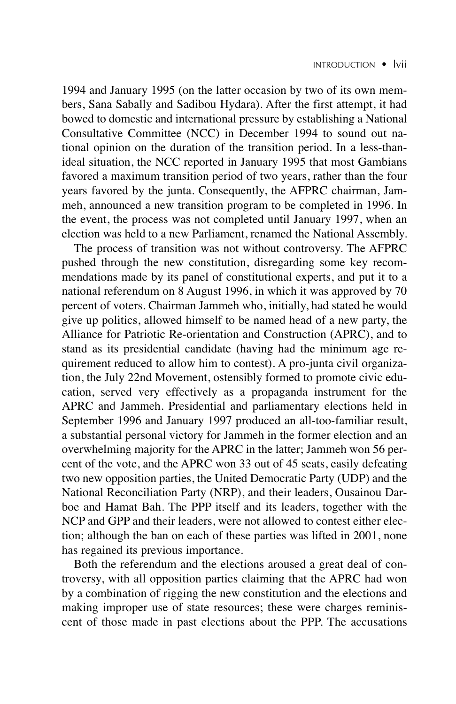1994 and January 1995 (on the latter occasion by two of its own members, Sana Sabally and Sadibou Hydara). After the first attempt, it had bowed to domestic and international pressure by establishing a National Consultative Committee (NCC) in December 1994 to sound out national opinion on the duration of the transition period. In a less-thanideal situation, the NCC reported in January 1995 that most Gambians favored a maximum transition period of two years, rather than the four years favored by the junta. Consequently, the AFPRC chairman, Jammeh, announced a new transition program to be completed in 1996. In the event, the process was not completed until January 1997, when an election was held to a new Parliament, renamed the National Assembly.

The process of transition was not without controversy. The AFPRC pushed through the new constitution, disregarding some key recommendations made by its panel of constitutional experts, and put it to a national referendum on 8 August 1996, in which it was approved by 70 percent of voters. Chairman Jammeh who, initially, had stated he would give up politics, allowed himself to be named head of a new party, the Alliance for Patriotic Re-orientation and Construction (APRC), and to stand as its presidential candidate (having had the minimum age requirement reduced to allow him to contest). A pro-junta civil organization, the July 22nd Movement, ostensibly formed to promote civic education, served very effectively as a propaganda instrument for the APRC and Jammeh. Presidential and parliamentary elections held in September 1996 and January 1997 produced an all-too-familiar result, a substantial personal victory for Jammeh in the former election and an overwhelming majority for the APRC in the latter; Jammeh won 56 percent of the vote, and the APRC won 33 out of 45 seats, easily defeating two new opposition parties, the United Democratic Party (UDP) and the National Reconciliation Party (NRP), and their leaders, Ousainou Darboe and Hamat Bah. The PPP itself and its leaders, together with the NCP and GPP and their leaders, were not allowed to contest either election; although the ban on each of these parties was lifted in 2001, none has regained its previous importance.

Both the referendum and the elections aroused a great deal of controversy, with all opposition parties claiming that the APRC had won by a combination of rigging the new constitution and the elections and making improper use of state resources; these were charges reminiscent of those made in past elections about the PPP. The accusations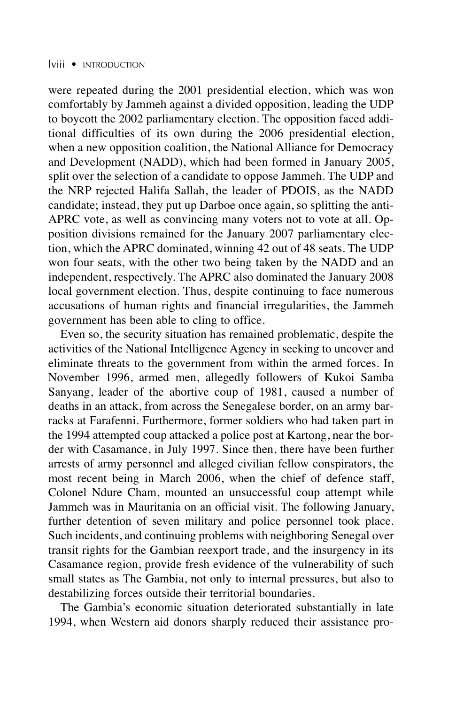were repeated during the 2001 presidential election, which was won comfortably by Jammeh against a divided opposition, leading the UDP to boycott the 2002 parliamentary election. The opposition faced additional difficulties of its own during the 2006 presidential election, when a new opposition coalition, the National Alliance for Democracy and Development (NADD), which had been formed in January 2005, split over the selection of a candidate to oppose Jammeh. The UDP and the NRP rejected Halifa Sallah, the leader of PDOIS, as the NADD candidate; instead, they put up Darboe once again, so splitting the anti-APRC vote, as well as convincing many voters not to vote at all. Opposition divisions remained for the January 2007 parliamentary election, which the APRC dominated, winning 42 out of 48 seats. The UDP won four seats, with the other two being taken by the NADD and an independent, respectively. The APRC also dominated the January 2008 local government election. Thus, despite continuing to face numerous accusations of human rights and financial irregularities, the Jammeh government has been able to cling to office.

Even so, the security situation has remained problematic, despite the activities of the National Intelligence Agency in seeking to uncover and eliminate threats to the government from within the armed forces. In November 1996, armed men, allegedly followers of Kukoi Samba Sanyang, leader of the abortive coup of 1981, caused a number of deaths in an attack, from across the Senegalese border, on an army barracks at Farafenni. Furthermore, former soldiers who had taken part in the 1994 attempted coup attacked a police post at Kartong, near the border with Casamance, in July 1997. Since then, there have been further arrests of army personnel and alleged civilian fellow conspirators, the most recent being in March 2006, when the chief of defence staff, Colonel Ndure Cham, mounted an unsuccessful coup attempt while Jammeh was in Mauritania on an official visit. The following January, further detention of seven military and police personnel took place. Such incidents, and continuing problems with neighboring Senegal over transit rights for the Gambian reexport trade, and the insurgency in its Casamance region, provide fresh evidence of the vulnerability of such small states as The Gambia, not only to internal pressures, but also to destabilizing forces outside their territorial boundaries.

The Gambia's economic situation deteriorated substantially in late 1994, when Western aid donors sharply reduced their assistance pro-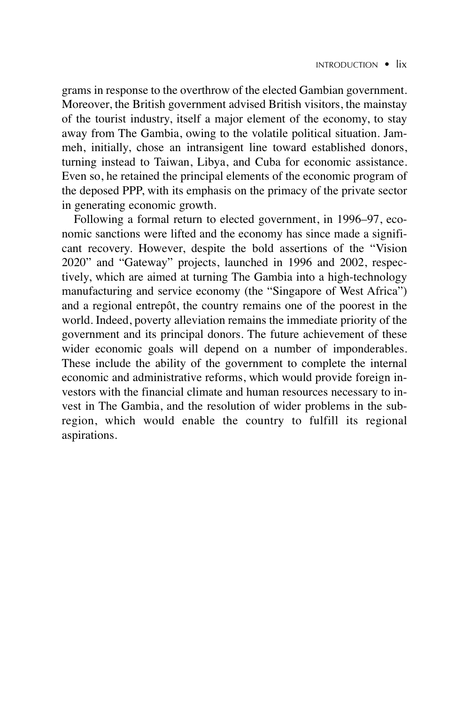grams in response to the overthrow of the elected Gambian government. Moreover, the British government advised British visitors, the mainstay of the tourist industry, itself a major element of the economy, to stay away from The Gambia, owing to the volatile political situation. Jammeh, initially, chose an intransigent line toward established donors, turning instead to Taiwan, Libya, and Cuba for economic assistance. Even so, he retained the principal elements of the economic program of the deposed PPP, with its emphasis on the primacy of the private sector in generating economic growth.

Following a formal return to elected government, in 1996–97, economic sanctions were lifted and the economy has since made a significant recovery. However, despite the bold assertions of the "Vision 2020" and "Gateway" projects, launched in 1996 and 2002, respectively, which are aimed at turning The Gambia into a high-technology manufacturing and service economy (the "Singapore of West Africa") and a regional entrepôt, the country remains one of the poorest in the world. Indeed, poverty alleviation remains the immediate priority of the government and its principal donors. The future achievement of these wider economic goals will depend on a number of imponderables. These include the ability of the government to complete the internal economic and administrative reforms, which would provide foreign investors with the financial climate and human resources necessary to invest in The Gambia, and the resolution of wider problems in the subregion, which would enable the country to fulfill its regional aspirations.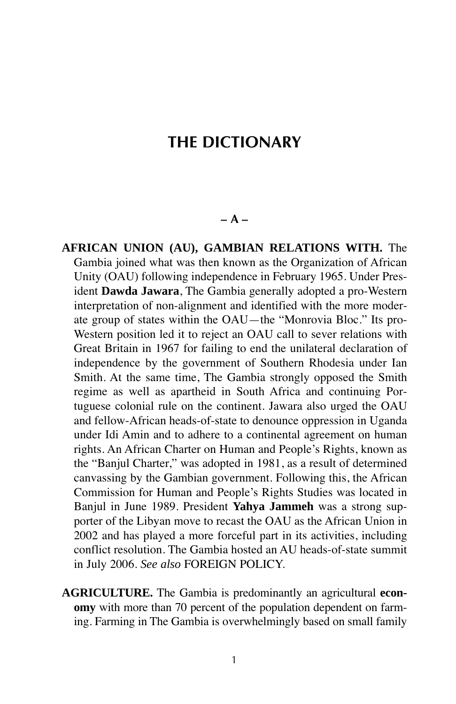# **THE DICTIONARY**

### **– A –**

**AFRICAN UNION (AU), GAMBIAN RELATIONS WITH.** The Gambia joined what was then known as the Organization of African Unity (OAU) following independence in February 1965. Under President **Dawda Jawara**, The Gambia generally adopted a pro-Western interpretation of non-alignment and identified with the more moderate group of states within the OAU—the "Monrovia Bloc." Its pro-Western position led it to reject an OAU call to sever relations with Great Britain in 1967 for failing to end the unilateral declaration of independence by the government of Southern Rhodesia under Ian Smith. At the same time, The Gambia strongly opposed the Smith regime as well as apartheid in South Africa and continuing Portuguese colonial rule on the continent. Jawara also urged the OAU and fellow-African heads-of-state to denounce oppression in Uganda under Idi Amin and to adhere to a continental agreement on human rights. An African Charter on Human and People's Rights, known as the "Banjul Charter," was adopted in 1981, as a result of determined canvassing by the Gambian government. Following this, the African Commission for Human and People's Rights Studies was located in Banjul in June 1989. President **Yahya Jammeh** was a strong supporter of the Libyan move to recast the OAU as the African Union in 2002 and has played a more forceful part in its activities, including conflict resolution. The Gambia hosted an AU heads-of-state summit in July 2006. *See also* FOREIGN POLICY.

**AGRICULTURE.** The Gambia is predominantly an agricultural **economy** with more than 70 percent of the population dependent on farming. Farming in The Gambia is overwhelmingly based on small family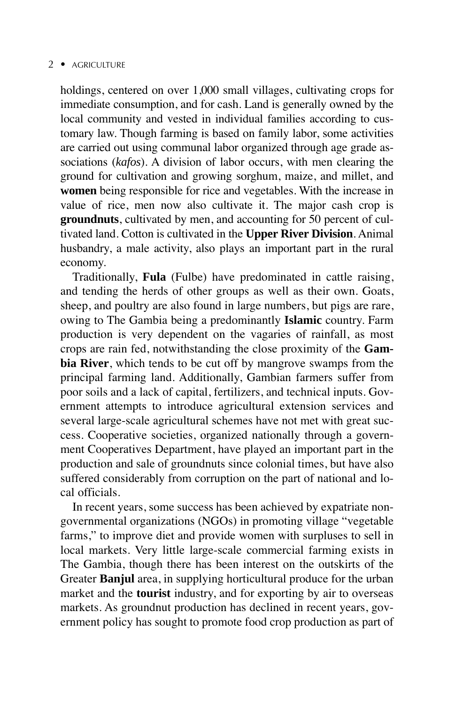#### 2 • AGRICULTURE

holdings, centered on over 1,000 small villages, cultivating crops for immediate consumption, and for cash. Land is generally owned by the local community and vested in individual families according to customary law. Though farming is based on family labor, some activities are carried out using communal labor organized through age grade associations (*kafos*). A division of labor occurs, with men clearing the ground for cultivation and growing sorghum, maize, and millet, and **women** being responsible for rice and vegetables. With the increase in value of rice, men now also cultivate it. The major cash crop is **groundnuts**, cultivated by men, and accounting for 50 percent of cultivated land. Cotton is cultivated in the **Upper River Division**. Animal husbandry, a male activity, also plays an important part in the rural economy.

Traditionally, **Fula** (Fulbe) have predominated in cattle raising, and tending the herds of other groups as well as their own. Goats, sheep, and poultry are also found in large numbers, but pigs are rare, owing to The Gambia being a predominantly **Islamic** country. Farm production is very dependent on the vagaries of rainfall, as most crops are rain fed, notwithstanding the close proximity of the **Gambia River**, which tends to be cut off by mangrove swamps from the principal farming land. Additionally, Gambian farmers suffer from poor soils and a lack of capital, fertilizers, and technical inputs. Government attempts to introduce agricultural extension services and several large-scale agricultural schemes have not met with great success. Cooperative societies, organized nationally through a government Cooperatives Department, have played an important part in the production and sale of groundnuts since colonial times, but have also suffered considerably from corruption on the part of national and local officials.

In recent years, some success has been achieved by expatriate nongovernmental organizations (NGOs) in promoting village "vegetable farms," to improve diet and provide women with surpluses to sell in local markets. Very little large-scale commercial farming exists in The Gambia, though there has been interest on the outskirts of the Greater **Banjul** area, in supplying horticultural produce for the urban market and the **tourist** industry, and for exporting by air to overseas markets. As groundnut production has declined in recent years, government policy has sought to promote food crop production as part of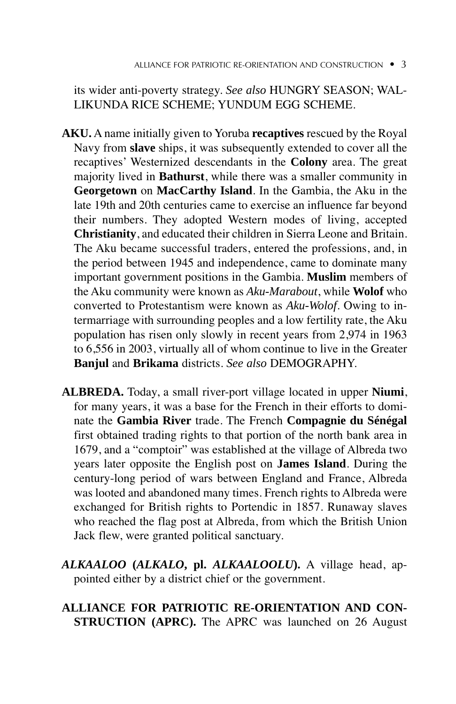its wider anti-poverty strategy. *See also* HUNGRY SEASON; WAL-LIKUNDA RICE SCHEME; YUNDUM EGG SCHEME.

- **AKU.** A name initially given to Yoruba **recaptives** rescued by the Royal Navy from **slave** ships, it was subsequently extended to cover all the recaptives' Westernized descendants in the **Colony** area. The great majority lived in **Bathurst**, while there was a smaller community in **Georgetown** on **MacCarthy Island**. In the Gambia, the Aku in the late 19th and 20th centuries came to exercise an influence far beyond their numbers. They adopted Western modes of living, accepted **Christianity**, and educated their children in Sierra Leone and Britain. The Aku became successful traders, entered the professions, and, in the period between 1945 and independence, came to dominate many important government positions in the Gambia. **Muslim** members of the Aku community were known as *Aku-Marabout*, while **Wolof** who converted to Protestantism were known as *Aku-Wolof*. Owing to intermarriage with surrounding peoples and a low fertility rate, the Aku population has risen only slowly in recent years from 2,974 in 1963 to 6,556 in 2003, virtually all of whom continue to live in the Greater **Banjul** and **Brikama** districts. *See also* DEMOGRAPHY.
- **ALBREDA.** Today, a small river-port village located in upper **Niumi**, for many years, it was a base for the French in their efforts to dominate the **Gambia River** trade. The French **Compagnie du Sénégal** first obtained trading rights to that portion of the north bank area in 1679, and a "comptoir" was established at the village of Albreda two years later opposite the English post on **James Island**. During the century-long period of wars between England and France, Albreda was looted and abandoned many times. French rights to Albreda were exchanged for British rights to Portendic in 1857. Runaway slaves who reached the flag post at Albreda, from which the British Union Jack flew, were granted political sanctuary.
- *ALKAALOO* **(***ALKALO***, pl.** *ALKAALOOLU***).** A village head, appointed either by a district chief or the government.
- **ALLIANCE FOR PATRIOTIC RE-ORIENTATION AND CON-STRUCTION (APRC).** The APRC was launched on 26 August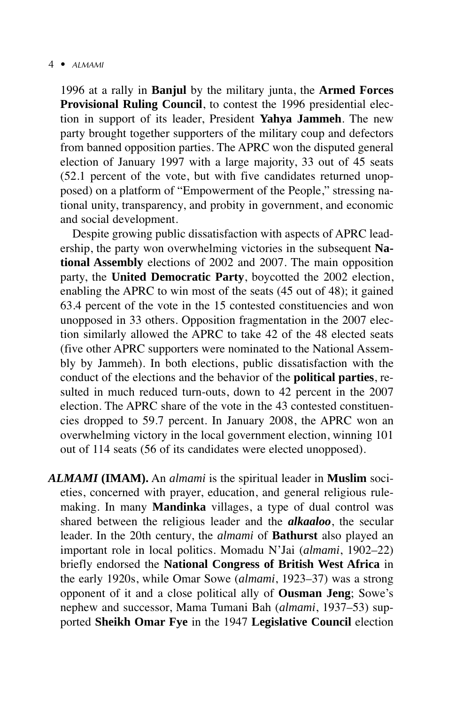#### 4 • ALMAMI

1996 at a rally in **Banjul** by the military junta, the **Armed Forces Provisional Ruling Council**, to contest the 1996 presidential election in support of its leader, President **Yahya Jammeh**. The new party brought together supporters of the military coup and defectors from banned opposition parties. The APRC won the disputed general election of January 1997 with a large majority, 33 out of 45 seats (52.1 percent of the vote, but with five candidates returned unopposed) on a platform of "Empowerment of the People," stressing national unity, transparency, and probity in government, and economic and social development.

Despite growing public dissatisfaction with aspects of APRC leadership, the party won overwhelming victories in the subsequent **National Assembly** elections of 2002 and 2007. The main opposition party, the **United Democratic Party**, boycotted the 2002 election, enabling the APRC to win most of the seats (45 out of 48); it gained 63.4 percent of the vote in the 15 contested constituencies and won unopposed in 33 others. Opposition fragmentation in the 2007 election similarly allowed the APRC to take 42 of the 48 elected seats (five other APRC supporters were nominated to the National Assembly by Jammeh). In both elections, public dissatisfaction with the conduct of the elections and the behavior of the **political parties**, resulted in much reduced turn-outs, down to 42 percent in the 2007 election. The APRC share of the vote in the 43 contested constituencies dropped to 59.7 percent. In January 2008, the APRC won an overwhelming victory in the local government election, winning 101 out of 114 seats (56 of its candidates were elected unopposed).

*ALMAMI* **(IMAM).** An *almami* is the spiritual leader in **Muslim** societies, concerned with prayer, education, and general religious rulemaking. In many **Mandinka** villages, a type of dual control was shared between the religious leader and the *alkaaloo*, the secular leader. In the 20th century, the *almami* of **Bathurst** also played an important role in local politics. Momadu N'Jai (*almami*, 1902–22) briefly endorsed the **National Congress of British West Africa** in the early 1920s, while Omar Sowe (*almami*, 1923–37) was a strong opponent of it and a close political ally of **Ousman Jeng**; Sowe's nephew and successor, Mama Tumani Bah (*almami*, 1937–53) supported **Sheikh Omar Fye** in the 1947 **Legislative Council** election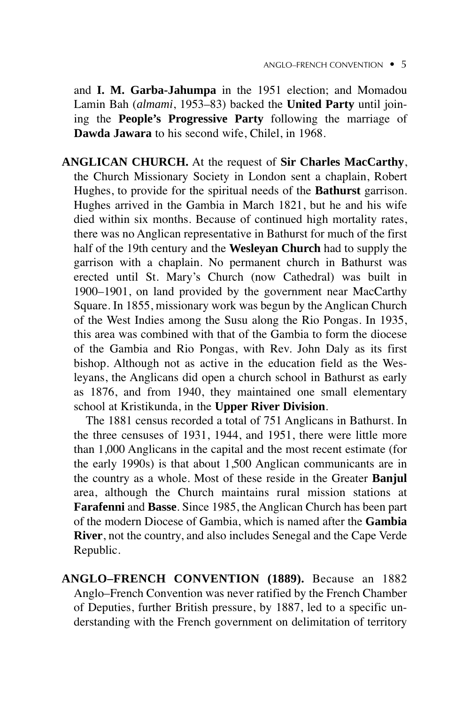and **I. M. Garba-Jahumpa** in the 1951 election; and Momadou Lamin Bah (*almami*, 1953–83) backed the **United Party** until joining the **People's Progressive Party** following the marriage of **Dawda Jawara** to his second wife, Chilel, in 1968.

**ANGLICAN CHURCH.** At the request of **Sir Charles MacCarthy**, the Church Missionary Society in London sent a chaplain, Robert Hughes, to provide for the spiritual needs of the **Bathurst** garrison. Hughes arrived in the Gambia in March 1821, but he and his wife died within six months. Because of continued high mortality rates, there was no Anglican representative in Bathurst for much of the first half of the 19th century and the **Wesleyan Church** had to supply the garrison with a chaplain. No permanent church in Bathurst was erected until St. Mary's Church (now Cathedral) was built in 1900–1901, on land provided by the government near MacCarthy Square. In 1855, missionary work was begun by the Anglican Church of the West Indies among the Susu along the Rio Pongas. In 1935, this area was combined with that of the Gambia to form the diocese of the Gambia and Rio Pongas, with Rev. John Daly as its first bishop. Although not as active in the education field as the Wesleyans, the Anglicans did open a church school in Bathurst as early as 1876, and from 1940, they maintained one small elementary school at Kristikunda, in the **Upper River Division**.

The 1881 census recorded a total of 751 Anglicans in Bathurst. In the three censuses of 1931, 1944, and 1951, there were little more than 1,000 Anglicans in the capital and the most recent estimate (for the early 1990s) is that about 1,500 Anglican communicants are in the country as a whole. Most of these reside in the Greater **Banjul** area, although the Church maintains rural mission stations at **Farafenni** and **Basse**. Since 1985, the Anglican Church has been part of the modern Diocese of Gambia, which is named after the **Gambia River**, not the country, and also includes Senegal and the Cape Verde Republic.

**ANGLO–FRENCH CONVENTION (1889).** Because an 1882 Anglo–French Convention was never ratified by the French Chamber of Deputies, further British pressure, by 1887, led to a specific understanding with the French government on delimitation of territory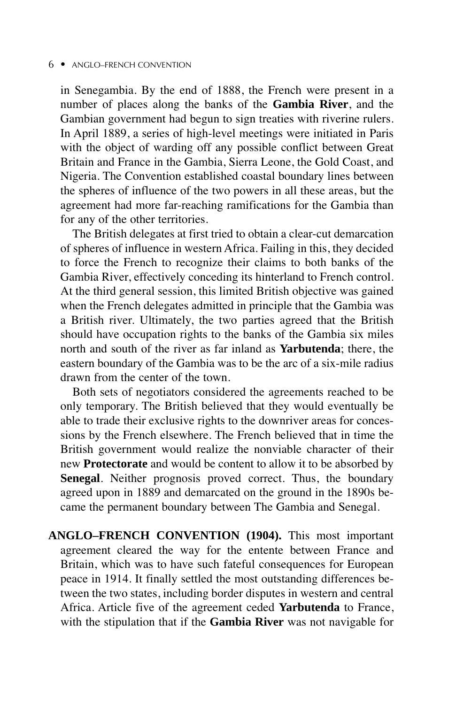#### 6 • ANGLO–FRENCH CONVENTION

in Senegambia. By the end of 1888, the French were present in a number of places along the banks of the **Gambia River**, and the Gambian government had begun to sign treaties with riverine rulers. In April 1889, a series of high-level meetings were initiated in Paris with the object of warding off any possible conflict between Great Britain and France in the Gambia, Sierra Leone, the Gold Coast, and Nigeria. The Convention established coastal boundary lines between the spheres of influence of the two powers in all these areas, but the agreement had more far-reaching ramifications for the Gambia than for any of the other territories.

The British delegates at first tried to obtain a clear-cut demarcation of spheres of influence in western Africa. Failing in this, they decided to force the French to recognize their claims to both banks of the Gambia River, effectively conceding its hinterland to French control. At the third general session, this limited British objective was gained when the French delegates admitted in principle that the Gambia was a British river. Ultimately, the two parties agreed that the British should have occupation rights to the banks of the Gambia six miles north and south of the river as far inland as **Yarbutenda**; there, the eastern boundary of the Gambia was to be the arc of a six-mile radius drawn from the center of the town.

Both sets of negotiators considered the agreements reached to be only temporary. The British believed that they would eventually be able to trade their exclusive rights to the downriver areas for concessions by the French elsewhere. The French believed that in time the British government would realize the nonviable character of their new **Protectorate** and would be content to allow it to be absorbed by **Senegal**. Neither prognosis proved correct. Thus, the boundary agreed upon in 1889 and demarcated on the ground in the 1890s became the permanent boundary between The Gambia and Senegal.

**ANGLO–FRENCH CONVENTION (1904).** This most important agreement cleared the way for the entente between France and Britain, which was to have such fateful consequences for European peace in 1914. It finally settled the most outstanding differences between the two states, including border disputes in western and central Africa. Article five of the agreement ceded **Yarbutenda** to France, with the stipulation that if the **Gambia River** was not navigable for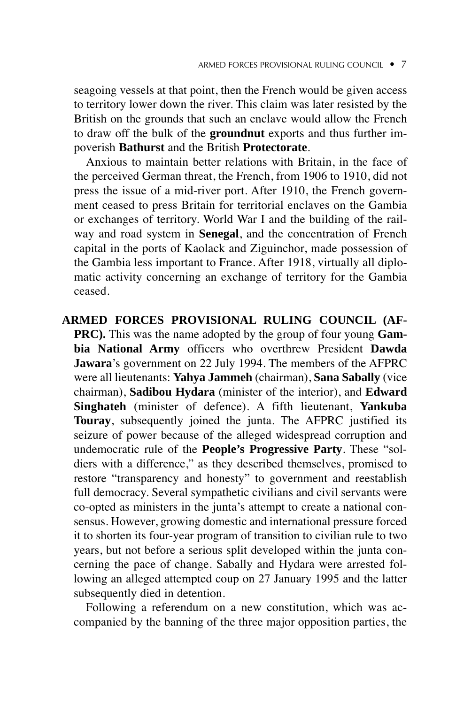seagoing vessels at that point, then the French would be given access to territory lower down the river. This claim was later resisted by the British on the grounds that such an enclave would allow the French to draw off the bulk of the **groundnut** exports and thus further impoverish **Bathurst** and the British **Protectorate**.

Anxious to maintain better relations with Britain, in the face of the perceived German threat, the French, from 1906 to 1910, did not press the issue of a mid-river port. After 1910, the French government ceased to press Britain for territorial enclaves on the Gambia or exchanges of territory. World War I and the building of the railway and road system in **Senegal**, and the concentration of French capital in the ports of Kaolack and Ziguinchor, made possession of the Gambia less important to France. After 1918, virtually all diplomatic activity concerning an exchange of territory for the Gambia ceased.

**ARMED FORCES PROVISIONAL RULING COUNCIL (AF-PRC).** This was the name adopted by the group of four young **Gambia National Army** officers who overthrew President **Dawda Jawara**'s government on 22 July 1994. The members of the AFPRC were all lieutenants: **Yahya Jammeh** (chairman), **Sana Sabally** (vice chairman), **Sadibou Hydara** (minister of the interior), and **Edward Singhateh** (minister of defence). A fifth lieutenant, **Yankuba Touray**, subsequently joined the junta. The AFPRC justified its seizure of power because of the alleged widespread corruption and undemocratic rule of the **People's Progressive Party**. These "soldiers with a difference," as they described themselves, promised to restore "transparency and honesty" to government and reestablish full democracy. Several sympathetic civilians and civil servants were co-opted as ministers in the junta's attempt to create a national consensus. However, growing domestic and international pressure forced it to shorten its four-year program of transition to civilian rule to two years, but not before a serious split developed within the junta concerning the pace of change. Sabally and Hydara were arrested following an alleged attempted coup on 27 January 1995 and the latter subsequently died in detention.

Following a referendum on a new constitution, which was accompanied by the banning of the three major opposition parties, the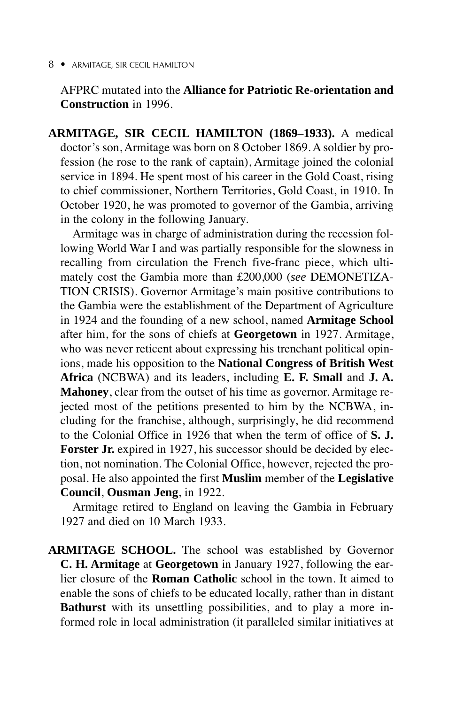#### 8 • ARMITAGE, SIR CECIL HAMILTON

AFPRC mutated into the **Alliance for Patriotic Re-orientation and Construction** in 1996.

**ARMITAGE, SIR CECIL HAMILTON (1869–1933).** A medical doctor's son, Armitage was born on 8 October 1869. A soldier by profession (he rose to the rank of captain), Armitage joined the colonial service in 1894. He spent most of his career in the Gold Coast, rising to chief commissioner, Northern Territories, Gold Coast, in 1910. In October 1920, he was promoted to governor of the Gambia, arriving in the colony in the following January.

Armitage was in charge of administration during the recession following World War I and was partially responsible for the slowness in recalling from circulation the French five-franc piece, which ultimately cost the Gambia more than £200,000 (*see* DEMONETIZA-TION CRISIS). Governor Armitage's main positive contributions to the Gambia were the establishment of the Department of Agriculture in 1924 and the founding of a new school, named **Armitage School** after him, for the sons of chiefs at **Georgetown** in 1927. Armitage, who was never reticent about expressing his trenchant political opinions, made his opposition to the **National Congress of British West Africa** (NCBWA) and its leaders, including **E. F. Small** and **J. A. Mahoney**, clear from the outset of his time as governor. Armitage rejected most of the petitions presented to him by the NCBWA, including for the franchise, although, surprisingly, he did recommend to the Colonial Office in 1926 that when the term of office of **S. J. Forster Jr.** expired in 1927, his successor should be decided by election, not nomination. The Colonial Office, however, rejected the proposal. He also appointed the first **Muslim** member of the **Legislative Council**, **Ousman Jeng**, in 1922.

Armitage retired to England on leaving the Gambia in February 1927 and died on 10 March 1933.

**ARMITAGE SCHOOL.** The school was established by Governor **C. H. Armitage** at **Georgetown** in January 1927, following the earlier closure of the **Roman Catholic** school in the town. It aimed to enable the sons of chiefs to be educated locally, rather than in distant **Bathurst** with its unsettling possibilities, and to play a more informed role in local administration (it paralleled similar initiatives at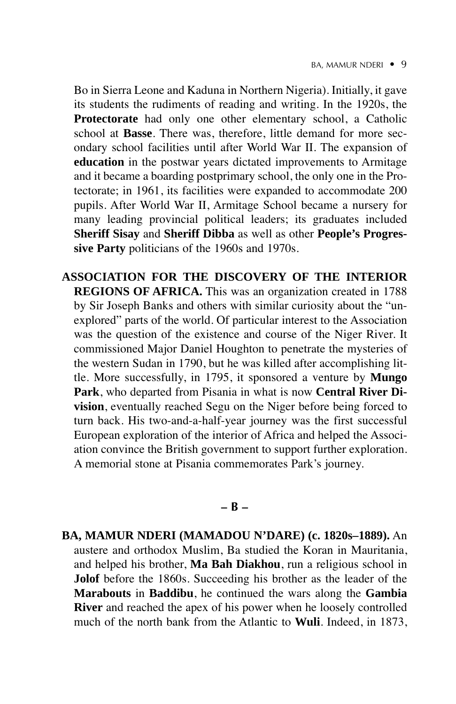Bo in Sierra Leone and Kaduna in Northern Nigeria). Initially, it gave its students the rudiments of reading and writing. In the 1920s, the **Protectorate** had only one other elementary school, a Catholic school at **Basse**. There was, therefore, little demand for more secondary school facilities until after World War II. The expansion of **education** in the postwar years dictated improvements to Armitage and it became a boarding postprimary school, the only one in the Protectorate; in 1961, its facilities were expanded to accommodate 200 pupils. After World War II, Armitage School became a nursery for many leading provincial political leaders; its graduates included **Sheriff Sisay** and **Sheriff Dibba** as well as other **People's Progressive Party** politicians of the 1960s and 1970s.

**ASSOCIATION FOR THE DISCOVERY OF THE INTERIOR REGIONS OF AFRICA.** This was an organization created in 1788 by Sir Joseph Banks and others with similar curiosity about the "unexplored" parts of the world. Of particular interest to the Association was the question of the existence and course of the Niger River. It commissioned Major Daniel Houghton to penetrate the mysteries of the western Sudan in 1790, but he was killed after accomplishing little. More successfully, in 1795, it sponsored a venture by **Mungo Park**, who departed from Pisania in what is now **Central River Division**, eventually reached Segu on the Niger before being forced to turn back. His two-and-a-half-year journey was the first successful European exploration of the interior of Africa and helped the Association convince the British government to support further exploration. A memorial stone at Pisania commemorates Park's journey.

### **– B –**

**BA, MAMUR NDERI (MAMADOU N'DARE) (c. 1820s–1889).** An austere and orthodox Muslim, Ba studied the Koran in Mauritania, and helped his brother, **Ma Bah Diakhou**, run a religious school in **Jolof** before the 1860s. Succeeding his brother as the leader of the **Marabouts** in **Baddibu**, he continued the wars along the **Gambia River** and reached the apex of his power when he loosely controlled much of the north bank from the Atlantic to **Wuli**. Indeed, in 1873,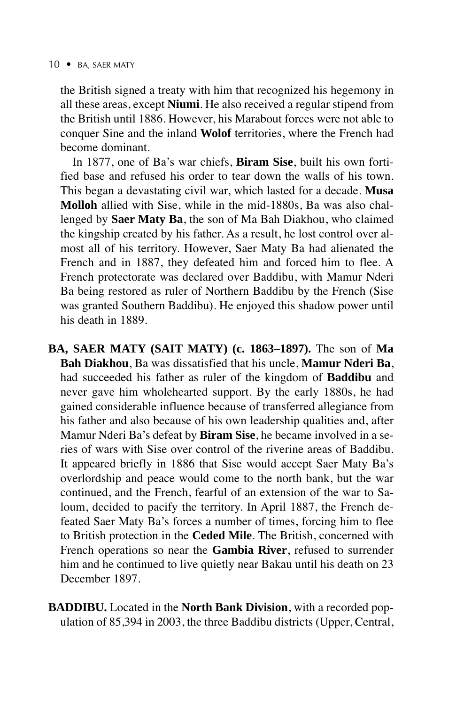the British signed a treaty with him that recognized his hegemony in all these areas, except **Niumi**. He also received a regular stipend from the British until 1886. However, his Marabout forces were not able to conquer Sine and the inland **Wolof** territories, where the French had become dominant.

In 1877, one of Ba's war chiefs, **Biram Sise**, built his own fortified base and refused his order to tear down the walls of his town. This began a devastating civil war, which lasted for a decade. **Musa Molloh** allied with Sise, while in the mid-1880s, Ba was also challenged by **Saer Maty Ba**, the son of Ma Bah Diakhou, who claimed the kingship created by his father. As a result, he lost control over almost all of his territory. However, Saer Maty Ba had alienated the French and in 1887, they defeated him and forced him to flee. A French protectorate was declared over Baddibu, with Mamur Nderi Ba being restored as ruler of Northern Baddibu by the French (Sise was granted Southern Baddibu). He enjoyed this shadow power until his death in 1889.

- **BA, SAER MATY (SAIT MATY) (c. 1863–1897).** The son of **Ma Bah Diakhou**, Ba was dissatisfied that his uncle, **Mamur Nderi Ba**, had succeeded his father as ruler of the kingdom of **Baddibu** and never gave him wholehearted support. By the early 1880s, he had gained considerable influence because of transferred allegiance from his father and also because of his own leadership qualities and, after Mamur Nderi Ba's defeat by **Biram Sise**, he became involved in a series of wars with Sise over control of the riverine areas of Baddibu. It appeared briefly in 1886 that Sise would accept Saer Maty Ba's overlordship and peace would come to the north bank, but the war continued, and the French, fearful of an extension of the war to Saloum, decided to pacify the territory. In April 1887, the French defeated Saer Maty Ba's forces a number of times, forcing him to flee to British protection in the **Ceded Mile**. The British, concerned with French operations so near the **Gambia River**, refused to surrender him and he continued to live quietly near Bakau until his death on 23 December 1897.
- **BADDIBU.** Located in the **North Bank Division**, with a recorded population of 85,394 in 2003, the three Baddibu districts (Upper, Central,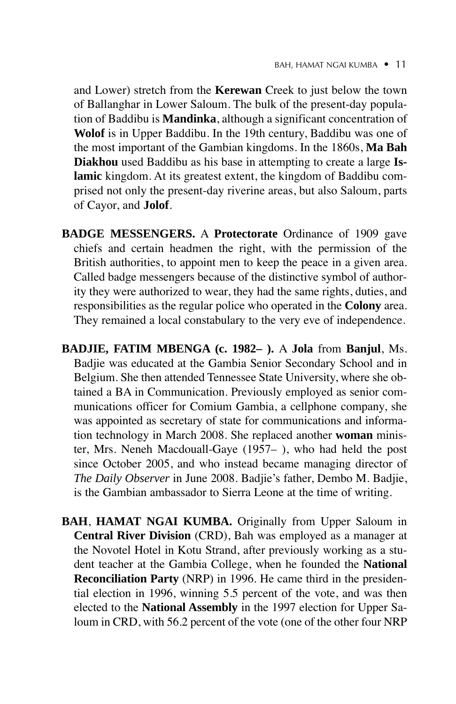and Lower) stretch from the **Kerewan** Creek to just below the town of Ballanghar in Lower Saloum. The bulk of the present-day population of Baddibu is **Mandinka**, although a significant concentration of **Wolof** is in Upper Baddibu. In the 19th century, Baddibu was one of the most important of the Gambian kingdoms. In the 1860s, **Ma Bah Diakhou** used Baddibu as his base in attempting to create a large **Islamic** kingdom. At its greatest extent, the kingdom of Baddibu comprised not only the present-day riverine areas, but also Saloum, parts of Cayor, and **Jolof**.

- **BADGE MESSENGERS.** A **Protectorate** Ordinance of 1909 gave chiefs and certain headmen the right, with the permission of the British authorities, to appoint men to keep the peace in a given area. Called badge messengers because of the distinctive symbol of authority they were authorized to wear, they had the same rights, duties, and responsibilities as the regular police who operated in the **Colony** area. They remained a local constabulary to the very eve of independence.
- **BADJIE, FATIM MBENGA (c. 1982– ).** A **Jola** from **Banjul**, Ms. Badjie was educated at the Gambia Senior Secondary School and in Belgium. She then attended Tennessee State University, where she obtained a BA in Communication. Previously employed as senior communications officer for Comium Gambia, a cellphone company, she was appointed as secretary of state for communications and information technology in March 2008. She replaced another **woman** minister, Mrs. Neneh Macdouall-Gaye (1957– ), who had held the post since October 2005, and who instead became managing director of *The Daily Observer* in June 2008. Badjie's father, Dembo M. Badjie, is the Gambian ambassador to Sierra Leone at the time of writing.
- BAH, HAMAT NGAI KUMBA. Originally from Upper Saloum in **Central River Division** (CRD), Bah was employed as a manager at the Novotel Hotel in Kotu Strand, after previously working as a student teacher at the Gambia College, when he founded the **National Reconciliation Party** (NRP) in 1996. He came third in the presidential election in 1996, winning 5.5 percent of the vote, and was then elected to the **National Assembly** in the 1997 election for Upper Saloum in CRD, with 56.2 percent of the vote (one of the other four NRP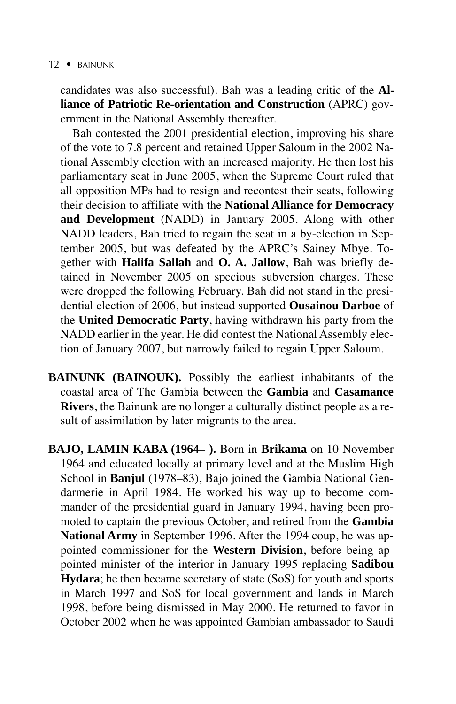## 12 • BAINUNK

candidates was also successful). Bah was a leading critic of the **Alliance of Patriotic Re-orientation and Construction** (APRC) government in the National Assembly thereafter.

Bah contested the 2001 presidential election, improving his share of the vote to 7.8 percent and retained Upper Saloum in the 2002 National Assembly election with an increased majority. He then lost his parliamentary seat in June 2005, when the Supreme Court ruled that all opposition MPs had to resign and recontest their seats, following their decision to affiliate with the **National Alliance for Democracy and Development** (NADD) in January 2005. Along with other NADD leaders, Bah tried to regain the seat in a by-election in September 2005, but was defeated by the APRC's Sainey Mbye. Together with **Halifa Sallah** and **O. A. Jallow**, Bah was briefly detained in November 2005 on specious subversion charges. These were dropped the following February. Bah did not stand in the presidential election of 2006, but instead supported **Ousainou Darboe** of the **United Democratic Party**, having withdrawn his party from the NADD earlier in the year. He did contest the National Assembly election of January 2007, but narrowly failed to regain Upper Saloum.

- **BAINUNK (BAINOUK).** Possibly the earliest inhabitants of the coastal area of The Gambia between the **Gambia** and **Casamance Rivers**, the Bainunk are no longer a culturally distinct people as a result of assimilation by later migrants to the area.
- **BAJO, LAMIN KABA (1964– ).** Born in **Brikama** on 10 November 1964 and educated locally at primary level and at the Muslim High School in **Banjul** (1978–83), Bajo joined the Gambia National Gendarmerie in April 1984. He worked his way up to become commander of the presidential guard in January 1994, having been promoted to captain the previous October, and retired from the **Gambia National Army** in September 1996. After the 1994 coup, he was appointed commissioner for the **Western Division**, before being appointed minister of the interior in January 1995 replacing **Sadibou Hydara**; he then became secretary of state (SoS) for youth and sports in March 1997 and SoS for local government and lands in March 1998, before being dismissed in May 2000. He returned to favor in October 2002 when he was appointed Gambian ambassador to Saudi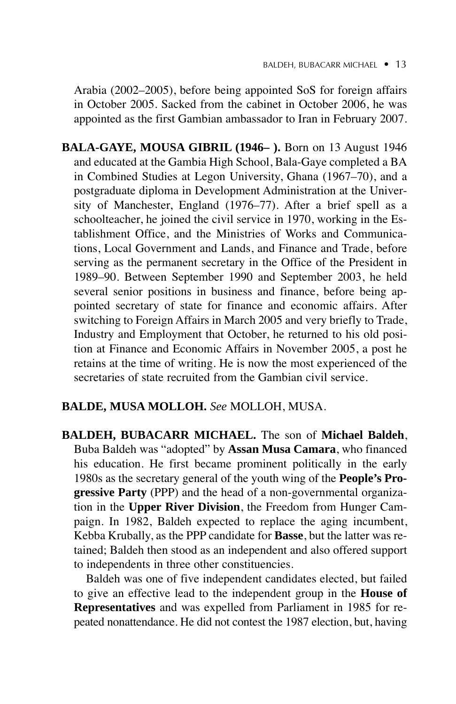Arabia (2002–2005), before being appointed SoS for foreign affairs in October 2005. Sacked from the cabinet in October 2006, he was appointed as the first Gambian ambassador to Iran in February 2007.

**BALA-GAYE, MOUSA GIBRIL (1946– ).** Born on 13 August 1946 and educated at the Gambia High School, Bala-Gaye completed a BA in Combined Studies at Legon University, Ghana (1967–70), and a postgraduate diploma in Development Administration at the University of Manchester, England (1976–77). After a brief spell as a schoolteacher, he joined the civil service in 1970, working in the Establishment Office, and the Ministries of Works and Communications, Local Government and Lands, and Finance and Trade, before serving as the permanent secretary in the Office of the President in 1989–90. Between September 1990 and September 2003, he held several senior positions in business and finance, before being appointed secretary of state for finance and economic affairs. After switching to Foreign Affairs in March 2005 and very briefly to Trade, Industry and Employment that October, he returned to his old position at Finance and Economic Affairs in November 2005, a post he retains at the time of writing. He is now the most experienced of the secretaries of state recruited from the Gambian civil service.

## **BALDE, MUSA MOLLOH.** *See* MOLLOH, MUSA.

**BALDEH, BUBACARR MICHAEL.** The son of **Michael Baldeh**, Buba Baldeh was "adopted" by **Assan Musa Camara**, who financed his education. He first became prominent politically in the early 1980s as the secretary general of the youth wing of the **People's Progressive Party** (PPP) and the head of a non-governmental organization in the **Upper River Division**, the Freedom from Hunger Campaign. In 1982, Baldeh expected to replace the aging incumbent, Kebba Krubally, as the PPP candidate for **Basse**, but the latter was retained; Baldeh then stood as an independent and also offered support to independents in three other constituencies.

Baldeh was one of five independent candidates elected, but failed to give an effective lead to the independent group in the **House of Representatives** and was expelled from Parliament in 1985 for repeated nonattendance. He did not contest the 1987 election, but, having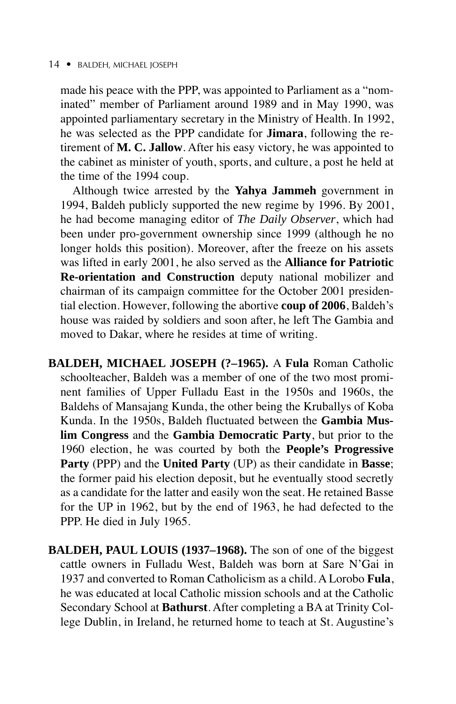## 14 • BALDEH, MICHAEL JOSEPH

made his peace with the PPP, was appointed to Parliament as a "nominated" member of Parliament around 1989 and in May 1990, was appointed parliamentary secretary in the Ministry of Health. In 1992, he was selected as the PPP candidate for **Jimara**, following the retirement of **M. C. Jallow**. After his easy victory, he was appointed to the cabinet as minister of youth, sports, and culture, a post he held at the time of the 1994 coup.

Although twice arrested by the **Yahya Jammeh** government in 1994, Baldeh publicly supported the new regime by 1996. By 2001, he had become managing editor of *The Daily Observer*, which had been under pro-government ownership since 1999 (although he no longer holds this position). Moreover, after the freeze on his assets was lifted in early 2001, he also served as the **Alliance for Patriotic Re-orientation and Construction** deputy national mobilizer and chairman of its campaign committee for the October 2001 presidential election. However, following the abortive **coup of 2006**, Baldeh's house was raided by soldiers and soon after, he left The Gambia and moved to Dakar, where he resides at time of writing.

**BALDEH, MICHAEL JOSEPH (?–1965).** A **Fula** Roman Catholic schoolteacher, Baldeh was a member of one of the two most prominent families of Upper Fulladu East in the 1950s and 1960s, the Baldehs of Mansajang Kunda, the other being the Kruballys of Koba Kunda. In the 1950s, Baldeh fluctuated between the **Gambia Muslim Congress** and the **Gambia Democratic Party**, but prior to the 1960 election, he was courted by both the **People's Progressive Party** (PPP) and the **United Party** (UP) as their candidate in **Basse**; the former paid his election deposit, but he eventually stood secretly as a candidate for the latter and easily won the seat. He retained Basse for the UP in 1962, but by the end of 1963, he had defected to the PPP. He died in July 1965.

**BALDEH, PAUL LOUIS (1937–1968).** The son of one of the biggest cattle owners in Fulladu West, Baldeh was born at Sare N'Gai in 1937 and converted to Roman Catholicism as a child. A Lorobo **Fula**, he was educated at local Catholic mission schools and at the Catholic Secondary School at **Bathurst**. After completing a BA at Trinity College Dublin, in Ireland, he returned home to teach at St. Augustine's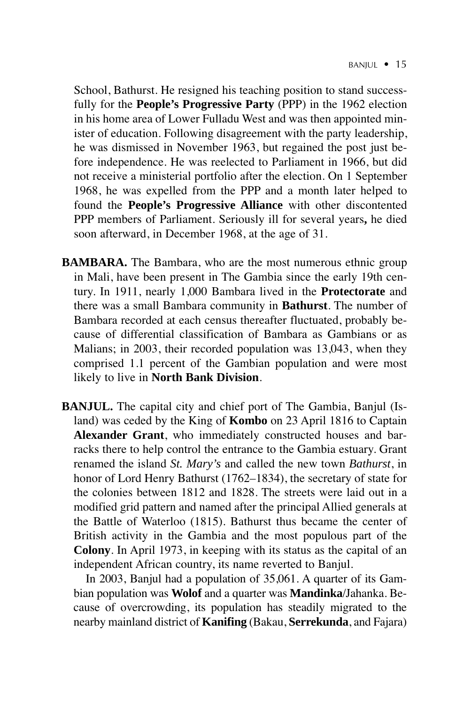School, Bathurst. He resigned his teaching position to stand successfully for the **People's Progressive Party** (PPP) in the 1962 election in his home area of Lower Fulladu West and was then appointed minister of education. Following disagreement with the party leadership, he was dismissed in November 1963, but regained the post just before independence. He was reelected to Parliament in 1966, but did not receive a ministerial portfolio after the election. On 1 September 1968, he was expelled from the PPP and a month later helped to found the **People's Progressive Alliance** with other discontented PPP members of Parliament. Seriously ill for several years**,** he died soon afterward, in December 1968, at the age of 31.

- **BAMBARA.** The Bambara, who are the most numerous ethnic group in Mali, have been present in The Gambia since the early 19th century. In 1911, nearly 1,000 Bambara lived in the **Protectorate** and there was a small Bambara community in **Bathurst**. The number of Bambara recorded at each census thereafter fluctuated, probably because of differential classification of Bambara as Gambians or as Malians; in 2003, their recorded population was 13,043, when they comprised 1.1 percent of the Gambian population and were most likely to live in **North Bank Division**.
- **BANJUL.** The capital city and chief port of The Gambia, Banjul (Island) was ceded by the King of **Kombo** on 23 April 1816 to Captain **Alexander Grant**, who immediately constructed houses and barracks there to help control the entrance to the Gambia estuary. Grant renamed the island *St. Mary's* and called the new town *Bathurst*, in honor of Lord Henry Bathurst (1762–1834), the secretary of state for the colonies between 1812 and 1828. The streets were laid out in a modified grid pattern and named after the principal Allied generals at the Battle of Waterloo (1815). Bathurst thus became the center of British activity in the Gambia and the most populous part of the **Colony**. In April 1973, in keeping with its status as the capital of an independent African country, its name reverted to Banjul.

In 2003, Banjul had a population of 35,061. A quarter of its Gambian population was **Wolof** and a quarter was **Mandinka**/Jahanka. Because of overcrowding, its population has steadily migrated to the nearby mainland district of **Kanifing** (Bakau, **Serrekunda**, and Fajara)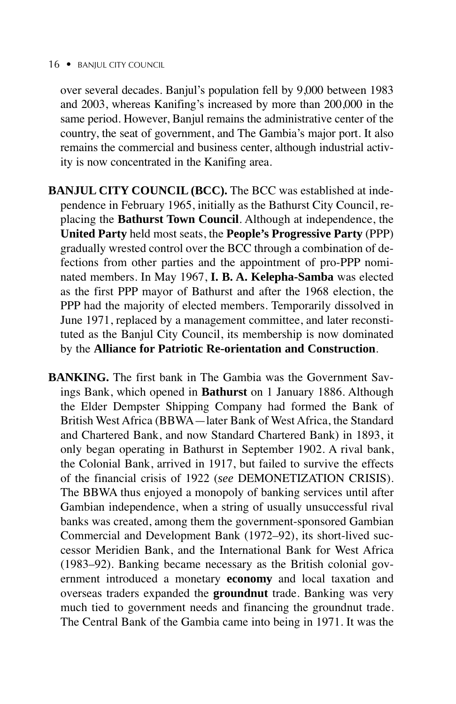## 16 • BANJUL CITY COUNCIL

over several decades. Banjul's population fell by 9,000 between 1983 and 2003, whereas Kanifing's increased by more than 200,000 in the same period. However, Banjul remains the administrative center of the country, the seat of government, and The Gambia's major port. It also remains the commercial and business center, although industrial activity is now concentrated in the Kanifing area.

- **BANJUL CITY COUNCIL (BCC).** The BCC was established at independence in February 1965, initially as the Bathurst City Council, replacing the **Bathurst Town Council**. Although at independence, the **United Party** held most seats, the **People's Progressive Party** (PPP) gradually wrested control over the BCC through a combination of defections from other parties and the appointment of pro-PPP nominated members. In May 1967, **I. B. A. Kelepha-Samba** was elected as the first PPP mayor of Bathurst and after the 1968 election, the PPP had the majority of elected members. Temporarily dissolved in June 1971, replaced by a management committee, and later reconstituted as the Banjul City Council, its membership is now dominated by the **Alliance for Patriotic Re-orientation and Construction**.
- **BANKING.** The first bank in The Gambia was the Government Savings Bank, which opened in **Bathurst** on 1 January 1886. Although the Elder Dempster Shipping Company had formed the Bank of British West Africa (BBWA—later Bank of West Africa, the Standard and Chartered Bank, and now Standard Chartered Bank) in 1893, it only began operating in Bathurst in September 1902. A rival bank, the Colonial Bank, arrived in 1917, but failed to survive the effects of the financial crisis of 1922 (*see* DEMONETIZATION CRISIS). The BBWA thus enjoyed a monopoly of banking services until after Gambian independence, when a string of usually unsuccessful rival banks was created, among them the government-sponsored Gambian Commercial and Development Bank (1972–92), its short-lived successor Meridien Bank, and the International Bank for West Africa (1983–92). Banking became necessary as the British colonial government introduced a monetary **economy** and local taxation and overseas traders expanded the **groundnut** trade. Banking was very much tied to government needs and financing the groundnut trade. The Central Bank of the Gambia came into being in 1971. It was the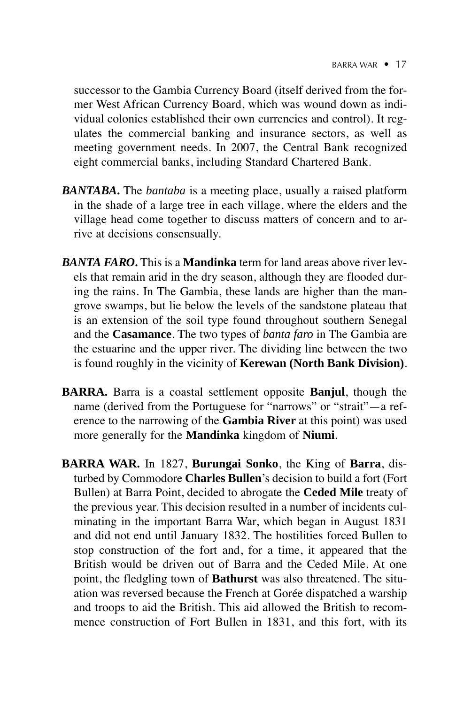successor to the Gambia Currency Board (itself derived from the former West African Currency Board, which was wound down as individual colonies established their own currencies and control). It regulates the commercial banking and insurance sectors, as well as meeting government needs. In 2007, the Central Bank recognized eight commercial banks, including Standard Chartered Bank.

- *BANTABA***.** The *bantaba* is a meeting place, usually a raised platform in the shade of a large tree in each village, where the elders and the village head come together to discuss matters of concern and to arrive at decisions consensually.
- *BANTA FARO***.** This is a **Mandinka** term for land areas above river levels that remain arid in the dry season, although they are flooded during the rains. In The Gambia, these lands are higher than the mangrove swamps, but lie below the levels of the sandstone plateau that is an extension of the soil type found throughout southern Senegal and the **Casamance**. The two types of *banta faro* in The Gambia are the estuarine and the upper river. The dividing line between the two is found roughly in the vicinity of **Kerewan (North Bank Division)**.
- **BARRA.** Barra is a coastal settlement opposite **Banjul**, though the name (derived from the Portuguese for "narrows" or "strait"—a reference to the narrowing of the **Gambia River** at this point) was used more generally for the **Mandinka** kingdom of **Niumi**.
- **BARRA WAR.** In 1827, **Burungai Sonko**, the King of **Barra**, disturbed by Commodore **Charles Bullen**'s decision to build a fort (Fort Bullen) at Barra Point, decided to abrogate the **Ceded Mile** treaty of the previous year. This decision resulted in a number of incidents culminating in the important Barra War, which began in August 1831 and did not end until January 1832. The hostilities forced Bullen to stop construction of the fort and, for a time, it appeared that the British would be driven out of Barra and the Ceded Mile. At one point, the fledgling town of **Bathurst** was also threatened. The situation was reversed because the French at Gorée dispatched a warship and troops to aid the British. This aid allowed the British to recommence construction of Fort Bullen in 1831, and this fort, with its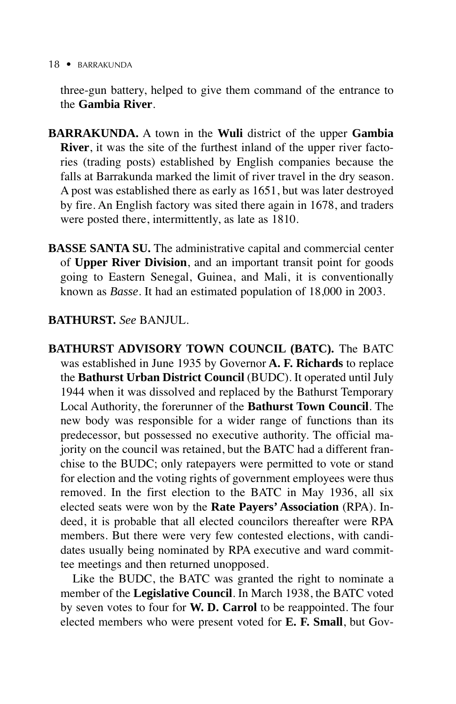## 18 • BARRAKUNDA

three-gun battery, helped to give them command of the entrance to the **Gambia River**.

- **BARRAKUNDA.** A town in the **Wuli** district of the upper **Gambia River**, it was the site of the furthest inland of the upper river factories (trading posts) established by English companies because the falls at Barrakunda marked the limit of river travel in the dry season. A post was established there as early as 1651, but was later destroyed by fire. An English factory was sited there again in 1678, and traders were posted there, intermittently, as late as 1810.
- **BASSE SANTA SU.** The administrative capital and commercial center of **Upper River Division**, and an important transit point for goods going to Eastern Senegal, Guinea, and Mali, it is conventionally known as *Basse*. It had an estimated population of 18,000 in 2003.

# **BATHURST.** *See* BANJUL.

**BATHURST ADVISORY TOWN COUNCIL (BATC).** The BATC was established in June 1935 by Governor **A. F. Richards** to replace the **Bathurst Urban District Council** (BUDC). It operated until July 1944 when it was dissolved and replaced by the Bathurst Temporary Local Authority, the forerunner of the **Bathurst Town Council**. The new body was responsible for a wider range of functions than its predecessor, but possessed no executive authority. The official majority on the council was retained, but the BATC had a different franchise to the BUDC; only ratepayers were permitted to vote or stand for election and the voting rights of government employees were thus removed. In the first election to the BATC in May 1936, all six elected seats were won by the **Rate Payers' Association** (RPA). Indeed, it is probable that all elected councilors thereafter were RPA members. But there were very few contested elections, with candidates usually being nominated by RPA executive and ward committee meetings and then returned unopposed.

Like the BUDC, the BATC was granted the right to nominate a member of the **Legislative Council**. In March 1938, the BATC voted by seven votes to four for **W. D. Carrol** to be reappointed. The four elected members who were present voted for **E. F. Small**, but Gov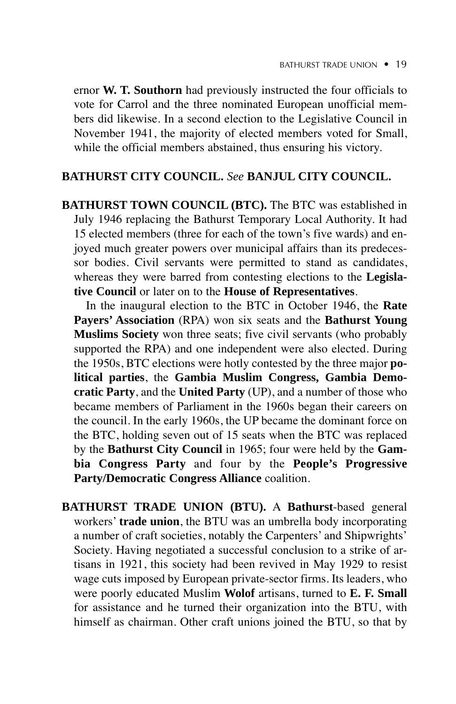ernor **W. T. Southorn** had previously instructed the four officials to vote for Carrol and the three nominated European unofficial members did likewise. In a second election to the Legislative Council in November 1941, the majority of elected members voted for Small, while the official members abstained, thus ensuring his victory.

## **BATHURST CITY COUNCIL.** *See* **BANJUL CITY COUNCIL.**

**BATHURST TOWN COUNCIL (BTC).** The BTC was established in July 1946 replacing the Bathurst Temporary Local Authority. It had 15 elected members (three for each of the town's five wards) and enjoyed much greater powers over municipal affairs than its predecessor bodies. Civil servants were permitted to stand as candidates, whereas they were barred from contesting elections to the **Legislative Council** or later on to the **House of Representatives**.

In the inaugural election to the BTC in October 1946, the **Rate Payers' Association** (RPA) won six seats and the **Bathurst Young Muslims Society** won three seats; five civil servants (who probably supported the RPA) and one independent were also elected. During the 1950s, BTC elections were hotly contested by the three major **political parties**, the **Gambia Muslim Congress, Gambia Democratic Party**, and the **United Party** (UP), and a number of those who became members of Parliament in the 1960s began their careers on the council. In the early 1960s, the UP became the dominant force on the BTC, holding seven out of 15 seats when the BTC was replaced by the **Bathurst City Council** in 1965; four were held by the **Gambia Congress Party** and four by the **People's Progressive Party/Democratic Congress Alliance** coalition.

**BATHURST TRADE UNION (BTU).** A **Bathurst**-based general workers' **trade union**, the BTU was an umbrella body incorporating a number of craft societies, notably the Carpenters' and Shipwrights' Society. Having negotiated a successful conclusion to a strike of artisans in 1921, this society had been revived in May 1929 to resist wage cuts imposed by European private-sector firms. Its leaders, who were poorly educated Muslim **Wolof** artisans, turned to **E. F. Small** for assistance and he turned their organization into the BTU, with himself as chairman. Other craft unions joined the BTU, so that by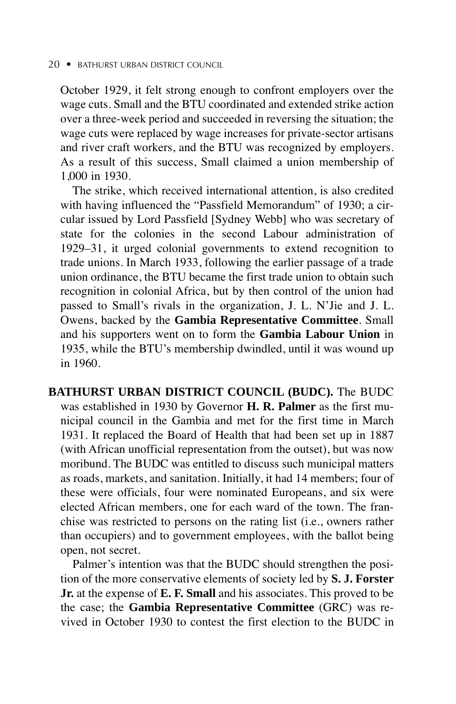## 20 • BATHURST URBAN DISTRICT COUNCIL

October 1929, it felt strong enough to confront employers over the wage cuts. Small and the BTU coordinated and extended strike action over a three-week period and succeeded in reversing the situation; the wage cuts were replaced by wage increases for private-sector artisans and river craft workers, and the BTU was recognized by employers. As a result of this success, Small claimed a union membership of 1,000 in 1930.

The strike, which received international attention, is also credited with having influenced the "Passfield Memorandum" of 1930; a circular issued by Lord Passfield [Sydney Webb] who was secretary of state for the colonies in the second Labour administration of 1929–31, it urged colonial governments to extend recognition to trade unions. In March 1933, following the earlier passage of a trade union ordinance, the BTU became the first trade union to obtain such recognition in colonial Africa, but by then control of the union had passed to Small's rivals in the organization, J. L. N'Jie and J. L. Owens, backed by the **Gambia Representative Committee**. Small and his supporters went on to form the **Gambia Labour Union** in 1935, while the BTU's membership dwindled, until it was wound up in 1960.

**BATHURST URBAN DISTRICT COUNCIL (BUDC).** The BUDC was established in 1930 by Governor **H. R. Palmer** as the first municipal council in the Gambia and met for the first time in March 1931. It replaced the Board of Health that had been set up in 1887 (with African unofficial representation from the outset), but was now moribund. The BUDC was entitled to discuss such municipal matters as roads, markets, and sanitation. Initially, it had 14 members; four of these were officials, four were nominated Europeans, and six were elected African members, one for each ward of the town. The franchise was restricted to persons on the rating list (i.e., owners rather than occupiers) and to government employees, with the ballot being open, not secret.

Palmer's intention was that the BUDC should strengthen the position of the more conservative elements of society led by **S. J. Forster Jr.** at the expense of **E. F. Small** and his associates. This proved to be the case; the **Gambia Representative Committee** (GRC) was revived in October 1930 to contest the first election to the BUDC in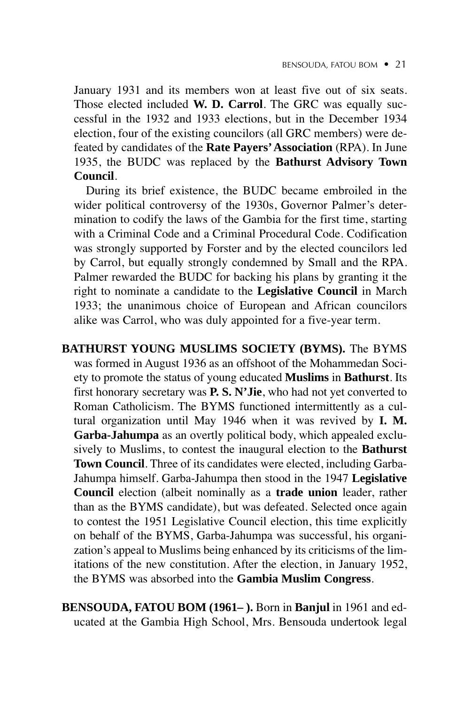January 1931 and its members won at least five out of six seats. Those elected included **W. D. Carrol**. The GRC was equally successful in the 1932 and 1933 elections, but in the December 1934 election, four of the existing councilors (all GRC members) were defeated by candidates of the **Rate Payers'Association** (RPA). In June 1935, the BUDC was replaced by the **Bathurst Advisory Town Council**.

During its brief existence, the BUDC became embroiled in the wider political controversy of the 1930s, Governor Palmer's determination to codify the laws of the Gambia for the first time, starting with a Criminal Code and a Criminal Procedural Code. Codification was strongly supported by Forster and by the elected councilors led by Carrol, but equally strongly condemned by Small and the RPA. Palmer rewarded the BUDC for backing his plans by granting it the right to nominate a candidate to the **Legislative Council** in March 1933; the unanimous choice of European and African councilors alike was Carrol, who was duly appointed for a five-year term.

**BATHURST YOUNG MUSLIMS SOCIETY (BYMS).** The BYMS was formed in August 1936 as an offshoot of the Mohammedan Society to promote the status of young educated **Muslims** in **Bathurst**. Its first honorary secretary was **P. S. N'Jie**, who had not yet converted to Roman Catholicism. The BYMS functioned intermittently as a cultural organization until May 1946 when it was revived by **I. M. Garba-Jahumpa** as an overtly political body, which appealed exclusively to Muslims, to contest the inaugural election to the **Bathurst Town Council**. Three of its candidates were elected, including Garba-Jahumpa himself. Garba-Jahumpa then stood in the 1947 **Legislative Council** election (albeit nominally as a **trade union** leader, rather than as the BYMS candidate), but was defeated. Selected once again to contest the 1951 Legislative Council election, this time explicitly on behalf of the BYMS, Garba-Jahumpa was successful, his organization's appeal to Muslims being enhanced by its criticisms of the limitations of the new constitution. After the election, in January 1952, the BYMS was absorbed into the **Gambia Muslim Congress**.

**BENSOUDA, FATOU BOM (1961– ).** Born in **Banjul** in 1961 and educated at the Gambia High School, Mrs. Bensouda undertook legal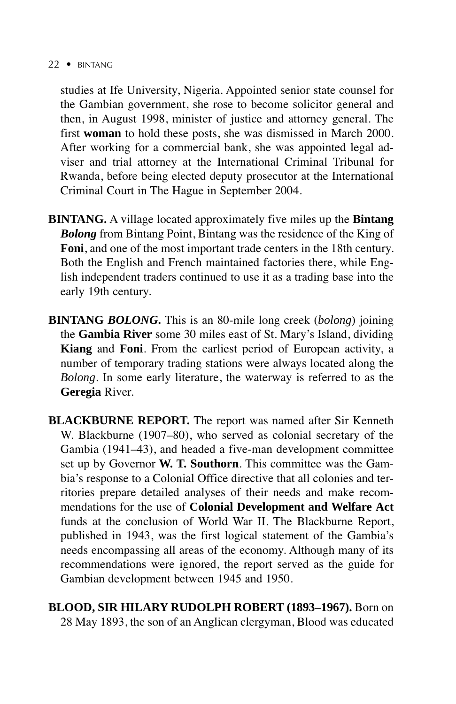## 22 • BINTANG

studies at Ife University, Nigeria. Appointed senior state counsel for the Gambian government, she rose to become solicitor general and then, in August 1998, minister of justice and attorney general. The first **woman** to hold these posts, she was dismissed in March 2000. After working for a commercial bank, she was appointed legal adviser and trial attorney at the International Criminal Tribunal for Rwanda, before being elected deputy prosecutor at the International Criminal Court in The Hague in September 2004.

- **BINTANG.** A village located approximately five miles up the **Bintang** *Bolong* from Bintang Point, Bintang was the residence of the King of **Foni**, and one of the most important trade centers in the 18th century. Both the English and French maintained factories there, while English independent traders continued to use it as a trading base into the early 19th century.
- **BINTANG** *BOLONG***.** This is an 80-mile long creek (*bolong*) joining the **Gambia River** some 30 miles east of St. Mary's Island, dividing **Kiang** and **Foni**. From the earliest period of European activity, a number of temporary trading stations were always located along the *Bolong*. In some early literature, the waterway is referred to as the **Geregia** River.
- **BLACKBURNE REPORT.** The report was named after Sir Kenneth W. Blackburne (1907–80), who served as colonial secretary of the Gambia (1941–43), and headed a five-man development committee set up by Governor **W. T. Southorn**. This committee was the Gambia's response to a Colonial Office directive that all colonies and territories prepare detailed analyses of their needs and make recommendations for the use of **Colonial Development and Welfare Act** funds at the conclusion of World War II. The Blackburne Report, published in 1943, was the first logical statement of the Gambia's needs encompassing all areas of the economy. Although many of its recommendations were ignored, the report served as the guide for Gambian development between 1945 and 1950.
- **BLOOD, SIR HILARY RUDOLPH ROBERT (1893–1967).** Born on 28 May 1893, the son of an Anglican clergyman, Blood was educated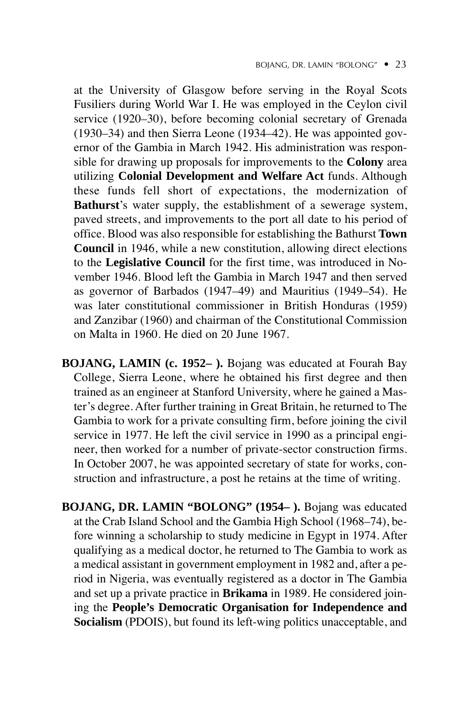at the University of Glasgow before serving in the Royal Scots Fusiliers during World War I. He was employed in the Ceylon civil service (1920–30), before becoming colonial secretary of Grenada (1930–34) and then Sierra Leone (1934–42). He was appointed governor of the Gambia in March 1942. His administration was responsible for drawing up proposals for improvements to the **Colony** area utilizing **Colonial Development and Welfare Act** funds. Although these funds fell short of expectations, the modernization of **Bathurst**'s water supply, the establishment of a sewerage system, paved streets, and improvements to the port all date to his period of office. Blood was also responsible for establishing the Bathurst **Town Council** in 1946, while a new constitution, allowing direct elections to the **Legislative Council** for the first time, was introduced in November 1946. Blood left the Gambia in March 1947 and then served as governor of Barbados (1947–49) and Mauritius (1949–54). He was later constitutional commissioner in British Honduras (1959) and Zanzibar (1960) and chairman of the Constitutional Commission on Malta in 1960. He died on 20 June 1967.

- **BOJANG, LAMIN (c. 1952– ).** Bojang was educated at Fourah Bay College, Sierra Leone, where he obtained his first degree and then trained as an engineer at Stanford University, where he gained a Master's degree. After further training in Great Britain, he returned to The Gambia to work for a private consulting firm, before joining the civil service in 1977. He left the civil service in 1990 as a principal engineer, then worked for a number of private-sector construction firms. In October 2007, he was appointed secretary of state for works, construction and infrastructure, a post he retains at the time of writing.
- **BOJANG, DR. LAMIN "BOLONG" (1954– ).** Bojang was educated at the Crab Island School and the Gambia High School (1968–74), before winning a scholarship to study medicine in Egypt in 1974. After qualifying as a medical doctor, he returned to The Gambia to work as a medical assistant in government employment in 1982 and, after a period in Nigeria, was eventually registered as a doctor in The Gambia and set up a private practice in **Brikama** in 1989. He considered joining the **People's Democratic Organisation for Independence and Socialism** (PDOIS), but found its left-wing politics unacceptable, and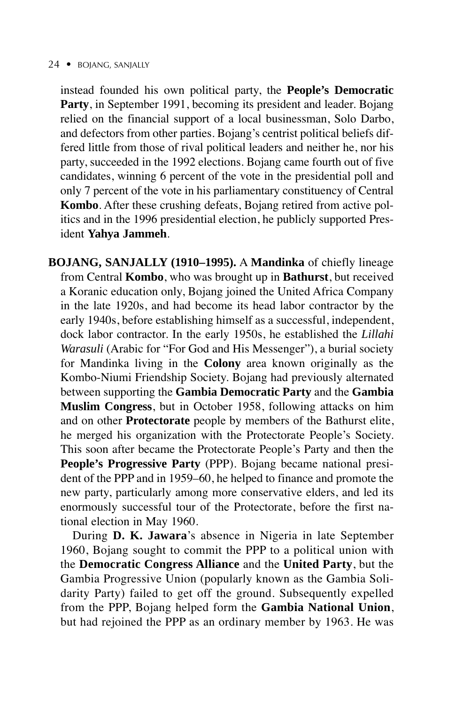### 24 • BOJANG, SANJALLY

instead founded his own political party, the **People's Democratic** Party, in September 1991, becoming its president and leader. Bojang relied on the financial support of a local businessman, Solo Darbo, and defectors from other parties. Bojang's centrist political beliefs differed little from those of rival political leaders and neither he, nor his party, succeeded in the 1992 elections. Bojang came fourth out of five candidates, winning 6 percent of the vote in the presidential poll and only 7 percent of the vote in his parliamentary constituency of Central **Kombo**. After these crushing defeats, Bojang retired from active politics and in the 1996 presidential election, he publicly supported President **Yahya Jammeh**.

**BOJANG, SANJALLY (1910–1995).** A **Mandinka** of chiefly lineage from Central **Kombo**, who was brought up in **Bathurst**, but received a Koranic education only, Bojang joined the United Africa Company in the late 1920s, and had become its head labor contractor by the early 1940s, before establishing himself as a successful, independent, dock labor contractor. In the early 1950s, he established the *Lillahi Warasuli* (Arabic for "For God and His Messenger"), a burial society for Mandinka living in the **Colony** area known originally as the Kombo-Niumi Friendship Society. Bojang had previously alternated between supporting the **Gambia Democratic Party** and the **Gambia Muslim Congress**, but in October 1958, following attacks on him and on other **Protectorate** people by members of the Bathurst elite, he merged his organization with the Protectorate People's Society. This soon after became the Protectorate People's Party and then the **People's Progressive Party** (PPP). Bojang became national president of the PPP and in 1959–60, he helped to finance and promote the new party, particularly among more conservative elders, and led its enormously successful tour of the Protectorate, before the first national election in May 1960.

During **D. K. Jawara**'s absence in Nigeria in late September 1960, Bojang sought to commit the PPP to a political union with the **Democratic Congress Alliance** and the **United Party**, but the Gambia Progressive Union (popularly known as the Gambia Solidarity Party) failed to get off the ground. Subsequently expelled from the PPP, Bojang helped form the **Gambia National Union**, but had rejoined the PPP as an ordinary member by 1963. He was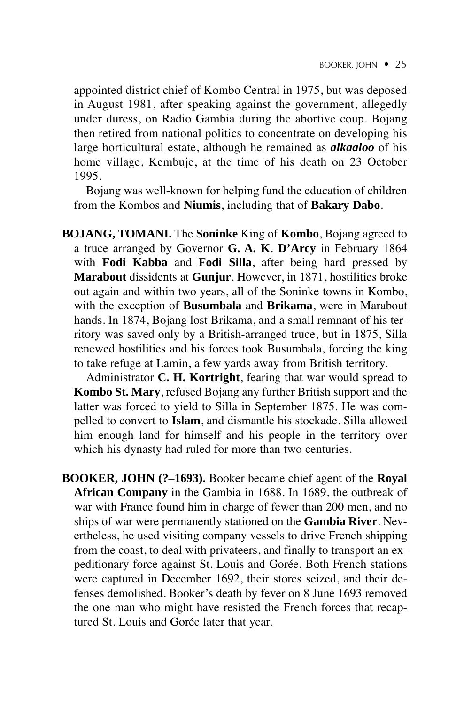appointed district chief of Kombo Central in 1975, but was deposed in August 1981, after speaking against the government, allegedly under duress, on Radio Gambia during the abortive coup. Bojang then retired from national politics to concentrate on developing his large horticultural estate, although he remained as *alkaaloo* of his home village, Kembuje, at the time of his death on 23 October 1995.

Bojang was well-known for helping fund the education of children from the Kombos and **Niumis**, including that of **Bakary Dabo**.

**BOJANG, TOMANI.** The **Soninke** King of **Kombo**, Bojang agreed to a truce arranged by Governor **G. A. K**. **D'Arcy** in February 1864 with **Fodi Kabba** and **Fodi Silla**, after being hard pressed by **Marabout** dissidents at **Gunjur**. However, in 1871, hostilities broke out again and within two years, all of the Soninke towns in Kombo, with the exception of **Busumbala** and **Brikama**, were in Marabout hands. In 1874, Bojang lost Brikama, and a small remnant of his territory was saved only by a British-arranged truce, but in 1875, Silla renewed hostilities and his forces took Busumbala, forcing the king to take refuge at Lamin, a few yards away from British territory.

Administrator **C. H. Kortright**, fearing that war would spread to **Kombo St. Mary**, refused Bojang any further British support and the latter was forced to yield to Silla in September 1875. He was compelled to convert to **Islam**, and dismantle his stockade. Silla allowed him enough land for himself and his people in the territory over which his dynasty had ruled for more than two centuries.

**BOOKER, JOHN (?–1693).** Booker became chief agent of the **Royal African Company** in the Gambia in 1688. In 1689, the outbreak of war with France found him in charge of fewer than 200 men, and no ships of war were permanently stationed on the **Gambia River**. Nevertheless, he used visiting company vessels to drive French shipping from the coast, to deal with privateers, and finally to transport an expeditionary force against St. Louis and Gorée. Both French stations were captured in December 1692, their stores seized, and their defenses demolished. Booker's death by fever on 8 June 1693 removed the one man who might have resisted the French forces that recaptured St. Louis and Gorée later that year.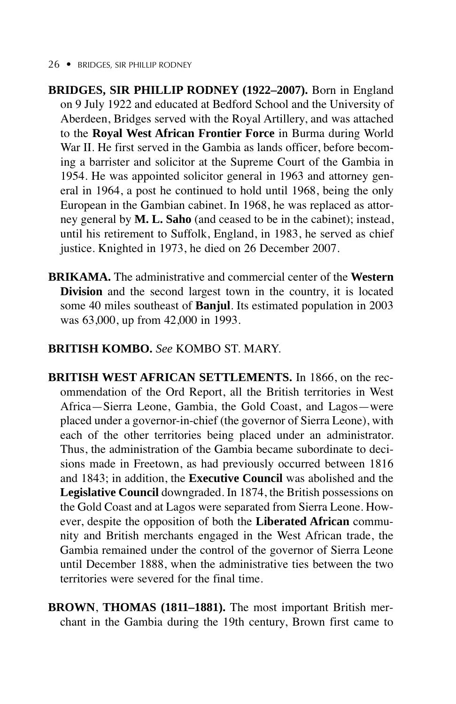- 26 · BRIDGES, SIR PHILLIP RODNEY
- **BRIDGES, SIR PHILLIP RODNEY (1922–2007).** Born in England on 9 July 1922 and educated at Bedford School and the University of Aberdeen, Bridges served with the Royal Artillery, and was attached to the **Royal West African Frontier Force** in Burma during World War II. He first served in the Gambia as lands officer, before becoming a barrister and solicitor at the Supreme Court of the Gambia in 1954. He was appointed solicitor general in 1963 and attorney general in 1964, a post he continued to hold until 1968, being the only European in the Gambian cabinet. In 1968, he was replaced as attorney general by **M. L. Saho** (and ceased to be in the cabinet); instead, until his retirement to Suffolk, England, in 1983, he served as chief justice. Knighted in 1973, he died on 26 December 2007.
- **BRIKAMA.** The administrative and commercial center of the **Western Division** and the second largest town in the country, it is located some 40 miles southeast of **Banjul**. Its estimated population in 2003 was 63,000, up from 42,000 in 1993.

# **BRITISH KOMBO.** *See* KOMBO ST. MARY.

- **BRITISH WEST AFRICAN SETTLEMENTS.** In 1866, on the recommendation of the Ord Report, all the British territories in West Africa—Sierra Leone, Gambia, the Gold Coast, and Lagos—were placed under a governor-in-chief (the governor of Sierra Leone), with each of the other territories being placed under an administrator. Thus, the administration of the Gambia became subordinate to decisions made in Freetown, as had previously occurred between 1816 and 1843; in addition, the **Executive Council** was abolished and the **Legislative Council** downgraded. In 1874, the British possessions on the Gold Coast and at Lagos were separated from Sierra Leone. However, despite the opposition of both the **Liberated African** community and British merchants engaged in the West African trade, the Gambia remained under the control of the governor of Sierra Leone until December 1888, when the administrative ties between the two territories were severed for the final time.
- **BROWN**, **THOMAS (1811–1881).** The most important British merchant in the Gambia during the 19th century, Brown first came to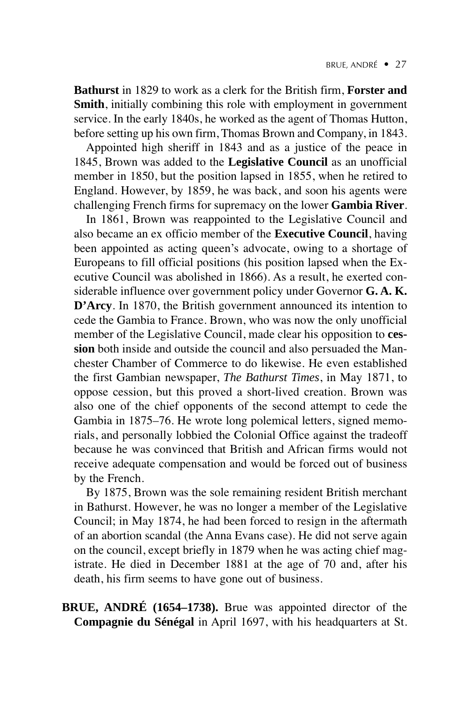**Bathurst** in 1829 to work as a clerk for the British firm, **Forster and Smith**, initially combining this role with employment in government service. In the early 1840s, he worked as the agent of Thomas Hutton, before setting up his own firm, Thomas Brown and Company, in 1843.

Appointed high sheriff in 1843 and as a justice of the peace in 1845, Brown was added to the **Legislative Council** as an unofficial member in 1850, but the position lapsed in 1855, when he retired to England. However, by 1859, he was back, and soon his agents were challenging French firms for supremacy on the lower **Gambia River**.

In 1861, Brown was reappointed to the Legislative Council and also became an ex officio member of the **Executive Council**, having been appointed as acting queen's advocate, owing to a shortage of Europeans to fill official positions (his position lapsed when the Executive Council was abolished in 1866). As a result, he exerted considerable influence over government policy under Governor **G. A. K. D'Arcy**. In 1870, the British government announced its intention to cede the Gambia to France. Brown, who was now the only unofficial member of the Legislative Council, made clear his opposition to **cession** both inside and outside the council and also persuaded the Manchester Chamber of Commerce to do likewise. He even established the first Gambian newspaper, *The Bathurst Times*, in May 1871, to oppose cession, but this proved a short-lived creation. Brown was also one of the chief opponents of the second attempt to cede the Gambia in 1875–76. He wrote long polemical letters, signed memorials, and personally lobbied the Colonial Office against the tradeoff because he was convinced that British and African firms would not receive adequate compensation and would be forced out of business by the French.

By 1875, Brown was the sole remaining resident British merchant in Bathurst. However, he was no longer a member of the Legislative Council; in May 1874, he had been forced to resign in the aftermath of an abortion scandal (the Anna Evans case). He did not serve again on the council, except briefly in 1879 when he was acting chief magistrate. He died in December 1881 at the age of 70 and, after his death, his firm seems to have gone out of business.

**BRUE, ANDRÉ (1654–1738).** Brue was appointed director of the **Compagnie du Sénégal** in April 1697, with his headquarters at St.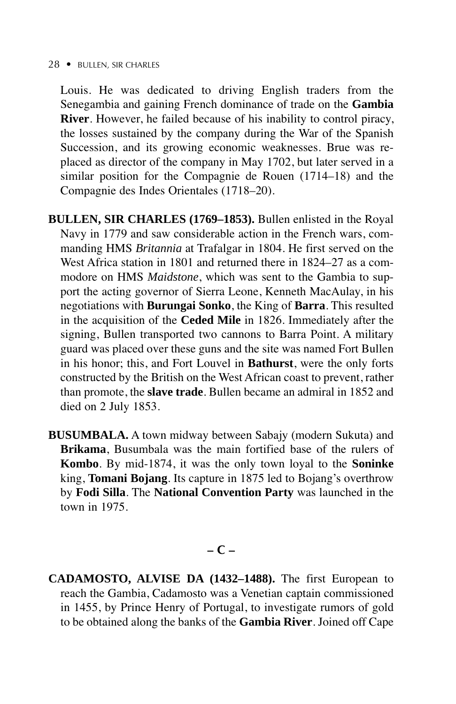### 28 • BULLEN, SIR CHARLES

Louis. He was dedicated to driving English traders from the Senegambia and gaining French dominance of trade on the **Gambia River**. However, he failed because of his inability to control piracy, the losses sustained by the company during the War of the Spanish Succession, and its growing economic weaknesses. Brue was replaced as director of the company in May 1702, but later served in a similar position for the Compagnie de Rouen (1714–18) and the Compagnie des Indes Orientales (1718–20).

- **BULLEN, SIR CHARLES (1769–1853).** Bullen enlisted in the Royal Navy in 1779 and saw considerable action in the French wars, commanding HMS *Britannia* at Trafalgar in 1804. He first served on the West Africa station in 1801 and returned there in 1824–27 as a commodore on HMS *Maidstone*, which was sent to the Gambia to support the acting governor of Sierra Leone, Kenneth MacAulay, in his negotiations with **Burungai Sonko**, the King of **Barra**. This resulted in the acquisition of the **Ceded Mile** in 1826. Immediately after the signing, Bullen transported two cannons to Barra Point. A military guard was placed over these guns and the site was named Fort Bullen in his honor; this, and Fort Louvel in **Bathurst**, were the only forts constructed by the British on the West African coast to prevent, rather than promote, the **slave trade**. Bullen became an admiral in 1852 and died on 2 July 1853.
- **BUSUMBALA.** A town midway between Sabajy (modern Sukuta) and **Brikama**, Busumbala was the main fortified base of the rulers of **Kombo**. By mid-1874, it was the only town loyal to the **Soninke** king, **Tomani Bojang**. Its capture in 1875 led to Bojang's overthrow by **Fodi Silla**. The **National Convention Party** was launched in the town in 1975.

**– C –**

**CADAMOSTO, ALVISE DA (1432–1488).** The first European to reach the Gambia, Cadamosto was a Venetian captain commissioned in 1455, by Prince Henry of Portugal, to investigate rumors of gold to be obtained along the banks of the **Gambia River**. Joined off Cape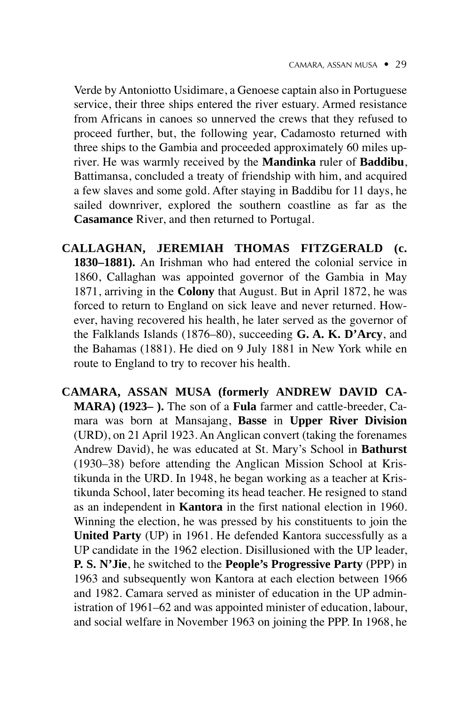Verde by Antoniotto Usidimare, a Genoese captain also in Portuguese service, their three ships entered the river estuary. Armed resistance from Africans in canoes so unnerved the crews that they refused to proceed further, but, the following year, Cadamosto returned with three ships to the Gambia and proceeded approximately 60 miles upriver. He was warmly received by the **Mandinka** ruler of **Baddibu**, Battimansa, concluded a treaty of friendship with him, and acquired a few slaves and some gold. After staying in Baddibu for 11 days, he sailed downriver, explored the southern coastline as far as the **Casamance** River, and then returned to Portugal.

- **CALLAGHAN, JEREMIAH THOMAS FITZGERALD (c. 1830–1881).** An Irishman who had entered the colonial service in 1860, Callaghan was appointed governor of the Gambia in May 1871, arriving in the **Colony** that August. But in April 1872, he was forced to return to England on sick leave and never returned. However, having recovered his health, he later served as the governor of the Falklands Islands (1876–80), succeeding **G. A. K. D'Arcy**, and the Bahamas (1881). He died on 9 July 1881 in New York while en route to England to try to recover his health.
- **CAMARA, ASSAN MUSA (formerly ANDREW DAVID CA-MARA) (1923– ).** The son of a **Fula** farmer and cattle-breeder, Camara was born at Mansajang, **Basse** in **Upper River Division** (URD), on 21 April 1923. An Anglican convert (taking the forenames Andrew David), he was educated at St. Mary's School in **Bathurst** (1930–38) before attending the Anglican Mission School at Kristikunda in the URD. In 1948, he began working as a teacher at Kristikunda School, later becoming its head teacher. He resigned to stand as an independent in **Kantora** in the first national election in 1960. Winning the election, he was pressed by his constituents to join the **United Party** (UP) in 1961. He defended Kantora successfully as a UP candidate in the 1962 election. Disillusioned with the UP leader, **P. S. N'Jie**, he switched to the **People's Progressive Party** (PPP) in 1963 and subsequently won Kantora at each election between 1966 and 1982. Camara served as minister of education in the UP administration of 1961–62 and was appointed minister of education, labour, and social welfare in November 1963 on joining the PPP. In 1968, he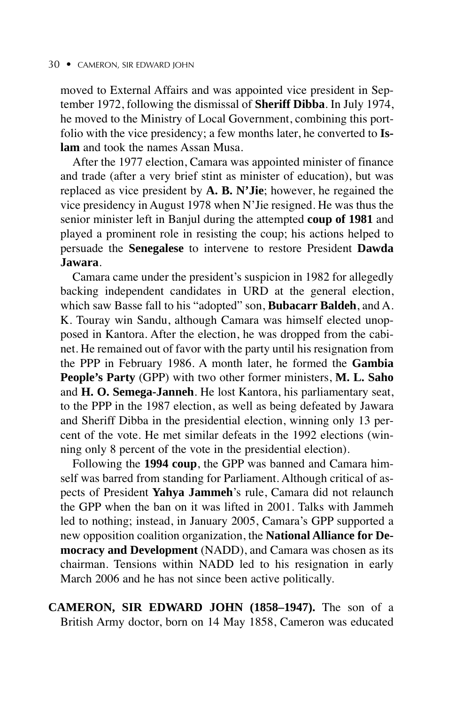#### 30 • CAMERON, SIR EDWARD JOHN

moved to External Affairs and was appointed vice president in September 1972, following the dismissal of **Sheriff Dibba**. In July 1974, he moved to the Ministry of Local Government, combining this portfolio with the vice presidency; a few months later, he converted to **Islam** and took the names Assan Musa.

After the 1977 election, Camara was appointed minister of finance and trade (after a very brief stint as minister of education), but was replaced as vice president by **A. B. N'Jie**; however, he regained the vice presidency in August 1978 when N'Jie resigned. He was thus the senior minister left in Banjul during the attempted **coup of 1981** and played a prominent role in resisting the coup; his actions helped to persuade the **Senegalese** to intervene to restore President **Dawda Jawara**.

Camara came under the president's suspicion in 1982 for allegedly backing independent candidates in URD at the general election, which saw Basse fall to his "adopted" son, **Bubacarr Baldeh**, and A. K. Touray win Sandu, although Camara was himself elected unopposed in Kantora. After the election, he was dropped from the cabinet. He remained out of favor with the party until his resignation from the PPP in February 1986. A month later, he formed the **Gambia People's Party** (GPP) with two other former ministers, **M. L. Saho** and **H. O. Semega-Janneh**. He lost Kantora, his parliamentary seat, to the PPP in the 1987 election, as well as being defeated by Jawara and Sheriff Dibba in the presidential election, winning only 13 percent of the vote. He met similar defeats in the 1992 elections (winning only 8 percent of the vote in the presidential election).

Following the **1994 coup**, the GPP was banned and Camara himself was barred from standing for Parliament. Although critical of aspects of President **Yahya Jammeh**'s rule, Camara did not relaunch the GPP when the ban on it was lifted in 2001. Talks with Jammeh led to nothing; instead, in January 2005, Camara's GPP supported a new opposition coalition organization, the **National Alliance for Democracy and Development** (NADD), and Camara was chosen as its chairman. Tensions within NADD led to his resignation in early March 2006 and he has not since been active politically.

**CAMERON, SIR EDWARD JOHN (1858–1947).** The son of a British Army doctor, born on 14 May 1858, Cameron was educated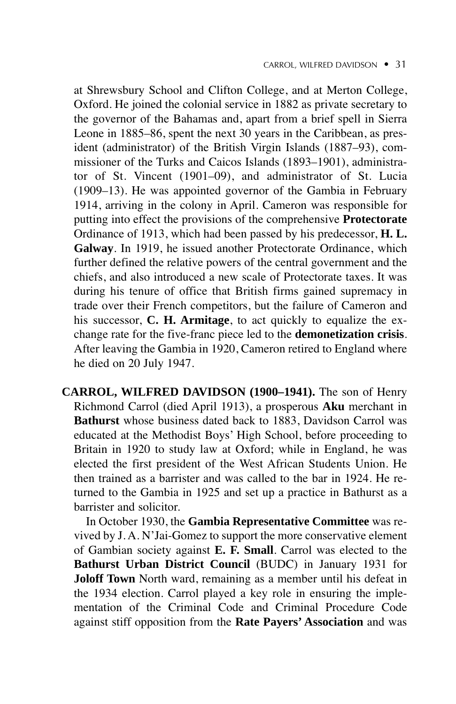at Shrewsbury School and Clifton College, and at Merton College, Oxford. He joined the colonial service in 1882 as private secretary to the governor of the Bahamas and, apart from a brief spell in Sierra Leone in 1885–86, spent the next 30 years in the Caribbean, as president (administrator) of the British Virgin Islands (1887–93), commissioner of the Turks and Caicos Islands (1893–1901), administrator of St. Vincent (1901–09), and administrator of St. Lucia (1909–13). He was appointed governor of the Gambia in February 1914, arriving in the colony in April. Cameron was responsible for putting into effect the provisions of the comprehensive **Protectorate** Ordinance of 1913, which had been passed by his predecessor, **H. L. Galway**. In 1919, he issued another Protectorate Ordinance, which further defined the relative powers of the central government and the chiefs, and also introduced a new scale of Protectorate taxes. It was during his tenure of office that British firms gained supremacy in trade over their French competitors, but the failure of Cameron and his successor, **C. H. Armitage**, to act quickly to equalize the exchange rate for the five-franc piece led to the **demonetization crisis**. After leaving the Gambia in 1920, Cameron retired to England where he died on 20 July 1947.

**CARROL, WILFRED DAVIDSON (1900–1941).** The son of Henry Richmond Carrol (died April 1913), a prosperous **Aku** merchant in **Bathurst** whose business dated back to 1883, Davidson Carrol was educated at the Methodist Boys' High School, before proceeding to Britain in 1920 to study law at Oxford; while in England, he was elected the first president of the West African Students Union. He then trained as a barrister and was called to the bar in 1924. He returned to the Gambia in 1925 and set up a practice in Bathurst as a barrister and solicitor.

In October 1930, the **Gambia Representative Committee** was revived by J. A. N'Jai-Gomez to support the more conservative element of Gambian society against **E. F. Small**. Carrol was elected to the **Bathurst Urban District Council** (BUDC) in January 1931 for **Joloff Town** North ward, remaining as a member until his defeat in the 1934 election. Carrol played a key role in ensuring the implementation of the Criminal Code and Criminal Procedure Code against stiff opposition from the **Rate Payers' Association** and was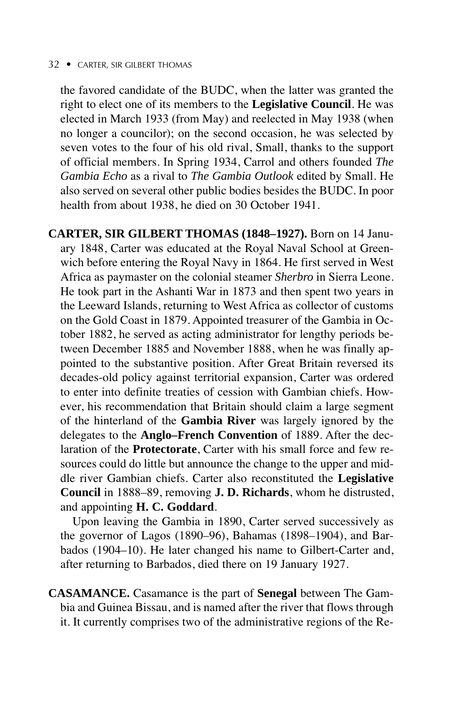### 32 • CARTER, SIR GILBERT THOMAS

the favored candidate of the BUDC, when the latter was granted the right to elect one of its members to the **Legislative Council**. He was elected in March 1933 (from May) and reelected in May 1938 (when no longer a councilor); on the second occasion, he was selected by seven votes to the four of his old rival, Small, thanks to the support of official members. In Spring 1934, Carrol and others founded *The Gambia Echo* as a rival to *The Gambia Outlook* edited by Small. He also served on several other public bodies besides the BUDC. In poor health from about 1938, he died on 30 October 1941.

**CARTER, SIR GILBERT THOMAS (1848–1927).** Born on 14 January 1848, Carter was educated at the Royal Naval School at Greenwich before entering the Royal Navy in 1864. He first served in West Africa as paymaster on the colonial steamer *Sherbro* in Sierra Leone. He took part in the Ashanti War in 1873 and then spent two years in the Leeward Islands, returning to West Africa as collector of customs on the Gold Coast in 1879. Appointed treasurer of the Gambia in October 1882, he served as acting administrator for lengthy periods between December 1885 and November 1888, when he was finally appointed to the substantive position. After Great Britain reversed its decades-old policy against territorial expansion, Carter was ordered to enter into definite treaties of cession with Gambian chiefs. However, his recommendation that Britain should claim a large segment of the hinterland of the **Gambia River** was largely ignored by the delegates to the **Anglo–French Convention** of 1889. After the declaration of the **Protectorate**, Carter with his small force and few resources could do little but announce the change to the upper and middle river Gambian chiefs. Carter also reconstituted the **Legislative Council** in 1888–89, removing **J. D. Richards**, whom he distrusted, and appointing **H. C. Goddard**.

Upon leaving the Gambia in 1890, Carter served successively as the governor of Lagos (1890–96), Bahamas (1898–1904), and Barbados (1904–10). He later changed his name to Gilbert-Carter and, after returning to Barbados, died there on 19 January 1927.

**CASAMANCE.** Casamance is the part of **Senegal** between The Gambia and Guinea Bissau, and is named after the river that flows through it. It currently comprises two of the administrative regions of the Re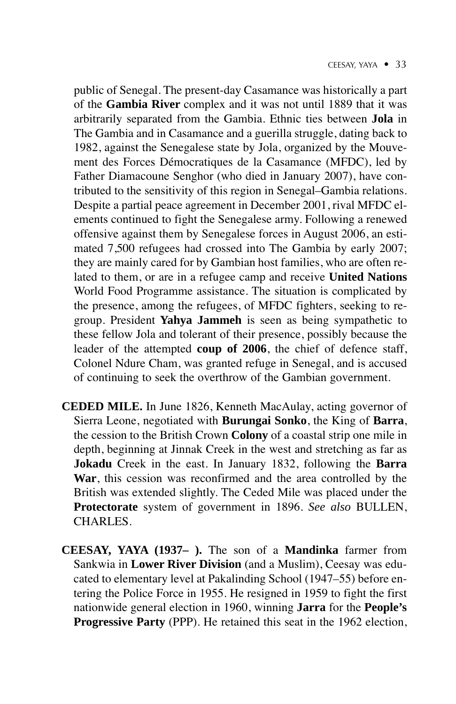public of Senegal. The present-day Casamance was historically a part of the **Gambia River** complex and it was not until 1889 that it was arbitrarily separated from the Gambia. Ethnic ties between **Jola** in The Gambia and in Casamance and a guerilla struggle, dating back to 1982, against the Senegalese state by Jola, organized by the Mouvement des Forces Démocratiques de la Casamance (MFDC), led by Father Diamacoune Senghor (who died in January 2007), have contributed to the sensitivity of this region in Senegal–Gambia relations. Despite a partial peace agreement in December 2001, rival MFDC elements continued to fight the Senegalese army. Following a renewed offensive against them by Senegalese forces in August 2006, an estimated 7,500 refugees had crossed into The Gambia by early 2007; they are mainly cared for by Gambian host families, who are often related to them, or are in a refugee camp and receive **United Nations** World Food Programme assistance. The situation is complicated by the presence, among the refugees, of MFDC fighters, seeking to regroup. President **Yahya Jammeh** is seen as being sympathetic to these fellow Jola and tolerant of their presence, possibly because the leader of the attempted **coup of 2006**, the chief of defence staff, Colonel Ndure Cham, was granted refuge in Senegal, and is accused of continuing to seek the overthrow of the Gambian government.

- **CEDED MILE.** In June 1826, Kenneth MacAulay, acting governor of Sierra Leone, negotiated with **Burungai Sonko**, the King of **Barra**, the cession to the British Crown **Colony** of a coastal strip one mile in depth, beginning at Jinnak Creek in the west and stretching as far as **Jokadu** Creek in the east. In January 1832, following the **Barra War**, this cession was reconfirmed and the area controlled by the British was extended slightly. The Ceded Mile was placed under the **Protectorate** system of government in 1896. *See also* BULLEN, CHARLES.
- **CEESAY, YAYA (1937– ).** The son of a **Mandinka** farmer from Sankwia in **Lower River Division** (and a Muslim), Ceesay was educated to elementary level at Pakalinding School (1947–55) before entering the Police Force in 1955. He resigned in 1959 to fight the first nationwide general election in 1960, winning **Jarra** for the **People's Progressive Party** (PPP). He retained this seat in the 1962 election,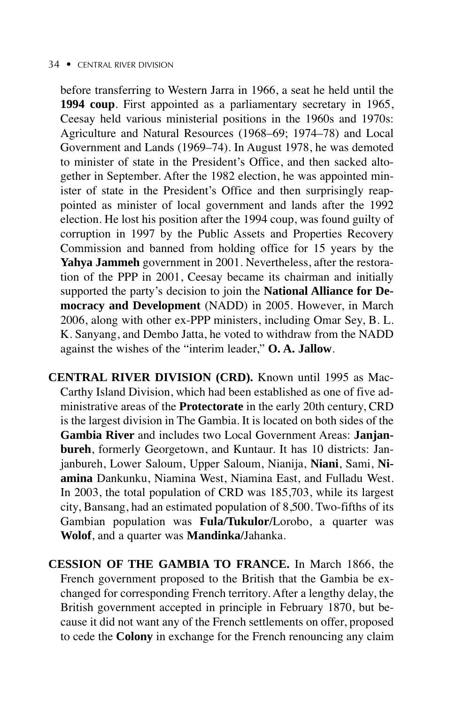## 34 • CENTRAL RIVER DIVISION

before transferring to Western Jarra in 1966, a seat he held until the **1994 coup**. First appointed as a parliamentary secretary in 1965, Ceesay held various ministerial positions in the 1960s and 1970s: Agriculture and Natural Resources (1968–69; 1974–78) and Local Government and Lands (1969–74). In August 1978, he was demoted to minister of state in the President's Office, and then sacked altogether in September. After the 1982 election, he was appointed minister of state in the President's Office and then surprisingly reappointed as minister of local government and lands after the 1992 election. He lost his position after the 1994 coup, was found guilty of corruption in 1997 by the Public Assets and Properties Recovery Commission and banned from holding office for 15 years by the **Yahya Jammeh** government in 2001. Nevertheless, after the restoration of the PPP in 2001, Ceesay became its chairman and initially supported the party's decision to join the **National Alliance for Democracy and Development** (NADD) in 2005. However, in March 2006, along with other ex-PPP ministers, including Omar Sey, B. L. K. Sanyang, and Dembo Jatta, he voted to withdraw from the NADD against the wishes of the "interim leader," **O. A. Jallow**.

**CENTRAL RIVER DIVISION (CRD).** Known until 1995 as Mac-Carthy Island Division, which had been established as one of five administrative areas of the **Protectorate** in the early 20th century, CRD is the largest division in The Gambia. It is located on both sides of the **Gambia River** and includes two Local Government Areas: **Janjanbureh**, formerly Georgetown, and Kuntaur. It has 10 districts: Janjanbureh, Lower Saloum, Upper Saloum, Nianija, **Niani**, Sami, **Niamina** Dankunku, Niamina West, Niamina East, and Fulladu West. In 2003, the total population of CRD was 185,703, while its largest city, Bansang, had an estimated population of 8,500. Two-fifths of its Gambian population was **Fula/Tukulor/**Lorobo, a quarter was **Wolof**, and a quarter was **Mandinka/**Jahanka.

**CESSION OF THE GAMBIA TO FRANCE.** In March 1866, the French government proposed to the British that the Gambia be exchanged for corresponding French territory. After a lengthy delay, the British government accepted in principle in February 1870, but because it did not want any of the French settlements on offer, proposed to cede the **Colony** in exchange for the French renouncing any claim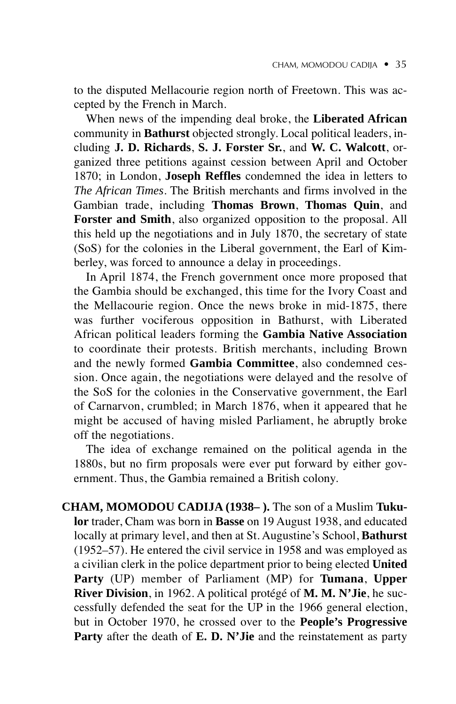to the disputed Mellacourie region north of Freetown. This was accepted by the French in March.

When news of the impending deal broke, the **Liberated African** community in **Bathurst** objected strongly. Local political leaders, including **J. D. Richards**, **S. J. Forster Sr.**, and **W. C. Walcott**, organized three petitions against cession between April and October 1870; in London, **Joseph Reffles** condemned the idea in letters to *The African Times*. The British merchants and firms involved in the Gambian trade, including **Thomas Brown**, **Thomas Quin**, and **Forster and Smith**, also organized opposition to the proposal. All this held up the negotiations and in July 1870, the secretary of state (SoS) for the colonies in the Liberal government, the Earl of Kimberley, was forced to announce a delay in proceedings.

In April 1874, the French government once more proposed that the Gambia should be exchanged, this time for the Ivory Coast and the Mellacourie region. Once the news broke in mid-1875, there was further vociferous opposition in Bathurst, with Liberated African political leaders forming the **Gambia Native Association** to coordinate their protests. British merchants, including Brown and the newly formed **Gambia Committee**, also condemned cession. Once again, the negotiations were delayed and the resolve of the SoS for the colonies in the Conservative government, the Earl of Carnarvon, crumbled; in March 1876, when it appeared that he might be accused of having misled Parliament, he abruptly broke off the negotiations.

The idea of exchange remained on the political agenda in the 1880s, but no firm proposals were ever put forward by either government. Thus, the Gambia remained a British colony.

**CHAM, MOMODOU CADIJA (1938– ).** The son of a Muslim **Tukulor** trader, Cham was born in **Basse** on 19 August 1938, and educated locally at primary level, and then at St. Augustine's School, **Bathurst** (1952–57). He entered the civil service in 1958 and was employed as a civilian clerk in the police department prior to being elected **United Party** (UP) member of Parliament (MP) for **Tumana**, **Upper River Division**, in 1962. A political protégé of **M. M. N'Jie**, he successfully defended the seat for the UP in the 1966 general election, but in October 1970, he crossed over to the **People's Progressive** Party after the death of **E. D. N'Jie** and the reinstatement as party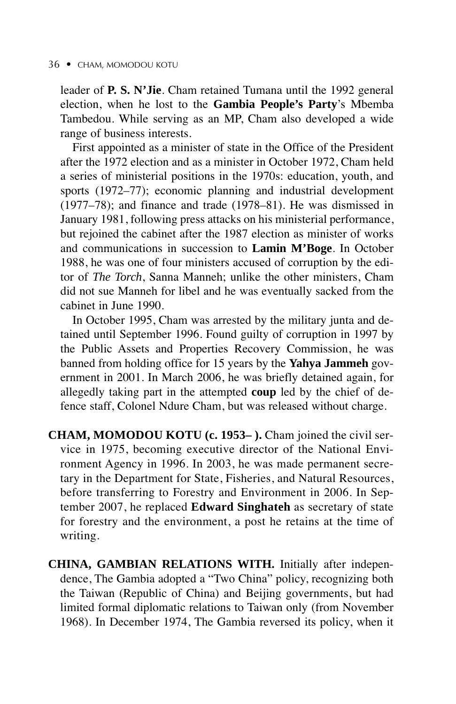leader of **P. S. N'Jie**. Cham retained Tumana until the 1992 general election, when he lost to the **Gambia People's Party**'s Mbemba Tambedou. While serving as an MP, Cham also developed a wide range of business interests.

First appointed as a minister of state in the Office of the President after the 1972 election and as a minister in October 1972, Cham held a series of ministerial positions in the 1970s: education, youth, and sports (1972–77); economic planning and industrial development (1977–78); and finance and trade (1978–81). He was dismissed in January 1981, following press attacks on his ministerial performance, but rejoined the cabinet after the 1987 election as minister of works and communications in succession to **Lamin M'Boge**. In October 1988, he was one of four ministers accused of corruption by the editor of *The Torch*, Sanna Manneh; unlike the other ministers, Cham did not sue Manneh for libel and he was eventually sacked from the cabinet in June 1990.

In October 1995, Cham was arrested by the military junta and detained until September 1996. Found guilty of corruption in 1997 by the Public Assets and Properties Recovery Commission, he was banned from holding office for 15 years by the **Yahya Jammeh** government in 2001. In March 2006, he was briefly detained again, for allegedly taking part in the attempted **coup** led by the chief of defence staff, Colonel Ndure Cham, but was released without charge.

- **CHAM, MOMODOU KOTU (c. 1953– ).** Cham joined the civil service in 1975, becoming executive director of the National Environment Agency in 1996. In 2003, he was made permanent secretary in the Department for State, Fisheries, and Natural Resources, before transferring to Forestry and Environment in 2006. In September 2007, he replaced **Edward Singhateh** as secretary of state for forestry and the environment, a post he retains at the time of writing.
- **CHINA, GAMBIAN RELATIONS WITH.** Initially after independence, The Gambia adopted a "Two China" policy, recognizing both the Taiwan (Republic of China) and Beijing governments, but had limited formal diplomatic relations to Taiwan only (from November 1968). In December 1974, The Gambia reversed its policy, when it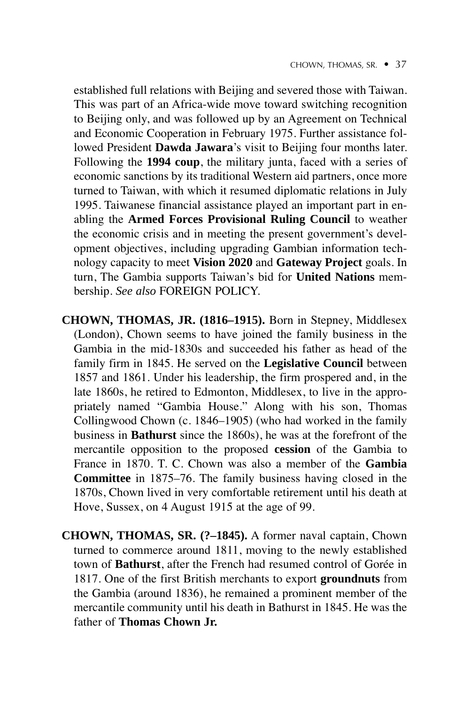established full relations with Beijing and severed those with Taiwan. This was part of an Africa-wide move toward switching recognition to Beijing only, and was followed up by an Agreement on Technical and Economic Cooperation in February 1975. Further assistance followed President **Dawda Jawara**'s visit to Beijing four months later. Following the **1994 coup**, the military junta, faced with a series of economic sanctions by its traditional Western aid partners, once more turned to Taiwan, with which it resumed diplomatic relations in July 1995. Taiwanese financial assistance played an important part in enabling the **Armed Forces Provisional Ruling Council** to weather the economic crisis and in meeting the present government's development objectives, including upgrading Gambian information technology capacity to meet **Vision 2020** and **Gateway Project** goals. In turn, The Gambia supports Taiwan's bid for **United Nations** membership. *See also* FOREIGN POLICY.

**CHOWN, THOMAS, JR. (1816–1915).** Born in Stepney, Middlesex (London), Chown seems to have joined the family business in the Gambia in the mid-1830s and succeeded his father as head of the family firm in 1845. He served on the **Legislative Council** between 1857 and 1861. Under his leadership, the firm prospered and, in the late 1860s, he retired to Edmonton, Middlesex, to live in the appropriately named "Gambia House." Along with his son, Thomas Collingwood Chown (c. 1846–1905) (who had worked in the family business in **Bathurst** since the 1860s), he was at the forefront of the mercantile opposition to the proposed **cession** of the Gambia to France in 1870. T. C. Chown was also a member of the **Gambia Committee** in 1875–76. The family business having closed in the 1870s, Chown lived in very comfortable retirement until his death at Hove, Sussex, on 4 August 1915 at the age of 99.

**CHOWN, THOMAS, SR. (?–1845).** A former naval captain, Chown turned to commerce around 1811, moving to the newly established town of **Bathurst**, after the French had resumed control of Gorée in 1817. One of the first British merchants to export **groundnuts** from the Gambia (around 1836), he remained a prominent member of the mercantile community until his death in Bathurst in 1845. He was the father of **Thomas Chown Jr.**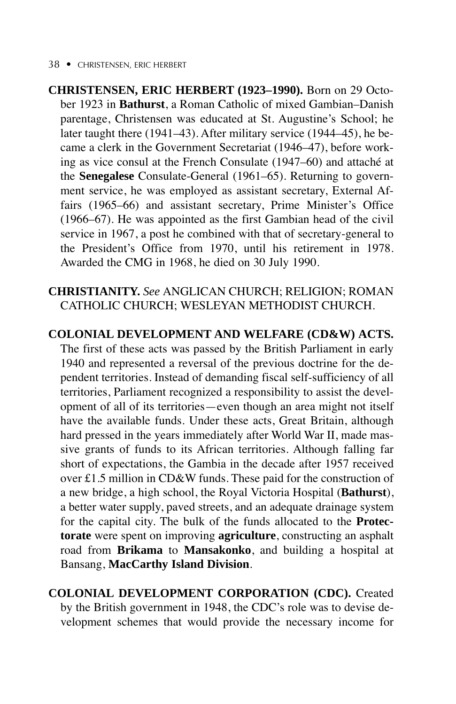38 • CHRISTENSEN, ERIC HERBERT

**CHRISTENSEN, ERIC HERBERT (1923–1990).** Born on 29 October 1923 in **Bathurst**, a Roman Catholic of mixed Gambian–Danish parentage, Christensen was educated at St. Augustine's School; he later taught there (1941–43). After military service (1944–45), he became a clerk in the Government Secretariat (1946–47), before working as vice consul at the French Consulate (1947–60) and attaché at the **Senegalese** Consulate-General (1961–65). Returning to government service, he was employed as assistant secretary, External Affairs (1965–66) and assistant secretary, Prime Minister's Office (1966–67). He was appointed as the first Gambian head of the civil service in 1967, a post he combined with that of secretary-general to the President's Office from 1970, until his retirement in 1978. Awarded the CMG in 1968, he died on 30 July 1990.

**CHRISTIANITY.** *See* ANGLICAN CHURCH; RELIGION; ROMAN CATHOLIC CHURCH; WESLEYAN METHODIST CHURCH.

**COLONIAL DEVELOPMENT AND WELFARE (CD&W) ACTS.** The first of these acts was passed by the British Parliament in early 1940 and represented a reversal of the previous doctrine for the dependent territories. Instead of demanding fiscal self-sufficiency of all territories, Parliament recognized a responsibility to assist the development of all of its territories—even though an area might not itself have the available funds. Under these acts, Great Britain, although hard pressed in the years immediately after World War II, made massive grants of funds to its African territories. Although falling far short of expectations, the Gambia in the decade after 1957 received over £1.5 million in CD&W funds. These paid for the construction of a new bridge, a high school, the Royal Victoria Hospital (**Bathurst**), a better water supply, paved streets, and an adequate drainage system for the capital city. The bulk of the funds allocated to the **Protectorate** were spent on improving **agriculture**, constructing an asphalt road from **Brikama** to **Mansakonko**, and building a hospital at Bansang, **MacCarthy Island Division**.

**COLONIAL DEVELOPMENT CORPORATION (CDC).** Created by the British government in 1948, the CDC's role was to devise development schemes that would provide the necessary income for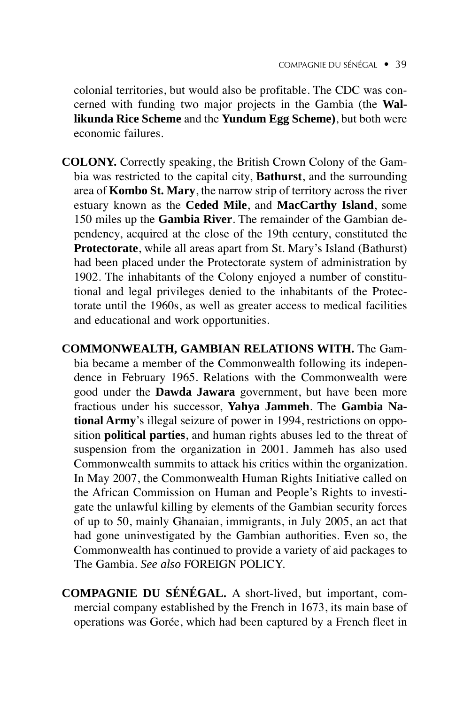colonial territories, but would also be profitable. The CDC was concerned with funding two major projects in the Gambia (the **Wallikunda Rice Scheme** and the **Yundum Egg Scheme)**, but both were economic failures.

- **COLONY.** Correctly speaking, the British Crown Colony of the Gambia was restricted to the capital city, **Bathurst**, and the surrounding area of **Kombo St. Mary**, the narrow strip of territory across the river estuary known as the **Ceded Mile**, and **MacCarthy Island**, some 150 miles up the **Gambia River**. The remainder of the Gambian dependency, acquired at the close of the 19th century, constituted the **Protectorate**, while all areas apart from St. Mary's Island (Bathurst) had been placed under the Protectorate system of administration by 1902. The inhabitants of the Colony enjoyed a number of constitutional and legal privileges denied to the inhabitants of the Protectorate until the 1960s, as well as greater access to medical facilities and educational and work opportunities.
- **COMMONWEALTH, GAMBIAN RELATIONS WITH.** The Gambia became a member of the Commonwealth following its independence in February 1965. Relations with the Commonwealth were good under the **Dawda Jawara** government, but have been more fractious under his successor, **Yahya Jammeh**. The **Gambia National Army**'s illegal seizure of power in 1994, restrictions on opposition **political parties**, and human rights abuses led to the threat of suspension from the organization in 2001. Jammeh has also used Commonwealth summits to attack his critics within the organization. In May 2007, the Commonwealth Human Rights Initiative called on the African Commission on Human and People's Rights to investigate the unlawful killing by elements of the Gambian security forces of up to 50, mainly Ghanaian, immigrants, in July 2005, an act that had gone uninvestigated by the Gambian authorities. Even so, the Commonwealth has continued to provide a variety of aid packages to The Gambia. *See also* FOREIGN POLICY.
- **COMPAGNIE DU SÉNÉGAL.** A short-lived, but important, commercial company established by the French in 1673, its main base of operations was Gorée, which had been captured by a French fleet in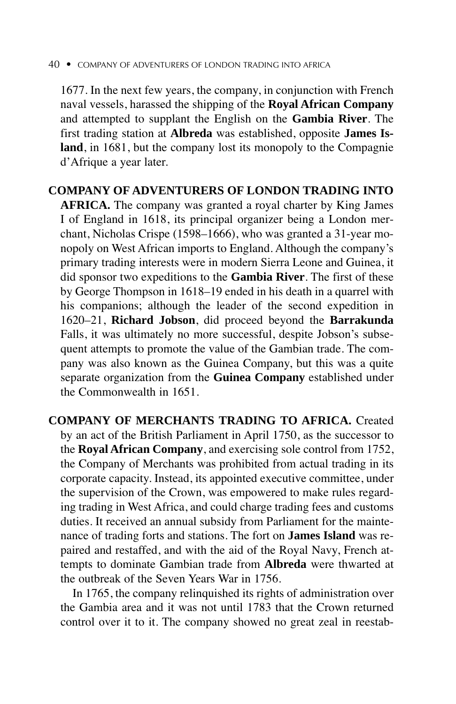## 40 • COMPANY OF ADVENTURERS OF LONDON TRADING INTO AFRICA

1677. In the next few years, the company, in conjunction with French naval vessels, harassed the shipping of the **Royal African Company** and attempted to supplant the English on the **Gambia River**. The first trading station at **Albreda** was established, opposite **James Island**, in 1681, but the company lost its monopoly to the Compagnie d'Afrique a year later.

# **COMPANY OF ADVENTURERS OF LONDON TRADING INTO**

**AFRICA.** The company was granted a royal charter by King James I of England in 1618, its principal organizer being a London merchant, Nicholas Crispe (1598–1666), who was granted a 31-year monopoly on West African imports to England. Although the company's primary trading interests were in modern Sierra Leone and Guinea, it did sponsor two expeditions to the **Gambia River**. The first of these by George Thompson in 1618–19 ended in his death in a quarrel with his companions; although the leader of the second expedition in 1620–21, **Richard Jobson**, did proceed beyond the **Barrakunda** Falls, it was ultimately no more successful, despite Jobson's subsequent attempts to promote the value of the Gambian trade. The company was also known as the Guinea Company, but this was a quite separate organization from the **Guinea Company** established under the Commonwealth in 1651.

**COMPANY OF MERCHANTS TRADING TO AFRICA.** Created by an act of the British Parliament in April 1750, as the successor to the **Royal African Company**, and exercising sole control from 1752, the Company of Merchants was prohibited from actual trading in its corporate capacity. Instead, its appointed executive committee, under the supervision of the Crown, was empowered to make rules regarding trading in West Africa, and could charge trading fees and customs duties. It received an annual subsidy from Parliament for the maintenance of trading forts and stations. The fort on **James Island** was repaired and restaffed, and with the aid of the Royal Navy, French attempts to dominate Gambian trade from **Albreda** were thwarted at the outbreak of the Seven Years War in 1756.

In 1765, the company relinquished its rights of administration over the Gambia area and it was not until 1783 that the Crown returned control over it to it. The company showed no great zeal in reestab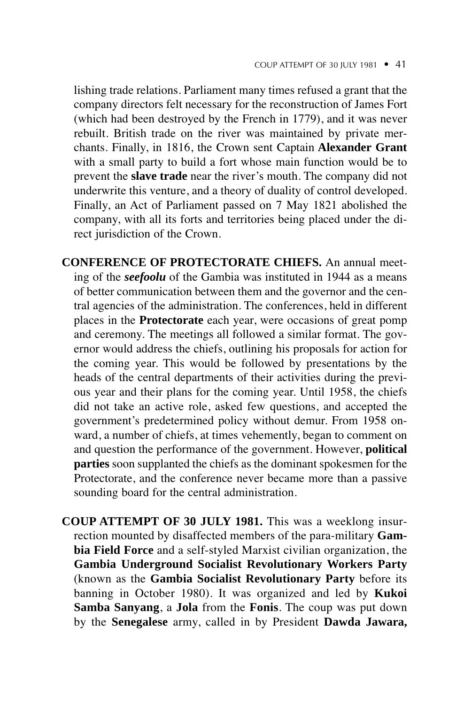lishing trade relations. Parliament many times refused a grant that the company directors felt necessary for the reconstruction of James Fort (which had been destroyed by the French in 1779), and it was never rebuilt. British trade on the river was maintained by private merchants. Finally, in 1816, the Crown sent Captain **Alexander Grant** with a small party to build a fort whose main function would be to prevent the **slave trade** near the river's mouth. The company did not underwrite this venture, and a theory of duality of control developed. Finally, an Act of Parliament passed on 7 May 1821 abolished the company, with all its forts and territories being placed under the direct jurisdiction of the Crown.

- **CONFERENCE OF PROTECTORATE CHIEFS.** An annual meeting of the *seefoolu* of the Gambia was instituted in 1944 as a means of better communication between them and the governor and the central agencies of the administration. The conferences, held in different places in the **Protectorate** each year, were occasions of great pomp and ceremony. The meetings all followed a similar format. The governor would address the chiefs, outlining his proposals for action for the coming year. This would be followed by presentations by the heads of the central departments of their activities during the previous year and their plans for the coming year. Until 1958, the chiefs did not take an active role, asked few questions, and accepted the government's predetermined policy without demur. From 1958 onward, a number of chiefs, at times vehemently, began to comment on and question the performance of the government. However, **political parties** soon supplanted the chiefs as the dominant spokesmen for the Protectorate, and the conference never became more than a passive sounding board for the central administration.
- **COUP ATTEMPT OF 30 JULY 1981.** This was a weeklong insurrection mounted by disaffected members of the para-military **Gambia Field Force** and a self-styled Marxist civilian organization, the **Gambia Underground Socialist Revolutionary Workers Party** (known as the **Gambia Socialist Revolutionary Party** before its banning in October 1980). It was organized and led by **Kukoi Samba Sanyang**, a **Jola** from the **Fonis**. The coup was put down by the **Senegalese** army, called in by President **Dawda Jawara,**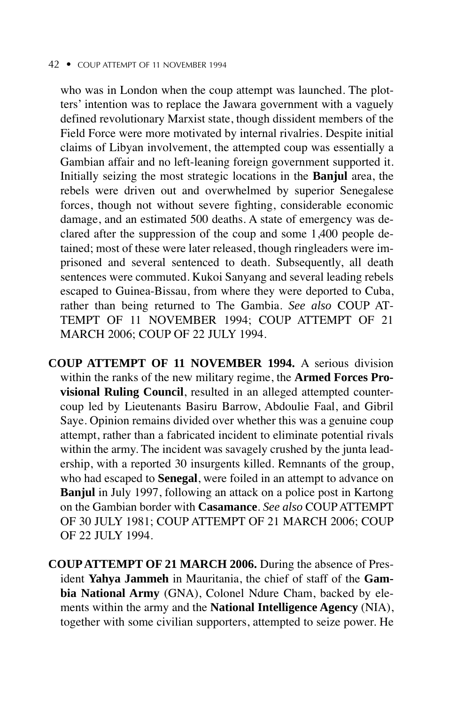## 42 • COUP ATTEMPT OF 11 NOVEMBER 1994

who was in London when the coup attempt was launched. The plotters' intention was to replace the Jawara government with a vaguely defined revolutionary Marxist state, though dissident members of the Field Force were more motivated by internal rivalries. Despite initial claims of Libyan involvement, the attempted coup was essentially a Gambian affair and no left-leaning foreign government supported it. Initially seizing the most strategic locations in the **Banjul** area, the rebels were driven out and overwhelmed by superior Senegalese forces, though not without severe fighting, considerable economic damage, and an estimated 500 deaths. A state of emergency was declared after the suppression of the coup and some 1,400 people detained; most of these were later released, though ringleaders were imprisoned and several sentenced to death. Subsequently, all death sentences were commuted. Kukoi Sanyang and several leading rebels escaped to Guinea-Bissau, from where they were deported to Cuba, rather than being returned to The Gambia. *See also* COUP AT-TEMPT OF 11 NOVEMBER 1994; COUP ATTEMPT OF 21 MARCH 2006; COUP OF 22 JULY 1994.

**COUP ATTEMPT OF 11 NOVEMBER 1994.** A serious division within the ranks of the new military regime, the **Armed Forces Provisional Ruling Council**, resulted in an alleged attempted countercoup led by Lieutenants Basiru Barrow, Abdoulie Faal, and Gibril Saye. Opinion remains divided over whether this was a genuine coup attempt, rather than a fabricated incident to eliminate potential rivals within the army. The incident was savagely crushed by the junta leadership, with a reported 30 insurgents killed. Remnants of the group, who had escaped to **Senegal**, were foiled in an attempt to advance on **Banjul** in July 1997, following an attack on a police post in Kartong on the Gambian border with **Casamance**. *See also* COUP ATTEMPT OF 30 JULY 1981; COUP ATTEMPT OF 21 MARCH 2006; COUP OF 22 HHY 1994

**COUP ATTEMPT OF 21 MARCH 2006.** During the absence of President **Yahya Jammeh** in Mauritania, the chief of staff of the **Gambia National Army** (GNA), Colonel Ndure Cham, backed by elements within the army and the **National Intelligence Agency** (NIA), together with some civilian supporters, attempted to seize power. He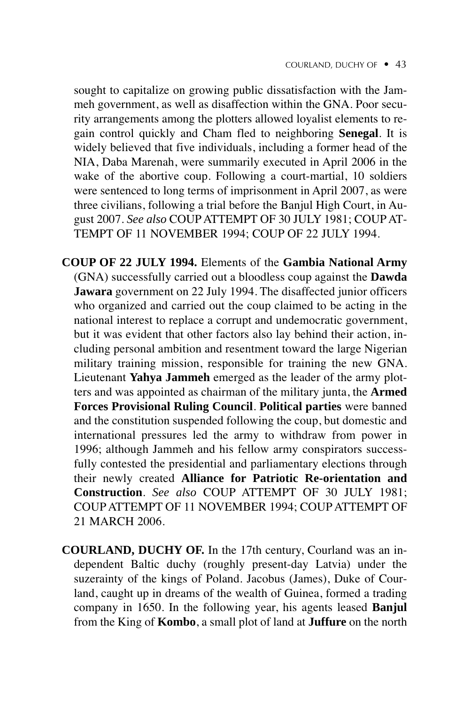sought to capitalize on growing public dissatisfaction with the Jammeh government, as well as disaffection within the GNA. Poor security arrangements among the plotters allowed loyalist elements to regain control quickly and Cham fled to neighboring **Senegal**. It is widely believed that five individuals, including a former head of the NIA, Daba Marenah, were summarily executed in April 2006 in the wake of the abortive coup. Following a court-martial, 10 soldiers were sentenced to long terms of imprisonment in April 2007, as were three civilians, following a trial before the Banjul High Court, in August 2007. *See also* COUP ATTEMPT OF 30 JULY 1981; COUP AT-TEMPT OF 11 NOVEMBER 1994; COUP OF 22 JULY 1994.

- **COUP OF 22 JULY 1994.** Elements of the **Gambia National Army** (GNA) successfully carried out a bloodless coup against the **Dawda Jawara** government on 22 July 1994. The disaffected junior officers who organized and carried out the coup claimed to be acting in the national interest to replace a corrupt and undemocratic government, but it was evident that other factors also lay behind their action, including personal ambition and resentment toward the large Nigerian military training mission, responsible for training the new GNA. Lieutenant **Yahya Jammeh** emerged as the leader of the army plotters and was appointed as chairman of the military junta, the **Armed Forces Provisional Ruling Council**. **Political parties** were banned and the constitution suspended following the coup, but domestic and international pressures led the army to withdraw from power in 1996; although Jammeh and his fellow army conspirators successfully contested the presidential and parliamentary elections through their newly created **Alliance for Patriotic Re-orientation and Construction**. *See also* COUP ATTEMPT OF 30 JULY 1981; COUP ATTEMPT OF 11 NOVEMBER 1994; COUP ATTEMPT OF 21 MARCH 2006.
- **COURLAND, DUCHY OF.** In the 17th century, Courland was an independent Baltic duchy (roughly present-day Latvia) under the suzerainty of the kings of Poland. Jacobus (James), Duke of Courland, caught up in dreams of the wealth of Guinea, formed a trading company in 1650. In the following year, his agents leased **Banjul** from the King of **Kombo**, a small plot of land at **Juffure** on the north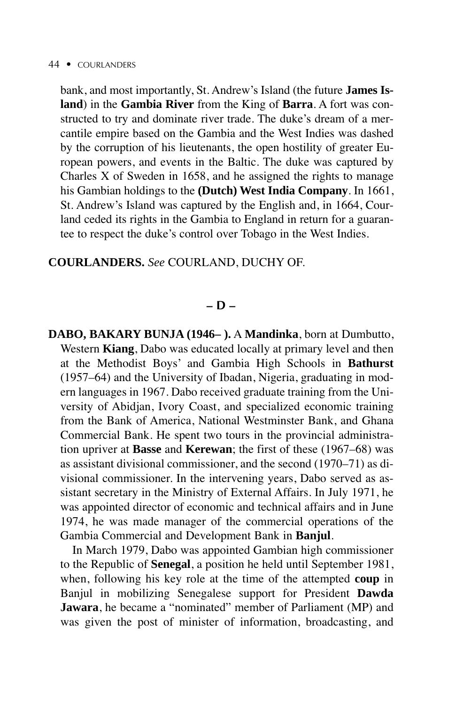## 44 • COURLANDERS

bank, and most importantly, St. Andrew's Island (the future **James Island**) in the **Gambia River** from the King of **Barra**. A fort was constructed to try and dominate river trade. The duke's dream of a mercantile empire based on the Gambia and the West Indies was dashed by the corruption of his lieutenants, the open hostility of greater European powers, and events in the Baltic. The duke was captured by Charles X of Sweden in 1658, and he assigned the rights to manage his Gambian holdings to the **(Dutch) West India Company**. In 1661, St. Andrew's Island was captured by the English and, in 1664, Courland ceded its rights in the Gambia to England in return for a guarantee to respect the duke's control over Tobago in the West Indies.

# **COURLANDERS.** *See* COURLAND, DUCHY OF.

## **– D –**

**DABO, BAKARY BUNJA (1946– ).** A **Mandinka**, born at Dumbutto, Western **Kiang**, Dabo was educated locally at primary level and then at the Methodist Boys' and Gambia High Schools in **Bathurst** (1957–64) and the University of Ibadan, Nigeria, graduating in modern languages in 1967. Dabo received graduate training from the University of Abidjan, Ivory Coast, and specialized economic training from the Bank of America, National Westminster Bank, and Ghana Commercial Bank. He spent two tours in the provincial administration upriver at **Basse** and **Kerewan**; the first of these (1967–68) was as assistant divisional commissioner, and the second (1970–71) as divisional commissioner. In the intervening years, Dabo served as assistant secretary in the Ministry of External Affairs. In July 1971, he was appointed director of economic and technical affairs and in June 1974, he was made manager of the commercial operations of the Gambia Commercial and Development Bank in **Banjul**.

In March 1979, Dabo was appointed Gambian high commissioner to the Republic of **Senegal**, a position he held until September 1981, when, following his key role at the time of the attempted **coup** in Banjul in mobilizing Senegalese support for President **Dawda Jawara**, he became a "nominated" member of Parliament (MP) and was given the post of minister of information, broadcasting, and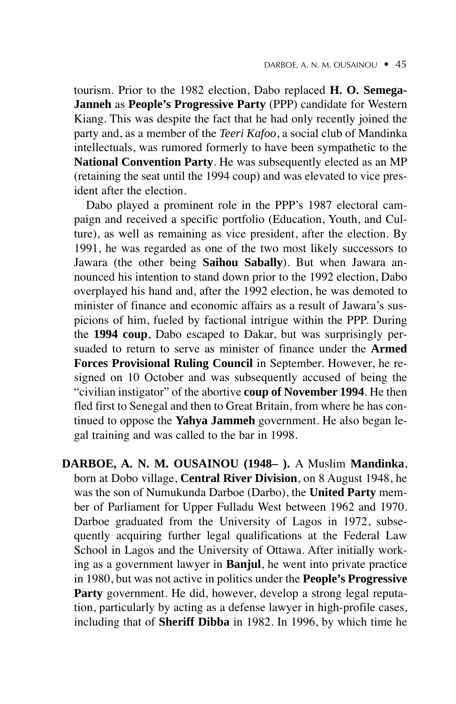tourism. Prior to the 1982 election, Dabo replaced **H. O. Semega-Janneh** as **People's Progressive Party** (PPP) candidate for Western Kiang. This was despite the fact that he had only recently joined the party and, as a member of the *Teeri Kafoo*, a social club of Mandinka intellectuals, was rumored formerly to have been sympathetic to the **National Convention Party**. He was subsequently elected as an MP (retaining the seat until the 1994 coup) and was elevated to vice president after the election.

Dabo played a prominent role in the PPP's 1987 electoral campaign and received a specific portfolio (Education, Youth, and Culture), as well as remaining as vice president, after the election. By 1991, he was regarded as one of the two most likely successors to Jawara (the other being **Saihou Sabally**). But when Jawara announced his intention to stand down prior to the 1992 election, Dabo overplayed his hand and, after the 1992 election, he was demoted to minister of finance and economic affairs as a result of Jawara's suspicions of him, fueled by factional intrigue within the PPP. During the **1994 coup**, Dabo escaped to Dakar, but was surprisingly persuaded to return to serve as minister of finance under the **Armed Forces Provisional Ruling Council** in September. However, he resigned on 10 October and was subsequently accused of being the "civilian instigator" of the abortive **coup of November 1994**. He then fled first to Senegal and then to Great Britain, from where he has continued to oppose the **Yahya Jammeh** government. He also began legal training and was called to the bar in 1998.

**DARBOE, A. N. M. OUSAINOU (1948– ).** A Muslim **Mandinka**, born at Dobo village, **Central River Division**, on 8 August 1948, he was the son of Numukunda Darboe (Darbo), the **United Party** member of Parliament for Upper Fulladu West between 1962 and 1970. Darboe graduated from the University of Lagos in 1972, subsequently acquiring further legal qualifications at the Federal Law School in Lagos and the University of Ottawa. After initially working as a government lawyer in **Banjul**, he went into private practice in 1980, but was not active in politics under the **People's Progressive Party** government. He did, however, develop a strong legal reputation, particularly by acting as a defense lawyer in high-profile cases, including that of **Sheriff Dibba** in 1982. In 1996, by which time he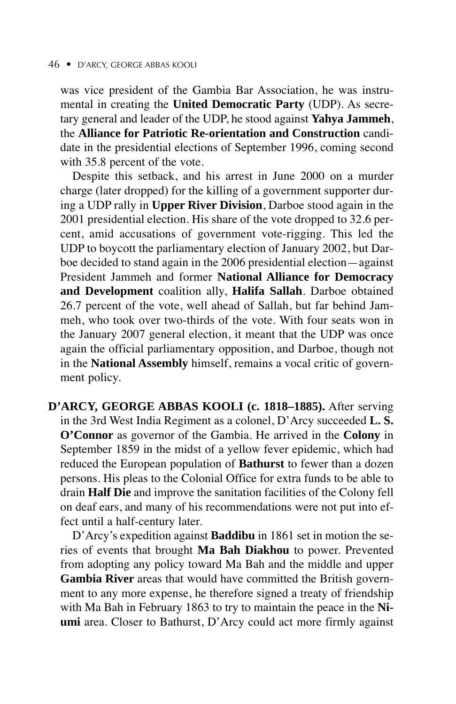## 46 • D'ARCY, GEORGE ABBAS KOOLI

was vice president of the Gambia Bar Association, he was instrumental in creating the **United Democratic Party** (UDP). As secretary general and leader of the UDP, he stood against **Yahya Jammeh**, the **Alliance for Patriotic Re-orientation and Construction** candidate in the presidential elections of September 1996, coming second with 35.8 percent of the vote.

Despite this setback, and his arrest in June 2000 on a murder charge (later dropped) for the killing of a government supporter during a UDP rally in **Upper River Division**, Darboe stood again in the 2001 presidential election. His share of the vote dropped to 32.6 percent, amid accusations of government vote-rigging. This led the UDP to boycott the parliamentary election of January 2002, but Darboe decided to stand again in the 2006 presidential election—against President Jammeh and former **National Alliance for Democracy and Development** coalition ally, **Halifa Sallah**. Darboe obtained 26.7 percent of the vote, well ahead of Sallah, but far behind Jammeh, who took over two-thirds of the vote. With four seats won in the January 2007 general election, it meant that the UDP was once again the official parliamentary opposition, and Darboe, though not in the **National Assembly** himself, remains a vocal critic of government policy.

**D'ARCY, GEORGE ABBAS KOOLI (c. 1818–1885).** After serving in the 3rd West India Regiment as a colonel, D'Arcy succeeded **L. S. O'Connor** as governor of the Gambia. He arrived in the **Colony** in September 1859 in the midst of a yellow fever epidemic, which had reduced the European population of **Bathurst** to fewer than a dozen persons. His pleas to the Colonial Office for extra funds to be able to drain **Half Die** and improve the sanitation facilities of the Colony fell on deaf ears, and many of his recommendations were not put into effect until a half-century later.

D'Arcy's expedition against **Baddibu** in 1861 set in motion the series of events that brought **Ma Bah Diakhou** to power. Prevented from adopting any policy toward Ma Bah and the middle and upper **Gambia River** areas that would have committed the British government to any more expense, he therefore signed a treaty of friendship with Ma Bah in February 1863 to try to maintain the peace in the **Niumi** area. Closer to Bathurst, D'Arcy could act more firmly against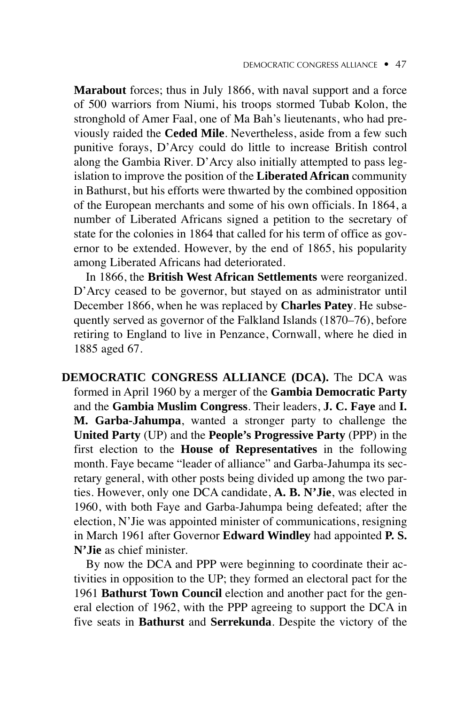**Marabout** forces; thus in July 1866, with naval support and a force of 500 warriors from Niumi, his troops stormed Tubab Kolon, the stronghold of Amer Faal, one of Ma Bah's lieutenants, who had previously raided the **Ceded Mile**. Nevertheless, aside from a few such punitive forays, D'Arcy could do little to increase British control along the Gambia River. D'Arcy also initially attempted to pass legislation to improve the position of the **Liberated African** community in Bathurst, but his efforts were thwarted by the combined opposition of the European merchants and some of his own officials. In 1864, a number of Liberated Africans signed a petition to the secretary of state for the colonies in 1864 that called for his term of office as governor to be extended. However, by the end of 1865, his popularity among Liberated Africans had deteriorated.

In 1866, the **British West African Settlements** were reorganized. D'Arcy ceased to be governor, but stayed on as administrator until December 1866, when he was replaced by **Charles Patey**. He subsequently served as governor of the Falkland Islands (1870–76), before retiring to England to live in Penzance, Cornwall, where he died in 1885 aged 67.

**DEMOCRATIC CONGRESS ALLIANCE (DCA).** The DCA was formed in April 1960 by a merger of the **Gambia Democratic Party** and the **Gambia Muslim Congress**. Their leaders, **J. C. Faye** and **I. M. Garba-Jahumpa**, wanted a stronger party to challenge the **United Party** (UP) and the **People's Progressive Party** (PPP) in the first election to the **House of Representatives** in the following month. Faye became "leader of alliance" and Garba-Jahumpa its secretary general, with other posts being divided up among the two parties. However, only one DCA candidate, **A. B. N'Jie**, was elected in 1960, with both Faye and Garba-Jahumpa being defeated; after the election, N'Jie was appointed minister of communications, resigning in March 1961 after Governor **Edward Windley** had appointed **P. S. N'Jie** as chief minister.

By now the DCA and PPP were beginning to coordinate their activities in opposition to the UP; they formed an electoral pact for the 1961 **Bathurst Town Council** election and another pact for the general election of 1962, with the PPP agreeing to support the DCA in five seats in **Bathurst** and **Serrekunda**. Despite the victory of the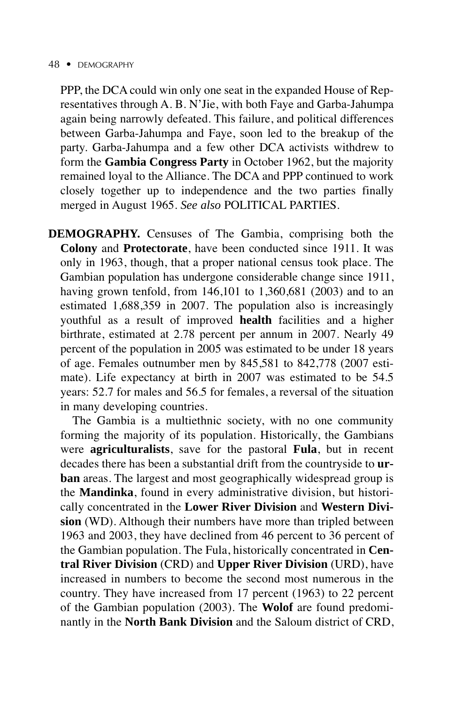### 48 • DEMOGRAPHY

PPP, the DCA could win only one seat in the expanded House of Representatives through A. B. N'Jie, with both Faye and Garba-Jahumpa again being narrowly defeated. This failure, and political differences between Garba-Jahumpa and Faye, soon led to the breakup of the party. Garba-Jahumpa and a few other DCA activists withdrew to form the **Gambia Congress Party** in October 1962, but the majority remained loyal to the Alliance. The DCA and PPP continued to work closely together up to independence and the two parties finally merged in August 1965. *See also* POLITICAL PARTIES.

**DEMOGRAPHY.** Censuses of The Gambia, comprising both the **Colony** and **Protectorate**, have been conducted since 1911. It was only in 1963, though, that a proper national census took place. The Gambian population has undergone considerable change since 1911, having grown tenfold, from 146,101 to 1,360,681 (2003) and to an estimated 1,688,359 in 2007. The population also is increasingly youthful as a result of improved **health** facilities and a higher birthrate, estimated at 2.78 percent per annum in 2007. Nearly 49 percent of the population in 2005 was estimated to be under 18 years of age. Females outnumber men by 845,581 to 842,778 (2007 estimate). Life expectancy at birth in 2007 was estimated to be 54.5 years: 52.7 for males and 56.5 for females, a reversal of the situation in many developing countries.

The Gambia is a multiethnic society, with no one community forming the majority of its population. Historically, the Gambians were **agriculturalists**, save for the pastoral **Fula**, but in recent decades there has been a substantial drift from the countryside to **urban** areas. The largest and most geographically widespread group is the **Mandinka**, found in every administrative division, but historically concentrated in the **Lower River Division** and **Western Division** (WD). Although their numbers have more than tripled between 1963 and 2003, they have declined from 46 percent to 36 percent of the Gambian population. The Fula, historically concentrated in **Central River Division** (CRD) and **Upper River Division** (URD), have increased in numbers to become the second most numerous in the country. They have increased from 17 percent (1963) to 22 percent of the Gambian population (2003). The **Wolof** are found predominantly in the **North Bank Division** and the Saloum district of CRD,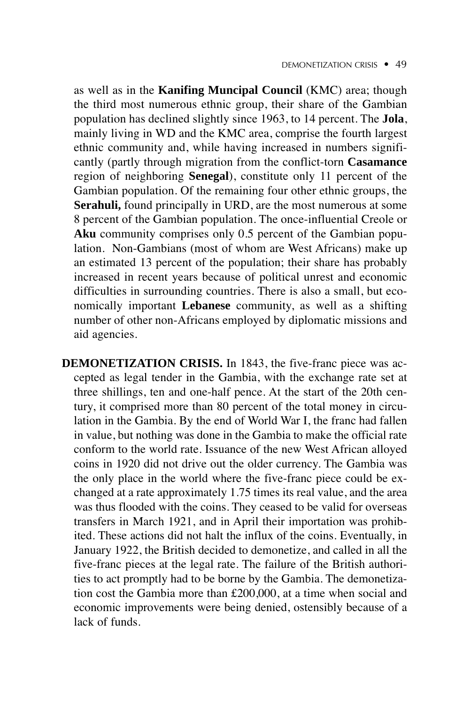as well as in the **Kanifing Muncipal Council** (KMC) area; though the third most numerous ethnic group, their share of the Gambian population has declined slightly since 1963, to 14 percent. The **Jola**, mainly living in WD and the KMC area, comprise the fourth largest ethnic community and, while having increased in numbers significantly (partly through migration from the conflict-torn **Casamance** region of neighboring **Senegal**), constitute only 11 percent of the Gambian population. Of the remaining four other ethnic groups, the **Serahuli,** found principally in URD, are the most numerous at some 8 percent of the Gambian population. The once-influential Creole or **Aku** community comprises only 0.5 percent of the Gambian population. Non-Gambians (most of whom are West Africans) make up an estimated 13 percent of the population; their share has probably increased in recent years because of political unrest and economic difficulties in surrounding countries. There is also a small, but economically important **Lebanese** community, as well as a shifting number of other non-Africans employed by diplomatic missions and aid agencies.

**DEMONETIZATION CRISIS.** In 1843, the five-franc piece was accepted as legal tender in the Gambia, with the exchange rate set at three shillings, ten and one-half pence. At the start of the 20th century, it comprised more than 80 percent of the total money in circulation in the Gambia. By the end of World War I, the franc had fallen in value, but nothing was done in the Gambia to make the official rate conform to the world rate. Issuance of the new West African alloyed coins in 1920 did not drive out the older currency. The Gambia was the only place in the world where the five-franc piece could be exchanged at a rate approximately 1.75 times its real value, and the area was thus flooded with the coins. They ceased to be valid for overseas transfers in March 1921, and in April their importation was prohibited. These actions did not halt the influx of the coins. Eventually, in January 1922, the British decided to demonetize, and called in all the five-franc pieces at the legal rate. The failure of the British authorities to act promptly had to be borne by the Gambia. The demonetization cost the Gambia more than £200,000, at a time when social and economic improvements were being denied, ostensibly because of a lack of funds.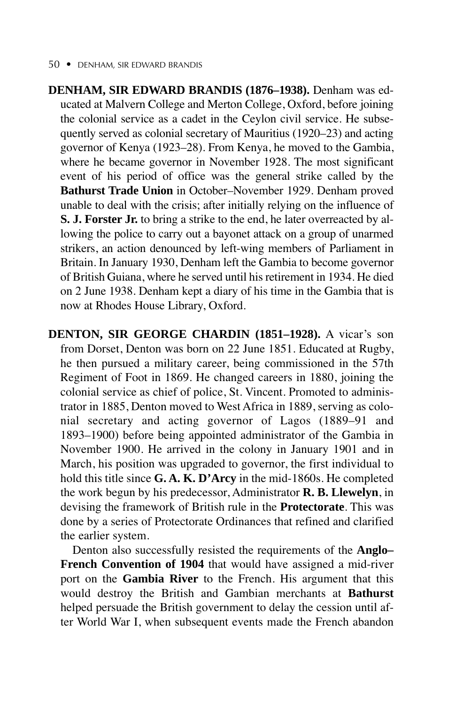50 • DENHAM, SIR EDWARD BRANDIS

**DENHAM, SIR EDWARD BRANDIS (1876–1938).** Denham was educated at Malvern College and Merton College, Oxford, before joining the colonial service as a cadet in the Ceylon civil service. He subsequently served as colonial secretary of Mauritius (1920–23) and acting governor of Kenya (1923–28). From Kenya, he moved to the Gambia, where he became governor in November 1928. The most significant event of his period of office was the general strike called by the **Bathurst Trade Union** in October–November 1929. Denham proved unable to deal with the crisis; after initially relying on the influence of **S. J. Forster Jr.** to bring a strike to the end, he later overreacted by allowing the police to carry out a bayonet attack on a group of unarmed strikers, an action denounced by left-wing members of Parliament in Britain. In January 1930, Denham left the Gambia to become governor of British Guiana, where he served until his retirement in 1934. He died on 2 June 1938. Denham kept a diary of his time in the Gambia that is now at Rhodes House Library, Oxford.

**DENTON, SIR GEORGE CHARDIN (1851–1928).** A vicar's son from Dorset, Denton was born on 22 June 1851. Educated at Rugby, he then pursued a military career, being commissioned in the 57th Regiment of Foot in 1869. He changed careers in 1880, joining the colonial service as chief of police, St. Vincent. Promoted to administrator in 1885, Denton moved to West Africa in 1889, serving as colonial secretary and acting governor of Lagos (1889–91 and 1893–1900) before being appointed administrator of the Gambia in November 1900. He arrived in the colony in January 1901 and in March, his position was upgraded to governor, the first individual to hold this title since **G. A. K. D'Arcy** in the mid-1860s. He completed the work begun by his predecessor, Administrator **R. B. Llewelyn**, in devising the framework of British rule in the **Protectorate**. This was done by a series of Protectorate Ordinances that refined and clarified the earlier system.

Denton also successfully resisted the requirements of the **Anglo– French Convention of 1904** that would have assigned a mid-river port on the **Gambia River** to the French. His argument that this would destroy the British and Gambian merchants at **Bathurst** helped persuade the British government to delay the cession until after World War I, when subsequent events made the French abandon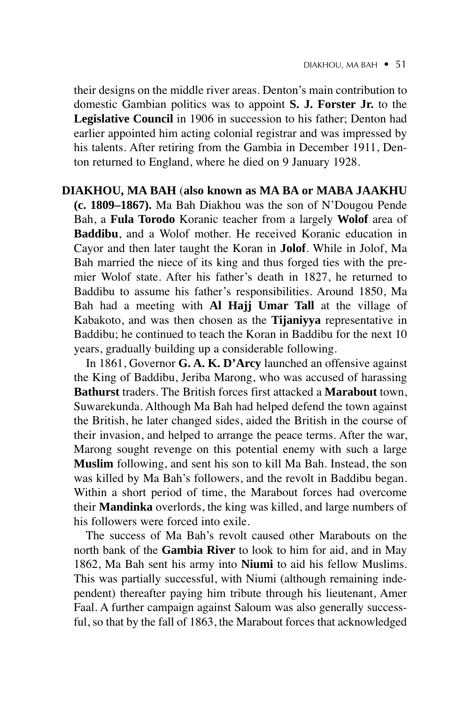their designs on the middle river areas. Denton's main contribution to domestic Gambian politics was to appoint **S. J. Forster Jr.** to the **Legislative Council** in 1906 in succession to his father; Denton had earlier appointed him acting colonial registrar and was impressed by his talents. After retiring from the Gambia in December 1911, Denton returned to England, where he died on 9 January 1928.

**DIAKHOU, MA BAH** (**also known as MA BA or MABA JAAKHU (c. 1809–1867).** Ma Bah Diakhou was the son of N'Dougou Pende Bah, a **Fula Torodo** Koranic teacher from a largely **Wolof** area of **Baddibu**, and a Wolof mother. He received Koranic education in Cayor and then later taught the Koran in **Jolof**. While in Jolof, Ma Bah married the niece of its king and thus forged ties with the premier Wolof state. After his father's death in 1827, he returned to Baddibu to assume his father's responsibilities. Around 1850, Ma Bah had a meeting with **Al Hajj Umar Tall** at the village of Kabakoto, and was then chosen as the **Tijaniyya** representative in Baddibu; he continued to teach the Koran in Baddibu for the next 10 years, gradually building up a considerable following.

In 1861, Governor **G. A. K. D'Arcy** launched an offensive against the King of Baddibu, Jeriba Marong, who was accused of harassing **Bathurst** traders. The British forces first attacked a **Marabout** town, Suwarekunda. Although Ma Bah had helped defend the town against the British, he later changed sides, aided the British in the course of their invasion, and helped to arrange the peace terms. After the war, Marong sought revenge on this potential enemy with such a large **Muslim** following, and sent his son to kill Ma Bah. Instead, the son was killed by Ma Bah's followers, and the revolt in Baddibu began. Within a short period of time, the Marabout forces had overcome their **Mandinka** overlords, the king was killed, and large numbers of his followers were forced into exile.

The success of Ma Bah's revolt caused other Marabouts on the north bank of the **Gambia River** to look to him for aid, and in May 1862, Ma Bah sent his army into **Niumi** to aid his fellow Muslims. This was partially successful, with Niumi (although remaining independent) thereafter paying him tribute through his lieutenant, Amer Faal. A further campaign against Saloum was also generally successful, so that by the fall of 1863, the Marabout forces that acknowledged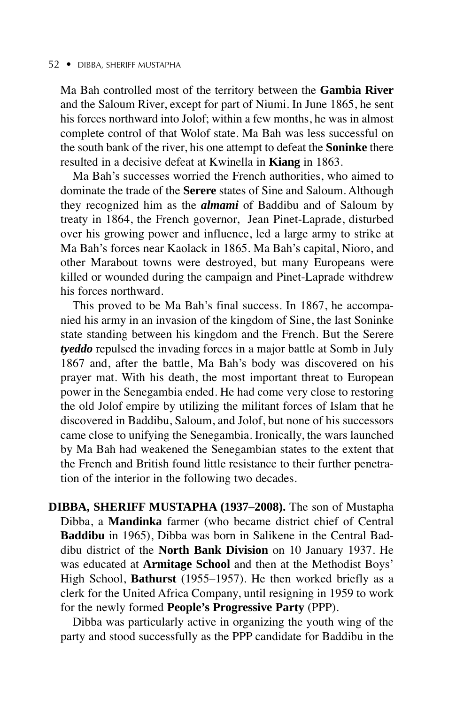#### 52 • DIBBA, SHERIFF MUSTAPHA

Ma Bah controlled most of the territory between the **Gambia River** and the Saloum River, except for part of Niumi. In June 1865, he sent his forces northward into Jolof; within a few months, he was in almost complete control of that Wolof state. Ma Bah was less successful on the south bank of the river, his one attempt to defeat the **Soninke** there resulted in a decisive defeat at Kwinella in **Kiang** in 1863.

Ma Bah's successes worried the French authorities, who aimed to dominate the trade of the **Serere** states of Sine and Saloum. Although they recognized him as the *almami* of Baddibu and of Saloum by treaty in 1864, the French governor, Jean Pinet-Laprade, disturbed over his growing power and influence, led a large army to strike at Ma Bah's forces near Kaolack in 1865. Ma Bah's capital, Nioro, and other Marabout towns were destroyed, but many Europeans were killed or wounded during the campaign and Pinet-Laprade withdrew his forces northward.

This proved to be Ma Bah's final success. In 1867, he accompanied his army in an invasion of the kingdom of Sine, the last Soninke state standing between his kingdom and the French. But the Serere *tyeddo* repulsed the invading forces in a major battle at Somb in July 1867 and, after the battle, Ma Bah's body was discovered on his prayer mat. With his death, the most important threat to European power in the Senegambia ended. He had come very close to restoring the old Jolof empire by utilizing the militant forces of Islam that he discovered in Baddibu, Saloum, and Jolof, but none of his successors came close to unifying the Senegambia. Ironically, the wars launched by Ma Bah had weakened the Senegambian states to the extent that the French and British found little resistance to their further penetration of the interior in the following two decades.

**DIBBA, SHERIFF MUSTAPHA (1937–2008).** The son of Mustapha Dibba, a **Mandinka** farmer (who became district chief of Central **Baddibu** in 1965), Dibba was born in Salikene in the Central Baddibu district of the **North Bank Division** on 10 January 1937. He was educated at **Armitage School** and then at the Methodist Boys' High School, **Bathurst** (1955–1957). He then worked briefly as a clerk for the United Africa Company, until resigning in 1959 to work for the newly formed **People's Progressive Party** (PPP).

Dibba was particularly active in organizing the youth wing of the party and stood successfully as the PPP candidate for Baddibu in the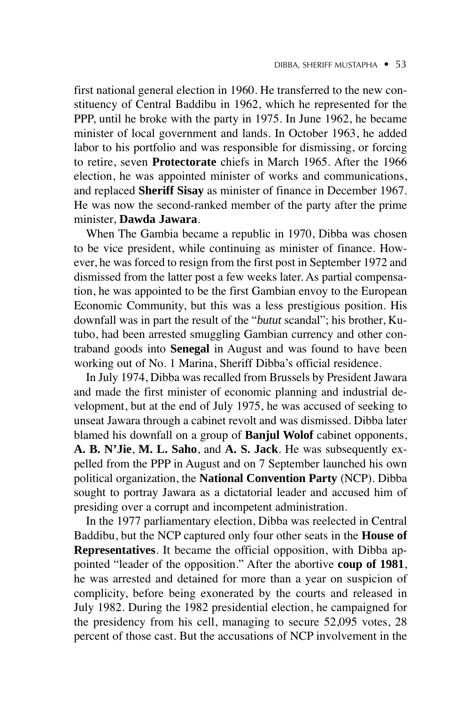first national general election in 1960. He transferred to the new constituency of Central Baddibu in 1962, which he represented for the PPP, until he broke with the party in 1975. In June 1962, he became minister of local government and lands. In October 1963, he added labor to his portfolio and was responsible for dismissing, or forcing to retire, seven **Protectorate** chiefs in March 1965. After the 1966 election, he was appointed minister of works and communications, and replaced **Sheriff Sisay** as minister of finance in December 1967. He was now the second-ranked member of the party after the prime minister, **Dawda Jawara**.

When The Gambia became a republic in 1970, Dibba was chosen to be vice president, while continuing as minister of finance. However, he was forced to resign from the first post in September 1972 and dismissed from the latter post a few weeks later. As partial compensation, he was appointed to be the first Gambian envoy to the European Economic Community, but this was a less prestigious position. His downfall was in part the result of the "*butut* scandal"; his brother, Kutubo, had been arrested smuggling Gambian currency and other contraband goods into **Senegal** in August and was found to have been working out of No. 1 Marina, Sheriff Dibba's official residence.

In July 1974, Dibba was recalled from Brussels by President Jawara and made the first minister of economic planning and industrial development, but at the end of July 1975, he was accused of seeking to unseat Jawara through a cabinet revolt and was dismissed. Dibba later blamed his downfall on a group of **Banjul Wolof** cabinet opponents, **A. B. N'Jie**, **M. L. Saho**, and **A. S. Jack**. He was subsequently expelled from the PPP in August and on 7 September launched his own political organization, the **National Convention Party** (NCP). Dibba sought to portray Jawara as a dictatorial leader and accused him of presiding over a corrupt and incompetent administration.

In the 1977 parliamentary election, Dibba was reelected in Central Baddibu, but the NCP captured only four other seats in the **House of Representatives**. It became the official opposition, with Dibba appointed "leader of the opposition." After the abortive **coup of 1981**, he was arrested and detained for more than a year on suspicion of complicity, before being exonerated by the courts and released in July 1982. During the 1982 presidential election, he campaigned for the presidency from his cell, managing to secure 52,095 votes, 28 percent of those cast. But the accusations of NCP involvement in the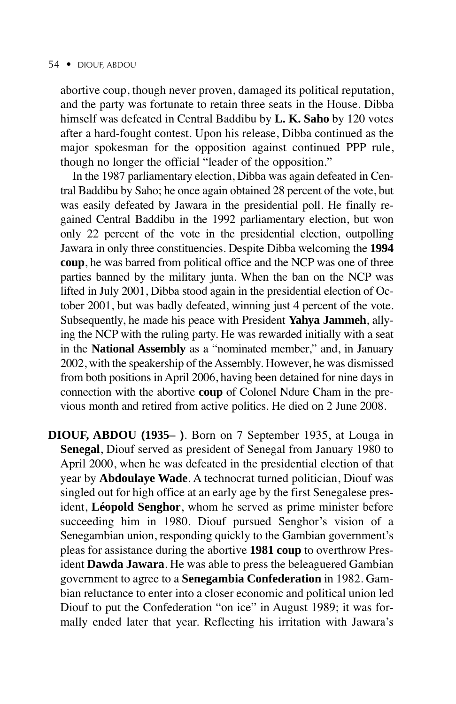## 54 • DIOUF, ABDOU

abortive coup, though never proven, damaged its political reputation, and the party was fortunate to retain three seats in the House. Dibba himself was defeated in Central Baddibu by **L. K. Saho** by 120 votes after a hard-fought contest. Upon his release, Dibba continued as the major spokesman for the opposition against continued PPP rule, though no longer the official "leader of the opposition."

In the 1987 parliamentary election, Dibba was again defeated in Central Baddibu by Saho; he once again obtained 28 percent of the vote, but was easily defeated by Jawara in the presidential poll. He finally regained Central Baddibu in the 1992 parliamentary election, but won only 22 percent of the vote in the presidential election, outpolling Jawara in only three constituencies. Despite Dibba welcoming the **1994 coup**, he was barred from political office and the NCP was one of three parties banned by the military junta. When the ban on the NCP was lifted in July 2001, Dibba stood again in the presidential election of October 2001, but was badly defeated, winning just 4 percent of the vote. Subsequently, he made his peace with President **Yahya Jammeh**, allying the NCP with the ruling party. He was rewarded initially with a seat in the **National Assembly** as a "nominated member," and, in January 2002, with the speakership of the Assembly. However, he was dismissed from both positions in April 2006, having been detained for nine days in connection with the abortive **coup** of Colonel Ndure Cham in the previous month and retired from active politics. He died on 2 June 2008.

**DIOUF, ABDOU (1935– )**. Born on 7 September 1935, at Louga in **Senegal**, Diouf served as president of Senegal from January 1980 to April 2000, when he was defeated in the presidential election of that year by **Abdoulaye Wade**. A technocrat turned politician, Diouf was singled out for high office at an early age by the first Senegalese president, **Léopold Senghor**, whom he served as prime minister before succeeding him in 1980. Diouf pursued Senghor's vision of a Senegambian union, responding quickly to the Gambian government's pleas for assistance during the abortive **1981 coup** to overthrow President **Dawda Jawara**. He was able to press the beleaguered Gambian government to agree to a **Senegambia Confederation** in 1982. Gambian reluctance to enter into a closer economic and political union led Diouf to put the Confederation "on ice" in August 1989; it was formally ended later that year. Reflecting his irritation with Jawara's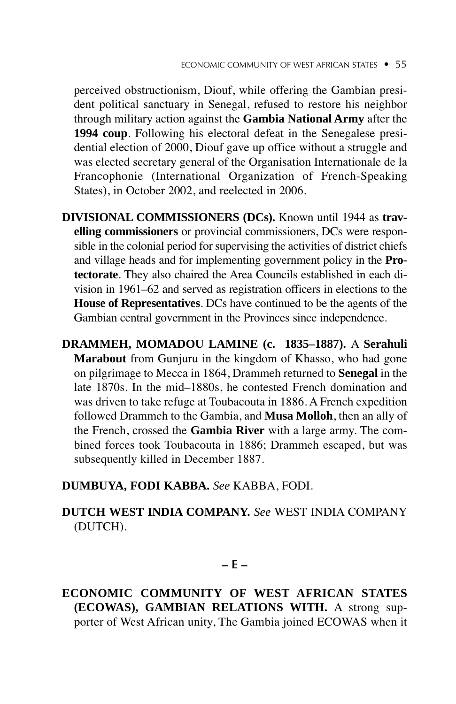perceived obstructionism, Diouf, while offering the Gambian president political sanctuary in Senegal, refused to restore his neighbor through military action against the **Gambia National Army** after the **1994 coup**. Following his electoral defeat in the Senegalese presidential election of 2000, Diouf gave up office without a struggle and was elected secretary general of the Organisation Internationale de la Francophonie (International Organization of French-Speaking States), in October 2002, and reelected in 2006.

- **DIVISIONAL COMMISSIONERS (DCs).** Known until 1944 as **travelling commissioners** or provincial commissioners, DCs were responsible in the colonial period for supervising the activities of district chiefs and village heads and for implementing government policy in the **Protectorate**. They also chaired the Area Councils established in each division in 1961–62 and served as registration officers in elections to the **House of Representatives**. DCs have continued to be the agents of the Gambian central government in the Provinces since independence.
- **DRAMMEH, MOMADOU LAMINE (c. 1835–1887).** A **Serahuli Marabout** from Gunjuru in the kingdom of Khasso, who had gone on pilgrimage to Mecca in 1864, Drammeh returned to **Senegal** in the late 1870s. In the mid–1880s, he contested French domination and was driven to take refuge at Toubacouta in 1886. A French expedition followed Drammeh to the Gambia, and **Musa Molloh**, then an ally of the French, crossed the **Gambia River** with a large army. The combined forces took Toubacouta in 1886; Drammeh escaped, but was subsequently killed in December 1887.
- **DUMBUYA, FODI KABBA.** *See* KABBA, FODI.

**DUTCH WEST INDIA COMPANY.** *See* WEST INDIA COMPANY (DUTCH).

**– E –**

**ECONOMIC COMMUNITY OF WEST AFRICAN STATES (ECOWAS), GAMBIAN RELATIONS WITH.** A strong supporter of West African unity, The Gambia joined ECOWAS when it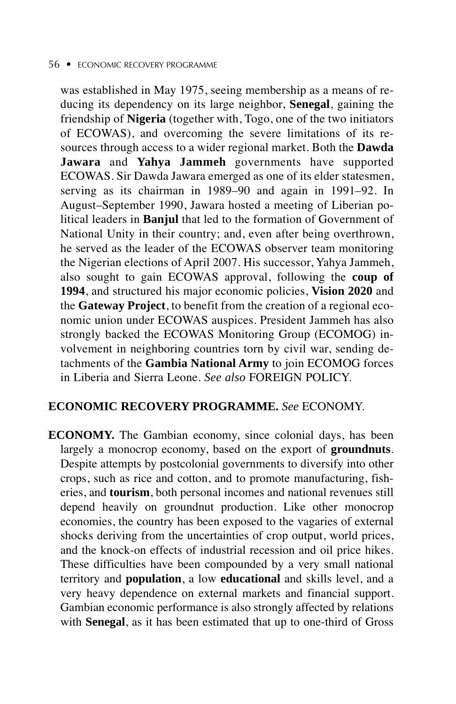## 56 • ECONOMIC RECOVERY PROGRAMME

was established in May 1975, seeing membership as a means of reducing its dependency on its large neighbor, **Senegal**, gaining the friendship of **Nigeria** (together with, Togo, one of the two initiators of ECOWAS), and overcoming the severe limitations of its resources through access to a wider regional market. Both the **Dawda Jawara** and **Yahya Jammeh** governments have supported ECOWAS. Sir Dawda Jawara emerged as one of its elder statesmen, serving as its chairman in 1989–90 and again in 1991–92. In August–September 1990, Jawara hosted a meeting of Liberian political leaders in **Banjul** that led to the formation of Government of National Unity in their country; and, even after being overthrown, he served as the leader of the ECOWAS observer team monitoring the Nigerian elections of April 2007. His successor, Yahya Jammeh, also sought to gain ECOWAS approval, following the **coup of 1994**, and structured his major economic policies, **Vision 2020** and the **Gateway Project**, to benefit from the creation of a regional economic union under ECOWAS auspices. President Jammeh has also strongly backed the ECOWAS Monitoring Group (ECOMOG) involvement in neighboring countries torn by civil war, sending detachments of the **Gambia National Army** to join ECOMOG forces in Liberia and Sierra Leone. *See also* FOREIGN POLICY.

# **ECONOMIC RECOVERY PROGRAMME.** *See* ECONOMY.

**ECONOMY.** The Gambian economy, since colonial days, has been largely a monocrop economy, based on the export of **groundnuts**. Despite attempts by postcolonial governments to diversify into other crops, such as rice and cotton, and to promote manufacturing, fisheries, and **tourism**, both personal incomes and national revenues still depend heavily on groundnut production. Like other monocrop economies, the country has been exposed to the vagaries of external shocks deriving from the uncertainties of crop output, world prices, and the knock-on effects of industrial recession and oil price hikes. These difficulties have been compounded by a very small national territory and **population**, a low **educational** and skills level, and a very heavy dependence on external markets and financial support. Gambian economic performance is also strongly affected by relations with **Senegal**, as it has been estimated that up to one-third of Gross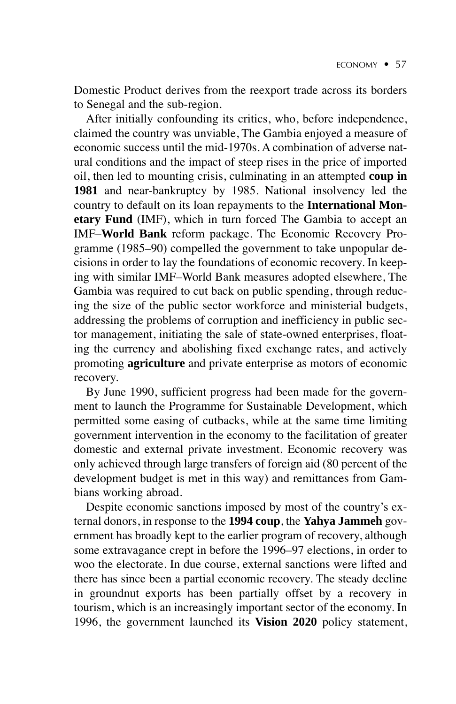Domestic Product derives from the reexport trade across its borders to Senegal and the sub-region.

After initially confounding its critics, who, before independence, claimed the country was unviable, The Gambia enjoyed a measure of economic success until the mid-1970s. A combination of adverse natural conditions and the impact of steep rises in the price of imported oil, then led to mounting crisis, culminating in an attempted **coup in 1981** and near-bankruptcy by 1985. National insolvency led the country to default on its loan repayments to the **International Monetary Fund** (IMF), which in turn forced The Gambia to accept an IMF–**World Bank** reform package. The Economic Recovery Programme (1985–90) compelled the government to take unpopular decisions in order to lay the foundations of economic recovery. In keeping with similar IMF–World Bank measures adopted elsewhere, The Gambia was required to cut back on public spending, through reducing the size of the public sector workforce and ministerial budgets, addressing the problems of corruption and inefficiency in public sector management, initiating the sale of state-owned enterprises, floating the currency and abolishing fixed exchange rates, and actively promoting **agriculture** and private enterprise as motors of economic recovery.

By June 1990, sufficient progress had been made for the government to launch the Programme for Sustainable Development, which permitted some easing of cutbacks, while at the same time limiting government intervention in the economy to the facilitation of greater domestic and external private investment. Economic recovery was only achieved through large transfers of foreign aid (80 percent of the development budget is met in this way) and remittances from Gambians working abroad.

Despite economic sanctions imposed by most of the country's external donors, in response to the **1994 coup**, the **Yahya Jammeh** government has broadly kept to the earlier program of recovery, although some extravagance crept in before the 1996–97 elections, in order to woo the electorate. In due course, external sanctions were lifted and there has since been a partial economic recovery. The steady decline in groundnut exports has been partially offset by a recovery in tourism, which is an increasingly important sector of the economy. In 1996, the government launched its **Vision 2020** policy statement,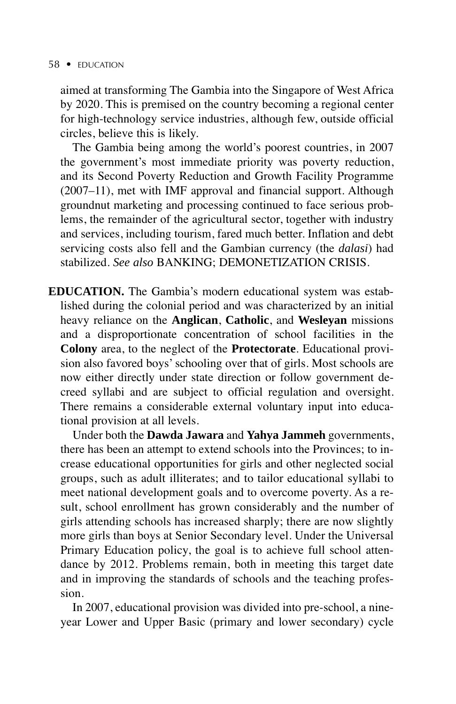## 58 • EDUCATION

aimed at transforming The Gambia into the Singapore of West Africa by 2020. This is premised on the country becoming a regional center for high-technology service industries, although few, outside official circles, believe this is likely.

The Gambia being among the world's poorest countries, in 2007 the government's most immediate priority was poverty reduction, and its Second Poverty Reduction and Growth Facility Programme (2007–11), met with IMF approval and financial support. Although groundnut marketing and processing continued to face serious problems, the remainder of the agricultural sector, together with industry and services, including tourism, fared much better. Inflation and debt servicing costs also fell and the Gambian currency (the *dalasi*) had stabilized. *See also* BANKING; DEMONETIZATION CRISIS.

**EDUCATION.** The Gambia's modern educational system was established during the colonial period and was characterized by an initial heavy reliance on the **Anglican**, **Catholic**, and **Wesleyan** missions and a disproportionate concentration of school facilities in the **Colony** area, to the neglect of the **Protectorate**. Educational provision also favored boys' schooling over that of girls. Most schools are now either directly under state direction or follow government decreed syllabi and are subject to official regulation and oversight. There remains a considerable external voluntary input into educational provision at all levels.

Under both the **Dawda Jawara** and **Yahya Jammeh** governments, there has been an attempt to extend schools into the Provinces; to increase educational opportunities for girls and other neglected social groups, such as adult illiterates; and to tailor educational syllabi to meet national development goals and to overcome poverty. As a result, school enrollment has grown considerably and the number of girls attending schools has increased sharply; there are now slightly more girls than boys at Senior Secondary level. Under the Universal Primary Education policy, the goal is to achieve full school attendance by 2012. Problems remain, both in meeting this target date and in improving the standards of schools and the teaching profession.

In 2007, educational provision was divided into pre-school, a nineyear Lower and Upper Basic (primary and lower secondary) cycle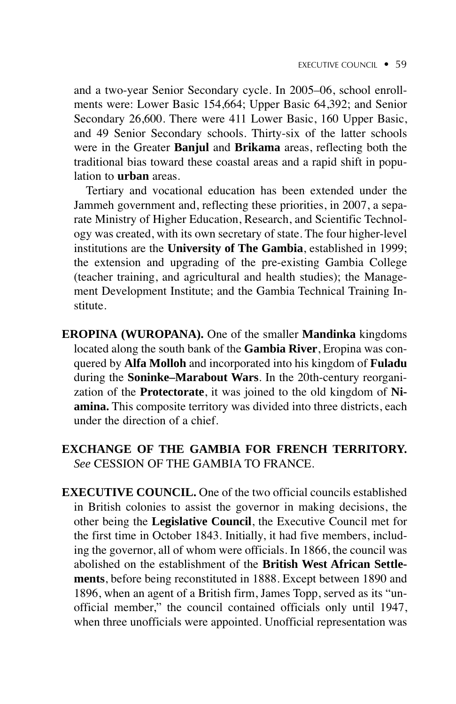and a two-year Senior Secondary cycle. In 2005–06, school enrollments were: Lower Basic 154,664; Upper Basic 64,392; and Senior Secondary 26,600. There were 411 Lower Basic, 160 Upper Basic, and 49 Senior Secondary schools. Thirty-six of the latter schools were in the Greater **Banjul** and **Brikama** areas, reflecting both the traditional bias toward these coastal areas and a rapid shift in population to **urban** areas.

Tertiary and vocational education has been extended under the Jammeh government and, reflecting these priorities, in 2007, a separate Ministry of Higher Education, Research, and Scientific Technology was created, with its own secretary of state. The four higher-level institutions are the **University of The Gambia**, established in 1999; the extension and upgrading of the pre-existing Gambia College (teacher training, and agricultural and health studies); the Management Development Institute; and the Gambia Technical Training Institute.

- **EROPINA (WUROPANA).** One of the smaller **Mandinka** kingdoms located along the south bank of the **Gambia River**, Eropina was conquered by **Alfa Molloh** and incorporated into his kingdom of **Fuladu** during the **Soninke–Marabout Wars**. In the 20th-century reorganization of the **Protectorate**, it was joined to the old kingdom of **Niamina.** This composite territory was divided into three districts, each under the direction of a chief.
- **EXCHANGE OF THE GAMBIA FOR FRENCH TERRITORY.** *See* CESSION OF THE GAMBIA TO FRANCE.
- **EXECUTIVE COUNCIL.** One of the two official councils established in British colonies to assist the governor in making decisions, the other being the **Legislative Council**, the Executive Council met for the first time in October 1843. Initially, it had five members, including the governor, all of whom were officials. In 1866, the council was abolished on the establishment of the **British West African Settlements**, before being reconstituted in 1888. Except between 1890 and 1896, when an agent of a British firm, James Topp, served as its "unofficial member," the council contained officials only until 1947, when three unofficials were appointed. Unofficial representation was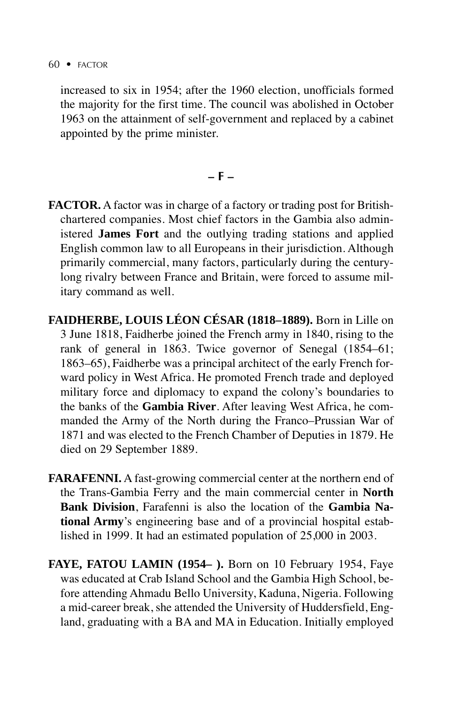increased to six in 1954; after the 1960 election, unofficials formed the majority for the first time. The council was abolished in October 1963 on the attainment of self-government and replaced by a cabinet appointed by the prime minister.

# **– F –**

- **FACTOR.** A factor was in charge of a factory or trading post for Britishchartered companies. Most chief factors in the Gambia also administered **James Fort** and the outlying trading stations and applied English common law to all Europeans in their jurisdiction. Although primarily commercial, many factors, particularly during the centurylong rivalry between France and Britain, were forced to assume military command as well.
- **FAIDHERBE, LOUIS LÉON CÉSAR (1818–1889).** Born in Lille on 3 June 1818, Faidherbe joined the French army in 1840, rising to the rank of general in 1863. Twice governor of Senegal (1854–61; 1863–65), Faidherbe was a principal architect of the early French forward policy in West Africa. He promoted French trade and deployed military force and diplomacy to expand the colony's boundaries to the banks of the **Gambia River**. After leaving West Africa, he commanded the Army of the North during the Franco–Prussian War of 1871 and was elected to the French Chamber of Deputies in 1879. He died on 29 September 1889.
- **FARAFENNI.** A fast-growing commercial center at the northern end of the Trans-Gambia Ferry and the main commercial center in **North Bank Division**, Farafenni is also the location of the **Gambia National Army**'s engineering base and of a provincial hospital established in 1999. It had an estimated population of 25,000 in 2003.
- **FAYE, FATOU LAMIN (1954– ).** Born on 10 February 1954, Faye was educated at Crab Island School and the Gambia High School, before attending Ahmadu Bello University, Kaduna, Nigeria. Following a mid-career break, she attended the University of Huddersfield, England, graduating with a BA and MA in Education. Initially employed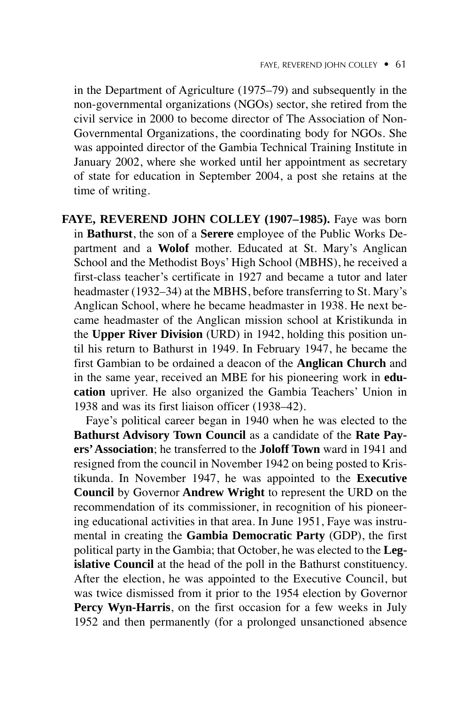in the Department of Agriculture (1975–79) and subsequently in the non-governmental organizations (NGOs) sector, she retired from the civil service in 2000 to become director of The Association of Non-Governmental Organizations, the coordinating body for NGOs. She was appointed director of the Gambia Technical Training Institute in January 2002, where she worked until her appointment as secretary of state for education in September 2004, a post she retains at the time of writing.

**FAYE, REVEREND JOHN COLLEY (1907–1985).** Faye was born in **Bathurst**, the son of a **Serere** employee of the Public Works Department and a **Wolof** mother. Educated at St. Mary's Anglican School and the Methodist Boys' High School (MBHS), he received a first-class teacher's certificate in 1927 and became a tutor and later headmaster (1932–34) at the MBHS, before transferring to St. Mary's Anglican School, where he became headmaster in 1938. He next became headmaster of the Anglican mission school at Kristikunda in the **Upper River Division** (URD) in 1942, holding this position until his return to Bathurst in 1949. In February 1947, he became the first Gambian to be ordained a deacon of the **Anglican Church** and in the same year, received an MBE for his pioneering work in **education** upriver. He also organized the Gambia Teachers' Union in 1938 and was its first liaison officer (1938–42).

Faye's political career began in 1940 when he was elected to the **Bathurst Advisory Town Council** as a candidate of the **Rate Payers'Association**; he transferred to the **Joloff Town** ward in 1941 and resigned from the council in November 1942 on being posted to Kristikunda. In November 1947, he was appointed to the **Executive Council** by Governor **Andrew Wright** to represent the URD on the recommendation of its commissioner, in recognition of his pioneering educational activities in that area. In June 1951, Faye was instrumental in creating the **Gambia Democratic Party** (GDP), the first political party in the Gambia; that October, he was elected to the **Legislative Council** at the head of the poll in the Bathurst constituency. After the election, he was appointed to the Executive Council, but was twice dismissed from it prior to the 1954 election by Governor **Percy Wyn-Harris**, on the first occasion for a few weeks in July 1952 and then permanently (for a prolonged unsanctioned absence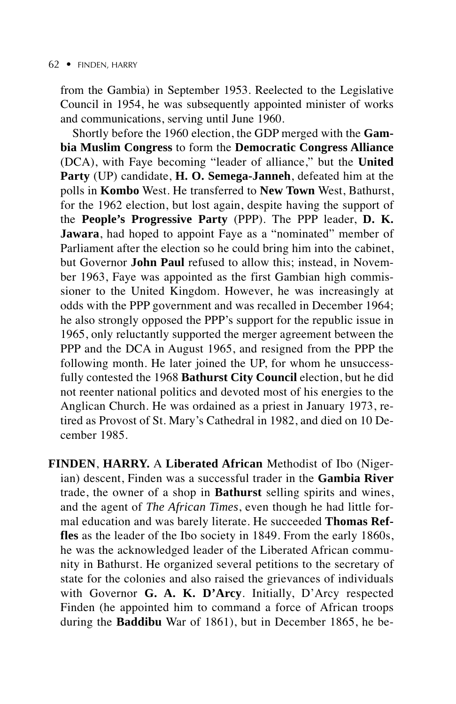from the Gambia) in September 1953. Reelected to the Legislative Council in 1954, he was subsequently appointed minister of works and communications, serving until June 1960.

Shortly before the 1960 election, the GDP merged with the **Gambia Muslim Congress** to form the **Democratic Congress Alliance** (DCA), with Faye becoming "leader of alliance," but the **United Party** (UP) candidate, **H. O. Semega-Janneh**, defeated him at the polls in **Kombo** West. He transferred to **New Town** West, Bathurst, for the 1962 election, but lost again, despite having the support of the **People's Progressive Party** (PPP). The PPP leader, **D. K. Jawara**, had hoped to appoint Faye as a "nominated" member of Parliament after the election so he could bring him into the cabinet, but Governor **John Paul** refused to allow this; instead, in November 1963, Faye was appointed as the first Gambian high commissioner to the United Kingdom. However, he was increasingly at odds with the PPP government and was recalled in December 1964; he also strongly opposed the PPP's support for the republic issue in 1965, only reluctantly supported the merger agreement between the PPP and the DCA in August 1965, and resigned from the PPP the following month. He later joined the UP, for whom he unsuccessfully contested the 1968 **Bathurst City Council** election, but he did not reenter national politics and devoted most of his energies to the Anglican Church. He was ordained as a priest in January 1973, retired as Provost of St. Mary's Cathedral in 1982, and died on 10 December 1985.

**FINDEN**, **HARRY.** A **Liberated African** Methodist of Ibo (Nigerian) descent, Finden was a successful trader in the **Gambia River** trade, the owner of a shop in **Bathurst** selling spirits and wines, and the agent of *The African Times*, even though he had little formal education and was barely literate. He succeeded **Thomas Reffles** as the leader of the Ibo society in 1849. From the early 1860s, he was the acknowledged leader of the Liberated African community in Bathurst. He organized several petitions to the secretary of state for the colonies and also raised the grievances of individuals with Governor **G. A. K. D'Arcy**. Initially, D'Arcy respected Finden (he appointed him to command a force of African troops during the **Baddibu** War of 1861), but in December 1865, he be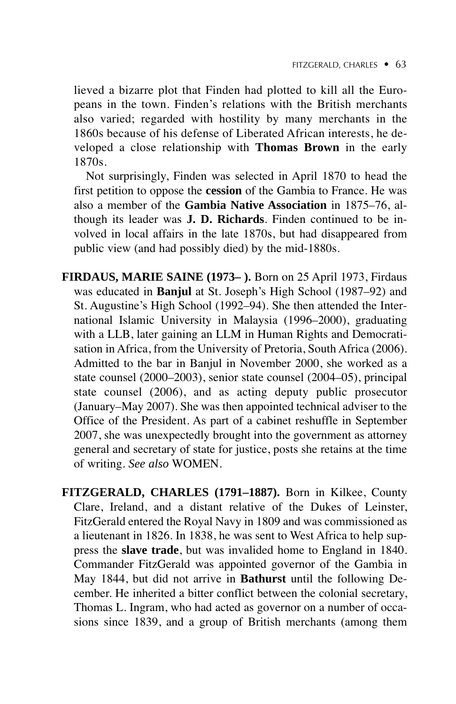lieved a bizarre plot that Finden had plotted to kill all the Europeans in the town. Finden's relations with the British merchants also varied; regarded with hostility by many merchants in the 1860s because of his defense of Liberated African interests, he developed a close relationship with **Thomas Brown** in the early 1870s.

Not surprisingly, Finden was selected in April 1870 to head the first petition to oppose the **cession** of the Gambia to France. He was also a member of the **Gambia Native Association** in 1875–76, although its leader was **J. D. Richards**. Finden continued to be involved in local affairs in the late 1870s, but had disappeared from public view (and had possibly died) by the mid-1880s.

- **FIRDAUS, MARIE SAINE (1973– ).** Born on 25 April 1973, Firdaus was educated in **Banjul** at St. Joseph's High School (1987–92) and St. Augustine's High School (1992–94). She then attended the International Islamic University in Malaysia (1996–2000), graduating with a LLB, later gaining an LLM in Human Rights and Democratisation in Africa, from the University of Pretoria, South Africa (2006). Admitted to the bar in Banjul in November 2000, she worked as a state counsel (2000–2003), senior state counsel (2004–05), principal state counsel (2006), and as acting deputy public prosecutor (January–May 2007). She was then appointed technical adviser to the Office of the President. As part of a cabinet reshuffle in September 2007, she was unexpectedly brought into the government as attorney general and secretary of state for justice, posts she retains at the time of writing. *See also* WOMEN.
- **FITZGERALD, CHARLES (1791–1887).** Born in Kilkee, County Clare, Ireland, and a distant relative of the Dukes of Leinster, FitzGerald entered the Royal Navy in 1809 and was commissioned as a lieutenant in 1826. In 1838, he was sent to West Africa to help suppress the **slave trade**, but was invalided home to England in 1840. Commander FitzGerald was appointed governor of the Gambia in May 1844, but did not arrive in **Bathurst** until the following December. He inherited a bitter conflict between the colonial secretary, Thomas L. Ingram, who had acted as governor on a number of occasions since 1839, and a group of British merchants (among them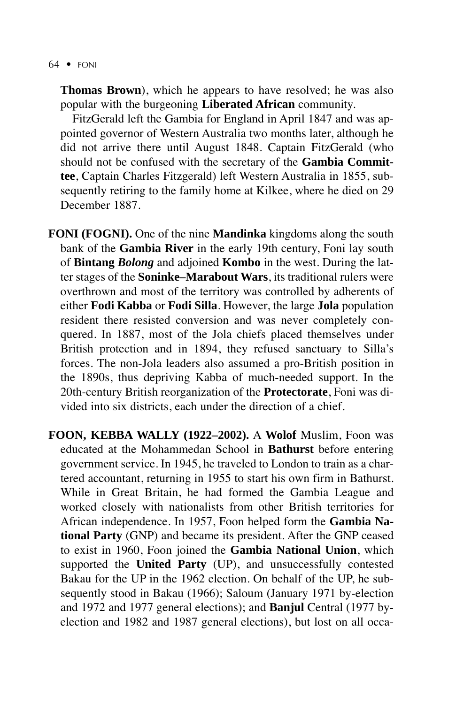### 64 • FONI

**Thomas Brown**), which he appears to have resolved; he was also popular with the burgeoning **Liberated African** community.

FitzGerald left the Gambia for England in April 1847 and was appointed governor of Western Australia two months later, although he did not arrive there until August 1848. Captain FitzGerald (who should not be confused with the secretary of the **Gambia Committee**, Captain Charles Fitzgerald) left Western Australia in 1855, subsequently retiring to the family home at Kilkee, where he died on 29 December 1887.

- **FONI (FOGNI).** One of the nine **Mandinka** kingdoms along the south bank of the **Gambia River** in the early 19th century, Foni lay south of **Bintang** *Bolong* and adjoined **Kombo** in the west. During the latter stages of the **Soninke–Marabout Wars**, its traditional rulers were overthrown and most of the territory was controlled by adherents of either **Fodi Kabba** or **Fodi Silla**. However, the large **Jola** population resident there resisted conversion and was never completely conquered. In 1887, most of the Jola chiefs placed themselves under British protection and in 1894, they refused sanctuary to Silla's forces. The non-Jola leaders also assumed a pro-British position in the 1890s, thus depriving Kabba of much-needed support. In the 20th-century British reorganization of the **Protectorate**, Foni was divided into six districts, each under the direction of a chief.
- **FOON, KEBBA WALLY (1922–2002).** A **Wolof** Muslim, Foon was educated at the Mohammedan School in **Bathurst** before entering government service. In 1945, he traveled to London to train as a chartered accountant, returning in 1955 to start his own firm in Bathurst. While in Great Britain, he had formed the Gambia League and worked closely with nationalists from other British territories for African independence. In 1957, Foon helped form the **Gambia National Party** (GNP) and became its president. After the GNP ceased to exist in 1960, Foon joined the **Gambia National Union**, which supported the **United Party** (UP), and unsuccessfully contested Bakau for the UP in the 1962 election. On behalf of the UP, he subsequently stood in Bakau (1966); Saloum (January 1971 by-election and 1972 and 1977 general elections); and **Banjul** Central (1977 byelection and 1982 and 1987 general elections), but lost on all occa-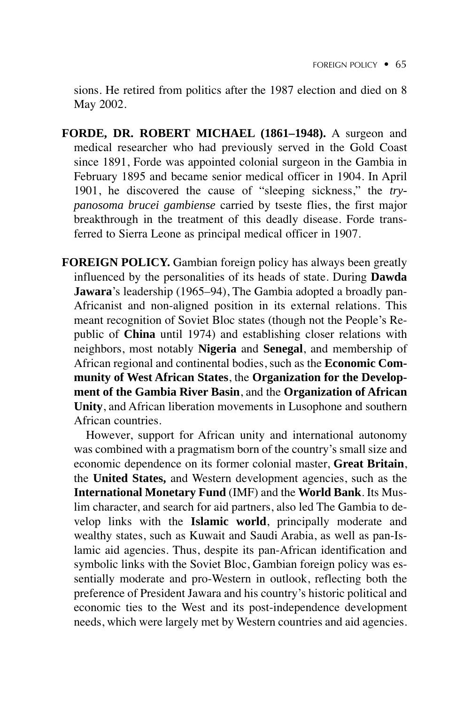sions. He retired from politics after the 1987 election and died on 8 May 2002.

- **FORDE, DR. ROBERT MICHAEL (1861–1948).** A surgeon and medical researcher who had previously served in the Gold Coast since 1891, Forde was appointed colonial surgeon in the Gambia in February 1895 and became senior medical officer in 1904. In April 1901, he discovered the cause of "sleeping sickness," the *trypanosoma brucei gambiense* carried by tseste flies, the first major breakthrough in the treatment of this deadly disease. Forde transferred to Sierra Leone as principal medical officer in 1907.
- **FOREIGN POLICY.** Gambian foreign policy has always been greatly influenced by the personalities of its heads of state. During **Dawda Jawara**'s leadership (1965–94), The Gambia adopted a broadly pan-Africanist and non-aligned position in its external relations. This meant recognition of Soviet Bloc states (though not the People's Republic of **China** until 1974) and establishing closer relations with neighbors, most notably **Nigeria** and **Senegal**, and membership of African regional and continental bodies, such as the **Economic Community of West African States**, the **Organization for the Development of the Gambia River Basin**, and the **Organization of African Unity**, and African liberation movements in Lusophone and southern African countries.

However, support for African unity and international autonomy was combined with a pragmatism born of the country's small size and economic dependence on its former colonial master, **Great Britain**, the **United States,** and Western development agencies, such as the **International Monetary Fund** (IMF) and the **World Bank**. Its Muslim character, and search for aid partners, also led The Gambia to develop links with the **Islamic world**, principally moderate and wealthy states, such as Kuwait and Saudi Arabia, as well as pan-Islamic aid agencies. Thus, despite its pan-African identification and symbolic links with the Soviet Bloc, Gambian foreign policy was essentially moderate and pro-Western in outlook, reflecting both the preference of President Jawara and his country's historic political and economic ties to the West and its post-independence development needs, which were largely met by Western countries and aid agencies.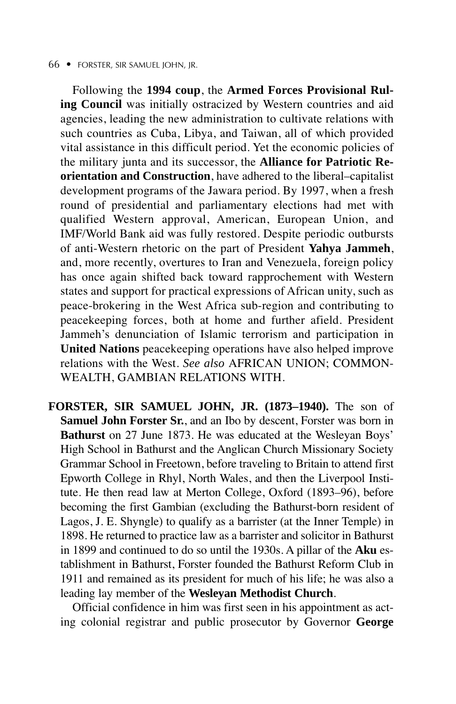#### 66 • FORSTER, SIR SAMUEL JOHN, JR.

Following the **1994 coup**, the **Armed Forces Provisional Ruling Council** was initially ostracized by Western countries and aid agencies, leading the new administration to cultivate relations with such countries as Cuba, Libya, and Taiwan, all of which provided vital assistance in this difficult period. Yet the economic policies of the military junta and its successor, the **Alliance for Patriotic Reorientation and Construction**, have adhered to the liberal–capitalist development programs of the Jawara period. By 1997, when a fresh round of presidential and parliamentary elections had met with qualified Western approval, American, European Union, and IMF/World Bank aid was fully restored. Despite periodic outbursts of anti-Western rhetoric on the part of President **Yahya Jammeh**, and, more recently, overtures to Iran and Venezuela, foreign policy has once again shifted back toward rapprochement with Western states and support for practical expressions of African unity, such as peace-brokering in the West Africa sub-region and contributing to peacekeeping forces, both at home and further afield. President Jammeh's denunciation of Islamic terrorism and participation in **United Nations** peacekeeping operations have also helped improve relations with the West. *See also* AFRICAN UNION; COMMON-WEALTH, GAMBIAN RELATIONS WITH.

**FORSTER, SIR SAMUEL JOHN, JR. (1873–1940).** The son of **Samuel John Forster Sr.**, and an Ibo by descent, Forster was born in **Bathurst** on 27 June 1873. He was educated at the Wesleyan Boys' High School in Bathurst and the Anglican Church Missionary Society Grammar School in Freetown, before traveling to Britain to attend first Epworth College in Rhyl, North Wales, and then the Liverpool Institute. He then read law at Merton College, Oxford (1893–96), before becoming the first Gambian (excluding the Bathurst-born resident of Lagos, J. E. Shyngle) to qualify as a barrister (at the Inner Temple) in 1898. He returned to practice law as a barrister and solicitor in Bathurst in 1899 and continued to do so until the 1930s. A pillar of the **Aku** establishment in Bathurst, Forster founded the Bathurst Reform Club in 1911 and remained as its president for much of his life; he was also a leading lay member of the **Wesleyan Methodist Church**.

Official confidence in him was first seen in his appointment as acting colonial registrar and public prosecutor by Governor **George**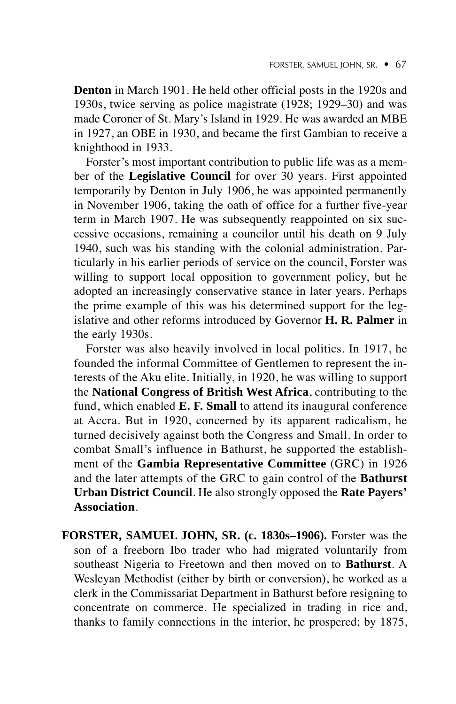**Denton** in March 1901. He held other official posts in the 1920s and 1930s, twice serving as police magistrate (1928; 1929–30) and was made Coroner of St. Mary's Island in 1929. He was awarded an MBE in 1927, an OBE in 1930, and became the first Gambian to receive a knighthood in 1933.

Forster's most important contribution to public life was as a member of the **Legislative Council** for over 30 years. First appointed temporarily by Denton in July 1906, he was appointed permanently in November 1906, taking the oath of office for a further five-year term in March 1907. He was subsequently reappointed on six successive occasions, remaining a councilor until his death on 9 July 1940, such was his standing with the colonial administration. Particularly in his earlier periods of service on the council, Forster was willing to support local opposition to government policy, but he adopted an increasingly conservative stance in later years. Perhaps the prime example of this was his determined support for the legislative and other reforms introduced by Governor **H. R. Palmer** in the early 1930s.

Forster was also heavily involved in local politics. In 1917, he founded the informal Committee of Gentlemen to represent the interests of the Aku elite. Initially, in 1920, he was willing to support the **National Congress of British West Africa**, contributing to the fund, which enabled **E. F. Small** to attend its inaugural conference at Accra. But in 1920, concerned by its apparent radicalism, he turned decisively against both the Congress and Small. In order to combat Small's influence in Bathurst, he supported the establishment of the **Gambia Representative Committee** (GRC) in 1926 and the later attempts of the GRC to gain control of the **Bathurst Urban District Council**. He also strongly opposed the **Rate Payers' Association**.

**FORSTER, SAMUEL JOHN, SR. (c. 1830s–1906).** Forster was the son of a freeborn Ibo trader who had migrated voluntarily from southeast Nigeria to Freetown and then moved on to **Bathurst**. A Wesleyan Methodist (either by birth or conversion), he worked as a clerk in the Commissariat Department in Bathurst before resigning to concentrate on commerce. He specialized in trading in rice and, thanks to family connections in the interior, he prospered; by 1875,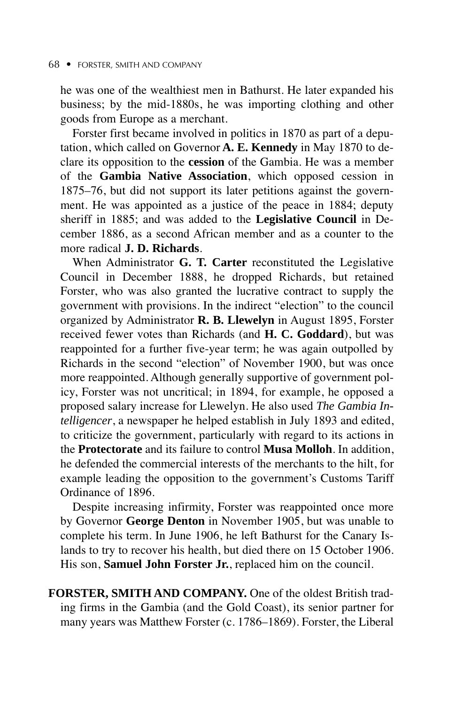he was one of the wealthiest men in Bathurst. He later expanded his business; by the mid-1880s, he was importing clothing and other goods from Europe as a merchant.

Forster first became involved in politics in 1870 as part of a deputation, which called on Governor **A. E. Kennedy** in May 1870 to declare its opposition to the **cession** of the Gambia. He was a member of the **Gambia Native Association**, which opposed cession in 1875–76, but did not support its later petitions against the government. He was appointed as a justice of the peace in 1884; deputy sheriff in 1885; and was added to the **Legislative Council** in December 1886, as a second African member and as a counter to the more radical **J. D. Richards**.

When Administrator **G. T. Carter** reconstituted the Legislative Council in December 1888, he dropped Richards, but retained Forster, who was also granted the lucrative contract to supply the government with provisions. In the indirect "election" to the council organized by Administrator **R. B. Llewelyn** in August 1895, Forster received fewer votes than Richards (and **H. C. Goddard**), but was reappointed for a further five-year term; he was again outpolled by Richards in the second "election" of November 1900, but was once more reappointed. Although generally supportive of government policy, Forster was not uncritical; in 1894, for example, he opposed a proposed salary increase for Llewelyn. He also used *The Gambia Intelligencer*, a newspaper he helped establish in July 1893 and edited, to criticize the government, particularly with regard to its actions in the **Protectorate** and its failure to control **Musa Molloh**. In addition, he defended the commercial interests of the merchants to the hilt, for example leading the opposition to the government's Customs Tariff Ordinance of 1896.

Despite increasing infirmity, Forster was reappointed once more by Governor **George Denton** in November 1905, but was unable to complete his term. In June 1906, he left Bathurst for the Canary Islands to try to recover his health, but died there on 15 October 1906. His son, **Samuel John Forster Jr.**, replaced him on the council.

**FORSTER, SMITH AND COMPANY.** One of the oldest British trading firms in the Gambia (and the Gold Coast), its senior partner for many years was Matthew Forster (c. 1786–1869). Forster, the Liberal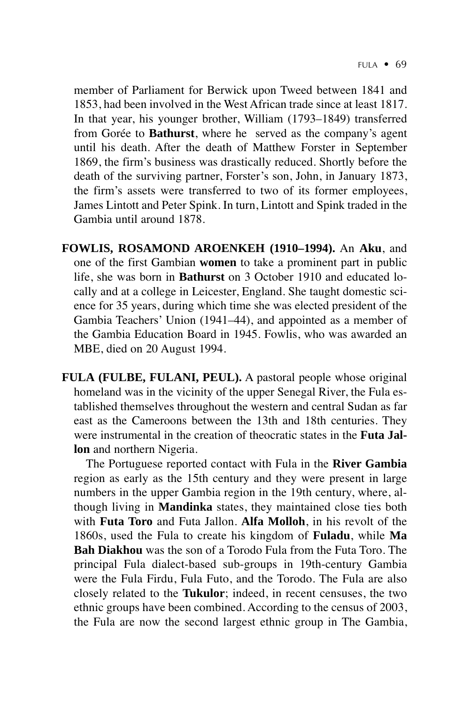member of Parliament for Berwick upon Tweed between 1841 and 1853, had been involved in the West African trade since at least 1817. In that year, his younger brother, William (1793–1849) transferred from Gorée to **Bathurst**, where he served as the company's agent until his death. After the death of Matthew Forster in September 1869, the firm's business was drastically reduced. Shortly before the death of the surviving partner, Forster's son, John, in January 1873, the firm's assets were transferred to two of its former employees, James Lintott and Peter Spink. In turn, Lintott and Spink traded in the Gambia until around 1878.

- **FOWLIS, ROSAMOND AROENKEH (1910–1994).** An **Aku**, and one of the first Gambian **women** to take a prominent part in public life, she was born in **Bathurst** on 3 October 1910 and educated locally and at a college in Leicester, England. She taught domestic science for 35 years, during which time she was elected president of the Gambia Teachers' Union (1941–44), and appointed as a member of the Gambia Education Board in 1945. Fowlis, who was awarded an MBE, died on 20 August 1994.
- **FULA (FULBE, FULANI, PEUL).** A pastoral people whose original homeland was in the vicinity of the upper Senegal River, the Fula established themselves throughout the western and central Sudan as far east as the Cameroons between the 13th and 18th centuries. They were instrumental in the creation of theocratic states in the **Futa Jallon** and northern Nigeria.

The Portuguese reported contact with Fula in the **River Gambia** region as early as the 15th century and they were present in large numbers in the upper Gambia region in the 19th century, where, although living in **Mandinka** states, they maintained close ties both with **Futa Toro** and Futa Jallon. **Alfa Molloh**, in his revolt of the 1860s, used the Fula to create his kingdom of **Fuladu**, while **Ma Bah Diakhou** was the son of a Torodo Fula from the Futa Toro. The principal Fula dialect-based sub-groups in 19th-century Gambia were the Fula Firdu, Fula Futo, and the Torodo. The Fula are also closely related to the **Tukulor**; indeed, in recent censuses, the two ethnic groups have been combined. According to the census of 2003, the Fula are now the second largest ethnic group in The Gambia,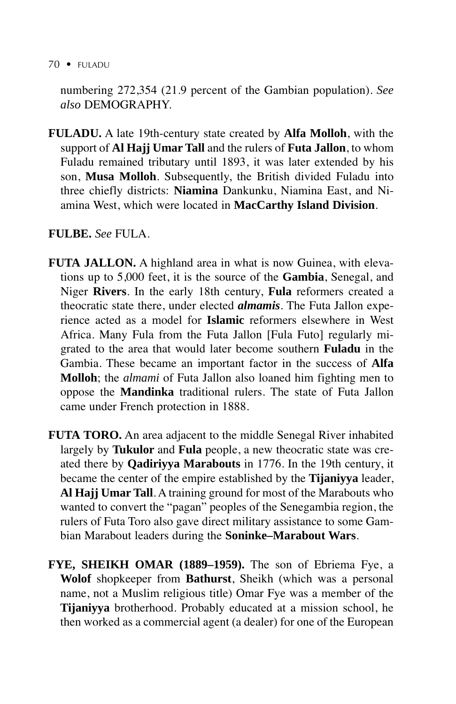# 70 • FULADU

numbering 272,354 (21.9 percent of the Gambian population). *See also* DEMOGRAPHY.

**FULADU.** A late 19th-century state created by **Alfa Molloh**, with the support of **Al Hajj Umar Tall** and the rulers of **Futa Jallon**, to whom Fuladu remained tributary until 1893, it was later extended by his son, **Musa Molloh**. Subsequently, the British divided Fuladu into three chiefly districts: **Niamina** Dankunku, Niamina East, and Niamina West, which were located in **MacCarthy Island Division**.

# **FULBE.** *See* FULA.

- **FUTA JALLON.** A highland area in what is now Guinea, with elevations up to 5,000 feet, it is the source of the **Gambia**, Senegal, and Niger **Rivers**. In the early 18th century, **Fula** reformers created a theocratic state there, under elected *almamis*. The Futa Jallon experience acted as a model for **Islamic** reformers elsewhere in West Africa. Many Fula from the Futa Jallon [Fula Futo] regularly migrated to the area that would later become southern **Fuladu** in the Gambia. These became an important factor in the success of **Alfa Molloh**; the *almami* of Futa Jallon also loaned him fighting men to oppose the **Mandinka** traditional rulers. The state of Futa Jallon came under French protection in 1888.
- **FUTA TORO.** An area adjacent to the middle Senegal River inhabited largely by **Tukulor** and **Fula** people, a new theocratic state was created there by **Qadiriyya Marabouts** in 1776. In the 19th century, it became the center of the empire established by the **Tijaniyya** leader, **Al Hajj Umar Tall**. A training ground for most of the Marabouts who wanted to convert the "pagan" peoples of the Senegambia region, the rulers of Futa Toro also gave direct military assistance to some Gambian Marabout leaders during the **Soninke–Marabout Wars**.
- **FYE, SHEIKH OMAR (1889–1959).** The son of Ebriema Fye, a **Wolof** shopkeeper from **Bathurst**, Sheikh (which was a personal name, not a Muslim religious title) Omar Fye was a member of the **Tijaniyya** brotherhood. Probably educated at a mission school, he then worked as a commercial agent (a dealer) for one of the European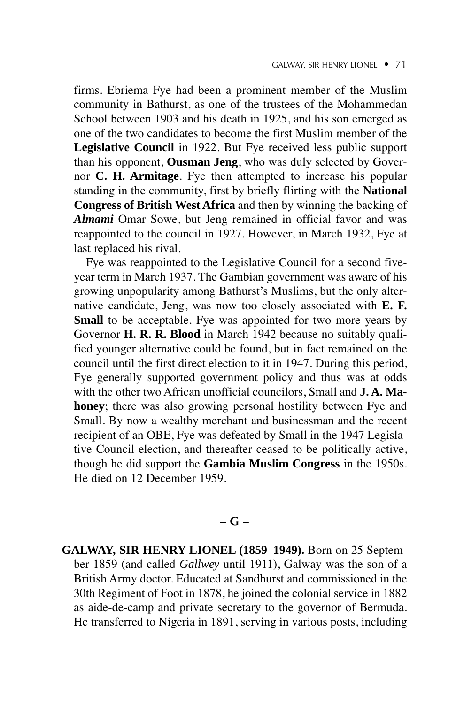firms. Ebriema Fye had been a prominent member of the Muslim community in Bathurst, as one of the trustees of the Mohammedan School between 1903 and his death in 1925, and his son emerged as one of the two candidates to become the first Muslim member of the **Legislative Council** in 1922. But Fye received less public support than his opponent, **Ousman Jeng**, who was duly selected by Governor **C. H. Armitage**. Fye then attempted to increase his popular standing in the community, first by briefly flirting with the **National Congress of British West Africa** and then by winning the backing of *Almami* Omar Sowe, but Jeng remained in official favor and was reappointed to the council in 1927. However, in March 1932, Fye at last replaced his rival.

Fye was reappointed to the Legislative Council for a second fiveyear term in March 1937. The Gambian government was aware of his growing unpopularity among Bathurst's Muslims, but the only alternative candidate, Jeng, was now too closely associated with **E. F. Small** to be acceptable. Fye was appointed for two more years by Governor **H. R. R. Blood** in March 1942 because no suitably qualified younger alternative could be found, but in fact remained on the council until the first direct election to it in 1947. During this period, Fye generally supported government policy and thus was at odds with the other two African unofficial councilors, Small and **J. A. Mahoney**; there was also growing personal hostility between Fye and Small. By now a wealthy merchant and businessman and the recent recipient of an OBE, Fye was defeated by Small in the 1947 Legislative Council election, and thereafter ceased to be politically active, though he did support the **Gambia Muslim Congress** in the 1950s. He died on 12 December 1959.

**GALWAY, SIR HENRY LIONEL (1859–1949).** Born on 25 September 1859 (and called *Gallwey* until 1911), Galway was the son of a British Army doctor. Educated at Sandhurst and commissioned in the 30th Regiment of Foot in 1878, he joined the colonial service in 1882 as aide-de-camp and private secretary to the governor of Bermuda. He transferred to Nigeria in 1891, serving in various posts, including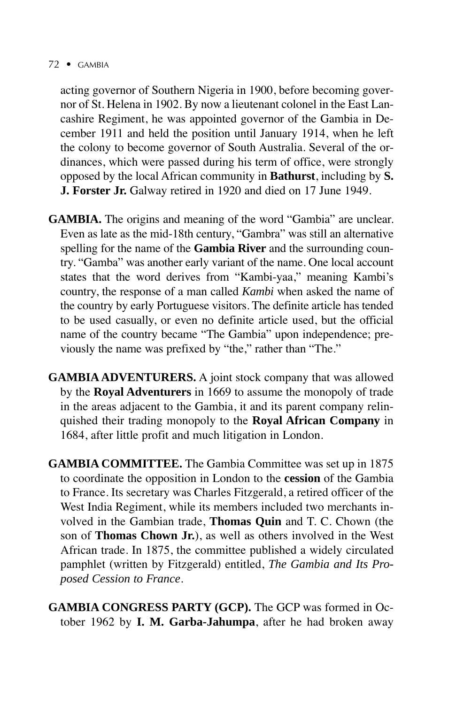# 72 • GAMBIA

acting governor of Southern Nigeria in 1900, before becoming governor of St. Helena in 1902. By now a lieutenant colonel in the East Lancashire Regiment, he was appointed governor of the Gambia in December 1911 and held the position until January 1914, when he left the colony to become governor of South Australia. Several of the ordinances, which were passed during his term of office, were strongly opposed by the local African community in **Bathurst**, including by **S. J. Forster Jr.** Galway retired in 1920 and died on 17 June 1949.

- **GAMBIA.** The origins and meaning of the word "Gambia" are unclear. Even as late as the mid-18th century, "Gambra" was still an alternative spelling for the name of the **Gambia River** and the surrounding country. "Gamba" was another early variant of the name. One local account states that the word derives from "Kambi-yaa," meaning Kambi's country, the response of a man called *Kambi* when asked the name of the country by early Portuguese visitors. The definite article has tended to be used casually, or even no definite article used, but the official name of the country became "The Gambia" upon independence; previously the name was prefixed by "the," rather than "The."
- **GAMBIA ADVENTURERS.** A joint stock company that was allowed by the **Royal Adventurers** in 1669 to assume the monopoly of trade in the areas adjacent to the Gambia, it and its parent company relinquished their trading monopoly to the **Royal African Company** in 1684, after little profit and much litigation in London.
- **GAMBIA COMMITTEE.** The Gambia Committee was set up in 1875 to coordinate the opposition in London to the **cession** of the Gambia to France. Its secretary was Charles Fitzgerald, a retired officer of the West India Regiment, while its members included two merchants involved in the Gambian trade, **Thomas Quin** and T. C. Chown (the son of **Thomas Chown Jr.**), as well as others involved in the West African trade. In 1875, the committee published a widely circulated pamphlet (written by Fitzgerald) entitled, *The Gambia and Its Proposed Cession to France*.
- **GAMBIA CONGRESS PARTY (GCP).** The GCP was formed in October 1962 by **I. M. Garba-Jahumpa**, after he had broken away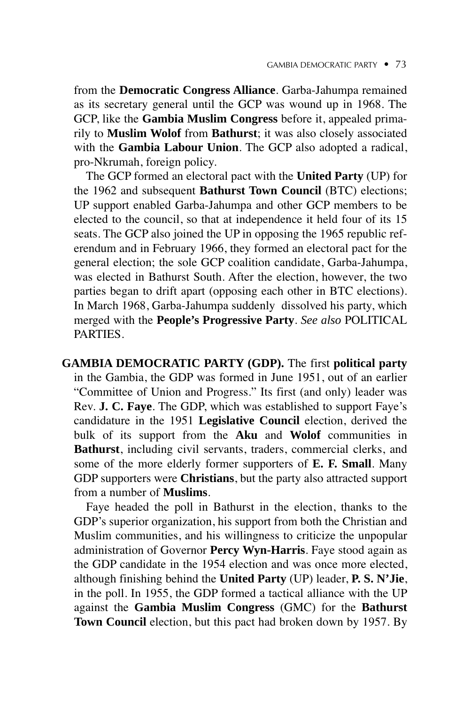from the **Democratic Congress Alliance**. Garba-Jahumpa remained as its secretary general until the GCP was wound up in 1968. The GCP, like the **Gambia Muslim Congress** before it, appealed primarily to **Muslim Wolof** from **Bathurst**; it was also closely associated with the **Gambia Labour Union**. The GCP also adopted a radical, pro-Nkrumah, foreign policy.

The GCP formed an electoral pact with the **United Party** (UP) for the 1962 and subsequent **Bathurst Town Council** (BTC) elections; UP support enabled Garba-Jahumpa and other GCP members to be elected to the council, so that at independence it held four of its 15 seats. The GCP also joined the UP in opposing the 1965 republic referendum and in February 1966, they formed an electoral pact for the general election; the sole GCP coalition candidate, Garba-Jahumpa, was elected in Bathurst South. After the election, however, the two parties began to drift apart (opposing each other in BTC elections). In March 1968, Garba-Jahumpa suddenly dissolved his party, which merged with the **People's Progressive Party**. *See also* POLITICAL **PARTIES** 

**GAMBIA DEMOCRATIC PARTY (GDP).** The first **political party** in the Gambia, the GDP was formed in June 1951, out of an earlier "Committee of Union and Progress." Its first (and only) leader was Rev. **J. C. Faye**. The GDP, which was established to support Faye's candidature in the 1951 **Legislative Council** election, derived the bulk of its support from the **Aku** and **Wolof** communities in **Bathurst**, including civil servants, traders, commercial clerks, and some of the more elderly former supporters of **E. F. Small**. Many GDP supporters were **Christians**, but the party also attracted support from a number of **Muslims**.

Faye headed the poll in Bathurst in the election, thanks to the GDP's superior organization, his support from both the Christian and Muslim communities, and his willingness to criticize the unpopular administration of Governor **Percy Wyn-Harris**. Faye stood again as the GDP candidate in the 1954 election and was once more elected, although finishing behind the **United Party** (UP) leader, **P. S. N'Jie**, in the poll. In 1955, the GDP formed a tactical alliance with the UP against the **Gambia Muslim Congress** (GMC) for the **Bathurst Town Council** election, but this pact had broken down by 1957. By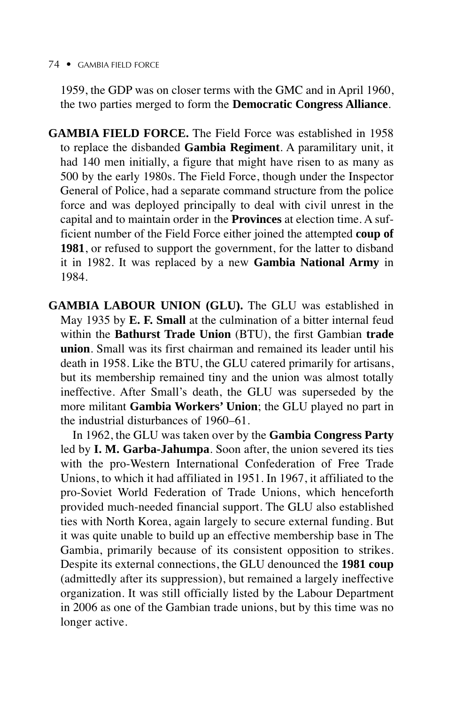## 74 • GAMBIA FIELD FORCE

1959, the GDP was on closer terms with the GMC and in April 1960, the two parties merged to form the **Democratic Congress Alliance**.

**GAMBIA FIELD FORCE.** The Field Force was established in 1958 to replace the disbanded **Gambia Regiment**. A paramilitary unit, it had 140 men initially, a figure that might have risen to as many as 500 by the early 1980s. The Field Force, though under the Inspector General of Police, had a separate command structure from the police force and was deployed principally to deal with civil unrest in the capital and to maintain order in the **Provinces** at election time. A sufficient number of the Field Force either joined the attempted **coup of 1981**, or refused to support the government, for the latter to disband it in 1982. It was replaced by a new **Gambia National Army** in 1984.

**GAMBIA LABOUR UNION (GLU).** The GLU was established in May 1935 by **E. F. Small** at the culmination of a bitter internal feud within the **Bathurst Trade Union** (BTU), the first Gambian **trade union**. Small was its first chairman and remained its leader until his death in 1958. Like the BTU, the GLU catered primarily for artisans, but its membership remained tiny and the union was almost totally ineffective. After Small's death, the GLU was superseded by the more militant **Gambia Workers' Union**; the GLU played no part in the industrial disturbances of 1960–61.

In 1962, the GLU was taken over by the **Gambia Congress Party** led by **I. M. Garba-Jahumpa**. Soon after, the union severed its ties with the pro-Western International Confederation of Free Trade Unions, to which it had affiliated in 1951. In 1967, it affiliated to the pro-Soviet World Federation of Trade Unions, which henceforth provided much-needed financial support. The GLU also established ties with North Korea, again largely to secure external funding. But it was quite unable to build up an effective membership base in The Gambia, primarily because of its consistent opposition to strikes. Despite its external connections, the GLU denounced the **1981 coup** (admittedly after its suppression), but remained a largely ineffective organization. It was still officially listed by the Labour Department in 2006 as one of the Gambian trade unions, but by this time was no longer active.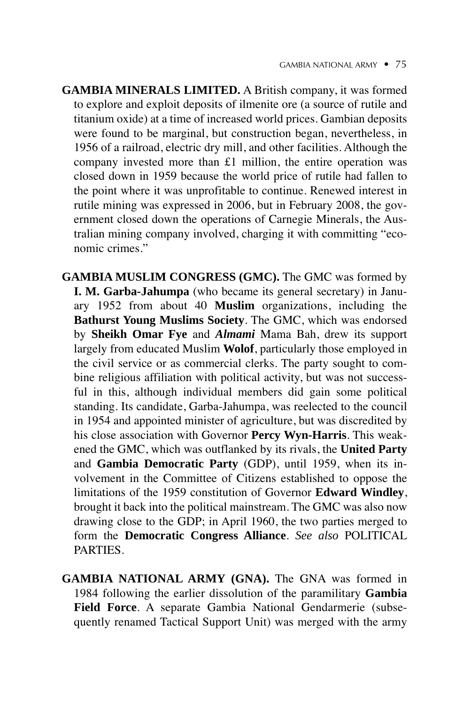- **GAMBIA MINERALS LIMITED.** A British company, it was formed to explore and exploit deposits of ilmenite ore (a source of rutile and titanium oxide) at a time of increased world prices. Gambian deposits were found to be marginal, but construction began, nevertheless, in 1956 of a railroad, electric dry mill, and other facilities. Although the company invested more than £1 million, the entire operation was closed down in 1959 because the world price of rutile had fallen to the point where it was unprofitable to continue. Renewed interest in rutile mining was expressed in 2006, but in February 2008, the government closed down the operations of Carnegie Minerals, the Australian mining company involved, charging it with committing "economic crimes."
- **GAMBIA MUSLIM CONGRESS (GMC).** The GMC was formed by **I. M. Garba-Jahumpa** (who became its general secretary) in January 1952 from about 40 **Muslim** organizations, including the **Bathurst Young Muslims Society**. The GMC, which was endorsed by **Sheikh Omar Fye** and *Almami* Mama Bah, drew its support largely from educated Muslim **Wolof**, particularly those employed in the civil service or as commercial clerks. The party sought to combine religious affiliation with political activity, but was not successful in this, although individual members did gain some political standing. Its candidate, Garba-Jahumpa, was reelected to the council in 1954 and appointed minister of agriculture, but was discredited by his close association with Governor **Percy Wyn-Harris**. This weakened the GMC, which was outflanked by its rivals, the **United Party** and **Gambia Democratic Party** (GDP), until 1959, when its involvement in the Committee of Citizens established to oppose the limitations of the 1959 constitution of Governor **Edward Windley**, brought it back into the political mainstream. The GMC was also now drawing close to the GDP; in April 1960, the two parties merged to form the **Democratic Congress Alliance**. *See also* POLITICAL PARTIES.
- **GAMBIA NATIONAL ARMY (GNA).** The GNA was formed in 1984 following the earlier dissolution of the paramilitary **Gambia Field Force**. A separate Gambia National Gendarmerie (subsequently renamed Tactical Support Unit) was merged with the army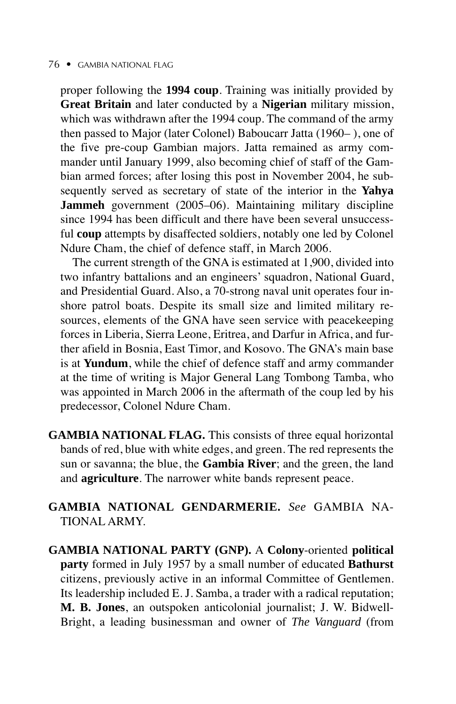### 76 • GAMBIA NATIONAL FLAG

proper following the **1994 coup**. Training was initially provided by **Great Britain** and later conducted by a **Nigerian** military mission, which was withdrawn after the 1994 coup. The command of the army then passed to Major (later Colonel) Baboucarr Jatta (1960– ), one of the five pre-coup Gambian majors. Jatta remained as army commander until January 1999, also becoming chief of staff of the Gambian armed forces; after losing this post in November 2004, he subsequently served as secretary of state of the interior in the **Yahya Jammeh** government (2005–06). Maintaining military discipline since 1994 has been difficult and there have been several unsuccessful **coup** attempts by disaffected soldiers, notably one led by Colonel Ndure Cham, the chief of defence staff, in March 2006.

The current strength of the GNA is estimated at 1,900, divided into two infantry battalions and an engineers' squadron, National Guard, and Presidential Guard. Also, a 70-strong naval unit operates four inshore patrol boats. Despite its small size and limited military resources, elements of the GNA have seen service with peacekeeping forces in Liberia, Sierra Leone, Eritrea, and Darfur in Africa, and further afield in Bosnia, East Timor, and Kosovo. The GNA's main base is at **Yundum**, while the chief of defence staff and army commander at the time of writing is Major General Lang Tombong Tamba, who was appointed in March 2006 in the aftermath of the coup led by his predecessor, Colonel Ndure Cham.

**GAMBIA NATIONAL FLAG.** This consists of three equal horizontal bands of red, blue with white edges, and green. The red represents the sun or savanna; the blue, the **Gambia River**; and the green, the land and **agriculture**. The narrower white bands represent peace.

**GAMBIA NATIONAL GENDARMERIE.** *See* GAMBIA NA-TIONAL ARMY.

**GAMBIA NATIONAL PARTY (GNP).** A **Colony**-oriented **political party** formed in July 1957 by a small number of educated **Bathurst** citizens, previously active in an informal Committee of Gentlemen. Its leadership included E. J. Samba, a trader with a radical reputation; **M. B. Jones**, an outspoken anticolonial journalist; J. W. Bidwell-Bright, a leading businessman and owner of *The Vanguard* (from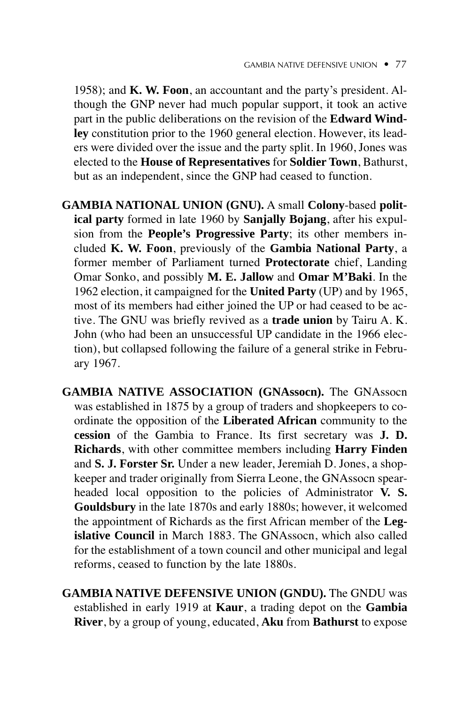1958); and **K. W. Foon**, an accountant and the party's president. Although the GNP never had much popular support, it took an active part in the public deliberations on the revision of the **Edward Windley** constitution prior to the 1960 general election. However, its leaders were divided over the issue and the party split. In 1960, Jones was elected to the **House of Representatives** for **Soldier Town**, Bathurst, but as an independent, since the GNP had ceased to function.

- **GAMBIA NATIONAL UNION (GNU).** A small **Colony**-based **political party** formed in late 1960 by **Sanjally Bojang**, after his expulsion from the **People's Progressive Party**; its other members included **K. W. Foon**, previously of the **Gambia National Party**, a former member of Parliament turned **Protectorate** chief, Landing Omar Sonko, and possibly **M. E. Jallow** and **Omar M'Baki**. In the 1962 election, it campaigned for the **United Party** (UP) and by 1965, most of its members had either joined the UP or had ceased to be active. The GNU was briefly revived as a **trade union** by Tairu A. K. John (who had been an unsuccessful UP candidate in the 1966 election), but collapsed following the failure of a general strike in February 1967.
- **GAMBIA NATIVE ASSOCIATION (GNAssocn).** The GNAssocn was established in 1875 by a group of traders and shopkeepers to coordinate the opposition of the **Liberated African** community to the **cession** of the Gambia to France. Its first secretary was **J. D. Richards**, with other committee members including **Harry Finden** and **S. J. Forster Sr.** Under a new leader, Jeremiah D. Jones, a shopkeeper and trader originally from Sierra Leone, the GNAssocn spearheaded local opposition to the policies of Administrator **V. S. Gouldsbury** in the late 1870s and early 1880s; however, it welcomed the appointment of Richards as the first African member of the **Legislative Council** in March 1883. The GNAssocn, which also called for the establishment of a town council and other municipal and legal reforms, ceased to function by the late 1880s.
- **GAMBIA NATIVE DEFENSIVE UNION (GNDU).** The GNDU was established in early 1919 at **Kaur**, a trading depot on the **Gambia River**, by a group of young, educated, **Aku** from **Bathurst** to expose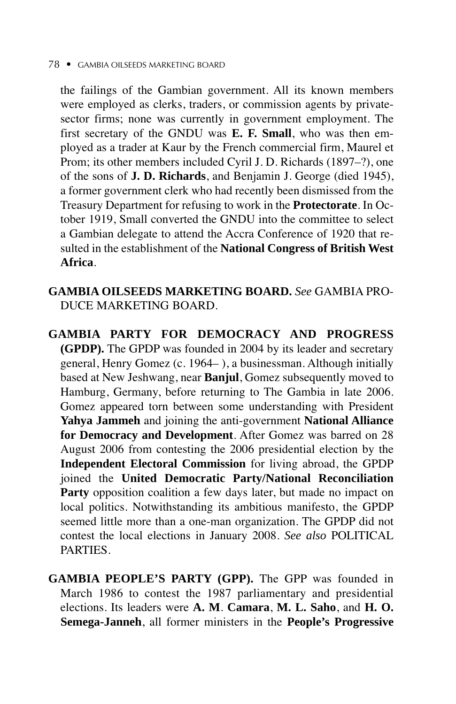## 78 • GAMBIA OILSEEDS MARKETING BOARD

the failings of the Gambian government. All its known members were employed as clerks, traders, or commission agents by privatesector firms; none was currently in government employment. The first secretary of the GNDU was **E. F. Small**, who was then employed as a trader at Kaur by the French commercial firm, Maurel et Prom; its other members included Cyril J. D. Richards (1897–?), one of the sons of **J. D. Richards**, and Benjamin J. George (died 1945), a former government clerk who had recently been dismissed from the Treasury Department for refusing to work in the **Protectorate**. In October 1919, Small converted the GNDU into the committee to select a Gambian delegate to attend the Accra Conference of 1920 that resulted in the establishment of the **National Congress of British West Africa**.

- **GAMBIA OILSEEDS MARKETING BOARD.** *See* GAMBIA PRO-DUCE MARKETING BOARD.
- **GAMBIA PARTY FOR DEMOCRACY AND PROGRESS (GPDP).** The GPDP was founded in 2004 by its leader and secretary general, Henry Gomez (c. 1964– ), a businessman. Although initially based at New Jeshwang, near **Banjul**, Gomez subsequently moved to Hamburg, Germany, before returning to The Gambia in late 2006. Gomez appeared torn between some understanding with President **Yahya Jammeh** and joining the anti-government **National Alliance for Democracy and Development**. After Gomez was barred on 28 August 2006 from contesting the 2006 presidential election by the **Independent Electoral Commission** for living abroad, the GPDP joined the **United Democratic Party/National Reconciliation** Party opposition coalition a few days later, but made no impact on local politics. Notwithstanding its ambitious manifesto, the GPDP seemed little more than a one-man organization. The GPDP did not contest the local elections in January 2008. *See also* POLITICAL PARTIES.
- **GAMBIA PEOPLE'S PARTY (GPP).** The GPP was founded in March 1986 to contest the 1987 parliamentary and presidential elections. Its leaders were **A. M**. **Camara**, **M. L. Saho**, and **H. O. Semega-Janneh**, all former ministers in the **People's Progressive**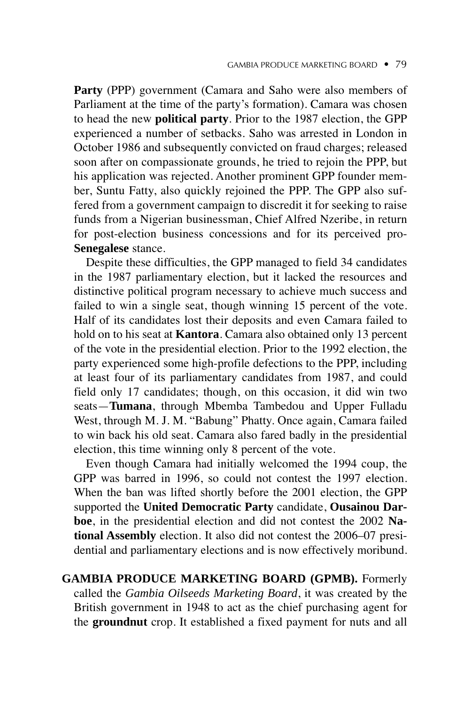Party (PPP) government (Camara and Saho were also members of Parliament at the time of the party's formation). Camara was chosen to head the new **political party**. Prior to the 1987 election, the GPP experienced a number of setbacks. Saho was arrested in London in October 1986 and subsequently convicted on fraud charges; released soon after on compassionate grounds, he tried to rejoin the PPP, but his application was rejected. Another prominent GPP founder member, Suntu Fatty, also quickly rejoined the PPP. The GPP also suffered from a government campaign to discredit it for seeking to raise funds from a Nigerian businessman, Chief Alfred Nzeribe, in return for post-election business concessions and for its perceived pro-**Senegalese** stance.

Despite these difficulties, the GPP managed to field 34 candidates in the 1987 parliamentary election, but it lacked the resources and distinctive political program necessary to achieve much success and failed to win a single seat, though winning 15 percent of the vote. Half of its candidates lost their deposits and even Camara failed to hold on to his seat at **Kantora**. Camara also obtained only 13 percent of the vote in the presidential election. Prior to the 1992 election, the party experienced some high-profile defections to the PPP, including at least four of its parliamentary candidates from 1987, and could field only 17 candidates; though, on this occasion, it did win two seats—**Tumana**, through Mbemba Tambedou and Upper Fulladu West, through M. J. M. "Babung" Phatty. Once again, Camara failed to win back his old seat. Camara also fared badly in the presidential election, this time winning only 8 percent of the vote.

Even though Camara had initially welcomed the 1994 coup, the GPP was barred in 1996, so could not contest the 1997 election. When the ban was lifted shortly before the 2001 election, the GPP supported the **United Democratic Party** candidate, **Ousainou Darboe**, in the presidential election and did not contest the 2002 **National Assembly** election. It also did not contest the 2006–07 presidential and parliamentary elections and is now effectively moribund.

**GAMBIA PRODUCE MARKETING BOARD (GPMB).** Formerly called the *Gambia Oilseeds Marketing Board*, it was created by the British government in 1948 to act as the chief purchasing agent for the **groundnut** crop. It established a fixed payment for nuts and all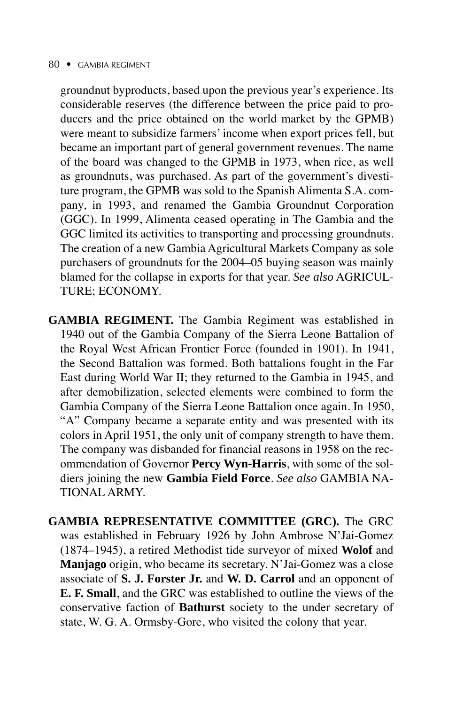## 80 • GAMBIA REGIMENT

groundnut byproducts, based upon the previous year's experience. Its considerable reserves (the difference between the price paid to producers and the price obtained on the world market by the GPMB) were meant to subsidize farmers' income when export prices fell, but became an important part of general government revenues. The name of the board was changed to the GPMB in 1973, when rice, as well as groundnuts, was purchased. As part of the government's divestiture program, the GPMB was sold to the Spanish Alimenta S.A. company, in 1993, and renamed the Gambia Groundnut Corporation (GGC). In 1999, Alimenta ceased operating in The Gambia and the GGC limited its activities to transporting and processing groundnuts. The creation of a new Gambia Agricultural Markets Company as sole purchasers of groundnuts for the 2004–05 buying season was mainly blamed for the collapse in exports for that year. *See also* AGRICUL-TURE; ECONOMY.

- **GAMBIA REGIMENT.** The Gambia Regiment was established in 1940 out of the Gambia Company of the Sierra Leone Battalion of the Royal West African Frontier Force (founded in 1901). In 1941, the Second Battalion was formed. Both battalions fought in the Far East during World War II; they returned to the Gambia in 1945, and after demobilization, selected elements were combined to form the Gambia Company of the Sierra Leone Battalion once again. In 1950, "A" Company became a separate entity and was presented with its colors in April 1951, the only unit of company strength to have them. The company was disbanded for financial reasons in 1958 on the recommendation of Governor **Percy Wyn-Harris**, with some of the soldiers joining the new **Gambia Field Force**. *See also* GAMBIA NA-TIONAL ARMY.
- **GAMBIA REPRESENTATIVE COMMITTEE (GRC).** The GRC was established in February 1926 by John Ambrose N'Jai-Gomez (1874–1945), a retired Methodist tide surveyor of mixed **Wolof** and **Manjago** origin, who became its secretary. N'Jai-Gomez was a close associate of **S. J. Forster Jr.** and **W. D. Carrol** and an opponent of **E. F. Small**, and the GRC was established to outline the views of the conservative faction of **Bathurst** society to the under secretary of state, W. G. A. Ormsby-Gore, who visited the colony that year.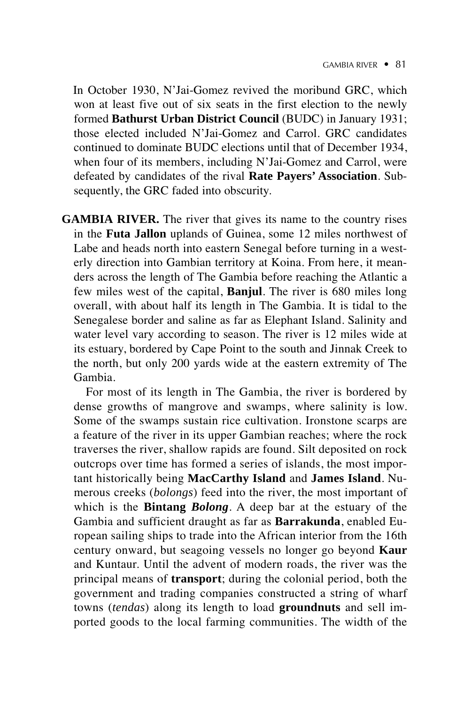In October 1930, N'Jai-Gomez revived the moribund GRC, which won at least five out of six seats in the first election to the newly formed **Bathurst Urban District Council** (BUDC) in January 1931; those elected included N'Jai-Gomez and Carrol. GRC candidates continued to dominate BUDC elections until that of December 1934, when four of its members, including N'Jai-Gomez and Carrol, were defeated by candidates of the rival **Rate Payers' Association**. Subsequently, the GRC faded into obscurity.

**GAMBIA RIVER.** The river that gives its name to the country rises in the **Futa Jallon** uplands of Guinea, some 12 miles northwest of Labe and heads north into eastern Senegal before turning in a westerly direction into Gambian territory at Koina. From here, it meanders across the length of The Gambia before reaching the Atlantic a few miles west of the capital, **Banjul**. The river is 680 miles long overall, with about half its length in The Gambia. It is tidal to the Senegalese border and saline as far as Elephant Island. Salinity and water level vary according to season. The river is 12 miles wide at its estuary, bordered by Cape Point to the south and Jinnak Creek to the north, but only 200 yards wide at the eastern extremity of The Gambia.

For most of its length in The Gambia, the river is bordered by dense growths of mangrove and swamps, where salinity is low. Some of the swamps sustain rice cultivation. Ironstone scarps are a feature of the river in its upper Gambian reaches; where the rock traverses the river, shallow rapids are found. Silt deposited on rock outcrops over time has formed a series of islands, the most important historically being **MacCarthy Island** and **James Island**. Numerous creeks (*bolongs*) feed into the river, the most important of which is the **Bintang** *Bolong*. A deep bar at the estuary of the Gambia and sufficient draught as far as **Barrakunda**, enabled European sailing ships to trade into the African interior from the 16th century onward, but seagoing vessels no longer go beyond **Kaur** and Kuntaur. Until the advent of modern roads, the river was the principal means of **transport**; during the colonial period, both the government and trading companies constructed a string of wharf towns (*tendas*) along its length to load **groundnuts** and sell imported goods to the local farming communities. The width of the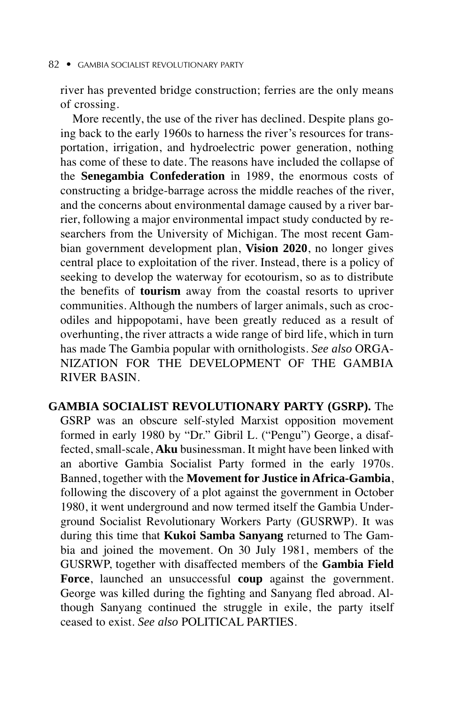### 82 • GAMBIA SOCIALIST REVOLUTIONARY PARTY

river has prevented bridge construction; ferries are the only means of crossing.

More recently, the use of the river has declined. Despite plans going back to the early 1960s to harness the river's resources for transportation, irrigation, and hydroelectric power generation, nothing has come of these to date. The reasons have included the collapse of the **Senegambia Confederation** in 1989, the enormous costs of constructing a bridge-barrage across the middle reaches of the river, and the concerns about environmental damage caused by a river barrier, following a major environmental impact study conducted by researchers from the University of Michigan. The most recent Gambian government development plan, **Vision 2020**, no longer gives central place to exploitation of the river. Instead, there is a policy of seeking to develop the waterway for ecotourism, so as to distribute the benefits of **tourism** away from the coastal resorts to upriver communities. Although the numbers of larger animals, such as crocodiles and hippopotami, have been greatly reduced as a result of overhunting, the river attracts a wide range of bird life, which in turn has made The Gambia popular with ornithologists. *See also* ORGA-NIZATION FOR THE DEVELOPMENT OF THE GAMBIA RIVER BASIN.

**GAMBIA SOCIALIST REVOLUTIONARY PARTY (GSRP).** The GSRP was an obscure self-styled Marxist opposition movement formed in early 1980 by "Dr." Gibril L. ("Pengu") George, a disaffected, small-scale, **Aku** businessman. It might have been linked with an abortive Gambia Socialist Party formed in the early 1970s. Banned, together with the **Movement for Justice in Africa-Gambia**, following the discovery of a plot against the government in October 1980, it went underground and now termed itself the Gambia Underground Socialist Revolutionary Workers Party (GUSRWP). It was during this time that **Kukoi Samba Sanyang** returned to The Gambia and joined the movement. On 30 July 1981, members of the GUSRWP, together with disaffected members of the **Gambia Field Force**, launched an unsuccessful **coup** against the government. George was killed during the fighting and Sanyang fled abroad. Although Sanyang continued the struggle in exile, the party itself ceased to exist. *See also* POLITICAL PARTIES.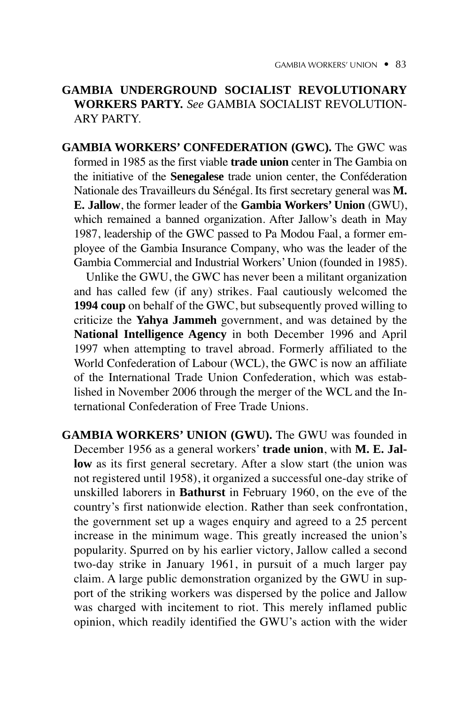# **GAMBIA UNDERGROUND SOCIALIST REVOLUTIONARY WORKERS PARTY.** *See* GAMBIA SOCIALIST REVOLUTION-ARY PARTY.

**GAMBIA WORKERS' CONFEDERATION (GWC).** The GWC was formed in 1985 as the first viable **trade union** center in The Gambia on the initiative of the **Senegalese** trade union center, the Conféderation Nationale des Travailleurs du Sénégal. Its first secretary general was **M. E. Jallow**, the former leader of the **Gambia Workers' Union** (GWU), which remained a banned organization. After Jallow's death in May 1987, leadership of the GWC passed to Pa Modou Faal, a former employee of the Gambia Insurance Company, who was the leader of the Gambia Commercial and Industrial Workers' Union (founded in 1985).

Unlike the GWU, the GWC has never been a militant organization and has called few (if any) strikes. Faal cautiously welcomed the **1994 coup** on behalf of the GWC, but subsequently proved willing to criticize the **Yahya Jammeh** government, and was detained by the **National Intelligence Agency** in both December 1996 and April 1997 when attempting to travel abroad. Formerly affiliated to the World Confederation of Labour (WCL), the GWC is now an affiliate of the International Trade Union Confederation, which was established in November 2006 through the merger of the WCL and the International Confederation of Free Trade Unions.

**GAMBIA WORKERS' UNION (GWU).** The GWU was founded in December 1956 as a general workers' **trade union**, with **M. E. Jallow** as its first general secretary. After a slow start (the union was not registered until 1958), it organized a successful one-day strike of unskilled laborers in **Bathurst** in February 1960, on the eve of the country's first nationwide election. Rather than seek confrontation, the government set up a wages enquiry and agreed to a 25 percent increase in the minimum wage. This greatly increased the union's popularity. Spurred on by his earlier victory, Jallow called a second two-day strike in January 1961, in pursuit of a much larger pay claim. A large public demonstration organized by the GWU in support of the striking workers was dispersed by the police and Jallow was charged with incitement to riot. This merely inflamed public opinion, which readily identified the GWU's action with the wider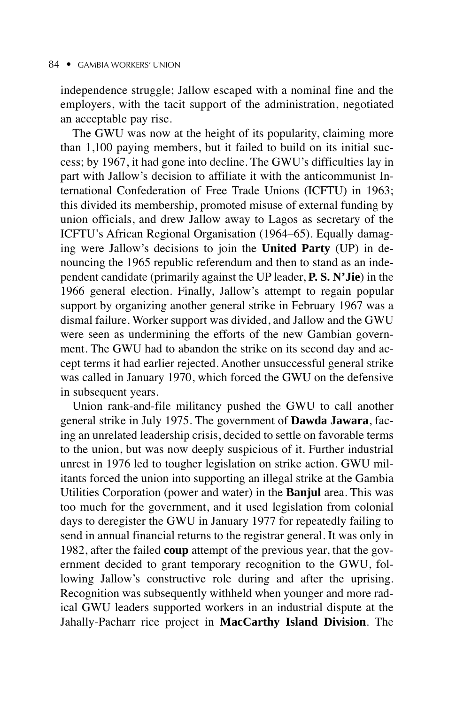independence struggle; Jallow escaped with a nominal fine and the employers, with the tacit support of the administration, negotiated an acceptable pay rise.

The GWU was now at the height of its popularity, claiming more than 1,100 paying members, but it failed to build on its initial success; by 1967, it had gone into decline. The GWU's difficulties lay in part with Jallow's decision to affiliate it with the anticommunist International Confederation of Free Trade Unions (ICFTU) in 1963; this divided its membership, promoted misuse of external funding by union officials, and drew Jallow away to Lagos as secretary of the ICFTU's African Regional Organisation (1964–65). Equally damaging were Jallow's decisions to join the **United Party** (UP) in denouncing the 1965 republic referendum and then to stand as an independent candidate (primarily against the UP leader, **P. S. N'Jie**) in the 1966 general election. Finally, Jallow's attempt to regain popular support by organizing another general strike in February 1967 was a dismal failure. Worker support was divided, and Jallow and the GWU were seen as undermining the efforts of the new Gambian government. The GWU had to abandon the strike on its second day and accept terms it had earlier rejected. Another unsuccessful general strike was called in January 1970, which forced the GWU on the defensive in subsequent years.

Union rank-and-file militancy pushed the GWU to call another general strike in July 1975. The government of **Dawda Jawara**, facing an unrelated leadership crisis, decided to settle on favorable terms to the union, but was now deeply suspicious of it. Further industrial unrest in 1976 led to tougher legislation on strike action. GWU militants forced the union into supporting an illegal strike at the Gambia Utilities Corporation (power and water) in the **Banjul** area. This was too much for the government, and it used legislation from colonial days to deregister the GWU in January 1977 for repeatedly failing to send in annual financial returns to the registrar general. It was only in 1982, after the failed **coup** attempt of the previous year, that the government decided to grant temporary recognition to the GWU, following Jallow's constructive role during and after the uprising. Recognition was subsequently withheld when younger and more radical GWU leaders supported workers in an industrial dispute at the Jahally-Pacharr rice project in **MacCarthy Island Division**. The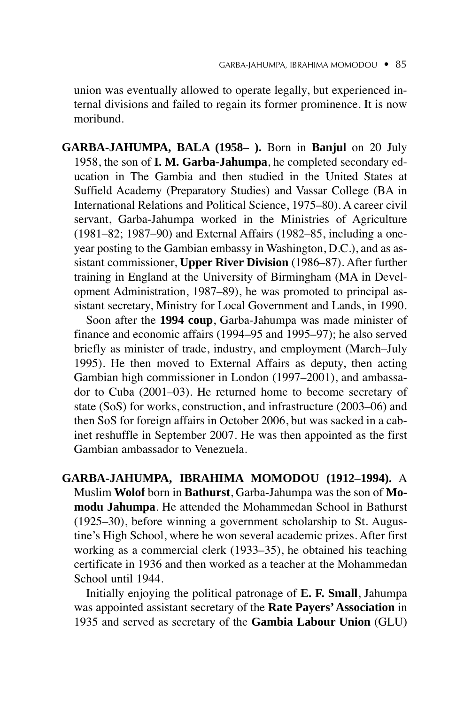union was eventually allowed to operate legally, but experienced internal divisions and failed to regain its former prominence. It is now moribund.

**GARBA-JAHUMPA, BALA (1958– ).** Born in **Banjul** on 20 July 1958, the son of **I. M. Garba-Jahumpa**, he completed secondary education in The Gambia and then studied in the United States at Suffield Academy (Preparatory Studies) and Vassar College (BA in International Relations and Political Science, 1975–80). A career civil servant, Garba-Jahumpa worked in the Ministries of Agriculture (1981–82; 1987–90) and External Affairs (1982–85, including a oneyear posting to the Gambian embassy in Washington, D.C.), and as assistant commissioner, **Upper River Division** (1986–87). After further training in England at the University of Birmingham (MA in Development Administration, 1987–89), he was promoted to principal assistant secretary, Ministry for Local Government and Lands, in 1990.

Soon after the **1994 coup**, Garba-Jahumpa was made minister of finance and economic affairs (1994–95 and 1995–97); he also served briefly as minister of trade, industry, and employment (March–July 1995). He then moved to External Affairs as deputy, then acting Gambian high commissioner in London (1997–2001), and ambassador to Cuba (2001–03). He returned home to become secretary of state (SoS) for works, construction, and infrastructure (2003–06) and then SoS for foreign affairs in October 2006, but was sacked in a cabinet reshuffle in September 2007. He was then appointed as the first Gambian ambassador to Venezuela.

**GARBA-JAHUMPA, IBRAHIMA MOMODOU (1912–1994).** A Muslim **Wolof** born in **Bathurst**, Garba-Jahumpa was the son of **Momodu Jahumpa**. He attended the Mohammedan School in Bathurst (1925–30), before winning a government scholarship to St. Augustine's High School, where he won several academic prizes. After first working as a commercial clerk (1933–35), he obtained his teaching certificate in 1936 and then worked as a teacher at the Mohammedan School until 1944.

Initially enjoying the political patronage of **E. F. Small**, Jahumpa was appointed assistant secretary of the **Rate Payers'Association** in 1935 and served as secretary of the **Gambia Labour Union** (GLU)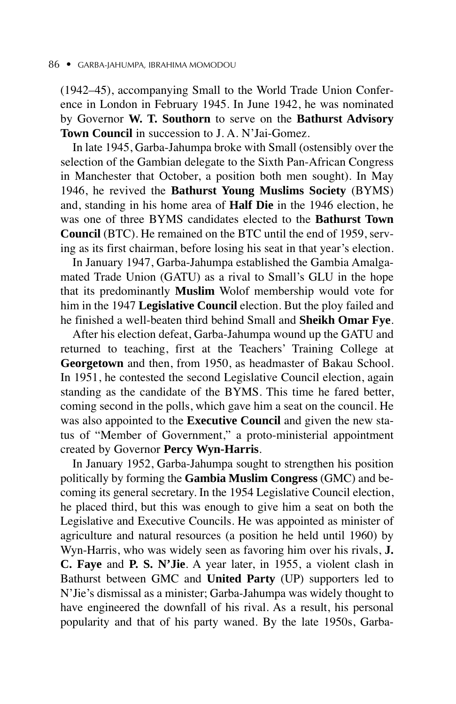### 86 • GARBA-JAHUMPA, IBRAHIMA MOMODOU

(1942–45), accompanying Small to the World Trade Union Conference in London in February 1945. In June 1942, he was nominated by Governor **W. T. Southorn** to serve on the **Bathurst Advisory Town Council** in succession to J. A. N'Jai-Gomez.

In late 1945, Garba-Jahumpa broke with Small (ostensibly over the selection of the Gambian delegate to the Sixth Pan-African Congress in Manchester that October, a position both men sought). In May 1946, he revived the **Bathurst Young Muslims Society** (BYMS) and, standing in his home area of **Half Die** in the 1946 election, he was one of three BYMS candidates elected to the **Bathurst Town Council** (BTC). He remained on the BTC until the end of 1959, serving as its first chairman, before losing his seat in that year's election.

In January 1947, Garba-Jahumpa established the Gambia Amalgamated Trade Union (GATU) as a rival to Small's GLU in the hope that its predominantly **Muslim** Wolof membership would vote for him in the 1947 **Legislative Council** election. But the ploy failed and he finished a well-beaten third behind Small and **Sheikh Omar Fye**.

After his election defeat, Garba-Jahumpa wound up the GATU and returned to teaching, first at the Teachers' Training College at **Georgetown** and then, from 1950, as headmaster of Bakau School. In 1951, he contested the second Legislative Council election, again standing as the candidate of the BYMS. This time he fared better, coming second in the polls, which gave him a seat on the council. He was also appointed to the **Executive Council** and given the new status of "Member of Government," a proto-ministerial appointment created by Governor **Percy Wyn-Harris**.

In January 1952, Garba-Jahumpa sought to strengthen his position politically by forming the **Gambia Muslim Congress** (GMC) and becoming its general secretary. In the 1954 Legislative Council election, he placed third, but this was enough to give him a seat on both the Legislative and Executive Councils. He was appointed as minister of agriculture and natural resources (a position he held until 1960) by Wyn-Harris, who was widely seen as favoring him over his rivals, **J. C. Faye** and **P. S. N'Jie**. A year later, in 1955, a violent clash in Bathurst between GMC and **United Party** (UP) supporters led to N'Jie's dismissal as a minister; Garba-Jahumpa was widely thought to have engineered the downfall of his rival. As a result, his personal popularity and that of his party waned. By the late 1950s, Garba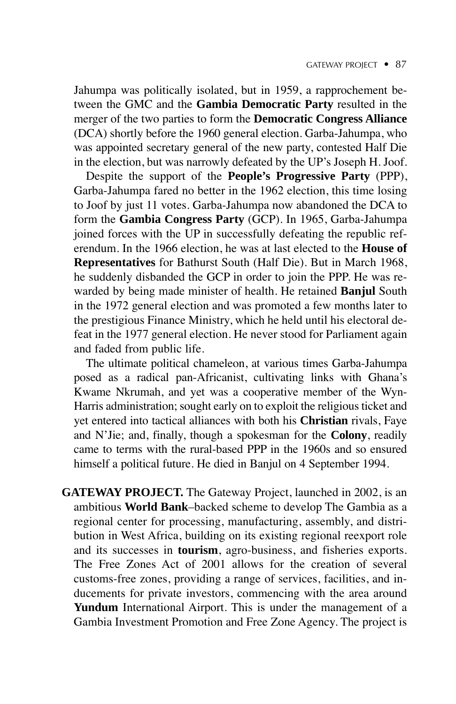Jahumpa was politically isolated, but in 1959, a rapprochement between the GMC and the **Gambia Democratic Party** resulted in the merger of the two parties to form the **Democratic Congress Alliance** (DCA) shortly before the 1960 general election. Garba-Jahumpa, who was appointed secretary general of the new party, contested Half Die in the election, but was narrowly defeated by the UP's Joseph H. Joof.

Despite the support of the **People's Progressive Party** (PPP), Garba-Jahumpa fared no better in the 1962 election, this time losing to Joof by just 11 votes. Garba-Jahumpa now abandoned the DCA to form the **Gambia Congress Party** (GCP). In 1965, Garba-Jahumpa joined forces with the UP in successfully defeating the republic referendum. In the 1966 election, he was at last elected to the **House of Representatives** for Bathurst South (Half Die). But in March 1968, he suddenly disbanded the GCP in order to join the PPP. He was rewarded by being made minister of health. He retained **Banjul** South in the 1972 general election and was promoted a few months later to the prestigious Finance Ministry, which he held until his electoral defeat in the 1977 general election. He never stood for Parliament again and faded from public life.

The ultimate political chameleon, at various times Garba-Jahumpa posed as a radical pan-Africanist, cultivating links with Ghana's Kwame Nkrumah, and yet was a cooperative member of the Wyn-Harris administration; sought early on to exploit the religious ticket and yet entered into tactical alliances with both his **Christian** rivals, Faye and N'Jie; and, finally, though a spokesman for the **Colony**, readily came to terms with the rural-based PPP in the 1960s and so ensured himself a political future. He died in Banjul on 4 September 1994.

**GATEWAY PROJECT.** The Gateway Project, launched in 2002, is an ambitious **World Bank**–backed scheme to develop The Gambia as a regional center for processing, manufacturing, assembly, and distribution in West Africa, building on its existing regional reexport role and its successes in **tourism**, agro-business, and fisheries exports. The Free Zones Act of 2001 allows for the creation of several customs-free zones, providing a range of services, facilities, and inducements for private investors, commencing with the area around **Yundum** International Airport. This is under the management of a Gambia Investment Promotion and Free Zone Agency. The project is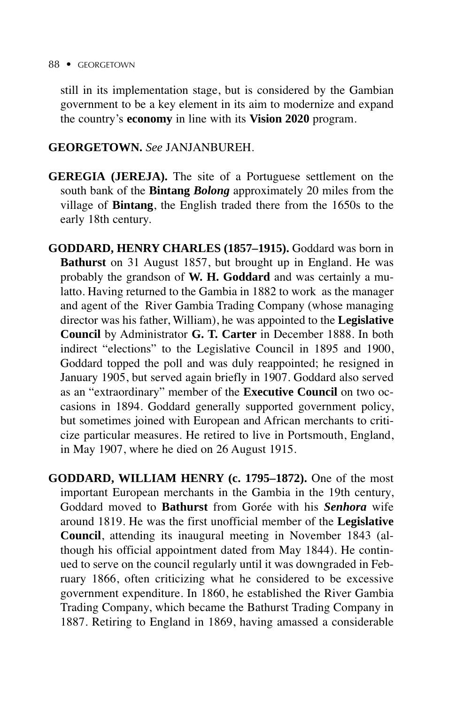# 88 • GEORGETOWN

still in its implementation stage, but is considered by the Gambian government to be a key element in its aim to modernize and expand the country's **economy** in line with its **Vision 2020** program.

# **GEORGETOWN.** *See* JANJANBUREH.

- **GEREGIA (JEREJA).** The site of a Portuguese settlement on the south bank of the **Bintang** *Bolong* approximately 20 miles from the village of **Bintang**, the English traded there from the 1650s to the early 18th century.
- **GODDARD, HENRY CHARLES (1857–1915).** Goddard was born in **Bathurst** on 31 August 1857, but brought up in England. He was probably the grandson of **W. H. Goddard** and was certainly a mulatto. Having returned to the Gambia in 1882 to work as the manager and agent of the River Gambia Trading Company (whose managing director was his father, William), he was appointed to the **Legislative Council** by Administrator **G. T. Carter** in December 1888. In both indirect "elections" to the Legislative Council in 1895 and 1900, Goddard topped the poll and was duly reappointed; he resigned in January 1905, but served again briefly in 1907. Goddard also served as an "extraordinary" member of the **Executive Council** on two occasions in 1894. Goddard generally supported government policy, but sometimes joined with European and African merchants to criticize particular measures. He retired to live in Portsmouth, England, in May 1907, where he died on 26 August 1915.
- **GODDARD, WILLIAM HENRY (c. 1795–1872).** One of the most important European merchants in the Gambia in the 19th century, Goddard moved to **Bathurst** from Gorée with his *Senhora* wife around 1819. He was the first unofficial member of the **Legislative Council**, attending its inaugural meeting in November 1843 (although his official appointment dated from May 1844). He continued to serve on the council regularly until it was downgraded in February 1866, often criticizing what he considered to be excessive government expenditure. In 1860, he established the River Gambia Trading Company, which became the Bathurst Trading Company in 1887. Retiring to England in 1869, having amassed a considerable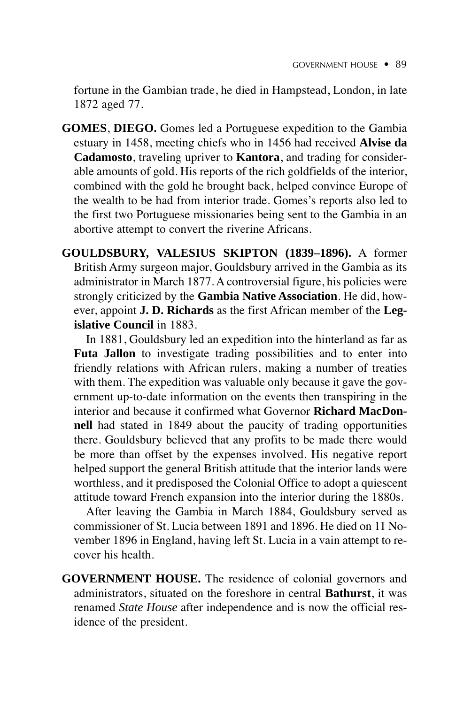fortune in the Gambian trade, he died in Hampstead, London, in late 1872 aged 77.

**GOMES**, **DIEGO.** Gomes led a Portuguese expedition to the Gambia estuary in 1458, meeting chiefs who in 1456 had received **Alvise da Cadamosto**, traveling upriver to **Kantora**, and trading for considerable amounts of gold. His reports of the rich goldfields of the interior, combined with the gold he brought back, helped convince Europe of the wealth to be had from interior trade. Gomes's reports also led to the first two Portuguese missionaries being sent to the Gambia in an abortive attempt to convert the riverine Africans.

**GOULDSBURY, VALESIUS SKIPTON (1839–1896).** A former British Army surgeon major, Gouldsbury arrived in the Gambia as its administrator in March 1877. A controversial figure, his policies were strongly criticized by the **Gambia Native Association**. He did, however, appoint **J. D. Richards** as the first African member of the **Legislative Council** in 1883.

In 1881, Gouldsbury led an expedition into the hinterland as far as **Futa Jallon** to investigate trading possibilities and to enter into friendly relations with African rulers, making a number of treaties with them. The expedition was valuable only because it gave the government up-to-date information on the events then transpiring in the interior and because it confirmed what Governor **Richard MacDonnell** had stated in 1849 about the paucity of trading opportunities there. Gouldsbury believed that any profits to be made there would be more than offset by the expenses involved. His negative report helped support the general British attitude that the interior lands were worthless, and it predisposed the Colonial Office to adopt a quiescent attitude toward French expansion into the interior during the 1880s.

After leaving the Gambia in March 1884, Gouldsbury served as commissioner of St. Lucia between 1891 and 1896. He died on 11 November 1896 in England, having left St. Lucia in a vain attempt to recover his health.

**GOVERNMENT HOUSE.** The residence of colonial governors and administrators, situated on the foreshore in central **Bathurst**, it was renamed *State House* after independence and is now the official residence of the president.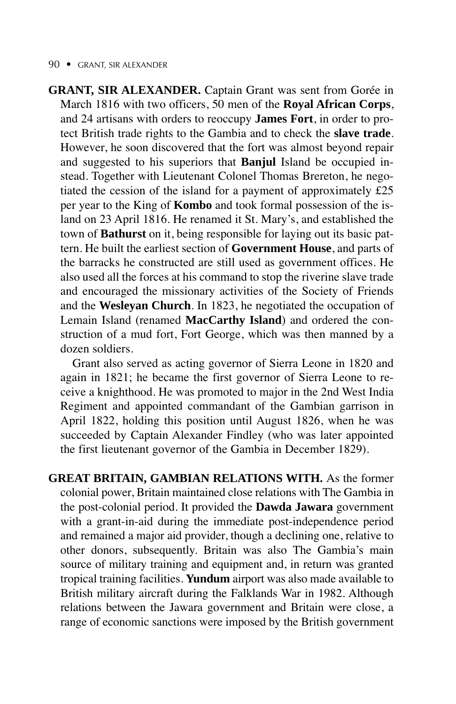## 90 • GRANT, SIR ALEXANDER

**GRANT, SIR ALEXANDER.** Captain Grant was sent from Gorée in March 1816 with two officers, 50 men of the **Royal African Corps**, and 24 artisans with orders to reoccupy **James Fort**, in order to protect British trade rights to the Gambia and to check the **slave trade**. However, he soon discovered that the fort was almost beyond repair and suggested to his superiors that **Banjul** Island be occupied instead. Together with Lieutenant Colonel Thomas Brereton, he negotiated the cession of the island for a payment of approximately £25 per year to the King of **Kombo** and took formal possession of the island on 23 April 1816. He renamed it St. Mary's, and established the town of **Bathurst** on it, being responsible for laying out its basic pattern. He built the earliest section of **Government House**, and parts of the barracks he constructed are still used as government offices. He also used all the forces at his command to stop the riverine slave trade and encouraged the missionary activities of the Society of Friends and the **Wesleyan Church**. In 1823, he negotiated the occupation of Lemain Island (renamed **MacCarthy Island**) and ordered the construction of a mud fort, Fort George, which was then manned by a dozen soldiers.

Grant also served as acting governor of Sierra Leone in 1820 and again in 1821; he became the first governor of Sierra Leone to receive a knighthood. He was promoted to major in the 2nd West India Regiment and appointed commandant of the Gambian garrison in April 1822, holding this position until August 1826, when he was succeeded by Captain Alexander Findley (who was later appointed the first lieutenant governor of the Gambia in December 1829).

**GREAT BRITAIN, GAMBIAN RELATIONS WITH.** As the former colonial power, Britain maintained close relations with The Gambia in the post-colonial period. It provided the **Dawda Jawara** government with a grant-in-aid during the immediate post-independence period and remained a major aid provider, though a declining one, relative to other donors, subsequently. Britain was also The Gambia's main source of military training and equipment and, in return was granted tropical training facilities. **Yundum** airport was also made available to British military aircraft during the Falklands War in 1982. Although relations between the Jawara government and Britain were close, a range of economic sanctions were imposed by the British government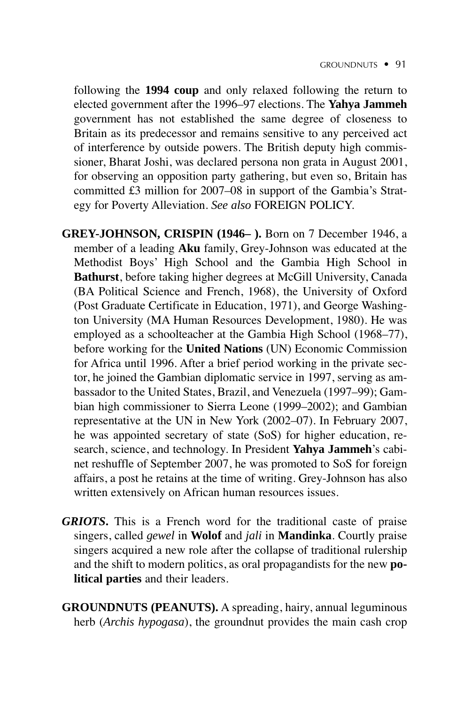following the **1994 coup** and only relaxed following the return to elected government after the 1996–97 elections. The **Yahya Jammeh** government has not established the same degree of closeness to Britain as its predecessor and remains sensitive to any perceived act of interference by outside powers. The British deputy high commissioner, Bharat Joshi, was declared persona non grata in August 2001, for observing an opposition party gathering, but even so, Britain has committed £3 million for 2007–08 in support of the Gambia's Strategy for Poverty Alleviation. *See also* FOREIGN POLICY.

- **GREY-JOHNSON, CRISPIN (1946– ).** Born on 7 December 1946, a member of a leading **Aku** family, Grey-Johnson was educated at the Methodist Boys' High School and the Gambia High School in **Bathurst**, before taking higher degrees at McGill University, Canada (BA Political Science and French, 1968), the University of Oxford (Post Graduate Certificate in Education, 1971), and George Washington University (MA Human Resources Development, 1980). He was employed as a schoolteacher at the Gambia High School (1968–77), before working for the **United Nations** (UN) Economic Commission for Africa until 1996. After a brief period working in the private sector, he joined the Gambian diplomatic service in 1997, serving as ambassador to the United States, Brazil, and Venezuela (1997–99); Gambian high commissioner to Sierra Leone (1999–2002); and Gambian representative at the UN in New York (2002–07). In February 2007, he was appointed secretary of state (SoS) for higher education, research, science, and technology. In President **Yahya Jammeh**'s cabinet reshuffle of September 2007, he was promoted to SoS for foreign affairs, a post he retains at the time of writing. Grey-Johnson has also written extensively on African human resources issues.
- *GRIOTS***.** This is a French word for the traditional caste of praise singers, called *gewel* in **Wolof** and *jali* in **Mandinka**. Courtly praise singers acquired a new role after the collapse of traditional rulership and the shift to modern politics, as oral propagandists for the new **political parties** and their leaders.
- **GROUNDNUTS (PEANUTS).** A spreading, hairy, annual leguminous herb (*Archis hypogasa*), the groundnut provides the main cash crop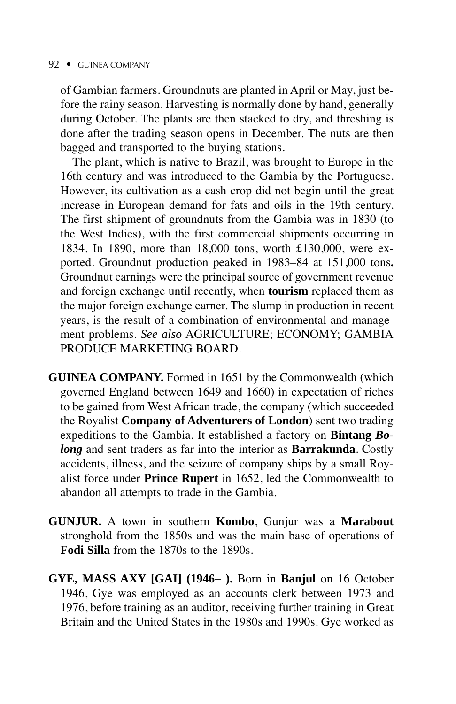## 92 • GUINEA COMPANY

of Gambian farmers. Groundnuts are planted in April or May, just before the rainy season. Harvesting is normally done by hand, generally during October. The plants are then stacked to dry, and threshing is done after the trading season opens in December. The nuts are then bagged and transported to the buying stations.

The plant, which is native to Brazil, was brought to Europe in the 16th century and was introduced to the Gambia by the Portuguese. However, its cultivation as a cash crop did not begin until the great increase in European demand for fats and oils in the 19th century. The first shipment of groundnuts from the Gambia was in 1830 (to the West Indies), with the first commercial shipments occurring in 1834. In 1890, more than 18,000 tons, worth £130,000, were exported. Groundnut production peaked in 1983–84 at 151,000 tons**.** Groundnut earnings were the principal source of government revenue and foreign exchange until recently, when **tourism** replaced them as the major foreign exchange earner. The slump in production in recent years, is the result of a combination of environmental and management problems. *See also* AGRICULTURE; ECONOMY; GAMBIA PRODUCE MARKETING BOARD.

- **GUINEA COMPANY.** Formed in 1651 by the Commonwealth (which governed England between 1649 and 1660) in expectation of riches to be gained from West African trade, the company (which succeeded the Royalist **Company of Adventurers of London**) sent two trading expeditions to the Gambia. It established a factory on **Bintang** *Bolong* and sent traders as far into the interior as **Barrakunda**. Costly accidents, illness, and the seizure of company ships by a small Royalist force under **Prince Rupert** in 1652, led the Commonwealth to abandon all attempts to trade in the Gambia.
- **GUNJUR.** A town in southern **Kombo**, Gunjur was a **Marabout** stronghold from the 1850s and was the main base of operations of **Fodi Silla** from the 1870s to the 1890s.
- **GYE, MASS AXY [GAI] (1946– ).** Born in **Banjul** on 16 October 1946, Gye was employed as an accounts clerk between 1973 and 1976, before training as an auditor, receiving further training in Great Britain and the United States in the 1980s and 1990s. Gye worked as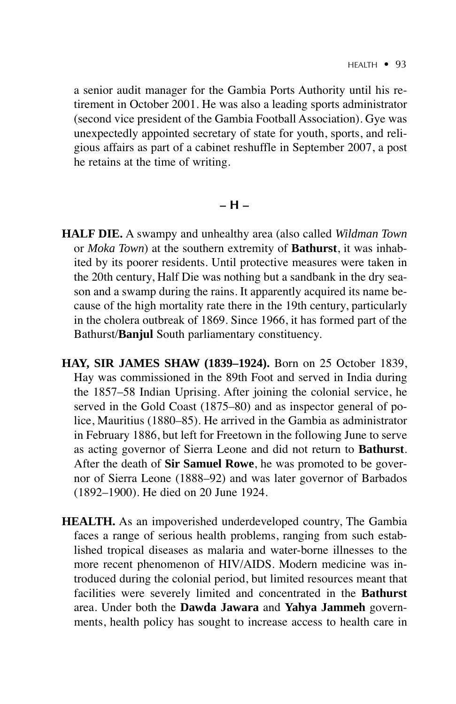a senior audit manager for the Gambia Ports Authority until his retirement in October 2001. He was also a leading sports administrator (second vice president of the Gambia Football Association). Gye was unexpectedly appointed secretary of state for youth, sports, and religious affairs as part of a cabinet reshuffle in September 2007, a post he retains at the time of writing.

# **– H –**

- **HALF DIE.** A swampy and unhealthy area (also called *Wildman Town* or *Moka Town*) at the southern extremity of **Bathurst**, it was inhabited by its poorer residents. Until protective measures were taken in the 20th century, Half Die was nothing but a sandbank in the dry season and a swamp during the rains. It apparently acquired its name because of the high mortality rate there in the 19th century, particularly in the cholera outbreak of 1869. Since 1966, it has formed part of the Bathurst/**Banjul** South parliamentary constituency.
- **HAY, SIR JAMES SHAW (1839–1924).** Born on 25 October 1839, Hay was commissioned in the 89th Foot and served in India during the 1857–58 Indian Uprising. After joining the colonial service, he served in the Gold Coast (1875–80) and as inspector general of police, Mauritius (1880–85). He arrived in the Gambia as administrator in February 1886, but left for Freetown in the following June to serve as acting governor of Sierra Leone and did not return to **Bathurst**. After the death of **Sir Samuel Rowe**, he was promoted to be governor of Sierra Leone (1888–92) and was later governor of Barbados (1892–1900). He died on 20 June 1924.
- **HEALTH.** As an impoverished underdeveloped country, The Gambia faces a range of serious health problems, ranging from such established tropical diseases as malaria and water-borne illnesses to the more recent phenomenon of HIV/AIDS. Modern medicine was introduced during the colonial period, but limited resources meant that facilities were severely limited and concentrated in the **Bathurst** area. Under both the **Dawda Jawara** and **Yahya Jammeh** governments, health policy has sought to increase access to health care in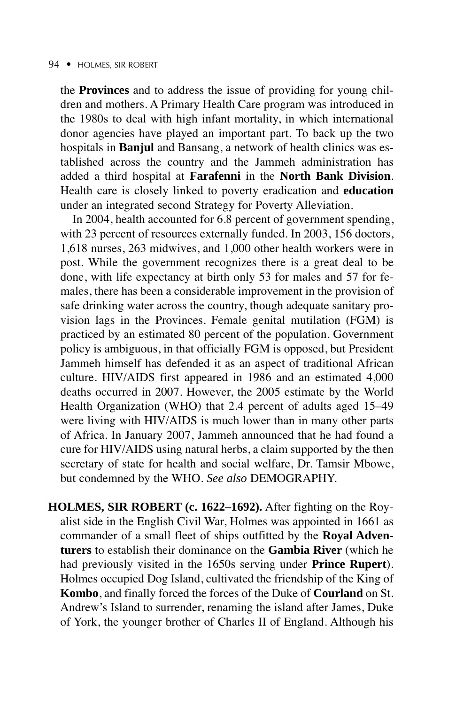## 94 • HOLMES, SIR ROBERT

the **Provinces** and to address the issue of providing for young children and mothers. A Primary Health Care program was introduced in the 1980s to deal with high infant mortality, in which international donor agencies have played an important part. To back up the two hospitals in **Banjul** and Bansang, a network of health clinics was established across the country and the Jammeh administration has added a third hospital at **Farafenni** in the **North Bank Division**. Health care is closely linked to poverty eradication and **education** under an integrated second Strategy for Poverty Alleviation.

In 2004, health accounted for 6.8 percent of government spending, with 23 percent of resources externally funded. In 2003, 156 doctors, 1,618 nurses, 263 midwives, and 1,000 other health workers were in post. While the government recognizes there is a great deal to be done, with life expectancy at birth only 53 for males and 57 for females, there has been a considerable improvement in the provision of safe drinking water across the country, though adequate sanitary provision lags in the Provinces. Female genital mutilation (FGM) is practiced by an estimated 80 percent of the population. Government policy is ambiguous, in that officially FGM is opposed, but President Jammeh himself has defended it as an aspect of traditional African culture. HIV/AIDS first appeared in 1986 and an estimated 4,000 deaths occurred in 2007. However, the 2005 estimate by the World Health Organization (WHO) that 2.4 percent of adults aged 15–49 were living with HIV/AIDS is much lower than in many other parts of Africa. In January 2007, Jammeh announced that he had found a cure for HIV/AIDS using natural herbs, a claim supported by the then secretary of state for health and social welfare, Dr. Tamsir Mbowe, but condemned by the WHO. *See also* DEMOGRAPHY.

**HOLMES, SIR ROBERT (c. 1622–1692).** After fighting on the Royalist side in the English Civil War, Holmes was appointed in 1661 as commander of a small fleet of ships outfitted by the **Royal Adventurers** to establish their dominance on the **Gambia River** (which he had previously visited in the 1650s serving under **Prince Rupert**). Holmes occupied Dog Island, cultivated the friendship of the King of **Kombo**, and finally forced the forces of the Duke of **Courland** on St. Andrew's Island to surrender, renaming the island after James, Duke of York, the younger brother of Charles II of England. Although his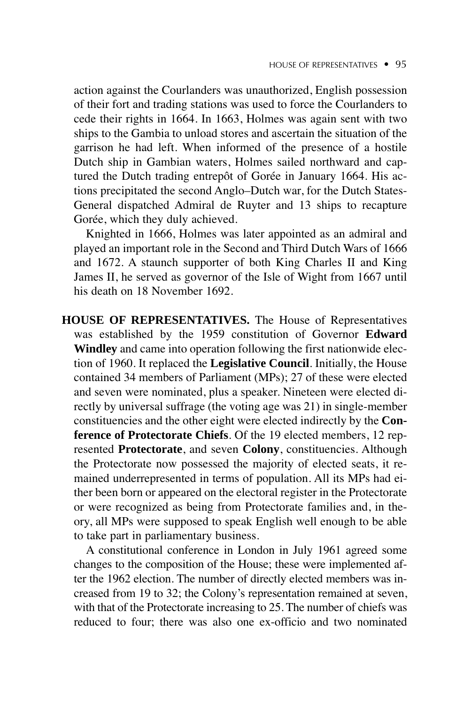action against the Courlanders was unauthorized, English possession of their fort and trading stations was used to force the Courlanders to cede their rights in 1664. In 1663, Holmes was again sent with two ships to the Gambia to unload stores and ascertain the situation of the garrison he had left. When informed of the presence of a hostile Dutch ship in Gambian waters, Holmes sailed northward and captured the Dutch trading entrepôt of Gorée in January 1664. His actions precipitated the second Anglo–Dutch war, for the Dutch States-General dispatched Admiral de Ruyter and 13 ships to recapture Gorée, which they duly achieved.

Knighted in 1666, Holmes was later appointed as an admiral and played an important role in the Second and Third Dutch Wars of 1666 and 1672. A staunch supporter of both King Charles II and King James II, he served as governor of the Isle of Wight from 1667 until his death on 18 November 1692.

**HOUSE OF REPRESENTATIVES.** The House of Representatives was established by the 1959 constitution of Governor **Edward Windley** and came into operation following the first nationwide election of 1960. It replaced the **Legislative Council**. Initially, the House contained 34 members of Parliament (MPs); 27 of these were elected and seven were nominated, plus a speaker. Nineteen were elected directly by universal suffrage (the voting age was 21) in single-member constituencies and the other eight were elected indirectly by the **Conference of Protectorate Chiefs**. Of the 19 elected members, 12 represented **Protectorate**, and seven **Colony**, constituencies. Although the Protectorate now possessed the majority of elected seats, it remained underrepresented in terms of population. All its MPs had either been born or appeared on the electoral register in the Protectorate or were recognized as being from Protectorate families and, in theory, all MPs were supposed to speak English well enough to be able to take part in parliamentary business.

A constitutional conference in London in July 1961 agreed some changes to the composition of the House; these were implemented after the 1962 election. The number of directly elected members was increased from 19 to 32; the Colony's representation remained at seven, with that of the Protectorate increasing to 25. The number of chiefs was reduced to four; there was also one ex-officio and two nominated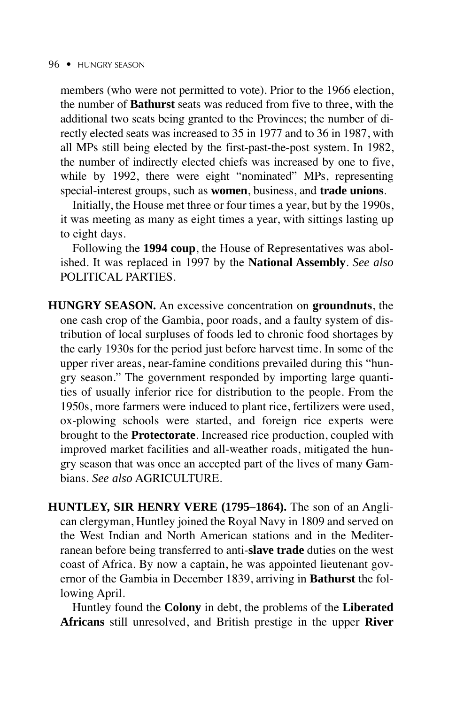members (who were not permitted to vote). Prior to the 1966 election, the number of **Bathurst** seats was reduced from five to three, with the additional two seats being granted to the Provinces; the number of directly elected seats was increased to 35 in 1977 and to 36 in 1987, with all MPs still being elected by the first-past-the-post system. In 1982, the number of indirectly elected chiefs was increased by one to five, while by 1992, there were eight "nominated" MPs, representing special-interest groups, such as **women**, business, and **trade unions**.

Initially, the House met three or four times a year, but by the 1990s, it was meeting as many as eight times a year, with sittings lasting up to eight days.

Following the **1994 coup**, the House of Representatives was abolished. It was replaced in 1997 by the **National Assembly**. *See also* POLITICAL PARTIES.

**HUNGRY SEASON.** An excessive concentration on **groundnuts**, the one cash crop of the Gambia, poor roads, and a faulty system of distribution of local surpluses of foods led to chronic food shortages by the early 1930s for the period just before harvest time. In some of the upper river areas, near-famine conditions prevailed during this "hungry season." The government responded by importing large quantities of usually inferior rice for distribution to the people. From the 1950s, more farmers were induced to plant rice, fertilizers were used, ox-plowing schools were started, and foreign rice experts were brought to the **Protectorate**. Increased rice production, coupled with improved market facilities and all-weather roads, mitigated the hungry season that was once an accepted part of the lives of many Gambians. *See also* AGRICULTURE.

**HUNTLEY, SIR HENRY VERE (1795–1864).** The son of an Anglican clergyman, Huntley joined the Royal Navy in 1809 and served on the West Indian and North American stations and in the Mediterranean before being transferred to anti-**slave trade** duties on the west coast of Africa. By now a captain, he was appointed lieutenant governor of the Gambia in December 1839, arriving in **Bathurst** the following April.

Huntley found the **Colony** in debt, the problems of the **Liberated Africans** still unresolved, and British prestige in the upper **River**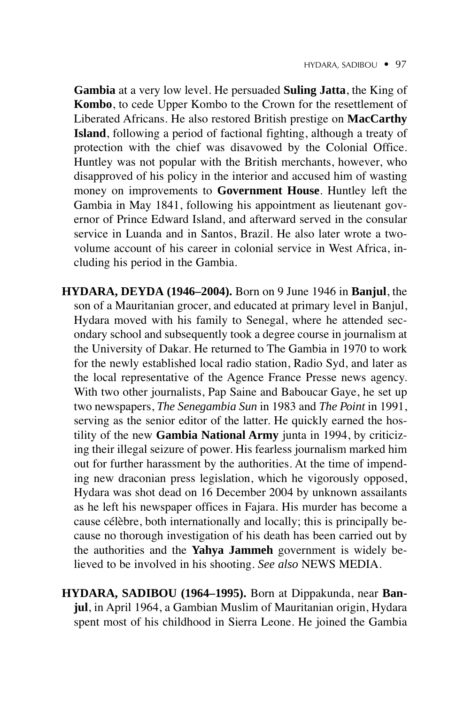**Gambia** at a very low level. He persuaded **Suling Jatta**, the King of **Kombo**, to cede Upper Kombo to the Crown for the resettlement of Liberated Africans. He also restored British prestige on **MacCarthy Island**, following a period of factional fighting, although a treaty of protection with the chief was disavowed by the Colonial Office. Huntley was not popular with the British merchants, however, who disapproved of his policy in the interior and accused him of wasting money on improvements to **Government House**. Huntley left the Gambia in May 1841, following his appointment as lieutenant governor of Prince Edward Island, and afterward served in the consular service in Luanda and in Santos, Brazil. He also later wrote a twovolume account of his career in colonial service in West Africa, including his period in the Gambia.

- **HYDARA, DEYDA (1946–2004).** Born on 9 June 1946 in **Banjul**, the son of a Mauritanian grocer, and educated at primary level in Banjul, Hydara moved with his family to Senegal, where he attended secondary school and subsequently took a degree course in journalism at the University of Dakar. He returned to The Gambia in 1970 to work for the newly established local radio station, Radio Syd, and later as the local representative of the Agence France Presse news agency. With two other journalists, Pap Saine and Baboucar Gaye, he set up two newspapers, *The Senegambia Sun* in 1983 and *The Point* in 1991, serving as the senior editor of the latter. He quickly earned the hostility of the new **Gambia National Army** junta in 1994, by criticizing their illegal seizure of power. His fearless journalism marked him out for further harassment by the authorities. At the time of impending new draconian press legislation, which he vigorously opposed, Hydara was shot dead on 16 December 2004 by unknown assailants as he left his newspaper offices in Fajara. His murder has become a cause célèbre, both internationally and locally; this is principally because no thorough investigation of his death has been carried out by the authorities and the **Yahya Jammeh** government is widely believed to be involved in his shooting. *See also* NEWS MEDIA.
- **HYDARA, SADIBOU (1964–1995).** Born at Dippakunda, near **Banjul**, in April 1964, a Gambian Muslim of Mauritanian origin, Hydara spent most of his childhood in Sierra Leone. He joined the Gambia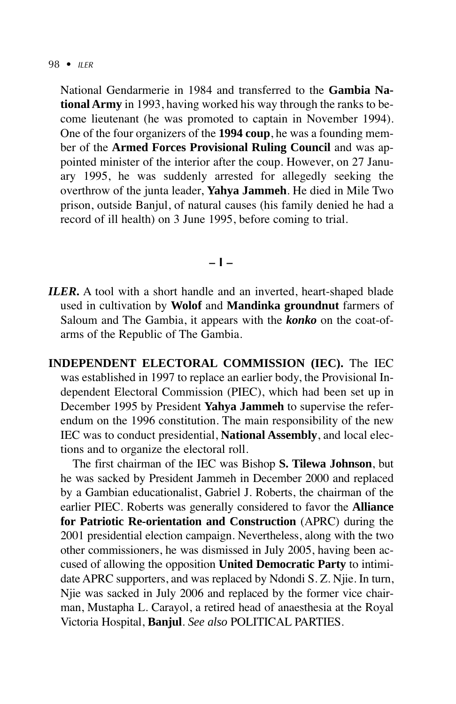National Gendarmerie in 1984 and transferred to the **Gambia National Army** in 1993, having worked his way through the ranks to become lieutenant (he was promoted to captain in November 1994). One of the four organizers of the **1994 coup**, he was a founding member of the **Armed Forces Provisional Ruling Council** and was appointed minister of the interior after the coup. However, on 27 January 1995, he was suddenly arrested for allegedly seeking the overthrow of the junta leader, **Yahya Jammeh**. He died in Mile Two prison, outside Banjul, of natural causes (his family denied he had a record of ill health) on 3 June 1995, before coming to trial.

**– I –**

*ILER***.** A tool with a short handle and an inverted, heart-shaped blade used in cultivation by **Wolof** and **Mandinka groundnut** farmers of Saloum and The Gambia, it appears with the *konko* on the coat-ofarms of the Republic of The Gambia.

**INDEPENDENT ELECTORAL COMMISSION (IEC).** The IEC was established in 1997 to replace an earlier body, the Provisional Independent Electoral Commission (PIEC), which had been set up in December 1995 by President **Yahya Jammeh** to supervise the referendum on the 1996 constitution. The main responsibility of the new IEC was to conduct presidential, **National Assembly**, and local elections and to organize the electoral roll.

The first chairman of the IEC was Bishop **S. Tilewa Johnson**, but he was sacked by President Jammeh in December 2000 and replaced by a Gambian educationalist, Gabriel J. Roberts, the chairman of the earlier PIEC. Roberts was generally considered to favor the **Alliance for Patriotic Re-orientation and Construction** (APRC) during the 2001 presidential election campaign. Nevertheless, along with the two other commissioners, he was dismissed in July 2005, having been accused of allowing the opposition **United Democratic Party** to intimidate APRC supporters, and was replaced by Ndondi S. Z. Njie. In turn, Njie was sacked in July 2006 and replaced by the former vice chairman, Mustapha L. Carayol, a retired head of anaesthesia at the Royal Victoria Hospital, **Banjul**. *See also* POLITICAL PARTIES.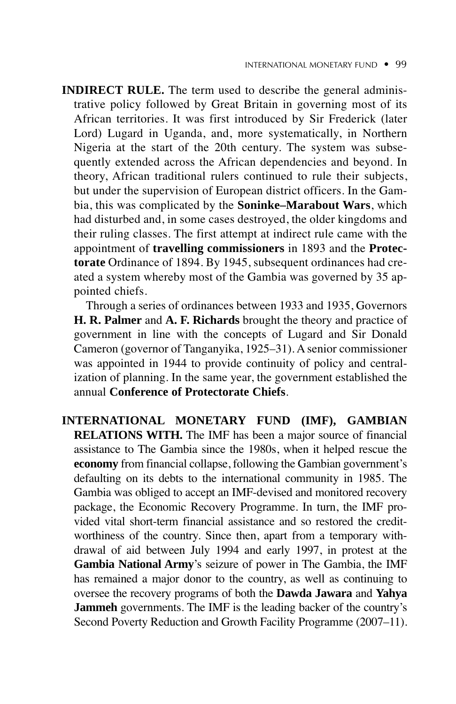**INDIRECT RULE.** The term used to describe the general administrative policy followed by Great Britain in governing most of its African territories. It was first introduced by Sir Frederick (later Lord) Lugard in Uganda, and, more systematically, in Northern Nigeria at the start of the 20th century. The system was subsequently extended across the African dependencies and beyond. In theory, African traditional rulers continued to rule their subjects, but under the supervision of European district officers. In the Gambia, this was complicated by the **Soninke–Marabout Wars**, which had disturbed and, in some cases destroyed, the older kingdoms and their ruling classes. The first attempt at indirect rule came with the appointment of **travelling commissioners** in 1893 and the **Protectorate** Ordinance of 1894. By 1945, subsequent ordinances had created a system whereby most of the Gambia was governed by 35 appointed chiefs.

Through a series of ordinances between 1933 and 1935, Governors **H. R. Palmer** and **A. F. Richards** brought the theory and practice of government in line with the concepts of Lugard and Sir Donald Cameron (governor of Tanganyika, 1925–31). A senior commissioner was appointed in 1944 to provide continuity of policy and centralization of planning. In the same year, the government established the annual **Conference of Protectorate Chiefs**.

**INTERNATIONAL MONETARY FUND (IMF), GAMBIAN RELATIONS WITH.** The IMF has been a major source of financial assistance to The Gambia since the 1980s, when it helped rescue the **economy** from financial collapse, following the Gambian government's defaulting on its debts to the international community in 1985. The Gambia was obliged to accept an IMF-devised and monitored recovery package, the Economic Recovery Programme. In turn, the IMF provided vital short-term financial assistance and so restored the creditworthiness of the country. Since then, apart from a temporary withdrawal of aid between July 1994 and early 1997, in protest at the **Gambia National Army**'s seizure of power in The Gambia, the IMF has remained a major donor to the country, as well as continuing to oversee the recovery programs of both the **Dawda Jawara** and **Yahya Jammeh** governments. The IMF is the leading backer of the country's Second Poverty Reduction and Growth Facility Programme (2007–11).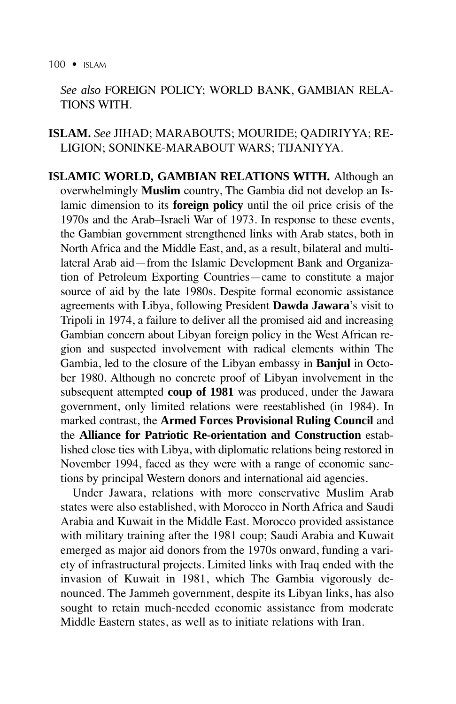100 • ISLAM

*See also* FOREIGN POLICY; WORLD BANK, GAMBIAN RELA-TIONS WITH.

**ISLAM.** *See* JIHAD; MARABOUTS; MOURIDE; QADIRIYYA; RE-LIGION; SONINKE-MARABOUT WARS; TIJANIYYA.

**ISLAMIC WORLD, GAMBIAN RELATIONS WITH.** Although an overwhelmingly **Muslim** country, The Gambia did not develop an Islamic dimension to its **foreign policy** until the oil price crisis of the 1970s and the Arab–Israeli War of 1973. In response to these events, the Gambian government strengthened links with Arab states, both in North Africa and the Middle East, and, as a result, bilateral and multilateral Arab aid—from the Islamic Development Bank and Organization of Petroleum Exporting Countries—came to constitute a major source of aid by the late 1980s. Despite formal economic assistance agreements with Libya, following President **Dawda Jawara**'s visit to Tripoli in 1974, a failure to deliver all the promised aid and increasing Gambian concern about Libyan foreign policy in the West African region and suspected involvement with radical elements within The Gambia, led to the closure of the Libyan embassy in **Banjul** in October 1980. Although no concrete proof of Libyan involvement in the subsequent attempted **coup of 1981** was produced, under the Jawara government, only limited relations were reestablished (in 1984). In marked contrast, the **Armed Forces Provisional Ruling Council** and the **Alliance for Patriotic Re-orientation and Construction** established close ties with Libya, with diplomatic relations being restored in November 1994, faced as they were with a range of economic sanctions by principal Western donors and international aid agencies.

Under Jawara, relations with more conservative Muslim Arab states were also established, with Morocco in North Africa and Saudi Arabia and Kuwait in the Middle East. Morocco provided assistance with military training after the 1981 coup; Saudi Arabia and Kuwait emerged as major aid donors from the 1970s onward, funding a variety of infrastructural projects. Limited links with Iraq ended with the invasion of Kuwait in 1981, which The Gambia vigorously denounced. The Jammeh government, despite its Libyan links, has also sought to retain much-needed economic assistance from moderate Middle Eastern states, as well as to initiate relations with Iran.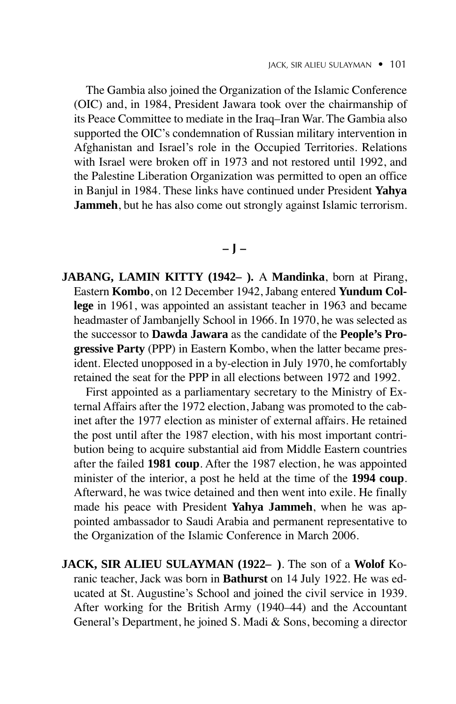The Gambia also joined the Organization of the Islamic Conference (OIC) and, in 1984, President Jawara took over the chairmanship of its Peace Committee to mediate in the Iraq–Iran War. The Gambia also supported the OIC's condemnation of Russian military intervention in Afghanistan and Israel's role in the Occupied Territories. Relations with Israel were broken off in 1973 and not restored until 1992, and the Palestine Liberation Organization was permitted to open an office in Banjul in 1984. These links have continued under President **Yahya Jammeh**, but he has also come out strongly against Islamic terrorism.

# **– J –**

**JABANG, LAMIN KITTY (1942– ).** A **Mandinka**, born at Pirang, Eastern **Kombo**, on 12 December 1942, Jabang entered **Yundum College** in 1961, was appointed an assistant teacher in 1963 and became headmaster of Jambanjelly School in 1966. In 1970, he was selected as the successor to **Dawda Jawara** as the candidate of the **People's Progressive Party** (PPP) in Eastern Kombo, when the latter became president. Elected unopposed in a by-election in July 1970, he comfortably retained the seat for the PPP in all elections between 1972 and 1992.

First appointed as a parliamentary secretary to the Ministry of External Affairs after the 1972 election, Jabang was promoted to the cabinet after the 1977 election as minister of external affairs. He retained the post until after the 1987 election, with his most important contribution being to acquire substantial aid from Middle Eastern countries after the failed **1981 coup**. After the 1987 election, he was appointed minister of the interior, a post he held at the time of the **1994 coup**. Afterward, he was twice detained and then went into exile. He finally made his peace with President **Yahya Jammeh**, when he was appointed ambassador to Saudi Arabia and permanent representative to the Organization of the Islamic Conference in March 2006.

**JACK, SIR ALIEU SULAYMAN (1922– )**. The son of a **Wolof** Koranic teacher, Jack was born in **Bathurst** on 14 July 1922. He was educated at St. Augustine's School and joined the civil service in 1939. After working for the British Army (1940–44) and the Accountant General's Department, he joined S. Madi & Sons, becoming a director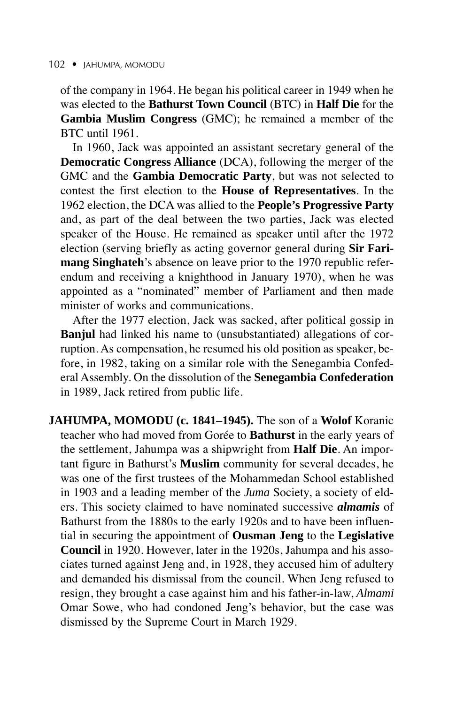of the company in 1964. He began his political career in 1949 when he was elected to the **Bathurst Town Council** (BTC) in **Half Die** for the **Gambia Muslim Congress** (GMC); he remained a member of the BTC until 1961.

In 1960, Jack was appointed an assistant secretary general of the **Democratic Congress Alliance** (DCA), following the merger of the GMC and the **Gambia Democratic Party**, but was not selected to contest the first election to the **House of Representatives**. In the 1962 election, the DCA was allied to the **People's Progressive Party** and, as part of the deal between the two parties, Jack was elected speaker of the House. He remained as speaker until after the 1972 election (serving briefly as acting governor general during **Sir Farimang Singhateh**'s absence on leave prior to the 1970 republic referendum and receiving a knighthood in January 1970), when he was appointed as a "nominated" member of Parliament and then made minister of works and communications.

After the 1977 election, Jack was sacked, after political gossip in **Banjul** had linked his name to (unsubstantiated) allegations of corruption. As compensation, he resumed his old position as speaker, before, in 1982, taking on a similar role with the Senegambia Confederal Assembly. On the dissolution of the **Senegambia Confederation** in 1989, Jack retired from public life.

**JAHUMPA, MOMODU (c. 1841–1945).** The son of a **Wolof** Koranic teacher who had moved from Gorée to **Bathurst** in the early years of the settlement, Jahumpa was a shipwright from **Half Die**. An important figure in Bathurst's **Muslim** community for several decades, he was one of the first trustees of the Mohammedan School established in 1903 and a leading member of the *Juma* Society, a society of elders. This society claimed to have nominated successive *almamis* of Bathurst from the 1880s to the early 1920s and to have been influential in securing the appointment of **Ousman Jeng** to the **Legislative Council** in 1920. However, later in the 1920s, Jahumpa and his associates turned against Jeng and, in 1928, they accused him of adultery and demanded his dismissal from the council. When Jeng refused to resign, they brought a case against him and his father-in-law, *Almami* Omar Sowe, who had condoned Jeng's behavior, but the case was dismissed by the Supreme Court in March 1929.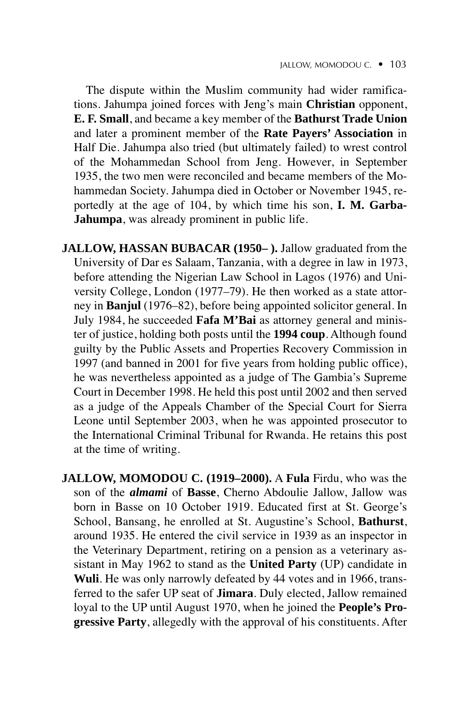The dispute within the Muslim community had wider ramifications. Jahumpa joined forces with Jeng's main **Christian** opponent, **E. F. Small**, and became a key member of the **Bathurst Trade Union** and later a prominent member of the **Rate Payers' Association** in Half Die. Jahumpa also tried (but ultimately failed) to wrest control of the Mohammedan School from Jeng. However, in September 1935, the two men were reconciled and became members of the Mohammedan Society. Jahumpa died in October or November 1945, reportedly at the age of 104, by which time his son, **I. M. Garba-Jahumpa**, was already prominent in public life.

- **JALLOW, HASSAN BUBACAR (1950– ).** Jallow graduated from the University of Dar es Salaam, Tanzania, with a degree in law in 1973, before attending the Nigerian Law School in Lagos (1976) and University College, London (1977–79). He then worked as a state attorney in **Banjul** (1976–82), before being appointed solicitor general. In July 1984, he succeeded **Fafa M'Bai** as attorney general and minister of justice, holding both posts until the **1994 coup**. Although found guilty by the Public Assets and Properties Recovery Commission in 1997 (and banned in 2001 for five years from holding public office), he was nevertheless appointed as a judge of The Gambia's Supreme Court in December 1998. He held this post until 2002 and then served as a judge of the Appeals Chamber of the Special Court for Sierra Leone until September 2003, when he was appointed prosecutor to the International Criminal Tribunal for Rwanda. He retains this post at the time of writing.
- **JALLOW, MOMODOU C. (1919–2000).** A **Fula** Firdu, who was the son of the *almami* of **Basse**, Cherno Abdoulie Jallow, Jallow was born in Basse on 10 October 1919. Educated first at St. George's School, Bansang, he enrolled at St. Augustine's School, **Bathurst**, around 1935. He entered the civil service in 1939 as an inspector in the Veterinary Department, retiring on a pension as a veterinary assistant in May 1962 to stand as the **United Party** (UP) candidate in **Wuli**. He was only narrowly defeated by 44 votes and in 1966, transferred to the safer UP seat of **Jimara**. Duly elected, Jallow remained loyal to the UP until August 1970, when he joined the **People's Progressive Party**, allegedly with the approval of his constituents. After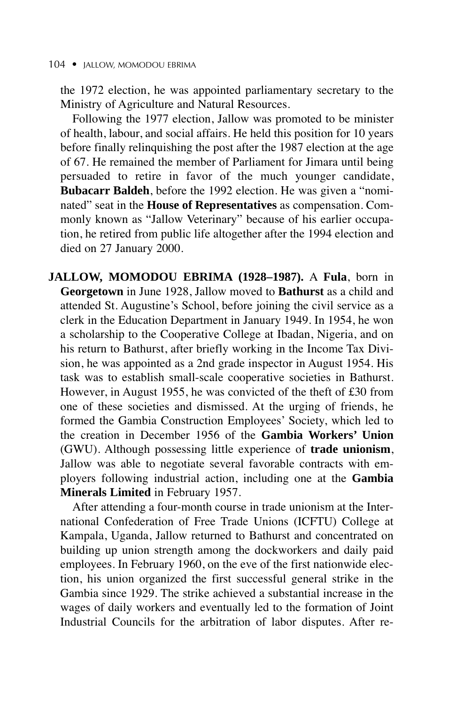the 1972 election, he was appointed parliamentary secretary to the Ministry of Agriculture and Natural Resources.

Following the 1977 election, Jallow was promoted to be minister of health, labour, and social affairs. He held this position for 10 years before finally relinquishing the post after the 1987 election at the age of 67. He remained the member of Parliament for Jimara until being persuaded to retire in favor of the much younger candidate, **Bubacarr Baldeh**, before the 1992 election. He was given a "nominated" seat in the **House of Representatives** as compensation. Commonly known as "Jallow Veterinary" because of his earlier occupation, he retired from public life altogether after the 1994 election and died on 27 January 2000.

**JALLOW, MOMODOU EBRIMA (1928–1987).** A **Fula**, born in **Georgetown** in June 1928, Jallow moved to **Bathurst** as a child and attended St. Augustine's School, before joining the civil service as a clerk in the Education Department in January 1949. In 1954, he won a scholarship to the Cooperative College at Ibadan, Nigeria, and on his return to Bathurst, after briefly working in the Income Tax Division, he was appointed as a 2nd grade inspector in August 1954. His task was to establish small-scale cooperative societies in Bathurst. However, in August 1955, he was convicted of the theft of £30 from one of these societies and dismissed. At the urging of friends, he formed the Gambia Construction Employees' Society, which led to the creation in December 1956 of the **Gambia Workers' Union** (GWU). Although possessing little experience of **trade unionism**, Jallow was able to negotiate several favorable contracts with employers following industrial action, including one at the **Gambia Minerals Limited** in February 1957.

After attending a four-month course in trade unionism at the International Confederation of Free Trade Unions (ICFTU) College at Kampala, Uganda, Jallow returned to Bathurst and concentrated on building up union strength among the dockworkers and daily paid employees. In February 1960, on the eve of the first nationwide election, his union organized the first successful general strike in the Gambia since 1929. The strike achieved a substantial increase in the wages of daily workers and eventually led to the formation of Joint Industrial Councils for the arbitration of labor disputes. After re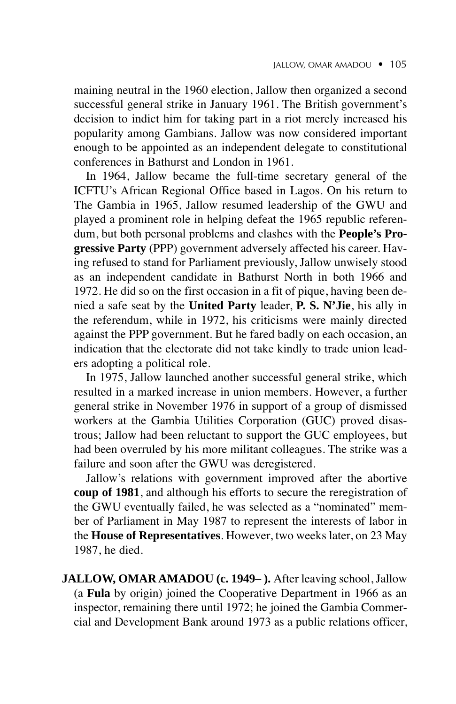maining neutral in the 1960 election, Jallow then organized a second successful general strike in January 1961. The British government's decision to indict him for taking part in a riot merely increased his popularity among Gambians. Jallow was now considered important enough to be appointed as an independent delegate to constitutional conferences in Bathurst and London in 1961.

In 1964, Jallow became the full-time secretary general of the ICFTU's African Regional Office based in Lagos. On his return to The Gambia in 1965, Jallow resumed leadership of the GWU and played a prominent role in helping defeat the 1965 republic referendum, but both personal problems and clashes with the **People's Progressive Party** (PPP) government adversely affected his career. Having refused to stand for Parliament previously, Jallow unwisely stood as an independent candidate in Bathurst North in both 1966 and 1972. He did so on the first occasion in a fit of pique, having been denied a safe seat by the **United Party** leader, **P. S. N'Jie**, his ally in the referendum, while in 1972, his criticisms were mainly directed against the PPP government. But he fared badly on each occasion, an indication that the electorate did not take kindly to trade union leaders adopting a political role.

In 1975, Jallow launched another successful general strike, which resulted in a marked increase in union members. However, a further general strike in November 1976 in support of a group of dismissed workers at the Gambia Utilities Corporation (GUC) proved disastrous; Jallow had been reluctant to support the GUC employees, but had been overruled by his more militant colleagues. The strike was a failure and soon after the GWU was deregistered.

Jallow's relations with government improved after the abortive **coup of 1981**, and although his efforts to secure the reregistration of the GWU eventually failed, he was selected as a "nominated" member of Parliament in May 1987 to represent the interests of labor in the **House of Representatives**. However, two weeks later, on 23 May 1987, he died.

**JALLOW, OMAR AMADOU (c. 1949– ).** After leaving school, Jallow (a **Fula** by origin) joined the Cooperative Department in 1966 as an inspector, remaining there until 1972; he joined the Gambia Commercial and Development Bank around 1973 as a public relations officer,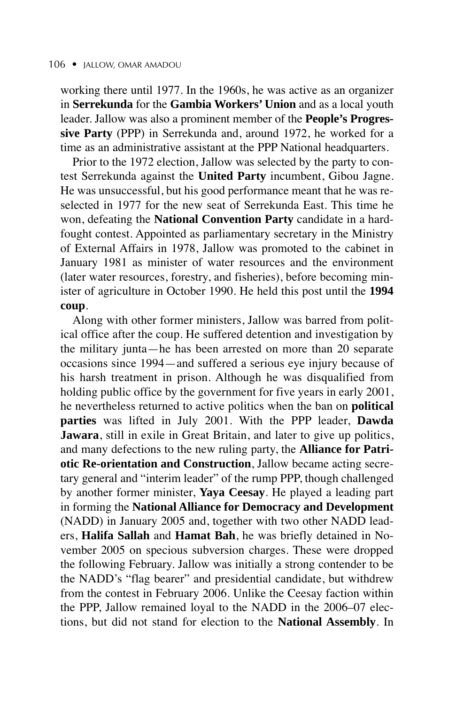#### 106 • JALLOW, OMAR AMADOU

working there until 1977. In the 1960s, he was active as an organizer in **Serrekunda** for the **Gambia Workers' Union** and as a local youth leader. Jallow was also a prominent member of the **People's Progressive Party** (PPP) in Serrekunda and, around 1972, he worked for a time as an administrative assistant at the PPP National headquarters.

Prior to the 1972 election, Jallow was selected by the party to contest Serrekunda against the **United Party** incumbent, Gibou Jagne. He was unsuccessful, but his good performance meant that he was reselected in 1977 for the new seat of Serrekunda East. This time he won, defeating the **National Convention Party** candidate in a hardfought contest. Appointed as parliamentary secretary in the Ministry of External Affairs in 1978, Jallow was promoted to the cabinet in January 1981 as minister of water resources and the environment (later water resources, forestry, and fisheries), before becoming minister of agriculture in October 1990. He held this post until the **1994 coup**.

Along with other former ministers, Jallow was barred from political office after the coup. He suffered detention and investigation by the military junta—he has been arrested on more than 20 separate occasions since 1994—and suffered a serious eye injury because of his harsh treatment in prison. Although he was disqualified from holding public office by the government for five years in early 2001, he nevertheless returned to active politics when the ban on **political parties** was lifted in July 2001. With the PPP leader, **Dawda Jawara**, still in exile in Great Britain, and later to give up politics, and many defections to the new ruling party, the **Alliance for Patriotic Re-orientation and Construction**, Jallow became acting secretary general and "interim leader" of the rump PPP, though challenged by another former minister, **Yaya Ceesay**. He played a leading part in forming the **National Alliance for Democracy and Development** (NADD) in January 2005 and, together with two other NADD leaders, **Halifa Sallah** and **Hamat Bah**, he was briefly detained in November 2005 on specious subversion charges. These were dropped the following February. Jallow was initially a strong contender to be the NADD's "flag bearer" and presidential candidate, but withdrew from the contest in February 2006. Unlike the Ceesay faction within the PPP, Jallow remained loyal to the NADD in the 2006–07 elections, but did not stand for election to the **National Assembly**. In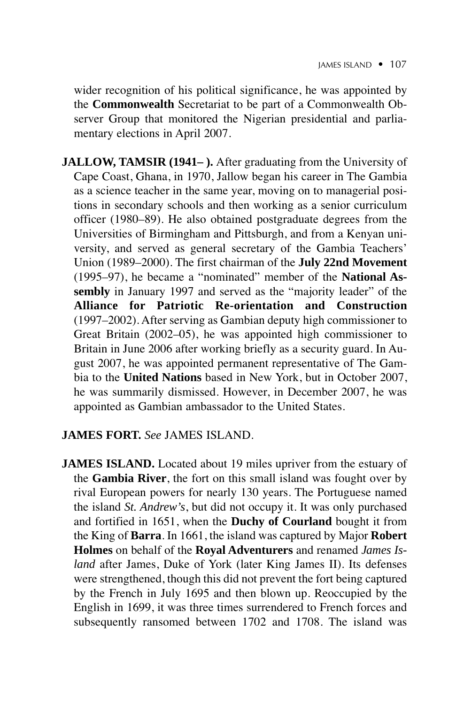wider recognition of his political significance, he was appointed by the **Commonwealth** Secretariat to be part of a Commonwealth Observer Group that monitored the Nigerian presidential and parliamentary elections in April 2007.

**JALLOW, TAMSIR (1941–).** After graduating from the University of Cape Coast, Ghana, in 1970, Jallow began his career in The Gambia as a science teacher in the same year, moving on to managerial positions in secondary schools and then working as a senior curriculum officer (1980–89). He also obtained postgraduate degrees from the Universities of Birmingham and Pittsburgh, and from a Kenyan university, and served as general secretary of the Gambia Teachers' Union (1989–2000). The first chairman of the **July 22nd Movement** (1995–97), he became a "nominated" member of the **National As**sembly in January 1997 and served as the "majority leader" of the **Alliance for Patriotic Re-orientation and Construction** (1997–2002). After serving as Gambian deputy high commissioner to Great Britain (2002–05), he was appointed high commissioner to Britain in June 2006 after working briefly as a security guard. In August 2007, he was appointed permanent representative of The Gambia to the **United Nations** based in New York, but in October 2007, he was summarily dismissed. However, in December 2007, he was appointed as Gambian ambassador to the United States.

# **JAMES FORT.** *See* JAMES ISLAND.

**JAMES ISLAND.** Located about 19 miles upriver from the estuary of the **Gambia River**, the fort on this small island was fought over by rival European powers for nearly 130 years. The Portuguese named the island *St. Andrew's*, but did not occupy it. It was only purchased and fortified in 1651, when the **Duchy of Courland** bought it from the King of **Barra**. In 1661, the island was captured by Major **Robert Holmes** on behalf of the **Royal Adventurers** and renamed *James Island* after James, Duke of York (later King James II). Its defenses were strengthened, though this did not prevent the fort being captured by the French in July 1695 and then blown up. Reoccupied by the English in 1699, it was three times surrendered to French forces and subsequently ransomed between 1702 and 1708. The island was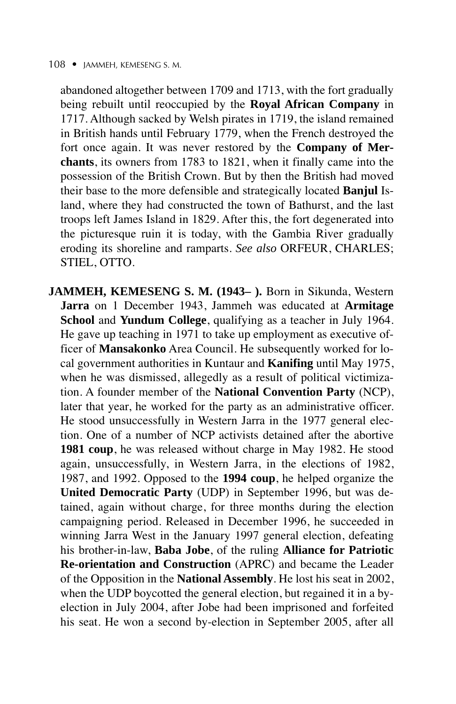abandoned altogether between 1709 and 1713, with the fort gradually being rebuilt until reoccupied by the **Royal African Company** in 1717. Although sacked by Welsh pirates in 1719, the island remained in British hands until February 1779, when the French destroyed the fort once again. It was never restored by the **Company of Merchants**, its owners from 1783 to 1821, when it finally came into the possession of the British Crown. But by then the British had moved their base to the more defensible and strategically located **Banjul** Island, where they had constructed the town of Bathurst, and the last troops left James Island in 1829. After this, the fort degenerated into the picturesque ruin it is today, with the Gambia River gradually eroding its shoreline and ramparts. *See also* ORFEUR, CHARLES; STIEL, OTTO.

**JAMMEH, KEMESENG S. M. (1943– ).** Born in Sikunda, Western **Jarra** on 1 December 1943, Jammeh was educated at **Armitage School** and **Yundum College**, qualifying as a teacher in July 1964. He gave up teaching in 1971 to take up employment as executive officer of **Mansakonko** Area Council. He subsequently worked for local government authorities in Kuntaur and **Kanifing** until May 1975, when he was dismissed, allegedly as a result of political victimization. A founder member of the **National Convention Party** (NCP), later that year, he worked for the party as an administrative officer. He stood unsuccessfully in Western Jarra in the 1977 general election. One of a number of NCP activists detained after the abortive **1981 coup**, he was released without charge in May 1982. He stood again, unsuccessfully, in Western Jarra, in the elections of 1982, 1987, and 1992. Opposed to the **1994 coup**, he helped organize the **United Democratic Party** (UDP) in September 1996, but was detained, again without charge, for three months during the election campaigning period. Released in December 1996, he succeeded in winning Jarra West in the January 1997 general election, defeating his brother-in-law, **Baba Jobe**, of the ruling **Alliance for Patriotic Re-orientation and Construction** (APRC) and became the Leader of the Opposition in the **National Assembly**. He lost his seat in 2002, when the UDP boycotted the general election, but regained it in a byelection in July 2004, after Jobe had been imprisoned and forfeited his seat. He won a second by-election in September 2005, after all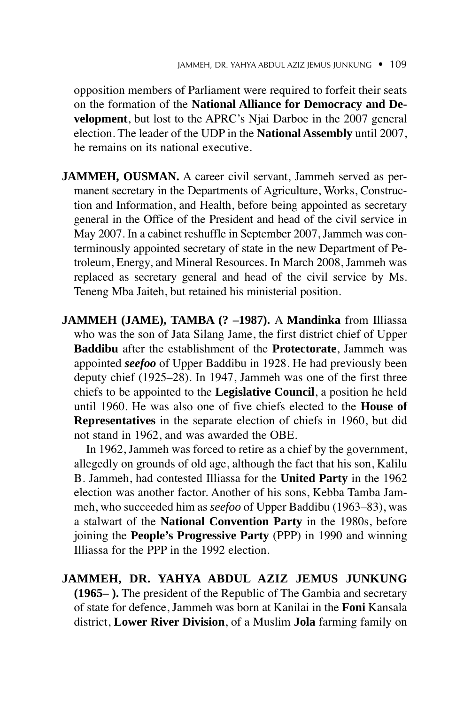opposition members of Parliament were required to forfeit their seats on the formation of the **National Alliance for Democracy and Development**, but lost to the APRC's Njai Darboe in the 2007 general election. The leader of the UDP in the **National Assembly** until 2007, he remains on its national executive.

- **JAMMEH, OUSMAN.** A career civil servant, Jammeh served as permanent secretary in the Departments of Agriculture, Works, Construction and Information, and Health, before being appointed as secretary general in the Office of the President and head of the civil service in May 2007. In a cabinet reshuffle in September 2007, Jammeh was conterminously appointed secretary of state in the new Department of Petroleum, Energy, and Mineral Resources. In March 2008, Jammeh was replaced as secretary general and head of the civil service by Ms. Teneng Mba Jaiteh, but retained his ministerial position.
- **JAMMEH (JAME), TAMBA (? –1987).** A **Mandinka** from Illiassa who was the son of Jata Silang Jame, the first district chief of Upper **Baddibu** after the establishment of the **Protectorate**, Jammeh was appointed *seefoo* of Upper Baddibu in 1928. He had previously been deputy chief (1925–28). In 1947, Jammeh was one of the first three chiefs to be appointed to the **Legislative Council**, a position he held until 1960. He was also one of five chiefs elected to the **House of Representatives** in the separate election of chiefs in 1960, but did not stand in 1962, and was awarded the OBE.

In 1962, Jammeh was forced to retire as a chief by the government, allegedly on grounds of old age, although the fact that his son, Kalilu B. Jammeh, had contested Illiassa for the **United Party** in the 1962 election was another factor. Another of his sons, Kebba Tamba Jammeh, who succeeded him as *seefoo* of Upper Baddibu (1963–83), was a stalwart of the **National Convention Party** in the 1980s, before joining the **People's Progressive Party** (PPP) in 1990 and winning Illiassa for the PPP in the 1992 election.

**JAMMEH, DR. YAHYA ABDUL AZIZ JEMUS JUNKUNG (1965– ).** The president of the Republic of The Gambia and secretary of state for defence, Jammeh was born at Kanilai in the **Foni** Kansala district, **Lower River Division**, of a Muslim **Jola** farming family on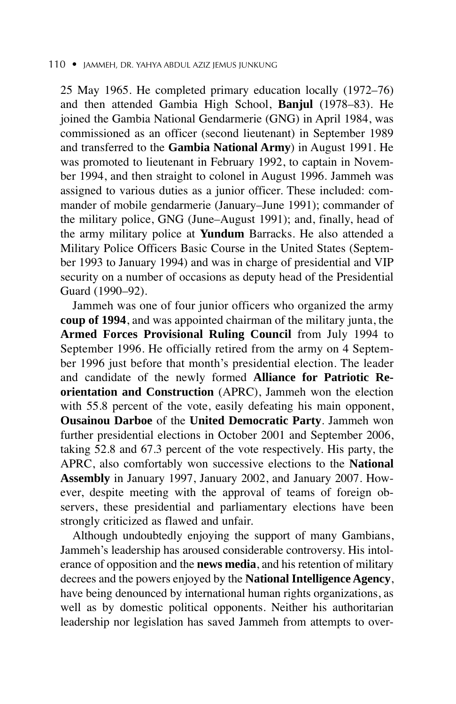### 110 • JAMMEH, DR. YAHYA ABDUL AZIZ JEMUS JUNKUNG

25 May 1965. He completed primary education locally (1972–76) and then attended Gambia High School, **Banjul** (1978–83). He joined the Gambia National Gendarmerie (GNG) in April 1984, was commissioned as an officer (second lieutenant) in September 1989 and transferred to the **Gambia National Army**) in August 1991. He was promoted to lieutenant in February 1992, to captain in November 1994, and then straight to colonel in August 1996. Jammeh was assigned to various duties as a junior officer. These included: commander of mobile gendarmerie (January–June 1991); commander of the military police, GNG (June–August 1991); and, finally, head of the army military police at **Yundum** Barracks. He also attended a Military Police Officers Basic Course in the United States (September 1993 to January 1994) and was in charge of presidential and VIP security on a number of occasions as deputy head of the Presidential Guard (1990–92).

Jammeh was one of four junior officers who organized the army **coup of 1994**, and was appointed chairman of the military junta, the **Armed Forces Provisional Ruling Council** from July 1994 to September 1996. He officially retired from the army on 4 September 1996 just before that month's presidential election. The leader and candidate of the newly formed **Alliance for Patriotic Reorientation and Construction** (APRC), Jammeh won the election with 55.8 percent of the vote, easily defeating his main opponent, **Ousainou Darboe** of the **United Democratic Party**. Jammeh won further presidential elections in October 2001 and September 2006, taking 52.8 and 67.3 percent of the vote respectively. His party, the APRC, also comfortably won successive elections to the **National Assembly** in January 1997, January 2002, and January 2007. However, despite meeting with the approval of teams of foreign observers, these presidential and parliamentary elections have been strongly criticized as flawed and unfair.

Although undoubtedly enjoying the support of many Gambians, Jammeh's leadership has aroused considerable controversy. His intolerance of opposition and the **news media**, and his retention of military decrees and the powers enjoyed by the **National Intelligence Agency**, have being denounced by international human rights organizations, as well as by domestic political opponents. Neither his authoritarian leadership nor legislation has saved Jammeh from attempts to over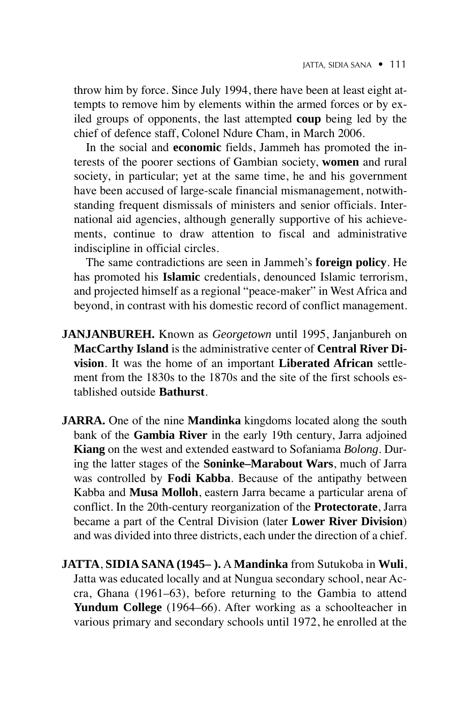throw him by force. Since July 1994, there have been at least eight attempts to remove him by elements within the armed forces or by exiled groups of opponents, the last attempted **coup** being led by the chief of defence staff, Colonel Ndure Cham, in March 2006.

In the social and **economic** fields, Jammeh has promoted the interests of the poorer sections of Gambian society, **women** and rural society, in particular; yet at the same time, he and his government have been accused of large-scale financial mismanagement, notwithstanding frequent dismissals of ministers and senior officials. International aid agencies, although generally supportive of his achievements, continue to draw attention to fiscal and administrative indiscipline in official circles.

The same contradictions are seen in Jammeh's **foreign policy**. He has promoted his **Islamic** credentials, denounced Islamic terrorism, and projected himself as a regional "peace-maker" in West Africa and beyond, in contrast with his domestic record of conflict management.

- **JANJANBUREH.** Known as *Georgetown* until 1995, Janjanbureh on **MacCarthy Island** is the administrative center of **Central River Division**. It was the home of an important **Liberated African** settlement from the 1830s to the 1870s and the site of the first schools established outside **Bathurst**.
- **JARRA.** One of the nine **Mandinka** kingdoms located along the south bank of the **Gambia River** in the early 19th century, Jarra adjoined **Kiang** on the west and extended eastward to Sofaniama *Bolong*. During the latter stages of the **Soninke–Marabout Wars**, much of Jarra was controlled by **Fodi Kabba**. Because of the antipathy between Kabba and **Musa Molloh**, eastern Jarra became a particular arena of conflict. In the 20th-century reorganization of the **Protectorate**, Jarra became a part of the Central Division (later **Lower River Division**) and was divided into three districts, each under the direction of a chief.
- **JATTA**, **SIDIA SANA (1945– ).** A **Mandinka** from Sutukoba in **Wuli**, Jatta was educated locally and at Nungua secondary school, near Accra, Ghana (1961–63), before returning to the Gambia to attend **Yundum College** (1964–66). After working as a schoolteacher in various primary and secondary schools until 1972, he enrolled at the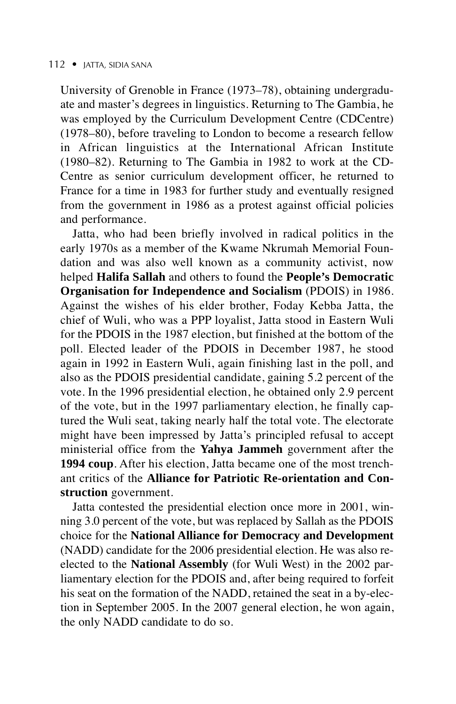### 112 • JATTA, SIDIA SANA

University of Grenoble in France (1973–78), obtaining undergraduate and master's degrees in linguistics. Returning to The Gambia, he was employed by the Curriculum Development Centre (CDCentre) (1978–80), before traveling to London to become a research fellow in African linguistics at the International African Institute (1980–82). Returning to The Gambia in 1982 to work at the CD-Centre as senior curriculum development officer, he returned to France for a time in 1983 for further study and eventually resigned from the government in 1986 as a protest against official policies and performance.

Jatta, who had been briefly involved in radical politics in the early 1970s as a member of the Kwame Nkrumah Memorial Foundation and was also well known as a community activist, now helped **Halifa Sallah** and others to found the **People's Democratic Organisation for Independence and Socialism** (PDOIS) in 1986. Against the wishes of his elder brother, Foday Kebba Jatta, the chief of Wuli, who was a PPP loyalist, Jatta stood in Eastern Wuli for the PDOIS in the 1987 election, but finished at the bottom of the poll. Elected leader of the PDOIS in December 1987, he stood again in 1992 in Eastern Wuli, again finishing last in the poll, and also as the PDOIS presidential candidate, gaining 5.2 percent of the vote. In the 1996 presidential election, he obtained only 2.9 percent of the vote, but in the 1997 parliamentary election, he finally captured the Wuli seat, taking nearly half the total vote. The electorate might have been impressed by Jatta's principled refusal to accept ministerial office from the **Yahya Jammeh** government after the **1994 coup**. After his election, Jatta became one of the most trenchant critics of the **Alliance for Patriotic Re-orientation and Construction** government.

Jatta contested the presidential election once more in 2001, winning 3.0 percent of the vote, but was replaced by Sallah as the PDOIS choice for the **National Alliance for Democracy and Development** (NADD) candidate for the 2006 presidential election. He was also reelected to the **National Assembly** (for Wuli West) in the 2002 parliamentary election for the PDOIS and, after being required to forfeit his seat on the formation of the NADD, retained the seat in a by-election in September 2005. In the 2007 general election, he won again, the only NADD candidate to do so.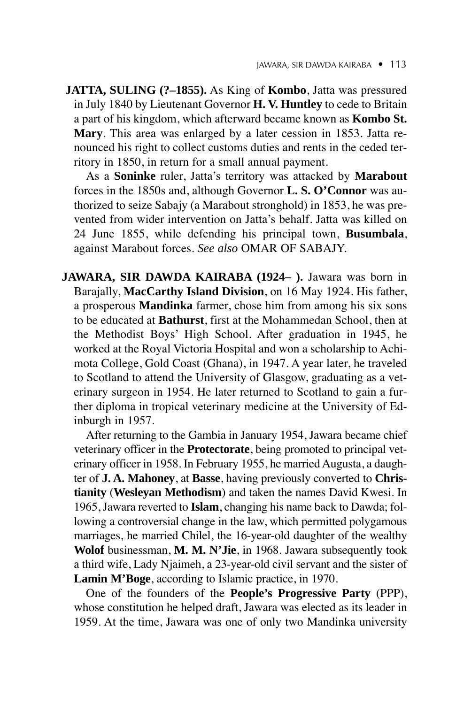**JATTA, SULING (?–1855).** As King of **Kombo**, Jatta was pressured in July 1840 by Lieutenant Governor **H. V. Huntley** to cede to Britain a part of his kingdom, which afterward became known as **Kombo St. Mary**. This area was enlarged by a later cession in 1853. Jatta renounced his right to collect customs duties and rents in the ceded territory in 1850, in return for a small annual payment.

As a **Soninke** ruler, Jatta's territory was attacked by **Marabout** forces in the 1850s and, although Governor **L. S. O'Connor** was authorized to seize Sabajy (a Marabout stronghold) in 1853, he was prevented from wider intervention on Jatta's behalf. Jatta was killed on 24 June 1855, while defending his principal town, **Busumbala**, against Marabout forces. *See also* OMAR OF SABAJY.

**JAWARA, SIR DAWDA KAIRABA (1924– ).** Jawara was born in Barajally, **MacCarthy Island Division**, on 16 May 1924. His father, a prosperous **Mandinka** farmer, chose him from among his six sons to be educated at **Bathurst**, first at the Mohammedan School, then at the Methodist Boys' High School. After graduation in 1945, he worked at the Royal Victoria Hospital and won a scholarship to Achimota College, Gold Coast (Ghana), in 1947. A year later, he traveled to Scotland to attend the University of Glasgow, graduating as a veterinary surgeon in 1954. He later returned to Scotland to gain a further diploma in tropical veterinary medicine at the University of Edinburgh in 1957.

After returning to the Gambia in January 1954, Jawara became chief veterinary officer in the **Protectorate**, being promoted to principal veterinary officer in 1958. In February 1955, he married Augusta, a daughter of **J. A. Mahoney**, at **Basse**, having previously converted to **Christianity** (**Wesleyan Methodism**) and taken the names David Kwesi. In 1965, Jawara reverted to **Islam**, changing his name back to Dawda; following a controversial change in the law, which permitted polygamous marriages, he married Chilel, the 16-year-old daughter of the wealthy **Wolof** businessman, **M. M. N'Jie**, in 1968. Jawara subsequently took a third wife, Lady Njaimeh, a 23-year-old civil servant and the sister of **Lamin M'Boge**, according to Islamic practice, in 1970.

One of the founders of the **People's Progressive Party** (PPP), whose constitution he helped draft, Jawara was elected as its leader in 1959. At the time, Jawara was one of only two Mandinka university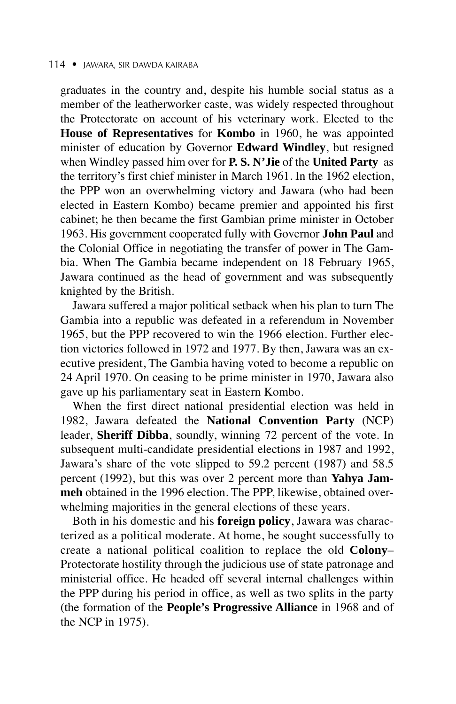### 114 • JAWARA, SIR DAWDA KAIRABA

graduates in the country and, despite his humble social status as a member of the leatherworker caste, was widely respected throughout the Protectorate on account of his veterinary work. Elected to the **House of Representatives** for **Kombo** in 1960, he was appointed minister of education by Governor **Edward Windley**, but resigned when Windley passed him over for **P. S. N'Jie** of the **United Party** as the territory's first chief minister in March 1961. In the 1962 election, the PPP won an overwhelming victory and Jawara (who had been elected in Eastern Kombo) became premier and appointed his first cabinet; he then became the first Gambian prime minister in October 1963. His government cooperated fully with Governor **John Paul** and the Colonial Office in negotiating the transfer of power in The Gambia. When The Gambia became independent on 18 February 1965, Jawara continued as the head of government and was subsequently knighted by the British.

Jawara suffered a major political setback when his plan to turn The Gambia into a republic was defeated in a referendum in November 1965, but the PPP recovered to win the 1966 election. Further election victories followed in 1972 and 1977. By then, Jawara was an executive president, The Gambia having voted to become a republic on 24 April 1970. On ceasing to be prime minister in 1970, Jawara also gave up his parliamentary seat in Eastern Kombo.

When the first direct national presidential election was held in 1982, Jawara defeated the **National Convention Party** (NCP) leader, **Sheriff Dibba**, soundly, winning 72 percent of the vote. In subsequent multi-candidate presidential elections in 1987 and 1992, Jawara's share of the vote slipped to 59.2 percent (1987) and 58.5 percent (1992), but this was over 2 percent more than **Yahya Jammeh** obtained in the 1996 election. The PPP, likewise, obtained overwhelming majorities in the general elections of these years.

Both in his domestic and his **foreign policy**, Jawara was characterized as a political moderate. At home, he sought successfully to create a national political coalition to replace the old **Colony**– Protectorate hostility through the judicious use of state patronage and ministerial office. He headed off several internal challenges within the PPP during his period in office, as well as two splits in the party (the formation of the **People's Progressive Alliance** in 1968 and of the NCP in 1975).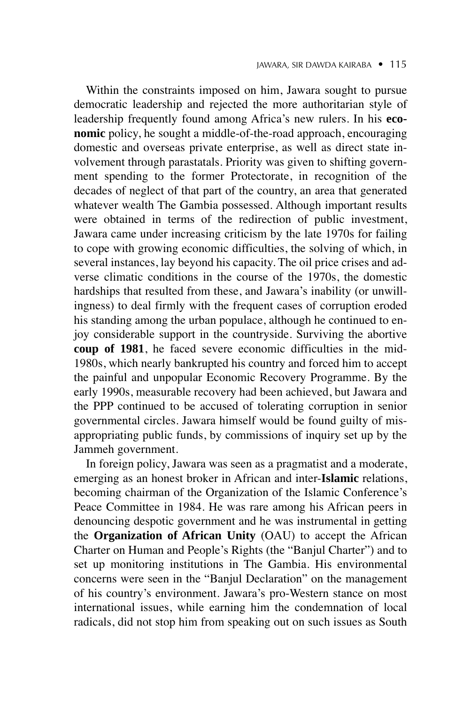Within the constraints imposed on him, Jawara sought to pursue democratic leadership and rejected the more authoritarian style of leadership frequently found among Africa's new rulers. In his **economic** policy, he sought a middle-of-the-road approach, encouraging domestic and overseas private enterprise, as well as direct state involvement through parastatals. Priority was given to shifting government spending to the former Protectorate, in recognition of the decades of neglect of that part of the country, an area that generated whatever wealth The Gambia possessed. Although important results were obtained in terms of the redirection of public investment, Jawara came under increasing criticism by the late 1970s for failing to cope with growing economic difficulties, the solving of which, in several instances, lay beyond his capacity. The oil price crises and adverse climatic conditions in the course of the 1970s, the domestic hardships that resulted from these, and Jawara's inability (or unwillingness) to deal firmly with the frequent cases of corruption eroded his standing among the urban populace, although he continued to enjoy considerable support in the countryside. Surviving the abortive **coup of 1981**, he faced severe economic difficulties in the mid-1980s, which nearly bankrupted his country and forced him to accept the painful and unpopular Economic Recovery Programme. By the early 1990s, measurable recovery had been achieved, but Jawara and the PPP continued to be accused of tolerating corruption in senior governmental circles. Jawara himself would be found guilty of misappropriating public funds, by commissions of inquiry set up by the Jammeh government.

In foreign policy, Jawara was seen as a pragmatist and a moderate, emerging as an honest broker in African and inter-**Islamic** relations, becoming chairman of the Organization of the Islamic Conference's Peace Committee in 1984. He was rare among his African peers in denouncing despotic government and he was instrumental in getting the **Organization of African Unity** (OAU) to accept the African Charter on Human and People's Rights (the "Banjul Charter") and to set up monitoring institutions in The Gambia. His environmental concerns were seen in the "Banjul Declaration" on the management of his country's environment. Jawara's pro-Western stance on most international issues, while earning him the condemnation of local radicals, did not stop him from speaking out on such issues as South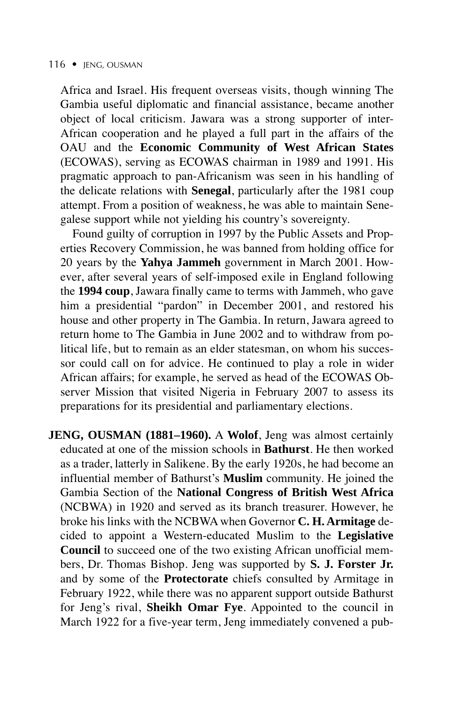Africa and Israel. His frequent overseas visits, though winning The Gambia useful diplomatic and financial assistance, became another object of local criticism. Jawara was a strong supporter of inter-African cooperation and he played a full part in the affairs of the OAU and the **Economic Community of West African States** (ECOWAS), serving as ECOWAS chairman in 1989 and 1991. His pragmatic approach to pan-Africanism was seen in his handling of the delicate relations with **Senegal**, particularly after the 1981 coup attempt. From a position of weakness, he was able to maintain Senegalese support while not yielding his country's sovereignty.

Found guilty of corruption in 1997 by the Public Assets and Properties Recovery Commission, he was banned from holding office for 20 years by the **Yahya Jammeh** government in March 2001. However, after several years of self-imposed exile in England following the **1994 coup**, Jawara finally came to terms with Jammeh, who gave him a presidential "pardon" in December 2001, and restored his house and other property in The Gambia. In return, Jawara agreed to return home to The Gambia in June 2002 and to withdraw from political life, but to remain as an elder statesman, on whom his successor could call on for advice. He continued to play a role in wider African affairs; for example, he served as head of the ECOWAS Observer Mission that visited Nigeria in February 2007 to assess its preparations for its presidential and parliamentary elections.

**JENG, OUSMAN (1881–1960).** A **Wolof**, Jeng was almost certainly educated at one of the mission schools in **Bathurst**. He then worked as a trader, latterly in Salikene. By the early 1920s, he had become an influential member of Bathurst's **Muslim** community. He joined the Gambia Section of the **National Congress of British West Africa** (NCBWA) in 1920 and served as its branch treasurer. However, he broke his links with the NCBWA when Governor **C. H. Armitage** decided to appoint a Western-educated Muslim to the **Legislative Council** to succeed one of the two existing African unofficial members, Dr. Thomas Bishop. Jeng was supported by **S. J. Forster Jr.** and by some of the **Protectorate** chiefs consulted by Armitage in February 1922, while there was no apparent support outside Bathurst for Jeng's rival, **Sheikh Omar Fye**. Appointed to the council in March 1922 for a five-year term, Jeng immediately convened a pub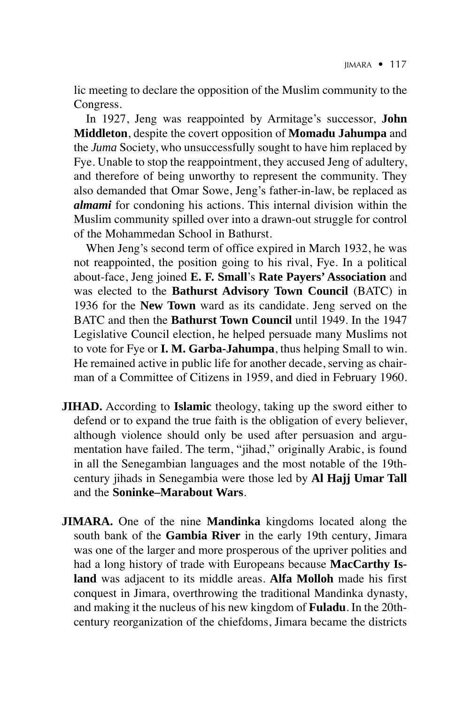lic meeting to declare the opposition of the Muslim community to the Congress.

In 1927, Jeng was reappointed by Armitage's successor, **John Middleton**, despite the covert opposition of **Momadu Jahumpa** and the *Juma* Society, who unsuccessfully sought to have him replaced by Fye. Unable to stop the reappointment, they accused Jeng of adultery, and therefore of being unworthy to represent the community. They also demanded that Omar Sowe, Jeng's father-in-law, be replaced as *almami* for condoning his actions. This internal division within the Muslim community spilled over into a drawn-out struggle for control of the Mohammedan School in Bathurst.

When Jeng's second term of office expired in March 1932, he was not reappointed, the position going to his rival, Fye. In a political about-face, Jeng joined **E. F. Small**'s **Rate Payers' Association** and was elected to the **Bathurst Advisory Town Council** (BATC) in 1936 for the **New Town** ward as its candidate. Jeng served on the BATC and then the **Bathurst Town Council** until 1949. In the 1947 Legislative Council election, he helped persuade many Muslims not to vote for Fye or **I. M. Garba-Jahumpa**, thus helping Small to win. He remained active in public life for another decade, serving as chairman of a Committee of Citizens in 1959, and died in February 1960.

- **JIHAD.** According to **Islamic** theology, taking up the sword either to defend or to expand the true faith is the obligation of every believer, although violence should only be used after persuasion and argumentation have failed. The term, "jihad," originally Arabic, is found in all the Senegambian languages and the most notable of the 19thcentury jihads in Senegambia were those led by **Al Hajj Umar Tall** and the **Soninke–Marabout Wars**.
- **JIMARA.** One of the nine **Mandinka** kingdoms located along the south bank of the **Gambia River** in the early 19th century, Jimara was one of the larger and more prosperous of the upriver polities and had a long history of trade with Europeans because **MacCarthy Island** was adjacent to its middle areas. **Alfa Molloh** made his first conquest in Jimara, overthrowing the traditional Mandinka dynasty, and making it the nucleus of his new kingdom of **Fuladu**. In the 20thcentury reorganization of the chiefdoms, Jimara became the districts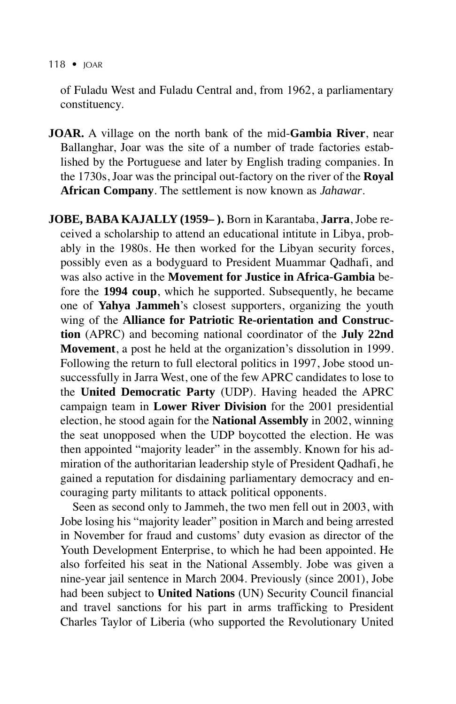118 • JOAR

of Fuladu West and Fuladu Central and, from 1962, a parliamentary constituency.

**JOAR.** A village on the north bank of the mid-**Gambia River**, near Ballanghar, Joar was the site of a number of trade factories established by the Portuguese and later by English trading companies. In the 1730s, Joar was the principal out-factory on the river of the **Royal African Company**. The settlement is now known as *Jahawar*.

**JOBE, BABA KAJALLY (1959– ).** Born in Karantaba, **Jarra**, Jobe received a scholarship to attend an educational intitute in Libya, probably in the 1980s. He then worked for the Libyan security forces, possibly even as a bodyguard to President Muammar Qadhafi, and was also active in the **Movement for Justice in Africa-Gambia** before the **1994 coup**, which he supported. Subsequently, he became one of **Yahya Jammeh**'s closest supporters, organizing the youth wing of the **Alliance for Patriotic Re-orientation and Construction** (APRC) and becoming national coordinator of the **July 22nd Movement**, a post he held at the organization's dissolution in 1999. Following the return to full electoral politics in 1997, Jobe stood unsuccessfully in Jarra West, one of the few APRC candidates to lose to the **United Democratic Party** (UDP). Having headed the APRC campaign team in **Lower River Division** for the 2001 presidential election, he stood again for the **National Assembly** in 2002, winning the seat unopposed when the UDP boycotted the election. He was then appointed "majority leader" in the assembly. Known for his admiration of the authoritarian leadership style of President Qadhafi, he gained a reputation for disdaining parliamentary democracy and encouraging party militants to attack political opponents.

Seen as second only to Jammeh, the two men fell out in 2003, with Jobe losing his "majority leader" position in March and being arrested in November for fraud and customs' duty evasion as director of the Youth Development Enterprise, to which he had been appointed. He also forfeited his seat in the National Assembly. Jobe was given a nine-year jail sentence in March 2004. Previously (since 2001), Jobe had been subject to **United Nations** (UN) Security Council financial and travel sanctions for his part in arms trafficking to President Charles Taylor of Liberia (who supported the Revolutionary United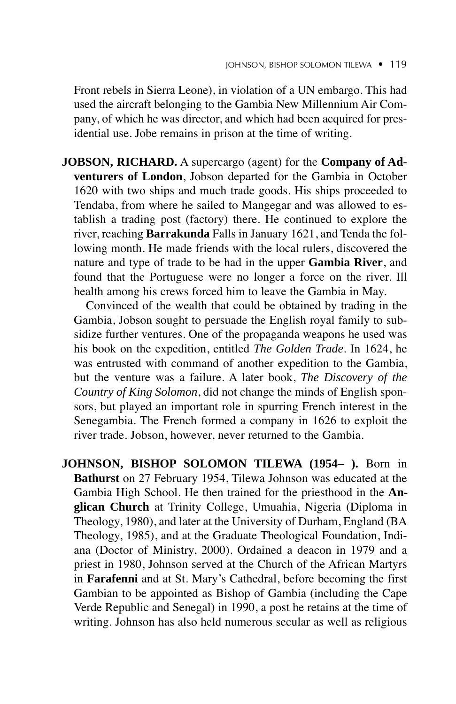Front rebels in Sierra Leone), in violation of a UN embargo. This had used the aircraft belonging to the Gambia New Millennium Air Company, of which he was director, and which had been acquired for presidential use. Jobe remains in prison at the time of writing.

**JOBSON, RICHARD.** A supercargo (agent) for the **Company of Adventurers of London**, Jobson departed for the Gambia in October 1620 with two ships and much trade goods. His ships proceeded to Tendaba, from where he sailed to Mangegar and was allowed to establish a trading post (factory) there. He continued to explore the river, reaching **Barrakunda** Falls in January 1621, and Tenda the following month. He made friends with the local rulers, discovered the nature and type of trade to be had in the upper **Gambia River**, and found that the Portuguese were no longer a force on the river. Ill health among his crews forced him to leave the Gambia in May.

Convinced of the wealth that could be obtained by trading in the Gambia, Jobson sought to persuade the English royal family to subsidize further ventures. One of the propaganda weapons he used was his book on the expedition, entitled *The Golden Trade*. In 1624, he was entrusted with command of another expedition to the Gambia, but the venture was a failure. A later book, *The Discovery of the Country of King Solomon*, did not change the minds of English sponsors, but played an important role in spurring French interest in the Senegambia. The French formed a company in 1626 to exploit the river trade. Jobson, however, never returned to the Gambia.

**JOHNSON, BISHOP SOLOMON TILEWA (1954– ).** Born in **Bathurst** on 27 February 1954, Tilewa Johnson was educated at the Gambia High School. He then trained for the priesthood in the **Anglican Church** at Trinity College, Umuahia, Nigeria (Diploma in Theology, 1980), and later at the University of Durham, England (BA Theology, 1985), and at the Graduate Theological Foundation, Indiana (Doctor of Ministry, 2000). Ordained a deacon in 1979 and a priest in 1980, Johnson served at the Church of the African Martyrs in **Farafenni** and at St. Mary's Cathedral, before becoming the first Gambian to be appointed as Bishop of Gambia (including the Cape Verde Republic and Senegal) in 1990, a post he retains at the time of writing. Johnson has also held numerous secular as well as religious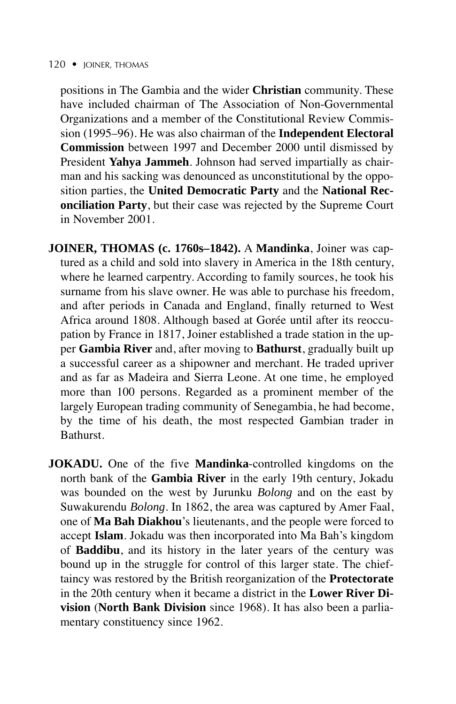### 120 • JOINER, THOMAS

positions in The Gambia and the wider **Christian** community. These have included chairman of The Association of Non-Governmental Organizations and a member of the Constitutional Review Commission (1995–96). He was also chairman of the **Independent Electoral Commission** between 1997 and December 2000 until dismissed by President **Yahya Jammeh**. Johnson had served impartially as chairman and his sacking was denounced as unconstitutional by the opposition parties, the **United Democratic Party** and the **National Reconciliation Party**, but their case was rejected by the Supreme Court in November 2001.

- **JOINER, THOMAS (c. 1760s–1842).** A **Mandinka**, Joiner was captured as a child and sold into slavery in America in the 18th century, where he learned carpentry. According to family sources, he took his surname from his slave owner. He was able to purchase his freedom, and after periods in Canada and England, finally returned to West Africa around 1808. Although based at Gorée until after its reoccupation by France in 1817, Joiner established a trade station in the upper **Gambia River** and, after moving to **Bathurst**, gradually built up a successful career as a shipowner and merchant. He traded upriver and as far as Madeira and Sierra Leone. At one time, he employed more than 100 persons. Regarded as a prominent member of the largely European trading community of Senegambia, he had become, by the time of his death, the most respected Gambian trader in Bathurst.
- **JOKADU.** One of the five **Mandinka**-controlled kingdoms on the north bank of the **Gambia River** in the early 19th century, Jokadu was bounded on the west by Jurunku *Bolong* and on the east by Suwakurendu *Bolong*. In 1862, the area was captured by Amer Faal, one of **Ma Bah Diakhou**'s lieutenants, and the people were forced to accept **Islam**. Jokadu was then incorporated into Ma Bah's kingdom of **Baddibu**, and its history in the later years of the century was bound up in the struggle for control of this larger state. The chieftaincy was restored by the British reorganization of the **Protectorate** in the 20th century when it became a district in the **Lower River Division** (**North Bank Division** since 1968). It has also been a parliamentary constituency since 1962.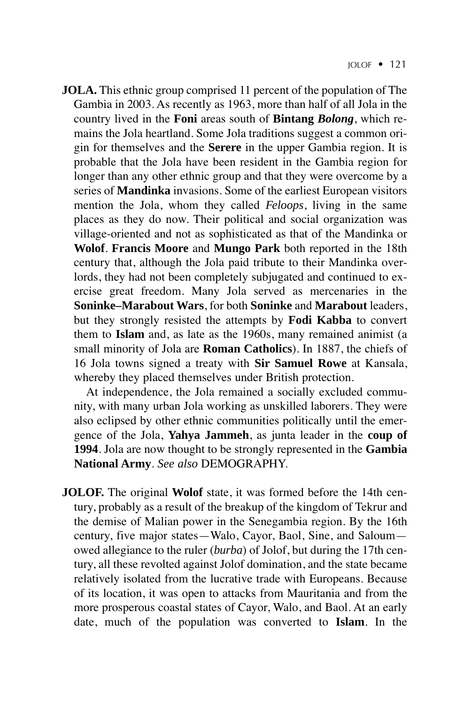**JOLA.** This ethnic group comprised 11 percent of the population of The Gambia in 2003. As recently as 1963, more than half of all Jola in the country lived in the **Foni** areas south of **Bintang** *Bolong*, which remains the Jola heartland. Some Jola traditions suggest a common origin for themselves and the **Serere** in the upper Gambia region. It is probable that the Jola have been resident in the Gambia region for longer than any other ethnic group and that they were overcome by a series of **Mandinka** invasions. Some of the earliest European visitors mention the Jola, whom they called *Feloops*, living in the same places as they do now. Their political and social organization was village-oriented and not as sophisticated as that of the Mandinka or **Wolof**. **Francis Moore** and **Mungo Park** both reported in the 18th century that, although the Jola paid tribute to their Mandinka overlords, they had not been completely subjugated and continued to exercise great freedom. Many Jola served as mercenaries in the **Soninke–Marabout Wars**, for both **Soninke** and **Marabout** leaders, but they strongly resisted the attempts by **Fodi Kabba** to convert them to **Islam** and, as late as the 1960s, many remained animist (a small minority of Jola are **Roman Catholics**). In 1887, the chiefs of 16 Jola towns signed a treaty with **Sir Samuel Rowe** at Kansala, whereby they placed themselves under British protection.

At independence, the Jola remained a socially excluded community, with many urban Jola working as unskilled laborers. They were also eclipsed by other ethnic communities politically until the emergence of the Jola, **Yahya Jammeh**, as junta leader in the **coup of 1994**. Jola are now thought to be strongly represented in the **Gambia National Army**. *See also* DEMOGRAPHY.

**JOLOF.** The original **Wolof** state, it was formed before the 14th century, probably as a result of the breakup of the kingdom of Tekrur and the demise of Malian power in the Senegambia region. By the 16th century, five major states—Walo, Cayor, Baol, Sine, and Saloum owed allegiance to the ruler (*burba*) of Jolof, but during the 17th century, all these revolted against Jolof domination, and the state became relatively isolated from the lucrative trade with Europeans. Because of its location, it was open to attacks from Mauritania and from the more prosperous coastal states of Cayor, Walo, and Baol. At an early date, much of the population was converted to **Islam**. In the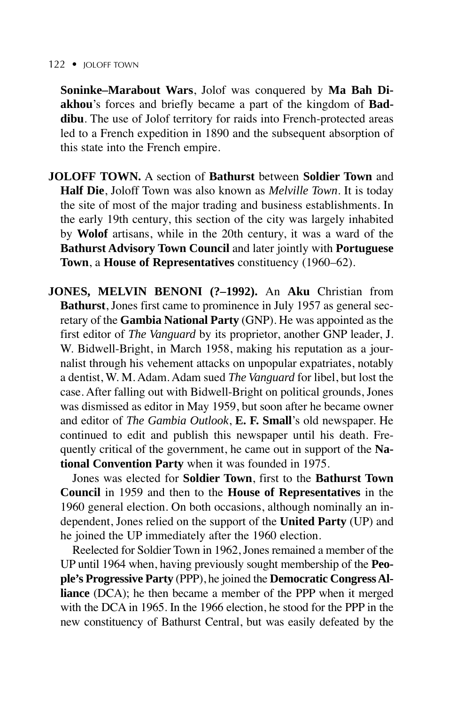## 122 • JOLOFF TOWN

**Soninke–Marabout Wars**, Jolof was conquered by **Ma Bah Diakhou**'s forces and briefly became a part of the kingdom of **Baddibu**. The use of Jolof territory for raids into French-protected areas led to a French expedition in 1890 and the subsequent absorption of this state into the French empire.

- **JOLOFF TOWN.** A section of **Bathurst** between **Soldier Town** and **Half Die**, Joloff Town was also known as *Melville Town*. It is today the site of most of the major trading and business establishments. In the early 19th century, this section of the city was largely inhabited by **Wolof** artisans, while in the 20th century, it was a ward of the **Bathurst Advisory Town Council** and later jointly with **Portuguese Town**, a **House of Representatives** constituency (1960–62).
- **JONES, MELVIN BENONI (?–1992).** An **Aku** Christian from **Bathurst**, Jones first came to prominence in July 1957 as general secretary of the **Gambia National Party** (GNP). He was appointed as the first editor of *The Vanguard* by its proprietor, another GNP leader, J. W. Bidwell-Bright, in March 1958, making his reputation as a journalist through his vehement attacks on unpopular expatriates, notably a dentist, W. M. Adam. Adam sued *The Vanguard* for libel, but lost the case. After falling out with Bidwell-Bright on political grounds, Jones was dismissed as editor in May 1959, but soon after he became owner and editor of *The Gambia Outlook*, **E. F. Small**'s old newspaper. He continued to edit and publish this newspaper until his death. Frequently critical of the government, he came out in support of the **National Convention Party** when it was founded in 1975.

Jones was elected for **Soldier Town**, first to the **Bathurst Town Council** in 1959 and then to the **House of Representatives** in the 1960 general election. On both occasions, although nominally an independent, Jones relied on the support of the **United Party** (UP) and he joined the UP immediately after the 1960 election.

Reelected for Soldier Town in 1962, Jones remained a member of the UP until 1964 when, having previously sought membership of the **People's Progressive Party** (PPP), he joined the **Democratic Congress Alliance** (DCA); he then became a member of the PPP when it merged with the DCA in 1965. In the 1966 election, he stood for the PPP in the new constituency of Bathurst Central, but was easily defeated by the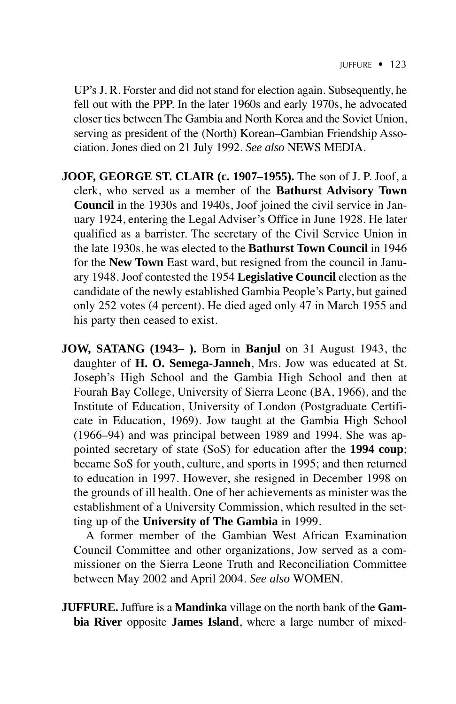UP's J. R. Forster and did not stand for election again. Subsequently, he fell out with the PPP. In the later 1960s and early 1970s, he advocated closer ties between The Gambia and North Korea and the Soviet Union, serving as president of the (North) Korean–Gambian Friendship Association. Jones died on 21 July 1992. *See also* NEWS MEDIA.

- **JOOF, GEORGE ST. CLAIR (c. 1907–1955).** The son of J. P. Joof, a clerk, who served as a member of the **Bathurst Advisory Town Council** in the 1930s and 1940s, Joof joined the civil service in January 1924, entering the Legal Adviser's Office in June 1928. He later qualified as a barrister. The secretary of the Civil Service Union in the late 1930s, he was elected to the **Bathurst Town Council** in 1946 for the **New Town** East ward, but resigned from the council in January 1948. Joof contested the 1954 **Legislative Council** election as the candidate of the newly established Gambia People's Party, but gained only 252 votes (4 percent). He died aged only 47 in March 1955 and his party then ceased to exist.
- **JOW, SATANG (1943– ).** Born in **Banjul** on 31 August 1943, the daughter of **H. O. Semega-Janneh**, Mrs. Jow was educated at St. Joseph's High School and the Gambia High School and then at Fourah Bay College, University of Sierra Leone (BA, 1966), and the Institute of Education, University of London (Postgraduate Certificate in Education, 1969). Jow taught at the Gambia High School (1966–94) and was principal between 1989 and 1994. She was appointed secretary of state (SoS) for education after the **1994 coup**; became SoS for youth, culture, and sports in 1995; and then returned to education in 1997. However, she resigned in December 1998 on the grounds of ill health. One of her achievements as minister was the establishment of a University Commission, which resulted in the setting up of the **University of The Gambia** in 1999.

A former member of the Gambian West African Examination Council Committee and other organizations, Jow served as a commissioner on the Sierra Leone Truth and Reconciliation Committee between May 2002 and April 2004. *See also* WOMEN.

**JUFFURE.** Juffure is a **Mandinka** village on the north bank of the **Gambia River** opposite **James Island**, where a large number of mixed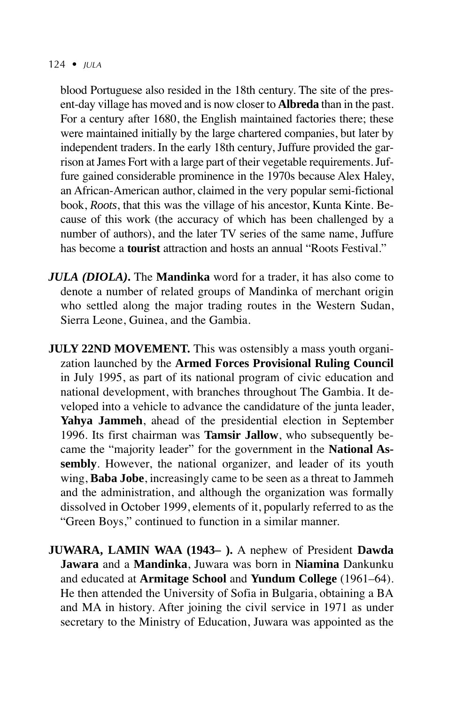blood Portuguese also resided in the 18th century. The site of the present-day village has moved and is now closer to **Albreda** than in the past. For a century after 1680, the English maintained factories there; these were maintained initially by the large chartered companies, but later by independent traders. In the early 18th century, Juffure provided the garrison at James Fort with a large part of their vegetable requirements. Juffure gained considerable prominence in the 1970s because Alex Haley, an African-American author, claimed in the very popular semi-fictional book, *Roots*, that this was the village of his ancestor, Kunta Kinte. Because of this work (the accuracy of which has been challenged by a number of authors), and the later TV series of the same name, Juffure has become a **tourist** attraction and hosts an annual "Roots Festival."

- *JULA (DIOLA)***.** The **Mandinka** word for a trader, it has also come to denote a number of related groups of Mandinka of merchant origin who settled along the major trading routes in the Western Sudan, Sierra Leone, Guinea, and the Gambia.
- **JULY 22ND MOVEMENT.** This was ostensibly a mass youth organization launched by the **Armed Forces Provisional Ruling Council** in July 1995, as part of its national program of civic education and national development, with branches throughout The Gambia. It developed into a vehicle to advance the candidature of the junta leader, **Yahya Jammeh**, ahead of the presidential election in September 1996. Its first chairman was **Tamsir Jallow**, who subsequently became the "majority leader" for the government in the **National Assembly**. However, the national organizer, and leader of its youth wing, **Baba Jobe**, increasingly came to be seen as a threat to Jammeh and the administration, and although the organization was formally dissolved in October 1999, elements of it, popularly referred to as the "Green Boys," continued to function in a similar manner.
- **JUWARA, LAMIN WAA (1943– ).** A nephew of President **Dawda Jawara** and a **Mandinka**, Juwara was born in **Niamina** Dankunku and educated at **Armitage School** and **Yundum College** (1961–64). He then attended the University of Sofia in Bulgaria, obtaining a BA and MA in history. After joining the civil service in 1971 as under secretary to the Ministry of Education, Juwara was appointed as the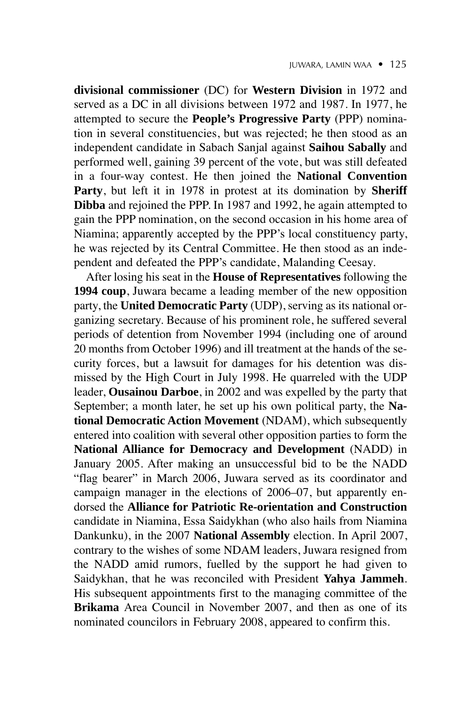**divisional commissioner** (DC) for **Western Division** in 1972 and served as a DC in all divisions between 1972 and 1987. In 1977, he attempted to secure the **People's Progressive Party** (PPP) nomination in several constituencies, but was rejected; he then stood as an independent candidate in Sabach Sanjal against **Saihou Sabally** and performed well, gaining 39 percent of the vote, but was still defeated in a four-way contest. He then joined the **National Convention Party**, but left it in 1978 in protest at its domination by **Sheriff Dibba** and rejoined the PPP. In 1987 and 1992, he again attempted to gain the PPP nomination, on the second occasion in his home area of Niamina; apparently accepted by the PPP's local constituency party, he was rejected by its Central Committee. He then stood as an independent and defeated the PPP's candidate, Malanding Ceesay.

After losing his seat in the **House of Representatives** following the **1994 coup**, Juwara became a leading member of the new opposition party, the **United Democratic Party** (UDP), serving as its national organizing secretary. Because of his prominent role, he suffered several periods of detention from November 1994 (including one of around 20 months from October 1996) and ill treatment at the hands of the security forces, but a lawsuit for damages for his detention was dismissed by the High Court in July 1998. He quarreled with the UDP leader, **Ousainou Darboe**, in 2002 and was expelled by the party that September; a month later, he set up his own political party, the **National Democratic Action Movement** (NDAM), which subsequently entered into coalition with several other opposition parties to form the **National Alliance for Democracy and Development** (NADD) in January 2005. After making an unsuccessful bid to be the NADD "flag bearer" in March 2006, Juwara served as its coordinator and campaign manager in the elections of 2006–07, but apparently endorsed the **Alliance for Patriotic Re-orientation and Construction** candidate in Niamina, Essa Saidykhan (who also hails from Niamina Dankunku), in the 2007 **National Assembly** election. In April 2007, contrary to the wishes of some NDAM leaders, Juwara resigned from the NADD amid rumors, fuelled by the support he had given to Saidykhan, that he was reconciled with President **Yahya Jammeh**. His subsequent appointments first to the managing committee of the **Brikama** Area Council in November 2007, and then as one of its nominated councilors in February 2008, appeared to confirm this.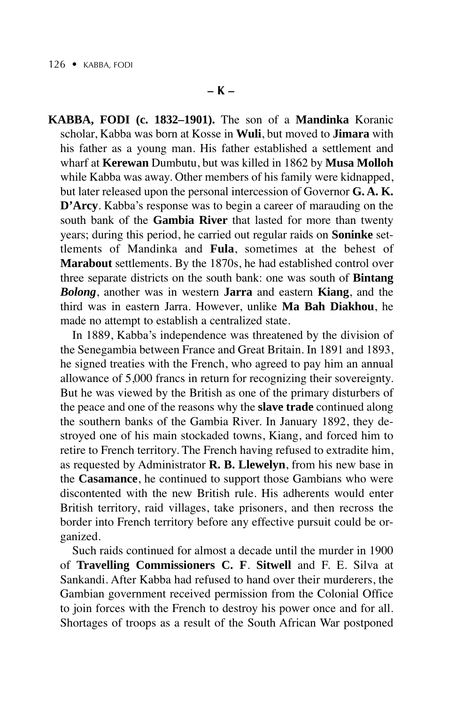**KABBA, FODI (c. 1832–1901).** The son of a **Mandinka** Koranic scholar, Kabba was born at Kosse in **Wuli**, but moved to **Jimara** with his father as a young man. His father established a settlement and wharf at **Kerewan** Dumbutu, but was killed in 1862 by **Musa Molloh** while Kabba was away. Other members of his family were kidnapped, but later released upon the personal intercession of Governor **G. A. K. D'Arcy**. Kabba's response was to begin a career of marauding on the south bank of the **Gambia River** that lasted for more than twenty years; during this period, he carried out regular raids on **Soninke** settlements of Mandinka and **Fula**, sometimes at the behest of **Marabout** settlements. By the 1870s, he had established control over three separate districts on the south bank: one was south of **Bintang** *Bolong*, another was in western **Jarra** and eastern **Kiang**, and the third was in eastern Jarra. However, unlike **Ma Bah Diakhou**, he made no attempt to establish a centralized state.

In 1889, Kabba's independence was threatened by the division of the Senegambia between France and Great Britain. In 1891 and 1893, he signed treaties with the French, who agreed to pay him an annual allowance of 5,000 francs in return for recognizing their sovereignty. But he was viewed by the British as one of the primary disturbers of the peace and one of the reasons why the **slave trade** continued along the southern banks of the Gambia River. In January 1892, they destroyed one of his main stockaded towns, Kiang, and forced him to retire to French territory. The French having refused to extradite him, as requested by Administrator **R. B. Llewelyn**, from his new base in the **Casamance**, he continued to support those Gambians who were discontented with the new British rule. His adherents would enter British territory, raid villages, take prisoners, and then recross the border into French territory before any effective pursuit could be organized.

Such raids continued for almost a decade until the murder in 1900 of **Travelling Commissioners C. F**. **Sitwell** and F. E. Silva at Sankandi. After Kabba had refused to hand over their murderers, the Gambian government received permission from the Colonial Office to join forces with the French to destroy his power once and for all. Shortages of troops as a result of the South African War postponed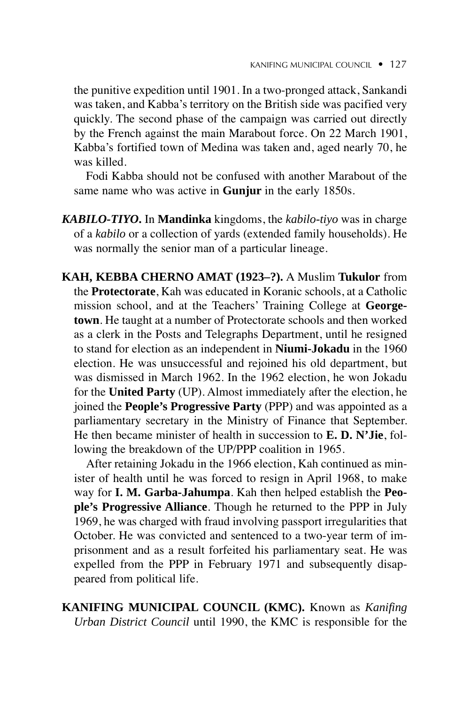the punitive expedition until 1901. In a two-pronged attack, Sankandi was taken, and Kabba's territory on the British side was pacified very quickly. The second phase of the campaign was carried out directly by the French against the main Marabout force. On 22 March 1901, Kabba's fortified town of Medina was taken and, aged nearly 70, he was killed.

Fodi Kabba should not be confused with another Marabout of the same name who was active in **Gunjur** in the early 1850s.

- *KABILO-TIYO***.** In **Mandinka** kingdoms, the *kabilo-tiyo* was in charge of a *kabilo* or a collection of yards (extended family households). He was normally the senior man of a particular lineage.
- **KAH, KEBBA CHERNO AMAT (1923–?).** A Muslim **Tukulor** from the **Protectorate**, Kah was educated in Koranic schools, at a Catholic mission school, and at the Teachers' Training College at **Georgetown**. He taught at a number of Protectorate schools and then worked as a clerk in the Posts and Telegraphs Department, until he resigned to stand for election as an independent in **Niumi-Jokadu** in the 1960 election. He was unsuccessful and rejoined his old department, but was dismissed in March 1962. In the 1962 election, he won Jokadu for the **United Party** (UP). Almost immediately after the election, he joined the **People's Progressive Party** (PPP) and was appointed as a parliamentary secretary in the Ministry of Finance that September. He then became minister of health in succession to **E. D. N'Jie**, following the breakdown of the UP/PPP coalition in 1965.

After retaining Jokadu in the 1966 election, Kah continued as minister of health until he was forced to resign in April 1968, to make way for **I. M. Garba-Jahumpa**. Kah then helped establish the **People's Progressive Alliance**. Though he returned to the PPP in July 1969, he was charged with fraud involving passport irregularities that October. He was convicted and sentenced to a two-year term of imprisonment and as a result forfeited his parliamentary seat. He was expelled from the PPP in February 1971 and subsequently disappeared from political life.

**KANIFING MUNICIPAL COUNCIL (KMC).** Known as *Kanifing Urban District Council* until 1990, the KMC is responsible for the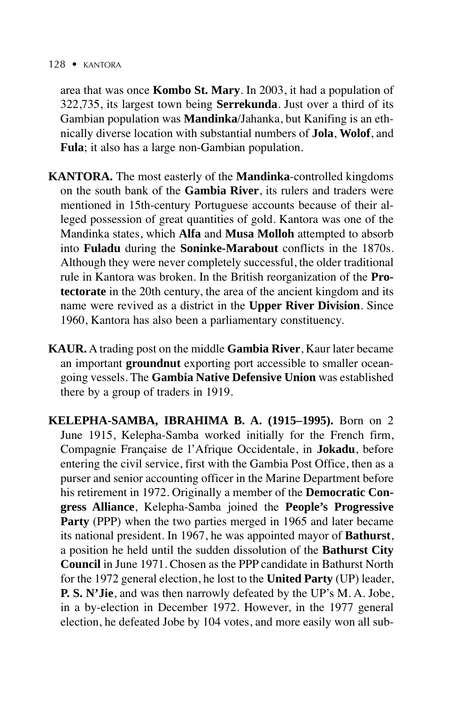# 128 • KANTORA

area that was once **Kombo St. Mary**. In 2003, it had a population of 322,735, its largest town being **Serrekunda**. Just over a third of its Gambian population was **Mandinka**/Jahanka, but Kanifing is an ethnically diverse location with substantial numbers of **Jola**, **Wolof**, and **Fula**; it also has a large non-Gambian population.

- **KANTORA.** The most easterly of the **Mandinka**-controlled kingdoms on the south bank of the **Gambia River**, its rulers and traders were mentioned in 15th-century Portuguese accounts because of their alleged possession of great quantities of gold. Kantora was one of the Mandinka states, which **Alfa** and **Musa Molloh** attempted to absorb into **Fuladu** during the **Soninke-Marabout** conflicts in the 1870s. Although they were never completely successful, the older traditional rule in Kantora was broken. In the British reorganization of the **Protectorate** in the 20th century, the area of the ancient kingdom and its name were revived as a district in the **Upper River Division**. Since 1960, Kantora has also been a parliamentary constituency.
- **KAUR.** A trading post on the middle **Gambia River**, Kaur later became an important **groundnut** exporting port accessible to smaller oceangoing vessels. The **Gambia Native Defensive Union** was established there by a group of traders in 1919.

**KELEPHA-SAMBA, IBRAHIMA B. A. (1915–1995).** Born on 2 June 1915, Kelepha-Samba worked initially for the French firm, Compagnie Française de l'Afrique Occidentale, in **Jokadu**, before entering the civil service, first with the Gambia Post Office, then as a purser and senior accounting officer in the Marine Department before his retirement in 1972. Originally a member of the **Democratic Congress Alliance**, Kelepha-Samba joined the **People's Progressive Party** (PPP) when the two parties merged in 1965 and later became its national president. In 1967, he was appointed mayor of **Bathurst**, a position he held until the sudden dissolution of the **Bathurst City Council** in June 1971. Chosen as the PPP candidate in Bathurst North for the 1972 general election, he lost to the **United Party** (UP) leader, **P. S. N'Jie**, and was then narrowly defeated by the UP's M. A. Jobe, in a by-election in December 1972. However, in the 1977 general election, he defeated Jobe by 104 votes, and more easily won all sub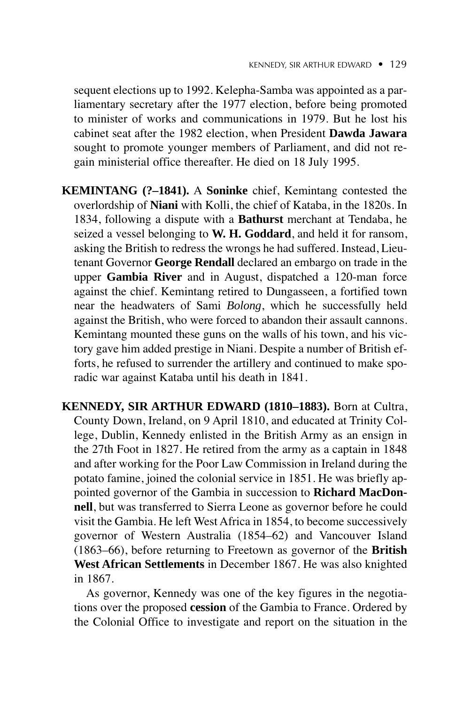sequent elections up to 1992. Kelepha-Samba was appointed as a parliamentary secretary after the 1977 election, before being promoted to minister of works and communications in 1979. But he lost his cabinet seat after the 1982 election, when President **Dawda Jawara** sought to promote younger members of Parliament, and did not regain ministerial office thereafter. He died on 18 July 1995.

**KEMINTANG (?–1841).** A **Soninke** chief, Kemintang contested the overlordship of **Niani** with Kolli, the chief of Kataba, in the 1820s. In 1834, following a dispute with a **Bathurst** merchant at Tendaba, he seized a vessel belonging to **W. H. Goddard**, and held it for ransom, asking the British to redress the wrongs he had suffered. Instead, Lieutenant Governor **George Rendall** declared an embargo on trade in the upper **Gambia River** and in August, dispatched a 120-man force against the chief. Kemintang retired to Dungasseen, a fortified town near the headwaters of Sami *Bolong*, which he successfully held against the British, who were forced to abandon their assault cannons. Kemintang mounted these guns on the walls of his town, and his victory gave him added prestige in Niani. Despite a number of British efforts, he refused to surrender the artillery and continued to make sporadic war against Kataba until his death in 1841.

**KENNEDY, SIR ARTHUR EDWARD (1810–1883).** Born at Cultra, County Down, Ireland, on 9 April 1810, and educated at Trinity College, Dublin, Kennedy enlisted in the British Army as an ensign in the 27th Foot in 1827. He retired from the army as a captain in 1848 and after working for the Poor Law Commission in Ireland during the potato famine, joined the colonial service in 1851. He was briefly appointed governor of the Gambia in succession to **Richard MacDonnell**, but was transferred to Sierra Leone as governor before he could visit the Gambia. He left West Africa in 1854, to become successively governor of Western Australia (1854–62) and Vancouver Island (1863–66), before returning to Freetown as governor of the **British West African Settlements** in December 1867. He was also knighted in 1867.

As governor, Kennedy was one of the key figures in the negotiations over the proposed **cession** of the Gambia to France. Ordered by the Colonial Office to investigate and report on the situation in the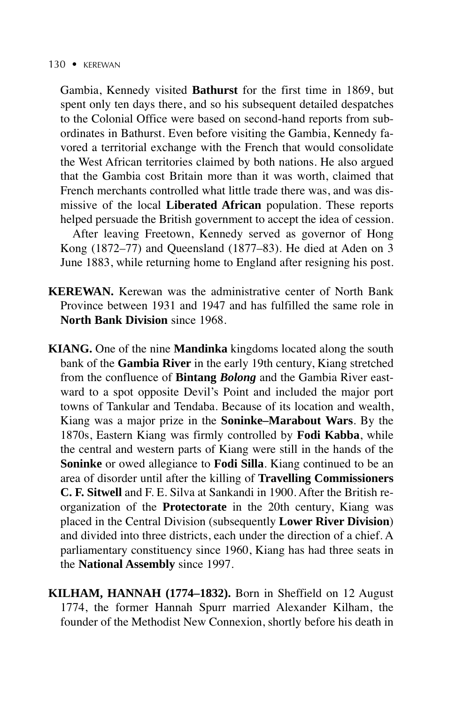Gambia, Kennedy visited **Bathurst** for the first time in 1869, but spent only ten days there, and so his subsequent detailed despatches to the Colonial Office were based on second-hand reports from subordinates in Bathurst. Even before visiting the Gambia, Kennedy favored a territorial exchange with the French that would consolidate the West African territories claimed by both nations. He also argued that the Gambia cost Britain more than it was worth, claimed that French merchants controlled what little trade there was, and was dismissive of the local **Liberated African** population. These reports helped persuade the British government to accept the idea of cession. After leaving Freetown, Kennedy served as governor of Hong

Kong (1872–77) and Queensland (1877–83). He died at Aden on 3 June 1883, while returning home to England after resigning his post.

- **KEREWAN.** Kerewan was the administrative center of North Bank Province between 1931 and 1947 and has fulfilled the same role in **North Bank Division** since 1968.
- **KIANG.** One of the nine **Mandinka** kingdoms located along the south bank of the **Gambia River** in the early 19th century, Kiang stretched from the confluence of **Bintang** *Bolong* and the Gambia River eastward to a spot opposite Devil's Point and included the major port towns of Tankular and Tendaba. Because of its location and wealth, Kiang was a major prize in the **Soninke–Marabout Wars**. By the 1870s, Eastern Kiang was firmly controlled by **Fodi Kabba**, while the central and western parts of Kiang were still in the hands of the **Soninke** or owed allegiance to **Fodi Silla**. Kiang continued to be an area of disorder until after the killing of **Travelling Commissioners C. F. Sitwell** and F. E. Silva at Sankandi in 1900. After the British reorganization of the **Protectorate** in the 20th century, Kiang was placed in the Central Division (subsequently **Lower River Division**) and divided into three districts, each under the direction of a chief. A parliamentary constituency since 1960, Kiang has had three seats in the **National Assembly** since 1997.
- **KILHAM, HANNAH (1774–1832).** Born in Sheffield on 12 August 1774, the former Hannah Spurr married Alexander Kilham, the founder of the Methodist New Connexion, shortly before his death in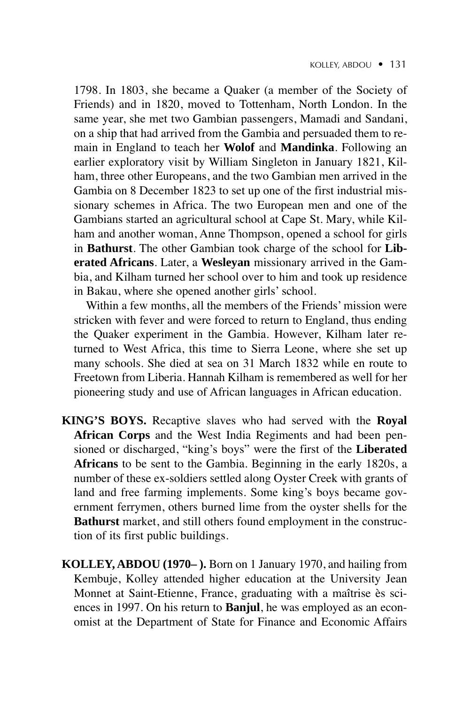1798. In 1803, she became a Quaker (a member of the Society of Friends) and in 1820, moved to Tottenham, North London. In the same year, she met two Gambian passengers, Mamadi and Sandani, on a ship that had arrived from the Gambia and persuaded them to remain in England to teach her **Wolof** and **Mandinka**. Following an earlier exploratory visit by William Singleton in January 1821, Kilham, three other Europeans, and the two Gambian men arrived in the Gambia on 8 December 1823 to set up one of the first industrial missionary schemes in Africa. The two European men and one of the Gambians started an agricultural school at Cape St. Mary, while Kilham and another woman, Anne Thompson, opened a school for girls in **Bathurst**. The other Gambian took charge of the school for **Liberated Africans**. Later, a **Wesleyan** missionary arrived in the Gambia, and Kilham turned her school over to him and took up residence in Bakau, where she opened another girls' school.

Within a few months, all the members of the Friends' mission were stricken with fever and were forced to return to England, thus ending the Quaker experiment in the Gambia. However, Kilham later returned to West Africa, this time to Sierra Leone, where she set up many schools. She died at sea on 31 March 1832 while en route to Freetown from Liberia. Hannah Kilham is remembered as well for her pioneering study and use of African languages in African education.

- **KING'S BOYS.** Recaptive slaves who had served with the **Royal African Corps** and the West India Regiments and had been pensioned or discharged, "king's boys" were the first of the **Liberated Africans** to be sent to the Gambia. Beginning in the early 1820s, a number of these ex-soldiers settled along Oyster Creek with grants of land and free farming implements. Some king's boys became government ferrymen, others burned lime from the oyster shells for the **Bathurst** market, and still others found employment in the construction of its first public buildings.
- **KOLLEY, ABDOU (1970– ).** Born on 1 January 1970, and hailing from Kembuje, Kolley attended higher education at the University Jean Monnet at Saint-Etienne, France, graduating with a maîtrise ès sciences in 1997. On his return to **Banjul**, he was employed as an economist at the Department of State for Finance and Economic Affairs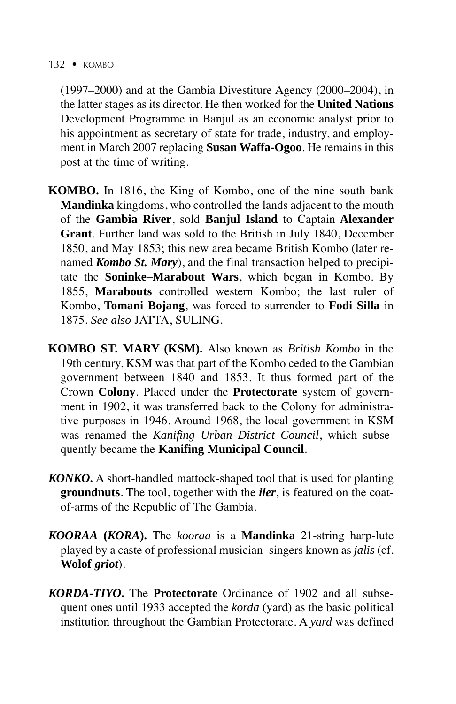# 132 • KOMBO

(1997–2000) and at the Gambia Divestiture Agency (2000–2004), in the latter stages as its director. He then worked for the **United Nations** Development Programme in Banjul as an economic analyst prior to his appointment as secretary of state for trade, industry, and employment in March 2007 replacing **Susan Waffa-Ogoo**. He remains in this post at the time of writing.

- **KOMBO.** In 1816, the King of Kombo, one of the nine south bank **Mandinka** kingdoms, who controlled the lands adjacent to the mouth of the **Gambia River**, sold **Banjul Island** to Captain **Alexander Grant**. Further land was sold to the British in July 1840, December 1850, and May 1853; this new area became British Kombo (later renamed *Kombo St. Mary*), and the final transaction helped to precipitate the **Soninke–Marabout Wars**, which began in Kombo. By 1855, **Marabouts** controlled western Kombo; the last ruler of Kombo, **Tomani Bojang**, was forced to surrender to **Fodi Silla** in 1875. *See also* JATTA, SULING.
- **KOMBO ST. MARY (KSM).** Also known as *British Kombo* in the 19th century, KSM was that part of the Kombo ceded to the Gambian government between 1840 and 1853. It thus formed part of the Crown **Colony**. Placed under the **Protectorate** system of government in 1902, it was transferred back to the Colony for administrative purposes in 1946. Around 1968, the local government in KSM was renamed the *Kanifing Urban District Council*, which subsequently became the **Kanifing Municipal Council**.
- *KONKO***.** A short-handled mattock-shaped tool that is used for planting **groundnuts**. The tool, together with the *iler*, is featured on the coatof-arms of the Republic of The Gambia.
- *KOORAA* **(***KORA***).** The *kooraa* is a **Mandinka** 21-string harp-lute played by a caste of professional musician–singers known as *jalis* (cf. **Wolof** *griot*).
- *KORDA-TIYO***.** The **Protectorate** Ordinance of 1902 and all subsequent ones until 1933 accepted the *korda* (yard) as the basic political institution throughout the Gambian Protectorate. A *yard* was defined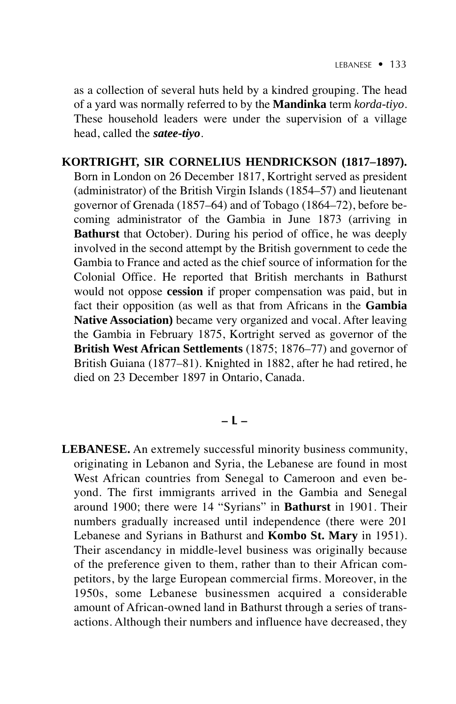as a collection of several huts held by a kindred grouping. The head of a yard was normally referred to by the **Mandinka** term *korda-tiyo*. These household leaders were under the supervision of a village head, called the *satee-tiyo*.

# **KORTRIGHT, SIR CORNELIUS HENDRICKSON (1817–1897).** Born in London on 26 December 1817, Kortright served as president (administrator) of the British Virgin Islands (1854–57) and lieutenant governor of Grenada (1857–64) and of Tobago (1864–72), before becoming administrator of the Gambia in June 1873 (arriving in **Bathurst** that October). During his period of office, he was deeply involved in the second attempt by the British government to cede the Gambia to France and acted as the chief source of information for the Colonial Office. He reported that British merchants in Bathurst would not oppose **cession** if proper compensation was paid, but in fact their opposition (as well as that from Africans in the **Gambia Native Association)** became very organized and vocal. After leaving the Gambia in February 1875, Kortright served as governor of the **British West African Settlements** (1875; 1876–77) and governor of British Guiana (1877–81). Knighted in 1882, after he had retired, he died on 23 December 1897 in Ontario, Canada.

**– L –**

**LEBANESE.** An extremely successful minority business community, originating in Lebanon and Syria, the Lebanese are found in most West African countries from Senegal to Cameroon and even beyond. The first immigrants arrived in the Gambia and Senegal around 1900; there were 14 "Syrians" in **Bathurst** in 1901. Their numbers gradually increased until independence (there were 201 Lebanese and Syrians in Bathurst and **Kombo St. Mary** in 1951). Their ascendancy in middle-level business was originally because of the preference given to them, rather than to their African competitors, by the large European commercial firms. Moreover, in the 1950s, some Lebanese businessmen acquired a considerable amount of African-owned land in Bathurst through a series of transactions. Although their numbers and influence have decreased, they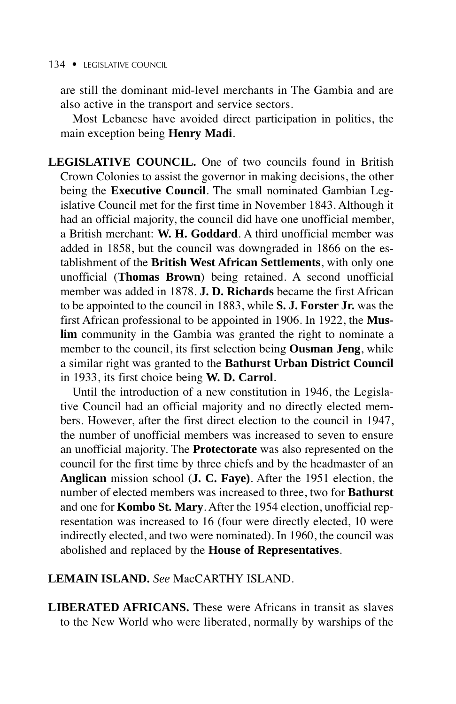## 134 • LEGISLATIVE COUNCIL

are still the dominant mid-level merchants in The Gambia and are also active in the transport and service sectors.

Most Lebanese have avoided direct participation in politics, the main exception being **Henry Madi**.

**LEGISLATIVE COUNCIL.** One of two councils found in British Crown Colonies to assist the governor in making decisions, the other being the **Executive Council**. The small nominated Gambian Legislative Council met for the first time in November 1843. Although it had an official majority, the council did have one unofficial member, a British merchant: **W. H. Goddard**. A third unofficial member was added in 1858, but the council was downgraded in 1866 on the establishment of the **British West African Settlements**, with only one unofficial (**Thomas Brown**) being retained. A second unofficial member was added in 1878. **J. D. Richards** became the first African to be appointed to the council in 1883, while **S. J. Forster Jr.** was the first African professional to be appointed in 1906. In 1922, the **Muslim** community in the Gambia was granted the right to nominate a member to the council, its first selection being **Ousman Jeng**, while a similar right was granted to the **Bathurst Urban District Council** in 1933, its first choice being **W. D. Carrol**.

Until the introduction of a new constitution in 1946, the Legislative Council had an official majority and no directly elected members. However, after the first direct election to the council in 1947, the number of unofficial members was increased to seven to ensure an unofficial majority. The **Protectorate** was also represented on the council for the first time by three chiefs and by the headmaster of an **Anglican** mission school (**J. C. Faye)**. After the 1951 election, the number of elected members was increased to three, two for **Bathurst** and one for **Kombo St. Mary**. After the 1954 election, unofficial representation was increased to 16 (four were directly elected, 10 were indirectly elected, and two were nominated). In 1960, the council was abolished and replaced by the **House of Representatives**.

# **LEMAIN ISLAND.** *See* MacCARTHY ISLAND.

**LIBERATED AFRICANS.** These were Africans in transit as slaves to the New World who were liberated, normally by warships of the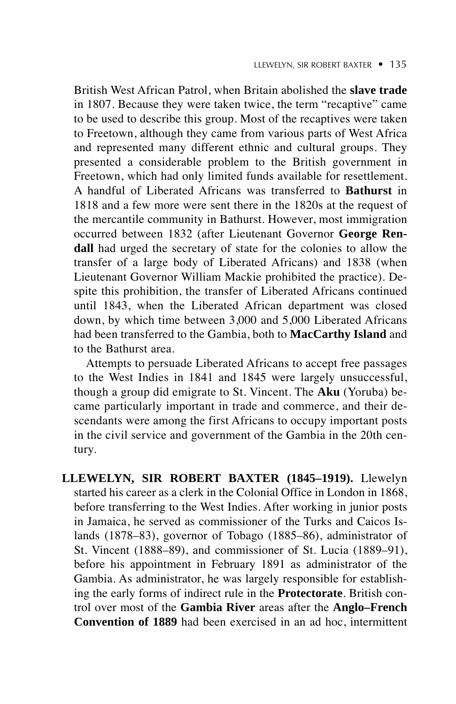British West African Patrol, when Britain abolished the **slave trade** in 1807. Because they were taken twice, the term "recaptive" came to be used to describe this group. Most of the recaptives were taken to Freetown, although they came from various parts of West Africa and represented many different ethnic and cultural groups. They presented a considerable problem to the British government in Freetown, which had only limited funds available for resettlement. A handful of Liberated Africans was transferred to **Bathurst** in 1818 and a few more were sent there in the 1820s at the request of the mercantile community in Bathurst. However, most immigration occurred between 1832 (after Lieutenant Governor **George Ren**dall had urged the secretary of state for the colonies to allow the transfer of a large body of Liberated Africans) and 1838 (when Lieutenant Governor William Mackie prohibited the practice). Despite this prohibition, the transfer of Liberated Africans continued until 1843, when the Liberated African department was closed down, by which time between 3,000 and 5,000 Liberated Africans had been transferred to the Gambia, both to **MacCarthy Island** and to the Bathurst area.

Attempts to persuade Liberated Africans to accept free passages to the West Indies in 1841 and 1845 were largely unsuccessful, though a group did emigrate to St. Vincent. The **Aku** (Yoruba) became particularly important in trade and commerce, and their descendants were among the first Africans to occupy important posts in the civil service and government of the Gambia in the 20th century.

**LLEWELYN, SIR ROBERT BAXTER (1845–1919).** Llewelyn started his career as a clerk in the Colonial Office in London in 1868, before transferring to the West Indies. After working in junior posts in Jamaica, he served as commissioner of the Turks and Caicos Islands (1878–83), governor of Tobago (1885–86), administrator of St. Vincent (1888–89), and commissioner of St. Lucia (1889–91), before his appointment in February 1891 as administrator of the Gambia. As administrator, he was largely responsible for establishing the early forms of indirect rule in the **Protectorate**. British control over most of the **Gambia River** areas after the **Anglo–French Convention of 1889** had been exercised in an ad hoc, intermittent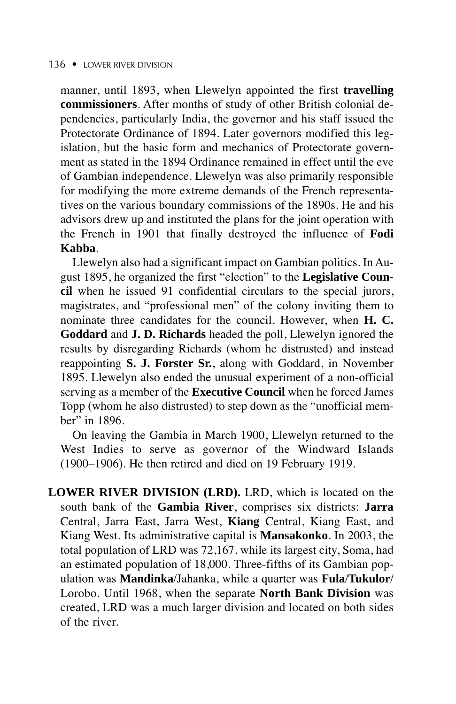#### 136 • LOWER RIVER DIVISION

manner, until 1893, when Llewelyn appointed the first **travelling commissioners**. After months of study of other British colonial dependencies, particularly India, the governor and his staff issued the Protectorate Ordinance of 1894. Later governors modified this legislation, but the basic form and mechanics of Protectorate government as stated in the 1894 Ordinance remained in effect until the eve of Gambian independence. Llewelyn was also primarily responsible for modifying the more extreme demands of the French representatives on the various boundary commissions of the 1890s. He and his advisors drew up and instituted the plans for the joint operation with the French in 1901 that finally destroyed the influence of **Fodi Kabba**.

Llewelyn also had a significant impact on Gambian politics. In August 1895, he organized the first "election" to the **Legislative Council** when he issued 91 confidential circulars to the special jurors, magistrates, and "professional men" of the colony inviting them to nominate three candidates for the council. However, when **H. C. Goddard** and **J. D. Richards** headed the poll, Llewelyn ignored the results by disregarding Richards (whom he distrusted) and instead reappointing **S. J. Forster Sr.**, along with Goddard, in November 1895. Llewelyn also ended the unusual experiment of a non-official serving as a member of the **Executive Council** when he forced James Topp (whom he also distrusted) to step down as the "unofficial member" in 1896.

On leaving the Gambia in March 1900, Llewelyn returned to the West Indies to serve as governor of the Windward Islands (1900–1906). He then retired and died on 19 February 1919.

**LOWER RIVER DIVISION (LRD).** LRD, which is located on the south bank of the **Gambia River**, comprises six districts: **Jarra** Central, Jarra East, Jarra West, **Kiang** Central, Kiang East, and Kiang West. Its administrative capital is **Mansakonko**. In 2003, the total population of LRD was 72,167, while its largest city, Soma, had an estimated population of 18,000. Three-fifths of its Gambian population was **Mandinka**/Jahanka, while a quarter was **Fula**/**Tukulor**/ Lorobo. Until 1968, when the separate **North Bank Division** was created, LRD was a much larger division and located on both sides of the river.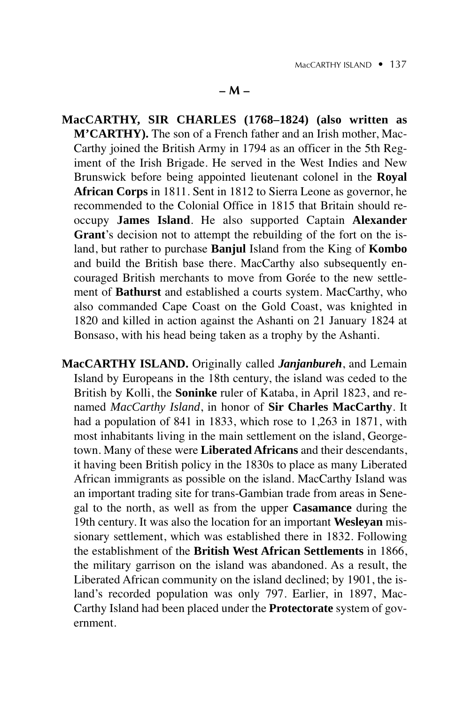- **MacCARTHY, SIR CHARLES (1768–1824) (also written as M'CARTHY).** The son of a French father and an Irish mother, Mac-Carthy joined the British Army in 1794 as an officer in the 5th Regiment of the Irish Brigade. He served in the West Indies and New Brunswick before being appointed lieutenant colonel in the **Royal African Corps** in 1811. Sent in 1812 to Sierra Leone as governor, he recommended to the Colonial Office in 1815 that Britain should reoccupy **James Island**. He also supported Captain **Alexander Grant**'s decision not to attempt the rebuilding of the fort on the island, but rather to purchase **Banjul** Island from the King of **Kombo** and build the British base there. MacCarthy also subsequently encouraged British merchants to move from Gorée to the new settlement of **Bathurst** and established a courts system. MacCarthy, who also commanded Cape Coast on the Gold Coast, was knighted in 1820 and killed in action against the Ashanti on 21 January 1824 at Bonsaso, with his head being taken as a trophy by the Ashanti.
- **MacCARTHY ISLAND.** Originally called *Janjanbureh*, and Lemain Island by Europeans in the 18th century, the island was ceded to the British by Kolli, the **Soninke** ruler of Kataba, in April 1823, and renamed *MacCarthy Island*, in honor of **Sir Charles MacCarthy**. It had a population of 841 in 1833, which rose to 1,263 in 1871, with most inhabitants living in the main settlement on the island, Georgetown. Many of these were **Liberated Africans** and their descendants, it having been British policy in the 1830s to place as many Liberated African immigrants as possible on the island. MacCarthy Island was an important trading site for trans-Gambian trade from areas in Senegal to the north, as well as from the upper **Casamance** during the 19th century. It was also the location for an important **Wesleyan** missionary settlement, which was established there in 1832. Following the establishment of the **British West African Settlements** in 1866, the military garrison on the island was abandoned. As a result, the Liberated African community on the island declined; by 1901, the island's recorded population was only 797. Earlier, in 1897, Mac-Carthy Island had been placed under the **Protectorate** system of government.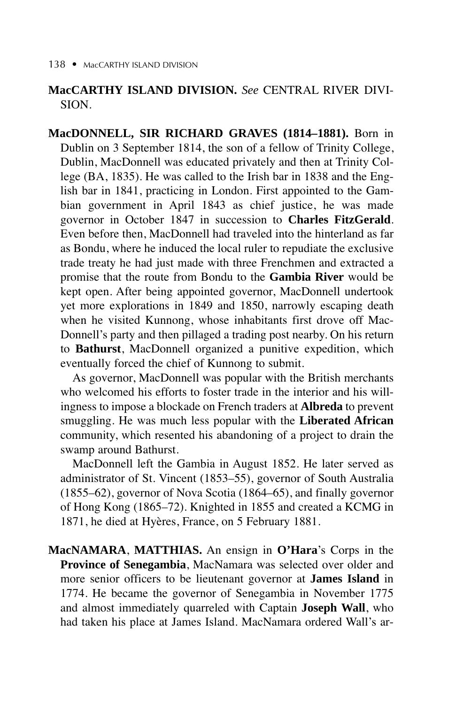# **MacCARTHY ISLAND DIVISION.** *See* CENTRAL RIVER DIVI-SION.

**MacDONNELL, SIR RICHARD GRAVES (1814–1881).** Born in Dublin on 3 September 1814, the son of a fellow of Trinity College, Dublin, MacDonnell was educated privately and then at Trinity College (BA, 1835). He was called to the Irish bar in 1838 and the English bar in 1841, practicing in London. First appointed to the Gambian government in April 1843 as chief justice, he was made governor in October 1847 in succession to **Charles FitzGerald**. Even before then, MacDonnell had traveled into the hinterland as far as Bondu, where he induced the local ruler to repudiate the exclusive trade treaty he had just made with three Frenchmen and extracted a promise that the route from Bondu to the **Gambia River** would be kept open. After being appointed governor, MacDonnell undertook yet more explorations in 1849 and 1850, narrowly escaping death when he visited Kunnong, whose inhabitants first drove off Mac-Donnell's party and then pillaged a trading post nearby. On his return to **Bathurst**, MacDonnell organized a punitive expedition, which eventually forced the chief of Kunnong to submit.

As governor, MacDonnell was popular with the British merchants who welcomed his efforts to foster trade in the interior and his willingness to impose a blockade on French traders at **Albreda** to prevent smuggling. He was much less popular with the **Liberated African** community, which resented his abandoning of a project to drain the swamp around Bathurst.

MacDonnell left the Gambia in August 1852. He later served as administrator of St. Vincent (1853–55), governor of South Australia (1855–62), governor of Nova Scotia (1864–65), and finally governor of Hong Kong (1865–72). Knighted in 1855 and created a KCMG in 1871, he died at Hyères, France, on 5 February 1881.

**MacNAMARA**, **MATTHIAS.** An ensign in **O'Hara**'s Corps in the **Province of Senegambia**, MacNamara was selected over older and more senior officers to be lieutenant governor at **James Island** in 1774. He became the governor of Senegambia in November 1775 and almost immediately quarreled with Captain **Joseph Wall**, who had taken his place at James Island. MacNamara ordered Wall's ar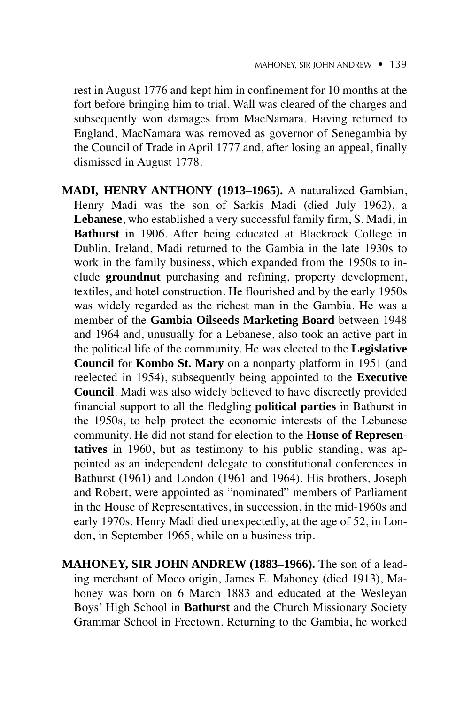rest in August 1776 and kept him in confinement for 10 months at the fort before bringing him to trial. Wall was cleared of the charges and subsequently won damages from MacNamara. Having returned to England, MacNamara was removed as governor of Senegambia by the Council of Trade in April 1777 and, after losing an appeal, finally dismissed in August 1778.

- **MADI, HENRY ANTHONY (1913–1965).** A naturalized Gambian, Henry Madi was the son of Sarkis Madi (died July 1962), a **Lebanese**, who established a very successful family firm, S. Madi, in **Bathurst** in 1906. After being educated at Blackrock College in Dublin, Ireland, Madi returned to the Gambia in the late 1930s to work in the family business, which expanded from the 1950s to include **groundnut** purchasing and refining, property development, textiles, and hotel construction. He flourished and by the early 1950s was widely regarded as the richest man in the Gambia. He was a member of the **Gambia Oilseeds Marketing Board** between 1948 and 1964 and, unusually for a Lebanese, also took an active part in the political life of the community. He was elected to the **Legislative Council** for **Kombo St. Mary** on a nonparty platform in 1951 (and reelected in 1954), subsequently being appointed to the **Executive Council**. Madi was also widely believed to have discreetly provided financial support to all the fledgling **political parties** in Bathurst in the 1950s, to help protect the economic interests of the Lebanese community. He did not stand for election to the **House of Representatives** in 1960, but as testimony to his public standing, was appointed as an independent delegate to constitutional conferences in Bathurst (1961) and London (1961 and 1964). His brothers, Joseph and Robert, were appointed as "nominated" members of Parliament in the House of Representatives, in succession, in the mid-1960s and early 1970s. Henry Madi died unexpectedly, at the age of 52, in London, in September 1965, while on a business trip.
- **MAHONEY, SIR JOHN ANDREW (1883–1966).** The son of a leading merchant of Moco origin, James E. Mahoney (died 1913), Mahoney was born on 6 March 1883 and educated at the Wesleyan Boys' High School in **Bathurst** and the Church Missionary Society Grammar School in Freetown. Returning to the Gambia, he worked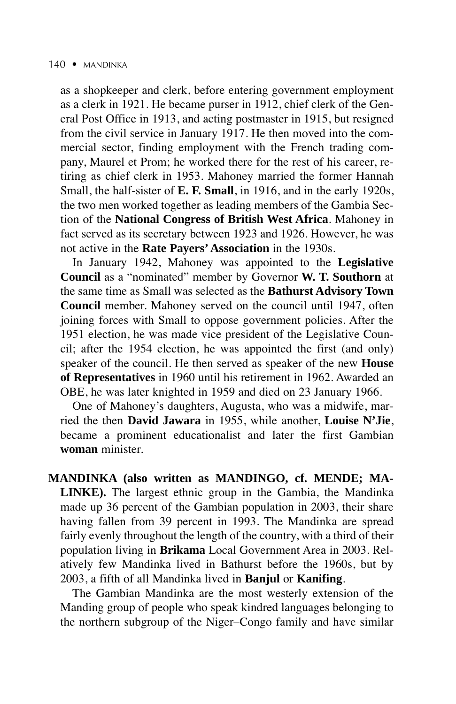as a shopkeeper and clerk, before entering government employment as a clerk in 1921. He became purser in 1912, chief clerk of the General Post Office in 1913, and acting postmaster in 1915, but resigned from the civil service in January 1917. He then moved into the commercial sector, finding employment with the French trading company, Maurel et Prom; he worked there for the rest of his career, retiring as chief clerk in 1953. Mahoney married the former Hannah Small, the half-sister of **E. F. Small**, in 1916, and in the early 1920s, the two men worked together as leading members of the Gambia Section of the **National Congress of British West Africa**. Mahoney in fact served as its secretary between 1923 and 1926. However, he was not active in the **Rate Payers' Association** in the 1930s.

In January 1942, Mahoney was appointed to the **Legislative Council** as a "nominated" member by Governor **W. T. Southorn** at the same time as Small was selected as the **Bathurst Advisory Town Council** member. Mahoney served on the council until 1947, often joining forces with Small to oppose government policies. After the 1951 election, he was made vice president of the Legislative Council; after the 1954 election, he was appointed the first (and only) speaker of the council. He then served as speaker of the new **House of Representatives** in 1960 until his retirement in 1962. Awarded an OBE, he was later knighted in 1959 and died on 23 January 1966.

One of Mahoney's daughters, Augusta, who was a midwife, married the then **David Jawara** in 1955, while another, **Louise N'Jie**, became a prominent educationalist and later the first Gambian **woman** minister.

**MANDINKA (also written as MANDINGO, cf. MENDE; MA-LINKE).** The largest ethnic group in the Gambia, the Mandinka made up 36 percent of the Gambian population in 2003, their share having fallen from 39 percent in 1993. The Mandinka are spread fairly evenly throughout the length of the country, with a third of their population living in **Brikama** Local Government Area in 2003. Relatively few Mandinka lived in Bathurst before the 1960s, but by 2003, a fifth of all Mandinka lived in **Banjul** or **Kanifing**.

The Gambian Mandinka are the most westerly extension of the Manding group of people who speak kindred languages belonging to the northern subgroup of the Niger–Congo family and have similar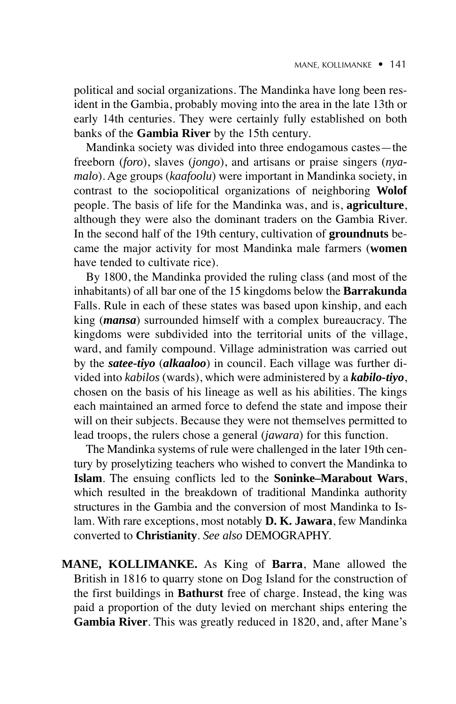political and social organizations. The Mandinka have long been resident in the Gambia, probably moving into the area in the late 13th or early 14th centuries. They were certainly fully established on both banks of the **Gambia River** by the 15th century.

Mandinka society was divided into three endogamous castes—the freeborn (*foro*), slaves (*jongo*), and artisans or praise singers (*nyamalo*). Age groups (*kaafoolu*) were important in Mandinka society, in contrast to the sociopolitical organizations of neighboring **Wolof** people. The basis of life for the Mandinka was, and is, **agriculture**, although they were also the dominant traders on the Gambia River. In the second half of the 19th century, cultivation of **groundnuts** became the major activity for most Mandinka male farmers (**women** have tended to cultivate rice).

By 1800, the Mandinka provided the ruling class (and most of the inhabitants) of all bar one of the 15 kingdoms below the **Barrakunda** Falls. Rule in each of these states was based upon kinship, and each king (*mansa*) surrounded himself with a complex bureaucracy. The kingdoms were subdivided into the territorial units of the village, ward, and family compound. Village administration was carried out by the *satee-tiyo* (*alkaaloo*) in council. Each village was further divided into *kabilos* (wards), which were administered by a *kabilo-tiyo*, chosen on the basis of his lineage as well as his abilities. The kings each maintained an armed force to defend the state and impose their will on their subjects. Because they were not themselves permitted to lead troops, the rulers chose a general (*jawara*) for this function.

The Mandinka systems of rule were challenged in the later 19th century by proselytizing teachers who wished to convert the Mandinka to **Islam**. The ensuing conflicts led to the **Soninke–Marabout Wars**, which resulted in the breakdown of traditional Mandinka authority structures in the Gambia and the conversion of most Mandinka to Islam. With rare exceptions, most notably **D. K. Jawara**, few Mandinka converted to **Christianity**. *See also* DEMOGRAPHY.

**MANE, KOLLIMANKE.** As King of **Barra**, Mane allowed the British in 1816 to quarry stone on Dog Island for the construction of the first buildings in **Bathurst** free of charge. Instead, the king was paid a proportion of the duty levied on merchant ships entering the **Gambia River**. This was greatly reduced in 1820, and, after Mane's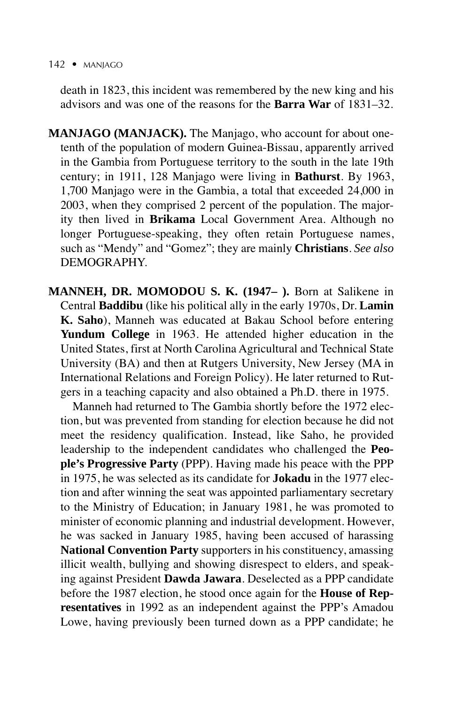## 142 • MANJAGO

death in 1823, this incident was remembered by the new king and his advisors and was one of the reasons for the **Barra War** of 1831–32.

- **MANJAGO (MANJACK).** The Manjago, who account for about onetenth of the population of modern Guinea-Bissau, apparently arrived in the Gambia from Portuguese territory to the south in the late 19th century; in 1911, 128 Manjago were living in **Bathurst**. By 1963, 1,700 Manjago were in the Gambia, a total that exceeded 24,000 in 2003, when they comprised 2 percent of the population. The majority then lived in **Brikama** Local Government Area. Although no longer Portuguese-speaking, they often retain Portuguese names, such as "Mendy" and "Gomez"; they are mainly **Christians**. *See also* DEMOGRAPHY.
- **MANNEH, DR. MOMODOU S. K. (1947– ).** Born at Salikene in Central **Baddibu** (like his political ally in the early 1970s, Dr. **Lamin K. Saho**), Manneh was educated at Bakau School before entering **Yundum College** in 1963. He attended higher education in the United States, first at North Carolina Agricultural and Technical State University (BA) and then at Rutgers University, New Jersey (MA in International Relations and Foreign Policy). He later returned to Rutgers in a teaching capacity and also obtained a Ph.D. there in 1975.

Manneh had returned to The Gambia shortly before the 1972 election, but was prevented from standing for election because he did not meet the residency qualification. Instead, like Saho, he provided leadership to the independent candidates who challenged the **People's Progressive Party** (PPP). Having made his peace with the PPP in 1975, he was selected as its candidate for **Jokadu** in the 1977 election and after winning the seat was appointed parliamentary secretary to the Ministry of Education; in January 1981, he was promoted to minister of economic planning and industrial development. However, he was sacked in January 1985, having been accused of harassing **National Convention Party** supporters in his constituency, amassing illicit wealth, bullying and showing disrespect to elders, and speaking against President **Dawda Jawara**. Deselected as a PPP candidate before the 1987 election, he stood once again for the **House of Representatives** in 1992 as an independent against the PPP's Amadou Lowe, having previously been turned down as a PPP candidate; he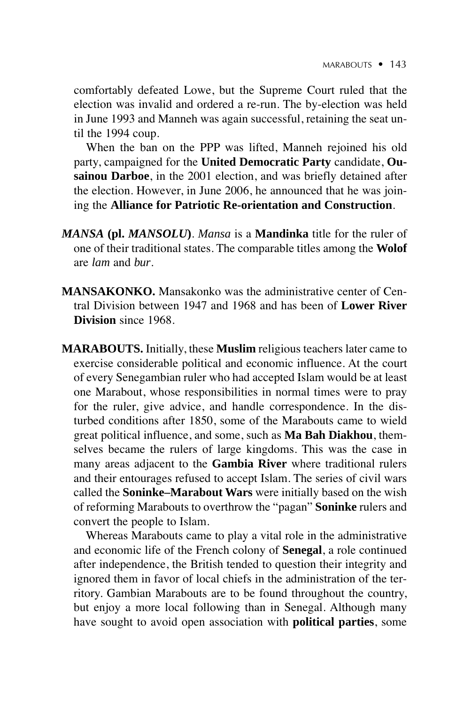comfortably defeated Lowe, but the Supreme Court ruled that the election was invalid and ordered a re-run. The by-election was held in June 1993 and Manneh was again successful, retaining the seat until the 1994 coup.

When the ban on the PPP was lifted, Manneh rejoined his old party, campaigned for the **United Democratic Party** candidate, **Ousainou Darboe**, in the 2001 election, and was briefly detained after the election. However, in June 2006, he announced that he was joining the **Alliance for Patriotic Re-orientation and Construction**.

- *MANSA* **(pl.** *MANSOLU***)**. *Mansa* is a **Mandinka** title for the ruler of one of their traditional states. The comparable titles among the **Wolof** are *lam* and *bur*.
- **MANSAKONKO.** Mansakonko was the administrative center of Central Division between 1947 and 1968 and has been of **Lower River Division** since 1968.
- **MARABOUTS.** Initially, these **Muslim** religious teachers later came to exercise considerable political and economic influence. At the court of every Senegambian ruler who had accepted Islam would be at least one Marabout, whose responsibilities in normal times were to pray for the ruler, give advice, and handle correspondence. In the disturbed conditions after 1850, some of the Marabouts came to wield great political influence, and some, such as **Ma Bah Diakhou**, themselves became the rulers of large kingdoms. This was the case in many areas adjacent to the **Gambia River** where traditional rulers and their entourages refused to accept Islam. The series of civil wars called the **Soninke–Marabout Wars** were initially based on the wish of reforming Marabouts to overthrow the "pagan" **Soninke** rulers and convert the people to Islam.

Whereas Marabouts came to play a vital role in the administrative and economic life of the French colony of **Senegal**, a role continued after independence, the British tended to question their integrity and ignored them in favor of local chiefs in the administration of the territory. Gambian Marabouts are to be found throughout the country, but enjoy a more local following than in Senegal. Although many have sought to avoid open association with **political parties**, some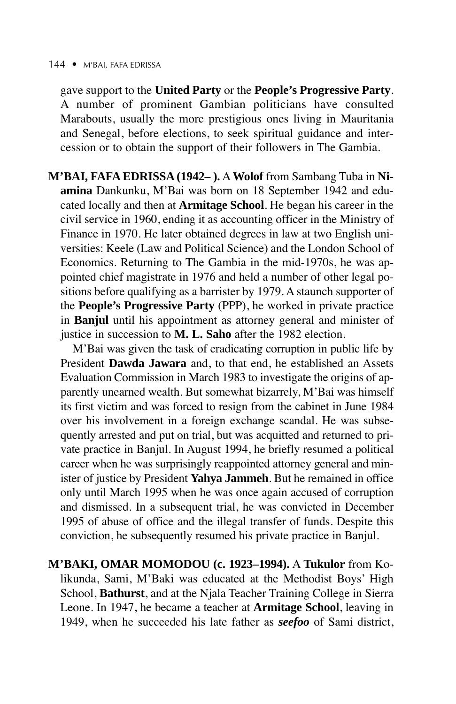gave support to the **United Party** or the **People's Progressive Party**. A number of prominent Gambian politicians have consulted Marabouts, usually the more prestigious ones living in Mauritania and Senegal, before elections, to seek spiritual guidance and intercession or to obtain the support of their followers in The Gambia.

**M'BAI, FAFA EDRISSA (1942– ).** A**Wolof** from Sambang Tuba in **Niamina** Dankunku, M'Bai was born on 18 September 1942 and educated locally and then at **Armitage School**. He began his career in the civil service in 1960, ending it as accounting officer in the Ministry of Finance in 1970. He later obtained degrees in law at two English universities: Keele (Law and Political Science) and the London School of Economics. Returning to The Gambia in the mid-1970s, he was appointed chief magistrate in 1976 and held a number of other legal positions before qualifying as a barrister by 1979. A staunch supporter of the **People's Progressive Party** (PPP), he worked in private practice in **Banjul** until his appointment as attorney general and minister of justice in succession to **M. L. Saho** after the 1982 election.

M'Bai was given the task of eradicating corruption in public life by President **Dawda Jawara** and, to that end, he established an Assets Evaluation Commission in March 1983 to investigate the origins of apparently unearned wealth. But somewhat bizarrely, M'Bai was himself its first victim and was forced to resign from the cabinet in June 1984 over his involvement in a foreign exchange scandal. He was subsequently arrested and put on trial, but was acquitted and returned to private practice in Banjul. In August 1994, he briefly resumed a political career when he was surprisingly reappointed attorney general and minister of justice by President **Yahya Jammeh**. But he remained in office only until March 1995 when he was once again accused of corruption and dismissed. In a subsequent trial, he was convicted in December 1995 of abuse of office and the illegal transfer of funds. Despite this conviction, he subsequently resumed his private practice in Banjul.

**M'BAKI, OMAR MOMODOU (c. 1923–1994).** A **Tukulor** from Kolikunda, Sami, M'Baki was educated at the Methodist Boys' High School, **Bathurst**, and at the Njala Teacher Training College in Sierra Leone. In 1947, he became a teacher at **Armitage School**, leaving in 1949, when he succeeded his late father as *seefoo* of Sami district,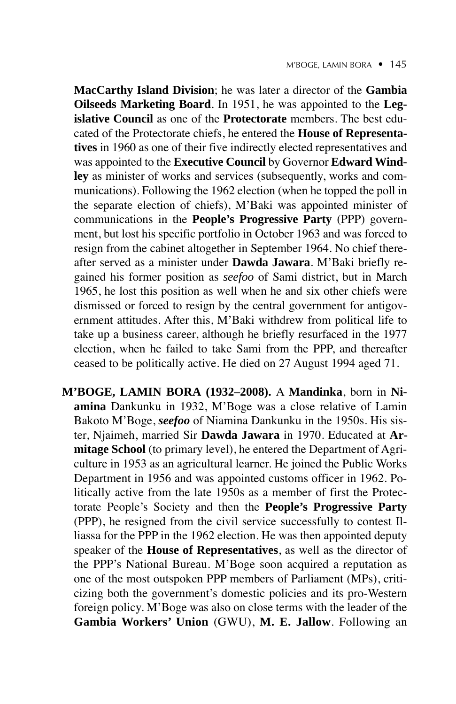**MacCarthy Island Division**; he was later a director of the **Gambia Oilseeds Marketing Board**. In 1951, he was appointed to the **Legislative Council** as one of the **Protectorate** members. The best educated of the Protectorate chiefs, he entered the **House of Representatives** in 1960 as one of their five indirectly elected representatives and was appointed to the **Executive Council** by Governor **Edward Windley** as minister of works and services (subsequently, works and communications). Following the 1962 election (when he topped the poll in the separate election of chiefs), M'Baki was appointed minister of communications in the **People's Progressive Party** (PPP) government, but lost his specific portfolio in October 1963 and was forced to resign from the cabinet altogether in September 1964. No chief thereafter served as a minister under **Dawda Jawara**. M'Baki briefly regained his former position as *seefoo* of Sami district, but in March 1965, he lost this position as well when he and six other chiefs were dismissed or forced to resign by the central government for antigovernment attitudes. After this, M'Baki withdrew from political life to take up a business career, although he briefly resurfaced in the 1977 election, when he failed to take Sami from the PPP, and thereafter ceased to be politically active. He died on 27 August 1994 aged 71.

**M'BOGE, LAMIN BORA (1932–2008).** A **Mandinka**, born in **Niamina** Dankunku in 1932, M'Boge was a close relative of Lamin Bakoto M'Boge, *seefoo* of Niamina Dankunku in the 1950s. His sister, Njaimeh, married Sir **Dawda Jawara** in 1970. Educated at **Armitage School** (to primary level), he entered the Department of Agriculture in 1953 as an agricultural learner. He joined the Public Works Department in 1956 and was appointed customs officer in 1962. Politically active from the late 1950s as a member of first the Protectorate People's Society and then the **People's Progressive Party** (PPP), he resigned from the civil service successfully to contest Illiassa for the PPP in the 1962 election. He was then appointed deputy speaker of the **House of Representatives**, as well as the director of the PPP's National Bureau. M'Boge soon acquired a reputation as one of the most outspoken PPP members of Parliament (MPs), criticizing both the government's domestic policies and its pro-Western foreign policy. M'Boge was also on close terms with the leader of the **Gambia Workers' Union** (GWU), **M. E. Jallow**. Following an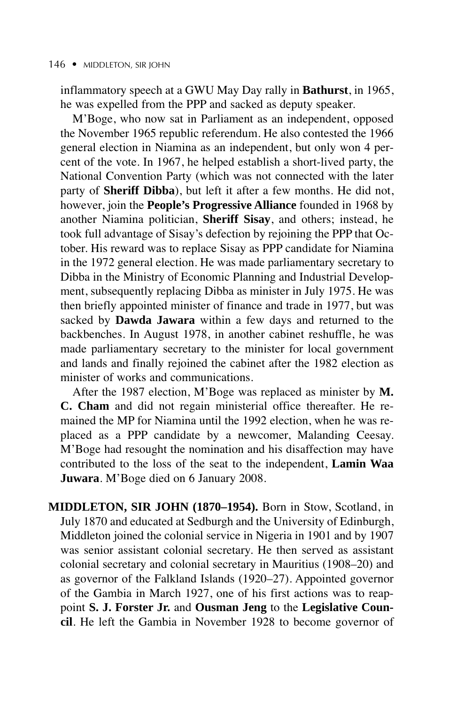inflammatory speech at a GWU May Day rally in **Bathurst**, in 1965, he was expelled from the PPP and sacked as deputy speaker.

M'Boge, who now sat in Parliament as an independent, opposed the November 1965 republic referendum. He also contested the 1966 general election in Niamina as an independent, but only won 4 percent of the vote. In 1967, he helped establish a short-lived party, the National Convention Party (which was not connected with the later party of **Sheriff Dibba**), but left it after a few months. He did not, however, join the **People's Progressive Alliance** founded in 1968 by another Niamina politician, **Sheriff Sisay**, and others; instead, he took full advantage of Sisay's defection by rejoining the PPP that October. His reward was to replace Sisay as PPP candidate for Niamina in the 1972 general election. He was made parliamentary secretary to Dibba in the Ministry of Economic Planning and Industrial Development, subsequently replacing Dibba as minister in July 1975. He was then briefly appointed minister of finance and trade in 1977, but was sacked by **Dawda Jawara** within a few days and returned to the backbenches. In August 1978, in another cabinet reshuffle, he was made parliamentary secretary to the minister for local government and lands and finally rejoined the cabinet after the 1982 election as minister of works and communications.

After the 1987 election, M'Boge was replaced as minister by **M. C. Cham** and did not regain ministerial office thereafter. He remained the MP for Niamina until the 1992 election, when he was replaced as a PPP candidate by a newcomer, Malanding Ceesay. M'Boge had resought the nomination and his disaffection may have contributed to the loss of the seat to the independent, **Lamin Waa Juwara**. M'Boge died on 6 January 2008.

**MIDDLETON, SIR JOHN (1870–1954).** Born in Stow, Scotland, in July 1870 and educated at Sedburgh and the University of Edinburgh, Middleton joined the colonial service in Nigeria in 1901 and by 1907 was senior assistant colonial secretary. He then served as assistant colonial secretary and colonial secretary in Mauritius (1908–20) and as governor of the Falkland Islands (1920–27). Appointed governor of the Gambia in March 1927, one of his first actions was to reappoint **S. J. Forster Jr.** and **Ousman Jeng** to the **Legislative Council**. He left the Gambia in November 1928 to become governor of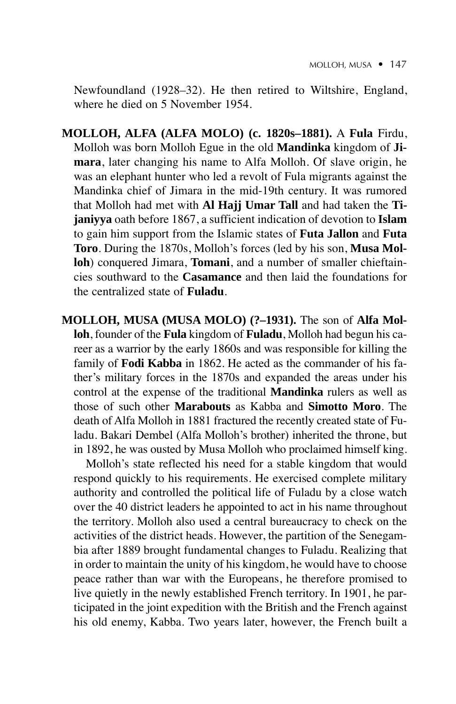Newfoundland (1928–32). He then retired to Wiltshire, England, where he died on 5 November 1954.

**MOLLOH, ALFA (ALFA MOLO) (c. 1820s–1881).** A **Fula** Firdu, Molloh was born Molloh Egue in the old **Mandinka** kingdom of **Jimara**, later changing his name to Alfa Molloh. Of slave origin, he was an elephant hunter who led a revolt of Fula migrants against the Mandinka chief of Jimara in the mid-19th century. It was rumored that Molloh had met with **Al Hajj Umar Tall** and had taken the **Tijaniyya** oath before 1867, a sufficient indication of devotion to **Islam** to gain him support from the Islamic states of **Futa Jallon** and **Futa Toro**. During the 1870s, Molloh's forces (led by his son, **Musa Molloh**) conquered Jimara, **Tomani**, and a number of smaller chieftaincies southward to the **Casamance** and then laid the foundations for the centralized state of **Fuladu**.

**MOLLOH, MUSA (MUSA MOLO) (?–1931).** The son of **Alfa Molloh**, founder of the **Fula** kingdom of **Fuladu**, Molloh had begun his career as a warrior by the early 1860s and was responsible for killing the family of **Fodi Kabba** in 1862. He acted as the commander of his father's military forces in the 1870s and expanded the areas under his control at the expense of the traditional **Mandinka** rulers as well as those of such other **Marabouts** as Kabba and **Simotto Moro**. The death of Alfa Molloh in 1881 fractured the recently created state of Fuladu. Bakari Dembel (Alfa Molloh's brother) inherited the throne, but in 1892, he was ousted by Musa Molloh who proclaimed himself king.

Molloh's state reflected his need for a stable kingdom that would respond quickly to his requirements. He exercised complete military authority and controlled the political life of Fuladu by a close watch over the 40 district leaders he appointed to act in his name throughout the territory. Molloh also used a central bureaucracy to check on the activities of the district heads. However, the partition of the Senegambia after 1889 brought fundamental changes to Fuladu. Realizing that in order to maintain the unity of his kingdom, he would have to choose peace rather than war with the Europeans, he therefore promised to live quietly in the newly established French territory. In 1901, he participated in the joint expedition with the British and the French against his old enemy, Kabba. Two years later, however, the French built a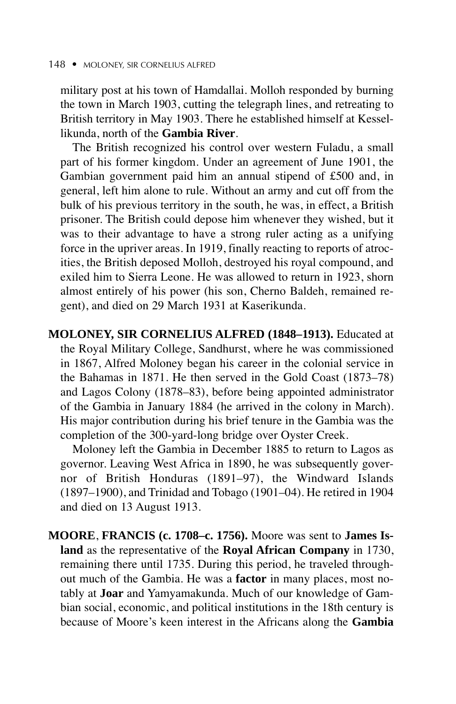military post at his town of Hamdallai. Molloh responded by burning the town in March 1903, cutting the telegraph lines, and retreating to British territory in May 1903. There he established himself at Kessellikunda, north of the **Gambia River**.

The British recognized his control over western Fuladu, a small part of his former kingdom. Under an agreement of June 1901, the Gambian government paid him an annual stipend of £500 and, in general, left him alone to rule. Without an army and cut off from the bulk of his previous territory in the south, he was, in effect, a British prisoner. The British could depose him whenever they wished, but it was to their advantage to have a strong ruler acting as a unifying force in the upriver areas. In 1919, finally reacting to reports of atrocities, the British deposed Molloh, destroyed his royal compound, and exiled him to Sierra Leone. He was allowed to return in 1923, shorn almost entirely of his power (his son, Cherno Baldeh, remained regent), and died on 29 March 1931 at Kaserikunda.

**MOLONEY, SIR CORNELIUS ALFRED (1848–1913).** Educated at the Royal Military College, Sandhurst, where he was commissioned in 1867, Alfred Moloney began his career in the colonial service in the Bahamas in 1871. He then served in the Gold Coast (1873–78) and Lagos Colony (1878–83), before being appointed administrator of the Gambia in January 1884 (he arrived in the colony in March). His major contribution during his brief tenure in the Gambia was the completion of the 300-yard-long bridge over Oyster Creek.

Moloney left the Gambia in December 1885 to return to Lagos as governor. Leaving West Africa in 1890, he was subsequently governor of British Honduras (1891–97), the Windward Islands (1897–1900), and Trinidad and Tobago (1901–04). He retired in 1904 and died on 13 August 1913.

**MOORE**, **FRANCIS (c. 1708–c. 1756).** Moore was sent to **James Island** as the representative of the **Royal African Company** in 1730, remaining there until 1735. During this period, he traveled throughout much of the Gambia. He was a **factor** in many places, most notably at **Joar** and Yamyamakunda. Much of our knowledge of Gambian social, economic, and political institutions in the 18th century is because of Moore's keen interest in the Africans along the **Gambia**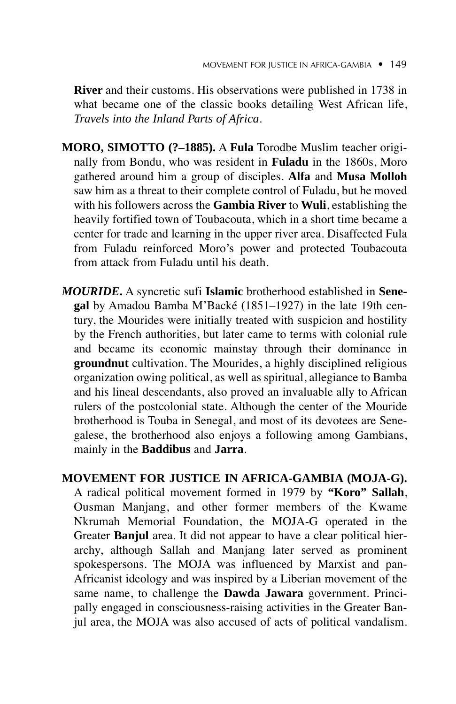**River** and their customs. His observations were published in 1738 in what became one of the classic books detailing West African life, *Travels into the Inland Parts of Africa*.

- **MORO, SIMOTTO (?–1885).** A **Fula** Torodbe Muslim teacher originally from Bondu, who was resident in **Fuladu** in the 1860s, Moro gathered around him a group of disciples. **Alfa** and **Musa Molloh** saw him as a threat to their complete control of Fuladu, but he moved with his followers across the **Gambia River** to **Wuli**, establishing the heavily fortified town of Toubacouta, which in a short time became a center for trade and learning in the upper river area. Disaffected Fula from Fuladu reinforced Moro's power and protected Toubacouta from attack from Fuladu until his death.
- *MOURIDE***.** A syncretic sufi **Islamic** brotherhood established in **Senegal** by Amadou Bamba M'Backé (1851–1927) in the late 19th century, the Mourides were initially treated with suspicion and hostility by the French authorities, but later came to terms with colonial rule and became its economic mainstay through their dominance in **groundnut** cultivation. The Mourides, a highly disciplined religious organization owing political, as well as spiritual, allegiance to Bamba and his lineal descendants, also proved an invaluable ally to African rulers of the postcolonial state. Although the center of the Mouride brotherhood is Touba in Senegal, and most of its devotees are Senegalese, the brotherhood also enjoys a following among Gambians, mainly in the **Baddibus** and **Jarra**.
- **MOVEMENT FOR JUSTICE IN AFRICA-GAMBIA (MOJA-G).** A radical political movement formed in 1979 by **"Koro" Sallah**, Ousman Manjang, and other former members of the Kwame Nkrumah Memorial Foundation, the MOJA-G operated in the Greater **Banjul** area. It did not appear to have a clear political hierarchy, although Sallah and Manjang later served as prominent spokespersons. The MOJA was influenced by Marxist and pan-Africanist ideology and was inspired by a Liberian movement of the same name, to challenge the **Dawda Jawara** government. Principally engaged in consciousness-raising activities in the Greater Banjul area, the MOJA was also accused of acts of political vandalism.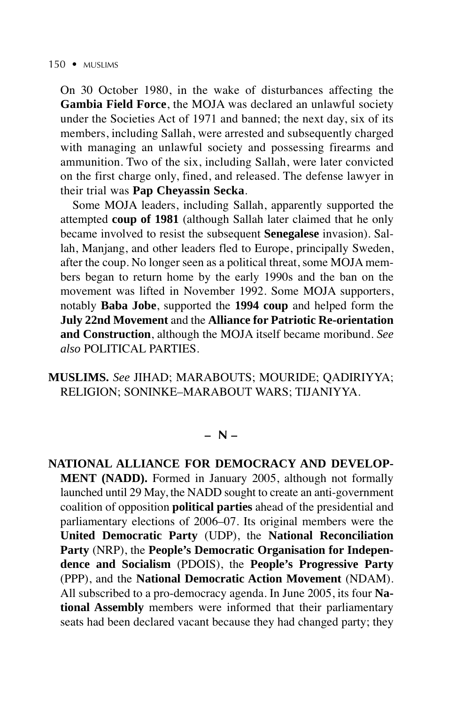On 30 October 1980, in the wake of disturbances affecting the **Gambia Field Force**, the MOJA was declared an unlawful society under the Societies Act of 1971 and banned; the next day, six of its members, including Sallah, were arrested and subsequently charged with managing an unlawful society and possessing firearms and ammunition. Two of the six, including Sallah, were later convicted on the first charge only, fined, and released. The defense lawyer in their trial was **Pap Cheyassin Secka**.

Some MOJA leaders, including Sallah, apparently supported the attempted **coup of 1981** (although Sallah later claimed that he only became involved to resist the subsequent **Senegalese** invasion). Sallah, Manjang, and other leaders fled to Europe, principally Sweden, after the coup. No longer seen as a political threat, some MOJA members began to return home by the early 1990s and the ban on the movement was lifted in November 1992. Some MOJA supporters, notably **Baba Jobe**, supported the **1994 coup** and helped form the **July 22nd Movement** and the **Alliance for Patriotic Re-orientation and Construction**, although the MOJA itself became moribund. *See also* POLITICAL PARTIES.

**MUSLIMS.** *See* JIHAD; MARABOUTS; MOURIDE; QADIRIYYA; RELIGION; SONINKE–MARABOUT WARS; TIJANIYYA.

# **– N –**

**NATIONAL ALLIANCE FOR DEMOCRACY AND DEVELOP-MENT (NADD).** Formed in January 2005, although not formally launched until 29 May, the NADD sought to create an anti-government coalition of opposition **political parties** ahead of the presidential and parliamentary elections of 2006–07. Its original members were the **United Democratic Party** (UDP), the **National Reconciliation Party** (NRP), the **People's Democratic Organisation for Independence and Socialism** (PDOIS), the **People's Progressive Party** (PPP), and the **National Democratic Action Movement** (NDAM). All subscribed to a pro-democracy agenda. In June 2005, its four **National Assembly** members were informed that their parliamentary seats had been declared vacant because they had changed party; they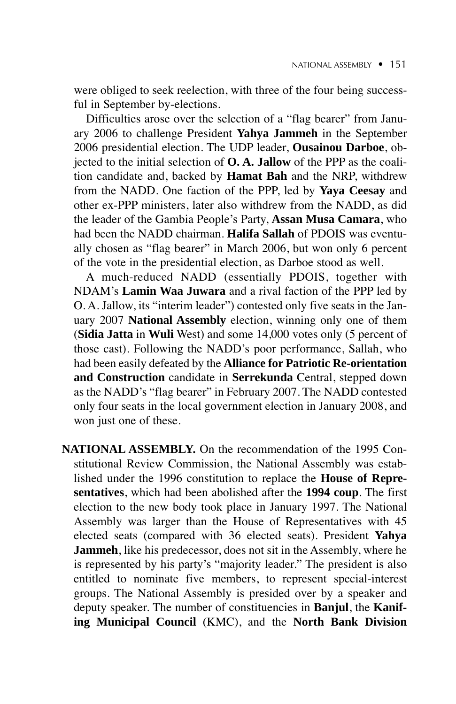were obliged to seek reelection, with three of the four being successful in September by-elections.

Difficulties arose over the selection of a "flag bearer" from January 2006 to challenge President **Yahya Jammeh** in the September 2006 presidential election. The UDP leader, **Ousainou Darboe**, objected to the initial selection of **O. A. Jallow** of the PPP as the coalition candidate and, backed by **Hamat Bah** and the NRP, withdrew from the NADD. One faction of the PPP, led by **Yaya Ceesay** and other ex-PPP ministers, later also withdrew from the NADD, as did the leader of the Gambia People's Party, **Assan Musa Camara**, who had been the NADD chairman. **Halifa Sallah** of PDOIS was eventually chosen as "flag bearer" in March 2006, but won only 6 percent of the vote in the presidential election, as Darboe stood as well.

A much-reduced NADD (essentially PDOIS, together with NDAM's **Lamin Waa Juwara** and a rival faction of the PPP led by O. A. Jallow, its "interim leader") contested only five seats in the January 2007 **National Assembly** election, winning only one of them (**Sidia Jatta** in **Wuli** West) and some 14,000 votes only (5 percent of those cast). Following the NADD's poor performance, Sallah, who had been easily defeated by the **Alliance for Patriotic Re-orientation and Construction** candidate in **Serrekunda** Central, stepped down as the NADD's "flag bearer" in February 2007. The NADD contested only four seats in the local government election in January 2008, and won just one of these.

**NATIONAL ASSEMBLY.** On the recommendation of the 1995 Constitutional Review Commission, the National Assembly was established under the 1996 constitution to replace the **House of Representatives**, which had been abolished after the **1994 coup**. The first election to the new body took place in January 1997. The National Assembly was larger than the House of Representatives with 45 elected seats (compared with 36 elected seats). President **Yahya Jammeh**, like his predecessor, does not sit in the Assembly, where he is represented by his party's "majority leader." The president is also entitled to nominate five members, to represent special-interest groups. The National Assembly is presided over by a speaker and deputy speaker. The number of constituencies in **Banjul**, the **Kanifing Municipal Council** (KMC), and the **North Bank Division**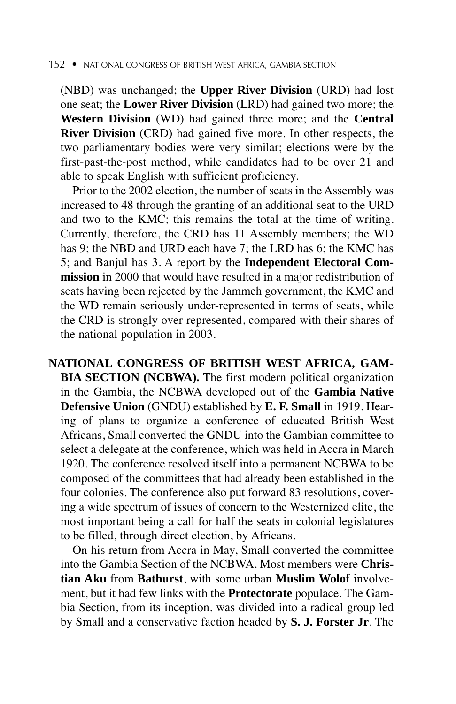#### 152 • NATIONAL CONGRESS OF BRITISH WEST AFRICA, GAMBIA SECTION

(NBD) was unchanged; the **Upper River Division** (URD) had lost one seat; the **Lower River Division** (LRD) had gained two more; the **Western Division** (WD) had gained three more; and the **Central River Division** (CRD) had gained five more. In other respects, the two parliamentary bodies were very similar; elections were by the first-past-the-post method, while candidates had to be over 21 and able to speak English with sufficient proficiency.

Prior to the 2002 election, the number of seats in the Assembly was increased to 48 through the granting of an additional seat to the URD and two to the KMC; this remains the total at the time of writing. Currently, therefore, the CRD has 11 Assembly members; the WD has 9; the NBD and URD each have 7; the LRD has 6; the KMC has 5; and Banjul has 3. A report by the **Independent Electoral Commission** in 2000 that would have resulted in a major redistribution of seats having been rejected by the Jammeh government, the KMC and the WD remain seriously under-represented in terms of seats, while the CRD is strongly over-represented, compared with their shares of the national population in 2003.

**NATIONAL CONGRESS OF BRITISH WEST AFRICA, GAM-BIA SECTION (NCBWA).** The first modern political organization in the Gambia, the NCBWA developed out of the **Gambia Native Defensive Union** (GNDU) established by **E. F. Small** in 1919. Hearing of plans to organize a conference of educated British West Africans, Small converted the GNDU into the Gambian committee to select a delegate at the conference, which was held in Accra in March 1920. The conference resolved itself into a permanent NCBWA to be composed of the committees that had already been established in the four colonies. The conference also put forward 83 resolutions, covering a wide spectrum of issues of concern to the Westernized elite, the most important being a call for half the seats in colonial legislatures to be filled, through direct election, by Africans.

On his return from Accra in May, Small converted the committee into the Gambia Section of the NCBWA. Most members were **Christian Aku** from **Bathurst**, with some urban **Muslim Wolof** involvement, but it had few links with the **Protectorate** populace. The Gambia Section, from its inception, was divided into a radical group led by Small and a conservative faction headed by **S. J. Forster Jr**. The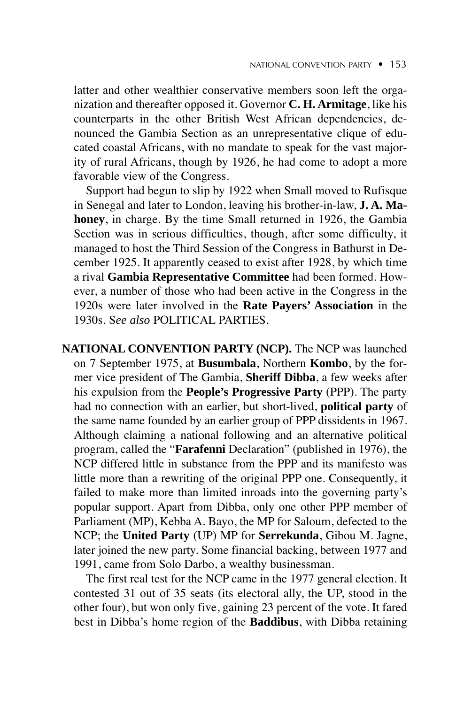latter and other wealthier conservative members soon left the organization and thereafter opposed it. Governor **C. H. Armitage**, like his counterparts in the other British West African dependencies, denounced the Gambia Section as an unrepresentative clique of educated coastal Africans, with no mandate to speak for the vast majority of rural Africans, though by 1926, he had come to adopt a more favorable view of the Congress.

Support had begun to slip by 1922 when Small moved to Rufisque in Senegal and later to London, leaving his brother-in-law, **J. A. Mahoney**, in charge. By the time Small returned in 1926, the Gambia Section was in serious difficulties, though, after some difficulty, it managed to host the Third Session of the Congress in Bathurst in December 1925. It apparently ceased to exist after 1928, by which time a rival **Gambia Representative Committee** had been formed. However, a number of those who had been active in the Congress in the 1920s were later involved in the **Rate Payers' Association** in the 1930s. S*ee also* POLITICAL PARTIES.

**NATIONAL CONVENTION PARTY (NCP).** The NCP was launched on 7 September 1975, at **Busumbala**, Northern **Kombo**, by the former vice president of The Gambia, **Sheriff Dibba**, a few weeks after his expulsion from the **People's Progressive Party** (PPP). The party had no connection with an earlier, but short-lived, **political party** of the same name founded by an earlier group of PPP dissidents in 1967. Although claiming a national following and an alternative political program, called the "**Farafenni** Declaration" (published in 1976), the NCP differed little in substance from the PPP and its manifesto was little more than a rewriting of the original PPP one. Consequently, it failed to make more than limited inroads into the governing party's popular support. Apart from Dibba, only one other PPP member of Parliament (MP), Kebba A. Bayo, the MP for Saloum, defected to the NCP; the **United Party** (UP) MP for **Serrekunda**, Gibou M. Jagne, later joined the new party. Some financial backing, between 1977 and 1991, came from Solo Darbo, a wealthy businessman.

The first real test for the NCP came in the 1977 general election. It contested 31 out of 35 seats (its electoral ally, the UP, stood in the other four), but won only five, gaining 23 percent of the vote. It fared best in Dibba's home region of the **Baddibus**, with Dibba retaining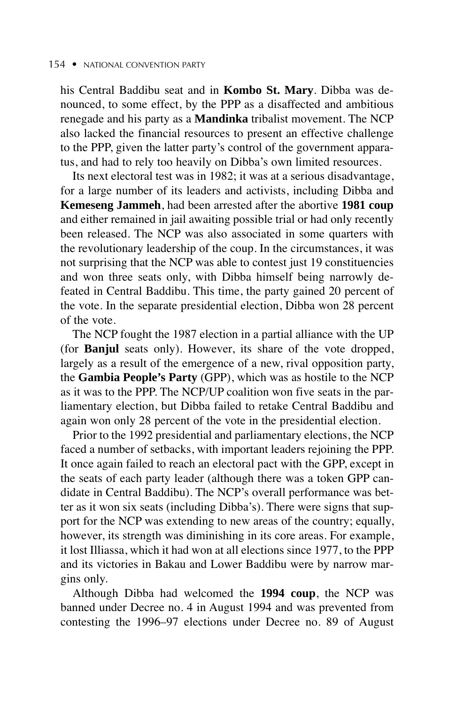#### 154 • NATIONAL CONVENTION PARTY

his Central Baddibu seat and in **Kombo St. Mary**. Dibba was denounced, to some effect, by the PPP as a disaffected and ambitious renegade and his party as a **Mandinka** tribalist movement. The NCP also lacked the financial resources to present an effective challenge to the PPP, given the latter party's control of the government apparatus, and had to rely too heavily on Dibba's own limited resources.

Its next electoral test was in 1982; it was at a serious disadvantage, for a large number of its leaders and activists, including Dibba and **Kemeseng Jammeh**, had been arrested after the abortive **1981 coup** and either remained in jail awaiting possible trial or had only recently been released. The NCP was also associated in some quarters with the revolutionary leadership of the coup. In the circumstances, it was not surprising that the NCP was able to contest just 19 constituencies and won three seats only, with Dibba himself being narrowly defeated in Central Baddibu. This time, the party gained 20 percent of the vote. In the separate presidential election, Dibba won 28 percent of the vote.

The NCP fought the 1987 election in a partial alliance with the UP (for **Banjul** seats only). However, its share of the vote dropped, largely as a result of the emergence of a new, rival opposition party, the **Gambia People's Party** (GPP), which was as hostile to the NCP as it was to the PPP. The NCP/UP coalition won five seats in the parliamentary election, but Dibba failed to retake Central Baddibu and again won only 28 percent of the vote in the presidential election.

Prior to the 1992 presidential and parliamentary elections, the NCP faced a number of setbacks, with important leaders rejoining the PPP. It once again failed to reach an electoral pact with the GPP, except in the seats of each party leader (although there was a token GPP candidate in Central Baddibu). The NCP's overall performance was better as it won six seats (including Dibba's). There were signs that support for the NCP was extending to new areas of the country; equally, however, its strength was diminishing in its core areas. For example, it lost Illiassa, which it had won at all elections since 1977, to the PPP and its victories in Bakau and Lower Baddibu were by narrow margins only.

Although Dibba had welcomed the **1994 coup**, the NCP was banned under Decree no. 4 in August 1994 and was prevented from contesting the 1996–97 elections under Decree no. 89 of August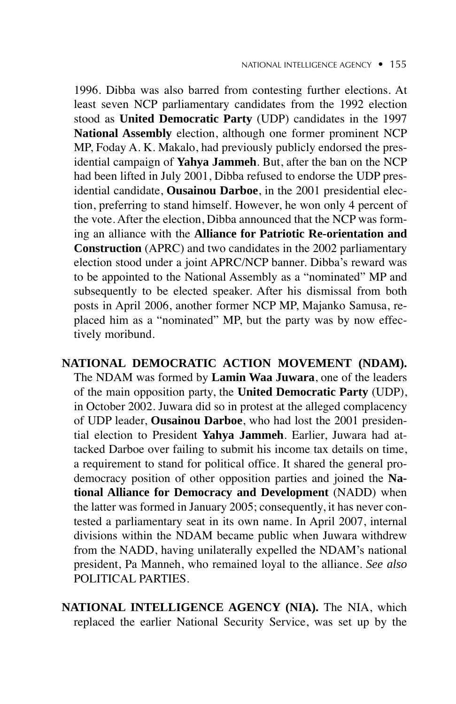1996. Dibba was also barred from contesting further elections. At least seven NCP parliamentary candidates from the 1992 election stood as **United Democratic Party** (UDP) candidates in the 1997 **National Assembly** election, although one former prominent NCP MP, Foday A. K. Makalo, had previously publicly endorsed the presidential campaign of **Yahya Jammeh**. But, after the ban on the NCP had been lifted in July 2001, Dibba refused to endorse the UDP presidential candidate, **Ousainou Darboe**, in the 2001 presidential election, preferring to stand himself. However, he won only 4 percent of the vote. After the election, Dibba announced that the NCP was forming an alliance with the **Alliance for Patriotic Re-orientation and Construction** (APRC) and two candidates in the 2002 parliamentary election stood under a joint APRC/NCP banner. Dibba's reward was to be appointed to the National Assembly as a "nominated" MP and subsequently to be elected speaker. After his dismissal from both posts in April 2006, another former NCP MP, Majanko Samusa, replaced him as a "nominated" MP, but the party was by now effectively moribund.

- **NATIONAL DEMOCRATIC ACTION MOVEMENT (NDAM).** The NDAM was formed by **Lamin Waa Juwara**, one of the leaders of the main opposition party, the **United Democratic Party** (UDP), in October 2002. Juwara did so in protest at the alleged complacency of UDP leader, **Ousainou Darboe**, who had lost the 2001 presidential election to President **Yahya Jammeh**. Earlier, Juwara had attacked Darboe over failing to submit his income tax details on time, a requirement to stand for political office. It shared the general prodemocracy position of other opposition parties and joined the **National Alliance for Democracy and Development** (NADD) when the latter was formed in January 2005; consequently, it has never contested a parliamentary seat in its own name. In April 2007, internal divisions within the NDAM became public when Juwara withdrew from the NADD, having unilaterally expelled the NDAM's national president, Pa Manneh, who remained loyal to the alliance. *See also* POLITICAL PARTIES.
- **NATIONAL INTELLIGENCE AGENCY (NIA).** The NIA, which replaced the earlier National Security Service, was set up by the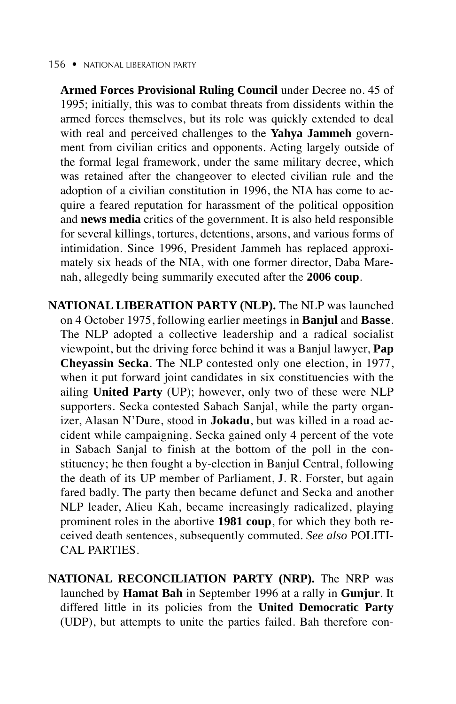### 156 • NATIONAL LIBERATION PARTY

**Armed Forces Provisional Ruling Council** under Decree no. 45 of 1995; initially, this was to combat threats from dissidents within the armed forces themselves, but its role was quickly extended to deal with real and perceived challenges to the **Yahya Jammeh** government from civilian critics and opponents. Acting largely outside of the formal legal framework, under the same military decree, which was retained after the changeover to elected civilian rule and the adoption of a civilian constitution in 1996, the NIA has come to acquire a feared reputation for harassment of the political opposition and **news media** critics of the government. It is also held responsible for several killings, tortures, detentions, arsons, and various forms of intimidation. Since 1996, President Jammeh has replaced approximately six heads of the NIA, with one former director, Daba Marenah, allegedly being summarily executed after the **2006 coup**.

**NATIONAL LIBERATION PARTY (NLP).** The NLP was launched on 4 October 1975, following earlier meetings in **Banjul** and **Basse**. The NLP adopted a collective leadership and a radical socialist viewpoint, but the driving force behind it was a Banjul lawyer, **Pap Cheyassin Secka**. The NLP contested only one election, in 1977, when it put forward joint candidates in six constituencies with the ailing **United Party** (UP); however, only two of these were NLP supporters. Secka contested Sabach Sanjal, while the party organizer, Alasan N'Dure, stood in **Jokadu**, but was killed in a road accident while campaigning. Secka gained only 4 percent of the vote in Sabach Sanjal to finish at the bottom of the poll in the constituency; he then fought a by-election in Banjul Central, following the death of its UP member of Parliament, J. R. Forster, but again fared badly. The party then became defunct and Secka and another NLP leader, Alieu Kah, became increasingly radicalized, playing prominent roles in the abortive **1981 coup**, for which they both received death sentences, subsequently commuted. *See also* POLITI-CAL PARTIES.

**NATIONAL RECONCILIATION PARTY (NRP).** The NRP was launched by **Hamat Bah** in September 1996 at a rally in **Gunjur**. It differed little in its policies from the **United Democratic Party** (UDP), but attempts to unite the parties failed. Bah therefore con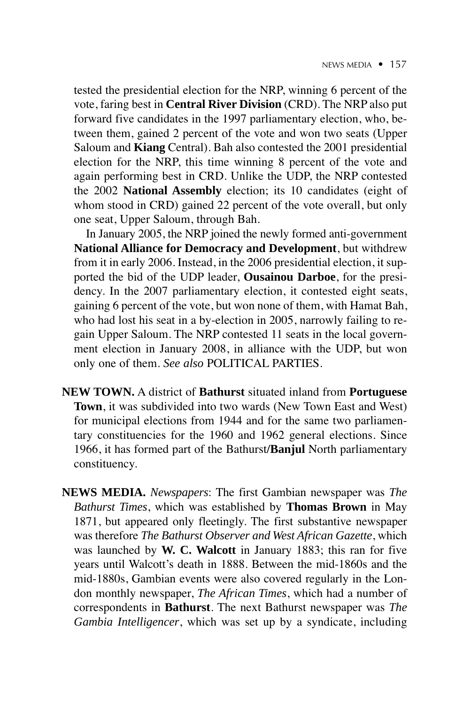tested the presidential election for the NRP, winning 6 percent of the vote, faring best in **Central River Division** (CRD). The NRP also put forward five candidates in the 1997 parliamentary election, who, between them, gained 2 percent of the vote and won two seats (Upper Saloum and **Kiang** Central). Bah also contested the 2001 presidential election for the NRP, this time winning 8 percent of the vote and again performing best in CRD. Unlike the UDP, the NRP contested the 2002 **National Assembly** election; its 10 candidates (eight of whom stood in CRD) gained 22 percent of the vote overall, but only one seat, Upper Saloum, through Bah.

In January 2005, the NRP joined the newly formed anti-government **National Alliance for Democracy and Development**, but withdrew from it in early 2006. Instead, in the 2006 presidential election, it supported the bid of the UDP leader, **Ousainou Darboe**, for the presidency. In the 2007 parliamentary election, it contested eight seats, gaining 6 percent of the vote, but won none of them, with Hamat Bah, who had lost his seat in a by-election in 2005, narrowly failing to regain Upper Saloum. The NRP contested 11 seats in the local government election in January 2008, in alliance with the UDP, but won only one of them. *See also* POLITICAL PARTIES.

- **NEW TOWN.** A district of **Bathurst** situated inland from **Portuguese Town**, it was subdivided into two wards (New Town East and West) for municipal elections from 1944 and for the same two parliamentary constituencies for the 1960 and 1962 general elections. Since 1966, it has formed part of the Bathurst**/Banjul** North parliamentary constituency.
- **NEWS MEDIA.** *Newspapers*: The first Gambian newspaper was *The Bathurst Times*, which was established by **Thomas Brown** in May 1871, but appeared only fleetingly. The first substantive newspaper was therefore *The Bathurst Observer and West African Gazette*, which was launched by **W. C. Walcott** in January 1883; this ran for five years until Walcott's death in 1888. Between the mid-1860s and the mid-1880s, Gambian events were also covered regularly in the London monthly newspaper, *The African Times*, which had a number of correspondents in **Bathurst**. The next Bathurst newspaper was *The Gambia Intelligencer*, which was set up by a syndicate, including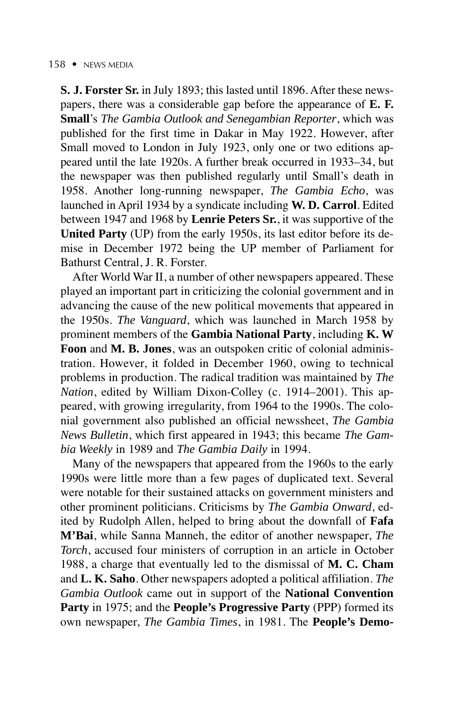**S. J. Forster Sr.** in July 1893; this lasted until 1896. After these newspapers, there was a considerable gap before the appearance of **E. F. Small**'s *The Gambia Outlook and Senegambian Reporter*, which was published for the first time in Dakar in May 1922. However, after Small moved to London in July 1923, only one or two editions appeared until the late 1920s. A further break occurred in 1933–34, but the newspaper was then published regularly until Small's death in 1958. Another long-running newspaper, *The Gambia Echo*, was launched in April 1934 by a syndicate including **W. D. Carrol**. Edited between 1947 and 1968 by **Lenrie Peters Sr.**, it was supportive of the **United Party** (UP) from the early 1950s, its last editor before its demise in December 1972 being the UP member of Parliament for Bathurst Central, J. R. Forster.

After World War II, a number of other newspapers appeared. These played an important part in criticizing the colonial government and in advancing the cause of the new political movements that appeared in the 1950s. *The Vanguard*, which was launched in March 1958 by prominent members of the **Gambia National Party**, including **K. W Foon** and **M. B. Jones**, was an outspoken critic of colonial administration. However, it folded in December 1960, owing to technical problems in production. The radical tradition was maintained by *The Nation*, edited by William Dixon-Colley (c. 1914–2001). This appeared, with growing irregularity, from 1964 to the 1990s. The colonial government also published an official newssheet, *The Gambia News Bulletin*, which first appeared in 1943; this became *The Gambia Weekly* in 1989 and *The Gambia Daily* in 1994.

Many of the newspapers that appeared from the 1960s to the early 1990s were little more than a few pages of duplicated text. Several were notable for their sustained attacks on government ministers and other prominent politicians. Criticisms by *The Gambia Onward*, edited by Rudolph Allen, helped to bring about the downfall of **Fafa M'Bai**, while Sanna Manneh, the editor of another newspaper, *The Torch*, accused four ministers of corruption in an article in October 1988, a charge that eventually led to the dismissal of **M. C. Cham** and **L. K. Saho**. Other newspapers adopted a political affiliation. *The Gambia Outlook* came out in support of the **National Convention Party** in 1975; and the **People's Progressive Party** (PPP) formed its own newspaper, *The Gambia Times*, in 1981. The **People's Demo-**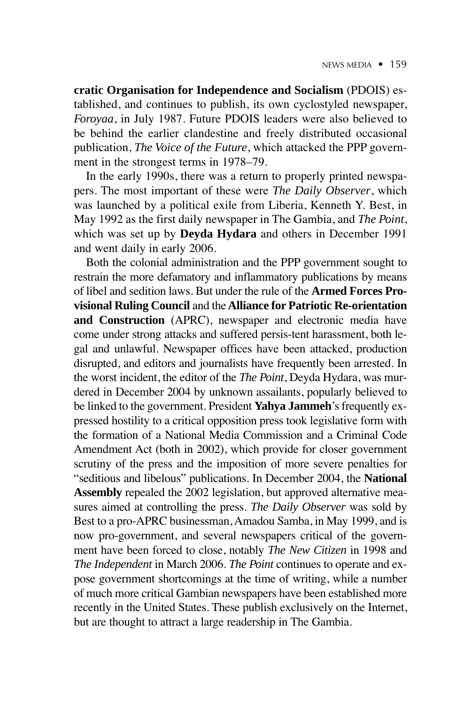**cratic Organisation for Independence and Socialism** (PDOIS) established, and continues to publish, its own cyclostyled newspaper, *Foroyaa*, in July 1987. Future PDOIS leaders were also believed to be behind the earlier clandestine and freely distributed occasional publication, *The Voice of the Future*, which attacked the PPP government in the strongest terms in 1978–79.

In the early 1990s, there was a return to properly printed newspapers. The most important of these were *The Daily Observer*, which was launched by a political exile from Liberia, Kenneth Y. Best, in May 1992 as the first daily newspaper in The Gambia, and *The Point*, which was set up by **Deyda Hydara** and others in December 1991 and went daily in early 2006.

Both the colonial administration and the PPP government sought to restrain the more defamatory and inflammatory publications by means of libel and sedition laws. But under the rule of the **Armed Forces Provisional Ruling Council** and the**Alliance for Patriotic Re-orientation and Construction** (APRC), newspaper and electronic media have come under strong attacks and suffered persis-tent harassment, both legal and unlawful. Newspaper offices have been attacked, production disrupted, and editors and journalists have frequently been arrested. In the worst incident, the editor of the *The Point*, Deyda Hydara, was murdered in December 2004 by unknown assailants, popularly believed to be linked to the government. President **Yahya Jammeh**'s frequently expressed hostility to a critical opposition press took legislative form with the formation of a National Media Commission and a Criminal Code Amendment Act (both in 2002), which provide for closer government scrutiny of the press and the imposition of more severe penalties for "seditious and libelous" publications. In December 2004, the **National Assembly** repealed the 2002 legislation, but approved alternative measures aimed at controlling the press. *The Daily Observer* was sold by Best to a pro-APRC businessman, Amadou Samba, in May 1999, and is now pro-government, and several newspapers critical of the government have been forced to close, notably *The New Citizen* in 1998 and *The Independent* in March 2006. *The Point* continues to operate and expose government shortcomings at the time of writing, while a number of much more critical Gambian newspapers have been established more recently in the United States. These publish exclusively on the Internet, but are thought to attract a large readership in The Gambia.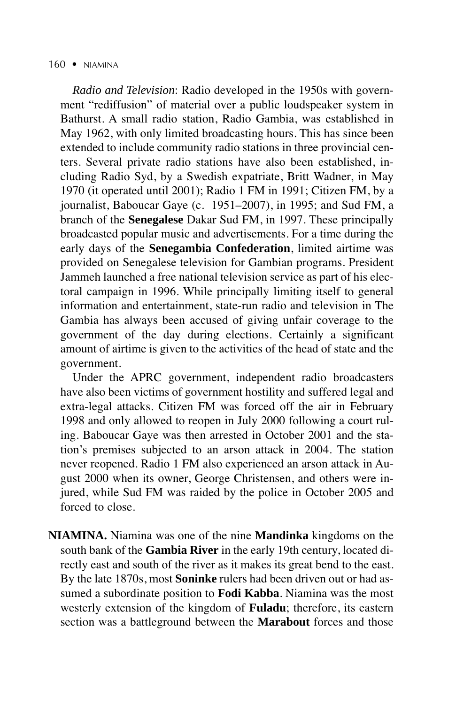### 160 • NIAMINA

*Radio and Television*: Radio developed in the 1950s with government "rediffusion" of material over a public loudspeaker system in Bathurst. A small radio station, Radio Gambia, was established in May 1962, with only limited broadcasting hours. This has since been extended to include community radio stations in three provincial centers. Several private radio stations have also been established, including Radio Syd, by a Swedish expatriate, Britt Wadner, in May 1970 (it operated until 2001); Radio 1 FM in 1991; Citizen FM, by a journalist, Baboucar Gaye (c. 1951–2007), in 1995; and Sud FM, a branch of the **Senegalese** Dakar Sud FM, in 1997. These principally broadcasted popular music and advertisements. For a time during the early days of the **Senegambia Confederation**, limited airtime was provided on Senegalese television for Gambian programs. President Jammeh launched a free national television service as part of his electoral campaign in 1996. While principally limiting itself to general information and entertainment, state-run radio and television in The Gambia has always been accused of giving unfair coverage to the government of the day during elections. Certainly a significant amount of airtime is given to the activities of the head of state and the government.

Under the APRC government, independent radio broadcasters have also been victims of government hostility and suffered legal and extra-legal attacks. Citizen FM was forced off the air in February 1998 and only allowed to reopen in July 2000 following a court ruling. Baboucar Gaye was then arrested in October 2001 and the station's premises subjected to an arson attack in 2004. The station never reopened. Radio 1 FM also experienced an arson attack in August 2000 when its owner, George Christensen, and others were injured, while Sud FM was raided by the police in October 2005 and forced to close.

**NIAMINA.** Niamina was one of the nine **Mandinka** kingdoms on the south bank of the **Gambia River** in the early 19th century, located directly east and south of the river as it makes its great bend to the east. By the late 1870s, most **Soninke** rulers had been driven out or had assumed a subordinate position to **Fodi Kabba**. Niamina was the most westerly extension of the kingdom of **Fuladu**; therefore, its eastern section was a battleground between the **Marabout** forces and those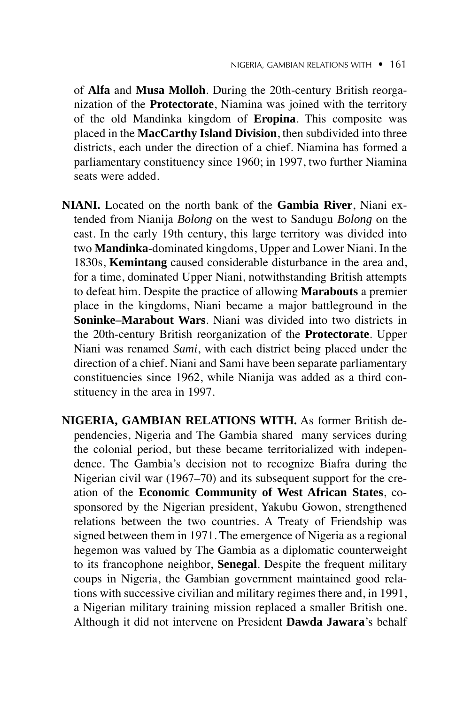of **Alfa** and **Musa Molloh**. During the 20th-century British reorganization of the **Protectorate**, Niamina was joined with the territory of the old Mandinka kingdom of **Eropina**. This composite was placed in the **MacCarthy Island Division**, then subdivided into three districts, each under the direction of a chief. Niamina has formed a parliamentary constituency since 1960; in 1997, two further Niamina seats were added.

- **NIANI.** Located on the north bank of the **Gambia River**, Niani extended from Nianija *Bolong* on the west to Sandugu *Bolong* on the east. In the early 19th century, this large territory was divided into two **Mandinka**-dominated kingdoms, Upper and Lower Niani. In the 1830s, **Kemintang** caused considerable disturbance in the area and, for a time, dominated Upper Niani, notwithstanding British attempts to defeat him. Despite the practice of allowing **Marabouts** a premier place in the kingdoms, Niani became a major battleground in the **Soninke–Marabout Wars**. Niani was divided into two districts in the 20th-century British reorganization of the **Protectorate**. Upper Niani was renamed *Sami*, with each district being placed under the direction of a chief. Niani and Sami have been separate parliamentary constituencies since 1962, while Nianija was added as a third constituency in the area in 1997.
- **NIGERIA, GAMBIAN RELATIONS WITH.** As former British dependencies, Nigeria and The Gambia shared many services during the colonial period, but these became territorialized with independence. The Gambia's decision not to recognize Biafra during the Nigerian civil war (1967–70) and its subsequent support for the creation of the **Economic Community of West African States**, cosponsored by the Nigerian president, Yakubu Gowon, strengthened relations between the two countries. A Treaty of Friendship was signed between them in 1971. The emergence of Nigeria as a regional hegemon was valued by The Gambia as a diplomatic counterweight to its francophone neighbor, **Senegal**. Despite the frequent military coups in Nigeria, the Gambian government maintained good relations with successive civilian and military regimes there and, in 1991, a Nigerian military training mission replaced a smaller British one. Although it did not intervene on President **Dawda Jawara**'s behalf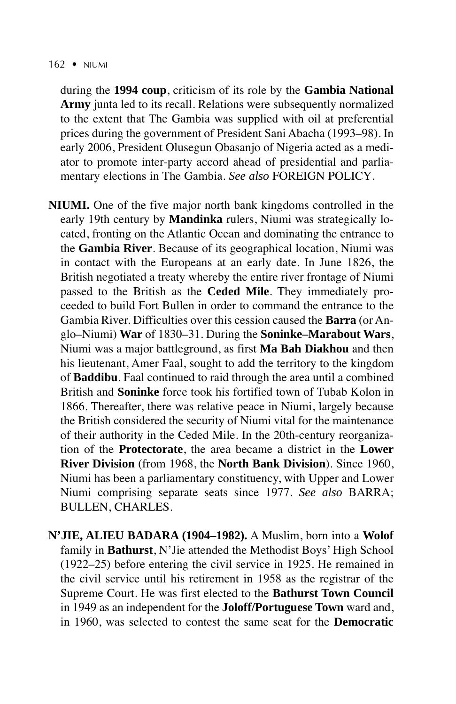### 162 • NIUMI

during the **1994 coup**, criticism of its role by the **Gambia National Army** junta led to its recall. Relations were subsequently normalized to the extent that The Gambia was supplied with oil at preferential prices during the government of President Sani Abacha (1993–98). In early 2006, President Olusegun Obasanjo of Nigeria acted as a mediator to promote inter-party accord ahead of presidential and parliamentary elections in The Gambia. *See also* FOREIGN POLICY.

**NIUMI.** One of the five major north bank kingdoms controlled in the early 19th century by **Mandinka** rulers, Niumi was strategically located, fronting on the Atlantic Ocean and dominating the entrance to the **Gambia River**. Because of its geographical location, Niumi was in contact with the Europeans at an early date. In June 1826, the British negotiated a treaty whereby the entire river frontage of Niumi passed to the British as the **Ceded Mile**. They immediately proceeded to build Fort Bullen in order to command the entrance to the Gambia River. Difficulties over this cession caused the **Barra** (or Anglo–Niumi) **War** of 1830–31. During the **Soninke–Marabout Wars**, Niumi was a major battleground, as first **Ma Bah Diakhou** and then his lieutenant, Amer Faal, sought to add the territory to the kingdom of **Baddibu**. Faal continued to raid through the area until a combined British and **Soninke** force took his fortified town of Tubab Kolon in 1866. Thereafter, there was relative peace in Niumi, largely because the British considered the security of Niumi vital for the maintenance of their authority in the Ceded Mile. In the 20th-century reorganization of the **Protectorate**, the area became a district in the **Lower River Division** (from 1968, the **North Bank Division**). Since 1960, Niumi has been a parliamentary constituency, with Upper and Lower Niumi comprising separate seats since 1977. *See also* BARRA; BULLEN, CHARLES.

**N'JIE, ALIEU BADARA (1904–1982).** A Muslim, born into a **Wolof** family in **Bathurst**, N'Jie attended the Methodist Boys' High School (1922–25) before entering the civil service in 1925. He remained in the civil service until his retirement in 1958 as the registrar of the Supreme Court. He was first elected to the **Bathurst Town Council** in 1949 as an independent for the **Joloff/Portuguese Town** ward and, in 1960, was selected to contest the same seat for the **Democratic**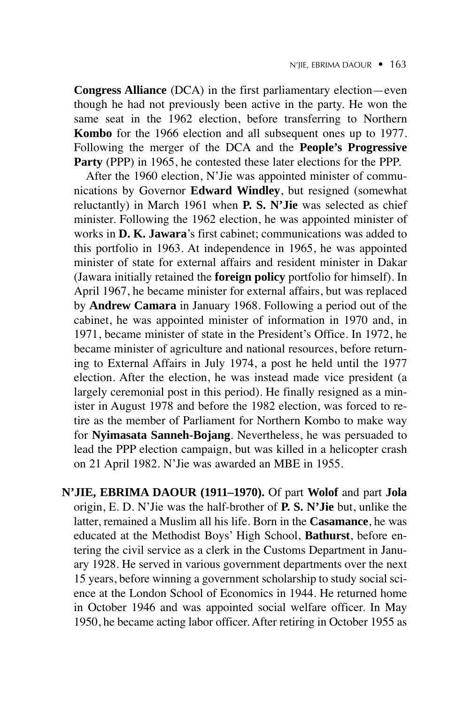**Congress Alliance** (DCA) in the first parliamentary election—even though he had not previously been active in the party. He won the same seat in the 1962 election, before transferring to Northern **Kombo** for the 1966 election and all subsequent ones up to 1977. Following the merger of the DCA and the **People's Progressive Party** (PPP) in 1965, he contested these later elections for the PPP.

After the 1960 election, N'Jie was appointed minister of communications by Governor **Edward Windley**, but resigned (somewhat reluctantly) in March 1961 when **P. S. N'Jie** was selected as chief minister. Following the 1962 election, he was appointed minister of works in **D. K. Jawara**'s first cabinet; communications was added to this portfolio in 1963. At independence in 1965, he was appointed minister of state for external affairs and resident minister in Dakar (Jawara initially retained the **foreign policy** portfolio for himself). In April 1967, he became minister for external affairs, but was replaced by **Andrew Camara** in January 1968. Following a period out of the cabinet, he was appointed minister of information in 1970 and, in 1971, became minister of state in the President's Office. In 1972, he became minister of agriculture and national resources, before returning to External Affairs in July 1974, a post he held until the 1977 election. After the election, he was instead made vice president (a largely ceremonial post in this period). He finally resigned as a minister in August 1978 and before the 1982 election, was forced to retire as the member of Parliament for Northern Kombo to make way for **Nyimasata Sanneh-Bojang**. Nevertheless, he was persuaded to lead the PPP election campaign, but was killed in a helicopter crash on 21 April 1982. N'Jie was awarded an MBE in 1955.

**N'JIE, EBRIMA DAOUR (1911–1970).** Of part **Wolof** and part **Jola** origin, E. D. N'Jie was the half-brother of **P. S. N'Jie** but, unlike the latter, remained a Muslim all his life. Born in the **Casamance**, he was educated at the Methodist Boys' High School, **Bathurst**, before entering the civil service as a clerk in the Customs Department in January 1928. He served in various government departments over the next 15 years, before winning a government scholarship to study social science at the London School of Economics in 1944. He returned home in October 1946 and was appointed social welfare officer. In May 1950, he became acting labor officer. After retiring in October 1955 as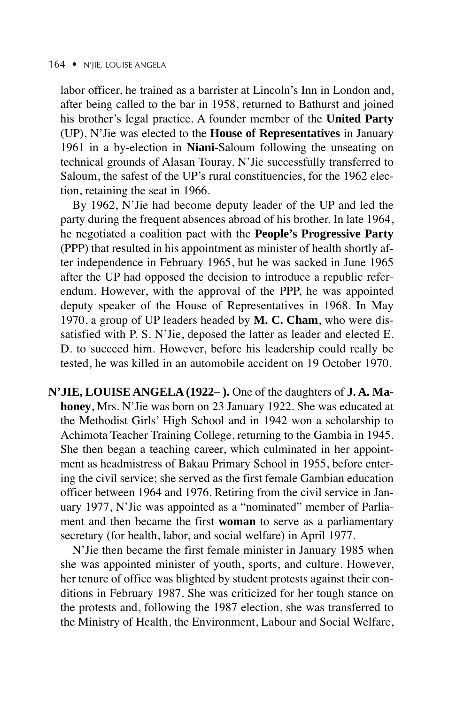labor officer, he trained as a barrister at Lincoln's Inn in London and, after being called to the bar in 1958, returned to Bathurst and joined his brother's legal practice. A founder member of the **United Party** (UP), N'Jie was elected to the **House of Representatives** in January 1961 in a by-election in **Niani**-Saloum following the unseating on technical grounds of Alasan Touray. N'Jie successfully transferred to Saloum, the safest of the UP's rural constituencies, for the 1962 election, retaining the seat in 1966.

By 1962, N'Jie had become deputy leader of the UP and led the party during the frequent absences abroad of his brother. In late 1964, he negotiated a coalition pact with the **People's Progressive Party** (PPP) that resulted in his appointment as minister of health shortly after independence in February 1965, but he was sacked in June 1965 after the UP had opposed the decision to introduce a republic referendum. However, with the approval of the PPP, he was appointed deputy speaker of the House of Representatives in 1968. In May 1970, a group of UP leaders headed by **M. C. Cham**, who were dissatisfied with P. S. N'Jie, deposed the latter as leader and elected E. D. to succeed him. However, before his leadership could really be tested, he was killed in an automobile accident on 19 October 1970.

**N'JIE, LOUISE ANGELA (1922– ).** One of the daughters of **J. A. Mahoney**, Mrs. N'Jie was born on 23 January 1922. She was educated at the Methodist Girls' High School and in 1942 won a scholarship to Achimota Teacher Training College, returning to the Gambia in 1945. She then began a teaching career, which culminated in her appointment as headmistress of Bakau Primary School in 1955, before entering the civil service; she served as the first female Gambian education officer between 1964 and 1976. Retiring from the civil service in January 1977, N'Jie was appointed as a "nominated" member of Parliament and then became the first **woman** to serve as a parliamentary secretary (for health, labor, and social welfare) in April 1977.

N'Jie then became the first female minister in January 1985 when she was appointed minister of youth, sports, and culture. However, her tenure of office was blighted by student protests against their conditions in February 1987. She was criticized for her tough stance on the protests and, following the 1987 election, she was transferred to the Ministry of Health, the Environment, Labour and Social Welfare,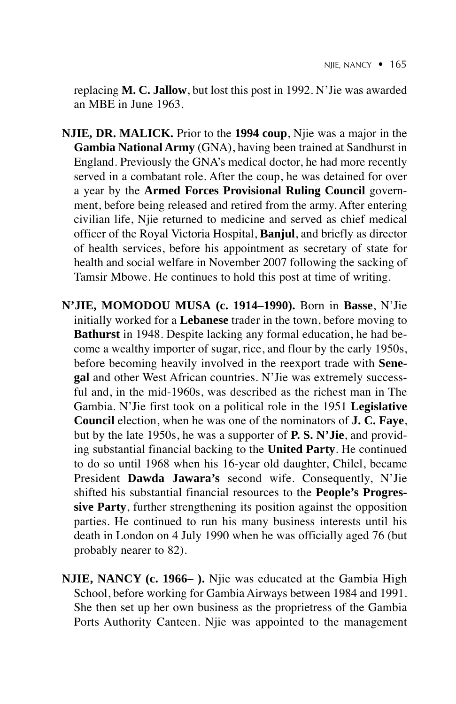replacing **M. C. Jallow**, but lost this post in 1992. N'Jie was awarded an MBE in June 1963.

- **NJIE, DR. MALICK.** Prior to the **1994 coup**, Njie was a major in the **Gambia National Army** (GNA), having been trained at Sandhurst in England. Previously the GNA's medical doctor, he had more recently served in a combatant role. After the coup, he was detained for over a year by the **Armed Forces Provisional Ruling Council** government, before being released and retired from the army. After entering civilian life, Njie returned to medicine and served as chief medical officer of the Royal Victoria Hospital, **Banjul**, and briefly as director of health services, before his appointment as secretary of state for health and social welfare in November 2007 following the sacking of Tamsir Mbowe. He continues to hold this post at time of writing.
- **N'JIE, MOMODOU MUSA (c. 1914–1990).** Born in **Basse**, N'Jie initially worked for a **Lebanese** trader in the town, before moving to **Bathurst** in 1948. Despite lacking any formal education, he had become a wealthy importer of sugar, rice, and flour by the early 1950s, before becoming heavily involved in the reexport trade with **Senegal** and other West African countries. N'Jie was extremely successful and, in the mid-1960s, was described as the richest man in The Gambia. N'Jie first took on a political role in the 1951 **Legislative Council** election, when he was one of the nominators of **J. C. Faye**, but by the late 1950s, he was a supporter of **P. S. N'Jie**, and providing substantial financial backing to the **United Party**. He continued to do so until 1968 when his 16-year old daughter, Chilel, became President **Dawda Jawara's** second wife. Consequently, N'Jie shifted his substantial financial resources to the **People's Progressive Party**, further strengthening its position against the opposition parties. He continued to run his many business interests until his death in London on 4 July 1990 when he was officially aged 76 (but probably nearer to 82).
- **NJIE, NANCY (c. 1966– ).** Njie was educated at the Gambia High School, before working for Gambia Airways between 1984 and 1991. She then set up her own business as the proprietress of the Gambia Ports Authority Canteen. Njie was appointed to the management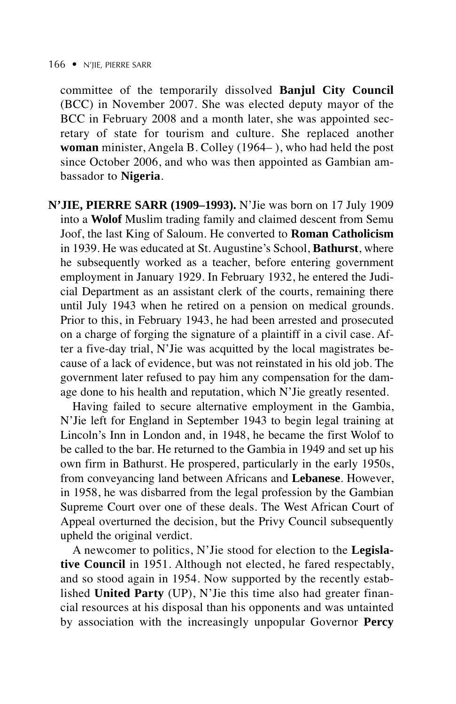committee of the temporarily dissolved **Banjul City Council** (BCC) in November 2007. She was elected deputy mayor of the BCC in February 2008 and a month later, she was appointed secretary of state for tourism and culture. She replaced another **woman** minister, Angela B. Colley (1964– ), who had held the post since October 2006, and who was then appointed as Gambian ambassador to **Nigeria**.

**N'JIE, PIERRE SARR (1909–1993).** N'Jie was born on 17 July 1909 into a **Wolof** Muslim trading family and claimed descent from Semu Joof, the last King of Saloum. He converted to **Roman Catholicism** in 1939. He was educated at St. Augustine's School, **Bathurst**, where he subsequently worked as a teacher, before entering government employment in January 1929. In February 1932, he entered the Judicial Department as an assistant clerk of the courts, remaining there until July 1943 when he retired on a pension on medical grounds. Prior to this, in February 1943, he had been arrested and prosecuted on a charge of forging the signature of a plaintiff in a civil case. After a five-day trial, N'Jie was acquitted by the local magistrates because of a lack of evidence, but was not reinstated in his old job. The government later refused to pay him any compensation for the damage done to his health and reputation, which N'Jie greatly resented.

Having failed to secure alternative employment in the Gambia, N'Jie left for England in September 1943 to begin legal training at Lincoln's Inn in London and, in 1948, he became the first Wolof to be called to the bar. He returned to the Gambia in 1949 and set up his own firm in Bathurst. He prospered, particularly in the early 1950s, from conveyancing land between Africans and **Lebanese**. However, in 1958, he was disbarred from the legal profession by the Gambian Supreme Court over one of these deals. The West African Court of Appeal overturned the decision, but the Privy Council subsequently upheld the original verdict.

A newcomer to politics, N'Jie stood for election to the **Legislative Council** in 1951. Although not elected, he fared respectably, and so stood again in 1954. Now supported by the recently established **United Party** (UP), N'Jie this time also had greater financial resources at his disposal than his opponents and was untainted by association with the increasingly unpopular Governor **Percy**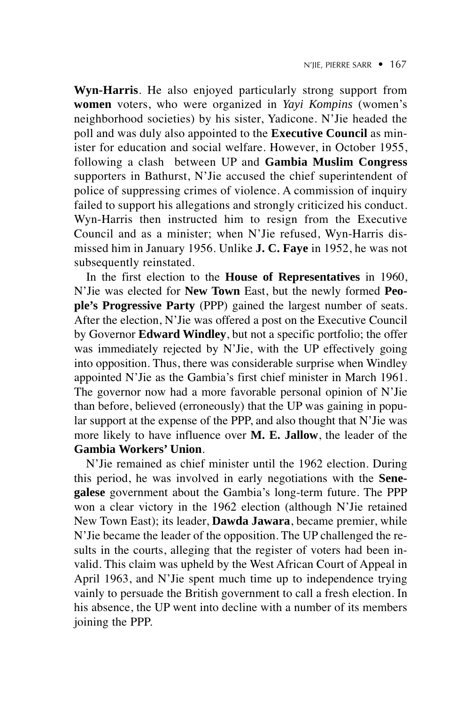**Wyn-Harris**. He also enjoyed particularly strong support from **women** voters, who were organized in *Yayi Kompins* (women's neighborhood societies) by his sister, Yadicone. N'Jie headed the poll and was duly also appointed to the **Executive Council** as minister for education and social welfare. However, in October 1955, following a clash between UP and **Gambia Muslim Congress** supporters in Bathurst, N'Jie accused the chief superintendent of police of suppressing crimes of violence. A commission of inquiry failed to support his allegations and strongly criticized his conduct. Wyn-Harris then instructed him to resign from the Executive Council and as a minister; when N'Jie refused, Wyn-Harris dismissed him in January 1956. Unlike **J. C. Faye** in 1952, he was not subsequently reinstated.

In the first election to the **House of Representatives** in 1960, N'Jie was elected for **New Town** East, but the newly formed **People's Progressive Party** (PPP) gained the largest number of seats. After the election, N'Jie was offered a post on the Executive Council by Governor **Edward Windley**, but not a specific portfolio; the offer was immediately rejected by N'Jie, with the UP effectively going into opposition. Thus, there was considerable surprise when Windley appointed N'Jie as the Gambia's first chief minister in March 1961. The governor now had a more favorable personal opinion of N'Jie than before, believed (erroneously) that the UP was gaining in popular support at the expense of the PPP, and also thought that N'Jie was more likely to have influence over **M. E. Jallow**, the leader of the **Gambia Workers' Union**.

N'Jie remained as chief minister until the 1962 election. During this period, he was involved in early negotiations with the **Senegalese** government about the Gambia's long-term future. The PPP won a clear victory in the 1962 election (although N'Jie retained New Town East); its leader, **Dawda Jawara**, became premier, while N'Jie became the leader of the opposition. The UP challenged the results in the courts, alleging that the register of voters had been invalid. This claim was upheld by the West African Court of Appeal in April 1963, and N'Jie spent much time up to independence trying vainly to persuade the British government to call a fresh election. In his absence, the UP went into decline with a number of its members joining the PPP.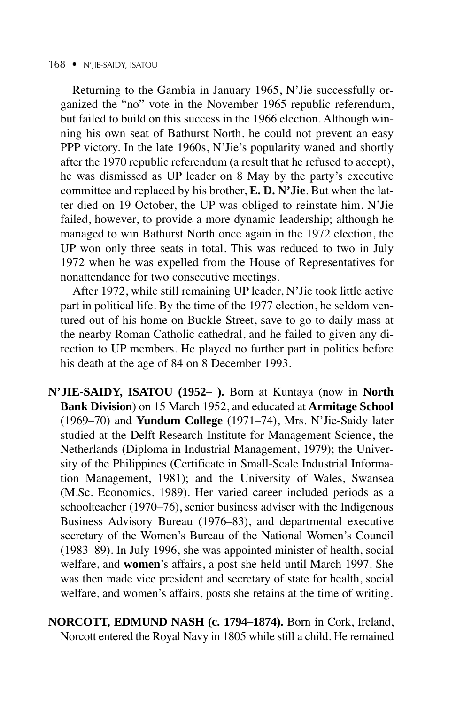#### 168 • N'JIE-SAIDY, ISATOU

Returning to the Gambia in January 1965, N'Jie successfully organized the "no" vote in the November 1965 republic referendum, but failed to build on this success in the 1966 election. Although winning his own seat of Bathurst North, he could not prevent an easy PPP victory. In the late 1960s, N'Jie's popularity waned and shortly after the 1970 republic referendum (a result that he refused to accept), he was dismissed as UP leader on 8 May by the party's executive committee and replaced by his brother, **E. D. N'Jie**. But when the latter died on 19 October, the UP was obliged to reinstate him. N'Jie failed, however, to provide a more dynamic leadership; although he managed to win Bathurst North once again in the 1972 election, the UP won only three seats in total. This was reduced to two in July 1972 when he was expelled from the House of Representatives for nonattendance for two consecutive meetings.

After 1972, while still remaining UP leader, N'Jie took little active part in political life. By the time of the 1977 election, he seldom ventured out of his home on Buckle Street, save to go to daily mass at the nearby Roman Catholic cathedral, and he failed to given any direction to UP members. He played no further part in politics before his death at the age of 84 on 8 December 1993.

- **N'JIE-SAIDY, ISATOU (1952– ).** Born at Kuntaya (now in **North Bank Division**) on 15 March 1952, and educated at **Armitage School** (1969–70) and **Yundum College** (1971–74), Mrs. N'Jie-Saidy later studied at the Delft Research Institute for Management Science, the Netherlands (Diploma in Industrial Management, 1979); the University of the Philippines (Certificate in Small-Scale Industrial Information Management, 1981); and the University of Wales, Swansea (M.Sc. Economics, 1989). Her varied career included periods as a schoolteacher (1970–76), senior business adviser with the Indigenous Business Advisory Bureau (1976–83), and departmental executive secretary of the Women's Bureau of the National Women's Council (1983–89). In July 1996, she was appointed minister of health, social welfare, and **women**'s affairs, a post she held until March 1997. She was then made vice president and secretary of state for health, social welfare, and women's affairs, posts she retains at the time of writing.
- **NORCOTT, EDMUND NASH (c. 1794–1874).** Born in Cork, Ireland, Norcott entered the Royal Navy in 1805 while still a child. He remained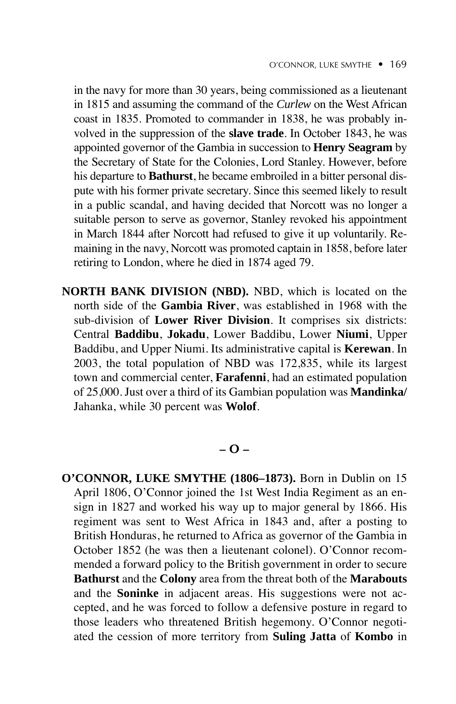in the navy for more than 30 years, being commissioned as a lieutenant in 1815 and assuming the command of the *Curlew* on the West African coast in 1835. Promoted to commander in 1838, he was probably involved in the suppression of the **slave trade**. In October 1843, he was appointed governor of the Gambia in succession to **Henry Seagram** by the Secretary of State for the Colonies, Lord Stanley. However, before his departure to **Bathurst**, he became embroiled in a bitter personal dispute with his former private secretary. Since this seemed likely to result in a public scandal, and having decided that Norcott was no longer a suitable person to serve as governor, Stanley revoked his appointment in March 1844 after Norcott had refused to give it up voluntarily. Remaining in the navy, Norcott was promoted captain in 1858, before later retiring to London, where he died in 1874 aged 79.

**NORTH BANK DIVISION (NBD).** NBD, which is located on the north side of the **Gambia River**, was established in 1968 with the sub-division of **Lower River Division**. It comprises six districts: Central **Baddibu**, **Jokadu**, Lower Baddibu, Lower **Niumi**, Upper Baddibu, and Upper Niumi. Its administrative capital is **Kerewan**. In 2003, the total population of NBD was 172,835, while its largest town and commercial center, **Farafenni**, had an estimated population of 25,000. Just over a third of its Gambian population was **Mandinka/** Jahanka, while 30 percent was **Wolof**.

## **– O –**

**O'CONNOR, LUKE SMYTHE (1806–1873).** Born in Dublin on 15 April 1806, O'Connor joined the 1st West India Regiment as an ensign in 1827 and worked his way up to major general by 1866. His regiment was sent to West Africa in 1843 and, after a posting to British Honduras, he returned to Africa as governor of the Gambia in October 1852 (he was then a lieutenant colonel). O'Connor recommended a forward policy to the British government in order to secure **Bathurst** and the **Colony** area from the threat both of the **Marabouts** and the **Soninke** in adjacent areas. His suggestions were not accepted, and he was forced to follow a defensive posture in regard to those leaders who threatened British hegemony. O'Connor negotiated the cession of more territory from **Suling Jatta** of **Kombo** in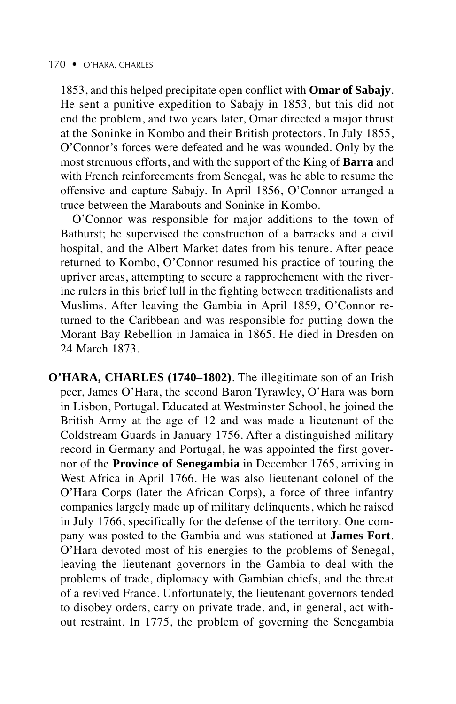1853, and this helped precipitate open conflict with **Omar of Sabajy**. He sent a punitive expedition to Sabajy in 1853, but this did not end the problem, and two years later, Omar directed a major thrust at the Soninke in Kombo and their British protectors. In July 1855, O'Connor's forces were defeated and he was wounded. Only by the most strenuous efforts, and with the support of the King of **Barra** and with French reinforcements from Senegal, was he able to resume the offensive and capture Sabajy. In April 1856, O'Connor arranged a truce between the Marabouts and Soninke in Kombo.

O'Connor was responsible for major additions to the town of Bathurst; he supervised the construction of a barracks and a civil hospital, and the Albert Market dates from his tenure. After peace returned to Kombo, O'Connor resumed his practice of touring the upriver areas, attempting to secure a rapprochement with the riverine rulers in this brief lull in the fighting between traditionalists and Muslims. After leaving the Gambia in April 1859, O'Connor returned to the Caribbean and was responsible for putting down the Morant Bay Rebellion in Jamaica in 1865. He died in Dresden on 24 March 1873.

**O'HARA, CHARLES (1740–1802)**. The illegitimate son of an Irish peer, James O'Hara, the second Baron Tyrawley, O'Hara was born in Lisbon, Portugal. Educated at Westminster School, he joined the British Army at the age of 12 and was made a lieutenant of the Coldstream Guards in January 1756. After a distinguished military record in Germany and Portugal, he was appointed the first governor of the **Province of Senegambia** in December 1765, arriving in West Africa in April 1766. He was also lieutenant colonel of the O'Hara Corps (later the African Corps), a force of three infantry companies largely made up of military delinquents, which he raised in July 1766, specifically for the defense of the territory. One company was posted to the Gambia and was stationed at **James Fort**. O'Hara devoted most of his energies to the problems of Senegal, leaving the lieutenant governors in the Gambia to deal with the problems of trade, diplomacy with Gambian chiefs, and the threat of a revived France. Unfortunately, the lieutenant governors tended to disobey orders, carry on private trade, and, in general, act without restraint. In 1775, the problem of governing the Senegambia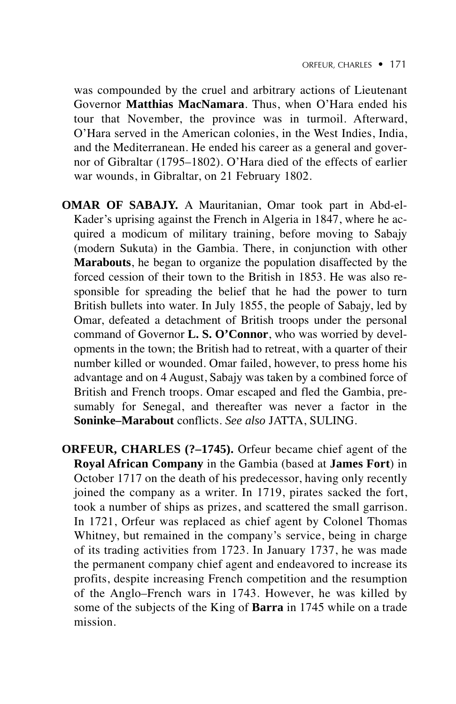was compounded by the cruel and arbitrary actions of Lieutenant Governor **Matthias MacNamara**. Thus, when O'Hara ended his tour that November, the province was in turmoil. Afterward, O'Hara served in the American colonies, in the West Indies, India, and the Mediterranean. He ended his career as a general and governor of Gibraltar (1795–1802). O'Hara died of the effects of earlier war wounds, in Gibraltar, on 21 February 1802.

- **OMAR OF SABAJY.** A Mauritanian, Omar took part in Abd-el-Kader's uprising against the French in Algeria in 1847, where he acquired a modicum of military training, before moving to Sabajy (modern Sukuta) in the Gambia. There, in conjunction with other **Marabouts**, he began to organize the population disaffected by the forced cession of their town to the British in 1853. He was also responsible for spreading the belief that he had the power to turn British bullets into water. In July 1855, the people of Sabajy, led by Omar, defeated a detachment of British troops under the personal command of Governor **L. S. O'Connor**, who was worried by developments in the town; the British had to retreat, with a quarter of their number killed or wounded. Omar failed, however, to press home his advantage and on 4 August, Sabajy was taken by a combined force of British and French troops. Omar escaped and fled the Gambia, presumably for Senegal, and thereafter was never a factor in the **Soninke–Marabout** conflicts. *See also* JATTA, SULING.
- **ORFEUR, CHARLES (?–1745).** Orfeur became chief agent of the **Royal African Company** in the Gambia (based at **James Fort**) in October 1717 on the death of his predecessor, having only recently joined the company as a writer. In 1719, pirates sacked the fort, took a number of ships as prizes, and scattered the small garrison. In 1721, Orfeur was replaced as chief agent by Colonel Thomas Whitney, but remained in the company's service, being in charge of its trading activities from 1723. In January 1737, he was made the permanent company chief agent and endeavored to increase its profits, despite increasing French competition and the resumption of the Anglo–French wars in 1743. However, he was killed by some of the subjects of the King of **Barra** in 1745 while on a trade mission.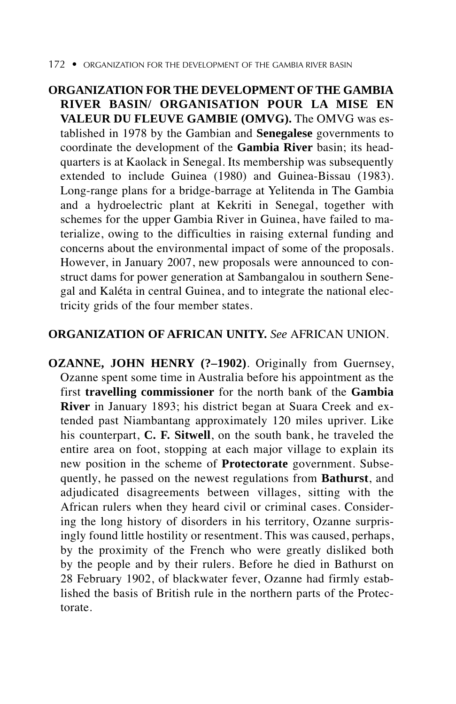172 • ORGANIZATION FOR THE DEVELOPMENT OF THE GAMBIA RIVER BASIN

**ORGANIZATION FOR THE DEVELOPMENT OF THE GAMBIA RIVER BASIN/ ORGANISATION POUR LA MISE EN VALEUR DU FLEUVE GAMBIE (OMVG).** The OMVG was established in 1978 by the Gambian and **Senegalese** governments to coordinate the development of the **Gambia River** basin; its headquarters is at Kaolack in Senegal. Its membership was subsequently extended to include Guinea (1980) and Guinea-Bissau (1983). Long-range plans for a bridge-barrage at Yelitenda in The Gambia and a hydroelectric plant at Kekriti in Senegal, together with schemes for the upper Gambia River in Guinea, have failed to materialize, owing to the difficulties in raising external funding and concerns about the environmental impact of some of the proposals. However, in January 2007, new proposals were announced to construct dams for power generation at Sambangalou in southern Senegal and Kaléta in central Guinea, and to integrate the national electricity grids of the four member states.

## **ORGANIZATION OF AFRICAN UNITY.** *See* AFRICAN UNION.

**OZANNE, JOHN HENRY (?–1902)**. Originally from Guernsey, Ozanne spent some time in Australia before his appointment as the first **travelling commissioner** for the north bank of the **Gambia River** in January 1893; his district began at Suara Creek and extended past Niambantang approximately 120 miles upriver. Like his counterpart, **C. F. Sitwell**, on the south bank, he traveled the entire area on foot, stopping at each major village to explain its new position in the scheme of **Protectorate** government. Subsequently, he passed on the newest regulations from **Bathurst**, and adjudicated disagreements between villages, sitting with the African rulers when they heard civil or criminal cases. Considering the long history of disorders in his territory, Ozanne surprisingly found little hostility or resentment. This was caused, perhaps, by the proximity of the French who were greatly disliked both by the people and by their rulers. Before he died in Bathurst on 28 February 1902, of blackwater fever, Ozanne had firmly established the basis of British rule in the northern parts of the Protectorate.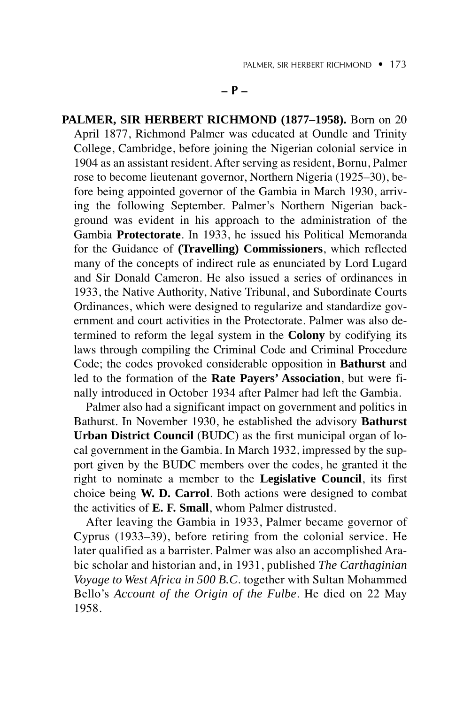### **– P –**

**PALMER, SIR HERBERT RICHMOND (1877–1958).** Born on 20 April 1877, Richmond Palmer was educated at Oundle and Trinity College, Cambridge, before joining the Nigerian colonial service in 1904 as an assistant resident. After serving as resident, Bornu, Palmer rose to become lieutenant governor, Northern Nigeria (1925–30), before being appointed governor of the Gambia in March 1930, arriving the following September. Palmer's Northern Nigerian background was evident in his approach to the administration of the Gambia **Protectorate**. In 1933, he issued his Political Memoranda for the Guidance of **(Travelling) Commissioners**, which reflected many of the concepts of indirect rule as enunciated by Lord Lugard and Sir Donald Cameron. He also issued a series of ordinances in 1933, the Native Authority, Native Tribunal, and Subordinate Courts Ordinances, which were designed to regularize and standardize government and court activities in the Protectorate. Palmer was also determined to reform the legal system in the **Colony** by codifying its laws through compiling the Criminal Code and Criminal Procedure Code; the codes provoked considerable opposition in **Bathurst** and led to the formation of the **Rate Payers' Association**, but were finally introduced in October 1934 after Palmer had left the Gambia.

Palmer also had a significant impact on government and politics in Bathurst. In November 1930, he established the advisory **Bathurst Urban District Council** (BUDC) as the first municipal organ of local government in the Gambia. In March 1932, impressed by the support given by the BUDC members over the codes, he granted it the right to nominate a member to the **Legislative Council**, its first choice being **W. D. Carrol**. Both actions were designed to combat the activities of **E. F. Small**, whom Palmer distrusted.

After leaving the Gambia in 1933, Palmer became governor of Cyprus (1933–39), before retiring from the colonial service. He later qualified as a barrister. Palmer was also an accomplished Arabic scholar and historian and, in 1931, published *The Carthaginian Voyage to West Africa in 500 B.C*. together with Sultan Mohammed Bello's *Account of the Origin of the Fulbe*. He died on 22 May 1958.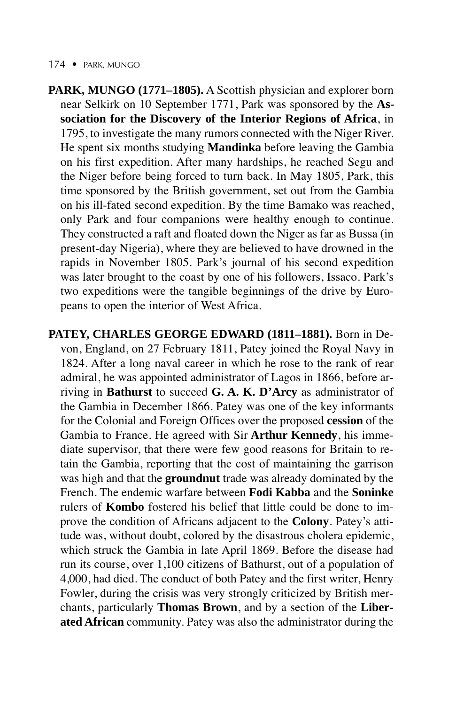- **PARK, MUNGO (1771–1805).** A Scottish physician and explorer born near Selkirk on 10 September 1771, Park was sponsored by the **Association for the Discovery of the Interior Regions of Africa**, in 1795, to investigate the many rumors connected with the Niger River. He spent six months studying **Mandinka** before leaving the Gambia on his first expedition. After many hardships, he reached Segu and the Niger before being forced to turn back. In May 1805, Park, this time sponsored by the British government, set out from the Gambia on his ill-fated second expedition. By the time Bamako was reached, only Park and four companions were healthy enough to continue. They constructed a raft and floated down the Niger as far as Bussa (in present-day Nigeria), where they are believed to have drowned in the rapids in November 1805. Park's journal of his second expedition was later brought to the coast by one of his followers, Issaco. Park's two expeditions were the tangible beginnings of the drive by Europeans to open the interior of West Africa.
- **PATEY, CHARLES GEORGE EDWARD (1811–1881).** Born in Devon, England, on 27 February 1811, Patey joined the Royal Navy in 1824. After a long naval career in which he rose to the rank of rear admiral, he was appointed administrator of Lagos in 1866, before arriving in **Bathurst** to succeed **G. A. K. D'Arcy** as administrator of the Gambia in December 1866. Patey was one of the key informants for the Colonial and Foreign Offices over the proposed **cession** of the Gambia to France. He agreed with Sir **Arthur Kennedy**, his immediate supervisor, that there were few good reasons for Britain to retain the Gambia, reporting that the cost of maintaining the garrison was high and that the **groundnut** trade was already dominated by the French. The endemic warfare between **Fodi Kabba** and the **Soninke** rulers of **Kombo** fostered his belief that little could be done to improve the condition of Africans adjacent to the **Colony**. Patey's attitude was, without doubt, colored by the disastrous cholera epidemic, which struck the Gambia in late April 1869. Before the disease had run its course, over 1,100 citizens of Bathurst, out of a population of 4,000, had died. The conduct of both Patey and the first writer, Henry Fowler, during the crisis was very strongly criticized by British merchants, particularly **Thomas Brown**, and by a section of the **Liberated African** community. Patey was also the administrator during the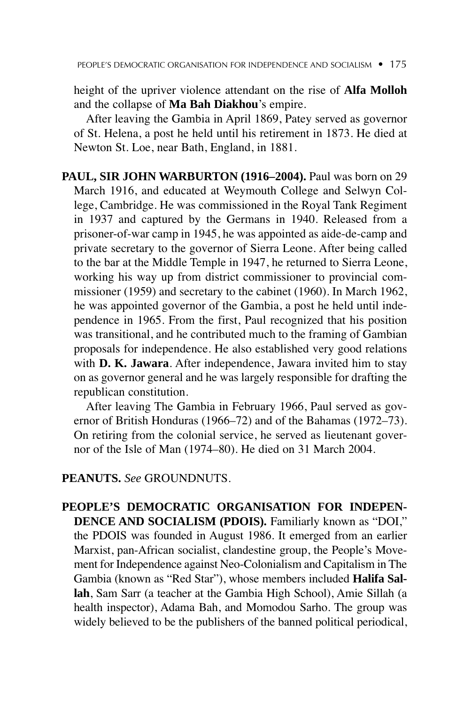height of the upriver violence attendant on the rise of **Alfa Molloh** and the collapse of **Ma Bah Diakhou**'s empire.

After leaving the Gambia in April 1869, Patey served as governor of St. Helena, a post he held until his retirement in 1873. He died at Newton St. Loe, near Bath, England, in 1881.

**PAUL, SIR JOHN WARBURTON (1916–2004).** Paul was born on 29 March 1916, and educated at Weymouth College and Selwyn College, Cambridge. He was commissioned in the Royal Tank Regiment in 1937 and captured by the Germans in 1940. Released from a prisoner-of-war camp in 1945, he was appointed as aide-de-camp and private secretary to the governor of Sierra Leone. After being called to the bar at the Middle Temple in 1947, he returned to Sierra Leone, working his way up from district commissioner to provincial commissioner (1959) and secretary to the cabinet (1960). In March 1962, he was appointed governor of the Gambia, a post he held until independence in 1965. From the first, Paul recognized that his position was transitional, and he contributed much to the framing of Gambian proposals for independence. He also established very good relations with **D. K. Jawara**. After independence, Jawara invited him to stay on as governor general and he was largely responsible for drafting the republican constitution.

After leaving The Gambia in February 1966, Paul served as governor of British Honduras (1966–72) and of the Bahamas (1972–73). On retiring from the colonial service, he served as lieutenant governor of the Isle of Man (1974–80). He died on 31 March 2004.

## **PEANUTS.** *See* GROUNDNUTS.

**PEOPLE'S DEMOCRATIC ORGANISATION FOR INDEPEN-DENCE AND SOCIALISM (PDOIS).** Familiarly known as "DOI," the PDOIS was founded in August 1986. It emerged from an earlier Marxist, pan-African socialist, clandestine group, the People's Movement for Independence against Neo-Colonialism and Capitalism in The Gambia (known as "Red Star"), whose members included **Halifa Sallah**, Sam Sarr (a teacher at the Gambia High School), Amie Sillah (a health inspector), Adama Bah, and Momodou Sarho. The group was widely believed to be the publishers of the banned political periodical,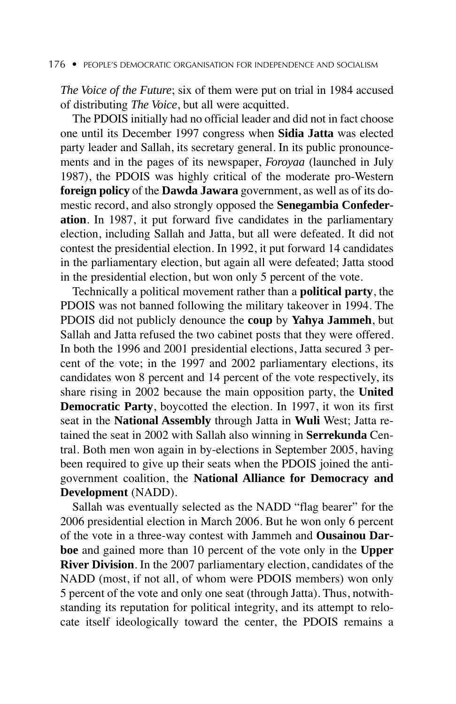### 176 • PEOPLE'S DEMOCRATIC ORGANISATION FOR INDEPENDENCE AND SOCIALISM

*The Voice of the Future*; six of them were put on trial in 1984 accused of distributing *The Voice*, but all were acquitted.

The PDOIS initially had no official leader and did not in fact choose one until its December 1997 congress when **Sidia Jatta** was elected party leader and Sallah, its secretary general. In its public pronouncements and in the pages of its newspaper, *Foroyaa* (launched in July 1987), the PDOIS was highly critical of the moderate pro-Western **foreign policy** of the **Dawda Jawara** government, as well as of its domestic record, and also strongly opposed the **Senegambia Confederation**. In 1987, it put forward five candidates in the parliamentary election, including Sallah and Jatta, but all were defeated. It did not contest the presidential election. In 1992, it put forward 14 candidates in the parliamentary election, but again all were defeated; Jatta stood in the presidential election, but won only 5 percent of the vote.

Technically a political movement rather than a **political party**, the PDOIS was not banned following the military takeover in 1994. The PDOIS did not publicly denounce the **coup** by **Yahya Jammeh**, but Sallah and Jatta refused the two cabinet posts that they were offered. In both the 1996 and 2001 presidential elections, Jatta secured 3 percent of the vote; in the 1997 and 2002 parliamentary elections, its candidates won 8 percent and 14 percent of the vote respectively, its share rising in 2002 because the main opposition party, the **United Democratic Party**, boycotted the election. In 1997, it won its first seat in the **National Assembly** through Jatta in **Wuli** West; Jatta retained the seat in 2002 with Sallah also winning in **Serrekunda** Central. Both men won again in by-elections in September 2005, having been required to give up their seats when the PDOIS joined the antigovernment coalition, the **National Alliance for Democracy and Development** (NADD).

Sallah was eventually selected as the NADD "flag bearer" for the 2006 presidential election in March 2006. But he won only 6 percent of the vote in a three-way contest with Jammeh and **Ousainou Darboe** and gained more than 10 percent of the vote only in the **Upper River Division**. In the 2007 parliamentary election, candidates of the NADD (most, if not all, of whom were PDOIS members) won only 5 percent of the vote and only one seat (through Jatta). Thus, notwithstanding its reputation for political integrity, and its attempt to relocate itself ideologically toward the center, the PDOIS remains a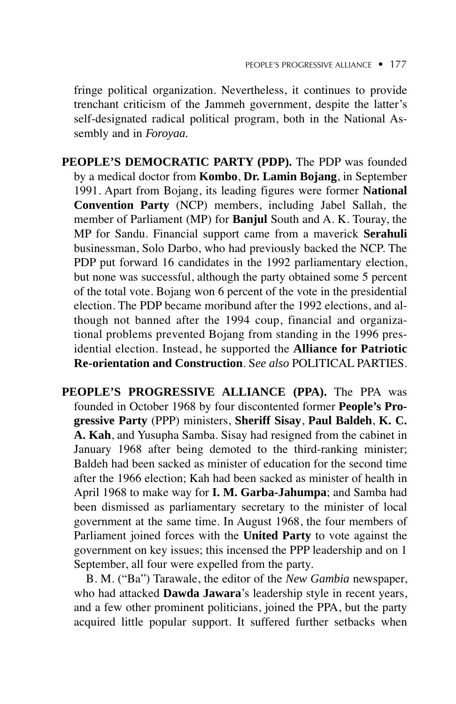fringe political organization. Nevertheless, it continues to provide trenchant criticism of the Jammeh government, despite the latter's self-designated radical political program, both in the National Assembly and in *Foroyaa.*

- **PEOPLE'S DEMOCRATIC PARTY (PDP).** The PDP was founded by a medical doctor from **Kombo**, **Dr. Lamin Bojang**, in September 1991. Apart from Bojang, its leading figures were former **National Convention Party** (NCP) members, including Jabel Sallah, the member of Parliament (MP) for **Banjul** South and A. K. Touray, the MP for Sandu. Financial support came from a maverick **Serahuli** businessman, Solo Darbo, who had previously backed the NCP. The PDP put forward 16 candidates in the 1992 parliamentary election, but none was successful, although the party obtained some 5 percent of the total vote. Bojang won 6 percent of the vote in the presidential election. The PDP became moribund after the 1992 elections, and although not banned after the 1994 coup, financial and organizational problems prevented Bojang from standing in the 1996 presidential election. Instead, he supported the **Alliance for Patriotic Re-orientation and Construction**. S*ee also* POLITICAL PARTIES.
- **PEOPLE'S PROGRESSIVE ALLIANCE (PPA).** The PPA was founded in October 1968 by four discontented former **People's Progressive Party** (PPP) ministers, **Sheriff Sisay**, **Paul Baldeh**, **K. C. A. Kah**, and Yusupha Samba. Sisay had resigned from the cabinet in January 1968 after being demoted to the third-ranking minister; Baldeh had been sacked as minister of education for the second time after the 1966 election; Kah had been sacked as minister of health in April 1968 to make way for **I. M. Garba-Jahumpa**; and Samba had been dismissed as parliamentary secretary to the minister of local government at the same time. In August 1968, the four members of Parliament joined forces with the **United Party** to vote against the government on key issues; this incensed the PPP leadership and on 1 September, all four were expelled from the party.

B. M. ("Ba") Tarawale, the editor of the *New Gambia* newspaper, who had attacked **Dawda Jawara**'s leadership style in recent years, and a few other prominent politicians, joined the PPA, but the party acquired little popular support. It suffered further setbacks when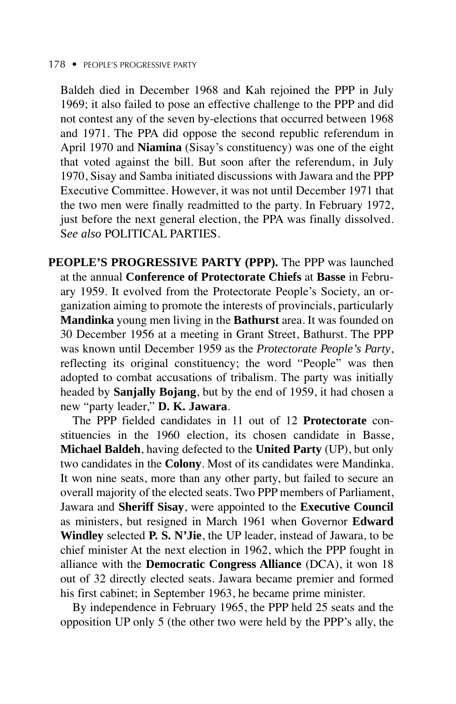### 178 • PEOPLE'S PROGRESSIVE PARTY

Baldeh died in December 1968 and Kah rejoined the PPP in July 1969; it also failed to pose an effective challenge to the PPP and did not contest any of the seven by-elections that occurred between 1968 and 1971. The PPA did oppose the second republic referendum in April 1970 and **Niamina** (Sisay's constituency) was one of the eight that voted against the bill. But soon after the referendum, in July 1970, Sisay and Samba initiated discussions with Jawara and the PPP Executive Committee. However, it was not until December 1971 that the two men were finally readmitted to the party. In February 1972, just before the next general election, the PPA was finally dissolved. S*ee also* POLITICAL PARTIES.

**PEOPLE'S PROGRESSIVE PARTY (PPP).** The PPP was launched at the annual **Conference of Protectorate Chiefs** at **Basse** in February 1959. It evolved from the Protectorate People's Society, an organization aiming to promote the interests of provincials, particularly **Mandinka** young men living in the **Bathurst** area. It was founded on 30 December 1956 at a meeting in Grant Street, Bathurst. The PPP was known until December 1959 as the *Protectorate People's Party*, reflecting its original constituency; the word "People" was then adopted to combat accusations of tribalism. The party was initially headed by **Sanjally Bojang**, but by the end of 1959, it had chosen a new "party leader," **D. K. Jawara**.

The PPP fielded candidates in 11 out of 12 **Protectorate** constituencies in the 1960 election, its chosen candidate in Basse, **Michael Baldeh**, having defected to the **United Party** (UP), but only two candidates in the **Colony**. Most of its candidates were Mandinka. It won nine seats, more than any other party, but failed to secure an overall majority of the elected seats. Two PPP members of Parliament, Jawara and **Sheriff Sisay**, were appointed to the **Executive Council** as ministers, but resigned in March 1961 when Governor **Edward Windley** selected **P. S. N'Jie**, the UP leader, instead of Jawara, to be chief minister At the next election in 1962, which the PPP fought in alliance with the **Democratic Congress Alliance** (DCA), it won 18 out of 32 directly elected seats. Jawara became premier and formed his first cabinet; in September 1963, he became prime minister.

By independence in February 1965, the PPP held 25 seats and the opposition UP only 5 (the other two were held by the PPP's ally, the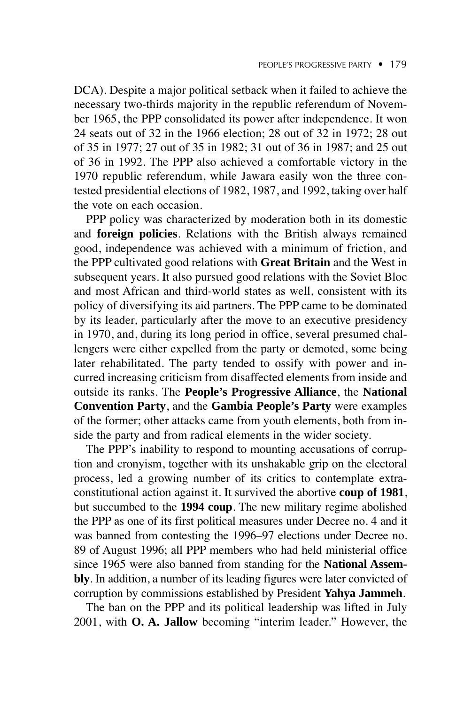DCA). Despite a major political setback when it failed to achieve the necessary two-thirds majority in the republic referendum of November 1965, the PPP consolidated its power after independence. It won 24 seats out of 32 in the 1966 election; 28 out of 32 in 1972; 28 out of 35 in 1977; 27 out of 35 in 1982; 31 out of 36 in 1987; and 25 out of 36 in 1992. The PPP also achieved a comfortable victory in the 1970 republic referendum, while Jawara easily won the three contested presidential elections of 1982, 1987, and 1992, taking over half the vote on each occasion.

PPP policy was characterized by moderation both in its domestic and **foreign policies**. Relations with the British always remained good, independence was achieved with a minimum of friction, and the PPP cultivated good relations with **Great Britain** and the West in subsequent years. It also pursued good relations with the Soviet Bloc and most African and third-world states as well, consistent with its policy of diversifying its aid partners. The PPP came to be dominated by its leader, particularly after the move to an executive presidency in 1970, and, during its long period in office, several presumed challengers were either expelled from the party or demoted, some being later rehabilitated. The party tended to ossify with power and incurred increasing criticism from disaffected elements from inside and outside its ranks. The **People's Progressive Alliance**, the **National Convention Party**, and the **Gambia People's Party** were examples of the former; other attacks came from youth elements, both from inside the party and from radical elements in the wider society.

The PPP's inability to respond to mounting accusations of corruption and cronyism, together with its unshakable grip on the electoral process, led a growing number of its critics to contemplate extraconstitutional action against it. It survived the abortive **coup of 1981**, but succumbed to the **1994 coup**. The new military regime abolished the PPP as one of its first political measures under Decree no. 4 and it was banned from contesting the 1996–97 elections under Decree no. 89 of August 1996; all PPP members who had held ministerial office since 1965 were also banned from standing for the **National Assembly**. In addition, a number of its leading figures were later convicted of corruption by commissions established by President **Yahya Jammeh**.

The ban on the PPP and its political leadership was lifted in July 2001, with **O. A. Jallow** becoming "interim leader." However, the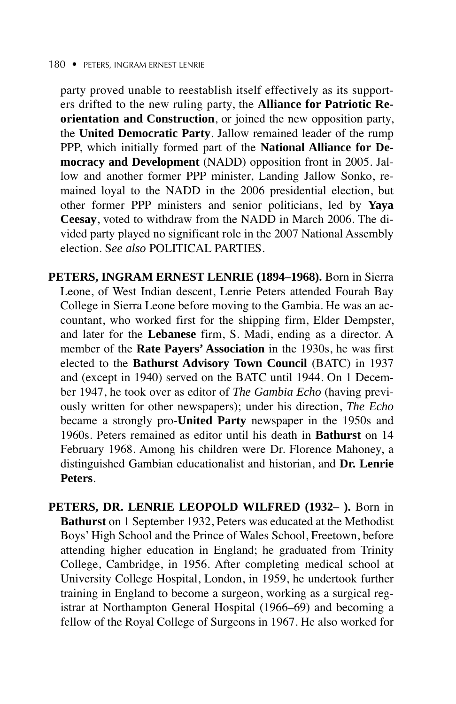party proved unable to reestablish itself effectively as its supporters drifted to the new ruling party, the **Alliance for Patriotic Reorientation and Construction**, or joined the new opposition party, the **United Democratic Party**. Jallow remained leader of the rump PPP, which initially formed part of the **National Alliance for Democracy and Development** (NADD) opposition front in 2005. Jallow and another former PPP minister, Landing Jallow Sonko, remained loyal to the NADD in the 2006 presidential election, but other former PPP ministers and senior politicians, led by **Yaya Ceesay**, voted to withdraw from the NADD in March 2006. The divided party played no significant role in the 2007 National Assembly election. S*ee also* POLITICAL PARTIES.

- **PETERS, INGRAM ERNEST LENRIE (1894–1968).** Born in Sierra Leone, of West Indian descent, Lenrie Peters attended Fourah Bay College in Sierra Leone before moving to the Gambia. He was an accountant, who worked first for the shipping firm, Elder Dempster, and later for the **Lebanese** firm, S. Madi, ending as a director. A member of the **Rate Payers' Association** in the 1930s, he was first elected to the **Bathurst Advisory Town Council** (BATC) in 1937 and (except in 1940) served on the BATC until 1944. On 1 December 1947, he took over as editor of *The Gambia Echo* (having previously written for other newspapers); under his direction, *The Echo* became a strongly pro-**United Party** newspaper in the 1950s and 1960s. Peters remained as editor until his death in **Bathurst** on 14 February 1968. Among his children were Dr. Florence Mahoney, a distinguished Gambian educationalist and historian, and **Dr. Lenrie Peters**.
- **PETERS, DR. LENRIE LEOPOLD WILFRED (1932– ).** Born in **Bathurst** on 1 September 1932, Peters was educated at the Methodist Boys' High School and the Prince of Wales School, Freetown, before attending higher education in England; he graduated from Trinity College, Cambridge, in 1956. After completing medical school at University College Hospital, London, in 1959, he undertook further training in England to become a surgeon, working as a surgical registrar at Northampton General Hospital (1966–69) and becoming a fellow of the Royal College of Surgeons in 1967. He also worked for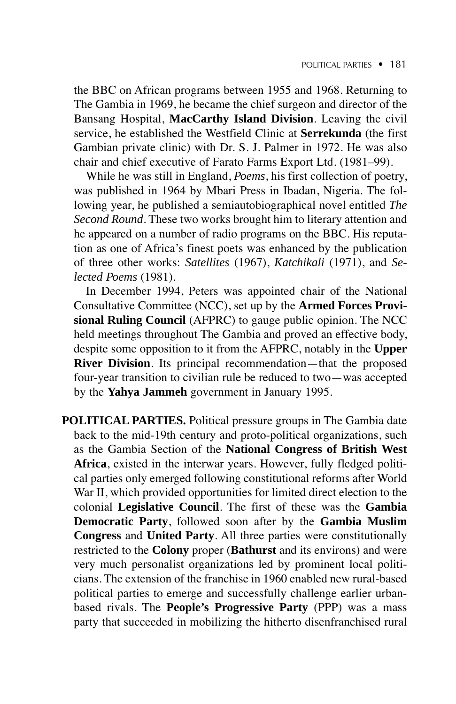the BBC on African programs between 1955 and 1968. Returning to The Gambia in 1969, he became the chief surgeon and director of the Bansang Hospital, **MacCarthy Island Division**. Leaving the civil service, he established the Westfield Clinic at **Serrekunda** (the first Gambian private clinic) with Dr. S. J. Palmer in 1972. He was also chair and chief executive of Farato Farms Export Ltd. (1981–99).

While he was still in England, *Poems*, his first collection of poetry, was published in 1964 by Mbari Press in Ibadan, Nigeria. The following year, he published a semiautobiographical novel entitled *The Second Round*. These two works brought him to literary attention and he appeared on a number of radio programs on the BBC. His reputation as one of Africa's finest poets was enhanced by the publication of three other works: *Satellites* (1967), *Katchikali* (1971), and *Selected Poems* (1981).

In December 1994, Peters was appointed chair of the National Consultative Committee (NCC), set up by the **Armed Forces Provisional Ruling Council** (AFPRC) to gauge public opinion. The NCC held meetings throughout The Gambia and proved an effective body, despite some opposition to it from the AFPRC, notably in the **Upper River Division**. Its principal recommendation—that the proposed four-year transition to civilian rule be reduced to two—was accepted by the **Yahya Jammeh** government in January 1995.

**POLITICAL PARTIES.** Political pressure groups in The Gambia date back to the mid-19th century and proto-political organizations, such as the Gambia Section of the **National Congress of British West Africa**, existed in the interwar years. However, fully fledged political parties only emerged following constitutional reforms after World War II, which provided opportunities for limited direct election to the colonial **Legislative Council**. The first of these was the **Gambia Democratic Party**, followed soon after by the **Gambia Muslim Congress** and **United Party**. All three parties were constitutionally restricted to the **Colony** proper (**Bathurst** and its environs) and were very much personalist organizations led by prominent local politicians. The extension of the franchise in 1960 enabled new rural-based political parties to emerge and successfully challenge earlier urbanbased rivals. The **People's Progressive Party** (PPP) was a mass party that succeeded in mobilizing the hitherto disenfranchised rural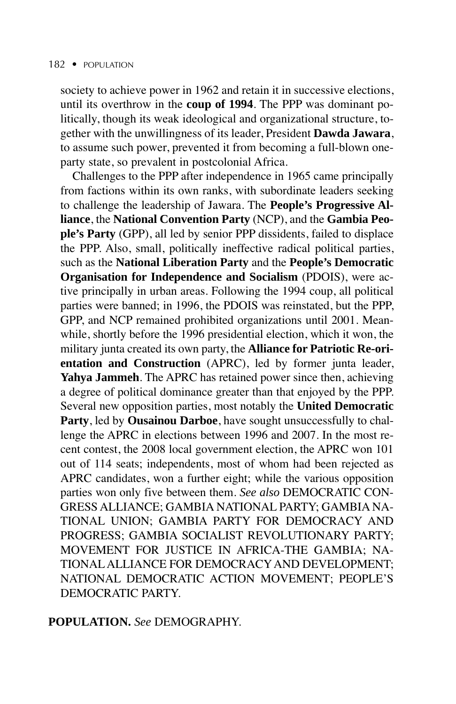### 182 • POPULATION

society to achieve power in 1962 and retain it in successive elections, until its overthrow in the **coup of 1994**. The PPP was dominant politically, though its weak ideological and organizational structure, together with the unwillingness of its leader, President **Dawda Jawara**, to assume such power, prevented it from becoming a full-blown oneparty state, so prevalent in postcolonial Africa.

Challenges to the PPP after independence in 1965 came principally from factions within its own ranks, with subordinate leaders seeking to challenge the leadership of Jawara. The **People's Progressive Alliance**, the **National Convention Party** (NCP), and the **Gambia People's Party** (GPP), all led by senior PPP dissidents, failed to displace the PPP. Also, small, politically ineffective radical political parties, such as the **National Liberation Party** and the **People's Democratic Organisation for Independence and Socialism** (PDOIS), were active principally in urban areas. Following the 1994 coup, all political parties were banned; in 1996, the PDOIS was reinstated, but the PPP, GPP, and NCP remained prohibited organizations until 2001. Meanwhile, shortly before the 1996 presidential election, which it won, the military junta created its own party, the **Alliance for Patriotic Re-orientation and Construction** (APRC), led by former junta leader, **Yahya Jammeh**. The APRC has retained power since then, achieving a degree of political dominance greater than that enjoyed by the PPP. Several new opposition parties, most notably the **United Democratic Party**, led by **Ousainou Darboe**, have sought unsuccessfully to challenge the APRC in elections between 1996 and 2007. In the most recent contest, the 2008 local government election, the APRC won 101 out of 114 seats; independents, most of whom had been rejected as APRC candidates, won a further eight; while the various opposition parties won only five between them. *See also* DEMOCRATIC CON-GRESS ALLIANCE; GAMBIA NATIONAL PARTY; GAMBIA NA-TIONAL UNION; GAMBIA PARTY FOR DEMOCRACY AND PROGRESS; GAMBIA SOCIALIST REVOLUTIONARY PARTY; MOVEMENT FOR JUSTICE IN AFRICA-THE GAMBIA; NA-TIONAL ALLIANCE FOR DEMOCRACY AND DEVELOPMENT; NATIONAL DEMOCRATIC ACTION MOVEMENT; PEOPLE'S DEMOCRATIC PARTY.

**POPULATION.** *See* DEMOGRAPHY.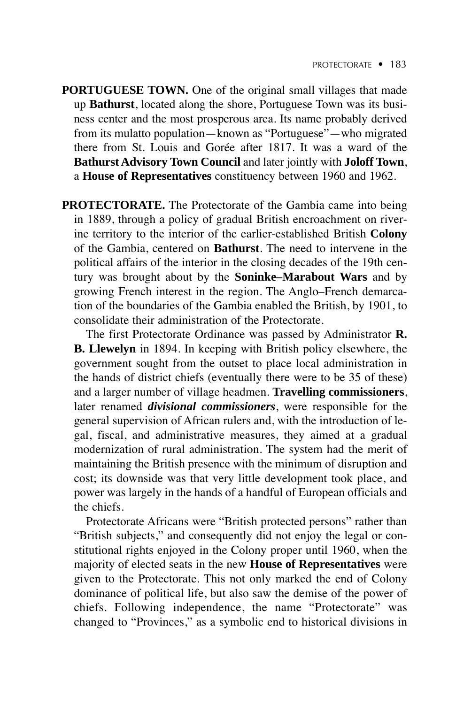**PORTUGUESE TOWN.** One of the original small villages that made up **Bathurst**, located along the shore, Portuguese Town was its business center and the most prosperous area. Its name probably derived from its mulatto population—known as "Portuguese"—who migrated there from St. Louis and Gorée after 1817. It was a ward of the **Bathurst Advisory Town Council** and later jointly with **Joloff Town**, a **House of Representatives** constituency between 1960 and 1962.

**PROTECTORATE.** The Protectorate of the Gambia came into being in 1889, through a policy of gradual British encroachment on riverine territory to the interior of the earlier-established British **Colony** of the Gambia, centered on **Bathurst**. The need to intervene in the political affairs of the interior in the closing decades of the 19th century was brought about by the **Soninke–Marabout Wars** and by growing French interest in the region. The Anglo–French demarcation of the boundaries of the Gambia enabled the British, by 1901, to consolidate their administration of the Protectorate.

The first Protectorate Ordinance was passed by Administrator **R. B. Llewelyn** in 1894. In keeping with British policy elsewhere, the government sought from the outset to place local administration in the hands of district chiefs (eventually there were to be 35 of these) and a larger number of village headmen. **Travelling commissioners**, later renamed *divisional commissioners*, were responsible for the general supervision of African rulers and, with the introduction of legal, fiscal, and administrative measures, they aimed at a gradual modernization of rural administration. The system had the merit of maintaining the British presence with the minimum of disruption and cost; its downside was that very little development took place, and power was largely in the hands of a handful of European officials and the chiefs.

Protectorate Africans were "British protected persons" rather than "British subjects," and consequently did not enjoy the legal or constitutional rights enjoyed in the Colony proper until 1960, when the majority of elected seats in the new **House of Representatives** were given to the Protectorate. This not only marked the end of Colony dominance of political life, but also saw the demise of the power of chiefs. Following independence, the name "Protectorate" was changed to "Provinces," as a symbolic end to historical divisions in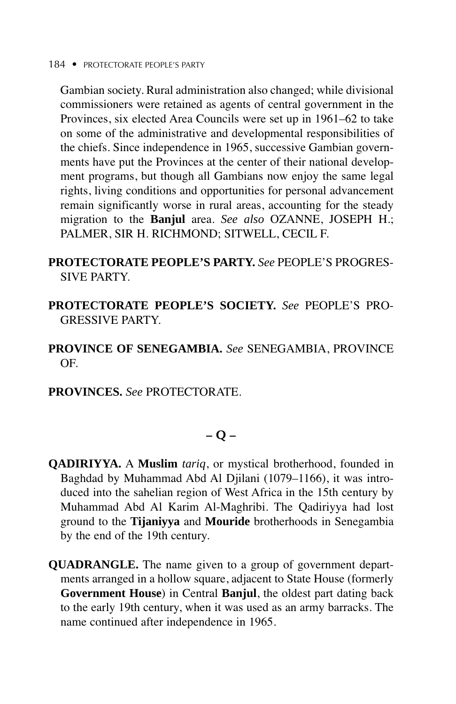### 184 • PROTECTORATE PEOPLE'S PARTY

Gambian society. Rural administration also changed; while divisional commissioners were retained as agents of central government in the Provinces, six elected Area Councils were set up in 1961–62 to take on some of the administrative and developmental responsibilities of the chiefs. Since independence in 1965, successive Gambian governments have put the Provinces at the center of their national development programs, but though all Gambians now enjoy the same legal rights, living conditions and opportunities for personal advancement remain significantly worse in rural areas, accounting for the steady migration to the **Banjul** area. *See also* OZANNE, JOSEPH H.; PALMER, SIR H. RICHMOND; SITWELL, CECIL F.

# **PROTECTORATE PEOPLE'S PARTY.** *See* PEOPLE'S PROGRES-SIVE PARTY.

**PROTECTORATE PEOPLE'S SOCIETY.** *See* PEOPLE'S PRO-GRESSIVE PARTY.

# **PROVINCE OF SENEGAMBIA.** *See* SENEGAMBIA, PROVINCE OF.

**PROVINCES.** *See* PROTECTORATE.

# **– Q –**

- **QADIRIYYA.** A **Muslim** *tariq*, or mystical brotherhood, founded in Baghdad by Muhammad Abd Al Djilani (1079–1166), it was introduced into the sahelian region of West Africa in the 15th century by Muhammad Abd Al Karim Al-Maghribi. The Qadiriyya had lost ground to the **Tijaniyya** and **Mouride** brotherhoods in Senegambia by the end of the 19th century.
- **QUADRANGLE.** The name given to a group of government departments arranged in a hollow square, adjacent to State House (formerly **Government House**) in Central **Banjul**, the oldest part dating back to the early 19th century, when it was used as an army barracks. The name continued after independence in 1965.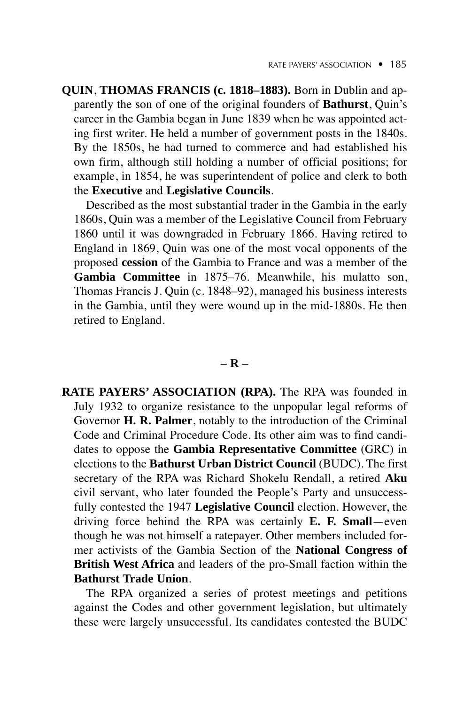**QUIN**, **THOMAS FRANCIS (c. 1818–1883).** Born in Dublin and apparently the son of one of the original founders of **Bathurst**, Quin's career in the Gambia began in June 1839 when he was appointed acting first writer. He held a number of government posts in the 1840s. By the 1850s, he had turned to commerce and had established his own firm, although still holding a number of official positions; for example, in 1854, he was superintendent of police and clerk to both the **Executive** and **Legislative Councils**.

Described as the most substantial trader in the Gambia in the early 1860s, Quin was a member of the Legislative Council from February 1860 until it was downgraded in February 1866. Having retired to England in 1869, Quin was one of the most vocal opponents of the proposed **cession** of the Gambia to France and was a member of the **Gambia Committee** in 1875–76. Meanwhile, his mulatto son, Thomas Francis J. Quin (c. 1848–92), managed his business interests in the Gambia, until they were wound up in the mid-1880s. He then retired to England.

## **– R –**

**RATE PAYERS' ASSOCIATION (RPA).** The RPA was founded in July 1932 to organize resistance to the unpopular legal reforms of Governor **H. R. Palmer**, notably to the introduction of the Criminal Code and Criminal Procedure Code. Its other aim was to find candidates to oppose the **Gambia Representative Committee** (GRC) in elections to the **Bathurst Urban District Council** (BUDC). The first secretary of the RPA was Richard Shokelu Rendall, a retired **Aku** civil servant, who later founded the People's Party and unsuccessfully contested the 1947 **Legislative Council** election. However, the driving force behind the RPA was certainly **E. F. Small**—even though he was not himself a ratepayer. Other members included former activists of the Gambia Section of the **National Congress of British West Africa** and leaders of the pro-Small faction within the **Bathurst Trade Union**.

The RPA organized a series of protest meetings and petitions against the Codes and other government legislation, but ultimately these were largely unsuccessful. Its candidates contested the BUDC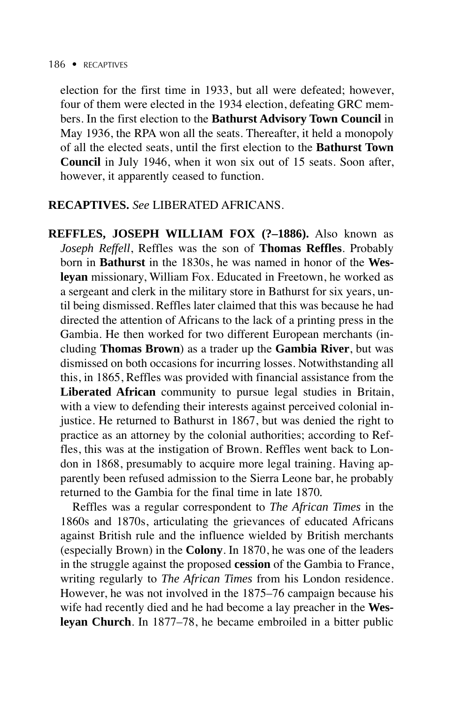### 186 • RECAPTIVES

election for the first time in 1933, but all were defeated; however, four of them were elected in the 1934 election, defeating GRC members. In the first election to the **Bathurst Advisory Town Council** in May 1936, the RPA won all the seats. Thereafter, it held a monopoly of all the elected seats, until the first election to the **Bathurst Town Council** in July 1946, when it won six out of 15 seats. Soon after, however, it apparently ceased to function.

# **RECAPTIVES.** *See* LIBERATED AFRICANS.

**REFFLES, JOSEPH WILLIAM FOX (?–1886).** Also known as *Joseph Reffell*, Reffles was the son of **Thomas Reffles**. Probably born in **Bathurst** in the 1830s, he was named in honor of the **Wesleyan** missionary, William Fox. Educated in Freetown, he worked as a sergeant and clerk in the military store in Bathurst for six years, until being dismissed. Reffles later claimed that this was because he had directed the attention of Africans to the lack of a printing press in the Gambia. He then worked for two different European merchants (including **Thomas Brown**) as a trader up the **Gambia River**, but was dismissed on both occasions for incurring losses. Notwithstanding all this, in 1865, Reffles was provided with financial assistance from the **Liberated African** community to pursue legal studies in Britain, with a view to defending their interests against perceived colonial injustice. He returned to Bathurst in 1867, but was denied the right to practice as an attorney by the colonial authorities; according to Reffles, this was at the instigation of Brown. Reffles went back to London in 1868, presumably to acquire more legal training. Having apparently been refused admission to the Sierra Leone bar, he probably returned to the Gambia for the final time in late 1870*.*

Reffles was a regular correspondent to *The African Times* in the 1860s and 1870s, articulating the grievances of educated Africans against British rule and the influence wielded by British merchants (especially Brown) in the **Colony**. In 1870, he was one of the leaders in the struggle against the proposed **cession** of the Gambia to France, writing regularly to *The African Times* from his London residence. However, he was not involved in the 1875–76 campaign because his wife had recently died and he had become a lay preacher in the **Wesleyan Church**. In 1877–78, he became embroiled in a bitter public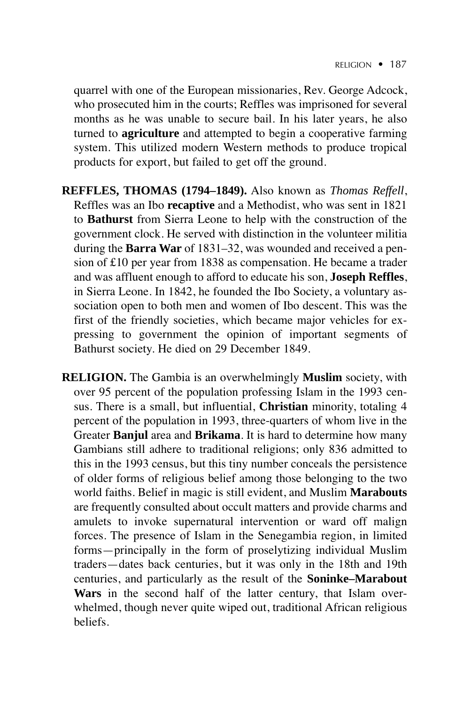quarrel with one of the European missionaries, Rev. George Adcock, who prosecuted him in the courts; Reffles was imprisoned for several months as he was unable to secure bail. In his later years, he also turned to **agriculture** and attempted to begin a cooperative farming system. This utilized modern Western methods to produce tropical products for export, but failed to get off the ground.

- **REFFLES, THOMAS (1794–1849).** Also known as *Thomas Reffell*, Reffles was an Ibo **recaptive** and a Methodist, who was sent in 1821 to **Bathurst** from Sierra Leone to help with the construction of the government clock. He served with distinction in the volunteer militia during the **Barra War** of 1831–32, was wounded and received a pension of £10 per year from 1838 as compensation. He became a trader and was affluent enough to afford to educate his son, **Joseph Reffles**, in Sierra Leone. In 1842, he founded the Ibo Society, a voluntary association open to both men and women of Ibo descent. This was the first of the friendly societies, which became major vehicles for expressing to government the opinion of important segments of Bathurst society. He died on 29 December 1849.
- **RELIGION.** The Gambia is an overwhelmingly **Muslim** society, with over 95 percent of the population professing Islam in the 1993 census. There is a small, but influential, **Christian** minority, totaling 4 percent of the population in 1993, three-quarters of whom live in the Greater **Banjul** area and **Brikama**. It is hard to determine how many Gambians still adhere to traditional religions; only 836 admitted to this in the 1993 census, but this tiny number conceals the persistence of older forms of religious belief among those belonging to the two world faiths. Belief in magic is still evident, and Muslim **Marabouts** are frequently consulted about occult matters and provide charms and amulets to invoke supernatural intervention or ward off malign forces. The presence of Islam in the Senegambia region, in limited forms—principally in the form of proselytizing individual Muslim traders—dates back centuries, but it was only in the 18th and 19th centuries, and particularly as the result of the **Soninke–Marabout Wars** in the second half of the latter century, that Islam overwhelmed, though never quite wiped out, traditional African religious beliefs.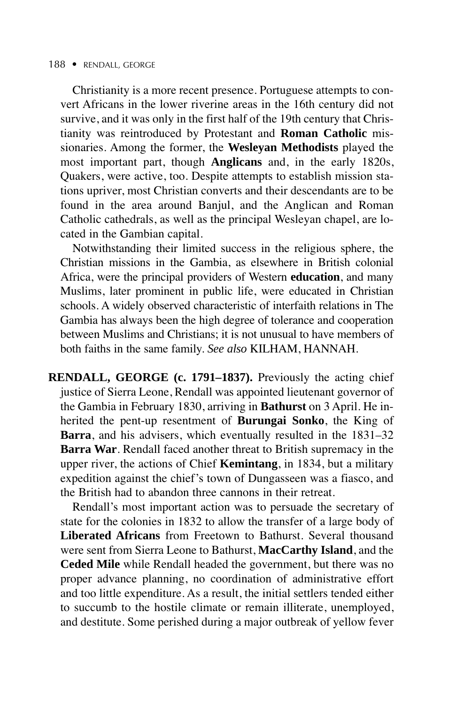#### 188 • RENDALL, GEORGE

Christianity is a more recent presence. Portuguese attempts to convert Africans in the lower riverine areas in the 16th century did not survive, and it was only in the first half of the 19th century that Christianity was reintroduced by Protestant and **Roman Catholic** missionaries. Among the former, the **Wesleyan Methodists** played the most important part, though **Anglicans** and, in the early 1820s, Quakers, were active, too. Despite attempts to establish mission stations upriver, most Christian converts and their descendants are to be found in the area around Banjul, and the Anglican and Roman Catholic cathedrals, as well as the principal Wesleyan chapel, are located in the Gambian capital.

Notwithstanding their limited success in the religious sphere, the Christian missions in the Gambia, as elsewhere in British colonial Africa, were the principal providers of Western **education**, and many Muslims, later prominent in public life, were educated in Christian schools. A widely observed characteristic of interfaith relations in The Gambia has always been the high degree of tolerance and cooperation between Muslims and Christians; it is not unusual to have members of both faiths in the same family. *See also* KILHAM, HANNAH.

**RENDALL, GEORGE (c. 1791–1837).** Previously the acting chief justice of Sierra Leone, Rendall was appointed lieutenant governor of the Gambia in February 1830, arriving in **Bathurst** on 3 April. He inherited the pent-up resentment of **Burungai Sonko**, the King of **Barra**, and his advisers, which eventually resulted in the 1831–32 **Barra War**. Rendall faced another threat to British supremacy in the upper river, the actions of Chief **Kemintang**, in 1834, but a military expedition against the chief's town of Dungasseen was a fiasco, and the British had to abandon three cannons in their retreat.

Rendall's most important action was to persuade the secretary of state for the colonies in 1832 to allow the transfer of a large body of **Liberated Africans** from Freetown to Bathurst. Several thousand were sent from Sierra Leone to Bathurst, **MacCarthy Island**, and the **Ceded Mile** while Rendall headed the government, but there was no proper advance planning, no coordination of administrative effort and too little expenditure. As a result, the initial settlers tended either to succumb to the hostile climate or remain illiterate, unemployed, and destitute. Some perished during a major outbreak of yellow fever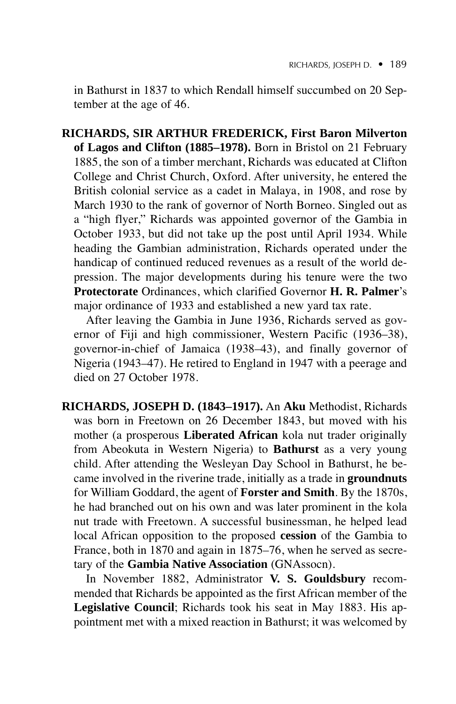in Bathurst in 1837 to which Rendall himself succumbed on 20 September at the age of 46.

**RICHARDS, SIR ARTHUR FREDERICK, First Baron Milverton of Lagos and Clifton (1885–1978).** Born in Bristol on 21 February 1885, the son of a timber merchant, Richards was educated at Clifton College and Christ Church, Oxford. After university, he entered the British colonial service as a cadet in Malaya, in 1908, and rose by March 1930 to the rank of governor of North Borneo. Singled out as a "high flyer," Richards was appointed governor of the Gambia in October 1933, but did not take up the post until April 1934. While heading the Gambian administration, Richards operated under the handicap of continued reduced revenues as a result of the world depression. The major developments during his tenure were the two **Protectorate** Ordinances, which clarified Governor **H. R. Palmer**'s major ordinance of 1933 and established a new yard tax rate.

After leaving the Gambia in June 1936, Richards served as governor of Fiji and high commissioner, Western Pacific (1936–38), governor-in-chief of Jamaica (1938–43), and finally governor of Nigeria (1943–47). He retired to England in 1947 with a peerage and died on 27 October 1978.

**RICHARDS, JOSEPH D. (1843–1917).** An **Aku** Methodist, Richards was born in Freetown on 26 December 1843, but moved with his mother (a prosperous **Liberated African** kola nut trader originally from Abeokuta in Western Nigeria) to **Bathurst** as a very young child. After attending the Wesleyan Day School in Bathurst, he became involved in the riverine trade, initially as a trade in **groundnuts** for William Goddard, the agent of **Forster and Smith**. By the 1870s, he had branched out on his own and was later prominent in the kola nut trade with Freetown. A successful businessman, he helped lead local African opposition to the proposed **cession** of the Gambia to France, both in 1870 and again in 1875–76, when he served as secretary of the **Gambia Native Association** (GNAssocn).

In November 1882, Administrator **V. S. Gouldsbury** recommended that Richards be appointed as the first African member of the **Legislative Council**; Richards took his seat in May 1883. His appointment met with a mixed reaction in Bathurst; it was welcomed by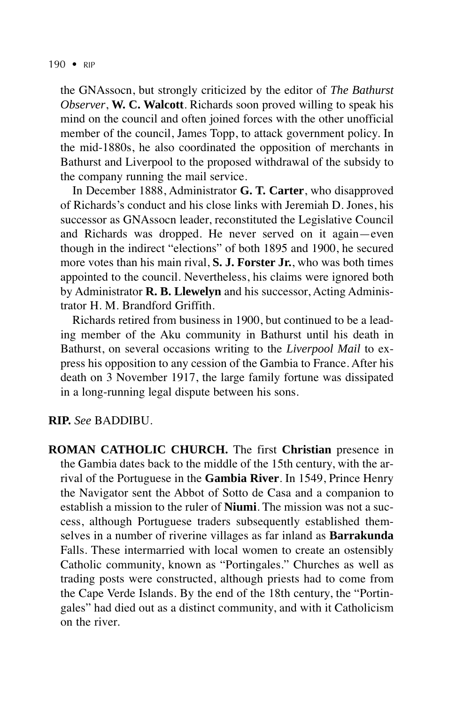the GNAssocn, but strongly criticized by the editor of *The Bathurst Observer*, **W. C. Walcott**. Richards soon proved willing to speak his mind on the council and often joined forces with the other unofficial member of the council, James Topp, to attack government policy. In the mid-1880s, he also coordinated the opposition of merchants in Bathurst and Liverpool to the proposed withdrawal of the subsidy to the company running the mail service.

In December 1888, Administrator **G. T. Carter**, who disapproved of Richards's conduct and his close links with Jeremiah D. Jones, his successor as GNAssocn leader, reconstituted the Legislative Council and Richards was dropped. He never served on it again—even though in the indirect "elections" of both 1895 and 1900, he secured more votes than his main rival, **S. J. Forster Jr.**, who was both times appointed to the council. Nevertheless, his claims were ignored both by Administrator **R. B. Llewelyn** and his successor, Acting Administrator H. M. Brandford Griffith.

Richards retired from business in 1900, but continued to be a leading member of the Aku community in Bathurst until his death in Bathurst, on several occasions writing to the *Liverpool Mail* to express his opposition to any cession of the Gambia to France. After his death on 3 November 1917, the large family fortune was dissipated in a long-running legal dispute between his sons.

## **RIP.** *See* BADDIBU.

**ROMAN CATHOLIC CHURCH.** The first **Christian** presence in the Gambia dates back to the middle of the 15th century, with the arrival of the Portuguese in the **Gambia River**. In 1549, Prince Henry the Navigator sent the Abbot of Sotto de Casa and a companion to establish a mission to the ruler of **Niumi**. The mission was not a success, although Portuguese traders subsequently established themselves in a number of riverine villages as far inland as **Barrakunda** Falls. These intermarried with local women to create an ostensibly Catholic community, known as "Portingales." Churches as well as trading posts were constructed, although priests had to come from the Cape Verde Islands. By the end of the 18th century, the "Portingales" had died out as a distinct community, and with it Catholicism on the river.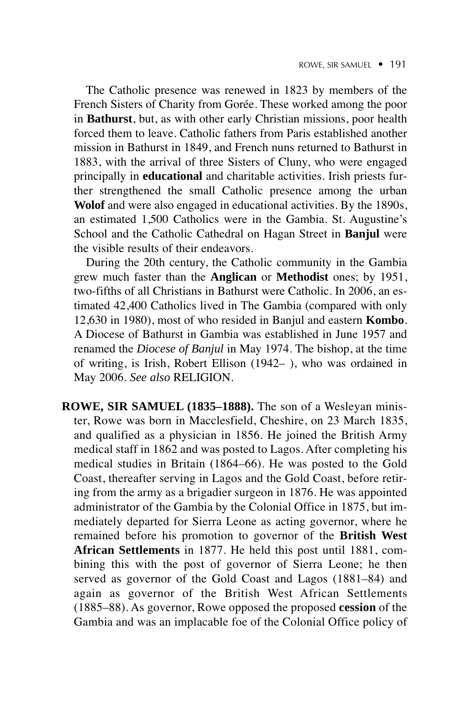The Catholic presence was renewed in 1823 by members of the French Sisters of Charity from Gorée. These worked among the poor in **Bathurst**, but, as with other early Christian missions, poor health forced them to leave. Catholic fathers from Paris established another mission in Bathurst in 1849, and French nuns returned to Bathurst in 1883, with the arrival of three Sisters of Cluny, who were engaged principally in **educational** and charitable activities. Irish priests further strengthened the small Catholic presence among the urban **Wolof** and were also engaged in educational activities. By the 1890s, an estimated 1,500 Catholics were in the Gambia. St. Augustine's School and the Catholic Cathedral on Hagan Street in **Banjul** were the visible results of their endeavors.

During the 20th century, the Catholic community in the Gambia grew much faster than the **Anglican** or **Methodist** ones; by 1951, two-fifths of all Christians in Bathurst were Catholic. In 2006, an estimated 42,400 Catholics lived in The Gambia (compared with only 12,630 in 1980), most of who resided in Banjul and eastern **Kombo**. A Diocese of Bathurst in Gambia was established in June 1957 and renamed the *Diocese of Banjul* in May 1974. The bishop, at the time of writing, is Irish, Robert Ellison (1942– ), who was ordained in May 2006. *See also* RELIGION.

**ROWE, SIR SAMUEL (1835–1888).** The son of a Wesleyan minister, Rowe was born in Macclesfield, Cheshire, on 23 March 1835, and qualified as a physician in 1856. He joined the British Army medical staff in 1862 and was posted to Lagos. After completing his medical studies in Britain (1864–66). He was posted to the Gold Coast, thereafter serving in Lagos and the Gold Coast, before retiring from the army as a brigadier surgeon in 1876. He was appointed administrator of the Gambia by the Colonial Office in 1875, but immediately departed for Sierra Leone as acting governor, where he remained before his promotion to governor of the **British West African Settlements** in 1877. He held this post until 1881, combining this with the post of governor of Sierra Leone; he then served as governor of the Gold Coast and Lagos (1881–84) and again as governor of the British West African Settlements (1885–88). As governor, Rowe opposed the proposed **cession** of the Gambia and was an implacable foe of the Colonial Office policy of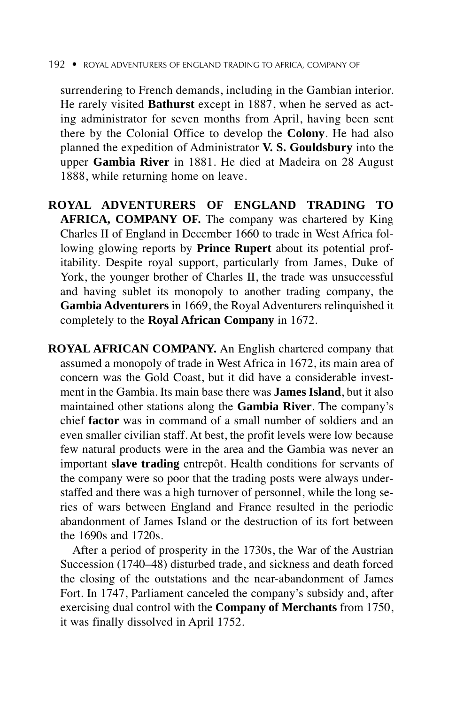#### 192 • ROYAL ADVENTURERS OF ENGLAND TRADING TO AFRICA, COMPANY OF

surrendering to French demands, including in the Gambian interior. He rarely visited **Bathurst** except in 1887, when he served as acting administrator for seven months from April, having been sent there by the Colonial Office to develop the **Colony**. He had also planned the expedition of Administrator **V. S. Gouldsbury** into the upper **Gambia River** in 1881. He died at Madeira on 28 August 1888, while returning home on leave.

- **ROYAL ADVENTURERS OF ENGLAND TRADING TO AFRICA, COMPANY OF.** The company was chartered by King Charles II of England in December 1660 to trade in West Africa following glowing reports by **Prince Rupert** about its potential profitability. Despite royal support, particularly from James, Duke of York, the younger brother of Charles II, the trade was unsuccessful and having sublet its monopoly to another trading company, the **Gambia Adventurers** in 1669, the Royal Adventurers relinquished it completely to the **Royal African Company** in 1672.
- **ROYAL AFRICAN COMPANY.** An English chartered company that assumed a monopoly of trade in West Africa in 1672, its main area of concern was the Gold Coast, but it did have a considerable investment in the Gambia. Its main base there was **James Island**, but it also maintained other stations along the **Gambia River**. The company's chief **factor** was in command of a small number of soldiers and an even smaller civilian staff. At best, the profit levels were low because few natural products were in the area and the Gambia was never an important **slave trading** entrepôt. Health conditions for servants of the company were so poor that the trading posts were always understaffed and there was a high turnover of personnel, while the long series of wars between England and France resulted in the periodic abandonment of James Island or the destruction of its fort between the 1690s and 1720s.

After a period of prosperity in the 1730s, the War of the Austrian Succession (1740–48) disturbed trade, and sickness and death forced the closing of the outstations and the near-abandonment of James Fort. In 1747, Parliament canceled the company's subsidy and, after exercising dual control with the **Company of Merchants** from 1750, it was finally dissolved in April 1752.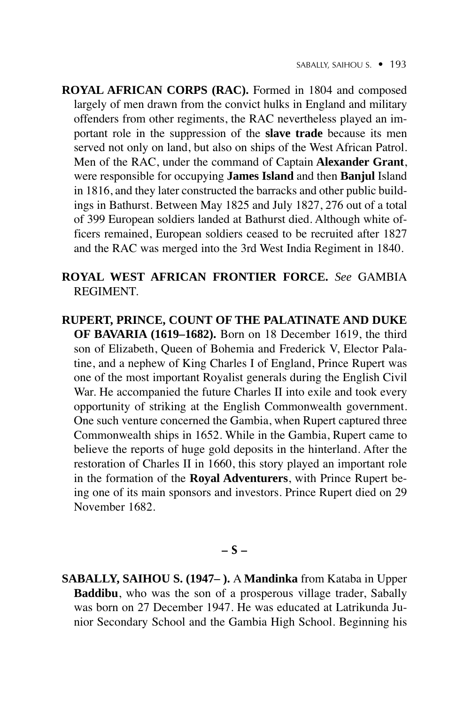**ROYAL AFRICAN CORPS (RAC).** Formed in 1804 and composed largely of men drawn from the convict hulks in England and military offenders from other regiments, the RAC nevertheless played an important role in the suppression of the **slave trade** because its men served not only on land, but also on ships of the West African Patrol. Men of the RAC, under the command of Captain **Alexander Grant**, were responsible for occupying **James Island** and then **Banjul** Island in 1816, and they later constructed the barracks and other public buildings in Bathurst. Between May 1825 and July 1827, 276 out of a total of 399 European soldiers landed at Bathurst died. Although white officers remained, European soldiers ceased to be recruited after 1827 and the RAC was merged into the 3rd West India Regiment in 1840.

# **ROYAL WEST AFRICAN FRONTIER FORCE.** *See* GAMBIA REGIMENT.

**RUPERT, PRINCE, COUNT OF THE PALATINATE AND DUKE OF BAVARIA (1619–1682).** Born on 18 December 1619, the third son of Elizabeth, Queen of Bohemia and Frederick V, Elector Palatine, and a nephew of King Charles I of England, Prince Rupert was one of the most important Royalist generals during the English Civil War. He accompanied the future Charles II into exile and took every opportunity of striking at the English Commonwealth government. One such venture concerned the Gambia, when Rupert captured three Commonwealth ships in 1652. While in the Gambia, Rupert came to believe the reports of huge gold deposits in the hinterland. After the restoration of Charles II in 1660, this story played an important role in the formation of the **Royal Adventurers**, with Prince Rupert being one of its main sponsors and investors. Prince Rupert died on 29 November 1682.

**– S –**

**SABALLY, SAIHOU S. (1947– ).** A **Mandinka** from Kataba in Upper **Baddibu**, who was the son of a prosperous village trader, Sabally was born on 27 December 1947. He was educated at Latrikunda Junior Secondary School and the Gambia High School. Beginning his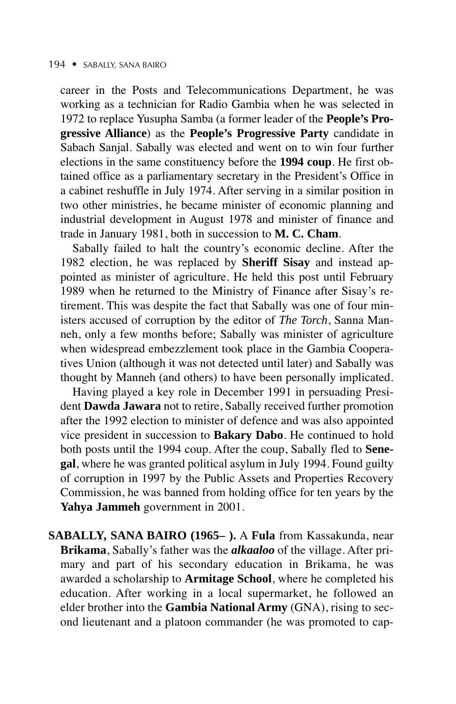career in the Posts and Telecommunications Department, he was working as a technician for Radio Gambia when he was selected in 1972 to replace Yusupha Samba (a former leader of the **People's Progressive Alliance**) as the **People's Progressive Party** candidate in Sabach Sanjal. Sabally was elected and went on to win four further elections in the same constituency before the **1994 coup**. He first obtained office as a parliamentary secretary in the President's Office in a cabinet reshuffle in July 1974. After serving in a similar position in two other ministries, he became minister of economic planning and industrial development in August 1978 and minister of finance and trade in January 1981, both in succession to **M. C. Cham**.

Sabally failed to halt the country's economic decline. After the 1982 election, he was replaced by **Sheriff Sisay** and instead appointed as minister of agriculture. He held this post until February 1989 when he returned to the Ministry of Finance after Sisay's retirement. This was despite the fact that Sabally was one of four ministers accused of corruption by the editor of *The Torch*, Sanna Manneh, only a few months before; Sabally was minister of agriculture when widespread embezzlement took place in the Gambia Cooperatives Union (although it was not detected until later) and Sabally was thought by Manneh (and others) to have been personally implicated.

Having played a key role in December 1991 in persuading President **Dawda Jawara** not to retire, Sabally received further promotion after the 1992 election to minister of defence and was also appointed vice president in succession to **Bakary Dabo**. He continued to hold both posts until the 1994 coup. After the coup, Sabally fled to **Senegal**, where he was granted political asylum in July 1994. Found guilty of corruption in 1997 by the Public Assets and Properties Recovery Commission, he was banned from holding office for ten years by the **Yahya Jammeh** government in 2001.

**SABALLY, SANA BAIRO (1965– ).** A **Fula** from Kassakunda, near **Brikama**, Sabally's father was the *alkaaloo* of the village. After primary and part of his secondary education in Brikama, he was awarded a scholarship to **Armitage School**, where he completed his education. After working in a local supermarket, he followed an elder brother into the **Gambia National Army** (GNA), rising to second lieutenant and a platoon commander (he was promoted to cap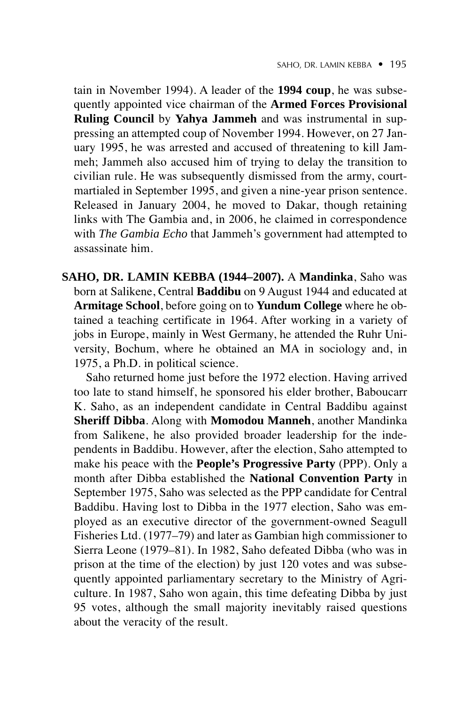tain in November 1994). A leader of the **1994 coup**, he was subsequently appointed vice chairman of the **Armed Forces Provisional Ruling Council** by **Yahya Jammeh** and was instrumental in suppressing an attempted coup of November 1994. However, on 27 January 1995, he was arrested and accused of threatening to kill Jammeh; Jammeh also accused him of trying to delay the transition to civilian rule. He was subsequently dismissed from the army, courtmartialed in September 1995, and given a nine-year prison sentence. Released in January 2004, he moved to Dakar, though retaining links with The Gambia and, in 2006, he claimed in correspondence with *The Gambia Echo* that Jammeh's government had attempted to assassinate him.

**SAHO, DR. LAMIN KEBBA (1944–2007).** A **Mandinka**, Saho was born at Salikene, Central **Baddibu** on 9 August 1944 and educated at **Armitage School**, before going on to **Yundum College** where he obtained a teaching certificate in 1964. After working in a variety of jobs in Europe, mainly in West Germany, he attended the Ruhr University, Bochum, where he obtained an MA in sociology and, in 1975, a Ph.D. in political science.

Saho returned home just before the 1972 election. Having arrived too late to stand himself, he sponsored his elder brother, Baboucarr K. Saho, as an independent candidate in Central Baddibu against **Sheriff Dibba**. Along with **Momodou Manneh**, another Mandinka from Salikene, he also provided broader leadership for the independents in Baddibu. However, after the election, Saho attempted to make his peace with the **People's Progressive Party** (PPP). Only a month after Dibba established the **National Convention Party** in September 1975, Saho was selected as the PPP candidate for Central Baddibu. Having lost to Dibba in the 1977 election, Saho was employed as an executive director of the government-owned Seagull Fisheries Ltd. (1977–79) and later as Gambian high commissioner to Sierra Leone (1979–81). In 1982, Saho defeated Dibba (who was in prison at the time of the election) by just 120 votes and was subsequently appointed parliamentary secretary to the Ministry of Agriculture. In 1987, Saho won again, this time defeating Dibba by just 95 votes, although the small majority inevitably raised questions about the veracity of the result.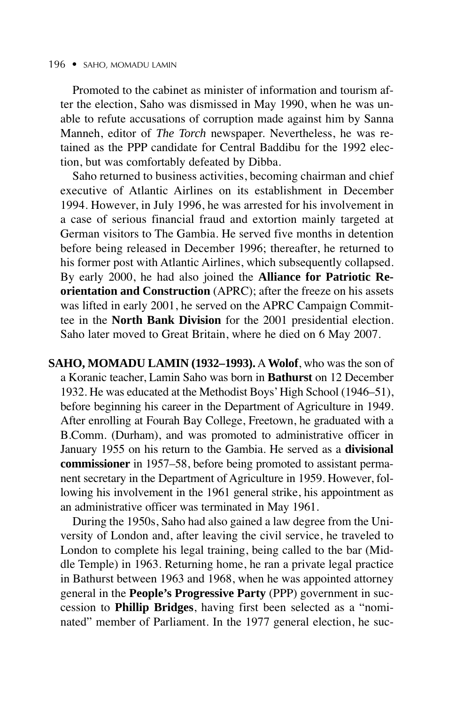Promoted to the cabinet as minister of information and tourism after the election, Saho was dismissed in May 1990, when he was unable to refute accusations of corruption made against him by Sanna Manneh, editor of *The Torch* newspaper. Nevertheless, he was retained as the PPP candidate for Central Baddibu for the 1992 election, but was comfortably defeated by Dibba.

Saho returned to business activities, becoming chairman and chief executive of Atlantic Airlines on its establishment in December 1994. However, in July 1996, he was arrested for his involvement in a case of serious financial fraud and extortion mainly targeted at German visitors to The Gambia. He served five months in detention before being released in December 1996; thereafter, he returned to his former post with Atlantic Airlines, which subsequently collapsed. By early 2000, he had also joined the **Alliance for Patriotic Reorientation and Construction** (APRC); after the freeze on his assets was lifted in early 2001, he served on the APRC Campaign Committee in the **North Bank Division** for the 2001 presidential election. Saho later moved to Great Britain, where he died on 6 May 2007.

**SAHO, MOMADU LAMIN (1932–1993).** A**Wolof**, who was the son of a Koranic teacher, Lamin Saho was born in **Bathurst** on 12 December 1932. He was educated at the Methodist Boys' High School (1946–51), before beginning his career in the Department of Agriculture in 1949. After enrolling at Fourah Bay College, Freetown, he graduated with a B.Comm. (Durham), and was promoted to administrative officer in January 1955 on his return to the Gambia. He served as a **divisional commissioner** in 1957–58, before being promoted to assistant permanent secretary in the Department of Agriculture in 1959. However, following his involvement in the 1961 general strike, his appointment as an administrative officer was terminated in May 1961.

During the 1950s, Saho had also gained a law degree from the University of London and, after leaving the civil service, he traveled to London to complete his legal training, being called to the bar (Middle Temple) in 1963. Returning home, he ran a private legal practice in Bathurst between 1963 and 1968, when he was appointed attorney general in the **People's Progressive Party** (PPP) government in succession to **Phillip Bridges**, having first been selected as a "nominated" member of Parliament. In the 1977 general election, he suc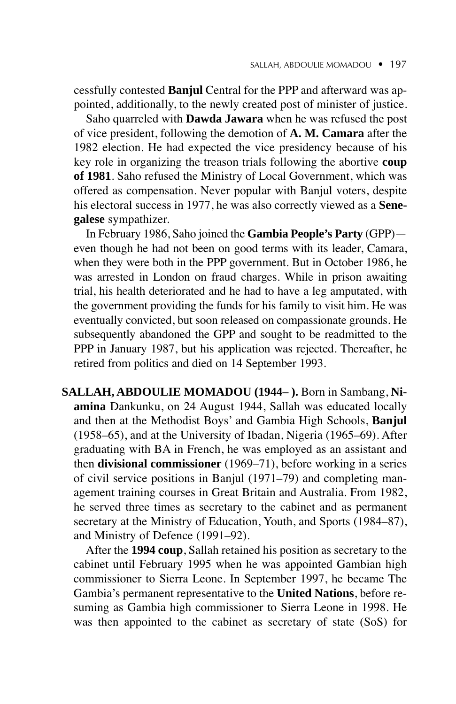cessfully contested **Banjul** Central for the PPP and afterward was appointed, additionally, to the newly created post of minister of justice.

Saho quarreled with **Dawda Jawara** when he was refused the post of vice president, following the demotion of **A. M. Camara** after the 1982 election. He had expected the vice presidency because of his key role in organizing the treason trials following the abortive **coup of 1981**. Saho refused the Ministry of Local Government, which was offered as compensation. Never popular with Banjul voters, despite his electoral success in 1977, he was also correctly viewed as a **Senegalese** sympathizer.

In February 1986, Saho joined the **Gambia People's Party** (GPP) even though he had not been on good terms with its leader, Camara, when they were both in the PPP government. But in October 1986, he was arrested in London on fraud charges. While in prison awaiting trial, his health deteriorated and he had to have a leg amputated, with the government providing the funds for his family to visit him. He was eventually convicted, but soon released on compassionate grounds. He subsequently abandoned the GPP and sought to be readmitted to the PPP in January 1987, but his application was rejected. Thereafter, he retired from politics and died on 14 September 1993.

**SALLAH, ABDOULIE MOMADOU (1944– ).** Born in Sambang, **Niamina** Dankunku, on 24 August 1944, Sallah was educated locally and then at the Methodist Boys' and Gambia High Schools, **Banjul** (1958–65), and at the University of Ibadan, Nigeria (1965–69). After graduating with BA in French, he was employed as an assistant and then **divisional commissioner** (1969–71), before working in a series of civil service positions in Banjul (1971–79) and completing management training courses in Great Britain and Australia. From 1982, he served three times as secretary to the cabinet and as permanent secretary at the Ministry of Education, Youth, and Sports (1984–87), and Ministry of Defence (1991–92).

After the **1994 coup**, Sallah retained his position as secretary to the cabinet until February 1995 when he was appointed Gambian high commissioner to Sierra Leone. In September 1997, he became The Gambia's permanent representative to the **United Nations**, before resuming as Gambia high commissioner to Sierra Leone in 1998. He was then appointed to the cabinet as secretary of state (SoS) for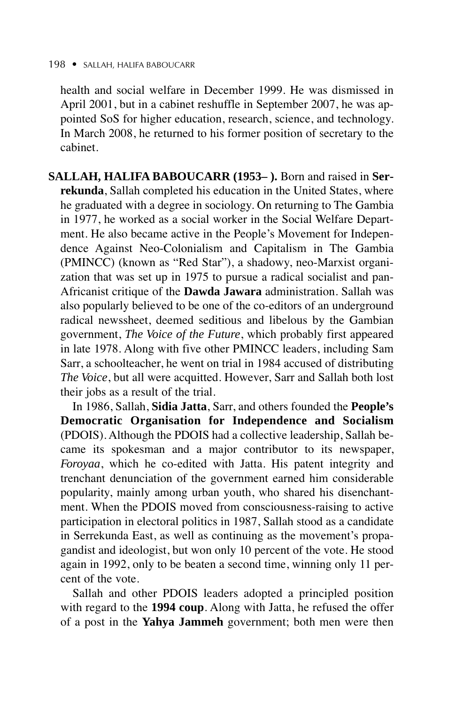health and social welfare in December 1999. He was dismissed in April 2001, but in a cabinet reshuffle in September 2007, he was appointed SoS for higher education, research, science, and technology. In March 2008, he returned to his former position of secretary to the cabinet.

**SALLAH, HALIFA BABOUCARR (1953– ).** Born and raised in **Serrekunda**, Sallah completed his education in the United States, where he graduated with a degree in sociology. On returning to The Gambia in 1977, he worked as a social worker in the Social Welfare Department. He also became active in the People's Movement for Independence Against Neo-Colonialism and Capitalism in The Gambia (PMINCC) (known as "Red Star"), a shadowy, neo-Marxist organization that was set up in 1975 to pursue a radical socialist and pan-Africanist critique of the **Dawda Jawara** administration. Sallah was also popularly believed to be one of the co-editors of an underground radical newssheet, deemed seditious and libelous by the Gambian government, *The Voice of the Future*, which probably first appeared in late 1978. Along with five other PMINCC leaders, including Sam Sarr, a schoolteacher, he went on trial in 1984 accused of distributing *The Voice*, but all were acquitted. However, Sarr and Sallah both lost their jobs as a result of the trial.

In 1986, Sallah, **Sidia Jatta**, Sarr, and others founded the **People's Democratic Organisation for Independence and Socialism** (PDOIS). Although the PDOIS had a collective leadership, Sallah became its spokesman and a major contributor to its newspaper, *Foroyaa*, which he co-edited with Jatta. His patent integrity and trenchant denunciation of the government earned him considerable popularity, mainly among urban youth, who shared his disenchantment. When the PDOIS moved from consciousness-raising to active participation in electoral politics in 1987, Sallah stood as a candidate in Serrekunda East, as well as continuing as the movement's propagandist and ideologist, but won only 10 percent of the vote. He stood again in 1992, only to be beaten a second time, winning only 11 percent of the vote.

Sallah and other PDOIS leaders adopted a principled position with regard to the **1994 coup**. Along with Jatta, he refused the offer of a post in the **Yahya Jammeh** government; both men were then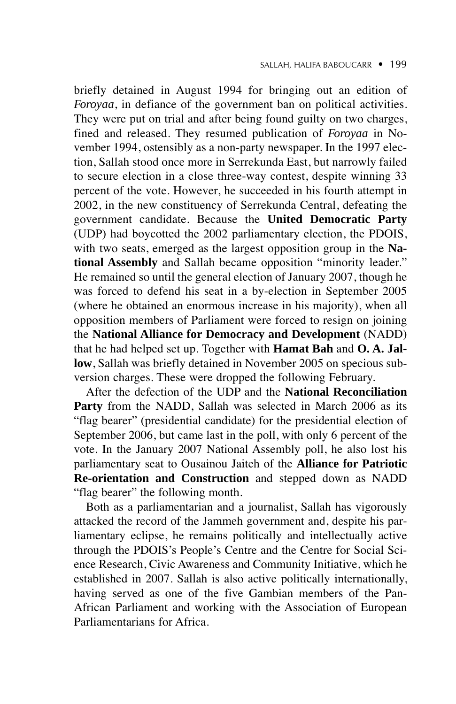briefly detained in August 1994 for bringing out an edition of *Foroyaa*, in defiance of the government ban on political activities. They were put on trial and after being found guilty on two charges, fined and released. They resumed publication of *Foroyaa* in November 1994, ostensibly as a non-party newspaper. In the 1997 election, Sallah stood once more in Serrekunda East, but narrowly failed to secure election in a close three-way contest, despite winning 33 percent of the vote. However, he succeeded in his fourth attempt in 2002, in the new constituency of Serrekunda Central, defeating the government candidate. Because the **United Democratic Party** (UDP) had boycotted the 2002 parliamentary election, the PDOIS, with two seats, emerged as the largest opposition group in the **National Assembly** and Sallah became opposition "minority leader." He remained so until the general election of January 2007, though he was forced to defend his seat in a by-election in September 2005 (where he obtained an enormous increase in his majority), when all opposition members of Parliament were forced to resign on joining the **National Alliance for Democracy and Development** (NADD) that he had helped set up. Together with **Hamat Bah** and **O. A. Jallow**, Sallah was briefly detained in November 2005 on specious subversion charges. These were dropped the following February.

After the defection of the UDP and the **National Reconciliation Party** from the NADD, Sallah was selected in March 2006 as its "flag bearer" (presidential candidate) for the presidential election of September 2006, but came last in the poll, with only 6 percent of the vote. In the January 2007 National Assembly poll, he also lost his parliamentary seat to Ousainou Jaiteh of the **Alliance for Patriotic Re-orientation and Construction** and stepped down as NADD "flag bearer" the following month.

Both as a parliamentarian and a journalist, Sallah has vigorously attacked the record of the Jammeh government and, despite his parliamentary eclipse, he remains politically and intellectually active through the PDOIS's People's Centre and the Centre for Social Science Research, Civic Awareness and Community Initiative, which he established in 2007. Sallah is also active politically internationally, having served as one of the five Gambian members of the Pan-African Parliament and working with the Association of European Parliamentarians for Africa.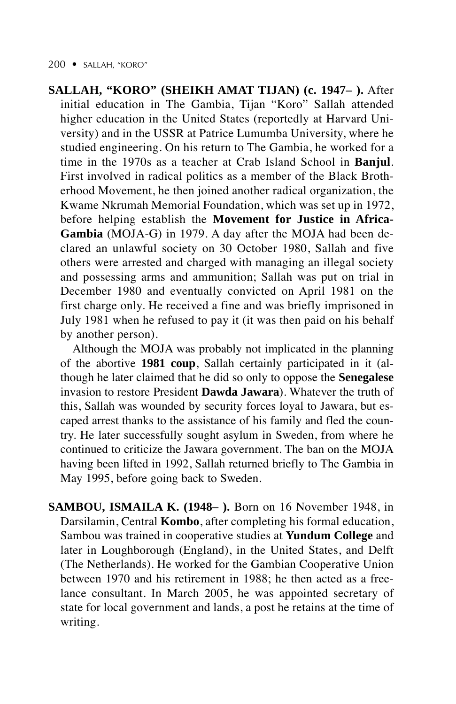200 • SALLAH, "KORO"

**SALLAH, "KORO" (SHEIKH AMAT TIJAN) (c. 1947– ).** After initial education in The Gambia, Tijan "Koro" Sallah attended higher education in the United States (reportedly at Harvard University) and in the USSR at Patrice Lumumba University, where he studied engineering. On his return to The Gambia, he worked for a time in the 1970s as a teacher at Crab Island School in **Banjul**. First involved in radical politics as a member of the Black Brotherhood Movement, he then joined another radical organization, the Kwame Nkrumah Memorial Foundation, which was set up in 1972, before helping establish the **Movement for Justice in Africa-Gambia** (MOJA-G) in 1979. A day after the MOJA had been declared an unlawful society on 30 October 1980, Sallah and five others were arrested and charged with managing an illegal society and possessing arms and ammunition; Sallah was put on trial in December 1980 and eventually convicted on April 1981 on the first charge only. He received a fine and was briefly imprisoned in July 1981 when he refused to pay it (it was then paid on his behalf by another person).

Although the MOJA was probably not implicated in the planning of the abortive **1981 coup**, Sallah certainly participated in it (although he later claimed that he did so only to oppose the **Senegalese** invasion to restore President **Dawda Jawara**). Whatever the truth of this, Sallah was wounded by security forces loyal to Jawara, but escaped arrest thanks to the assistance of his family and fled the country. He later successfully sought asylum in Sweden, from where he continued to criticize the Jawara government. The ban on the MOJA having been lifted in 1992, Sallah returned briefly to The Gambia in May 1995, before going back to Sweden.

**SAMBOU, ISMAILA K. (1948– ).** Born on 16 November 1948, in Darsilamin, Central **Kombo**, after completing his formal education, Sambou was trained in cooperative studies at **Yundum College** and later in Loughborough (England), in the United States, and Delft (The Netherlands). He worked for the Gambian Cooperative Union between 1970 and his retirement in 1988; he then acted as a freelance consultant. In March 2005, he was appointed secretary of state for local government and lands, a post he retains at the time of writing.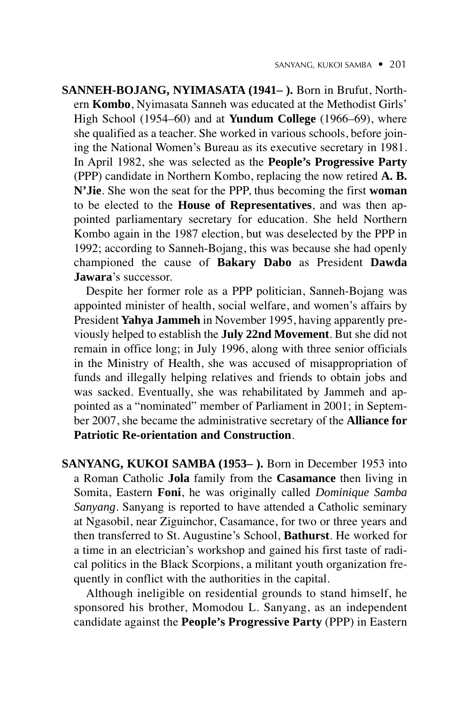**SANNEH-BOJANG, NYIMASATA (1941– ).** Born in Brufut, Northern **Kombo**, Nyimasata Sanneh was educated at the Methodist Girls' High School (1954–60) and at **Yundum College** (1966–69), where she qualified as a teacher. She worked in various schools, before joining the National Women's Bureau as its executive secretary in 1981. In April 1982, she was selected as the **People's Progressive Party** (PPP) candidate in Northern Kombo, replacing the now retired **A. B. N'Jie**. She won the seat for the PPP, thus becoming the first **woman** to be elected to the **House of Representatives**, and was then appointed parliamentary secretary for education. She held Northern Kombo again in the 1987 election, but was deselected by the PPP in 1992; according to Sanneh-Bojang, this was because she had openly championed the cause of **Bakary Dabo** as President **Dawda Jawara**'s successor.

Despite her former role as a PPP politician, Sanneh-Bojang was appointed minister of health, social welfare, and women's affairs by President **Yahya Jammeh** in November 1995, having apparently previously helped to establish the **July 22nd Movement**. But she did not remain in office long; in July 1996, along with three senior officials in the Ministry of Health, she was accused of misappropriation of funds and illegally helping relatives and friends to obtain jobs and was sacked. Eventually, she was rehabilitated by Jammeh and appointed as a "nominated" member of Parliament in 2001; in September 2007, she became the administrative secretary of the **Alliance for Patriotic Re-orientation and Construction**.

**SANYANG, KUKOI SAMBA (1953– ).** Born in December 1953 into a Roman Catholic **Jola** family from the **Casamance** then living in Somita, Eastern **Foni**, he was originally called *Dominique Samba Sanyang*. Sanyang is reported to have attended a Catholic seminary at Ngasobil, near Ziguinchor, Casamance, for two or three years and then transferred to St. Augustine's School, **Bathurst**. He worked for a time in an electrician's workshop and gained his first taste of radical politics in the Black Scorpions, a militant youth organization frequently in conflict with the authorities in the capital.

Although ineligible on residential grounds to stand himself, he sponsored his brother, Momodou L. Sanyang, as an independent candidate against the **People's Progressive Party** (PPP) in Eastern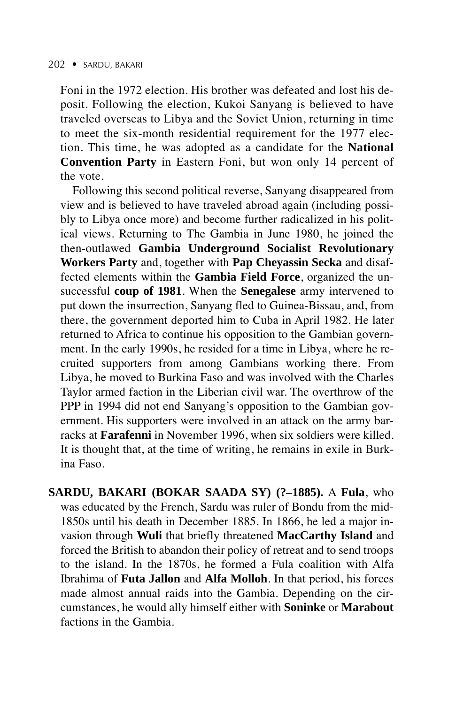#### 202 • SARDU, BAKARI

Foni in the 1972 election. His brother was defeated and lost his deposit. Following the election, Kukoi Sanyang is believed to have traveled overseas to Libya and the Soviet Union, returning in time to meet the six-month residential requirement for the 1977 election. This time, he was adopted as a candidate for the **National Convention Party** in Eastern Foni, but won only 14 percent of the vote.

Following this second political reverse, Sanyang disappeared from view and is believed to have traveled abroad again (including possibly to Libya once more) and become further radicalized in his political views. Returning to The Gambia in June 1980, he joined the then-outlawed **Gambia Underground Socialist Revolutionary Workers Party** and, together with **Pap Cheyassin Secka** and disaffected elements within the **Gambia Field Force**, organized the unsuccessful **coup of 1981**. When the **Senegalese** army intervened to put down the insurrection, Sanyang fled to Guinea-Bissau, and, from there, the government deported him to Cuba in April 1982. He later returned to Africa to continue his opposition to the Gambian government. In the early 1990s, he resided for a time in Libya, where he recruited supporters from among Gambians working there. From Libya, he moved to Burkina Faso and was involved with the Charles Taylor armed faction in the Liberian civil war. The overthrow of the PPP in 1994 did not end Sanyang's opposition to the Gambian government. His supporters were involved in an attack on the army barracks at **Farafenni** in November 1996, when six soldiers were killed. It is thought that, at the time of writing, he remains in exile in Burkina Faso.

**SARDU, BAKARI (BOKAR SAADA SY) (?–1885).** A **Fula**, who was educated by the French, Sardu was ruler of Bondu from the mid-1850s until his death in December 1885. In 1866, he led a major invasion through **Wuli** that briefly threatened **MacCarthy Island** and forced the British to abandon their policy of retreat and to send troops to the island. In the 1870s, he formed a Fula coalition with Alfa Ibrahima of **Futa Jallon** and **Alfa Molloh**. In that period, his forces made almost annual raids into the Gambia. Depending on the circumstances, he would ally himself either with **Soninke** or **Marabout** factions in the Gambia.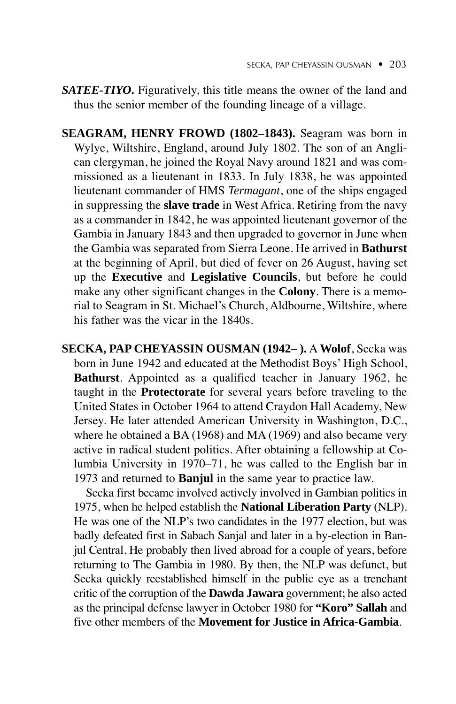- *SATEE-TIYO***.** Figuratively, this title means the owner of the land and thus the senior member of the founding lineage of a village.
- **SEAGRAM, HENRY FROWD (1802–1843).** Seagram was born in Wylye, Wiltshire, England, around July 1802. The son of an Anglican clergyman, he joined the Royal Navy around 1821 and was commissioned as a lieutenant in 1833. In July 1838, he was appointed lieutenant commander of HMS *Termagant*, one of the ships engaged in suppressing the **slave trade** in West Africa. Retiring from the navy as a commander in 1842, he was appointed lieutenant governor of the Gambia in January 1843 and then upgraded to governor in June when the Gambia was separated from Sierra Leone. He arrived in **Bathurst** at the beginning of April, but died of fever on 26 August, having set up the **Executive** and **Legislative Councils**, but before he could make any other significant changes in the **Colony**. There is a memorial to Seagram in St. Michael's Church, Aldbourne, Wiltshire, where his father was the vicar in the 1840s.
- **SECKA, PAP CHEYASSIN OUSMAN (1942– ).** A **Wolof**, Secka was born in June 1942 and educated at the Methodist Boys' High School, **Bathurst**. Appointed as a qualified teacher in January 1962, he taught in the **Protectorate** for several years before traveling to the United States in October 1964 to attend Craydon Hall Academy, New Jersey. He later attended American University in Washington, D.C., where he obtained a BA (1968) and MA (1969) and also became very active in radical student politics. After obtaining a fellowship at Columbia University in 1970–71, he was called to the English bar in 1973 and returned to **Banjul** in the same year to practice law.

Secka first became involved actively involved in Gambian politics in 1975, when he helped establish the **National Liberation Party** (NLP). He was one of the NLP's two candidates in the 1977 election, but was badly defeated first in Sabach Sanjal and later in a by-election in Banjul Central. He probably then lived abroad for a couple of years, before returning to The Gambia in 1980. By then, the NLP was defunct, but Secka quickly reestablished himself in the public eye as a trenchant critic of the corruption of the **Dawda Jawara** government; he also acted as the principal defense lawyer in October 1980 for **"Koro" Sallah** and five other members of the **Movement for Justice in Africa-Gambia**.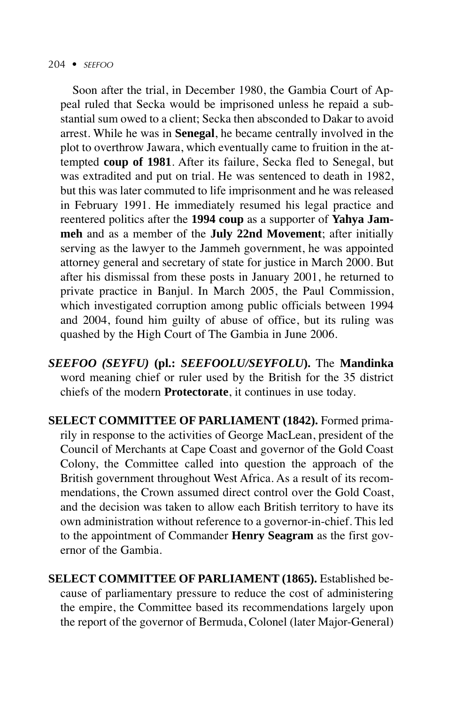#### 204 • SEEFOO

Soon after the trial, in December 1980, the Gambia Court of Appeal ruled that Secka would be imprisoned unless he repaid a substantial sum owed to a client; Secka then absconded to Dakar to avoid arrest. While he was in **Senegal**, he became centrally involved in the plot to overthrow Jawara, which eventually came to fruition in the attempted **coup of 1981**. After its failure, Secka fled to Senegal, but was extradited and put on trial. He was sentenced to death in 1982, but this was later commuted to life imprisonment and he was released in February 1991. He immediately resumed his legal practice and reentered politics after the **1994 coup** as a supporter of **Yahya Jammeh** and as a member of the **July 22nd Movement**; after initially serving as the lawyer to the Jammeh government, he was appointed attorney general and secretary of state for justice in March 2000. But after his dismissal from these posts in January 2001, he returned to private practice in Banjul. In March 2005, the Paul Commission, which investigated corruption among public officials between 1994 and 2004, found him guilty of abuse of office, but its ruling was quashed by the High Court of The Gambia in June 2006.

- *SEEFOO (SEYFU)* **(pl.:** *SEEFOOLU/SEYFOLU***).** The **Mandinka** word meaning chief or ruler used by the British for the 35 district chiefs of the modern **Protectorate**, it continues in use today.
- **SELECT COMMITTEE OF PARLIAMENT (1842).** Formed primarily in response to the activities of George MacLean, president of the Council of Merchants at Cape Coast and governor of the Gold Coast Colony, the Committee called into question the approach of the British government throughout West Africa. As a result of its recommendations, the Crown assumed direct control over the Gold Coast, and the decision was taken to allow each British territory to have its own administration without reference to a governor-in-chief. This led to the appointment of Commander **Henry Seagram** as the first governor of the Gambia.

**SELECT COMMITTEE OF PARLIAMENT (1865).** Established because of parliamentary pressure to reduce the cost of administering the empire, the Committee based its recommendations largely upon the report of the governor of Bermuda, Colonel (later Major-General)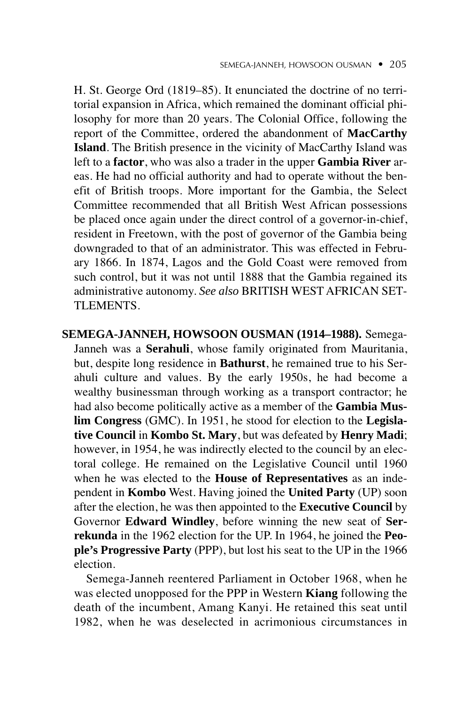H. St. George Ord (1819–85). It enunciated the doctrine of no territorial expansion in Africa, which remained the dominant official philosophy for more than 20 years. The Colonial Office, following the report of the Committee, ordered the abandonment of **MacCarthy Island**. The British presence in the vicinity of MacCarthy Island was left to a **factor**, who was also a trader in the upper **Gambia River** areas. He had no official authority and had to operate without the benefit of British troops. More important for the Gambia, the Select Committee recommended that all British West African possessions be placed once again under the direct control of a governor-in-chief, resident in Freetown, with the post of governor of the Gambia being downgraded to that of an administrator. This was effected in February 1866. In 1874, Lagos and the Gold Coast were removed from such control, but it was not until 1888 that the Gambia regained its administrative autonomy. *See also* BRITISH WEST AFRICAN SET-TLEMENTS.

**SEMEGA-JANNEH, HOWSOON OUSMAN (1914–1988).** Semega-Janneh was a **Serahuli**, whose family originated from Mauritania, but, despite long residence in **Bathurst**, he remained true to his Serahuli culture and values. By the early 1950s, he had become a wealthy businessman through working as a transport contractor; he had also become politically active as a member of the **Gambia Muslim Congress** (GMC). In 1951, he stood for election to the **Legislative Council** in **Kombo St. Mary**, but was defeated by **Henry Madi**; however, in 1954, he was indirectly elected to the council by an electoral college. He remained on the Legislative Council until 1960 when he was elected to the **House of Representatives** as an independent in **Kombo** West. Having joined the **United Party** (UP) soon after the election, he was then appointed to the **Executive Council** by Governor **Edward Windley**, before winning the new seat of **Serrekunda** in the 1962 election for the UP. In 1964, he joined the **People's Progressive Party** (PPP), but lost his seat to the UP in the 1966 election.

Semega-Janneh reentered Parliament in October 1968, when he was elected unopposed for the PPP in Western **Kiang** following the death of the incumbent, Amang Kanyi. He retained this seat until 1982, when he was deselected in acrimonious circumstances in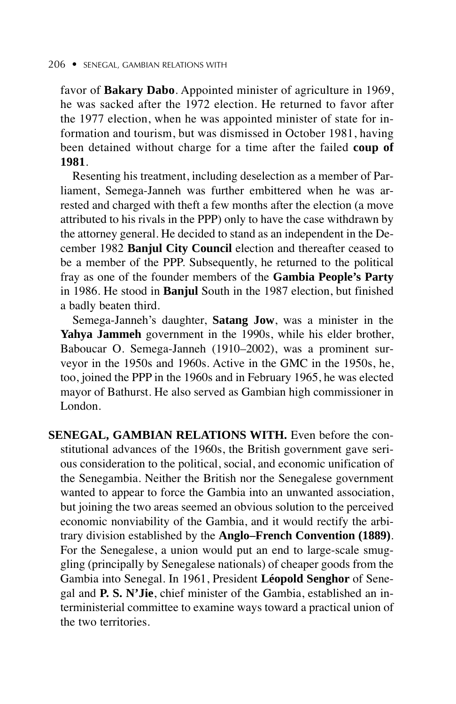#### 206 • SENEGAL, GAMBIAN RELATIONS WITH

favor of **Bakary Dabo**. Appointed minister of agriculture in 1969, he was sacked after the 1972 election. He returned to favor after the 1977 election, when he was appointed minister of state for information and tourism, but was dismissed in October 1981, having been detained without charge for a time after the failed **coup of 1981**.

Resenting his treatment, including deselection as a member of Parliament, Semega-Janneh was further embittered when he was arrested and charged with theft a few months after the election (a move attributed to his rivals in the PPP) only to have the case withdrawn by the attorney general. He decided to stand as an independent in the December 1982 **Banjul City Council** election and thereafter ceased to be a member of the PPP. Subsequently, he returned to the political fray as one of the founder members of the **Gambia People's Party** in 1986. He stood in **Banjul** South in the 1987 election, but finished a badly beaten third.

Semega-Janneh's daughter, **Satang Jow**, was a minister in the **Yahya Jammeh** government in the 1990s, while his elder brother, Baboucar O. Semega-Janneh (1910–2002), was a prominent surveyor in the 1950s and 1960s. Active in the GMC in the 1950s, he, too, joined the PPP in the 1960s and in February 1965, he was elected mayor of Bathurst. He also served as Gambian high commissioner in London.

**SENEGAL, GAMBIAN RELATIONS WITH.** Even before the constitutional advances of the 1960s, the British government gave serious consideration to the political, social, and economic unification of the Senegambia. Neither the British nor the Senegalese government wanted to appear to force the Gambia into an unwanted association, but joining the two areas seemed an obvious solution to the perceived economic nonviability of the Gambia, and it would rectify the arbitrary division established by the **Anglo–French Convention (1889)**. For the Senegalese, a union would put an end to large-scale smuggling (principally by Senegalese nationals) of cheaper goods from the Gambia into Senegal. In 1961, President **Léopold Senghor** of Senegal and **P. S. N'Jie**, chief minister of the Gambia, established an interministerial committee to examine ways toward a practical union of the two territories.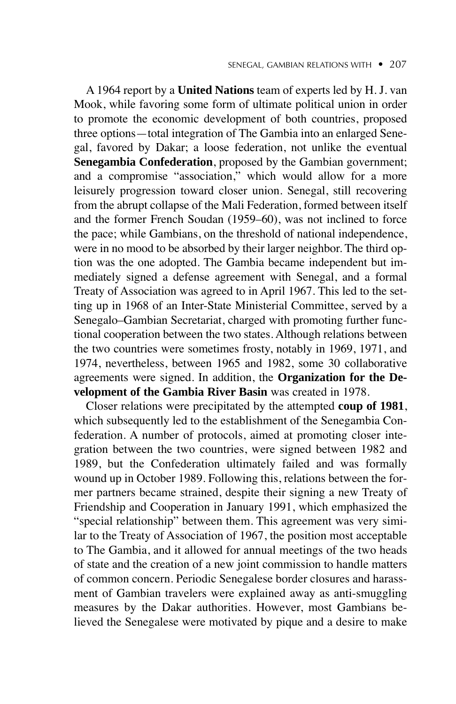A 1964 report by a **United Nations** team of experts led by H. J. van Mook, while favoring some form of ultimate political union in order to promote the economic development of both countries, proposed three options—total integration of The Gambia into an enlarged Senegal, favored by Dakar; a loose federation, not unlike the eventual **Senegambia Confederation**, proposed by the Gambian government; and a compromise "association," which would allow for a more leisurely progression toward closer union. Senegal, still recovering from the abrupt collapse of the Mali Federation, formed between itself and the former French Soudan (1959–60), was not inclined to force the pace; while Gambians, on the threshold of national independence, were in no mood to be absorbed by their larger neighbor. The third option was the one adopted. The Gambia became independent but immediately signed a defense agreement with Senegal, and a formal Treaty of Association was agreed to in April 1967. This led to the setting up in 1968 of an Inter-State Ministerial Committee, served by a Senegalo–Gambian Secretariat, charged with promoting further functional cooperation between the two states. Although relations between the two countries were sometimes frosty, notably in 1969, 1971, and 1974, nevertheless, between 1965 and 1982, some 30 collaborative agreements were signed. In addition, the **Organization for the Development of the Gambia River Basin** was created in 1978.

Closer relations were precipitated by the attempted **coup of 1981**, which subsequently led to the establishment of the Senegambia Confederation. A number of protocols, aimed at promoting closer integration between the two countries, were signed between 1982 and 1989, but the Confederation ultimately failed and was formally wound up in October 1989. Following this, relations between the former partners became strained, despite their signing a new Treaty of Friendship and Cooperation in January 1991, which emphasized the "special relationship" between them. This agreement was very similar to the Treaty of Association of 1967, the position most acceptable to The Gambia, and it allowed for annual meetings of the two heads of state and the creation of a new joint commission to handle matters of common concern. Periodic Senegalese border closures and harassment of Gambian travelers were explained away as anti-smuggling measures by the Dakar authorities. However, most Gambians believed the Senegalese were motivated by pique and a desire to make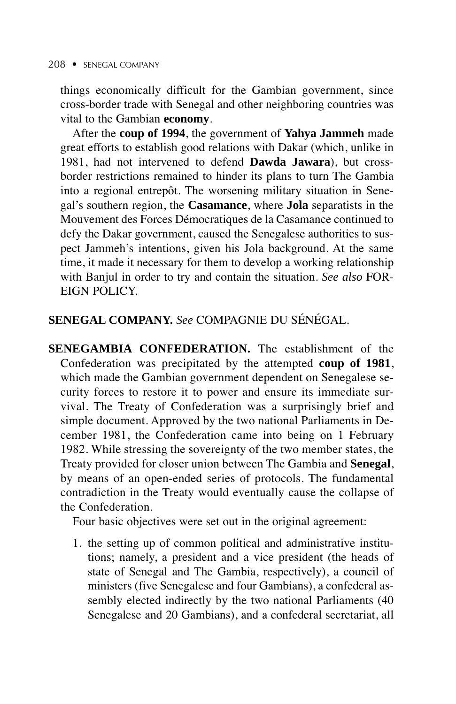things economically difficult for the Gambian government, since cross-border trade with Senegal and other neighboring countries was vital to the Gambian **economy**.

After the **coup of 1994**, the government of **Yahya Jammeh** made great efforts to establish good relations with Dakar (which, unlike in 1981, had not intervened to defend **Dawda Jawara**), but crossborder restrictions remained to hinder its plans to turn The Gambia into a regional entrepôt. The worsening military situation in Senegal's southern region, the **Casamance**, where **Jola** separatists in the Mouvement des Forces Démocratiques de la Casamance continued to defy the Dakar government, caused the Senegalese authorities to suspect Jammeh's intentions, given his Jola background. At the same time, it made it necessary for them to develop a working relationship with Banjul in order to try and contain the situation. *See also* FOR-EIGN POLICY.

# **SENEGAL COMPANY.** *See* COMPAGNIE DU SÉNÉGAL.

**SENEGAMBIA CONFEDERATION.** The establishment of the Confederation was precipitated by the attempted **coup of 1981**, which made the Gambian government dependent on Senegalese security forces to restore it to power and ensure its immediate survival. The Treaty of Confederation was a surprisingly brief and simple document. Approved by the two national Parliaments in December 1981, the Confederation came into being on 1 February 1982. While stressing the sovereignty of the two member states, the Treaty provided for closer union between The Gambia and **Senegal**, by means of an open-ended series of protocols. The fundamental contradiction in the Treaty would eventually cause the collapse of the Confederation.

Four basic objectives were set out in the original agreement:

1. the setting up of common political and administrative institutions; namely, a president and a vice president (the heads of state of Senegal and The Gambia, respectively), a council of ministers (five Senegalese and four Gambians), a confederal assembly elected indirectly by the two national Parliaments (40) Senegalese and 20 Gambians), and a confederal secretariat, all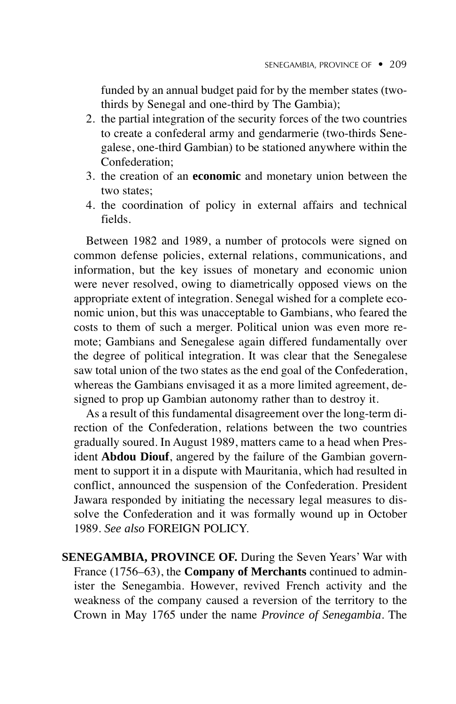funded by an annual budget paid for by the member states (twothirds by Senegal and one-third by The Gambia);

- 2. the partial integration of the security forces of the two countries to create a confederal army and gendarmerie (two-thirds Senegalese, one-third Gambian) to be stationed anywhere within the Confederation;
- 3. the creation of an **economic** and monetary union between the two states;
- 4. the coordination of policy in external affairs and technical fields.

Between 1982 and 1989, a number of protocols were signed on common defense policies, external relations, communications, and information, but the key issues of monetary and economic union were never resolved, owing to diametrically opposed views on the appropriate extent of integration. Senegal wished for a complete economic union, but this was unacceptable to Gambians, who feared the costs to them of such a merger. Political union was even more remote; Gambians and Senegalese again differed fundamentally over the degree of political integration. It was clear that the Senegalese saw total union of the two states as the end goal of the Confederation, whereas the Gambians envisaged it as a more limited agreement, designed to prop up Gambian autonomy rather than to destroy it.

As a result of this fundamental disagreement over the long-term direction of the Confederation, relations between the two countries gradually soured. In August 1989, matters came to a head when President **Abdou Diouf**, angered by the failure of the Gambian government to support it in a dispute with Mauritania, which had resulted in conflict, announced the suspension of the Confederation. President Jawara responded by initiating the necessary legal measures to dissolve the Confederation and it was formally wound up in October 1989. *See also* FOREIGN POLICY.

**SENEGAMBIA, PROVINCE OF.** During the Seven Years' War with France (1756–63), the **Company of Merchants** continued to administer the Senegambia. However, revived French activity and the weakness of the company caused a reversion of the territory to the Crown in May 1765 under the name *Province of Senegambia*. The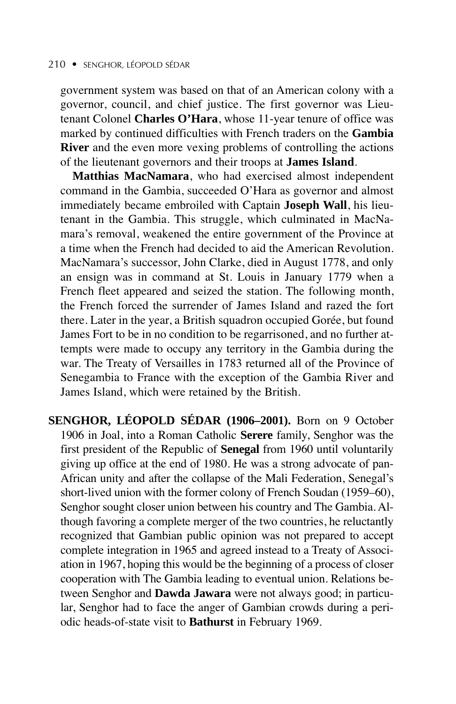#### 210 · SENGHOR, LÉOPOLD SÉDAR

government system was based on that of an American colony with a governor, council, and chief justice. The first governor was Lieutenant Colonel **Charles O'Hara**, whose 11-year tenure of office was marked by continued difficulties with French traders on the **Gambia River** and the even more vexing problems of controlling the actions of the lieutenant governors and their troops at **James Island**.

**Matthias MacNamara**, who had exercised almost independent command in the Gambia, succeeded O'Hara as governor and almost immediately became embroiled with Captain **Joseph Wall**, his lieutenant in the Gambia. This struggle, which culminated in MacNamara's removal, weakened the entire government of the Province at a time when the French had decided to aid the American Revolution. MacNamara's successor, John Clarke, died in August 1778, and only an ensign was in command at St. Louis in January 1779 when a French fleet appeared and seized the station. The following month, the French forced the surrender of James Island and razed the fort there. Later in the year, a British squadron occupied Gorée, but found James Fort to be in no condition to be regarrisoned, and no further attempts were made to occupy any territory in the Gambia during the war. The Treaty of Versailles in 1783 returned all of the Province of Senegambia to France with the exception of the Gambia River and James Island, which were retained by the British.

**SENGHOR, LÉOPOLD SÉDAR (1906–2001).** Born on 9 October 1906 in Joal, into a Roman Catholic **Serere** family, Senghor was the first president of the Republic of **Senegal** from 1960 until voluntarily giving up office at the end of 1980. He was a strong advocate of pan-African unity and after the collapse of the Mali Federation, Senegal's short-lived union with the former colony of French Soudan (1959–60), Senghor sought closer union between his country and The Gambia. Although favoring a complete merger of the two countries, he reluctantly recognized that Gambian public opinion was not prepared to accept complete integration in 1965 and agreed instead to a Treaty of Association in 1967, hoping this would be the beginning of a process of closer cooperation with The Gambia leading to eventual union. Relations between Senghor and **Dawda Jawara** were not always good; in particular, Senghor had to face the anger of Gambian crowds during a periodic heads-of-state visit to **Bathurst** in February 1969.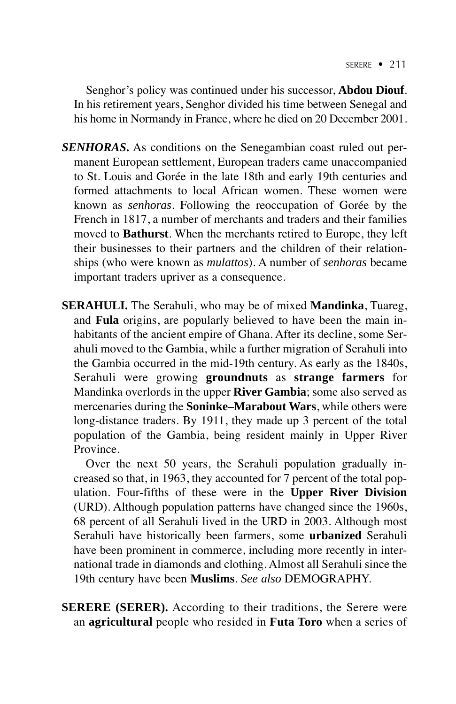Senghor's policy was continued under his successor, **Abdou Diouf**. In his retirement years, Senghor divided his time between Senegal and his home in Normandy in France, where he died on 20 December 2001.

- *SENHORAS***.** As conditions on the Senegambian coast ruled out permanent European settlement, European traders came unaccompanied to St. Louis and Gorée in the late 18th and early 19th centuries and formed attachments to local African women. These women were known as *senhoras*. Following the reoccupation of Gorée by the French in 1817, a number of merchants and traders and their families moved to **Bathurst**. When the merchants retired to Europe, they left their businesses to their partners and the children of their relationships (who were known as *mulattos*). A number of *senhoras* became important traders upriver as a consequence.
- **SERAHULI.** The Serahuli, who may be of mixed **Mandinka**, Tuareg, and **Fula** origins, are popularly believed to have been the main inhabitants of the ancient empire of Ghana. After its decline, some Serahuli moved to the Gambia, while a further migration of Serahuli into the Gambia occurred in the mid-19th century. As early as the 1840s, Serahuli were growing **groundnuts** as **strange farmers** for Mandinka overlords in the upper **River Gambia**; some also served as mercenaries during the **Soninke–Marabout Wars**, while others were long-distance traders. By 1911, they made up 3 percent of the total population of the Gambia, being resident mainly in Upper River **Province**

Over the next 50 years, the Serahuli population gradually increased so that, in 1963, they accounted for 7 percent of the total population. Four-fifths of these were in the **Upper River Division** (URD). Although population patterns have changed since the 1960s, 68 percent of all Serahuli lived in the URD in 2003. Although most Serahuli have historically been farmers, some **urbanized** Serahuli have been prominent in commerce, including more recently in international trade in diamonds and clothing. Almost all Serahuli since the 19th century have been **Muslims**. *See also* DEMOGRAPHY.

**SERERE (SERER).** According to their traditions, the Serere were an **agricultural** people who resided in **Futa Toro** when a series of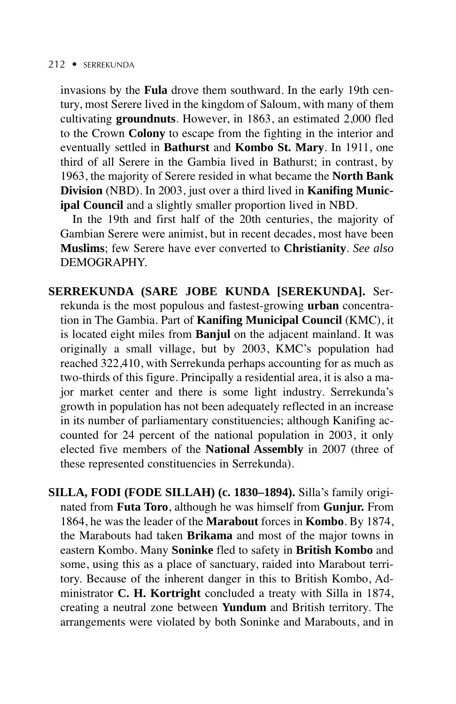invasions by the **Fula** drove them southward. In the early 19th century, most Serere lived in the kingdom of Saloum, with many of them cultivating **groundnuts**. However, in 1863, an estimated 2,000 fled to the Crown **Colony** to escape from the fighting in the interior and eventually settled in **Bathurst** and **Kombo St. Mary**. In 1911, one third of all Serere in the Gambia lived in Bathurst; in contrast, by 1963, the majority of Serere resided in what became the **North Bank Division** (NBD). In 2003, just over a third lived in **Kanifing Municipal Council** and a slightly smaller proportion lived in NBD.

In the 19th and first half of the 20th centuries, the majority of Gambian Serere were animist, but in recent decades, most have been **Muslims**; few Serere have ever converted to **Christianity**. *See also* DEMOGRAPHY.

**SERREKUNDA (SARE JOBE KUNDA [SEREKUNDA].** Serrekunda is the most populous and fastest-growing **urban** concentration in The Gambia. Part of **Kanifing Municipal Council** (KMC), it is located eight miles from **Banjul** on the adjacent mainland. It was originally a small village, but by 2003, KMC's population had reached 322,410, with Serrekunda perhaps accounting for as much as two-thirds of this figure. Principally a residential area, it is also a major market center and there is some light industry. Serrekunda's growth in population has not been adequately reflected in an increase in its number of parliamentary constituencies; although Kanifing accounted for 24 percent of the national population in 2003, it only elected five members of the **National Assembly** in 2007 (three of these represented constituencies in Serrekunda).

**SILLA, FODI (FODE SILLAH) (c. 1830–1894).** Silla's family originated from **Futa Toro**, although he was himself from **Gunjur.** From 1864, he was the leader of the **Marabout** forces in **Kombo**. By 1874, the Marabouts had taken **Brikama** and most of the major towns in eastern Kombo. Many **Soninke** fled to safety in **British Kombo** and some, using this as a place of sanctuary, raided into Marabout territory. Because of the inherent danger in this to British Kombo, Administrator **C. H. Kortright** concluded a treaty with Silla in 1874, creating a neutral zone between **Yundum** and British territory. The arrangements were violated by both Soninke and Marabouts, and in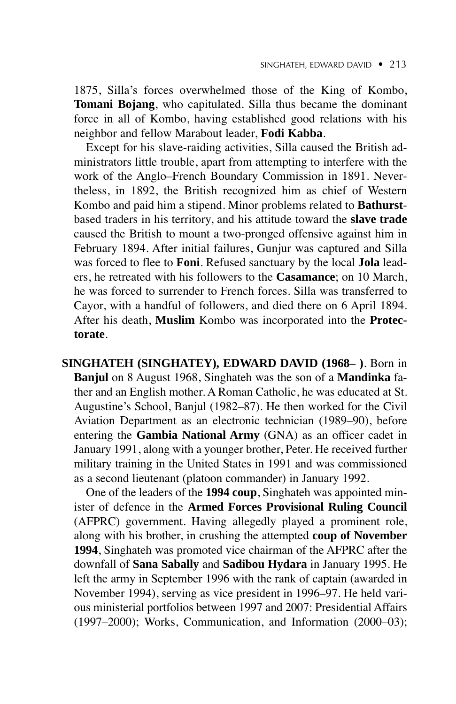1875, Silla's forces overwhelmed those of the King of Kombo, **Tomani Bojang**, who capitulated. Silla thus became the dominant force in all of Kombo, having established good relations with his neighbor and fellow Marabout leader, **Fodi Kabba**.

Except for his slave-raiding activities, Silla caused the British administrators little trouble, apart from attempting to interfere with the work of the Anglo–French Boundary Commission in 1891. Nevertheless, in 1892, the British recognized him as chief of Western Kombo and paid him a stipend. Minor problems related to **Bathurst**based traders in his territory, and his attitude toward the **slave trade** caused the British to mount a two-pronged offensive against him in February 1894. After initial failures, Gunjur was captured and Silla was forced to flee to **Foni**. Refused sanctuary by the local **Jola** leaders, he retreated with his followers to the **Casamance**; on 10 March, he was forced to surrender to French forces. Silla was transferred to Cayor, with a handful of followers, and died there on 6 April 1894. After his death, **Muslim** Kombo was incorporated into the **Protectorate**.

**SINGHATEH (SINGHATEY), EDWARD DAVID (1968– )**. Born in **Banjul** on 8 August 1968, Singhateh was the son of a **Mandinka** father and an English mother. A Roman Catholic, he was educated at St. Augustine's School, Banjul (1982–87). He then worked for the Civil Aviation Department as an electronic technician (1989–90), before entering the **Gambia National Army** (GNA) as an officer cadet in January 1991, along with a younger brother, Peter. He received further military training in the United States in 1991 and was commissioned as a second lieutenant (platoon commander) in January 1992.

One of the leaders of the **1994 coup**, Singhateh was appointed minister of defence in the **Armed Forces Provisional Ruling Council** (AFPRC) government. Having allegedly played a prominent role, along with his brother, in crushing the attempted **coup of November 1994**, Singhateh was promoted vice chairman of the AFPRC after the downfall of **Sana Sabally** and **Sadibou Hydara** in January 1995. He left the army in September 1996 with the rank of captain (awarded in November 1994), serving as vice president in 1996–97. He held various ministerial portfolios between 1997 and 2007: Presidential Affairs (1997–2000); Works, Communication, and Information (2000–03);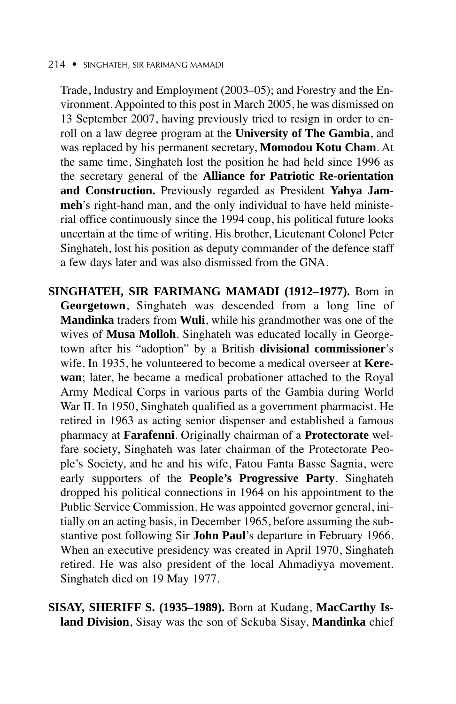#### 214 • SINGHATEH, SIR FARIMANG MAMADI

Trade, Industry and Employment (2003–05); and Forestry and the Environment. Appointed to this post in March 2005, he was dismissed on 13 September 2007, having previously tried to resign in order to enroll on a law degree program at the **University of The Gambia**, and was replaced by his permanent secretary, **Momodou Kotu Cham**. At the same time, Singhateh lost the position he had held since 1996 as the secretary general of the **Alliance for Patriotic Re-orientation and Construction.** Previously regarded as President **Yahya Jammeh**'s right-hand man, and the only individual to have held ministerial office continuously since the 1994 coup, his political future looks uncertain at the time of writing. His brother, Lieutenant Colonel Peter Singhateh, lost his position as deputy commander of the defence staff a few days later and was also dismissed from the GNA.

- **SINGHATEH, SIR FARIMANG MAMADI (1912–1977).** Born in **Georgetown**, Singhateh was descended from a long line of **Mandinka** traders from **Wuli**, while his grandmother was one of the wives of **Musa Molloh**. Singhateh was educated locally in Georgetown after his "adoption" by a British **divisional commissioner**'s wife. In 1935, he volunteered to become a medical overseer at **Kerewan**; later, he became a medical probationer attached to the Royal Army Medical Corps in various parts of the Gambia during World War II. In 1950, Singhateh qualified as a government pharmacist. He retired in 1963 as acting senior dispenser and established a famous pharmacy at **Farafenni**. Originally chairman of a **Protectorate** welfare society, Singhateh was later chairman of the Protectorate People's Society, and he and his wife, Fatou Fanta Basse Sagnia, were early supporters of the **People's Progressive Party**. Singhateh dropped his political connections in 1964 on his appointment to the Public Service Commission. He was appointed governor general, initially on an acting basis, in December 1965, before assuming the substantive post following Sir **John Paul**'s departure in February 1966. When an executive presidency was created in April 1970, Singhateh retired. He was also president of the local Ahmadiyya movement. Singhateh died on 19 May 1977.
- **SISAY, SHERIFF S. (1935–1989).** Born at Kudang, **MacCarthy Island Division**, Sisay was the son of Sekuba Sisay, **Mandinka** chief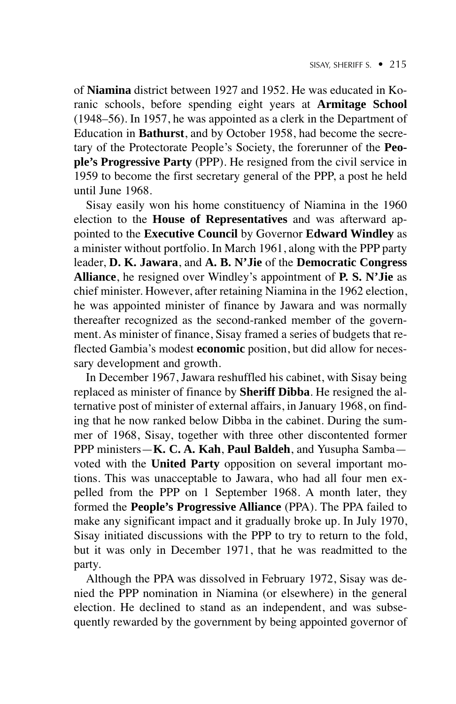of **Niamina** district between 1927 and 1952. He was educated in Koranic schools, before spending eight years at **Armitage School** (1948–56). In 1957, he was appointed as a clerk in the Department of Education in **Bathurst**, and by October 1958, had become the secretary of the Protectorate People's Society, the forerunner of the **People's Progressive Party** (PPP). He resigned from the civil service in 1959 to become the first secretary general of the PPP, a post he held until June 1968.

Sisay easily won his home constituency of Niamina in the 1960 election to the **House of Representatives** and was afterward appointed to the **Executive Council** by Governor **Edward Windley** as a minister without portfolio. In March 1961, along with the PPP party leader, **D. K. Jawara**, and **A. B. N'Jie** of the **Democratic Congress Alliance**, he resigned over Windley's appointment of **P. S. N'Jie** as chief minister. However, after retaining Niamina in the 1962 election, he was appointed minister of finance by Jawara and was normally thereafter recognized as the second-ranked member of the government. As minister of finance, Sisay framed a series of budgets that reflected Gambia's modest **economic** position, but did allow for necessary development and growth.

In December 1967, Jawara reshuffled his cabinet, with Sisay being replaced as minister of finance by **Sheriff Dibba**. He resigned the alternative post of minister of external affairs, in January 1968, on finding that he now ranked below Dibba in the cabinet. During the summer of 1968, Sisay, together with three other discontented former PPP ministers—**K. C. A. Kah**, **Paul Baldeh**, and Yusupha Samba voted with the **United Party** opposition on several important motions. This was unacceptable to Jawara, who had all four men expelled from the PPP on 1 September 1968. A month later, they formed the **People's Progressive Alliance** (PPA). The PPA failed to make any significant impact and it gradually broke up. In July 1970, Sisay initiated discussions with the PPP to try to return to the fold, but it was only in December 1971, that he was readmitted to the party.

Although the PPA was dissolved in February 1972, Sisay was denied the PPP nomination in Niamina (or elsewhere) in the general election. He declined to stand as an independent, and was subsequently rewarded by the government by being appointed governor of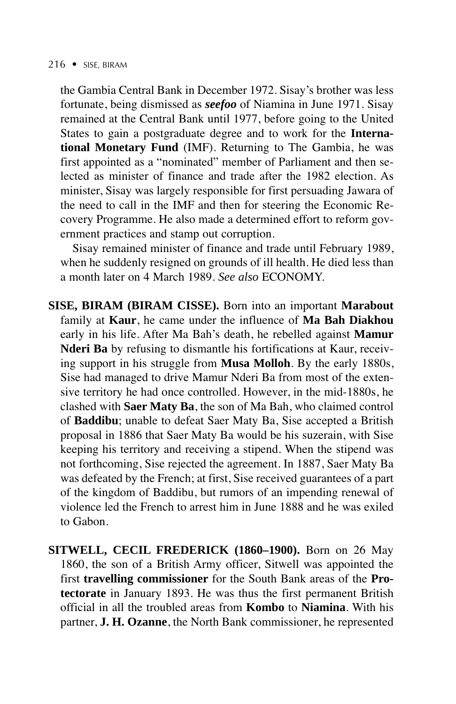the Gambia Central Bank in December 1972. Sisay's brother was less fortunate, being dismissed as *seefoo* of Niamina in June 1971. Sisay remained at the Central Bank until 1977, before going to the United States to gain a postgraduate degree and to work for the **International Monetary Fund** (IMF). Returning to The Gambia, he was first appointed as a "nominated" member of Parliament and then selected as minister of finance and trade after the 1982 election. As minister, Sisay was largely responsible for first persuading Jawara of the need to call in the IMF and then for steering the Economic Recovery Programme. He also made a determined effort to reform government practices and stamp out corruption.

Sisay remained minister of finance and trade until February 1989, when he suddenly resigned on grounds of ill health. He died less than a month later on 4 March 1989. *See also* ECONOMY.

**SISE, BIRAM (BIRAM CISSE).** Born into an important **Marabout** family at **Kaur**, he came under the influence of **Ma Bah Diakhou** early in his life. After Ma Bah's death, he rebelled against **Mamur Nderi Ba** by refusing to dismantle his fortifications at Kaur, receiving support in his struggle from **Musa Molloh**. By the early 1880s, Sise had managed to drive Mamur Nderi Ba from most of the extensive territory he had once controlled. However, in the mid-1880s, he clashed with **Saer Maty Ba**, the son of Ma Bah, who claimed control of **Baddibu**; unable to defeat Saer Maty Ba, Sise accepted a British proposal in 1886 that Saer Maty Ba would be his suzerain, with Sise keeping his territory and receiving a stipend. When the stipend was not forthcoming, Sise rejected the agreement. In 1887, Saer Maty Ba was defeated by the French; at first, Sise received guarantees of a part of the kingdom of Baddibu, but rumors of an impending renewal of violence led the French to arrest him in June 1888 and he was exiled to Gabon.

**SITWELL, CECIL FREDERICK (1860–1900).** Born on 26 May 1860, the son of a British Army officer, Sitwell was appointed the first **travelling commissioner** for the South Bank areas of the **Protectorate** in January 1893. He was thus the first permanent British official in all the troubled areas from **Kombo** to **Niamina**. With his partner, **J. H. Ozanne**, the North Bank commissioner, he represented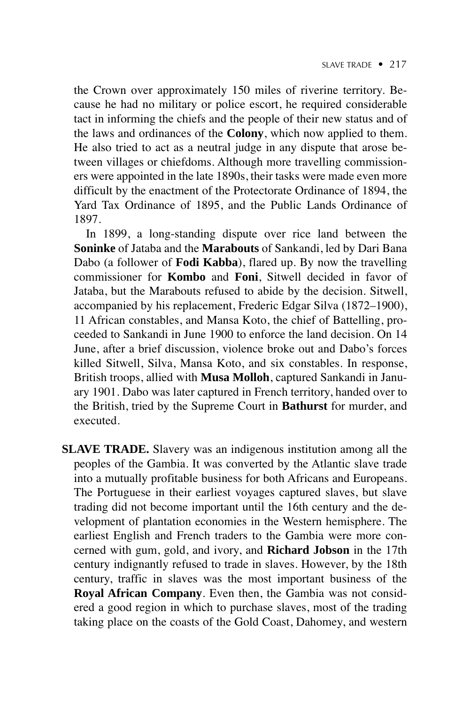the Crown over approximately 150 miles of riverine territory. Because he had no military or police escort, he required considerable tact in informing the chiefs and the people of their new status and of the laws and ordinances of the **Colony**, which now applied to them. He also tried to act as a neutral judge in any dispute that arose between villages or chiefdoms. Although more travelling commissioners were appointed in the late 1890s, their tasks were made even more difficult by the enactment of the Protectorate Ordinance of 1894, the Yard Tax Ordinance of 1895, and the Public Lands Ordinance of 1897.

In 1899, a long-standing dispute over rice land between the **Soninke** of Jataba and the **Marabouts** of Sankandi, led by Dari Bana Dabo (a follower of **Fodi Kabba**), flared up. By now the travelling commissioner for **Kombo** and **Foni**, Sitwell decided in favor of Jataba, but the Marabouts refused to abide by the decision. Sitwell, accompanied by his replacement, Frederic Edgar Silva (1872–1900), 11 African constables, and Mansa Koto, the chief of Battelling, proceeded to Sankandi in June 1900 to enforce the land decision. On 14 June, after a brief discussion, violence broke out and Dabo's forces killed Sitwell, Silva, Mansa Koto, and six constables. In response, British troops, allied with **Musa Molloh**, captured Sankandi in January 1901. Dabo was later captured in French territory, handed over to the British, tried by the Supreme Court in **Bathurst** for murder, and executed.

**SLAVE TRADE.** Slavery was an indigenous institution among all the peoples of the Gambia. It was converted by the Atlantic slave trade into a mutually profitable business for both Africans and Europeans. The Portuguese in their earliest voyages captured slaves, but slave trading did not become important until the 16th century and the development of plantation economies in the Western hemisphere. The earliest English and French traders to the Gambia were more concerned with gum, gold, and ivory, and **Richard Jobson** in the 17th century indignantly refused to trade in slaves. However, by the 18th century, traffic in slaves was the most important business of the **Royal African Company**. Even then, the Gambia was not considered a good region in which to purchase slaves, most of the trading taking place on the coasts of the Gold Coast, Dahomey, and western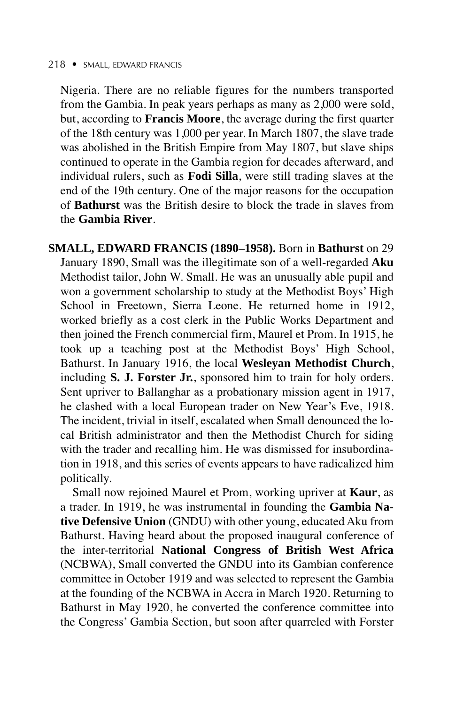Nigeria. There are no reliable figures for the numbers transported from the Gambia. In peak years perhaps as many as 2,000 were sold, but, according to **Francis Moore**, the average during the first quarter of the 18th century was 1,000 per year. In March 1807, the slave trade was abolished in the British Empire from May 1807, but slave ships continued to operate in the Gambia region for decades afterward, and individual rulers, such as **Fodi Silla**, were still trading slaves at the end of the 19th century. One of the major reasons for the occupation of **Bathurst** was the British desire to block the trade in slaves from the **Gambia River**.

**SMALL, EDWARD FRANCIS (1890–1958).** Born in **Bathurst** on 29 January 1890, Small was the illegitimate son of a well-regarded **Aku** Methodist tailor, John W. Small. He was an unusually able pupil and won a government scholarship to study at the Methodist Boys' High School in Freetown, Sierra Leone. He returned home in 1912, worked briefly as a cost clerk in the Public Works Department and then joined the French commercial firm, Maurel et Prom. In 1915, he took up a teaching post at the Methodist Boys' High School, Bathurst. In January 1916, the local **Wesleyan Methodist Church**, including **S. J. Forster Jr.**, sponsored him to train for holy orders. Sent upriver to Ballanghar as a probationary mission agent in 1917, he clashed with a local European trader on New Year's Eve, 1918. The incident, trivial in itself, escalated when Small denounced the local British administrator and then the Methodist Church for siding with the trader and recalling him. He was dismissed for insubordination in 1918, and this series of events appears to have radicalized him politically.

Small now rejoined Maurel et Prom, working upriver at **Kaur**, as a trader. In 1919, he was instrumental in founding the **Gambia Native Defensive Union** (GNDU) with other young, educated Aku from Bathurst. Having heard about the proposed inaugural conference of the inter-territorial **National Congress of British West Africa** (NCBWA), Small converted the GNDU into its Gambian conference committee in October 1919 and was selected to represent the Gambia at the founding of the NCBWA in Accra in March 1920. Returning to Bathurst in May 1920, he converted the conference committee into the Congress' Gambia Section, but soon after quarreled with Forster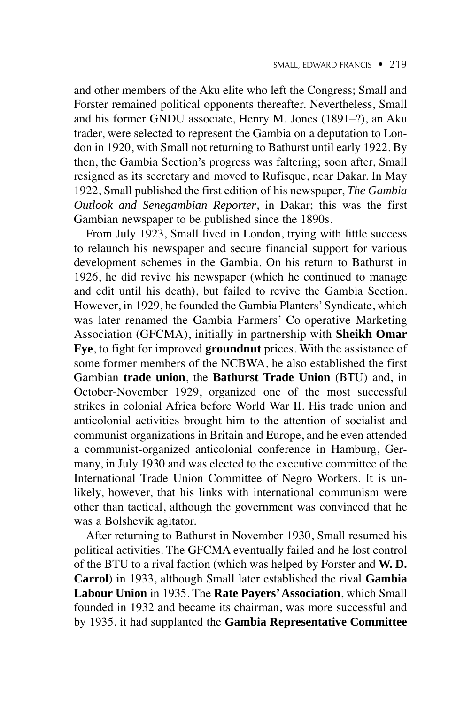and other members of the Aku elite who left the Congress; Small and Forster remained political opponents thereafter. Nevertheless, Small and his former GNDU associate, Henry M. Jones (1891–?), an Aku trader, were selected to represent the Gambia on a deputation to London in 1920, with Small not returning to Bathurst until early 1922. By then, the Gambia Section's progress was faltering; soon after, Small resigned as its secretary and moved to Rufisque, near Dakar. In May 1922, Small published the first edition of his newspaper, *The Gambia Outlook and Senegambian Reporter*, in Dakar; this was the first Gambian newspaper to be published since the 1890s.

From July 1923, Small lived in London, trying with little success to relaunch his newspaper and secure financial support for various development schemes in the Gambia. On his return to Bathurst in 1926, he did revive his newspaper (which he continued to manage and edit until his death), but failed to revive the Gambia Section. However, in 1929, he founded the Gambia Planters' Syndicate, which was later renamed the Gambia Farmers' Co-operative Marketing Association (GFCMA), initially in partnership with **Sheikh Omar Fye**, to fight for improved **groundnut** prices. With the assistance of some former members of the NCBWA, he also established the first Gambian **trade union**, the **Bathurst Trade Union** (BTU) and, in October-November 1929, organized one of the most successful strikes in colonial Africa before World War II. His trade union and anticolonial activities brought him to the attention of socialist and communist organizations in Britain and Europe, and he even attended a communist-organized anticolonial conference in Hamburg, Germany, in July 1930 and was elected to the executive committee of the International Trade Union Committee of Negro Workers. It is unlikely, however, that his links with international communism were other than tactical, although the government was convinced that he was a Bolshevik agitator.

After returning to Bathurst in November 1930, Small resumed his political activities. The GFCMA eventually failed and he lost control of the BTU to a rival faction (which was helped by Forster and **W. D. Carrol**) in 1933, although Small later established the rival **Gambia Labour Union** in 1935. The **Rate Payers'Association**, which Small founded in 1932 and became its chairman, was more successful and by 1935, it had supplanted the **Gambia Representative Committee**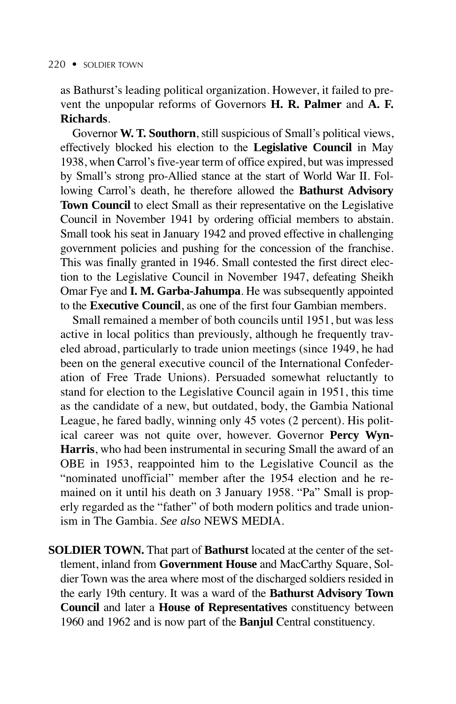as Bathurst's leading political organization. However, it failed to prevent the unpopular reforms of Governors **H. R. Palmer** and **A. F. Richards**.

Governor **W. T. Southorn**, still suspicious of Small's political views, effectively blocked his election to the **Legislative Council** in May 1938, when Carrol's five-year term of office expired, but was impressed by Small's strong pro-Allied stance at the start of World War II. Following Carrol's death, he therefore allowed the **Bathurst Advisory Town Council** to elect Small as their representative on the Legislative Council in November 1941 by ordering official members to abstain. Small took his seat in January 1942 and proved effective in challenging government policies and pushing for the concession of the franchise. This was finally granted in 1946. Small contested the first direct election to the Legislative Council in November 1947, defeating Sheikh Omar Fye and **I. M. Garba-Jahumpa**. He was subsequently appointed to the **Executive Council**, as one of the first four Gambian members.

Small remained a member of both councils until 1951, but was less active in local politics than previously, although he frequently traveled abroad, particularly to trade union meetings (since 1949, he had been on the general executive council of the International Confederation of Free Trade Unions). Persuaded somewhat reluctantly to stand for election to the Legislative Council again in 1951, this time as the candidate of a new, but outdated, body, the Gambia National League, he fared badly, winning only 45 votes (2 percent). His political career was not quite over, however. Governor **Percy Wyn-Harris**, who had been instrumental in securing Small the award of an OBE in 1953, reappointed him to the Legislative Council as the "nominated unofficial" member after the 1954 election and he remained on it until his death on 3 January 1958. "Pa" Small is properly regarded as the "father" of both modern politics and trade unionism in The Gambia. *See also* NEWS MEDIA.

**SOLDIER TOWN.** That part of **Bathurst** located at the center of the settlement, inland from **Government House** and MacCarthy Square, Soldier Town was the area where most of the discharged soldiers resided in the early 19th century. It was a ward of the **Bathurst Advisory Town Council** and later a **House of Representatives** constituency between 1960 and 1962 and is now part of the **Banjul** Central constituency.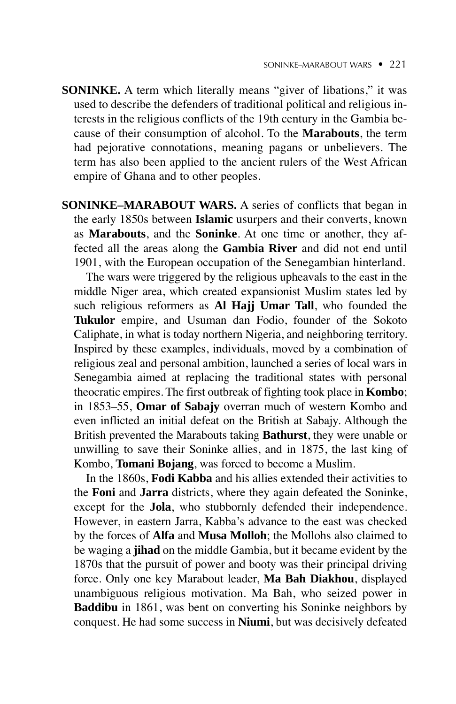**SONINKE.** A term which literally means "giver of libations," it was used to describe the defenders of traditional political and religious interests in the religious conflicts of the 19th century in the Gambia because of their consumption of alcohol. To the **Marabouts**, the term had pejorative connotations, meaning pagans or unbelievers. The term has also been applied to the ancient rulers of the West African empire of Ghana and to other peoples.

**SONINKE–MARABOUT WARS.** A series of conflicts that began in the early 1850s between **Islamic** usurpers and their converts, known as **Marabouts**, and the **Soninke**. At one time or another, they affected all the areas along the **Gambia River** and did not end until 1901, with the European occupation of the Senegambian hinterland.

The wars were triggered by the religious upheavals to the east in the middle Niger area, which created expansionist Muslim states led by such religious reformers as **Al Hajj Umar Tall**, who founded the **Tukulor** empire, and Usuman dan Fodio, founder of the Sokoto Caliphate, in what is today northern Nigeria, and neighboring territory. Inspired by these examples, individuals, moved by a combination of religious zeal and personal ambition, launched a series of local wars in Senegambia aimed at replacing the traditional states with personal theocratic empires. The first outbreak of fighting took place in **Kombo**; in 1853–55, **Omar of Sabajy** overran much of western Kombo and even inflicted an initial defeat on the British at Sabajy. Although the British prevented the Marabouts taking **Bathurst**, they were unable or unwilling to save their Soninke allies, and in 1875, the last king of Kombo, **Tomani Bojang**, was forced to become a Muslim.

In the 1860s, **Fodi Kabba** and his allies extended their activities to the **Foni** and **Jarra** districts, where they again defeated the Soninke, except for the **Jola**, who stubbornly defended their independence. However, in eastern Jarra, Kabba's advance to the east was checked by the forces of **Alfa** and **Musa Molloh**; the Mollohs also claimed to be waging a **jihad** on the middle Gambia, but it became evident by the 1870s that the pursuit of power and booty was their principal driving force. Only one key Marabout leader, **Ma Bah Diakhou**, displayed unambiguous religious motivation. Ma Bah, who seized power in **Baddibu** in 1861, was bent on converting his Soninke neighbors by conquest. He had some success in **Niumi**, but was decisively defeated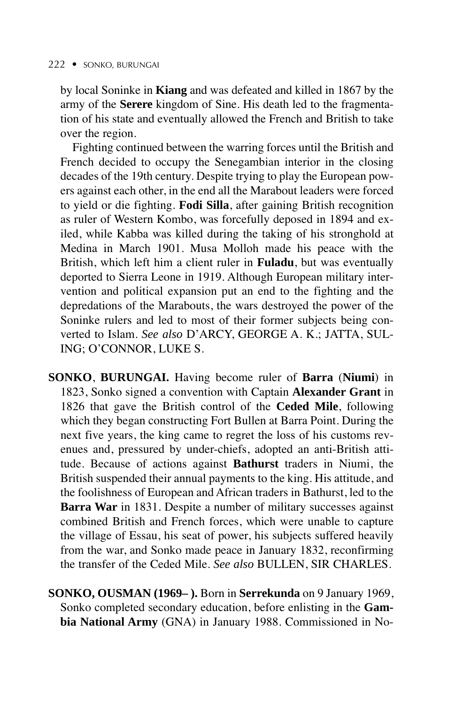by local Soninke in **Kiang** and was defeated and killed in 1867 by the army of the **Serere** kingdom of Sine. His death led to the fragmentation of his state and eventually allowed the French and British to take over the region.

Fighting continued between the warring forces until the British and French decided to occupy the Senegambian interior in the closing decades of the 19th century. Despite trying to play the European powers against each other, in the end all the Marabout leaders were forced to yield or die fighting. **Fodi Silla**, after gaining British recognition as ruler of Western Kombo, was forcefully deposed in 1894 and exiled, while Kabba was killed during the taking of his stronghold at Medina in March 1901. Musa Molloh made his peace with the British, which left him a client ruler in **Fuladu**, but was eventually deported to Sierra Leone in 1919. Although European military intervention and political expansion put an end to the fighting and the depredations of the Marabouts, the wars destroyed the power of the Soninke rulers and led to most of their former subjects being converted to Islam. *See also* D'ARCY, GEORGE A. K.; JATTA, SUL-ING; O'CONNOR, LUKE S.

- **SONKO**, **BURUNGAI.** Having become ruler of **Barra** (**Niumi**) in 1823, Sonko signed a convention with Captain **Alexander Grant** in 1826 that gave the British control of the **Ceded Mile**, following which they began constructing Fort Bullen at Barra Point. During the next five years, the king came to regret the loss of his customs revenues and, pressured by under-chiefs, adopted an anti-British attitude. Because of actions against **Bathurst** traders in Niumi, the British suspended their annual payments to the king. His attitude, and the foolishness of European and African traders in Bathurst, led to the **Barra War** in 1831. Despite a number of military successes against combined British and French forces, which were unable to capture the village of Essau, his seat of power, his subjects suffered heavily from the war, and Sonko made peace in January 1832, reconfirming the transfer of the Ceded Mile. *See also* BULLEN, SIR CHARLES.
- **SONKO, OUSMAN (1969– ).** Born in **Serrekunda** on 9 January 1969, Sonko completed secondary education, before enlisting in the **Gambia National Army** (GNA) in January 1988. Commissioned in No-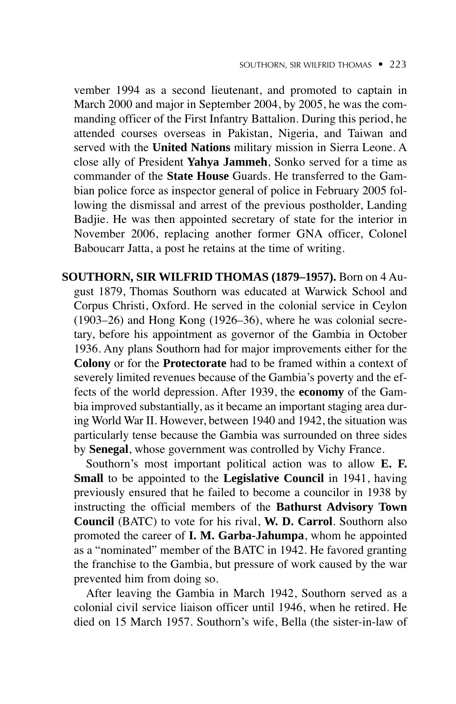vember 1994 as a second lieutenant, and promoted to captain in March 2000 and major in September 2004, by 2005, he was the commanding officer of the First Infantry Battalion. During this period, he attended courses overseas in Pakistan, Nigeria, and Taiwan and served with the **United Nations** military mission in Sierra Leone. A close ally of President **Yahya Jammeh**, Sonko served for a time as commander of the **State House** Guards. He transferred to the Gambian police force as inspector general of police in February 2005 following the dismissal and arrest of the previous postholder, Landing Badjie. He was then appointed secretary of state for the interior in November 2006, replacing another former GNA officer, Colonel Baboucarr Jatta, a post he retains at the time of writing.

**SOUTHORN, SIR WILFRID THOMAS (1879–1957).** Born on 4 August 1879, Thomas Southorn was educated at Warwick School and Corpus Christi, Oxford. He served in the colonial service in Ceylon (1903–26) and Hong Kong (1926–36), where he was colonial secretary, before his appointment as governor of the Gambia in October 1936. Any plans Southorn had for major improvements either for the **Colony** or for the **Protectorate** had to be framed within a context of severely limited revenues because of the Gambia's poverty and the effects of the world depression. After 1939, the **economy** of the Gambia improved substantially, as it became an important staging area during World War II. However, between 1940 and 1942, the situation was particularly tense because the Gambia was surrounded on three sides by **Senegal**, whose government was controlled by Vichy France.

Southorn's most important political action was to allow **E. F. Small** to be appointed to the **Legislative Council** in 1941, having previously ensured that he failed to become a councilor in 1938 by instructing the official members of the **Bathurst Advisory Town Council** (BATC) to vote for his rival, **W. D. Carrol**. Southorn also promoted the career of **I. M. Garba-Jahumpa**, whom he appointed as a "nominated" member of the BATC in 1942. He favored granting the franchise to the Gambia, but pressure of work caused by the war prevented him from doing so.

After leaving the Gambia in March 1942, Southorn served as a colonial civil service liaison officer until 1946, when he retired. He died on 15 March 1957. Southorn's wife, Bella (the sister-in-law of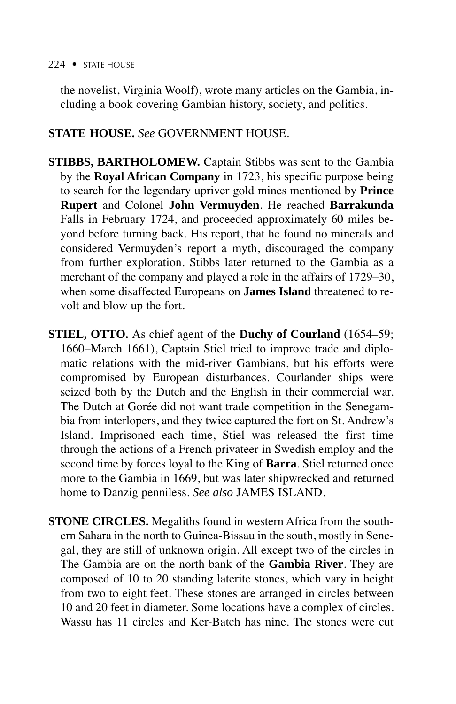### 224 • STATE HOUSE

the novelist, Virginia Woolf), wrote many articles on the Gambia, including a book covering Gambian history, society, and politics.

## **STATE HOUSE.** *See* GOVERNMENT HOUSE.

- **STIBBS, BARTHOLOMEW.** Captain Stibbs was sent to the Gambia by the **Royal African Company** in 1723, his specific purpose being to search for the legendary upriver gold mines mentioned by **Prince Rupert** and Colonel **John Vermuyden**. He reached **Barrakunda** Falls in February 1724, and proceeded approximately 60 miles beyond before turning back. His report, that he found no minerals and considered Vermuyden's report a myth, discouraged the company from further exploration. Stibbs later returned to the Gambia as a merchant of the company and played a role in the affairs of 1729–30, when some disaffected Europeans on **James Island** threatened to revolt and blow up the fort.
- **STIEL, OTTO.** As chief agent of the **Duchy of Courland** (1654–59; 1660–March 1661), Captain Stiel tried to improve trade and diplomatic relations with the mid-river Gambians, but his efforts were compromised by European disturbances. Courlander ships were seized both by the Dutch and the English in their commercial war. The Dutch at Gorée did not want trade competition in the Senegambia from interlopers, and they twice captured the fort on St. Andrew's Island. Imprisoned each time, Stiel was released the first time through the actions of a French privateer in Swedish employ and the second time by forces loyal to the King of **Barra**. Stiel returned once more to the Gambia in 1669, but was later shipwrecked and returned home to Danzig penniless. *See also* JAMES ISLAND.
- **STONE CIRCLES.** Megaliths found in western Africa from the southern Sahara in the north to Guinea-Bissau in the south, mostly in Senegal, they are still of unknown origin. All except two of the circles in The Gambia are on the north bank of the **Gambia River**. They are composed of 10 to 20 standing laterite stones, which vary in height from two to eight feet. These stones are arranged in circles between 10 and 20 feet in diameter. Some locations have a complex of circles. Wassu has 11 circles and Ker-Batch has nine. The stones were cut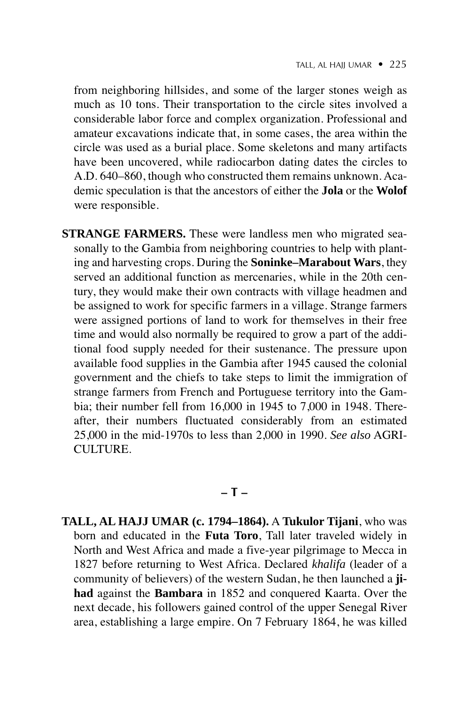from neighboring hillsides, and some of the larger stones weigh as much as 10 tons. Their transportation to the circle sites involved a considerable labor force and complex organization. Professional and amateur excavations indicate that, in some cases, the area within the circle was used as a burial place. Some skeletons and many artifacts have been uncovered, while radiocarbon dating dates the circles to A.D. 640–860, though who constructed them remains unknown. Academic speculation is that the ancestors of either the **Jola** or the **Wolof** were responsible.

**STRANGE FARMERS.** These were landless men who migrated seasonally to the Gambia from neighboring countries to help with planting and harvesting crops. During the **Soninke–Marabout Wars**, they served an additional function as mercenaries, while in the 20th century, they would make their own contracts with village headmen and be assigned to work for specific farmers in a village. Strange farmers were assigned portions of land to work for themselves in their free time and would also normally be required to grow a part of the additional food supply needed for their sustenance. The pressure upon available food supplies in the Gambia after 1945 caused the colonial government and the chiefs to take steps to limit the immigration of strange farmers from French and Portuguese territory into the Gambia; their number fell from 16,000 in 1945 to 7,000 in 1948. Thereafter, their numbers fluctuated considerably from an estimated 25,000 in the mid-1970s to less than 2,000 in 1990. *See also* AGRI-**CULTURE** 

## **– T –**

**TALL, AL HAJJ UMAR (c. 1794–1864).** A **Tukulor Tijani**, who was born and educated in the **Futa Toro**, Tall later traveled widely in North and West Africa and made a five-year pilgrimage to Mecca in 1827 before returning to West Africa. Declared *khalifa* (leader of a community of believers) of the western Sudan, he then launched a **jihad** against the **Bambara** in 1852 and conquered Kaarta. Over the next decade, his followers gained control of the upper Senegal River area, establishing a large empire. On 7 February 1864, he was killed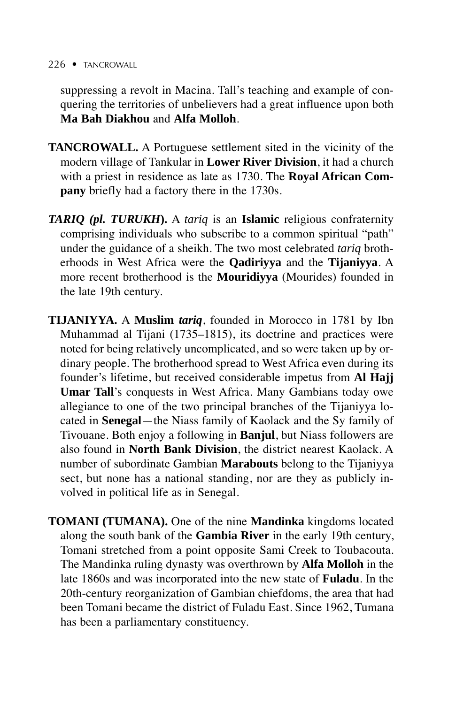### 226 • TANCROWALL

suppressing a revolt in Macina. Tall's teaching and example of conquering the territories of unbelievers had a great influence upon both **Ma Bah Diakhou** and **Alfa Molloh**.

- **TANCROWALL.** A Portuguese settlement sited in the vicinity of the modern village of Tankular in **Lower River Division**, it had a church with a priest in residence as late as 1730. The **Royal African Company** briefly had a factory there in the 1730s.
- *TARIQ (pl. TURUKH***).** A *tariq* is an **Islamic** religious confraternity comprising individuals who subscribe to a common spiritual "path" under the guidance of a sheikh. The two most celebrated *tariq* brotherhoods in West Africa were the **Qadiriyya** and the **Tijaniyya**. A more recent brotherhood is the **Mouridiyya** (Mourides) founded in the late 19th century.
- **TIJANIYYA.** A **Muslim** *tariq*, founded in Morocco in 1781 by Ibn Muhammad al Tijani (1735–1815), its doctrine and practices were noted for being relatively uncomplicated, and so were taken up by ordinary people. The brotherhood spread to West Africa even during its founder's lifetime, but received considerable impetus from **Al Hajj Umar Tall**'s conquests in West Africa. Many Gambians today owe allegiance to one of the two principal branches of the Tijaniyya located in **Senegal**—the Niass family of Kaolack and the Sy family of Tivouane. Both enjoy a following in **Banjul**, but Niass followers are also found in **North Bank Division**, the district nearest Kaolack. A number of subordinate Gambian **Marabouts** belong to the Tijaniyya sect, but none has a national standing, nor are they as publicly involved in political life as in Senegal.
- **TOMANI (TUMANA).** One of the nine **Mandinka** kingdoms located along the south bank of the **Gambia River** in the early 19th century, Tomani stretched from a point opposite Sami Creek to Toubacouta. The Mandinka ruling dynasty was overthrown by **Alfa Molloh** in the late 1860s and was incorporated into the new state of **Fuladu**. In the 20th-century reorganization of Gambian chiefdoms, the area that had been Tomani became the district of Fuladu East. Since 1962, Tumana has been a parliamentary constituency.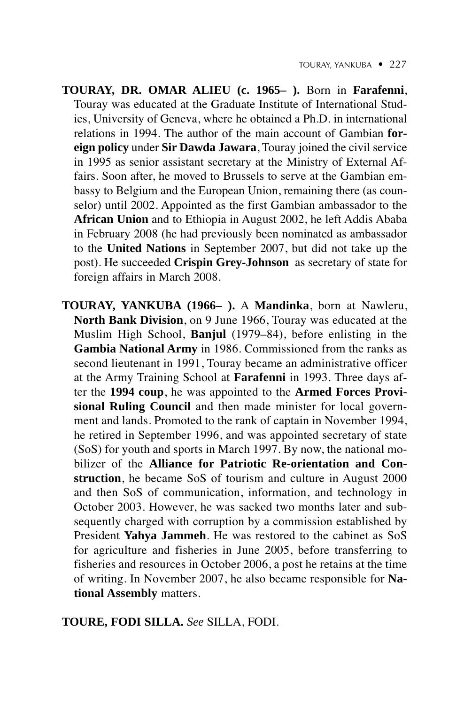- **TOURAY, DR. OMAR ALIEU (c. 1965– ).** Born in **Farafenni**, Touray was educated at the Graduate Institute of International Studies, University of Geneva, where he obtained a Ph.D. in international relations in 1994. The author of the main account of Gambian **foreign policy** under **Sir Dawda Jawara**, Touray joined the civil service in 1995 as senior assistant secretary at the Ministry of External Affairs. Soon after, he moved to Brussels to serve at the Gambian embassy to Belgium and the European Union, remaining there (as counselor) until 2002. Appointed as the first Gambian ambassador to the **African Union** and to Ethiopia in August 2002, he left Addis Ababa in February 2008 (he had previously been nominated as ambassador to the **United Nations** in September 2007, but did not take up the post). He succeeded **Crispin Grey-Johnson** as secretary of state for foreign affairs in March 2008.
- **TOURAY, YANKUBA (1966– ).** A **Mandinka**, born at Nawleru, **North Bank Division**, on 9 June 1966, Touray was educated at the Muslim High School, **Banjul** (1979–84), before enlisting in the **Gambia National Army** in 1986. Commissioned from the ranks as second lieutenant in 1991, Touray became an administrative officer at the Army Training School at **Farafenni** in 1993. Three days after the **1994 coup**, he was appointed to the **Armed Forces Provisional Ruling Council** and then made minister for local government and lands. Promoted to the rank of captain in November 1994, he retired in September 1996, and was appointed secretary of state (SoS) for youth and sports in March 1997. By now, the national mobilizer of the **Alliance for Patriotic Re-orientation and Construction**, he became SoS of tourism and culture in August 2000 and then SoS of communication, information, and technology in October 2003. However, he was sacked two months later and subsequently charged with corruption by a commission established by President **Yahya Jammeh**. He was restored to the cabinet as SoS for agriculture and fisheries in June 2005, before transferring to fisheries and resources in October 2006, a post he retains at the time of writing. In November 2007, he also became responsible for **National Assembly** matters.

### **TOURE, FODI SILLA.** *See* SILLA, FODI.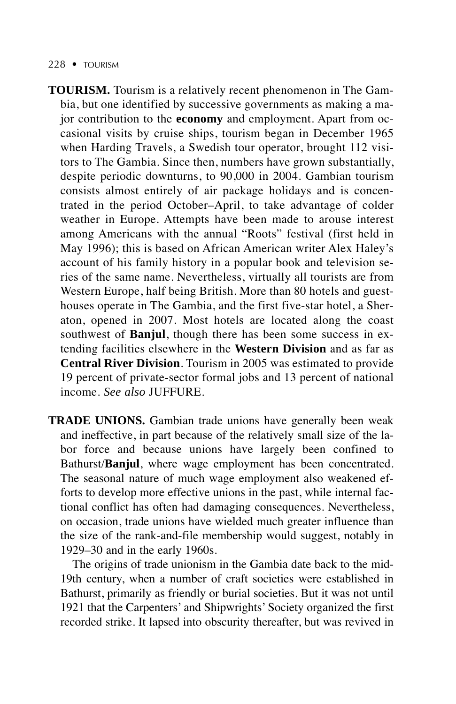#### 228 • TOURISM

- **TOURISM.** Tourism is a relatively recent phenomenon in The Gambia, but one identified by successive governments as making a major contribution to the **economy** and employment. Apart from occasional visits by cruise ships, tourism began in December 1965 when Harding Travels, a Swedish tour operator, brought 112 visitors to The Gambia. Since then, numbers have grown substantially, despite periodic downturns, to 90,000 in 2004. Gambian tourism consists almost entirely of air package holidays and is concentrated in the period October–April, to take advantage of colder weather in Europe. Attempts have been made to arouse interest among Americans with the annual "Roots" festival (first held in May 1996); this is based on African American writer Alex Haley's account of his family history in a popular book and television series of the same name. Nevertheless, virtually all tourists are from Western Europe, half being British. More than 80 hotels and guesthouses operate in The Gambia, and the first five-star hotel, a Sheraton, opened in 2007. Most hotels are located along the coast southwest of **Banjul**, though there has been some success in extending facilities elsewhere in the **Western Division** and as far as **Central River Division**. Tourism in 2005 was estimated to provide 19 percent of private-sector formal jobs and 13 percent of national income. *See also* JUFFURE.
- **TRADE UNIONS.** Gambian trade unions have generally been weak and ineffective, in part because of the relatively small size of the labor force and because unions have largely been confined to Bathurst/**Banjul**, where wage employment has been concentrated. The seasonal nature of much wage employment also weakened efforts to develop more effective unions in the past, while internal factional conflict has often had damaging consequences. Nevertheless, on occasion, trade unions have wielded much greater influence than the size of the rank-and-file membership would suggest, notably in 1929–30 and in the early 1960s.

The origins of trade unionism in the Gambia date back to the mid-19th century, when a number of craft societies were established in Bathurst, primarily as friendly or burial societies. But it was not until 1921 that the Carpenters' and Shipwrights' Society organized the first recorded strike. It lapsed into obscurity thereafter, but was revived in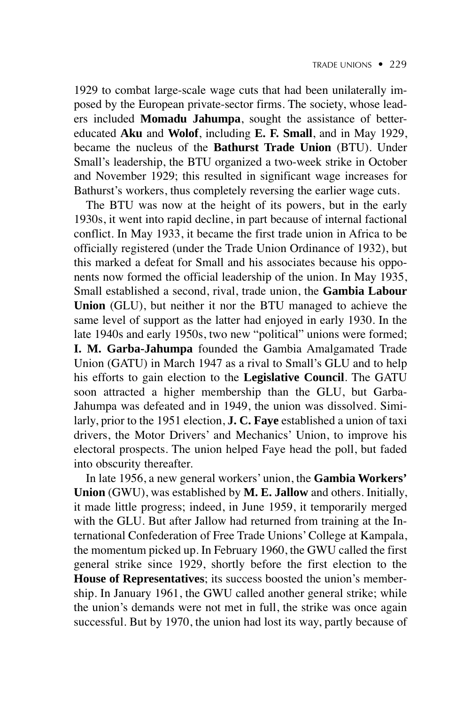1929 to combat large-scale wage cuts that had been unilaterally imposed by the European private-sector firms. The society, whose leaders included **Momadu Jahumpa**, sought the assistance of bettereducated **Aku** and **Wolof**, including **E. F. Small**, and in May 1929, became the nucleus of the **Bathurst Trade Union** (BTU). Under Small's leadership, the BTU organized a two-week strike in October and November 1929; this resulted in significant wage increases for Bathurst's workers, thus completely reversing the earlier wage cuts.

The BTU was now at the height of its powers, but in the early 1930s, it went into rapid decline, in part because of internal factional conflict. In May 1933, it became the first trade union in Africa to be officially registered (under the Trade Union Ordinance of 1932), but this marked a defeat for Small and his associates because his opponents now formed the official leadership of the union. In May 1935, Small established a second, rival, trade union, the **Gambia Labour Union** (GLU), but neither it nor the BTU managed to achieve the same level of support as the latter had enjoyed in early 1930. In the late 1940s and early 1950s, two new "political" unions were formed; **I. M. Garba-Jahumpa** founded the Gambia Amalgamated Trade Union (GATU) in March 1947 as a rival to Small's GLU and to help his efforts to gain election to the **Legislative Council**. The GATU soon attracted a higher membership than the GLU, but Garba-Jahumpa was defeated and in 1949, the union was dissolved. Similarly, prior to the 1951 election, **J. C. Faye** established a union of taxi drivers, the Motor Drivers' and Mechanics' Union, to improve his electoral prospects. The union helped Faye head the poll, but faded into obscurity thereafter.

In late 1956, a new general workers' union, the **Gambia Workers' Union** (GWU), was established by **M. E. Jallow** and others. Initially, it made little progress; indeed, in June 1959, it temporarily merged with the GLU. But after Jallow had returned from training at the International Confederation of Free Trade Unions' College at Kampala, the momentum picked up. In February 1960, the GWU called the first general strike since 1929, shortly before the first election to the **House of Representatives**; its success boosted the union's membership. In January 1961, the GWU called another general strike; while the union's demands were not met in full, the strike was once again successful. But by 1970, the union had lost its way, partly because of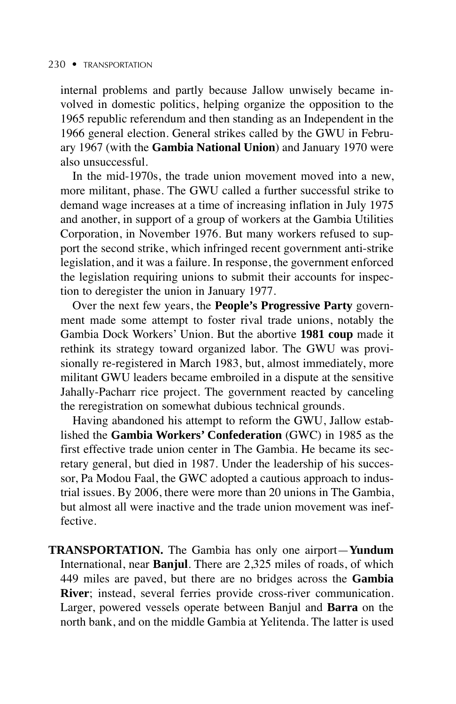internal problems and partly because Jallow unwisely became involved in domestic politics, helping organize the opposition to the 1965 republic referendum and then standing as an Independent in the 1966 general election. General strikes called by the GWU in February 1967 (with the **Gambia National Union**) and January 1970 were also unsuccessful.

In the mid-1970s, the trade union movement moved into a new, more militant, phase. The GWU called a further successful strike to demand wage increases at a time of increasing inflation in July 1975 and another, in support of a group of workers at the Gambia Utilities Corporation, in November 1976. But many workers refused to support the second strike, which infringed recent government anti-strike legislation, and it was a failure. In response, the government enforced the legislation requiring unions to submit their accounts for inspection to deregister the union in January 1977.

Over the next few years, the **People's Progressive Party** government made some attempt to foster rival trade unions, notably the Gambia Dock Workers' Union. But the abortive **1981 coup** made it rethink its strategy toward organized labor. The GWU was provisionally re-registered in March 1983, but, almost immediately, more militant GWU leaders became embroiled in a dispute at the sensitive Jahally-Pacharr rice project. The government reacted by canceling the reregistration on somewhat dubious technical grounds.

Having abandoned his attempt to reform the GWU, Jallow established the **Gambia Workers' Confederation** (GWC) in 1985 as the first effective trade union center in The Gambia. He became its secretary general, but died in 1987. Under the leadership of his successor, Pa Modou Faal, the GWC adopted a cautious approach to industrial issues. By 2006, there were more than 20 unions in The Gambia, but almost all were inactive and the trade union movement was ineffective.

**TRANSPORTATION.** The Gambia has only one airport—**Yundum** International, near **Banjul**. There are 2,325 miles of roads, of which 449 miles are paved, but there are no bridges across the **Gambia River**; instead, several ferries provide cross-river communication. Larger, powered vessels operate between Banjul and **Barra** on the north bank, and on the middle Gambia at Yelitenda. The latter is used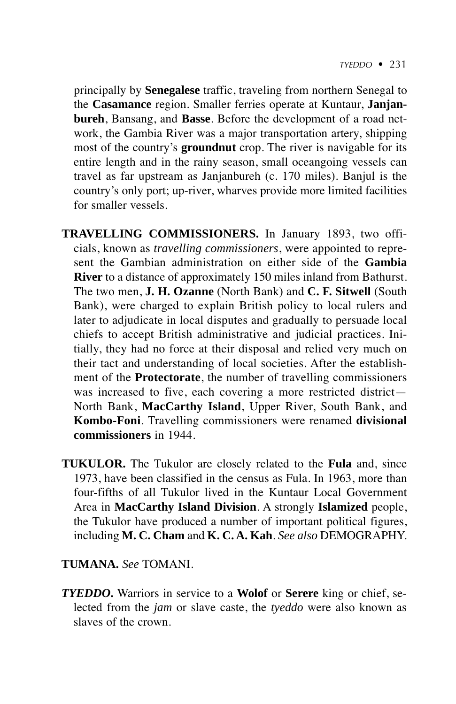principally by **Senegalese** traffic, traveling from northern Senegal to the **Casamance** region. Smaller ferries operate at Kuntaur, **Janjanbureh**, Bansang, and **Basse**. Before the development of a road network, the Gambia River was a major transportation artery, shipping most of the country's **groundnut** crop. The river is navigable for its entire length and in the rainy season, small oceangoing vessels can travel as far upstream as Janjanbureh (c. 170 miles). Banjul is the country's only port; up-river, wharves provide more limited facilities for smaller vessels.

- **TRAVELLING COMMISSIONERS.** In January 1893, two officials, known as *travelling commissioners*, were appointed to represent the Gambian administration on either side of the **Gambia River** to a distance of approximately 150 miles inland from Bathurst. The two men, **J. H. Ozanne** (North Bank) and **C. F. Sitwell** (South Bank), were charged to explain British policy to local rulers and later to adjudicate in local disputes and gradually to persuade local chiefs to accept British administrative and judicial practices. Initially, they had no force at their disposal and relied very much on their tact and understanding of local societies. After the establishment of the **Protectorate**, the number of travelling commissioners was increased to five, each covering a more restricted district— North Bank, **MacCarthy Island**, Upper River, South Bank, and **Kombo-Foni**. Travelling commissioners were renamed **divisional commissioners** in 1944.
- **TUKULOR.** The Tukulor are closely related to the **Fula** and, since 1973, have been classified in the census as Fula. In 1963, more than four-fifths of all Tukulor lived in the Kuntaur Local Government Area in **MacCarthy Island Division**. A strongly **Islamized** people, the Tukulor have produced a number of important political figures, including **M. C. Cham** and **K. C. A. Kah**. *See also* DEMOGRAPHY.

**TUMANA.** *See* TOMANI.

*TYEDDO***.** Warriors in service to a **Wolof** or **Serere** king or chief, selected from the *jam* or slave caste, the *tyeddo* were also known as slaves of the crown.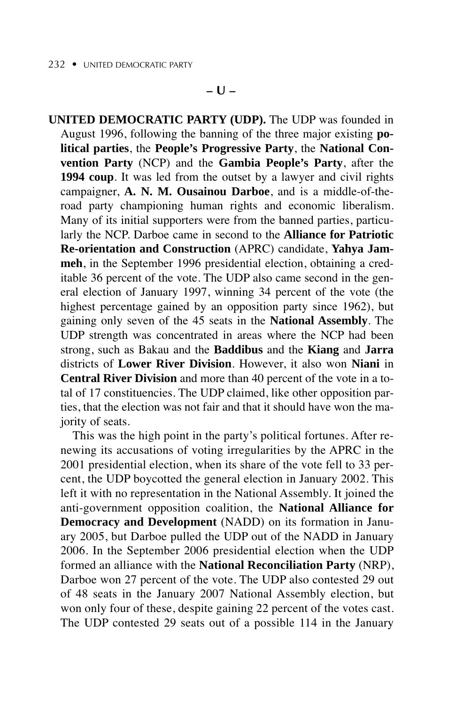**UNITED DEMOCRATIC PARTY (UDP).** The UDP was founded in August 1996, following the banning of the three major existing **political parties**, the **People's Progressive Party**, the **National Convention Party** (NCP) and the **Gambia People's Party**, after the **1994 coup**. It was led from the outset by a lawyer and civil rights campaigner, **A. N. M. Ousainou Darboe**, and is a middle-of-theroad party championing human rights and economic liberalism. Many of its initial supporters were from the banned parties, particularly the NCP. Darboe came in second to the **Alliance for Patriotic Re-orientation and Construction** (APRC) candidate, **Yahya Jammeh**, in the September 1996 presidential election, obtaining a creditable 36 percent of the vote. The UDP also came second in the general election of January 1997, winning 34 percent of the vote (the highest percentage gained by an opposition party since 1962), but gaining only seven of the 45 seats in the **National Assembly**. The UDP strength was concentrated in areas where the NCP had been strong, such as Bakau and the **Baddibus** and the **Kiang** and **Jarra** districts of **Lower River Division**. However, it also won **Niani** in **Central River Division** and more than 40 percent of the vote in a total of 17 constituencies. The UDP claimed, like other opposition parties, that the election was not fair and that it should have won the majority of seats.

This was the high point in the party's political fortunes. After renewing its accusations of voting irregularities by the APRC in the 2001 presidential election, when its share of the vote fell to 33 percent, the UDP boycotted the general election in January 2002. This left it with no representation in the National Assembly. It joined the anti-government opposition coalition, the **National Alliance for Democracy and Development** (NADD) on its formation in January 2005, but Darboe pulled the UDP out of the NADD in January 2006. In the September 2006 presidential election when the UDP formed an alliance with the **National Reconciliation Party** (NRP), Darboe won 27 percent of the vote. The UDP also contested 29 out of 48 seats in the January 2007 National Assembly election, but won only four of these, despite gaining 22 percent of the votes cast. The UDP contested 29 seats out of a possible 114 in the January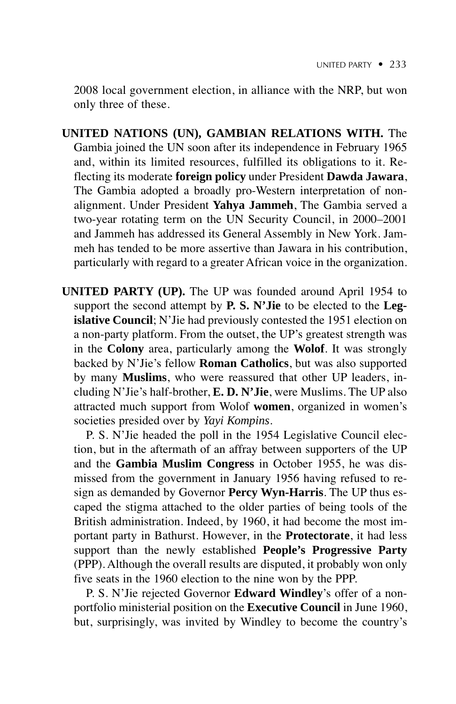2008 local government election, in alliance with the NRP, but won only three of these.

- **UNITED NATIONS (UN), GAMBIAN RELATIONS WITH.** The Gambia joined the UN soon after its independence in February 1965 and, within its limited resources, fulfilled its obligations to it. Reflecting its moderate **foreign policy** under President **Dawda Jawara**, The Gambia adopted a broadly pro-Western interpretation of nonalignment. Under President **Yahya Jammeh**, The Gambia served a two-year rotating term on the UN Security Council, in 2000–2001 and Jammeh has addressed its General Assembly in New York. Jammeh has tended to be more assertive than Jawara in his contribution, particularly with regard to a greater African voice in the organization.
- **UNITED PARTY (UP).** The UP was founded around April 1954 to support the second attempt by **P. S. N'Jie** to be elected to the **Legislative Council**; N'Jie had previously contested the 1951 election on a non-party platform. From the outset, the UP's greatest strength was in the **Colony** area, particularly among the **Wolof**. It was strongly backed by N'Jie's fellow **Roman Catholics**, but was also supported by many **Muslims**, who were reassured that other UP leaders, including N'Jie's half-brother, **E. D. N'Jie**, were Muslims. The UP also attracted much support from Wolof **women**, organized in women's societies presided over by *Yayi Kompins*.

P. S. N'Jie headed the poll in the 1954 Legislative Council election, but in the aftermath of an affray between supporters of the UP and the **Gambia Muslim Congress** in October 1955, he was dismissed from the government in January 1956 having refused to resign as demanded by Governor **Percy Wyn-Harris**. The UP thus escaped the stigma attached to the older parties of being tools of the British administration. Indeed, by 1960, it had become the most important party in Bathurst. However, in the **Protectorate**, it had less support than the newly established **People's Progressive Party** (PPP). Although the overall results are disputed, it probably won only five seats in the 1960 election to the nine won by the PPP.

P. S. N'Jie rejected Governor **Edward Windley**'s offer of a nonportfolio ministerial position on the **Executive Council** in June 1960, but, surprisingly, was invited by Windley to become the country's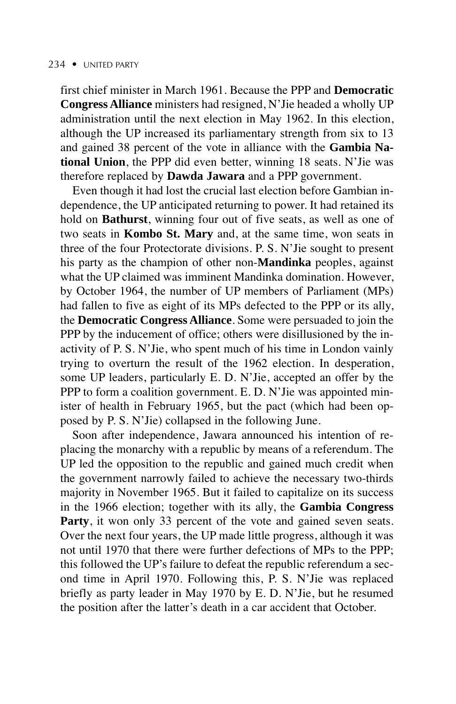#### 234 • UNITED PARTY

first chief minister in March 1961. Because the PPP and **Democratic Congress Alliance** ministers had resigned, N'Jie headed a wholly UP administration until the next election in May 1962. In this election, although the UP increased its parliamentary strength from six to 13 and gained 38 percent of the vote in alliance with the **Gambia National Union**, the PPP did even better, winning 18 seats. N'Jie was therefore replaced by **Dawda Jawara** and a PPP government.

Even though it had lost the crucial last election before Gambian independence, the UP anticipated returning to power. It had retained its hold on **Bathurst**, winning four out of five seats, as well as one of two seats in **Kombo St. Mary** and, at the same time, won seats in three of the four Protectorate divisions. P. S. N'Jie sought to present his party as the champion of other non-**Mandinka** peoples, against what the UP claimed was imminent Mandinka domination. However, by October 1964, the number of UP members of Parliament (MPs) had fallen to five as eight of its MPs defected to the PPP or its ally, the **Democratic Congress Alliance**. Some were persuaded to join the PPP by the inducement of office; others were disillusioned by the inactivity of P. S. N'Jie, who spent much of his time in London vainly trying to overturn the result of the 1962 election. In desperation, some UP leaders, particularly E. D. N'Jie, accepted an offer by the PPP to form a coalition government. E. D. N'Jie was appointed minister of health in February 1965, but the pact (which had been opposed by P. S. N'Jie) collapsed in the following June.

Soon after independence, Jawara announced his intention of replacing the monarchy with a republic by means of a referendum. The UP led the opposition to the republic and gained much credit when the government narrowly failed to achieve the necessary two-thirds majority in November 1965. But it failed to capitalize on its success in the 1966 election; together with its ally, the **Gambia Congress** Party, it won only 33 percent of the vote and gained seven seats. Over the next four years, the UP made little progress, although it was not until 1970 that there were further defections of MPs to the PPP; this followed the UP's failure to defeat the republic referendum a second time in April 1970. Following this, P. S. N'Jie was replaced briefly as party leader in May 1970 by E. D. N'Jie, but he resumed the position after the latter's death in a car accident that October.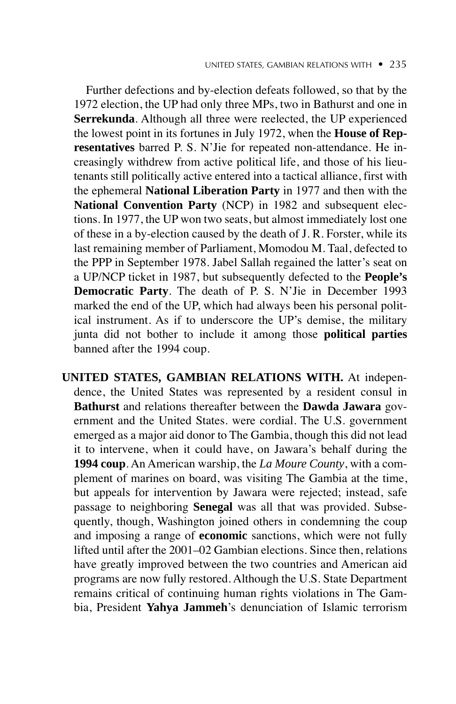Further defections and by-election defeats followed, so that by the 1972 election, the UP had only three MPs, two in Bathurst and one in **Serrekunda**. Although all three were reelected, the UP experienced the lowest point in its fortunes in July 1972, when the **House of Representatives** barred P. S. N'Jie for repeated non-attendance. He increasingly withdrew from active political life, and those of his lieutenants still politically active entered into a tactical alliance, first with the ephemeral **National Liberation Party** in 1977 and then with the **National Convention Party** (NCP) in 1982 and subsequent elections. In 1977, the UP won two seats, but almost immediately lost one of these in a by-election caused by the death of J. R. Forster, while its last remaining member of Parliament, Momodou M. Taal, defected to the PPP in September 1978. Jabel Sallah regained the latter's seat on a UP/NCP ticket in 1987, but subsequently defected to the **People's Democratic Party**. The death of P. S. N'Jie in December 1993 marked the end of the UP, which had always been his personal political instrument. As if to underscore the UP's demise, the military junta did not bother to include it among those **political parties** banned after the 1994 coup.

**UNITED STATES, GAMBIAN RELATIONS WITH.** At independence, the United States was represented by a resident consul in **Bathurst** and relations thereafter between the **Dawda Jawara** government and the United States. were cordial. The U.S. government emerged as a major aid donor to The Gambia, though this did not lead it to intervene, when it could have, on Jawara's behalf during the **1994 coup**. An American warship, the *La Moure County*, with a complement of marines on board, was visiting The Gambia at the time, but appeals for intervention by Jawara were rejected; instead, safe passage to neighboring **Senegal** was all that was provided. Subsequently, though, Washington joined others in condemning the coup and imposing a range of **economic** sanctions, which were not fully lifted until after the 2001–02 Gambian elections. Since then, relations have greatly improved between the two countries and American aid programs are now fully restored. Although the U.S. State Department remains critical of continuing human rights violations in The Gambia, President **Yahya Jammeh**'s denunciation of Islamic terrorism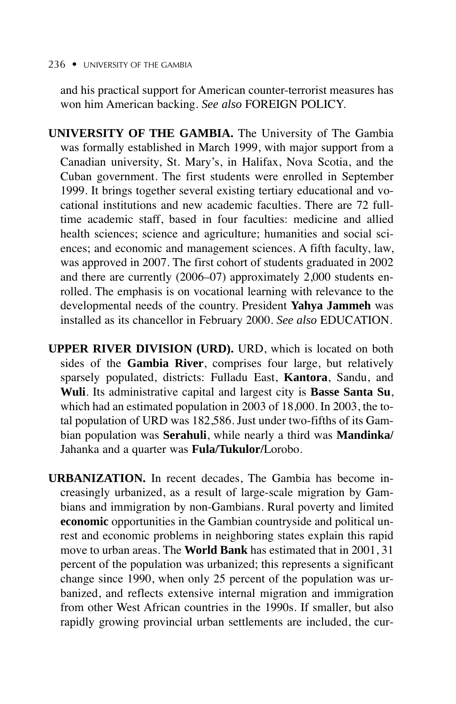#### 236 • UNIVERSITY OF THE GAMBIA

and his practical support for American counter-terrorist measures has won him American backing. *See also* FOREIGN POLICY.

**UNIVERSITY OF THE GAMBIA.** The University of The Gambia was formally established in March 1999, with major support from a Canadian university, St. Mary's, in Halifax, Nova Scotia, and the Cuban government. The first students were enrolled in September 1999. It brings together several existing tertiary educational and vocational institutions and new academic faculties. There are 72 fulltime academic staff, based in four faculties: medicine and allied health sciences; science and agriculture; humanities and social sciences; and economic and management sciences. A fifth faculty, law, was approved in 2007. The first cohort of students graduated in 2002 and there are currently (2006–07) approximately 2,000 students enrolled. The emphasis is on vocational learning with relevance to the developmental needs of the country. President **Yahya Jammeh** was installed as its chancellor in February 2000. *See also* EDUCATION.

- **UPPER RIVER DIVISION (URD).** URD, which is located on both sides of the **Gambia River**, comprises four large, but relatively sparsely populated, districts: Fulladu East, **Kantora**, Sandu, and **Wuli**. Its administrative capital and largest city is **Basse Santa Su**, which had an estimated population in 2003 of 18,000. In 2003, the total population of URD was 182,586. Just under two-fifths of its Gambian population was **Serahuli**, while nearly a third was **Mandinka/** Jahanka and a quarter was **Fula/Tukulor/**Lorobo.
- **URBANIZATION.** In recent decades, The Gambia has become increasingly urbanized, as a result of large-scale migration by Gambians and immigration by non-Gambians. Rural poverty and limited **economic** opportunities in the Gambian countryside and political unrest and economic problems in neighboring states explain this rapid move to urban areas. The **World Bank** has estimated that in 2001, 31 percent of the population was urbanized; this represents a significant change since 1990, when only 25 percent of the population was urbanized, and reflects extensive internal migration and immigration from other West African countries in the 1990s. If smaller, but also rapidly growing provincial urban settlements are included, the cur-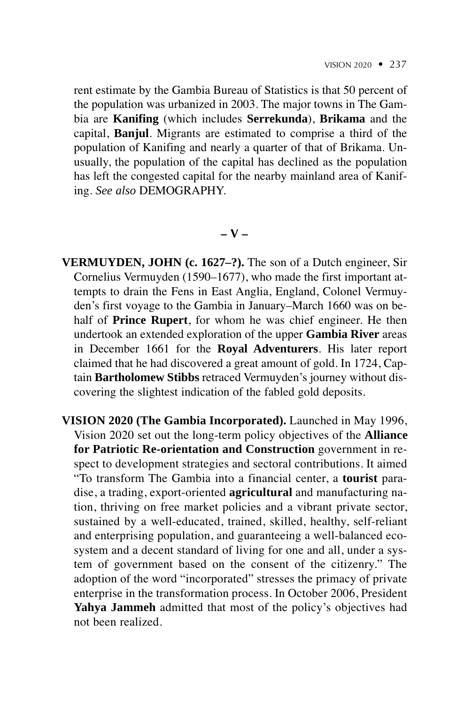rent estimate by the Gambia Bureau of Statistics is that 50 percent of the population was urbanized in 2003. The major towns in The Gambia are **Kanifing** (which includes **Serrekunda**), **Brikama** and the capital, **Banjul**. Migrants are estimated to comprise a third of the population of Kanifing and nearly a quarter of that of Brikama. Unusually, the population of the capital has declined as the population has left the congested capital for the nearby mainland area of Kanifing. *See also* DEMOGRAPHY.

## **– V –**

**VERMUYDEN, JOHN (c. 1627–?).** The son of a Dutch engineer, Sir Cornelius Vermuyden (1590–1677), who made the first important attempts to drain the Fens in East Anglia, England, Colonel Vermuyden's first voyage to the Gambia in January–March 1660 was on behalf of **Prince Rupert**, for whom he was chief engineer. He then undertook an extended exploration of the upper **Gambia River** areas in December 1661 for the **Royal Adventurers**. His later report claimed that he had discovered a great amount of gold. In 1724, Captain **Bartholomew Stibbs** retraced Vermuyden's journey without discovering the slightest indication of the fabled gold deposits.

**VISION 2020 (The Gambia Incorporated).** Launched in May 1996, Vision 2020 set out the long-term policy objectives of the **Alliance for Patriotic Re-orientation and Construction** government in respect to development strategies and sectoral contributions. It aimed "To transform The Gambia into a financial center, a **tourist** paradise, a trading, export-oriented **agricultural** and manufacturing nation, thriving on free market policies and a vibrant private sector, sustained by a well-educated, trained, skilled, healthy, self-reliant and enterprising population, and guaranteeing a well-balanced ecosystem and a decent standard of living for one and all, under a system of government based on the consent of the citizenry." The adoption of the word "incorporated" stresses the primacy of private enterprise in the transformation process. In October 2006, President **Yahya Jammeh** admitted that most of the policy's objectives had not been realized.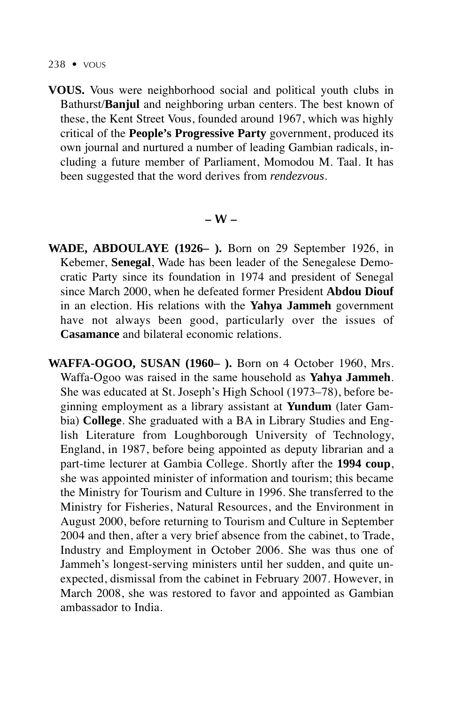238 • VOUS

**VOUS.** Vous were neighborhood social and political youth clubs in Bathurst/**Banjul** and neighboring urban centers. The best known of these, the Kent Street Vous, founded around 1967, which was highly critical of the **People's Progressive Party** government, produced its own journal and nurtured a number of leading Gambian radicals, including a future member of Parliament, Momodou M. Taal. It has been suggested that the word derives from *rendezvous*.

#### **– W –**

- **WADE, ABDOULAYE (1926– ).** Born on 29 September 1926, in Kebemer, **Senegal**, Wade has been leader of the Senegalese Democratic Party since its foundation in 1974 and president of Senegal since March 2000, when he defeated former President **Abdou Diouf** in an election. His relations with the **Yahya Jammeh** government have not always been good, particularly over the issues of **Casamance** and bilateral economic relations.
- **WAFFA-OGOO, SUSAN (1960– ).** Born on 4 October 1960, Mrs. Waffa-Ogoo was raised in the same household as **Yahya Jammeh**. She was educated at St. Joseph's High School (1973–78), before beginning employment as a library assistant at **Yundum** (later Gambia) **College**. She graduated with a BA in Library Studies and English Literature from Loughborough University of Technology, England, in 1987, before being appointed as deputy librarian and a part-time lecturer at Gambia College. Shortly after the **1994 coup**, she was appointed minister of information and tourism; this became the Ministry for Tourism and Culture in 1996. She transferred to the Ministry for Fisheries, Natural Resources, and the Environment in August 2000, before returning to Tourism and Culture in September 2004 and then, after a very brief absence from the cabinet, to Trade, Industry and Employment in October 2006. She was thus one of Jammeh's longest-serving ministers until her sudden, and quite unexpected, dismissal from the cabinet in February 2007. However, in March 2008, she was restored to favor and appointed as Gambian ambassador to India.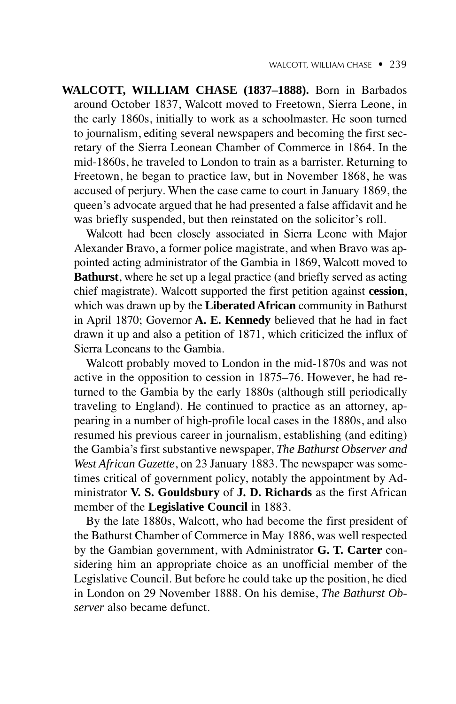**WALCOTT, WILLIAM CHASE (1837–1888).** Born in Barbados around October 1837, Walcott moved to Freetown, Sierra Leone, in the early 1860s, initially to work as a schoolmaster. He soon turned to journalism, editing several newspapers and becoming the first secretary of the Sierra Leonean Chamber of Commerce in 1864. In the mid-1860s, he traveled to London to train as a barrister. Returning to Freetown, he began to practice law, but in November 1868, he was accused of perjury. When the case came to court in January 1869, the queen's advocate argued that he had presented a false affidavit and he was briefly suspended, but then reinstated on the solicitor's roll.

Walcott had been closely associated in Sierra Leone with Major Alexander Bravo, a former police magistrate, and when Bravo was appointed acting administrator of the Gambia in 1869, Walcott moved to **Bathurst**, where he set up a legal practice (and briefly served as acting chief magistrate). Walcott supported the first petition against **cession**, which was drawn up by the **Liberated African** community in Bathurst in April 1870; Governor **A. E. Kennedy** believed that he had in fact drawn it up and also a petition of 1871, which criticized the influx of Sierra Leoneans to the Gambia.

Walcott probably moved to London in the mid-1870s and was not active in the opposition to cession in 1875–76. However, he had returned to the Gambia by the early 1880s (although still periodically traveling to England). He continued to practice as an attorney, appearing in a number of high-profile local cases in the 1880s, and also resumed his previous career in journalism, establishing (and editing) the Gambia's first substantive newspaper, *The Bathurst Observer and West African Gazette*, on 23 January 1883. The newspaper was sometimes critical of government policy, notably the appointment by Administrator **V. S. Gouldsbury** of **J. D. Richards** as the first African member of the **Legislative Council** in 1883.

By the late 1880s, Walcott, who had become the first president of the Bathurst Chamber of Commerce in May 1886, was well respected by the Gambian government, with Administrator **G. T. Carter** considering him an appropriate choice as an unofficial member of the Legislative Council. But before he could take up the position, he died in London on 29 November 1888. On his demise, *The Bathurst Observer* also became defunct.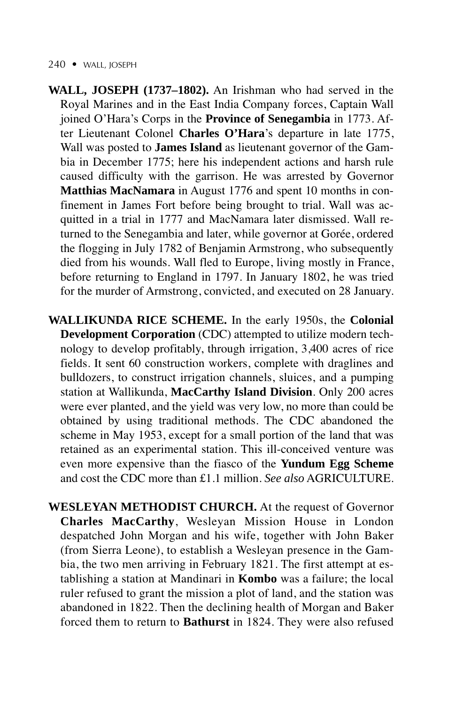- **WALL, JOSEPH (1737–1802).** An Irishman who had served in the Royal Marines and in the East India Company forces, Captain Wall joined O'Hara's Corps in the **Province of Senegambia** in 1773. After Lieutenant Colonel **Charles O'Hara**'s departure in late 1775, Wall was posted to **James Island** as lieutenant governor of the Gambia in December 1775; here his independent actions and harsh rule caused difficulty with the garrison. He was arrested by Governor **Matthias MacNamara** in August 1776 and spent 10 months in confinement in James Fort before being brought to trial. Wall was acquitted in a trial in 1777 and MacNamara later dismissed. Wall returned to the Senegambia and later, while governor at Gorée, ordered the flogging in July 1782 of Benjamin Armstrong, who subsequently died from his wounds. Wall fled to Europe, living mostly in France, before returning to England in 1797. In January 1802, he was tried for the murder of Armstrong, convicted, and executed on 28 January.
- **WALLIKUNDA RICE SCHEME.** In the early 1950s, the **Colonial Development Corporation** (CDC) attempted to utilize modern technology to develop profitably, through irrigation, 3,400 acres of rice fields. It sent 60 construction workers, complete with draglines and bulldozers, to construct irrigation channels, sluices, and a pumping station at Wallikunda, **MacCarthy Island Division**. Only 200 acres were ever planted, and the yield was very low, no more than could be obtained by using traditional methods. The CDC abandoned the scheme in May 1953, except for a small portion of the land that was retained as an experimental station. This ill-conceived venture was even more expensive than the fiasco of the **Yundum Egg Scheme** and cost the CDC more than £1.1 million. *See also* AGRICULTURE.
- **WESLEYAN METHODIST CHURCH.** At the request of Governor **Charles MacCarthy**, Wesleyan Mission House in London despatched John Morgan and his wife, together with John Baker (from Sierra Leone), to establish a Wesleyan presence in the Gambia, the two men arriving in February 1821. The first attempt at establishing a station at Mandinari in **Kombo** was a failure; the local ruler refused to grant the mission a plot of land, and the station was abandoned in 1822. Then the declining health of Morgan and Baker forced them to return to **Bathurst** in 1824. They were also refused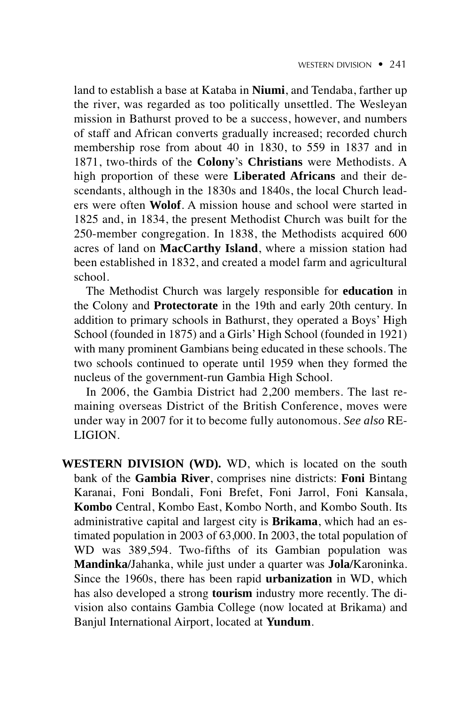land to establish a base at Kataba in **Niumi**, and Tendaba, farther up the river, was regarded as too politically unsettled. The Wesleyan mission in Bathurst proved to be a success, however, and numbers of staff and African converts gradually increased; recorded church membership rose from about 40 in 1830, to 559 in 1837 and in 1871, two-thirds of the **Colony**'s **Christians** were Methodists. A high proportion of these were **Liberated Africans** and their descendants, although in the 1830s and 1840s, the local Church leaders were often **Wolof**. A mission house and school were started in 1825 and, in 1834, the present Methodist Church was built for the 250-member congregation. In 1838, the Methodists acquired 600 acres of land on **MacCarthy Island**, where a mission station had been established in 1832, and created a model farm and agricultural school.

The Methodist Church was largely responsible for **education** in the Colony and **Protectorate** in the 19th and early 20th century. In addition to primary schools in Bathurst, they operated a Boys' High School (founded in 1875) and a Girls' High School (founded in 1921) with many prominent Gambians being educated in these schools. The two schools continued to operate until 1959 when they formed the nucleus of the government-run Gambia High School.

In 2006, the Gambia District had 2,200 members. The last remaining overseas District of the British Conference, moves were under way in 2007 for it to become fully autonomous. *See also* RE-LIGION.

**WESTERN DIVISION (WD).** WD, which is located on the south bank of the **Gambia River**, comprises nine districts: **Foni** Bintang Karanai, Foni Bondali, Foni Brefet, Foni Jarrol, Foni Kansala, **Kombo** Central, Kombo East, Kombo North, and Kombo South. Its administrative capital and largest city is **Brikama**, which had an estimated population in 2003 of 63,000. In 2003, the total population of WD was 389,594. Two-fifths of its Gambian population was **Mandinka/**Jahanka, while just under a quarter was **Jola/**Karoninka. Since the 1960s, there has been rapid **urbanization** in WD, which has also developed a strong **tourism** industry more recently. The division also contains Gambia College (now located at Brikama) and Banjul International Airport, located at **Yundum**.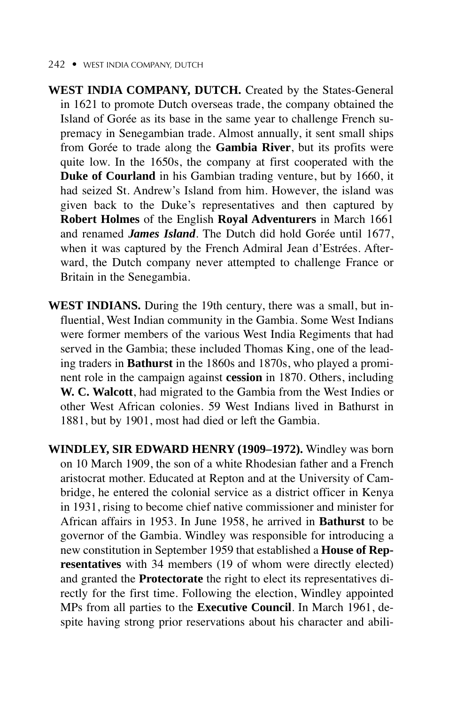#### 242 • WEST INDIA COMPANY, DUTCH

WEST INDIA COMPANY, DUTCH. Created by the States-General in 1621 to promote Dutch overseas trade, the company obtained the Island of Gorée as its base in the same year to challenge French supremacy in Senegambian trade. Almost annually, it sent small ships from Gorée to trade along the **Gambia River**, but its profits were quite low. In the 1650s, the company at first cooperated with the **Duke of Courland** in his Gambian trading venture, but by 1660, it had seized St. Andrew's Island from him. However, the island was given back to the Duke's representatives and then captured by **Robert Holmes** of the English **Royal Adventurers** in March 1661 and renamed *James Island*. The Dutch did hold Gorée until 1677, when it was captured by the French Admiral Jean d'Estrées. Afterward, the Dutch company never attempted to challenge France or Britain in the Senegambia.

- **WEST INDIANS.** During the 19th century, there was a small, but influential, West Indian community in the Gambia. Some West Indians were former members of the various West India Regiments that had served in the Gambia; these included Thomas King, one of the leading traders in **Bathurst** in the 1860s and 1870s, who played a prominent role in the campaign against **cession** in 1870. Others, including **W. C. Walcott**, had migrated to the Gambia from the West Indies or other West African colonies. 59 West Indians lived in Bathurst in 1881, but by 1901, most had died or left the Gambia.
- **WINDLEY, SIR EDWARD HENRY (1909–1972).** Windley was born on 10 March 1909, the son of a white Rhodesian father and a French aristocrat mother. Educated at Repton and at the University of Cambridge, he entered the colonial service as a district officer in Kenya in 1931, rising to become chief native commissioner and minister for African affairs in 1953. In June 1958, he arrived in **Bathurst** to be governor of the Gambia. Windley was responsible for introducing a new constitution in September 1959 that established a **House of Representatives** with 34 members (19 of whom were directly elected) and granted the **Protectorate** the right to elect its representatives directly for the first time. Following the election, Windley appointed MPs from all parties to the **Executive Council**. In March 1961, despite having strong prior reservations about his character and abili-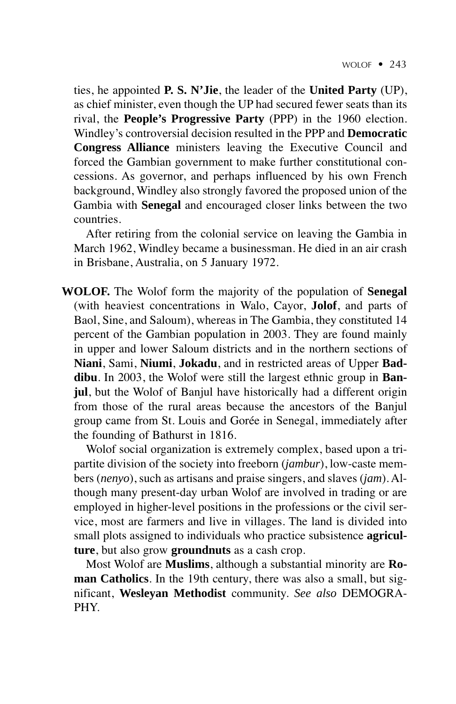ties, he appointed **P. S. N'Jie**, the leader of the **United Party** (UP), as chief minister, even though the UP had secured fewer seats than its rival, the **People's Progressive Party** (PPP) in the 1960 election. Windley's controversial decision resulted in the PPP and **Democratic Congress Alliance** ministers leaving the Executive Council and forced the Gambian government to make further constitutional concessions. As governor, and perhaps influenced by his own French background, Windley also strongly favored the proposed union of the Gambia with **Senegal** and encouraged closer links between the two countries.

After retiring from the colonial service on leaving the Gambia in March 1962, Windley became a businessman. He died in an air crash in Brisbane, Australia, on 5 January 1972.

**WOLOF.** The Wolof form the majority of the population of **Senegal** (with heaviest concentrations in Walo, Cayor, **Jolof**, and parts of Baol, Sine, and Saloum), whereas in The Gambia, they constituted 14 percent of the Gambian population in 2003. They are found mainly in upper and lower Saloum districts and in the northern sections of **Niani**, Sami, **Niumi**, **Jokadu**, and in restricted areas of Upper **Baddibu**. In 2003, the Wolof were still the largest ethnic group in **Banjul**, but the Wolof of Banjul have historically had a different origin from those of the rural areas because the ancestors of the Banjul group came from St. Louis and Gorée in Senegal, immediately after the founding of Bathurst in 1816.

Wolof social organization is extremely complex, based upon a tripartite division of the society into freeborn (*jambur*), low-caste members (*nenyo*), such as artisans and praise singers, and slaves (*jam*). Although many present-day urban Wolof are involved in trading or are employed in higher-level positions in the professions or the civil service, most are farmers and live in villages. The land is divided into small plots assigned to individuals who practice subsistence **agriculture**, but also grow **groundnuts** as a cash crop.

Most Wolof are **Muslims**, although a substantial minority are **Roman Catholics**. In the 19th century, there was also a small, but significant, **Wesleyan Methodist** community. *See also* DEMOGRA-PHY.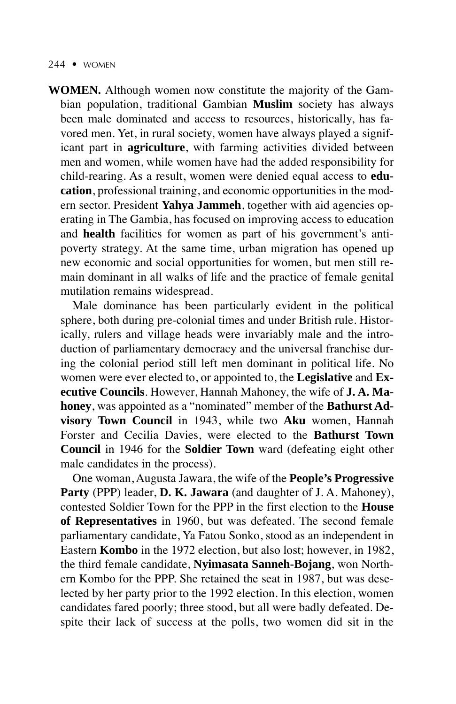#### 244 • WOMEN

**WOMEN.** Although women now constitute the majority of the Gambian population, traditional Gambian **Muslim** society has always been male dominated and access to resources, historically, has favored men. Yet, in rural society, women have always played a significant part in **agriculture**, with farming activities divided between men and women, while women have had the added responsibility for child-rearing. As a result, women were denied equal access to **education**, professional training, and economic opportunities in the modern sector. President **Yahya Jammeh**, together with aid agencies operating in The Gambia, has focused on improving access to education and **health** facilities for women as part of his government's antipoverty strategy. At the same time, urban migration has opened up new economic and social opportunities for women, but men still remain dominant in all walks of life and the practice of female genital mutilation remains widespread.

Male dominance has been particularly evident in the political sphere, both during pre-colonial times and under British rule. Historically, rulers and village heads were invariably male and the introduction of parliamentary democracy and the universal franchise during the colonial period still left men dominant in political life. No women were ever elected to, or appointed to, the **Legislative** and **Executive Councils**. However, Hannah Mahoney, the wife of **J. A. Mahoney**, was appointed as a "nominated" member of the **Bathurst Advisory Town Council** in 1943, while two **Aku** women, Hannah Forster and Cecilia Davies, were elected to the **Bathurst Town Council** in 1946 for the **Soldier Town** ward (defeating eight other male candidates in the process).

One woman, Augusta Jawara, the wife of the **People's Progressive Party** (PPP) leader, **D. K. Jawara** (and daughter of J. A. Mahoney), contested Soldier Town for the PPP in the first election to the **House of Representatives** in 1960, but was defeated. The second female parliamentary candidate, Ya Fatou Sonko, stood as an independent in Eastern **Kombo** in the 1972 election, but also lost; however, in 1982, the third female candidate, **Nyimasata Sanneh-Bojang**, won Northern Kombo for the PPP. She retained the seat in 1987, but was deselected by her party prior to the 1992 election. In this election, women candidates fared poorly; three stood, but all were badly defeated. Despite their lack of success at the polls, two women did sit in the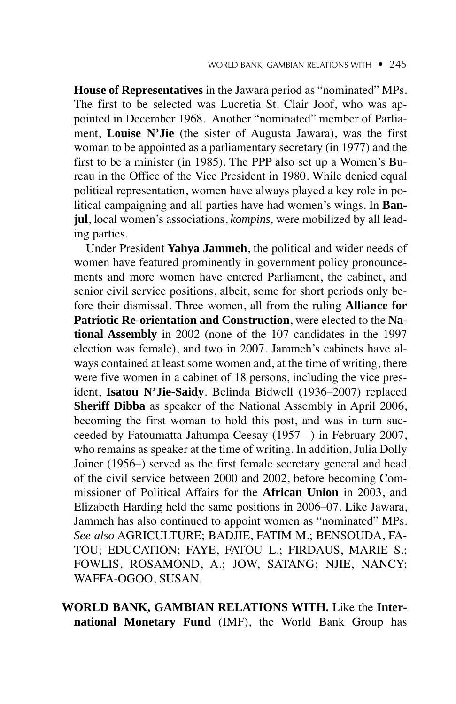**House of Representatives** in the Jawara period as "nominated" MPs. The first to be selected was Lucretia St. Clair Joof, who was appointed in December 1968. Another "nominated" member of Parliament, **Louise N'Jie** (the sister of Augusta Jawara), was the first woman to be appointed as a parliamentary secretary (in 1977) and the first to be a minister (in 1985). The PPP also set up a Women's Bureau in the Office of the Vice President in 1980. While denied equal political representation, women have always played a key role in political campaigning and all parties have had women's wings. In **Banjul**, local women's associations, *kompins,* were mobilized by all leading parties.

Under President **Yahya Jammeh**, the political and wider needs of women have featured prominently in government policy pronouncements and more women have entered Parliament, the cabinet, and senior civil service positions, albeit, some for short periods only before their dismissal. Three women, all from the ruling **Alliance for Patriotic Re-orientation and Construction**, were elected to the **National Assembly** in 2002 (none of the 107 candidates in the 1997 election was female), and two in 2007. Jammeh's cabinets have always contained at least some women and, at the time of writing, there were five women in a cabinet of 18 persons, including the vice president, **Isatou N'Jie-Saidy**. Belinda Bidwell (1936–2007) replaced **Sheriff Dibba** as speaker of the National Assembly in April 2006, becoming the first woman to hold this post, and was in turn succeeded by Fatoumatta Jahumpa-Ceesay (1957– ) in February 2007, who remains as speaker at the time of writing. In addition, Julia Dolly Joiner (1956–) served as the first female secretary general and head of the civil service between 2000 and 2002, before becoming Commissioner of Political Affairs for the **African Union** in 2003, and Elizabeth Harding held the same positions in 2006–07. Like Jawara, Jammeh has also continued to appoint women as "nominated" MPs. *See also* AGRICULTURE; BADJIE, FATIM M.; BENSOUDA, FA-TOU; EDUCATION; FAYE, FATOU L.; FIRDAUS, MARIE S.; FOWLIS, ROSAMOND, A.; JOW, SATANG; NJIE, NANCY; WAFFA-OGOO, SUSAN.

**WORLD BANK, GAMBIAN RELATIONS WITH.** Like the **International Monetary Fund** (IMF), the World Bank Group has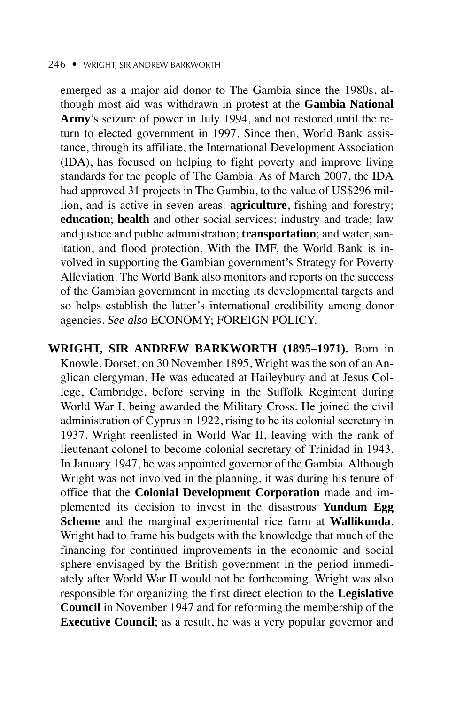emerged as a major aid donor to The Gambia since the 1980s, although most aid was withdrawn in protest at the **Gambia National Army**'s seizure of power in July 1994, and not restored until the return to elected government in 1997. Since then, World Bank assistance, through its affiliate, the International Development Association (IDA), has focused on helping to fight poverty and improve living standards for the people of The Gambia. As of March 2007, the IDA had approved 31 projects in The Gambia, to the value of US\$296 million, and is active in seven areas: **agriculture**, fishing and forestry; **education**; **health** and other social services; industry and trade; law and justice and public administration; **transportation**; and water, sanitation, and flood protection. With the IMF, the World Bank is involved in supporting the Gambian government's Strategy for Poverty Alleviation. The World Bank also monitors and reports on the success of the Gambian government in meeting its developmental targets and so helps establish the latter's international credibility among donor agencies. *See also* ECONOMY; FOREIGN POLICY.

**WRIGHT, SIR ANDREW BARKWORTH (1895–1971).** Born in Knowle, Dorset, on 30 November 1895, Wright was the son of an Anglican clergyman. He was educated at Haileybury and at Jesus College, Cambridge, before serving in the Suffolk Regiment during World War I, being awarded the Military Cross. He joined the civil administration of Cyprus in 1922, rising to be its colonial secretary in 1937. Wright reenlisted in World War II, leaving with the rank of lieutenant colonel to become colonial secretary of Trinidad in 1943. In January 1947, he was appointed governor of the Gambia. Although Wright was not involved in the planning, it was during his tenure of office that the **Colonial Development Corporation** made and implemented its decision to invest in the disastrous **Yundum Egg Scheme** and the marginal experimental rice farm at **Wallikunda**. Wright had to frame his budgets with the knowledge that much of the financing for continued improvements in the economic and social sphere envisaged by the British government in the period immediately after World War II would not be forthcoming. Wright was also responsible for organizing the first direct election to the **Legislative Council** in November 1947 and for reforming the membership of the **Executive Council**; as a result, he was a very popular governor and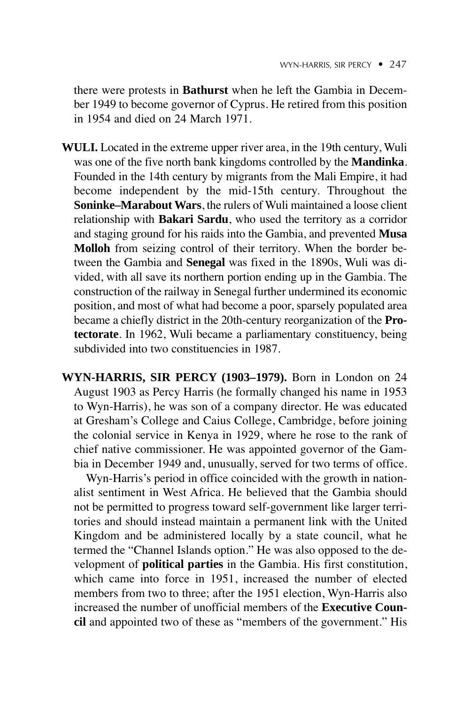there were protests in **Bathurst** when he left the Gambia in December 1949 to become governor of Cyprus. He retired from this position in 1954 and died on 24 March 1971.

**WULI.** Located in the extreme upper river area, in the 19th century, Wuli was one of the five north bank kingdoms controlled by the **Mandinka**. Founded in the 14th century by migrants from the Mali Empire, it had become independent by the mid-15th century. Throughout the **Soninke–Marabout Wars**, the rulers of Wuli maintained a loose client relationship with **Bakari Sardu**, who used the territory as a corridor and staging ground for his raids into the Gambia, and prevented **Musa Molloh** from seizing control of their territory. When the border between the Gambia and **Senegal** was fixed in the 1890s, Wuli was divided, with all save its northern portion ending up in the Gambia. The construction of the railway in Senegal further undermined its economic position, and most of what had become a poor, sparsely populated area became a chiefly district in the 20th-century reorganization of the **Protectorate**. In 1962, Wuli became a parliamentary constituency, being subdivided into two constituencies in 1987.

**WYN-HARRIS, SIR PERCY (1903–1979).** Born in London on 24 August 1903 as Percy Harris (he formally changed his name in 1953 to Wyn-Harris), he was son of a company director. He was educated at Gresham's College and Caius College, Cambridge, before joining the colonial service in Kenya in 1929, where he rose to the rank of chief native commissioner. He was appointed governor of the Gambia in December 1949 and, unusually, served for two terms of office.

Wyn-Harris's period in office coincided with the growth in nationalist sentiment in West Africa. He believed that the Gambia should not be permitted to progress toward self-government like larger territories and should instead maintain a permanent link with the United Kingdom and be administered locally by a state council, what he termed the "Channel Islands option." He was also opposed to the development of **political parties** in the Gambia. His first constitution, which came into force in 1951, increased the number of elected members from two to three; after the 1951 election, Wyn-Harris also increased the number of unofficial members of the **Executive Council** and appointed two of these as "members of the government." His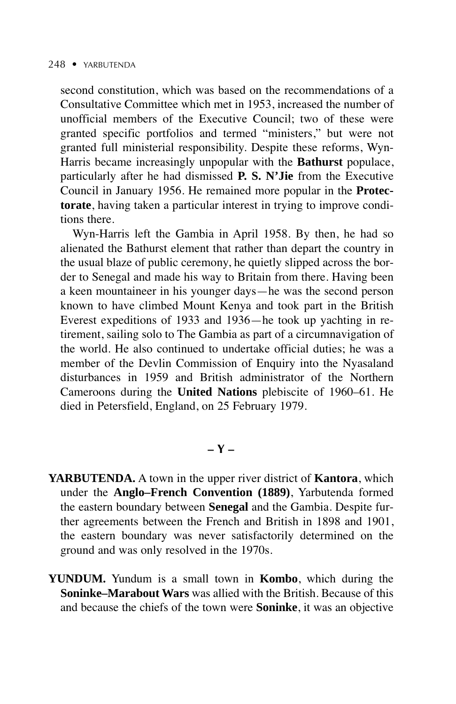second constitution, which was based on the recommendations of a Consultative Committee which met in 1953, increased the number of unofficial members of the Executive Council; two of these were granted specific portfolios and termed "ministers," but were not granted full ministerial responsibility. Despite these reforms, Wyn-Harris became increasingly unpopular with the **Bathurst** populace, particularly after he had dismissed **P. S. N'Jie** from the Executive Council in January 1956. He remained more popular in the **Protectorate**, having taken a particular interest in trying to improve conditions there.

Wyn-Harris left the Gambia in April 1958. By then, he had so alienated the Bathurst element that rather than depart the country in the usual blaze of public ceremony, he quietly slipped across the border to Senegal and made his way to Britain from there. Having been a keen mountaineer in his younger days—he was the second person known to have climbed Mount Kenya and took part in the British Everest expeditions of 1933 and 1936—he took up yachting in retirement, sailing solo to The Gambia as part of a circumnavigation of the world. He also continued to undertake official duties; he was a member of the Devlin Commission of Enquiry into the Nyasaland disturbances in 1959 and British administrator of the Northern Cameroons during the **United Nations** plebiscite of 1960–61. He died in Petersfield, England, on 25 February 1979.

#### **– Y –**

- **YARBUTENDA.** A town in the upper river district of **Kantora**, which under the **Anglo–French Convention (1889)**, Yarbutenda formed the eastern boundary between **Senegal** and the Gambia. Despite further agreements between the French and British in 1898 and 1901, the eastern boundary was never satisfactorily determined on the ground and was only resolved in the 1970s.
- **YUNDUM.** Yundum is a small town in **Kombo**, which during the **Soninke–Marabout Wars** was allied with the British. Because of this and because the chiefs of the town were **Soninke**, it was an objective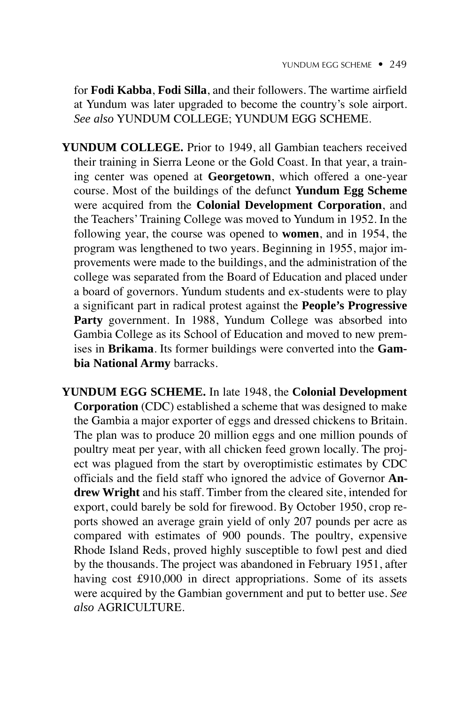for **Fodi Kabba**, **Fodi Silla**, and their followers. The wartime airfield at Yundum was later upgraded to become the country's sole airport. *See also* YUNDUM COLLEGE; YUNDUM EGG SCHEME.

- **YUNDUM COLLEGE.** Prior to 1949, all Gambian teachers received their training in Sierra Leone or the Gold Coast. In that year, a training center was opened at **Georgetown**, which offered a one-year course. Most of the buildings of the defunct **Yundum Egg Scheme** were acquired from the **Colonial Development Corporation**, and the Teachers' Training College was moved to Yundum in 1952. In the following year, the course was opened to **women**, and in 1954, the program was lengthened to two years. Beginning in 1955, major improvements were made to the buildings, and the administration of the college was separated from the Board of Education and placed under a board of governors. Yundum students and ex-students were to play a significant part in radical protest against the **People's Progressive** Party government. In 1988, Yundum College was absorbed into Gambia College as its School of Education and moved to new premises in **Brikama**. Its former buildings were converted into the **Gambia National Army** barracks.
- **YUNDUM EGG SCHEME.** In late 1948, the **Colonial Development Corporation** (CDC) established a scheme that was designed to make the Gambia a major exporter of eggs and dressed chickens to Britain. The plan was to produce 20 million eggs and one million pounds of poultry meat per year, with all chicken feed grown locally. The project was plagued from the start by overoptimistic estimates by CDC officials and the field staff who ignored the advice of Governor **Andrew Wright** and his staff. Timber from the cleared site, intended for export, could barely be sold for firewood. By October 1950, crop reports showed an average grain yield of only 207 pounds per acre as compared with estimates of 900 pounds. The poultry, expensive Rhode Island Reds, proved highly susceptible to fowl pest and died by the thousands. The project was abandoned in February 1951, after having cost £910,000 in direct appropriations. Some of its assets were acquired by the Gambian government and put to better use. *See also* AGRICULTURE.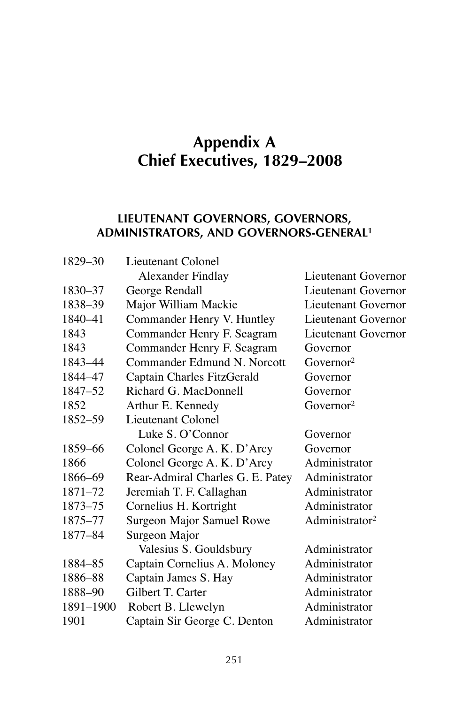# **Appendix A Chief Executives, 1829–2008**

## **LIEUTENANT GOVERNORS, GOVERNORS, ADMINISTRATORS, AND GOVERNORS-GENERAL1**

| 1829-30   | Lieutenant Colonel               |                            |
|-----------|----------------------------------|----------------------------|
|           | Alexander Findlay                | Lieutenant Governor        |
| 1830–37   | George Rendall                   | Lieutenant Governor        |
| 1838-39   | Major William Mackie             | Lieutenant Governor        |
| 1840-41   | Commander Henry V. Huntley       | Lieutenant Governor        |
| 1843      | Commander Henry F. Seagram       | Lieutenant Governor        |
| 1843      | Commander Henry F. Seagram       | Governor                   |
| 1843-44   | Commander Edmund N. Norcott      | Governor <sup>2</sup>      |
| 1844–47   | Captain Charles FitzGerald       | Governor                   |
| 1847-52   | Richard G. MacDonnell            | Governor                   |
| 1852      | Arthur E. Kennedy                | Governor <sup>2</sup>      |
| 1852-59   | Lieutenant Colonel               |                            |
|           | Luke S. O'Connor                 | Governor                   |
| 1859–66   | Colonel George A. K. D'Arcy      | Governor                   |
| 1866      | Colonel George A. K. D'Arcy      | Administrator              |
| 1866-69   | Rear-Admiral Charles G. E. Patey | Administrator              |
| 1871-72   | Jeremiah T. F. Callaghan         | Administrator              |
| 1873–75   | Cornelius H. Kortright           | Administrator              |
| 1875–77   | <b>Surgeon Major Samuel Rowe</b> | Administrator <sup>2</sup> |
| 1877-84   | Surgeon Major                    |                            |
|           | Valesius S. Gouldsbury           | Administrator              |
| 1884–85   | Captain Cornelius A. Moloney     | Administrator              |
| 1886-88   | Captain James S. Hay             | Administrator              |
| 1888-90   | Gilbert T. Carter                | Administrator              |
| 1891-1900 | Robert B. Llewelyn               | Administrator              |
| 1901      | Captain Sir George C. Denton     | Administrator              |
|           |                                  |                            |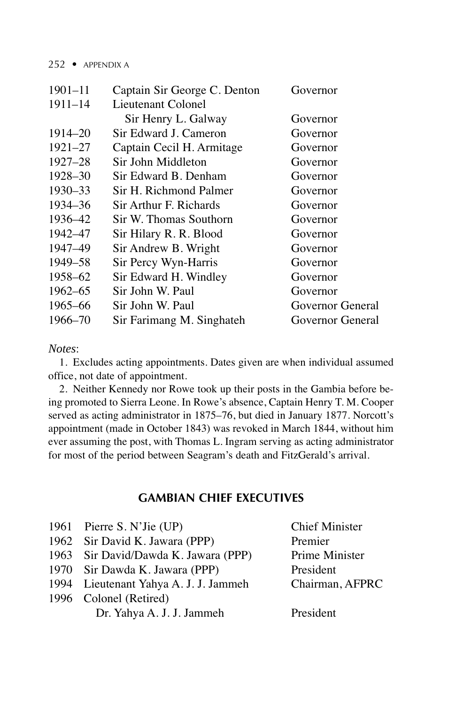| $1901 - 11$ | Captain Sir George C. Denton | Governor         |
|-------------|------------------------------|------------------|
| $1911 - 14$ | Lieutenant Colonel           |                  |
|             | Sir Henry L. Galway          | Governor         |
| 1914–20     | Sir Edward J. Cameron        | Governor         |
| $1921 - 27$ | Captain Cecil H. Armitage    | Governor         |
| 1927–28     | Sir John Middleton           | Governor         |
| 1928-30     | Sir Edward B. Denham         | Governor         |
| $1930 - 33$ | Sir H. Richmond Palmer       | Governor         |
| 1934–36     | Sir Arthur F. Richards       | Governor         |
| 1936–42     | Sir W. Thomas Southorn       | Governor         |
| 1942-47     | Sir Hilary R. R. Blood       | Governor         |
| 1947–49     | Sir Andrew B. Wright         | Governor         |
| 1949–58     | Sir Percy Wyn-Harris         | Governor         |
| 1958–62     | Sir Edward H. Windley        | Governor         |
| $1962 - 65$ | Sir John W. Paul             | Governor         |
| 1965–66     | Sir John W. Paul             | Governor General |
| 1966–70     | Sir Farimang M. Singhateh    | Governor General |

### *Notes*:

1. Excludes acting appointments. Dates given are when individual assumed office, not date of appointment.

2. Neither Kennedy nor Rowe took up their posts in the Gambia before being promoted to Sierra Leone. In Rowe's absence, Captain Henry T. M. Cooper served as acting administrator in 1875–76, but died in January 1877. Norcott's appointment (made in October 1843) was revoked in March 1844, without him ever assuming the post, with Thomas L. Ingram serving as acting administrator for most of the period between Seagram's death and FitzGerald's arrival.

### **GAMBIAN CHIEF EXECUTIVES**

- 1961 Pierre S. N'Jie (UP) Chief Minister
- 1962 Sir David K. Jawara (PPP) Premier
- 1963 Sir David/Dawda K. Jawara (PPP) Prime Minister
- 1970 Sir Dawda K. Jawara (PPP) President
- 1994 Lieutenant Yahya A. J. J. Jammeh Chairman, AFPRC
- 1996 Colonel (Retired)

Dr. Yahya A. J. J. Jammeh President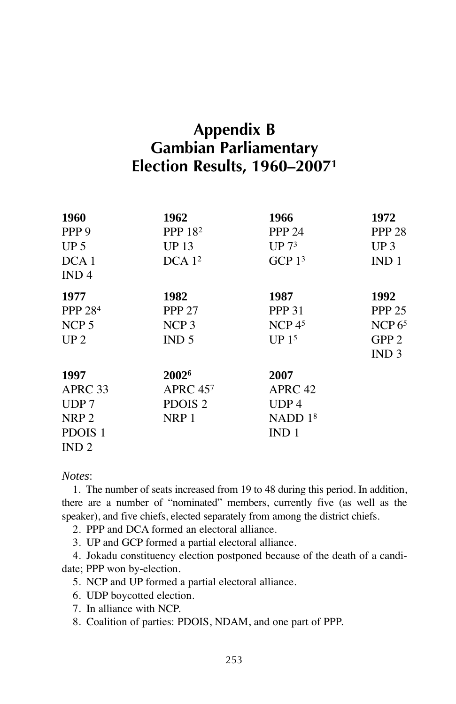# **Appendix B Gambian Parliamentary Election Results, 1960–20071**

| 1960                | 1962                | 1966                 | 1972               |
|---------------------|---------------------|----------------------|--------------------|
| PPP <sub>9</sub>    | <b>PPP 182</b>      | <b>PPP 24</b>        | PPP <sub>28</sub>  |
| UP <sub>5</sub>     | <b>UP13</b>         | UP7 <sup>3</sup>     | UP <sub>3</sub>    |
| DCA <sub>1</sub>    | $DCA$ <sup>12</sup> | $GCP$ 1 <sup>3</sup> | IND <sub>1</sub>   |
| IND 4               |                     |                      |                    |
| 1977                | 1982                | 1987                 | 1992               |
| PPP 28 <sup>4</sup> | <b>PPP 27</b>       | <b>PPP 31</b>        | <b>PPP 25</b>      |
| NCP <sub>5</sub>    | NCP <sub>3</sub>    | NCP 4 <sup>5</sup>   | NCP 6 <sup>5</sup> |
| UP <sub>2</sub>     | IND <sub>5</sub>    | UP1 <sup>5</sup>     | GPP2               |
|                     |                     |                      | IND <sub>3</sub>   |
| 1997                | 2002 <sup>6</sup>   | 2007                 |                    |
| APRC 33             | APRC 457            | APRC 42              |                    |
| UDP 7               | PDOIS <sub>2</sub>  | UDP <sub>4</sub>     |                    |
| NRP <sub>2</sub>    | NRP 1               | $NADD$ $18$          |                    |
| PDOIS <sub>1</sub>  |                     | IND <sub>1</sub>     |                    |
| IND <sub>2</sub>    |                     |                      |                    |

*Notes*:

1. The number of seats increased from 19 to 48 during this period. In addition, there are a number of "nominated" members, currently five (as well as the speaker), and five chiefs, elected separately from among the district chiefs.

2. PPP and DCA formed an electoral alliance.

3. UP and GCP formed a partial electoral alliance.

4. Jokadu constituency election postponed because of the death of a candidate; PPP won by-election.

- 5. NCP and UP formed a partial electoral alliance.
- 6. UDP boycotted election.
- 7. In alliance with NCP.

8. Coalition of parties: PDOIS, NDAM, and one part of PPP.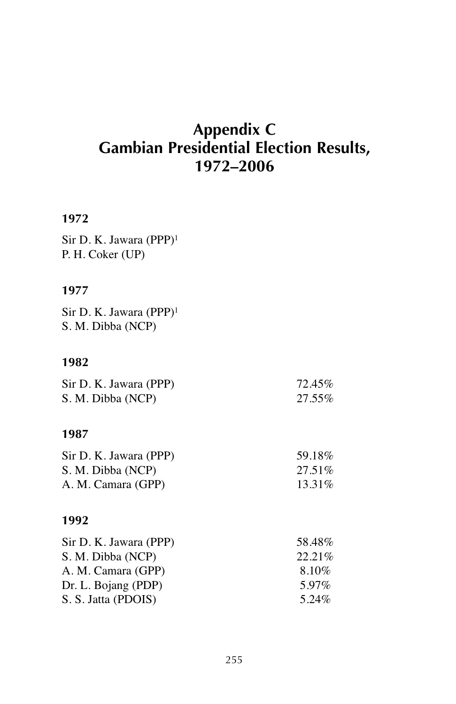# **Appendix C Gambian Presidential Election Results, 1972–2006**

### **1972**

Sir D. K. Jawara (PPP)1 P. H. Coker (UP)

### **1977**

Sir D. K. Jawara (PPP)1 S. M. Dibba (NCP)

### **1982**

| Sir D. K. Jawara (PPP) | 72.45% |
|------------------------|--------|
| S. M. Dibba (NCP)      | 27.55% |

### **1987**

| Sir D. K. Jawara (PPP) | 59.18%  |
|------------------------|---------|
| S. M. Dibba (NCP)      | 27.51\% |
| A. M. Camara (GPP)     | 13.31\% |

### **1992**

| Sir D. K. Jawara (PPP) | 58.48%  |
|------------------------|---------|
| S. M. Dibba (NCP)      | 22.21\% |
| A. M. Camara (GPP)     | 8.10%   |
| Dr. L. Bojang (PDP)    | 5.97%   |
| S. S. Jatta (PDOIS)    | 5.24%   |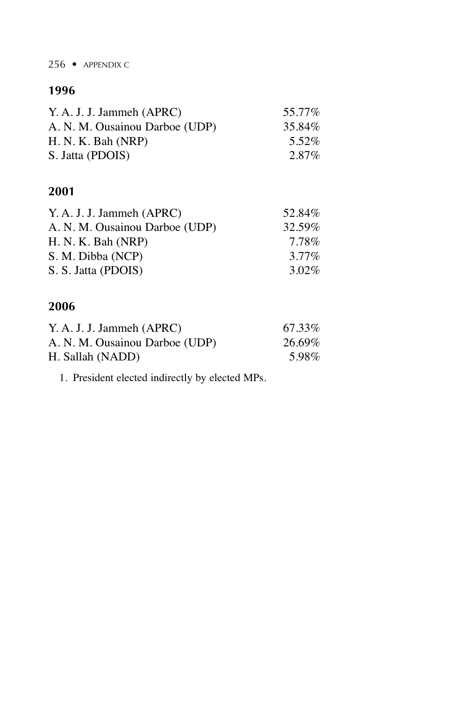256 • APPENDIX C

## **1996**

| Y. A. J. J. Jammeh (APRC)      | 55.77% |
|--------------------------------|--------|
| A. N. M. Ousainou Darboe (UDP) | 35.84% |
| $H. N. K.$ Bah (NRP)           | 5.52%  |
| S. Jatta (PDOIS)               | 2.87%  |

# **2001**

| Y. A. J. J. Jammeh (APRC)      | 52.84%   |
|--------------------------------|----------|
| A. N. M. Ousainou Darboe (UDP) | 32.59%   |
| $H. N. K.$ Bah (NRP)           | 7.78%    |
| S. M. Dibba (NCP)              | $3.77\%$ |
| S. S. Jatta (PDOIS)            | $3.02\%$ |
|                                |          |

# **2006**

| Y. A. J. J. Jammeh (APRC)      | 67.33% |
|--------------------------------|--------|
| A. N. M. Ousainou Darboe (UDP) | 26.69% |
| H. Sallah (NADD)               | 5.98%  |

1. President elected indirectly by elected MPs.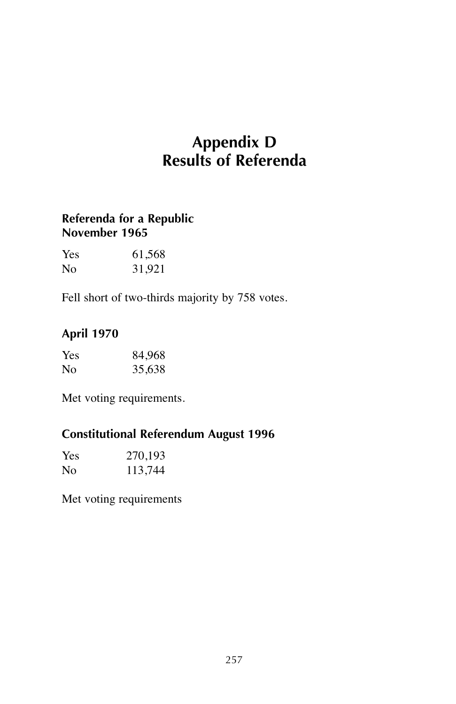# **Appendix D Results of Referenda**

## **Referenda for a Republic November 1965**

| Yes | 61,568 |
|-----|--------|
| No  | 31,921 |

Fell short of two-thirds majority by 758 votes.

## **April 1970**

| Yes | 84,968 |
|-----|--------|
| No  | 35,638 |

Met voting requirements.

## **Constitutional Referendum August 1996**

| Yes | 270,193 |
|-----|---------|
| No  | 113,744 |

Met voting requirements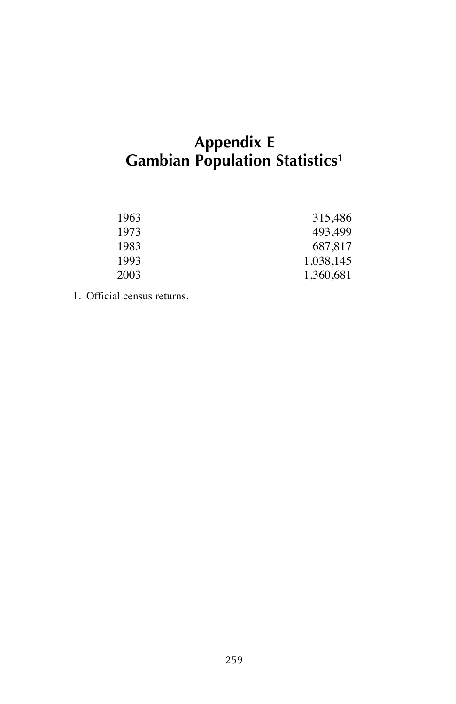# **Appendix E Gambian Population Statistics1**

| 1963 | 315,486   |
|------|-----------|
| 1973 | 493,499   |
| 1983 | 687.817   |
| 1993 | 1,038,145 |
| 2003 | 1,360,681 |
|      |           |

1. Official census returns.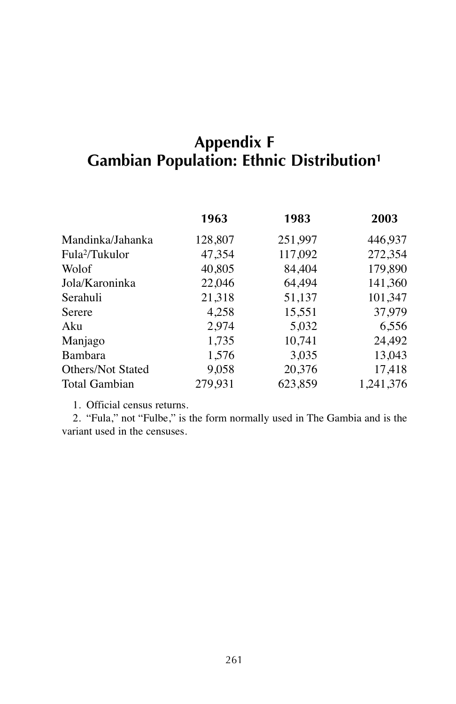# **Appendix F Gambian Population: Ethnic Distribution1**

|                            | 1963    | 1983    | 2003      |
|----------------------------|---------|---------|-----------|
| Mandinka/Jahanka           | 128,807 | 251,997 | 446,937   |
| Fula <sup>2</sup> /Tukulor | 47,354  | 117,092 | 272,354   |
| Wolof                      | 40,805  | 84,404  | 179,890   |
| Jola/Karoninka             | 22,046  | 64,494  | 141,360   |
| Serahuli                   | 21,318  | 51,137  | 101,347   |
| Serere                     | 4,258   | 15,551  | 37,979    |
| Aku                        | 2,974   | 5,032   | 6,556     |
| Manjago                    | 1,735   | 10,741  | 24,492    |
| <b>Bambara</b>             | 1,576   | 3,035   | 13,043    |
| <b>Others/Not Stated</b>   | 9,058   | 20,376  | 17,418    |
| Total Gambian              | 279,931 | 623,859 | 1,241,376 |

1. Official census returns.

2. "Fula," not "Fulbe," is the form normally used in The Gambia and is the variant used in the censuses.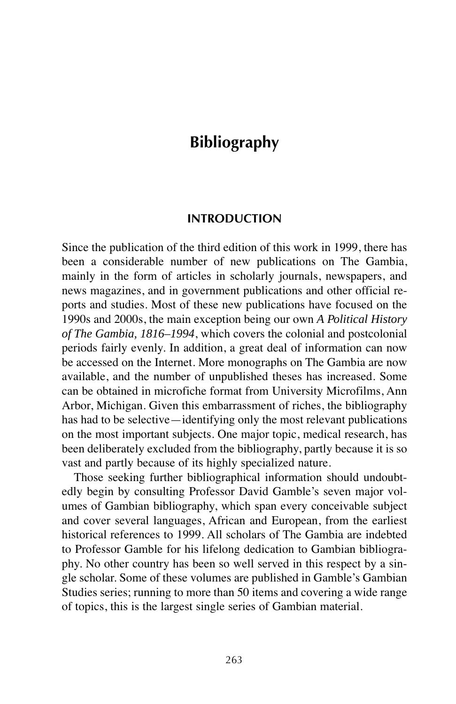# **Bibliography**

#### **INTRODUCTION**

Since the publication of the third edition of this work in 1999, there has been a considerable number of new publications on The Gambia, mainly in the form of articles in scholarly journals, newspapers, and news magazines, and in government publications and other official reports and studies. Most of these new publications have focused on the 1990s and 2000s, the main exception being our own *A Political History of The Gambia, 1816–1994*, which covers the colonial and postcolonial periods fairly evenly. In addition, a great deal of information can now be accessed on the Internet. More monographs on The Gambia are now available, and the number of unpublished theses has increased. Some can be obtained in microfiche format from University Microfilms, Ann Arbor, Michigan. Given this embarrassment of riches, the bibliography has had to be selective—identifying only the most relevant publications on the most important subjects. One major topic, medical research, has been deliberately excluded from the bibliography, partly because it is so vast and partly because of its highly specialized nature.

Those seeking further bibliographical information should undoubtedly begin by consulting Professor David Gamble's seven major volumes of Gambian bibliography, which span every conceivable subject and cover several languages, African and European, from the earliest historical references to 1999. All scholars of The Gambia are indebted to Professor Gamble for his lifelong dedication to Gambian bibliography. No other country has been so well served in this respect by a single scholar. Some of these volumes are published in Gamble's Gambian Studies series; running to more than 50 items and covering a wide range of topics, this is the largest single series of Gambian material.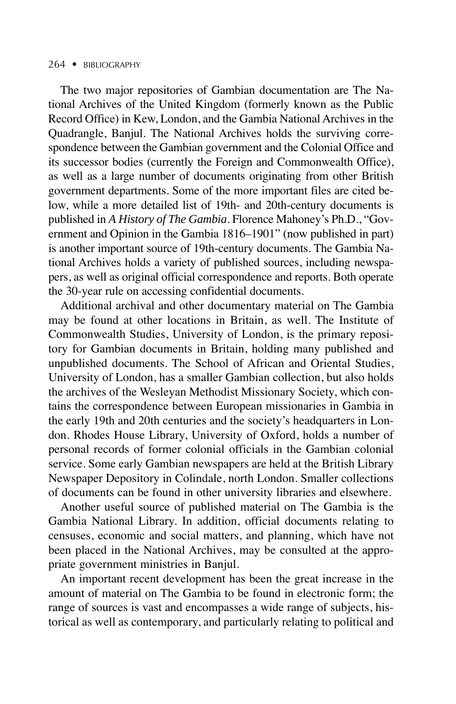The two major repositories of Gambian documentation are The National Archives of the United Kingdom (formerly known as the Public Record Office) in Kew, London, and the Gambia National Archives in the Quadrangle, Banjul. The National Archives holds the surviving correspondence between the Gambian government and the Colonial Office and its successor bodies (currently the Foreign and Commonwealth Office), as well as a large number of documents originating from other British government departments. Some of the more important files are cited below, while a more detailed list of 19th- and 20th-century documents is published in *A History of The Gambia*. Florence Mahoney's Ph.D., "Government and Opinion in the Gambia 1816–1901" (now published in part) is another important source of 19th-century documents. The Gambia National Archives holds a variety of published sources, including newspapers, as well as original official correspondence and reports. Both operate the 30-year rule on accessing confidential documents.

Additional archival and other documentary material on The Gambia may be found at other locations in Britain, as well. The Institute of Commonwealth Studies, University of London, is the primary repository for Gambian documents in Britain, holding many published and unpublished documents. The School of African and Oriental Studies, University of London, has a smaller Gambian collection, but also holds the archives of the Wesleyan Methodist Missionary Society, which contains the correspondence between European missionaries in Gambia in the early 19th and 20th centuries and the society's headquarters in London. Rhodes House Library, University of Oxford, holds a number of personal records of former colonial officials in the Gambian colonial service. Some early Gambian newspapers are held at the British Library Newspaper Depository in Colindale, north London. Smaller collections of documents can be found in other university libraries and elsewhere.

Another useful source of published material on The Gambia is the Gambia National Library. In addition, official documents relating to censuses, economic and social matters, and planning, which have not been placed in the National Archives, may be consulted at the appropriate government ministries in Banjul.

An important recent development has been the great increase in the amount of material on The Gambia to be found in electronic form; the range of sources is vast and encompasses a wide range of subjects, historical as well as contemporary, and particularly relating to political and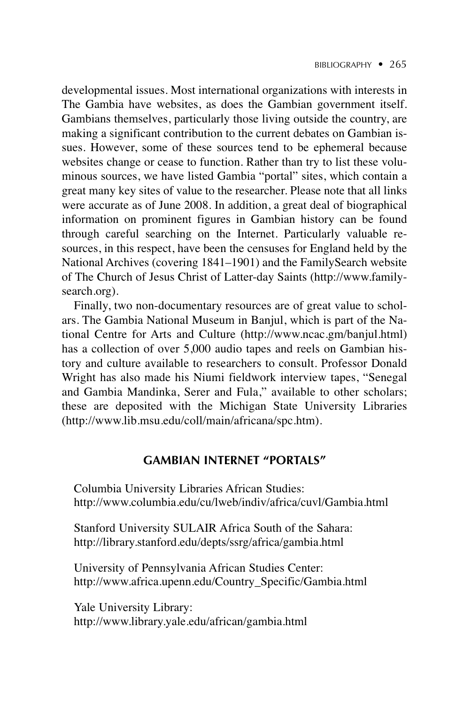developmental issues. Most international organizations with interests in The Gambia have websites, as does the Gambian government itself. Gambians themselves, particularly those living outside the country, are making a significant contribution to the current debates on Gambian issues. However, some of these sources tend to be ephemeral because websites change or cease to function. Rather than try to list these voluminous sources, we have listed Gambia "portal" sites, which contain a great many key sites of value to the researcher. Please note that all links were accurate as of June 2008. In addition, a great deal of biographical information on prominent figures in Gambian history can be found through careful searching on the Internet. Particularly valuable resources, in this respect, have been the censuses for England held by the National Archives (covering 1841–1901) and the FamilySearch website of The Church of Jesus Christ of Latter-day Saints (http://www.familysearch.org).

Finally, two non-documentary resources are of great value to scholars. The Gambia National Museum in Banjul, which is part of the National Centre for Arts and Culture (http://www.ncac.gm/banjul.html) has a collection of over 5,000 audio tapes and reels on Gambian history and culture available to researchers to consult. Professor Donald Wright has also made his Niumi fieldwork interview tapes, "Senegal and Gambia Mandinka, Serer and Fula," available to other scholars; these are deposited with the Michigan State University Libraries (http://www.lib.msu.edu/coll/main/africana/spc.htm).

## **GAMBIAN INTERNET "PORTALS"**

Columbia University Libraries African Studies: http://www.columbia.edu/cu/lweb/indiv/africa/cuvl/Gambia.html

Stanford University SULAIR Africa South of the Sahara: http://library.stanford.edu/depts/ssrg/africa/gambia.html

University of Pennsylvania African Studies Center: http://www.africa.upenn.edu/Country\_Specific/Gambia.html

Yale University Library: http://www.library.yale.edu/african/gambia.html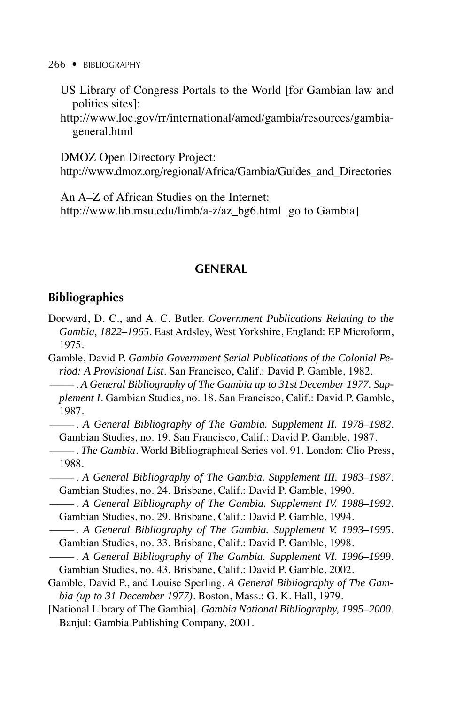US Library of Congress Portals to the World [for Gambian law and politics sites]:

http://www.loc.gov/rr/international/amed/gambia/resources/gambiageneral.html

DMOZ Open Directory Project: http://www.dmoz.org/regional/Africa/Gambia/Guides\_and\_Directories

An A–Z of African Studies on the Internet: http://www.lib.msu.edu/limb/a-z/az\_bg6.html [go to Gambia]

#### **GENERAL**

### **Bibliographies**

- Dorward, D. C., and A. C. Butler. *Government Publications Relating to the Gambia, 1822–1965*. East Ardsley, West Yorkshire, England: EP Microform, 1975.
- Gamble, David P. *Gambia Government Serial Publications of the Colonial Period: A Provisional List*. San Francisco, Calif.: David P. Gamble, 1982.

———. *A General Bibliography of The Gambia up to 31st December 1977. Supplement I*. Gambian Studies, no. 18. San Francisco, Calif.: David P. Gamble, 1987.

———. *A General Bibliography of The Gambia. Supplement II. 1978–1982*. Gambian Studies, no. 19. San Francisco, Calif.: David P. Gamble, 1987.

———. *The Gambia*. World Bibliographical Series vol. 91. London: Clio Press, 1988.

———. *A General Bibliography of The Gambia. Supplement III. 1983–1987*. Gambian Studies, no. 24. Brisbane, Calif.: David P. Gamble, 1990.

———. *A General Bibliography of The Gambia. Supplement IV. 1988–1992*. Gambian Studies, no. 29. Brisbane, Calif.: David P. Gamble, 1994.

———. *A General Bibliography of The Gambia. Supplement V. 1993–1995*. Gambian Studies, no. 33. Brisbane, Calif.: David P. Gamble, 1998.

- ———. *A General Bibliography of The Gambia. Supplement VI. 1996–1999*. Gambian Studies, no. 43. Brisbane, Calif.: David P. Gamble, 2002.
- Gamble, David P., and Louise Sperling. *A General Bibliography of The Gambia (up to 31 December 1977)*. Boston, Mass.: G. K. Hall, 1979.
- [National Library of The Gambia]. *Gambia National Bibliography, 1995–2000*. Banjul: Gambia Publishing Company, 2001.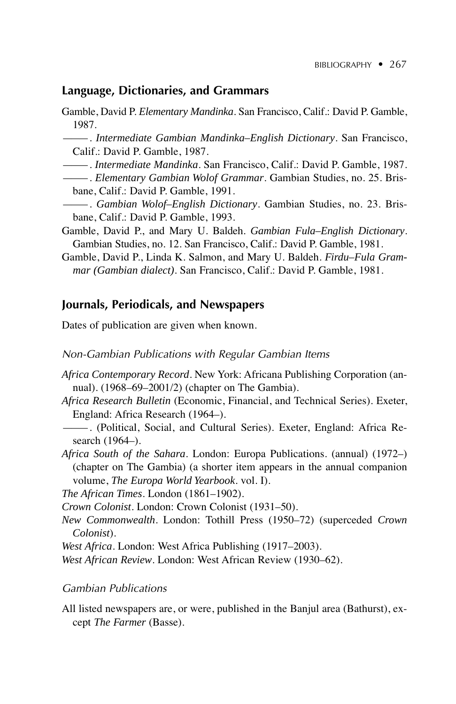#### **Language, Dictionaries, and Grammars**

- Gamble, David P. *Elementary Mandinka*. San Francisco, Calif.: David P. Gamble, 1987.
- ———. *Intermediate Gambian Mandinka–English Dictionary*. San Francisco, Calif.: David P. Gamble, 1987.
- ———. *Intermediate Mandinka*. San Francisco, Calif.: David P. Gamble, 1987.
- ———. *Elementary Gambian Wolof Grammar*. Gambian Studies, no. 25. Brisbane, Calif.: David P. Gamble, 1991.
- ———. *Gambian Wolof–English Dictionary*. Gambian Studies, no. 23. Brisbane, Calif.: David P. Gamble, 1993.
- Gamble, David P., and Mary U. Baldeh. *Gambian Fula–English Dictionary*. Gambian Studies, no. 12. San Francisco, Calif.: David P. Gamble, 1981.
- Gamble, David P., Linda K. Salmon, and Mary U. Baldeh. *Firdu–Fula Grammar (Gambian dialect)*. San Francisco, Calif.: David P. Gamble, 1981.

## **Journals, Periodicals, and Newspapers**

Dates of publication are given when known.

Non-Gambian Publications with Regular Gambian Items

- *Africa Contemporary Record*. New York: Africana Publishing Corporation (annual). (1968–69–2001/2) (chapter on The Gambia).
- *Africa Research Bulletin* (Economic, Financial, and Technical Series). Exeter, England: Africa Research (1964–).
- ———. (Political, Social, and Cultural Series). Exeter, England: Africa Research (1964–).
- *Africa South of the Sahara*. London: Europa Publications. (annual) (1972–) (chapter on The Gambia) (a shorter item appears in the annual companion volume, *The Europa World Yearbook*. vol. I).

*The African Times*. London (1861–1902).

*Crown Colonist*. London: Crown Colonist (1931–50).

*New Commonwealth*. London: Tothill Press (1950–72) (superceded *Crown Colonist*).

*West Africa*. London: West Africa Publishing (1917–2003).

*West African Review*. London: West African Review (1930–62).

### Gambian Publications

All listed newspapers are, or were, published in the Banjul area (Bathurst), except *The Farmer* (Basse).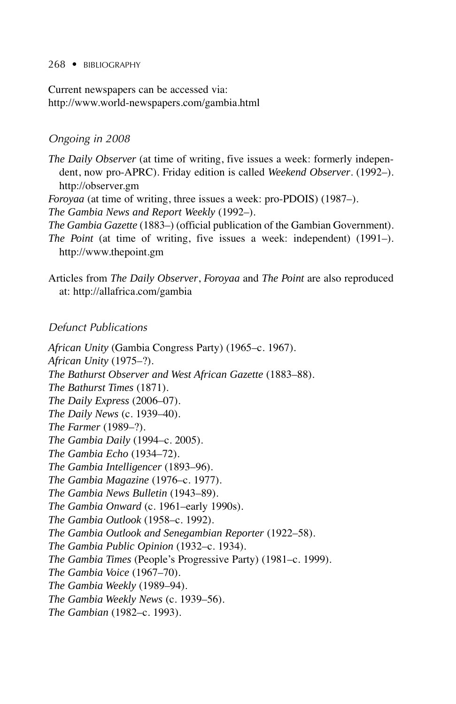Current newspapers can be accessed via: http://www.world-newspapers.com/gambia.html

### Ongoing in 2008

*The Daily Observer* (at time of writing, five issues a week: formerly independent, now pro-APRC). Friday edition is called *Weekend Observer*. (1992–). http://observer.gm

*Foroyaa* (at time of writing, three issues a week: pro-PDOIS) (1987–).

*The Gambia News and Report Weekly* (1992–).

*The Gambia Gazette* (1883–) (official publication of the Gambian Government).

- *The Point* (at time of writing, five issues a week: independent) (1991–). http://www.thepoint.gm
- Articles from *The Daily Observer*, *Foroyaa* and *The Point* are also reproduced at: http://allafrica.com/gambia

#### Defunct Publications

*African Unity* (Gambia Congress Party) (1965–c. 1967). *African Unity* (1975–?). *The Bathurst Observer and West African Gazette* (1883–88). *The Bathurst Times* (1871). *The Daily Express* (2006–07). *The Daily News* (c. 1939–40). *The Farmer* (1989–?). *The Gambia Daily* (1994–c. 2005). *The Gambia Echo* (1934–72). *The Gambia Intelligencer* (1893–96). *The Gambia Magazine* (1976–c. 1977). *The Gambia News Bulletin* (1943–89). *The Gambia Onward* (c. 1961–early 1990s). *The Gambia Outlook* (1958–c. 1992). *The Gambia Outlook and Senegambian Reporter* (1922–58). *The Gambia Public Opinion* (1932–c. 1934). *The Gambia Times* (People's Progressive Party) (1981–c. 1999). *The Gambia Voice* (1967–70). *The Gambia Weekly* (1989–94). *The Gambia Weekly News* (c. 1939–56). *The Gambian* (1982–c. 1993).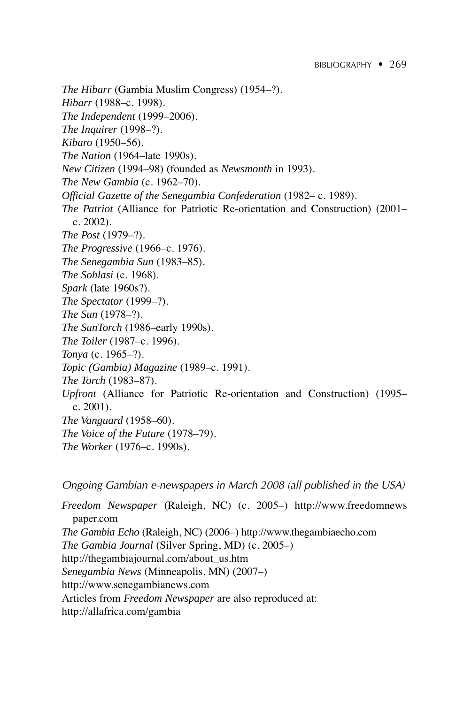*The Hibarr* (Gambia Muslim Congress) (1954–?). *Hibarr* (1988–c. 1998). *The Independent* (1999–2006). *The Inquirer* (1998–?). *Kibaro* (1950–56). *The Nation* (1964–late 1990s). *New Citizen* (1994–98) (founded as *Newsmonth* in 1993). *The New Gambia* (c. 1962–70). *Official Gazette of the Senegambia Confederation* (1982– c. 1989). *The Patriot* (Alliance for Patriotic Re-orientation and Construction) (2001– c. 2002). *The Post* (1979–?). *The Progressive* (1966–c. 1976). *The Senegambia Sun* (1983–85). *The Sohlasi* (c. 1968). *Spark* (late 1960s?). *The Spectator* (1999–?). *The Sun* (1978–?). *The SunTorch* (1986–early 1990s). *The Toiler* (1987–c. 1996). *Tonya* (c. 1965–?). *Topic (Gambia) Magazine* (1989–c. 1991). *The Torch* (1983–87). *Upfront* (Alliance for Patriotic Re-orientation and Construction) (1995– c. 2001). *The Vanguard* (1958–60). *The Voice of the Future* (1978–79). *The Worker* (1976–c. 1990s).

Ongoing Gambian e-newspapers in March 2008 (all published in the USA)

*Freedom Newspaper* (Raleigh, NC) (c. 2005–) http://www.freedomnews paper.com *The Gambia Echo* (Raleigh, NC) (2006–) http://www.thegambiaecho.com *The Gambia Journal* (Silver Spring, MD) (c. 2005–) http://thegambiajournal.com/about\_us.htm *Senegambia News* (Minneapolis, MN) (2007–) http://www.senegambianews.com Articles from *Freedom Newspaper* are also reproduced at: http://allafrica.com/gambia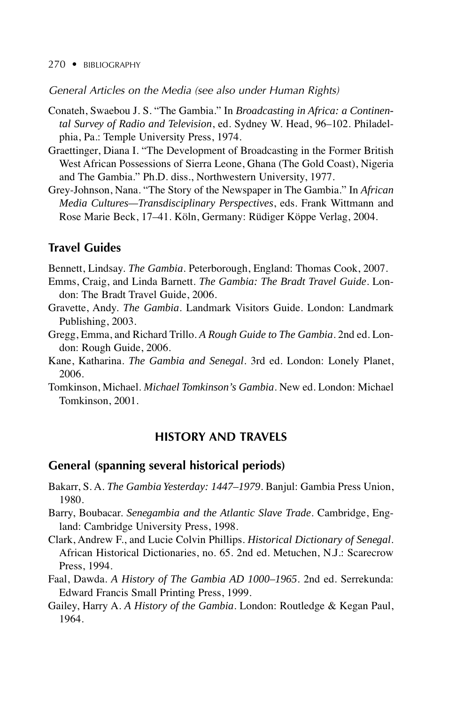General Articles on the Media (see also under Human Rights)

- Conateh, Swaebou J. S. "The Gambia." In *Broadcasting in Africa: a Continental Survey of Radio and Television*, ed. Sydney W. Head, 96–102. Philadelphia, Pa.: Temple University Press, 1974.
- Graettinger, Diana I. "The Development of Broadcasting in the Former British West African Possessions of Sierra Leone, Ghana (The Gold Coast), Nigeria and The Gambia." Ph.D. diss., Northwestern University, 1977.
- Grey-Johnson, Nana. "The Story of the Newspaper in The Gambia." In *African Media Cultures—Transdisciplinary Perspectives*, eds. Frank Wittmann and Rose Marie Beck, 17–41. Köln, Germany: Rüdiger Köppe Verlag, 2004.

# **Travel Guides**

Bennett, Lindsay. *The Gambia*. Peterborough, England: Thomas Cook, 2007.

- Emms, Craig, and Linda Barnett. *The Gambia: The Bradt Travel Guide*. London: The Bradt Travel Guide, 2006.
- Gravette, Andy. *The Gambia*. Landmark Visitors Guide. London: Landmark Publishing, 2003.
- Gregg, Emma, and Richard Trillo. *A Rough Guide to The Gambia*. 2nd ed. London: Rough Guide, 2006.
- Kane, Katharina. *The Gambia and Senegal*. 3rd ed. London: Lonely Planet, 2006.
- Tomkinson, Michael. *Michael Tomkinson's Gambia*. New ed. London: Michael Tomkinson, 2001.

# **HISTORY AND TRAVELS**

# **General (spanning several historical periods)**

- Bakarr, S. A. *The Gambia Yesterday: 1447–1979*. Banjul: Gambia Press Union, 1980.
- Barry, Boubacar. *Senegambia and the Atlantic Slave Trade*. Cambridge, England: Cambridge University Press, 1998.
- Clark, Andrew F., and Lucie Colvin Phillips. *Historical Dictionary of Senegal*. African Historical Dictionaries, no. 65. 2nd ed. Metuchen, N.J.: Scarecrow Press, 1994.

Faal, Dawda. *A History of The Gambia AD 1000–1965*. 2nd ed. Serrekunda: Edward Francis Small Printing Press, 1999.

Gailey, Harry A. *A History of the Gambia*. London: Routledge & Kegan Paul, 1964.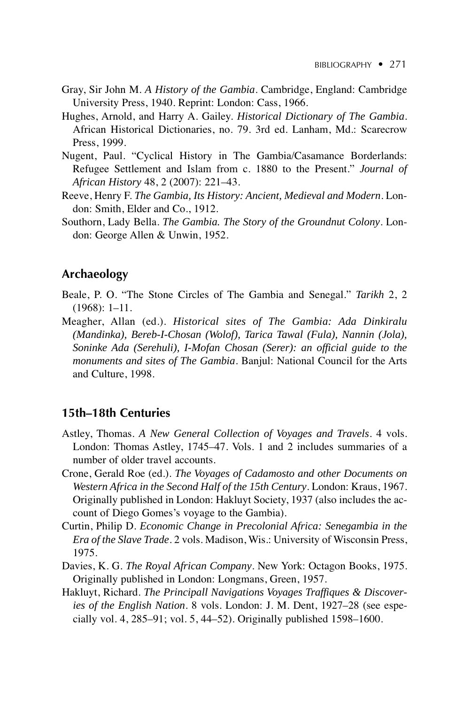- Gray, Sir John M. *A History of the Gambia*. Cambridge, England: Cambridge University Press, 1940. Reprint: London: Cass, 1966.
- Hughes, Arnold, and Harry A. Gailey. *Historical Dictionary of The Gambia*. African Historical Dictionaries, no. 79. 3rd ed. Lanham, Md.: Scarecrow Press, 1999.
- Nugent, Paul. "Cyclical History in The Gambia/Casamance Borderlands: Refugee Settlement and Islam from c. 1880 to the Present." *Journal of African History* 48, 2 (2007): 221–43.
- Reeve, Henry F. *The Gambia, Its History: Ancient, Medieval and Modern*. London: Smith, Elder and Co., 1912.
- Southorn, Lady Bella. *The Gambia. The Story of the Groundnut Colony*. London: George Allen & Unwin, 1952.

# **Archaeology**

- Beale, P. O. "The Stone Circles of The Gambia and Senegal." *Tarikh* 2, 2 (1968): 1–11.
- Meagher, Allan (ed.). *Historical sites of The Gambia: Ada Dinkiralu (Mandinka), Bereb-I-Chosan (Wolof), Tarica Tawal (Fula), Nannin (Jola), Soninke Ada (Serehuli), I-Mofan Chosan (Serer): an official guide to the monuments and sites of The Gambia*. Banjul: National Council for the Arts and Culture, 1998.

# **15th–18th Centuries**

- Astley, Thomas. *A New General Collection of Voyages and Travels*. 4 vols. London: Thomas Astley, 1745–47. Vols. 1 and 2 includes summaries of a number of older travel accounts.
- Crone, Gerald Roe (ed.). *The Voyages of Cadamosto and other Documents on Western Africa in the Second Half of the 15th Century*. London: Kraus, 1967. Originally published in London: Hakluyt Society, 1937 (also includes the account of Diego Gomes's voyage to the Gambia).
- Curtin, Philip D. *Economic Change in Precolonial Africa: Senegambia in the Era of the Slave Trade*. 2 vols. Madison, Wis.: University of Wisconsin Press, 1975.
- Davies, K. G. *The Royal African Company*. New York: Octagon Books, 1975. Originally published in London: Longmans, Green, 1957.
- Hakluyt, Richard. *The Principall Navigations Voyages Traffiques & Discoveries of the English Nation*. 8 vols. London: J. M. Dent, 1927–28 (see especially vol. 4, 285–91; vol. 5, 44–52). Originally published 1598–1600.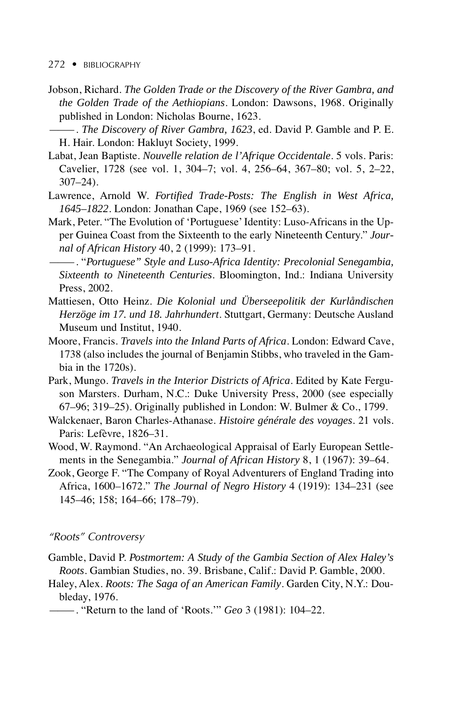- Jobson, Richard. *The Golden Trade or the Discovery of the River Gambra, and the Golden Trade of the Aethiopians*. London: Dawsons, 1968. Originally published in London: Nicholas Bourne, 1623.
	- ———. *The Discovery of River Gambra, 1623*, ed. David P. Gamble and P. E. H. Hair. London: Hakluyt Society, 1999.
- Labat, Jean Baptiste. *Nouvelle relation de l'Afrique Occidentale*. 5 vols. Paris: Cavelier, 1728 (see vol. 1, 304–7; vol. 4, 256–64, 367–80; vol. 5, 2–22, 307–24).
- Lawrence, Arnold W. *Fortified Trade-Posts: The English in West Africa, 1645–1822*. London: Jonathan Cape, 1969 (see 152–63).
- Mark, Peter. "The Evolution of 'Portuguese' Identity: Luso-Africans in the Upper Guinea Coast from the Sixteenth to the early Nineteenth Century." *Journal of African History* 40, 2 (1999): 173–91.

———. "*Portuguese" Style and Luso-Africa Identity: Precolonial Senegambia, Sixteenth to Nineteenth Centuries*. Bloomington, Ind.: Indiana University Press, 2002.

- Mattiesen, Otto Heinz. *Die Kolonial und Überseepolitik der Kurlåndischen Herzöge im 17. und 18. Jahrhundert*. Stuttgart, Germany: Deutsche Ausland Museum und Institut, 1940.
- Moore, Francis. *Travels into the Inland Parts of Africa*. London: Edward Cave, 1738 (also includes the journal of Benjamin Stibbs, who traveled in the Gambia in the 1720s).
- Park, Mungo. *Travels in the Interior Districts of Africa*. Edited by Kate Ferguson Marsters. Durham, N.C.: Duke University Press, 2000 (see especially 67–96; 319–25). Originally published in London: W. Bulmer & Co., 1799.
- Walckenaer, Baron Charles-Athanase. *Histoire générale des voyages*. 21 vols. Paris: Lefèvre, 1826–31.
- Wood, W. Raymond. "An Archaeological Appraisal of Early European Settlements in the Senegambia." *Journal of African History* 8, 1 (1967): 39–64.
- Zook, George F. "The Company of Royal Adventurers of England Trading into Africa, 1600–1672." *The Journal of Negro History* 4 (1919): 134–231 (see 145–46; 158; 164–66; 178–79).

#### "Roots" Controversy

- Gamble, David P. *Postmortem: A Study of the Gambia Section of Alex Haley's Roots*. Gambian Studies, no. 39. Brisbane, Calif.: David P. Gamble, 2000.
- Haley, Alex. *Roots: The Saga of an American Family*. Garden City, N.Y.: Doubleday, 1976.
	- ———. "Return to the land of 'Roots.'" *Geo* 3 (1981): 104–22.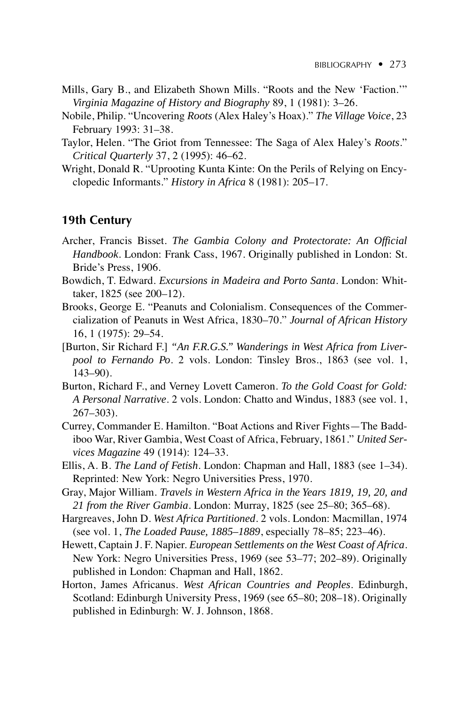- Mills, Gary B., and Elizabeth Shown Mills. "Roots and the New 'Faction.'" *Virginia Magazine of History and Biography* 89, 1 (1981): 3–26.
- Nobile, Philip. "Uncovering *Roots* (Alex Haley's Hoax)." *The Village Voice*, 23 February 1993: 31–38.
- Taylor, Helen. "The Griot from Tennessee: The Saga of Alex Haley's *Roots*." *Critical Quarterly* 37, 2 (1995): 46–62.
- Wright, Donald R. "Uprooting Kunta Kinte: On the Perils of Relying on Encyclopedic Informants." *History in Africa* 8 (1981): 205–17.

### **19th Century**

- Archer, Francis Bisset. *The Gambia Colony and Protectorate: An Official Handbook*. London: Frank Cass, 1967. Originally published in London: St. Bride's Press, 1906.
- Bowdich, T. Edward. *Excursions in Madeira and Porto Santa*. London: Whittaker, 1825 (see 200–12).
- Brooks, George E. "Peanuts and Colonialism. Consequences of the Commercialization of Peanuts in West Africa, 1830–70." *Journal of African History* 16, 1 (1975): 29–54.
- [Burton, Sir Richard F.] *"An F.R.G.S." Wanderings in West Africa from Liverpool to Fernando Po*. 2 vols. London: Tinsley Bros., 1863 (see vol. 1, 143–90).
- Burton, Richard F., and Verney Lovett Cameron. *To the Gold Coast for Gold: A Personal Narrative*. 2 vols. London: Chatto and Windus, 1883 (see vol. 1, 267–303).
- Currey, Commander E. Hamilton. "Boat Actions and River Fights—The Baddiboo War, River Gambia, West Coast of Africa, February, 1861." *United Services Magazine* 49 (1914): 124–33.
- Ellis, A. B. *The Land of Fetish*. London: Chapman and Hall, 1883 (see 1–34). Reprinted: New York: Negro Universities Press, 1970.
- Gray, Major William. *Travels in Western Africa in the Years 1819, 19, 20, and 21 from the River Gambia*. London: Murray, 1825 (see 25–80; 365–68).
- Hargreaves, John D. *West Africa Partitioned*. 2 vols. London: Macmillan, 1974 (see vol. 1, *The Loaded Pause, 1885–1889*, especially 78–85; 223–46).
- Hewett, Captain J. F. Napier. *European Settlements on the West Coast of Africa*. New York: Negro Universities Press, 1969 (see 53–77; 202–89). Originally published in London: Chapman and Hall, 1862.
- Horton, James Africanus. *West African Countries and Peoples*. Edinburgh, Scotland: Edinburgh University Press, 1969 (see 65–80; 208–18). Originally published in Edinburgh: W. J. Johnson, 1868.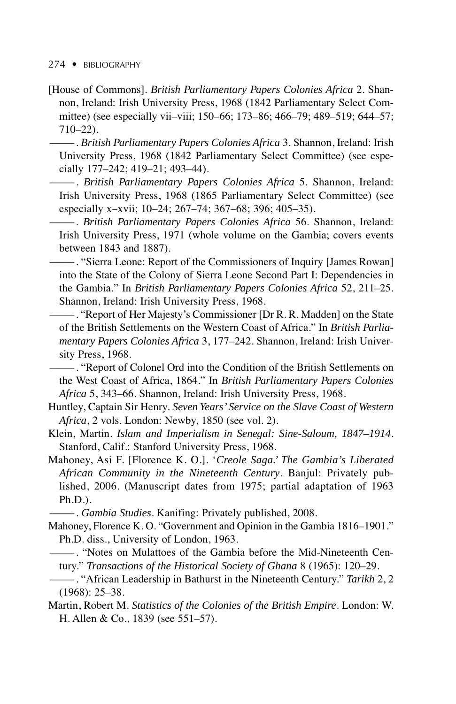[House of Commons]. *British Parliamentary Papers Colonies Africa* 2. Shannon, Ireland: Irish University Press, 1968 (1842 Parliamentary Select Committee) (see especially vii–viii; 150–66; 173–86; 466–79; 489–519; 644–57; 710–22).

———. *British Parliamentary Papers Colonies Africa* 3. Shannon, Ireland: Irish University Press, 1968 (1842 Parliamentary Select Committee) (see especially 177–242; 419–21; 493–44).

———. *British Parliamentary Papers Colonies Africa* 5. Shannon, Ireland: Irish University Press, 1968 (1865 Parliamentary Select Committee) (see especially x–xvii; 10–24; 267–74; 367–68; 396; 405–35).

———. *British Parliamentary Papers Colonies Africa* 56. Shannon, Ireland: Irish University Press, 1971 (whole volume on the Gambia; covers events between 1843 and 1887).

———. "Sierra Leone: Report of the Commissioners of Inquiry [James Rowan] into the State of the Colony of Sierra Leone Second Part I: Dependencies in the Gambia." In *British Parliamentary Papers Colonies Africa* 52, 211–25. Shannon, Ireland: Irish University Press, 1968.

———. "Report of Her Majesty's Commissioner [Dr R. R. Madden] on the State of the British Settlements on the Western Coast of Africa." In *British Parliamentary Papers Colonies Africa* 3, 177–242. Shannon, Ireland: Irish University Press, 1968.

———. "Report of Colonel Ord into the Condition of the British Settlements on the West Coast of Africa, 1864." In *British Parliamentary Papers Colonies Africa* 5, 343–66. Shannon, Ireland: Irish University Press, 1968.

- Huntley, Captain Sir Henry. *Seven Years' Service on the Slave Coast of Western Africa*, 2 vols. London: Newby, 1850 (see vol. 2).
- Klein, Martin. *Islam and Imperialism in Senegal: Sine-Saloum, 1847–1914*. Stanford, Calif.: Stanford University Press, 1968.
- Mahoney, Asi F. [Florence K. O.]. '*Creole Saga.' The Gambia's Liberated African Community in the Nineteenth Century*. Banjul: Privately published, 2006. (Manuscript dates from 1975; partial adaptation of 1963 Ph.D.).

———. *Gambia Studies*. Kanifing: Privately published, 2008.

Mahoney, Florence K. O. "Government and Opinion in the Gambia 1816–1901." Ph.D. diss., University of London, 1963.

———. "Notes on Mulattoes of the Gambia before the Mid-Nineteenth Century." *Transactions of the Historical Society of Ghana* 8 (1965): 120–29.

- ———. "African Leadership in Bathurst in the Nineteenth Century." *Tarikh* 2, 2 (1968): 25–38.
- Martin, Robert M. *Statistics of the Colonies of the British Empire*. London: W. H. Allen & Co., 1839 (see 551–57).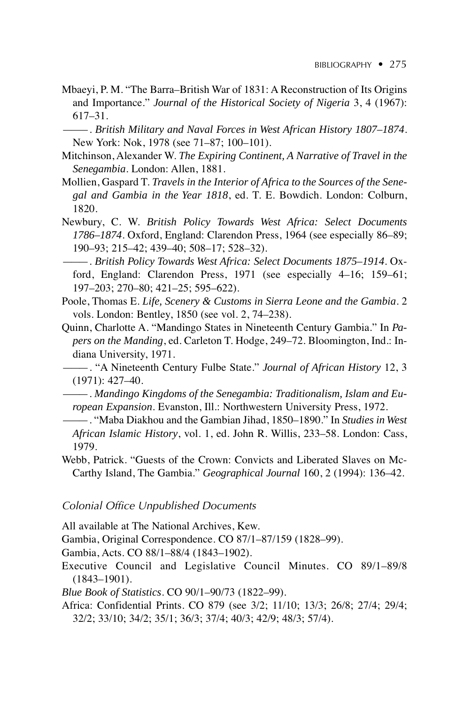- Mbaeyi, P. M. "The Barra–British War of 1831: A Reconstruction of Its Origins and Importance." *Journal of the Historical Society of Nigeria* 3, 4 (1967): 617–31.
	- ———. *British Military and Naval Forces in West African History 1807–1874*. New York: Nok, 1978 (see 71–87; 100–101).
- Mitchinson, Alexander W. *The Expiring Continent, A Narrative of Travel in the Senegambia*. London: Allen, 1881.
- Mollien, Gaspard T. *Travels in the Interior of Africa to the Sources of the Senegal and Gambia in the Year 1818*, ed. T. E. Bowdich. London: Colburn, 1820.
- Newbury, C. W. *British Policy Towards West Africa: Select Documents 1786–1874*. Oxford, England: Clarendon Press, 1964 (see especially 86–89; 190–93; 215–42; 439–40; 508–17; 528–32).

———. *British Policy Towards West Africa: Select Documents 1875–1914*. Oxford, England: Clarendon Press, 1971 (see especially 4–16; 159–61; 197–203; 270–80; 421–25; 595–622).

- Poole, Thomas E. *Life, Scenery & Customs in Sierra Leone and the Gambia*. 2 vols. London: Bentley, 1850 (see vol. 2, 74–238).
- Quinn, Charlotte A. "Mandingo States in Nineteenth Century Gambia." In *Papers on the Manding*, ed. Carleton T. Hodge, 249–72. Bloomington, Ind.: Indiana University, 1971.

———. "A Nineteenth Century Fulbe State." *Journal of African History* 12, 3 (1971): 427–40.

———. *Mandingo Kingdoms of the Senegambia: Traditionalism, Islam and European Expansion*. Evanston, Ill.: Northwestern University Press, 1972.

———. "Maba Diakhou and the Gambian Jihad, 1850–1890." In *Studies in West African Islamic History*, vol. 1, ed. John R. Willis, 233–58. London: Cass, 1979.

Webb, Patrick. "Guests of the Crown: Convicts and Liberated Slaves on Mc-Carthy Island, The Gambia." *Geographical Journal* 160, 2 (1994): 136–42.

#### Colonial Office Unpublished Documents

All available at The National Archives, Kew.

Gambia, Original Correspondence. CO 87/1–87/159 (1828–99).

Gambia, Acts. CO 88/1–88/4 (1843–1902).

Executive Council and Legislative Council Minutes. CO 89/1–89/8 (1843–1901).

*Blue Book of Statistics*. CO 90/1–90/73 (1822–99).

Africa: Confidential Prints. CO 879 (see 3/2; 11/10; 13/3; 26/8; 27/4; 29/4; 32/2; 33/10; 34/2; 35/1; 36/3; 37/4; 40/3; 42/9; 48/3; 57/4).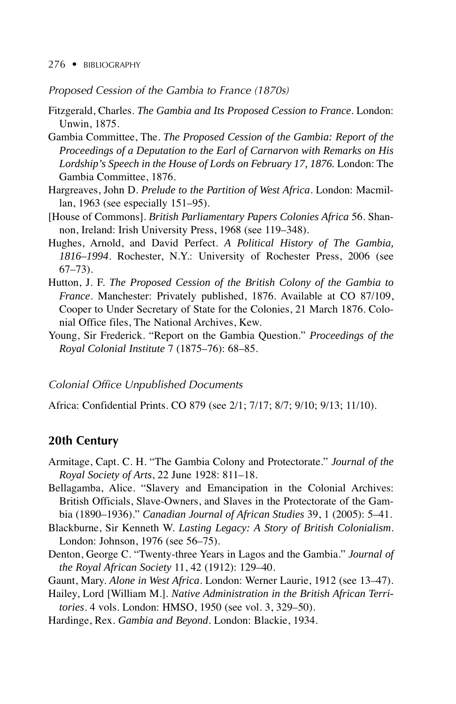Proposed Cession of the Gambia to France (1870s)

- Fitzgerald, Charles. *The Gambia and Its Proposed Cession to France*. London: Unwin, 1875.
- Gambia Committee, The. *The Proposed Cession of the Gambia: Report of the Proceedings of a Deputation to the Earl of Carnarvon with Remarks on His Lordship's Speech in the House of Lords on February 17, 1876.* London: The Gambia Committee, 1876.
- Hargreaves, John D. *Prelude to the Partition of West Africa*. London: Macmillan, 1963 (see especially 151–95).
- [House of Commons]. *British Parliamentary Papers Colonies Africa* 56. Shannon, Ireland: Irish University Press, 1968 (see 119–348).
- Hughes, Arnold, and David Perfect. *A Political History of The Gambia, 1816–1994*. Rochester, N.Y.: University of Rochester Press, 2006 (see  $67-73$ ).
- Hutton, J. F. *The Proposed Cession of the British Colony of the Gambia to France*. Manchester: Privately published, 1876. Available at CO 87/109, Cooper to Under Secretary of State for the Colonies, 21 March 1876. Colonial Office files, The National Archives, Kew.
- Young, Sir Frederick. "Report on the Gambia Question." *Proceedings of the Royal Colonial Institute* 7 (1875–76): 68–85.

Colonial Office Unpublished Documents

Africa: Confidential Prints. CO 879 (see 2/1; 7/17; 8/7; 9/10; 9/13; 11/10).

## **20th Century**

- Armitage, Capt. C. H. "The Gambia Colony and Protectorate." *Journal of the Royal Society of Arts*, 22 June 1928: 811–18.
- Bellagamba, Alice. "Slavery and Emancipation in the Colonial Archives: British Officials, Slave-Owners, and Slaves in the Protectorate of the Gambia (1890–1936)." *Canadian Journal of African Studies* 39, 1 (2005): 5–41.
- Blackburne, Sir Kenneth W. *Lasting Legacy: A Story of British Colonialism*. London: Johnson, 1976 (see 56–75).
- Denton, George C. "Twenty-three Years in Lagos and the Gambia." *Journal of the Royal African Society* 11, 42 (1912): 129–40.
- Gaunt, Mary. *Alone in West Africa*. London: Werner Laurie, 1912 (see 13–47).
- Hailey, Lord [William M.]. *Native Administration in the British African Territories*. 4 vols. London: HMSO, 1950 (see vol. 3, 329–50).
- Hardinge, Rex. *Gambia and Beyond*. London: Blackie, 1934.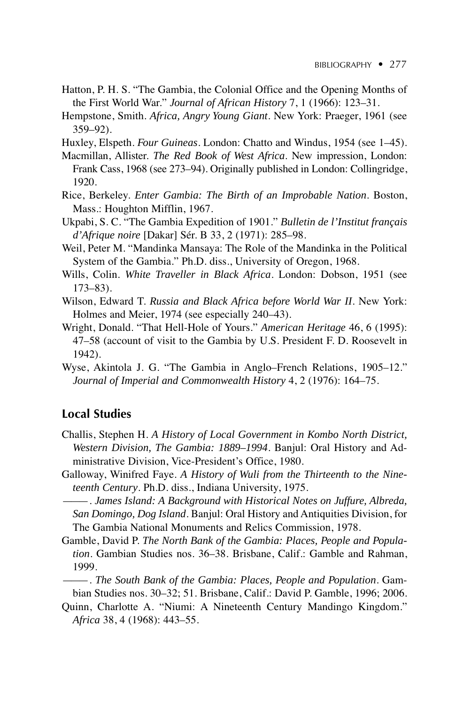- Hatton, P. H. S. "The Gambia, the Colonial Office and the Opening Months of the First World War." *Journal of African History* 7, 1 (1966): 123–31.
- Hempstone, Smith. *Africa, Angry Young Giant*. New York: Praeger, 1961 (see 359–92).
- Huxley, Elspeth. *Four Guineas*. London: Chatto and Windus, 1954 (see 1–45).
- Macmillan, Allister. *The Red Book of West Africa*. New impression, London: Frank Cass, 1968 (see 273–94). Originally published in London: Collingridge, 1920.
- Rice, Berkeley. *Enter Gambia: The Birth of an Improbable Nation*. Boston, Mass.: Houghton Mifflin, 1967.
- Ukpabi, S. C. "The Gambia Expedition of 1901." *Bulletin de l'Institut français d'Afrique noire* [Dakar] Sér. B 33, 2 (1971): 285–98.
- Weil, Peter M. "Mandinka Mansaya: The Role of the Mandinka in the Political System of the Gambia." Ph.D. diss., University of Oregon, 1968.
- Wills, Colin. *White Traveller in Black Africa*. London: Dobson, 1951 (see 173–83).
- Wilson, Edward T. *Russia and Black Africa before World War II*. New York: Holmes and Meier, 1974 (see especially 240–43).
- Wright, Donald. "That Hell-Hole of Yours." *American Heritage* 46, 6 (1995): 47–58 (account of visit to the Gambia by U.S. President F. D. Roosevelt in 1942).
- Wyse, Akintola J. G. "The Gambia in Anglo–French Relations, 1905–12." *Journal of Imperial and Commonwealth History* 4, 2 (1976): 164–75.

# **Local Studies**

- Challis, Stephen H. *A History of Local Government in Kombo North District, Western Division, The Gambia: 1889–1994*. Banjul: Oral History and Administrative Division, Vice-President's Office, 1980.
- Galloway, Winifred Faye. *A History of Wuli from the Thirteenth to the Nineteenth Century*. Ph.D. diss., Indiana University, 1975.
- ———. *James Island: A Background with Historical Notes on Juffure, Albreda, San Domingo, Dog Island*. Banjul: Oral History and Antiquities Division, for The Gambia National Monuments and Relics Commission, 1978.
- Gamble, David P. *The North Bank of the Gambia: Places, People and Population*. Gambian Studies nos. 36–38. Brisbane, Calif.: Gamble and Rahman, 1999.
- ———. *The South Bank of the Gambia: Places, People and Population*. Gambian Studies nos. 30–32; 51. Brisbane, Calif.: David P. Gamble, 1996; 2006.
- Quinn, Charlotte A. "Niumi: A Nineteenth Century Mandingo Kingdom." *Africa* 38, 4 (1968): 443–55.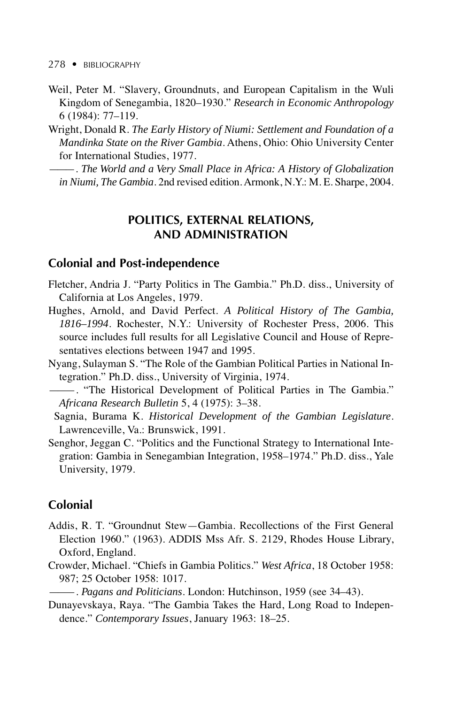- 278 BIBLIOGRAPHY
- Weil, Peter M. "Slavery, Groundnuts, and European Capitalism in the Wuli Kingdom of Senegambia, 1820–1930." *Research in Economic Anthropology* 6 (1984): 77–119.
- Wright, Donald R. *The Early History of Niumi: Settlement and Foundation of a Mandinka State on the River Gambia*. Athens, Ohio: Ohio University Center for International Studies, 1977.
	- ———. *The World and a Very Small Place in Africa: A History of Globalization in Niumi, The Gambia*. 2nd revised edition. Armonk, N.Y.: M. E. Sharpe, 2004.

# **POLITICS, EXTERNAL RELATIONS, AND ADMINISTRATION**

### **Colonial and Post-independence**

- Fletcher, Andria J. "Party Politics in The Gambia." Ph.D. diss., University of California at Los Angeles, 1979.
- Hughes, Arnold, and David Perfect. *A Political History of The Gambia, 1816–1994*. Rochester, N.Y.: University of Rochester Press, 2006. This source includes full results for all Legislative Council and House of Representatives elections between 1947 and 1995.
- Nyang, Sulayman S. "The Role of the Gambian Political Parties in National Integration." Ph.D. diss., University of Virginia, 1974.

———. "The Historical Development of Political Parties in The Gambia." *Africana Research Bulletin* 5, 4 (1975): 3–38.

Sagnia, Burama K. *Historical Development of the Gambian Legislature*. Lawrenceville, Va.: Brunswick, 1991.

Senghor, Jeggan C. "Politics and the Functional Strategy to International Integration: Gambia in Senegambian Integration, 1958–1974." Ph.D. diss., Yale University, 1979.

### **Colonial**

- Addis, R. T. "Groundnut Stew—Gambia. Recollections of the First General Election 1960." (1963). ADDIS Mss Afr. S. 2129, Rhodes House Library, Oxford, England.
- Crowder, Michael. "Chiefs in Gambia Politics." *West Africa*, 18 October 1958: 987; 25 October 1958: 1017.

———. *Pagans and Politicians*. London: Hutchinson, 1959 (see 34–43).

Dunayevskaya, Raya. "The Gambia Takes the Hard, Long Road to Independence." *Contemporary Issues*, January 1963: 18–25.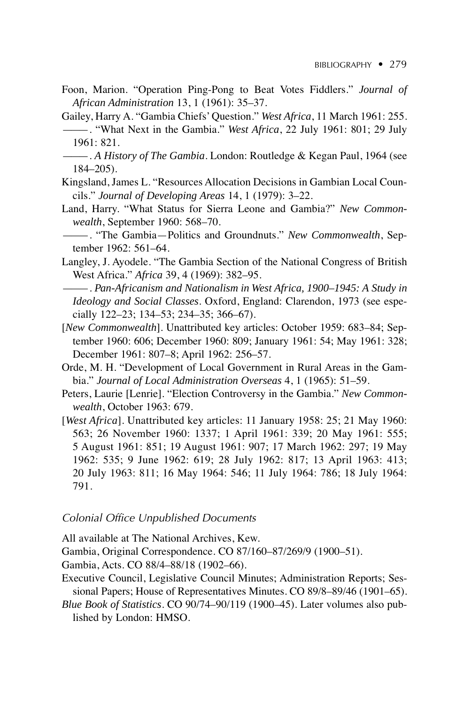- Foon, Marion. "Operation Ping-Pong to Beat Votes Fiddlers." *Journal of African Administration* 13, 1 (1961): 35–37.
- Gailey, Harry A. "Gambia Chiefs' Question." *West Africa*, 11 March 1961: 255. ———. "What Next in the Gambia." *West Africa*, 22 July 1961: 801; 29 July 1961: 821.
- ———. *A History of The Gambia*. London: Routledge & Kegan Paul, 1964 (see 184–205).
- Kingsland, James L. "Resources Allocation Decisions in Gambian Local Councils." *Journal of Developing Areas* 14, 1 (1979): 3–22.
- Land, Harry. "What Status for Sierra Leone and Gambia?" *New Commonwealth*, September 1960: 568–70.
- ———. "The Gambia—Politics and Groundnuts." *New Commonwealth*, September 1962: 561–64.
- Langley, J. Ayodele. "The Gambia Section of the National Congress of British West Africa." *Africa* 39, 4 (1969): 382–95.

———. *Pan-Africanism and Nationalism in West Africa, 1900–1945: A Study in Ideology and Social Classes*. Oxford, England: Clarendon, 1973 (see especially 122–23; 134–53; 234–35; 366–67).

- [*New Commonwealth*]. Unattributed key articles: October 1959: 683–84; September 1960: 606; December 1960: 809; January 1961: 54; May 1961: 328; December 1961: 807–8; April 1962: 256–57.
- Orde, M. H. "Development of Local Government in Rural Areas in the Gambia." *Journal of Local Administration Overseas* 4, 1 (1965): 51–59.
- Peters, Laurie [Lenrie]. "Election Controversy in the Gambia." *New Commonwealth*, October 1963: 679.
- [*West Africa*]. Unattributed key articles: 11 January 1958: 25; 21 May 1960: 563; 26 November 1960: 1337; 1 April 1961: 339; 20 May 1961: 555; 5 August 1961: 851; 19 August 1961: 907; 17 March 1962: 297; 19 May 1962: 535; 9 June 1962: 619; 28 July 1962: 817; 13 April 1963: 413; 20 July 1963: 811; 16 May 1964: 546; 11 July 1964: 786; 18 July 1964: 791.

### Colonial Office Unpublished Documents

All available at The National Archives, Kew.

Gambia, Original Correspondence. CO 87/160–87/269/9 (1900–51).

Gambia, Acts. CO 88/4–88/18 (1902–66).

- Executive Council, Legislative Council Minutes; Administration Reports; Sessional Papers; House of Representatives Minutes. CO 89/8–89/46 (1901–65).
- *Blue Book of Statistics*. CO 90/74–90/119 (1900–45). Later volumes also published by London: HMSO.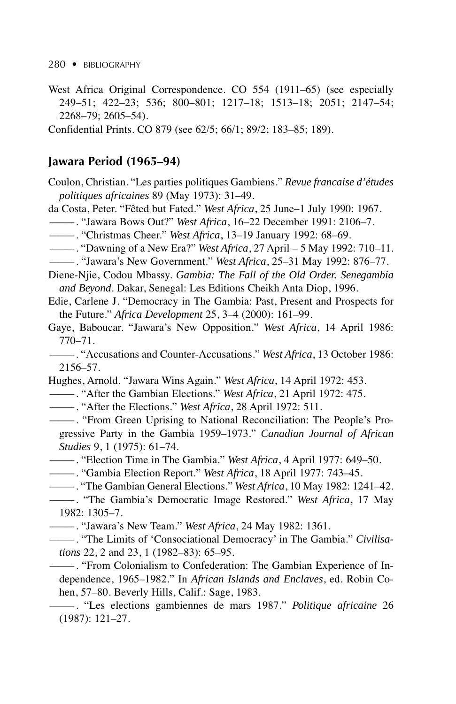- West Africa Original Correspondence. CO 554 (1911–65) (see especially 249–51; 422–23; 536; 800–801; 1217–18; 1513–18; 2051; 2147–54; 2268–79; 2605–54).
- Confidential Prints. CO 879 (see 62/5; 66/1; 89/2; 183–85; 189).

# **Jawara Period (1965–94)**

Coulon, Christian. "Les parties politiques Gambiens." *Revue francaise d'études politiques africaines* 89 (May 1973): 31–49.

- da Costa, Peter. "Fêted but Fated." *West Africa*, 25 June–1 July 1990: 1967.
- ———. "Jawara Bows Out?" *West Africa*, 16–22 December 1991: 2106–7.
- ———. "Christmas Cheer." *West Africa*, 13–19 January 1992: 68–69.
- ———. "Dawning of a New Era?" *West Africa*, 27 April 5 May 1992: 710–11.
- ———. "Jawara's New Government." *West Africa*, 25–31 May 1992: 876–77.
- Diene-Njie, Codou Mbassy. *Gambia: The Fall of the Old Order. Senegambia and Beyond*. Dakar, Senegal: Les Editions Cheikh Anta Diop, 1996.
- Edie, Carlene J. "Democracy in The Gambia: Past, Present and Prospects for the Future." *Africa Development* 25, 3–4 (2000): 161–99.
- Gaye, Baboucar. "Jawara's New Opposition." *West Africa*, 14 April 1986: 770–71.

———. "Accusations and Counter-Accusations." *West Africa*, 13 October 1986: 2156–57.

Hughes, Arnold. "Jawara Wins Again." *West Africa*, 14 April 1972: 453.

———. "After the Gambian Elections." *West Africa*, 21 April 1972: 475.

———. "After the Elections." *West Africa*, 28 April 1972: 511.

———. "From Green Uprising to National Reconciliation: The People's Progressive Party in the Gambia 1959–1973." *Canadian Journal of African Studies* 9, 1 (1975): 61–74.

———. "Election Time in The Gambia." *West Africa*, 4 April 1977: 649–50.

———. "Gambia Election Report." *West Africa*, 18 April 1977: 743–45.

———. "The Gambian General Elections." *West Africa*, 10 May 1982: 1241–42. ———. "The Gambia's Democratic Image Restored." *West Africa*, 17 May 1982: 1305–7.

———. "Jawara's New Team." *West Africa*, 24 May 1982: 1361.

———. "The Limits of 'Consociational Democracy' in The Gambia." *Civilisations* 22, 2 and 23, 1 (1982–83): 65–95.

———. "From Colonialism to Confederation: The Gambian Experience of Independence, 1965–1982." In *African Islands and Enclaves*, ed. Robin Cohen, 57–80. Beverly Hills, Calif.: Sage, 1983.

———. "Les elections gambiennes de mars 1987." *Politique africaine* 26 (1987): 121–27.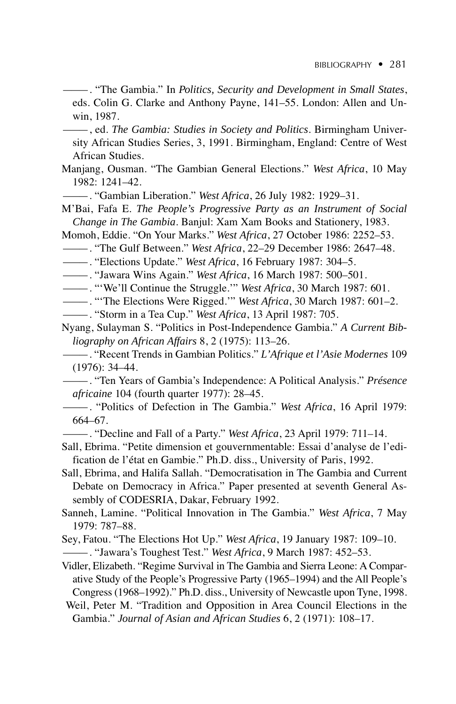———. "The Gambia." In *Politics, Security and Development in Small States*, eds. Colin G. Clarke and Anthony Payne, 141–55. London: Allen and Unwin, 1987.

———, ed. *The Gambia: Studies in Society and Politics*. Birmingham University African Studies Series, 3, 1991. Birmingham, England: Centre of West African Studies.

- Manjang, Ousman. "The Gambian General Elections." *West Africa*, 10 May 1982: 1241–42.
- ———. "Gambian Liberation." *West Africa*, 26 July 1982: 1929–31.

M'Bai, Fafa E. *The People's Progressive Party as an Instrument of Social Change in The Gambia*. Banjul: Xam Xam Books and Stationery, 1983.

- Momoh, Eddie. "On Your Marks." *West Africa*, 27 October 1986: 2252–53.
- ———. "The Gulf Between." *West Africa*, 22–29 December 1986: 2647–48.
- ———. "Elections Update." *West Africa*, 16 February 1987: 304–5.
- ———. "Jawara Wins Again." *West Africa*, 16 March 1987: 500–501.
- ———. "'We'll Continue the Struggle.'" *West Africa*, 30 March 1987: 601.
- ———. "'The Elections Were Rigged.'" *West Africa*, 30 March 1987: 601–2.
- ———. "Storm in a Tea Cup." *West Africa*, 13 April 1987: 705.
- Nyang, Sulayman S. "Politics in Post-Independence Gambia." *A Current Bibliography on African Affairs* 8, 2 (1975): 113–26.
	- ———. "Recent Trends in Gambian Politics." *L'Afrique et l'Asie Modernes* 109 (1976): 34–44.
	- ———. "Ten Years of Gambia's Independence: A Political Analysis." *Présence africaine* 104 (fourth quarter 1977): 28–45.
- ———. "Politics of Defection in The Gambia." *West Africa*, 16 April 1979: 664–67.

———. "Decline and Fall of a Party." *West Africa*, 23 April 1979: 711–14.

Sall, Ebrima. "Petite dimension et gouvernmentable: Essai d'analyse de l'edification de l'état en Gambie." Ph.D. diss., University of Paris, 1992.

- Sall, Ebrima, and Halifa Sallah. "Democratisation in The Gambia and Current Debate on Democracy in Africa." Paper presented at seventh General Assembly of CODESRIA, Dakar, February 1992.
- Sanneh, Lamine. "Political Innovation in The Gambia." *West Africa*, 7 May 1979: 787–88.

Sey, Fatou. "The Elections Hot Up." *West Africa*, 19 January 1987: 109–10.

———. "Jawara's Toughest Test." *West Africa*, 9 March 1987: 452–53.

Vidler, Elizabeth. "Regime Survival in The Gambia and Sierra Leone: A Comparative Study of the People's Progressive Party (1965–1994) and the All People's Congress (1968–1992)." Ph.D. diss., University of Newcastle upon Tyne, 1998.

Weil, Peter M. "Tradition and Opposition in Area Council Elections in the Gambia." *Journal of Asian and African Studies* 6, 2 (1971): 108–17.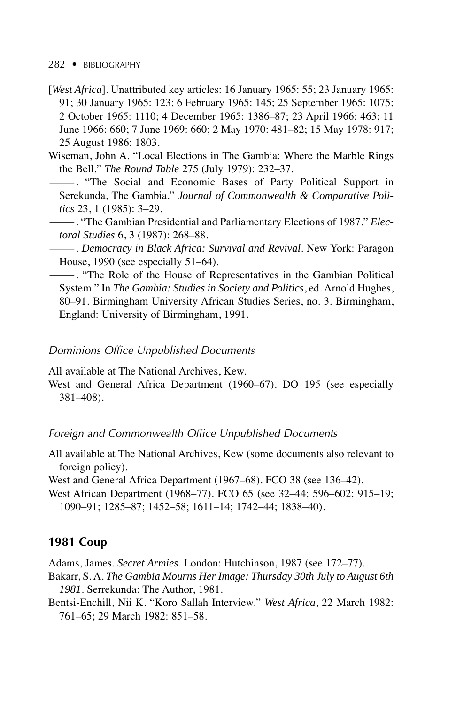[*West Africa*]. Unattributed key articles: 16 January 1965: 55; 23 January 1965: 91; 30 January 1965: 123; 6 February 1965: 145; 25 September 1965: 1075; 2 October 1965: 1110; 4 December 1965: 1386–87; 23 April 1966: 463; 11 June 1966: 660; 7 June 1969: 660; 2 May 1970: 481–82; 15 May 1978: 917; 25 August 1986: 1803.

Wiseman, John A. "Local Elections in The Gambia: Where the Marble Rings the Bell." *The Round Table* 275 (July 1979): 232–37.

———. "The Social and Economic Bases of Party Political Support in Serekunda, The Gambia." *Journal of Commonwealth & Comparative Politics* 23, 1 (1985): 3–29.

———. "The Gambian Presidential and Parliamentary Elections of 1987." *Electoral Studies* 6, 3 (1987): 268–88.

———. *Democracy in Black Africa: Survival and Revival*. New York: Paragon House, 1990 (see especially 51–64).

———. "The Role of the House of Representatives in the Gambian Political System." In *The Gambia: Studies in Society and Politics*, ed. Arnold Hughes, 80–91. Birmingham University African Studies Series, no. 3. Birmingham, England: University of Birmingham, 1991.

### Dominions Office Unpublished Documents

All available at The National Archives, Kew.

West and General Africa Department (1960–67). DO 195 (see especially 381–408).

### Foreign and Commonwealth Office Unpublished Documents

All available at The National Archives, Kew (some documents also relevant to foreign policy).

West and General Africa Department (1967–68). FCO 38 (see 136–42).

West African Department (1968–77). FCO 65 (see 32–44; 596–602; 915–19; 1090–91; 1285–87; 1452–58; 1611–14; 1742–44; 1838–40).

## **1981 Coup**

Adams, James. *Secret Armies*. London: Hutchinson, 1987 (see 172–77).

- Bakarr, S. A. *The Gambia Mourns Her Image: Thursday 30th July to August 6th 1981*. Serrekunda: The Author, 1981.
- Bentsi-Enchill, Nii K. "Koro Sallah Interview." *West Africa*, 22 March 1982: 761–65; 29 March 1982: 851–58.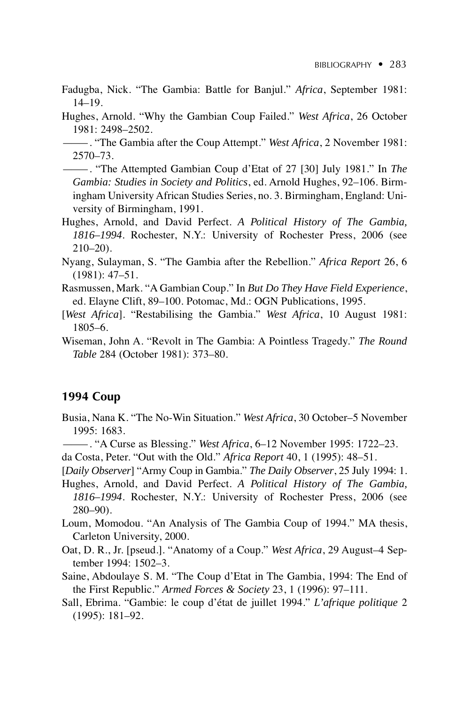- Fadugba, Nick. "The Gambia: Battle for Banjul." *Africa*, September 1981: 14–19.
- Hughes, Arnold. "Why the Gambian Coup Failed." *West Africa*, 26 October 1981: 2498–2502.

———. "The Gambia after the Coup Attempt." *West Africa*, 2 November 1981: 2570–73.

- ———. "The Attempted Gambian Coup d'Etat of 27 [30] July 1981." In *The Gambia: Studies in Society and Politics*, ed. Arnold Hughes, 92–106. Birmingham University African Studies Series, no. 3. Birmingham, England: University of Birmingham, 1991.
- Hughes, Arnold, and David Perfect. *A Political History of The Gambia, 1816–1994*. Rochester, N.Y.: University of Rochester Press, 2006 (see 210–20).
- Nyang, Sulayman, S. "The Gambia after the Rebellion." *Africa Report* 26, 6 (1981): 47–51.
- Rasmussen, Mark. "A Gambian Coup." In *But Do They Have Field Experience*, ed. Elayne Clift, 89–100. Potomac, Md.: OGN Publications, 1995.
- [*West Africa*]. "Restabilising the Gambia." *West Africa*, 10 August 1981: 1805–6.
- Wiseman, John A. "Revolt in The Gambia: A Pointless Tragedy." *The Round Table* 284 (October 1981): 373–80.

### **1994 Coup**

- Busia, Nana K. "The No-Win Situation." *West Africa*, 30 October–5 November 1995: 1683.
- ———. "A Curse as Blessing." *West Africa*, 6–12 November 1995: 1722–23.
- da Costa, Peter. "Out with the Old." *Africa Report* 40, 1 (1995): 48–51.
- [*Daily Observer*] "Army Coup in Gambia." *The Daily Observer*, 25 July 1994: 1.
- Hughes, Arnold, and David Perfect. *A Political History of The Gambia, 1816–1994*. Rochester, N.Y.: University of Rochester Press, 2006 (see 280–90).
- Loum, Momodou. "An Analysis of The Gambia Coup of 1994." MA thesis, Carleton University, 2000.
- Oat, D. R., Jr. [pseud.]. "Anatomy of a Coup." *West Africa*, 29 August–4 September 1994: 1502–3.
- Saine, Abdoulaye S. M. "The Coup d'Etat in The Gambia, 1994: The End of the First Republic." *Armed Forces & Society* 23, 1 (1996): 97–111.
- Sall, Ebrima. "Gambie: le coup d'état de juillet 1994." *L'afrique politique* 2 (1995): 181–92.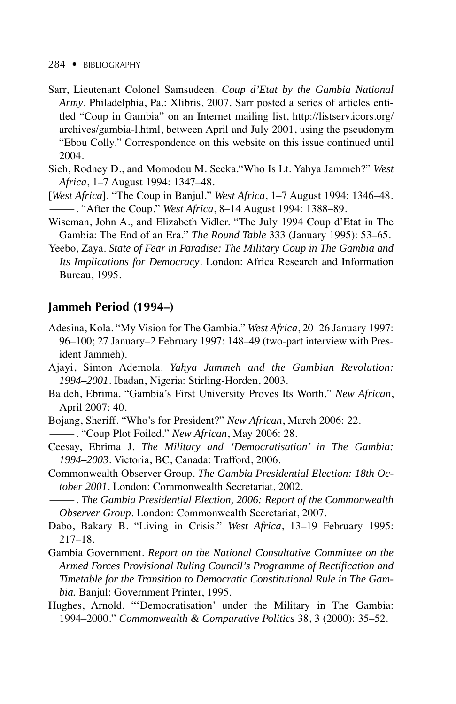- 284 BIBLIOGRAPHY
- Sarr, Lieutenant Colonel Samsudeen. *Coup d'Etat by the Gambia National Army*. Philadelphia, Pa.: Xlibris, 2007. Sarr posted a series of articles entitled "Coup in Gambia" on an Internet mailing list, http://listserv.icors.org/ archives/gambia-l.html, between April and July 2001, using the pseudonym "Ebou Colly." Correspondence on this website on this issue continued until 2004.
- Sieh, Rodney D., and Momodou M. Secka."Who Is Lt. Yahya Jammeh?" *West Africa*, 1–7 August 1994: 1347–48.
- [*West Africa*]. "The Coup in Banjul." *West Africa*, 1–7 August 1994: 1346–48. ———. "After the Coup." *West Africa*, 8–14 August 1994: 1388–89.
- Wiseman, John A., and Elizabeth Vidler. "The July 1994 Coup d'Etat in The Gambia: The End of an Era." *The Round Table* 333 (January 1995): 53–65.
- Yeebo, Zaya. *State of Fear in Paradise: The Military Coup in The Gambia and Its Implications for Democracy*. London: Africa Research and Information Bureau, 1995.

### **Jammeh Period (1994–)**

- Adesina, Kola. "My Vision for The Gambia." *West Africa*, 20–26 January 1997: 96–100; 27 January–2 February 1997: 148–49 (two-part interview with President Jammeh).
- Ajayi, Simon Ademola. *Yahya Jammeh and the Gambian Revolution: 1994–2001*. Ibadan, Nigeria: Stirling-Horden, 2003.
- Baldeh, Ebrima. "Gambia's First University Proves Its Worth." *New African*, April 2007: 40.
- Bojang, Sheriff. "Who's for President?" *New African*, March 2006: 22.

———. "Coup Plot Foiled." *New African*, May 2006: 28.

- Ceesay, Ebrima J. *The Military and 'Democratisation' in The Gambia: 1994–2003*. Victoria, BC, Canada: Trafford, 2006.
- Commonwealth Observer Group. *The Gambia Presidential Election: 18th October 2001*. London: Commonwealth Secretariat, 2002.
- ———. *The Gambia Presidential Election, 2006: Report of the Commonwealth Observer Group*. London: Commonwealth Secretariat, 2007.
- Dabo, Bakary B. "Living in Crisis." *West Africa*, 13–19 February 1995: 217–18.
- Gambia Government. *Report on the National Consultative Committee on the Armed Forces Provisional Ruling Council's Programme of Rectification and Timetable for the Transition to Democratic Constitutional Rule in The Gambia.* Banjul: Government Printer, 1995.
- Hughes, Arnold. "'Democratisation' under the Military in The Gambia: 1994–2000." *Commonwealth & Comparative Politics* 38, 3 (2000): 35–52.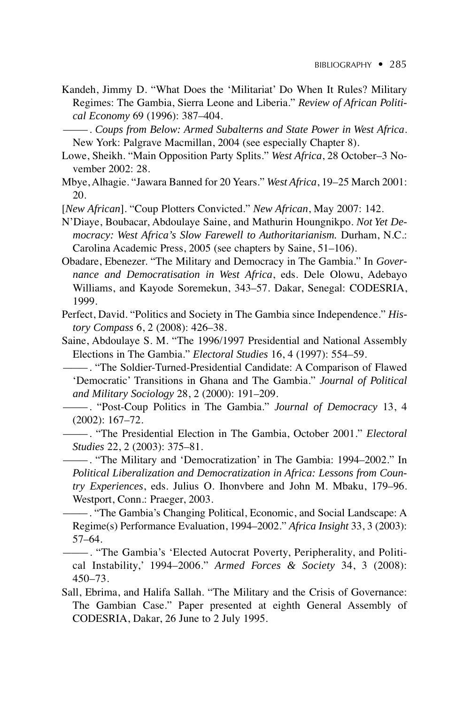- Kandeh, Jimmy D. "What Does the 'Militariat' Do When It Rules? Military Regimes: The Gambia, Sierra Leone and Liberia." *Review of African Political Economy* 69 (1996): 387–404.
	- ———. *Coups from Below: Armed Subalterns and State Power in West Africa*. New York: Palgrave Macmillan, 2004 (see especially Chapter 8).
- Lowe, Sheikh. "Main Opposition Party Splits." *West Africa*, 28 October–3 November 2002: 28.
- Mbye, Alhagie. "Jawara Banned for 20 Years." *West Africa*, 19–25 March 2001: 20.
- [*New African*]. "Coup Plotters Convicted." *New African*, May 2007: 142.
- N'Diaye, Boubacar, Abdoulaye Saine, and Mathurin Houngnikpo. *Not Yet Democracy: West Africa's Slow Farewell to Authoritarianism.* Durham, N.C.: Carolina Academic Press, 2005 (see chapters by Saine, 51–106).
- Obadare, Ebenezer. "The Military and Democracy in The Gambia." In *Governance and Democratisation in West Africa*, eds. Dele Olowu, Adebayo Williams, and Kayode Soremekun, 343–57. Dakar, Senegal: CODESRIA, 1999.
- Perfect, David. "Politics and Society in The Gambia since Independence." *History Compass* 6, 2 (2008): 426–38.
- Saine, Abdoulaye S. M. "The 1996/1997 Presidential and National Assembly Elections in The Gambia." *Electoral Studies* 16, 4 (1997): 554–59.

———. "The Soldier-Turned-Presidential Candidate: A Comparison of Flawed 'Democratic' Transitions in Ghana and The Gambia." *Journal of Political and Military Sociology* 28, 2 (2000): 191–209.

———. "Post-Coup Politics in The Gambia." *Journal of Democracy* 13, 4 (2002): 167–72.

———. "The Presidential Election in The Gambia, October 2001." *Electoral Studies* 22, 2 (2003): 375–81.

———. "The Military and 'Democratization' in The Gambia: 1994–2002." In *Political Liberalization and Democratization in Africa: Lessons from Country Experiences*, eds. Julius O. Ihonvbere and John M. Mbaku, 179–96. Westport, Conn.: Praeger, 2003.

———. "The Gambia's Changing Political, Economic, and Social Landscape: A Regime(s) Performance Evaluation, 1994–2002." *Africa Insight* 33, 3 (2003): 57–64.

———. "The Gambia's 'Elected Autocrat Poverty, Peripherality, and Political Instability,' 1994–2006." *Armed Forces & Society* 34, 3 (2008): 450–73.

Sall, Ebrima, and Halifa Sallah. "The Military and the Crisis of Governance: The Gambian Case." Paper presented at eighth General Assembly of CODESRIA, Dakar, 26 June to 2 July 1995.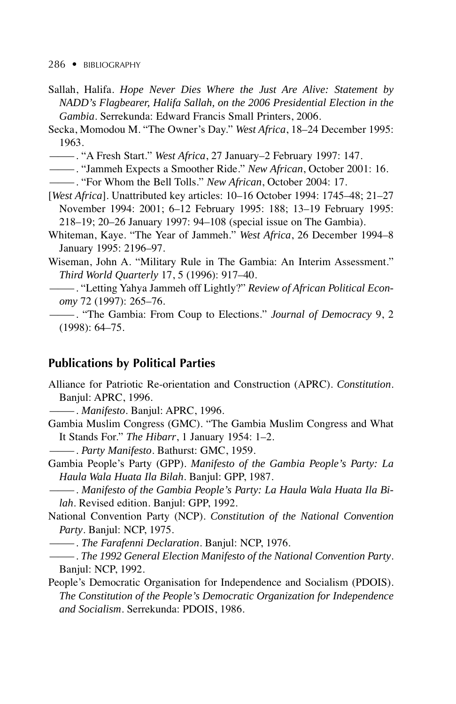- 286 BIBLIOGRAPHY
- Sallah, Halifa. *Hope Never Dies Where the Just Are Alive: Statement by NADD's Flagbearer, Halifa Sallah, on the 2006 Presidential Election in the Gambia*. Serrekunda: Edward Francis Small Printers, 2006.
- Secka, Momodou M. "The Owner's Day." *West Africa*, 18–24 December 1995: 1963.
- ———. "A Fresh Start." *West Africa*, 27 January–2 February 1997: 147.

———. "Jammeh Expects a Smoother Ride." *New African*, October 2001: 16.

———. "For Whom the Bell Tolls." *New African*, October 2004: 17.

- [*West Africa*]. Unattributed key articles: 10–16 October 1994: 1745–48; 21–27 November 1994: 2001; 6–12 February 1995: 188; 13–19 February 1995: 218–19; 20–26 January 1997: 94–108 (special issue on The Gambia).
- Whiteman, Kaye. "The Year of Jammeh." *West Africa*, 26 December 1994–8 January 1995: 2196–97.
- Wiseman, John A. "Military Rule in The Gambia: An Interim Assessment." *Third World Quarterly* 17, 5 (1996): 917–40.
- ———. "Letting Yahya Jammeh off Lightly?" *Review of African Political Economy* 72 (1997): 265–76.
- ———. "The Gambia: From Coup to Elections." *Journal of Democracy* 9, 2 (1998): 64–75.

# **Publications by Political Parties**

Alliance for Patriotic Re-orientation and Construction (APRC). *Constitution*. Banjul: APRC, 1996.

———. *Manifesto*. Banjul: APRC, 1996.

Gambia Muslim Congress (GMC). "The Gambia Muslim Congress and What It Stands For." *The Hibarr*, 1 January 1954: 1–2.

———. *Party Manifesto*. Bathurst: GMC, 1959.

- Gambia People's Party (GPP). *Manifesto of the Gambia People's Party: La Haula Wala Huata Ila Bilah*. Banjul: GPP, 1987.
- ———. *Manifesto of the Gambia People's Party: La Haula Wala Huata Ila Bilah*. Revised edition. Banjul: GPP, 1992.
- National Convention Party (NCP). *Constitution of the National Convention Party*. Banjul: NCP, 1975.
- ———. *The Farafenni Declaration*. Banjul: NCP, 1976.
- ———. *The 1992 General Election Manifesto of the National Convention Party*. Banjul: NCP, 1992.
- People's Democratic Organisation for Independence and Socialism (PDOIS). *The Constitution of the People's Democratic Organization for Independence and Socialism*. Serrekunda: PDOIS, 1986.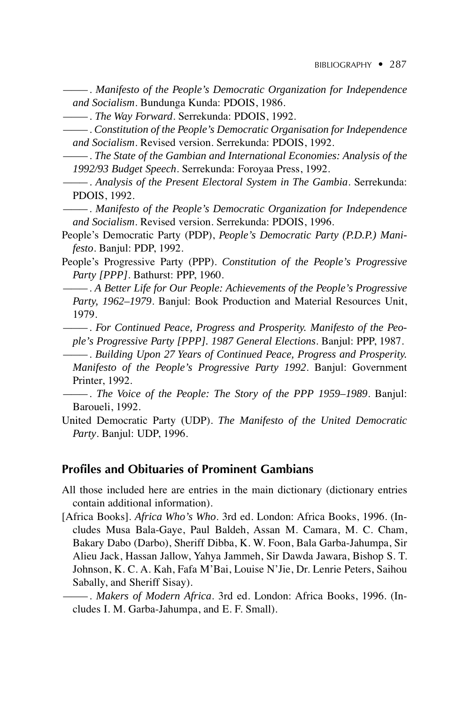———. *Manifesto of the People's Democratic Organization for Independence and Socialism*. Bundunga Kunda: PDOIS, 1986.

- ———. *The Way Forward*. Serrekunda: PDOIS, 1992.
- ———. *Constitution of the People's Democratic Organisation for Independence and Socialism*. Revised version. Serrekunda: PDOIS, 1992.
	- ———. *The State of the Gambian and International Economies: Analysis of the 1992/93 Budget Speech*. Serrekunda: Foroyaa Press, 1992.
- ———. *Analysis of the Present Electoral System in The Gambia*. Serrekunda: PDOIS, 1992.
- ———. *Manifesto of the People's Democratic Organization for Independence and Socialism*. Revised version. Serrekunda: PDOIS, 1996.
- People's Democratic Party (PDP), *People's Democratic Party (P.D.P.) Manifesto*. Banjul: PDP, 1992.
- People's Progressive Party (PPP). *Constitution of the People's Progressive Party [PPP]*. Bathurst: PPP, 1960.
- ———. *A Better Life for Our People: Achievements of the People's Progressive Party, 1962–1979*. Banjul: Book Production and Material Resources Unit, 1979.
- ———. *For Continued Peace, Progress and Prosperity. Manifesto of the People's Progressive Party [PPP]. 1987 General Elections*. Banjul: PPP, 1987.
- ———. *Building Upon 27 Years of Continued Peace, Progress and Prosperity. Manifesto of the People's Progressive Party 1992*. Banjul: Government Printer, 1992.
	- ———. *The Voice of the People: The Story of the PPP 1959–1989*. Banjul: Baroueli, 1992.
- United Democratic Party (UDP). *The Manifesto of the United Democratic Party*. Banjul: UDP, 1996.

### **Profiles and Obituaries of Prominent Gambians**

- All those included here are entries in the main dictionary (dictionary entries contain additional information).
- [Africa Books]. *Africa Who's Who*. 3rd ed. London: Africa Books, 1996. (Includes Musa Bala-Gaye, Paul Baldeh, Assan M. Camara, M. C. Cham, Bakary Dabo (Darbo), Sheriff Dibba, K. W. Foon, Bala Garba-Jahumpa, Sir Alieu Jack, Hassan Jallow, Yahya Jammeh, Sir Dawda Jawara, Bishop S. T. Johnson, K. C. A. Kah, Fafa M'Bai, Louise N'Jie, Dr. Lenrie Peters, Saihou Sabally, and Sheriff Sisay).

———. *Makers of Modern Africa*. 3rd ed. London: Africa Books, 1996. (Includes I. M. Garba-Jahumpa, and E. F. Small).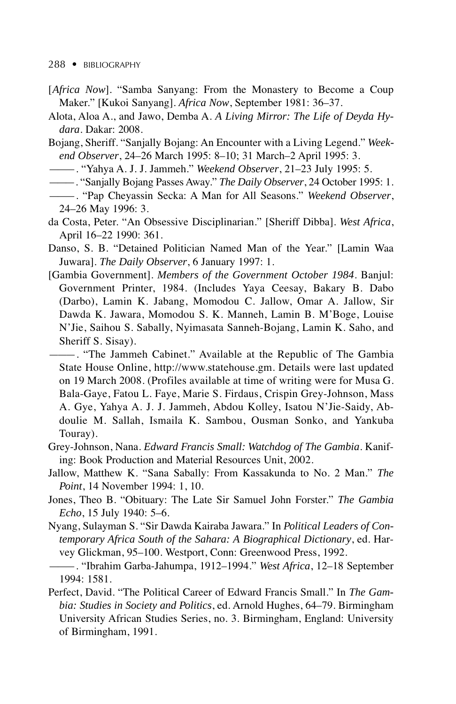- 288 BIBLIOGRAPHY
- [*Africa Now*]. "Samba Sanyang: From the Monastery to Become a Coup Maker." [Kukoi Sanyang]. *Africa Now*, September 1981: 36–37.
- Alota, Aloa A., and Jawo, Demba A. *A Living Mirror: The Life of Deyda Hydara*. Dakar: 2008.
- Bojang, Sheriff. "Sanjally Bojang: An Encounter with a Living Legend." *Weekend Observer*, 24–26 March 1995: 8–10; 31 March–2 April 1995: 3.
	- ———. "Yahya A. J. J. Jammeh." *Weekend Observer*, 21–23 July 1995: 5.
- ———. "Sanjally Bojang Passes Away." *The Daily Observer*, 24 October 1995: 1.
- ———. "Pap Cheyassin Secka: A Man for All Seasons." *Weekend Observer*, 24–26 May 1996: 3.
- da Costa, Peter. "An Obsessive Disciplinarian." [Sheriff Dibba]. *West Africa*, April 16–22 1990: 361.
- Danso, S. B. "Detained Politician Named Man of the Year." [Lamin Waa Juwara]. *The Daily Observer*, 6 January 1997: 1.
- [Gambia Government]. *Members of the Government October 1984*. Banjul: Government Printer, 1984. (Includes Yaya Ceesay, Bakary B. Dabo (Darbo), Lamin K. Jabang, Momodou C. Jallow, Omar A. Jallow, Sir Dawda K. Jawara, Momodou S. K. Manneh, Lamin B. M'Boge, Louise N'Jie, Saihou S. Sabally, Nyimasata Sanneh-Bojang, Lamin K. Saho, and Sheriff S. Sisay).
	- ———. "The Jammeh Cabinet." Available at the Republic of The Gambia State House Online, http://www.statehouse.gm. Details were last updated on 19 March 2008. (Profiles available at time of writing were for Musa G. Bala-Gaye, Fatou L. Faye, Marie S. Firdaus, Crispin Grey-Johnson, Mass A. Gye, Yahya A. J. J. Jammeh, Abdou Kolley, Isatou N'Jie-Saidy, Abdoulie M. Sallah, Ismaila K. Sambou, Ousman Sonko, and Yankuba Touray).
- Grey-Johnson, Nana. *Edward Francis Small: Watchdog of The Gambia*. Kanifing: Book Production and Material Resources Unit, 2002.
- Jallow, Matthew K. "Sana Sabally: From Kassakunda to No. 2 Man." *The Point*, 14 November 1994: 1, 10.
- Jones, Theo B. "Obituary: The Late Sir Samuel John Forster." *The Gambia Echo*, 15 July 1940: 5–6.
- Nyang, Sulayman S. "Sir Dawda Kairaba Jawara." In *Political Leaders of Contemporary Africa South of the Sahara: A Biographical Dictionary*, ed. Harvey Glickman, 95–100. Westport, Conn: Greenwood Press, 1992.
- ———. "Ibrahim Garba-Jahumpa, 1912–1994." *West Africa*, 12–18 September 1994: 1581.
- Perfect, David. "The Political Career of Edward Francis Small." In *The Gambia: Studies in Society and Politics*, ed. Arnold Hughes, 64–79. Birmingham University African Studies Series, no. 3. Birmingham, England: University of Birmingham, 1991.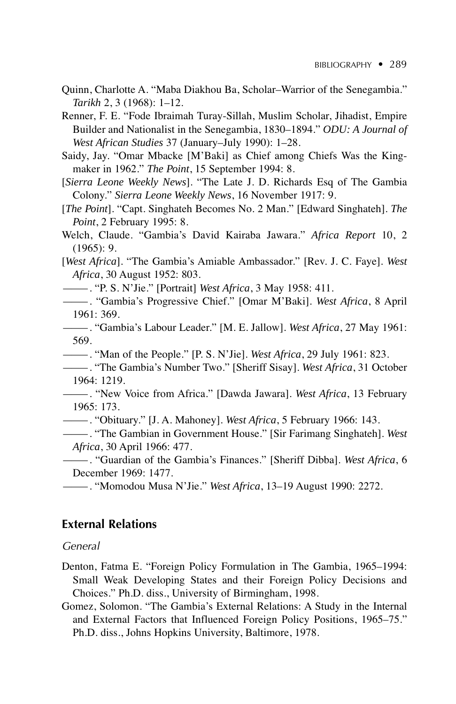- Quinn, Charlotte A. "Maba Diakhou Ba, Scholar–Warrior of the Senegambia." *Tarikh* 2, 3 (1968): 1–12.
- Renner, F. E. "Fode Ibraimah Turay-Sillah, Muslim Scholar, Jihadist, Empire Builder and Nationalist in the Senegambia, 1830–1894." *ODU: A Journal of West African Studies* 37 (January–July 1990): 1–28.
- Saidy, Jay. "Omar Mbacke [M'Baki] as Chief among Chiefs Was the Kingmaker in 1962." *The Point*, 15 September 1994: 8.

[*Sierra Leone Weekly News*]. "The Late J. D. Richards Esq of The Gambia Colony." *Sierra Leone Weekly News*, 16 November 1917: 9.

[*The Point*]. "Capt. Singhateh Becomes No. 2 Man." [Edward Singhateh]. *The Point*, 2 February 1995: 8.

Welch, Claude. "Gambia's David Kairaba Jawara." *Africa Report* 10, 2 (1965): 9.

[*West Africa*]. "The Gambia's Amiable Ambassador." [Rev. J. C. Faye]. *West Africa*, 30 August 1952: 803.

———. "P. S. N'Jie." [Portrait] *West Africa*, 3 May 1958: 411.

———. "Gambia's Progressive Chief." [Omar M'Baki]. *West Africa*, 8 April 1961: 369.

———. "Gambia's Labour Leader." [M. E. Jallow]. *West Africa*, 27 May 1961: 569.

———. "Man of the People." [P. S. N'Jie]. *West Africa*, 29 July 1961: 823.

———. "The Gambia's Number Two." [Sheriff Sisay]. *West Africa*, 31 October 1964: 1219.

———. "New Voice from Africa." [Dawda Jawara]. *West Africa*, 13 February 1965: 173.

———. "Obituary." [J. A. Mahoney]. *West Africa*, 5 February 1966: 143.

———. "The Gambian in Government House." [Sir Farimang Singhateh]. *West Africa*, 30 April 1966: 477.

———. "Guardian of the Gambia's Finances." [Sheriff Dibba]. *West Africa*, 6 December 1969: 1477.

———. "Momodou Musa N'Jie." *West Africa*, 13–19 August 1990: 2272.

### **External Relations**

### General

- Denton, Fatma E. "Foreign Policy Formulation in The Gambia, 1965–1994: Small Weak Developing States and their Foreign Policy Decisions and Choices." Ph.D. diss., University of Birmingham, 1998.
- Gomez, Solomon. "The Gambia's External Relations: A Study in the Internal and External Factors that Influenced Foreign Policy Positions, 1965–75." Ph.D. diss., Johns Hopkins University, Baltimore, 1978.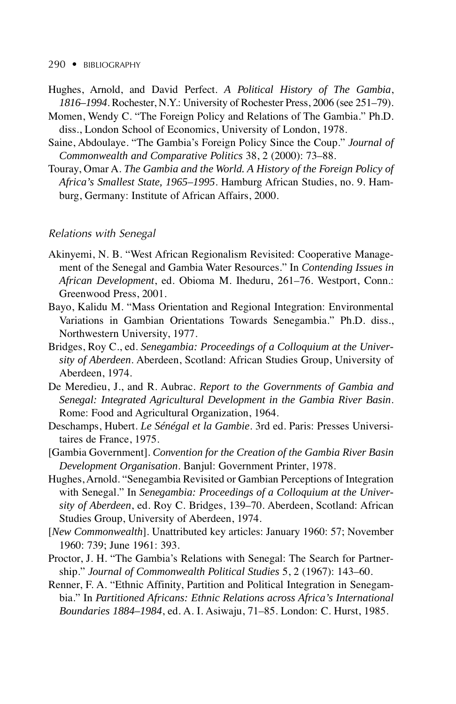- Hughes, Arnold, and David Perfect. *A Political History of The Gambia*, *1816–1994*. Rochester, N.Y.: University of Rochester Press, 2006 (see 251–79).
- Momen, Wendy C. "The Foreign Policy and Relations of The Gambia." Ph.D. diss., London School of Economics, University of London, 1978.
- Saine, Abdoulaye. "The Gambia's Foreign Policy Since the Coup." *Journal of Commonwealth and Comparative Politics* 38, 2 (2000): 73–88.
- Touray, Omar A. *The Gambia and the World. A History of the Foreign Policy of Africa's Smallest State, 1965–1995*. Hamburg African Studies, no. 9. Hamburg, Germany: Institute of African Affairs, 2000.

#### Relations with Senegal

- Akinyemi, N. B. "West African Regionalism Revisited: Cooperative Management of the Senegal and Gambia Water Resources." In *Contending Issues in African Development*, ed. Obioma M. Iheduru, 261–76. Westport, Conn.: Greenwood Press, 2001.
- Bayo, Kalidu M. "Mass Orientation and Regional Integration: Environmental Variations in Gambian Orientations Towards Senegambia." Ph.D. diss., Northwestern University, 1977.
- Bridges, Roy C., ed. *Senegambia: Proceedings of a Colloquium at the University of Aberdeen*. Aberdeen, Scotland: African Studies Group, University of Aberdeen, 1974.
- De Meredieu, J., and R. Aubrac. *Report to the Governments of Gambia and Senegal: Integrated Agricultural Development in the Gambia River Basin*. Rome: Food and Agricultural Organization, 1964.
- Deschamps, Hubert. *Le Sénégal et la Gambie*. 3rd ed. Paris: Presses Universitaires de France, 1975.
- [Gambia Government]. *Convention for the Creation of the Gambia River Basin Development Organisation*. Banjul: Government Printer, 1978.
- Hughes, Arnold. "Senegambia Revisited or Gambian Perceptions of Integration with Senegal." In *Senegambia: Proceedings of a Colloquium at the University of Aberdeen*, ed. Roy C. Bridges, 139–70. Aberdeen, Scotland: African Studies Group, University of Aberdeen, 1974.
- [*New Commonwealth*]. Unattributed key articles: January 1960: 57; November 1960: 739; June 1961: 393.
- Proctor, J. H. "The Gambia's Relations with Senegal: The Search for Partnership." *Journal of Commonwealth Political Studies* 5, 2 (1967): 143–60.
- Renner, F. A. "Ethnic Affinity, Partition and Political Integration in Senegambia." In *Partitioned Africans: Ethnic Relations across Africa's International Boundaries 1884–1984*, ed. A. I. Asiwaju, 71–85. London: C. Hurst, 1985.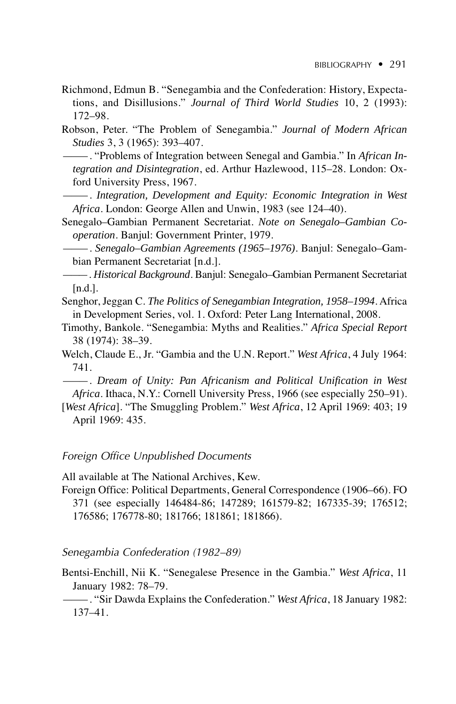- Richmond, Edmun B. "Senegambia and the Confederation: History, Expectations, and Disillusions." *Journal of Third World Studies* 10, 2 (1993): 172–98.
- Robson, Peter. "The Problem of Senegambia." *Journal of Modern African Studies* 3, 3 (1965): 393–407.

———. "Problems of Integration between Senegal and Gambia." In *African Integration and Disintegration*, ed. Arthur Hazlewood, 115–28. London: Oxford University Press, 1967.

———. *Integration, Development and Equity: Economic Integration in West Africa*. London: George Allen and Unwin, 1983 (see 124–40).

Senegalo–Gambian Permanent Secretariat. *Note on Senegalo–Gambian Cooperation*. Banjul: Government Printer, 1979.

———. *Senegalo–Gambian Agreements (1965–1976)*. Banjul: Senegalo–Gambian Permanent Secretariat [n.d.].

———. *Historical Background*. Banjul: Senegalo–Gambian Permanent Secretariat  $[n.d.]$ .

- Senghor, Jeggan C. *The Politics of Senegambian Integration, 1958–1994*. Africa in Development Series, vol. 1. Oxford: Peter Lang International, 2008.
- Timothy, Bankole. "Senegambia: Myths and Realities." *Africa Special Report* 38 (1974): 38–39.
- Welch, Claude E., Jr. "Gambia and the U.N. Report." *West Africa*, 4 July 1964: 741.

———. *Dream of Unity: Pan Africanism and Political Unification in West Africa*. Ithaca, N.Y.: Cornell University Press, 1966 (see especially 250–91).

[*West Africa*]. "The Smuggling Problem." *West Africa*, 12 April 1969: 403; 19 April 1969: 435.

#### Foreign Office Unpublished Documents

All available at The National Archives, Kew.

Foreign Office: Political Departments, General Correspondence (1906–66). FO 371 (see especially 146484-86; 147289; 161579-82; 167335-39; 176512; 176586; 176778-80; 181766; 181861; 181866).

#### Senegambia Confederation (1982–89)

Bentsi-Enchill, Nii K. "Senegalese Presence in the Gambia." *West Africa*, 11 January 1982: 78–79.

———. "Sir Dawda Explains the Confederation." *West Africa*, 18 January 1982: 137–41.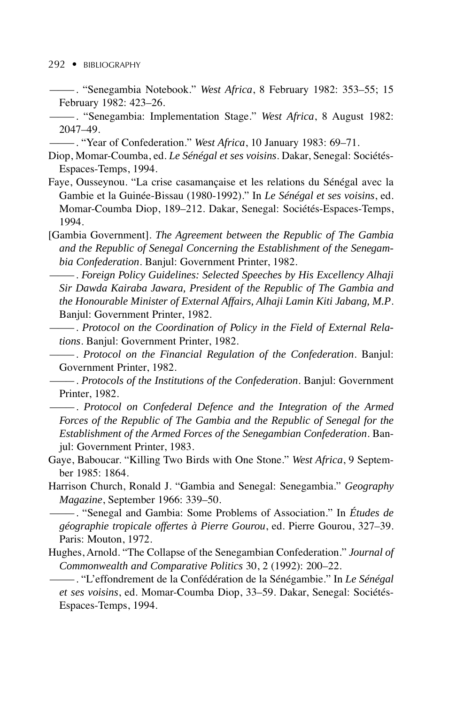———. "Senegambia Notebook." *West Africa*, 8 February 1982: 353–55; 15 February 1982: 423–26.

———. "Senegambia: Implementation Stage." *West Africa*, 8 August 1982: 2047–49.

———. "Year of Confederation." *West Africa*, 10 January 1983: 69–71.

Diop, Momar-Coumba, ed. *Le Sénégal et ses voisins*. Dakar, Senegal: Sociétés-Espaces-Temps, 1994.

- Faye, Ousseynou. "La crise casamançaise et les relations du Sénégal avec la Gambie et la Guinée-Bissau (1980-1992)." In *Le Sénégal et ses voisins*, ed. Momar-Coumba Diop, 189–212. Dakar, Senegal: Sociétés-Espaces-Temps, 1994.
- [Gambia Government]. *The Agreement between the Republic of The Gambia and the Republic of Senegal Concerning the Establishment of the Senegambia Confederation*. Banjul: Government Printer, 1982.

———. *Foreign Policy Guidelines: Selected Speeches by His Excellency Alhaji Sir Dawda Kairaba Jawara, President of the Republic of The Gambia and the Honourable Minister of External Affairs, Alhaji Lamin Kiti Jabang, M.P*. Banjul: Government Printer, 1982.

———. *Protocol on the Coordination of Policy in the Field of External Relations*. Banjul: Government Printer, 1982.

———. *Protocol on the Financial Regulation of the Confederation*. Banjul: Government Printer, 1982.

———. *Protocols of the Institutions of the Confederation*. Banjul: Government Printer, 1982.

———. *Protocol on Confederal Defence and the Integration of the Armed Forces of the Republic of The Gambia and the Republic of Senegal for the Establishment of the Armed Forces of the Senegambian Confederation*. Banjul: Government Printer, 1983.

- Gaye, Baboucar. "Killing Two Birds with One Stone." *West Africa*, 9 September 1985: 1864.
- Harrison Church, Ronald J. "Gambia and Senegal: Senegambia." *Geography Magazine*, September 1966: 339–50.

———. "Senegal and Gambia: Some Problems of Association." In *Études de géographie tropicale offertes à Pierre Gourou*, ed. Pierre Gourou, 327–39. Paris: Mouton, 1972.

Hughes, Arnold. "The Collapse of the Senegambian Confederation." *Journal of Commonwealth and Comparative Politics* 30, 2 (1992): 200–22.

———. "L'effondrement de la Confédération de la Sénégambie." In *Le Sénégal et ses voisins*, ed. Momar-Coumba Diop, 33–59. Dakar, Senegal: Sociétés-Espaces-Temps, 1994.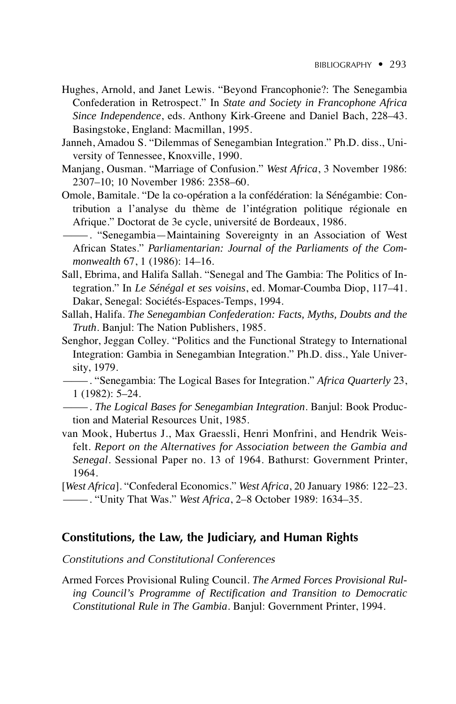- Hughes, Arnold, and Janet Lewis. "Beyond Francophonie?: The Senegambia Confederation in Retrospect." In *State and Society in Francophone Africa Since Independence*, eds. Anthony Kirk-Greene and Daniel Bach, 228–43. Basingstoke, England: Macmillan, 1995.
- Janneh, Amadou S. "Dilemmas of Senegambian Integration." Ph.D. diss., University of Tennessee, Knoxville, 1990.
- Manjang, Ousman. "Marriage of Confusion." *West Africa*, 3 November 1986: 2307–10; 10 November 1986: 2358–60.
- Omole, Bamitale. "De la co-opération a la confédération: la Sénégambie: Contribution a l'analyse du thème de l'intégration politique régionale en Afrique." Doctorat de 3e cycle, université de Bordeaux, 1986.

———. "Senegambia—Maintaining Sovereignty in an Association of West African States." *Parliamentarian: Journal of the Parliaments of the Commonwealth* 67, 1 (1986): 14–16.

- Sall, Ebrima, and Halifa Sallah. "Senegal and The Gambia: The Politics of Integration." In *Le Sénégal et ses voisins*, ed. Momar-Coumba Diop, 117–41. Dakar, Senegal: Sociétés-Espaces-Temps, 1994.
- Sallah, Halifa. *The Senegambian Confederation: Facts, Myths, Doubts and the Truth*. Banjul: The Nation Publishers, 1985.
- Senghor, Jeggan Colley. "Politics and the Functional Strategy to International Integration: Gambia in Senegambian Integration." Ph.D. diss., Yale University, 1979.
	- ———. "Senegambia: The Logical Bases for Integration." *Africa Quarterly* 23, 1 (1982): 5–24.
- ———. *The Logical Bases for Senegambian Integration*. Banjul: Book Production and Material Resources Unit, 1985.
- van Mook, Hubertus J., Max Graessli, Henri Monfrini, and Hendrik Weisfelt. *Report on the Alternatives for Association between the Gambia and Senegal*. Sessional Paper no. 13 of 1964. Bathurst: Government Printer, 1964.

[*West Africa*]. "Confederal Economics." *West Africa*, 20 January 1986: 122–23. ———. "Unity That Was." *West Africa*, 2–8 October 1989: 1634–35.

### **Constitutions, the Law, the Judiciary, and Human Rights**

Constitutions and Constitutional Conferences

Armed Forces Provisional Ruling Council. *The Armed Forces Provisional Ruling Council's Programme of Rectification and Transition to Democratic Constitutional Rule in The Gambia*. Banjul: Government Printer, 1994.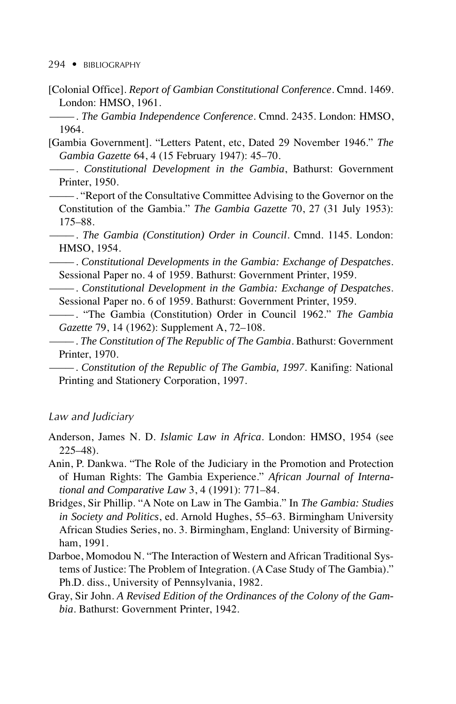[Colonial Office]. *Report of Gambian Constitutional Conference*. Cmnd. 1469. London: HMSO, 1961.

———. *The Gambia Independence Conference*. Cmnd. 2435. London: HMSO, 1964.

[Gambia Government]. "Letters Patent, etc, Dated 29 November 1946." *The Gambia Gazette* 64, 4 (15 February 1947): 45–70.

———. *Constitutional Development in the Gambia*, Bathurst: Government Printer, 1950.

———. "Report of the Consultative Committee Advising to the Governor on the Constitution of the Gambia." *The Gambia Gazette* 70, 27 (31 July 1953): 175–88.

———. *The Gambia (Constitution) Order in Council*. Cmnd. 1145. London: HMSO, 1954.

———. *Constitutional Developments in the Gambia: Exchange of Despatches*. Sessional Paper no. 4 of 1959. Bathurst: Government Printer, 1959.

———. *Constitutional Development in the Gambia: Exchange of Despatches*. Sessional Paper no. 6 of 1959. Bathurst: Government Printer, 1959.

———. "The Gambia (Constitution) Order in Council 1962." *The Gambia Gazette* 79, 14 (1962): Supplement A, 72–108.

———. *The Constitution of The Republic of The Gambia*. Bathurst: Government Printer, 1970.

———. *Constitution of the Republic of The Gambia, 1997*. Kanifing: National Printing and Stationery Corporation, 1997.

#### Law and Judiciary

- Anderson, James N. D. *Islamic Law in Africa*. London: HMSO, 1954 (see 225–48).
- Anin, P. Dankwa. "The Role of the Judiciary in the Promotion and Protection of Human Rights: The Gambia Experience." *African Journal of International and Comparative Law* 3, 4 (1991): 771–84.
- Bridges, Sir Phillip. "A Note on Law in The Gambia." In *The Gambia: Studies in Society and Politics*, ed. Arnold Hughes, 55–63. Birmingham University African Studies Series, no. 3. Birmingham, England: University of Birmingham, 1991.
- Darboe, Momodou N. "The Interaction of Western and African Traditional Systems of Justice: The Problem of Integration. (A Case Study of The Gambia)." Ph.D. diss., University of Pennsylvania, 1982.
- Gray, Sir John. *A Revised Edition of the Ordinances of the Colony of the Gambia*. Bathurst: Government Printer, 1942.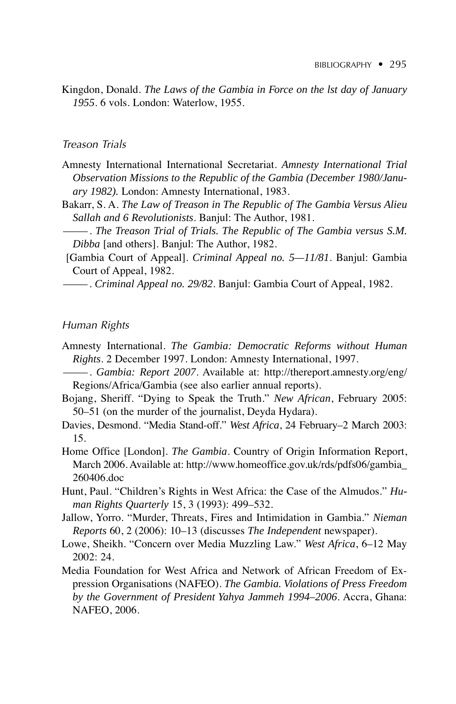Kingdon, Donald. *The Laws of the Gambia in Force on the lst day of January 1955*. 6 vols. London: Waterlow, 1955.

#### Treason Trials

- Amnesty International International Secretariat. *Amnesty International Trial Observation Missions to the Republic of the Gambia (December 1980/January 1982).* London: Amnesty International, 1983.
- Bakarr, S. A. *The Law of Treason in The Republic of The Gambia Versus Alieu Sallah and 6 Revolutionists*. Banjul: The Author, 1981.
- ———. *The Treason Trial of Trials. The Republic of The Gambia versus S.M. Dibba* [and others]. Banjul: The Author, 1982.
- [Gambia Court of Appeal]. *Criminal Appeal no. 5—11/81*. Banjul: Gambia Court of Appeal, 1982.
- ———. *Criminal Appeal no. 29/82*. Banjul: Gambia Court of Appeal, 1982.

#### Human Rights

- Amnesty International. *The Gambia: Democratic Reforms without Human Rights*. 2 December 1997. London: Amnesty International, 1997.
- ———. *Gambia: Report 2007*. Available at: http://thereport.amnesty.org/eng/ Regions/Africa/Gambia (see also earlier annual reports).
- Bojang, Sheriff. "Dying to Speak the Truth." *New African*, February 2005: 50–51 (on the murder of the journalist, Deyda Hydara).
- Davies, Desmond. "Media Stand-off." *West Africa*, 24 February–2 March 2003: 15.
- Home Office [London]. *The Gambia*. Country of Origin Information Report, March 2006. Available at: http://www.homeoffice.gov.uk/rds/pdfs06/gambia\_ 260406.doc
- Hunt, Paul. "Children's Rights in West Africa: the Case of the Almudos." *Human Rights Quarterly* 15, 3 (1993): 499–532.
- Jallow, Yorro. "Murder, Threats, Fires and Intimidation in Gambia." *Nieman Reports* 60, 2 (2006): 10–13 (discusses *The Independent* newspaper).
- Lowe, Sheikh. "Concern over Media Muzzling Law." *West Africa*, 6–12 May 2002: 24.
- Media Foundation for West Africa and Network of African Freedom of Expression Organisations (NAFEO). *The Gambia. Violations of Press Freedom by the Government of President Yahya Jammeh 1994–2006*. Accra, Ghana: NAFEO, 2006.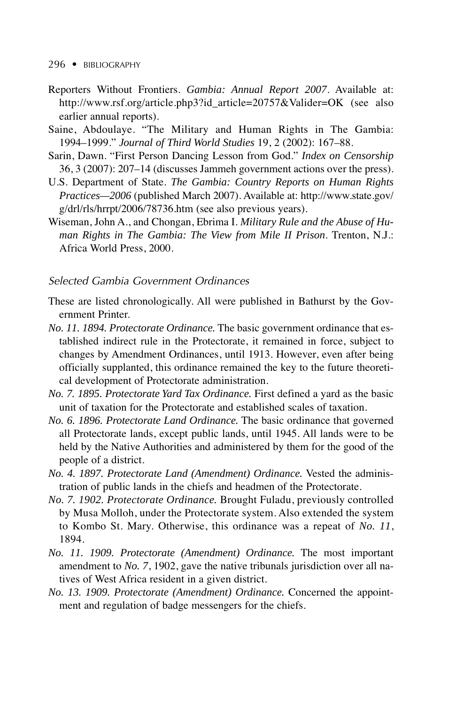- 296 BIBLIOGRAPHY
- Reporters Without Frontiers. *Gambia: Annual Report 2007*. Available at: http://www.rsf.org/article.php3?id\_article=20757&Valider=OK (see also earlier annual reports).
- Saine, Abdoulaye. "The Military and Human Rights in The Gambia: 1994–1999." *Journal of Third World Studies* 19, 2 (2002): 167–88.
- Sarin, Dawn. "First Person Dancing Lesson from God." *Index on Censorship* 36, 3 (2007): 207–14 (discusses Jammeh government actions over the press).
- U.S. Department of State. *The Gambia: Country Reports on Human Rights Practices—2006* (published March 2007). Available at: http://www.state.gov/ g/drl/rls/hrrpt/2006/78736.htm (see also previous years).
- Wiseman, John A., and Chongan, Ebrima I. *Military Rule and the Abuse of Human Rights in The Gambia: The View from Mile II Prison*. Trenton, N.J.: Africa World Press, 2000.

#### Selected Gambia Government Ordinances

- These are listed chronologically. All were published in Bathurst by the Government Printer.
- *No. 11. 1894. Protectorate Ordinance.* The basic government ordinance that established indirect rule in the Protectorate, it remained in force, subject to changes by Amendment Ordinances, until 1913. However, even after being officially supplanted, this ordinance remained the key to the future theoretical development of Protectorate administration.
- *No. 7. 1895. Protectorate Yard Tax Ordinance.* First defined a yard as the basic unit of taxation for the Protectorate and established scales of taxation.
- *No. 6. 1896. Protectorate Land Ordinance.* The basic ordinance that governed all Protectorate lands, except public lands, until 1945. All lands were to be held by the Native Authorities and administered by them for the good of the people of a district.
- *No. 4. 1897. Protectorate Land (Amendment) Ordinance.* Vested the administration of public lands in the chiefs and headmen of the Protectorate.
- *No. 7. 1902. Protectorate Ordinance.* Brought Fuladu, previously controlled by Musa Molloh, under the Protectorate system. Also extended the system to Kombo St. Mary. Otherwise, this ordinance was a repeat of *No. 11*, 1894.
- *No. 11. 1909. Protectorate (Amendment) Ordinance.* The most important amendment to *No. 7*, 1902, gave the native tribunals jurisdiction over all natives of West Africa resident in a given district.
- *No. 13. 1909. Protectorate (Amendment) Ordinance.* Concerned the appointment and regulation of badge messengers for the chiefs.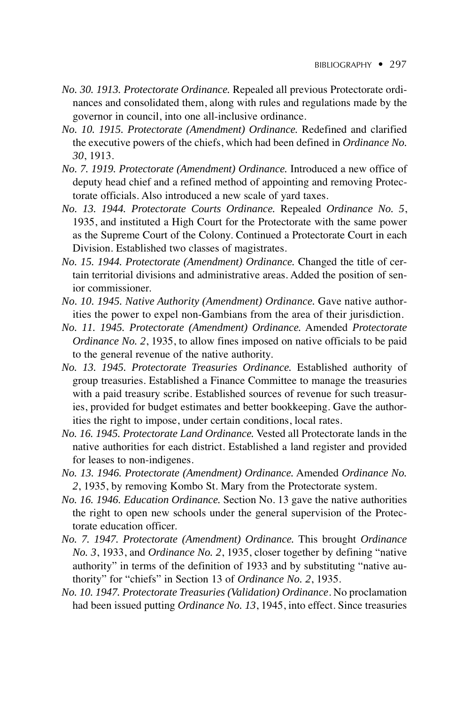- *No. 30. 1913. Protectorate Ordinance.* Repealed all previous Protectorate ordinances and consolidated them, along with rules and regulations made by the governor in council, into one all-inclusive ordinance.
- *No. 10. 1915. Protectorate (Amendment) Ordinance.* Redefined and clarified the executive powers of the chiefs, which had been defined in *Ordinance No. 30*, 1913.
- *No. 7. 1919. Protectorate (Amendment) Ordinance.* Introduced a new office of deputy head chief and a refined method of appointing and removing Protectorate officials. Also introduced a new scale of yard taxes.
- *No. 13. 1944. Protectorate Courts Ordinance.* Repealed *Ordinance No. 5*, 1935, and instituted a High Court for the Protectorate with the same power as the Supreme Court of the Colony. Continued a Protectorate Court in each Division. Established two classes of magistrates.
- *No. 15. 1944. Protectorate (Amendment) Ordinance.* Changed the title of certain territorial divisions and administrative areas. Added the position of senior commissioner.
- *No. 10. 1945. Native Authority (Amendment) Ordinance.* Gave native authorities the power to expel non-Gambians from the area of their jurisdiction.
- *No. 11. 1945. Protectorate (Amendment) Ordinance.* Amended *Protectorate Ordinance No. 2*, 1935, to allow fines imposed on native officials to be paid to the general revenue of the native authority.
- *No. 13. 1945. Protectorate Treasuries Ordinance.* Established authority of group treasuries. Established a Finance Committee to manage the treasuries with a paid treasury scribe. Established sources of revenue for such treasuries, provided for budget estimates and better bookkeeping. Gave the authorities the right to impose, under certain conditions, local rates.
- *No. 16. 1945. Protectorate Land Ordinance.* Vested all Protectorate lands in the native authorities for each district. Established a land register and provided for leases to non-indigenes.
- *No. 13. 1946. Protectorate (Amendment) Ordinance.* Amended *Ordinance No. 2*, 1935, by removing Kombo St. Mary from the Protectorate system.
- *No. 16. 1946. Education Ordinance.* Section No. 13 gave the native authorities the right to open new schools under the general supervision of the Protectorate education officer.
- *No. 7. 1947. Protectorate (Amendment) Ordinance.* This brought *Ordinance No. 3*, 1933, and *Ordinance No. 2*, 1935, closer together by defining "native authority" in terms of the definition of 1933 and by substituting "native authority" for "chiefs" in Section 13 of *Ordinance No. 2*, 1935.
- *No. 10. 1947. Protectorate Treasuries (Validation) Ordinance*. No proclamation had been issued putting *Ordinance No. 13*, 1945, into effect. Since treasuries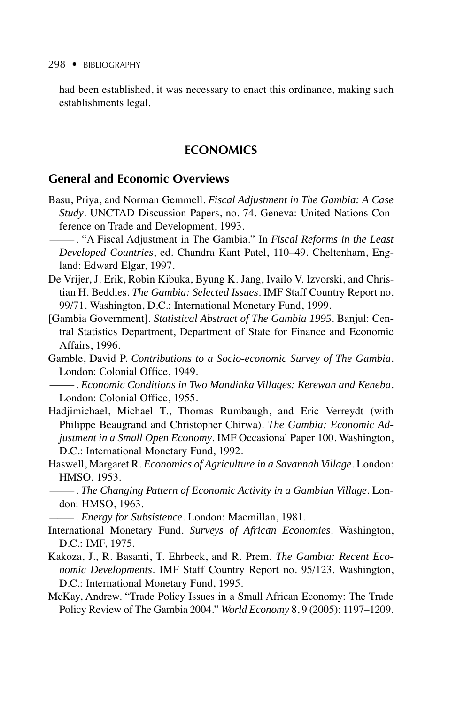had been established, it was necessary to enact this ordinance, making such establishments legal.

# **ECONOMICS**

### **General and Economic Overviews**

Basu, Priya, and Norman Gemmell. *Fiscal Adjustment in The Gambia: A Case Study*. UNCTAD Discussion Papers, no. 74. Geneva: United Nations Conference on Trade and Development, 1993.

———. "A Fiscal Adjustment in The Gambia." In *Fiscal Reforms in the Least Developed Countries*, ed. Chandra Kant Patel, 110–49. Cheltenham, England: Edward Elgar, 1997.

- De Vrijer, J. Erik, Robin Kibuka, Byung K. Jang, Ivailo V. Izvorski, and Christian H. Beddies. *The Gambia: Selected Issues*. IMF Staff Country Report no. 99/71. Washington, D.C.: International Monetary Fund, 1999.
- [Gambia Government]. *Statistical Abstract of The Gambia 1995*. Banjul: Central Statistics Department, Department of State for Finance and Economic Affairs, 1996.
- Gamble, David P. *Contributions to a Socio-economic Survey of The Gambia*. London: Colonial Office, 1949.

———. *Economic Conditions in Two Mandinka Villages: Kerewan and Keneba*. London: Colonial Office, 1955.

- Hadjimichael, Michael T., Thomas Rumbaugh, and Eric Verreydt (with Philippe Beaugrand and Christopher Chirwa). *The Gambia: Economic Adjustment in a Small Open Economy*. IMF Occasional Paper 100. Washington, D.C.: International Monetary Fund, 1992.
- Haswell, Margaret R. *Economics of Agriculture in a Savannah Village*. London: HMSO, 1953.
- ———. *The Changing Pattern of Economic Activity in a Gambian Village*. London: HMSO, 1963.
- ———. *Energy for Subsistence*. London: Macmillan, 1981.
- International Monetary Fund. *Surveys of African Economies*. Washington, D.C.: IMF, 1975.
- Kakoza, J., R. Basanti, T. Ehrbeck, and R. Prem. *The Gambia: Recent Economic Developments*. IMF Staff Country Report no. 95/123. Washington, D.C.: International Monetary Fund, 1995.
- McKay, Andrew. "Trade Policy Issues in a Small African Economy: The Trade Policy Review of The Gambia 2004." *World Economy* 8, 9 (2005): 1197–1209.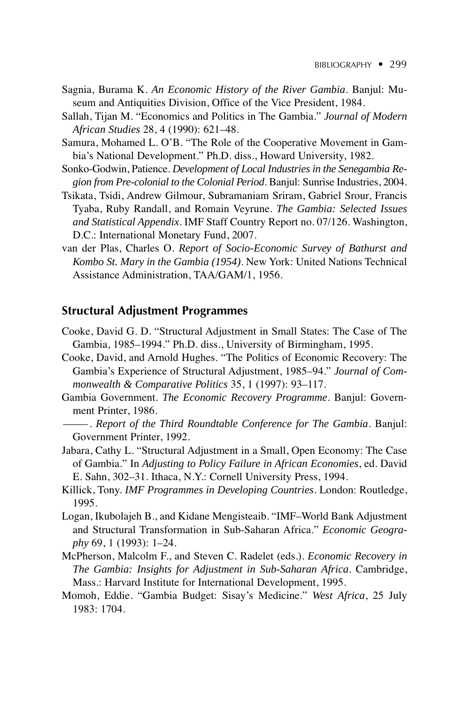- Sagnia, Burama K. *An Economic History of the River Gambia*. Banjul: Museum and Antiquities Division, Office of the Vice President, 1984.
- Sallah, Tijan M. "Economics and Politics in The Gambia." *Journal of Modern African Studies* 28, 4 (1990): 621–48.
- Samura, Mohamed L. O'B. "The Role of the Cooperative Movement in Gambia's National Development." Ph.D. diss., Howard University, 1982.
- Sonko-Godwin, Patience. *Development of Local Industries in the Senegambia Region from Pre-colonial to the Colonial Period*. Banjul: Sunrise Industries, 2004.
- Tsikata, Tsidi, Andrew Gilmour, Subramaniam Sriram, Gabriel Srour, Francis Tyaba, Ruby Randall, and Romain Veyrune. *The Gambia: Selected Issues and Statistical Appendix*. IMF Staff Country Report no. 07/126. Washington, D.C.: International Monetary Fund, 2007.
- van der Plas, Charles O. *Report of Socio-Economic Survey of Bathurst and Kombo St. Mary in the Gambia (1954)*. New York: United Nations Technical Assistance Administration, TAA/GAM/1, 1956.

### **Structural Adjustment Programmes**

- Cooke, David G. D. "Structural Adjustment in Small States: The Case of The Gambia, 1985–1994." Ph.D. diss., University of Birmingham, 1995.
- Cooke, David, and Arnold Hughes. "The Politics of Economic Recovery: The Gambia's Experience of Structural Adjustment, 1985–94." *Journal of Commonwealth & Comparative Politics* 35, 1 (1997): 93–117.
- Gambia Government. *The Economic Recovery Programme*. Banjul: Government Printer, 1986.
	- ———. *Report of the Third Roundtable Conference for The Gambia*. Banjul: Government Printer, 1992.
- Jabara, Cathy L. "Structural Adjustment in a Small, Open Economy: The Case of Gambia." In *Adjusting to Policy Failure in African Economies*, ed. David E. Sahn, 302–31. Ithaca, N.Y.: Cornell University Press, 1994.
- Killick, Tony. *IMF Programmes in Developing Countries*. London: Routledge, 1995.
- Logan, Ikubolajeh B., and Kidane Mengisteaib. "IMF–World Bank Adjustment and Structural Transformation in Sub-Saharan Africa." *Economic Geography* 69, 1 (1993): 1–24.
- McPherson, Malcolm F., and Steven C. Radelet (eds.). *Economic Recovery in The Gambia: Insights for Adjustment in Sub-Saharan Africa*. Cambridge, Mass.: Harvard Institute for International Development, 1995.
- Momoh, Eddie. "Gambia Budget: Sisay's Medicine." *West Africa*, 25 July 1983: 1704.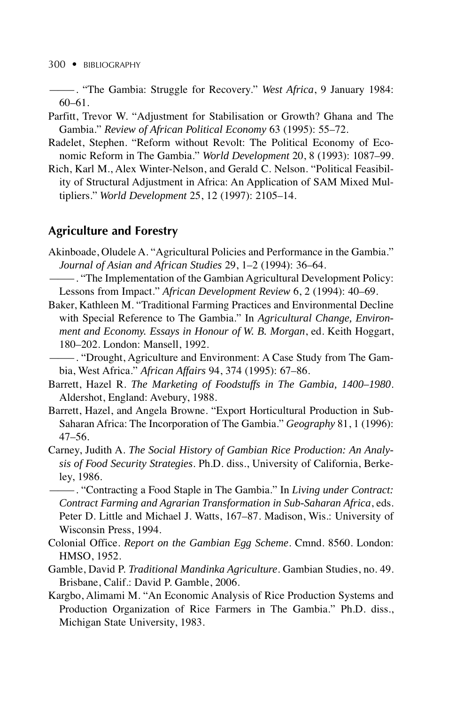———. "The Gambia: Struggle for Recovery." *West Africa*, 9 January 1984: 60–61.

- Parfitt, Trevor W. "Adjustment for Stabilisation or Growth? Ghana and The Gambia." *Review of African Political Economy* 63 (1995): 55–72.
- Radelet, Stephen. "Reform without Revolt: The Political Economy of Economic Reform in The Gambia." *World Development* 20, 8 (1993): 1087–99.
- Rich, Karl M., Alex Winter-Nelson, and Gerald C. Nelson. "Political Feasibility of Structural Adjustment in Africa: An Application of SAM Mixed Multipliers." *World Development* 25, 12 (1997): 2105–14.

# **Agriculture and Forestry**

- Akinboade, Oludele A. "Agricultural Policies and Performance in the Gambia." *Journal of Asian and African Studies* 29, 1–2 (1994): 36–64.
- ———. "The Implementation of the Gambian Agricultural Development Policy: Lessons from Impact." *African Development Review* 6, 2 (1994): 40–69.
- Baker, Kathleen M. "Traditional Farming Practices and Environmental Decline with Special Reference to The Gambia." In *Agricultural Change, Environment and Economy. Essays in Honour of W. B. Morgan*, ed. Keith Hoggart, 180–202. London: Mansell, 1992.

———. "Drought, Agriculture and Environment: A Case Study from The Gambia, West Africa." *African Affairs* 94, 374 (1995): 67–86.

- Barrett, Hazel R. *The Marketing of Foodstuffs in The Gambia, 1400–1980*. Aldershot, England: Avebury, 1988.
- Barrett, Hazel, and Angela Browne. "Export Horticultural Production in Sub-Saharan Africa: The Incorporation of The Gambia." *Geography* 81, 1 (1996): 47–56.
- Carney, Judith A. *The Social History of Gambian Rice Production: An Analysis of Food Security Strategies*. Ph.D. diss., University of California, Berkeley, 1986.

———. "Contracting a Food Staple in The Gambia." In *Living under Contract: Contract Farming and Agrarian Transformation in Sub-Saharan Africa*, eds. Peter D. Little and Michael J. Watts, 167–87. Madison, Wis.: University of Wisconsin Press, 1994.

- Colonial Office. *Report on the Gambian Egg Scheme*. Cmnd. 8560. London: HMSO, 1952.
- Gamble, David P. *Traditional Mandinka Agriculture*. Gambian Studies, no. 49. Brisbane, Calif.: David P. Gamble, 2006.
- Kargbo, Alimami M. "An Economic Analysis of Rice Production Systems and Production Organization of Rice Farmers in The Gambia." Ph.D. diss., Michigan State University, 1983.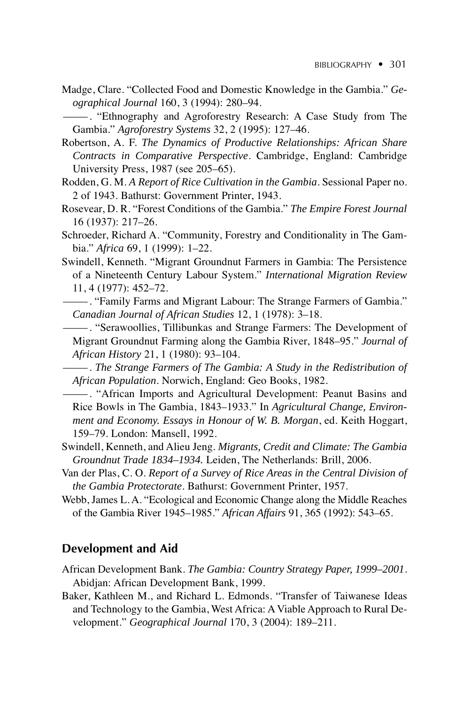- Madge, Clare. "Collected Food and Domestic Knowledge in the Gambia." *Geographical Journal* 160, 3 (1994): 280–94.
- ———. "Ethnography and Agroforestry Research: A Case Study from The Gambia." *Agroforestry Systems* 32, 2 (1995): 127–46.
- Robertson, A. F. *The Dynamics of Productive Relationships: African Share Contracts in Comparative Perspective*. Cambridge, England: Cambridge University Press, 1987 (see 205–65).
- Rodden, G. M. *A Report of Rice Cultivation in the Gambia*. Sessional Paper no. 2 of 1943. Bathurst: Government Printer, 1943.
- Rosevear, D. R. "Forest Conditions of the Gambia." *The Empire Forest Journal* 16 (1937): 217–26.
- Schroeder, Richard A. "Community, Forestry and Conditionality in The Gambia." *Africa* 69, 1 (1999): 1–22.
- Swindell, Kenneth. "Migrant Groundnut Farmers in Gambia: The Persistence of a Nineteenth Century Labour System." *International Migration Review* 11, 4 (1977): 452–72.
- ———. "Family Farms and Migrant Labour: The Strange Farmers of Gambia." *Canadian Journal of African Studies* 12, 1 (1978): 3–18.

———. "Serawoollies, Tillibunkas and Strange Farmers: The Development of Migrant Groundnut Farming along the Gambia River, 1848–95." *Journal of African History* 21, 1 (1980): 93–104.

———. *The Strange Farmers of The Gambia: A Study in the Redistribution of African Population*. Norwich, England: Geo Books, 1982.

———. "African Imports and Agricultural Development: Peanut Basins and Rice Bowls in The Gambia, 1843–1933." In *Agricultural Change, Environment and Economy. Essays in Honour of W. B. Morgan*, ed. Keith Hoggart, 159–79. London: Mansell, 1992.

- Swindell, Kenneth, and Alieu Jeng. *Migrants, Credit and Climate: The Gambia Groundnut Trade 1834–1934.* Leiden, The Netherlands: Brill, 2006.
- Van der Plas, C. O. *Report of a Survey of Rice Areas in the Central Division of the Gambia Protectorate*. Bathurst: Government Printer, 1957.
- Webb, James L. A. "Ecological and Economic Change along the Middle Reaches of the Gambia River 1945–1985." *African Affairs* 91, 365 (1992): 543–65.

# **Development and Aid**

- African Development Bank. *The Gambia: Country Strategy Paper, 1999–2001*. Abidjan: African Development Bank, 1999.
- Baker, Kathleen M., and Richard L. Edmonds. "Transfer of Taiwanese Ideas and Technology to the Gambia, West Africa: A Viable Approach to Rural Development." *Geographical Journal* 170, 3 (2004): 189–211.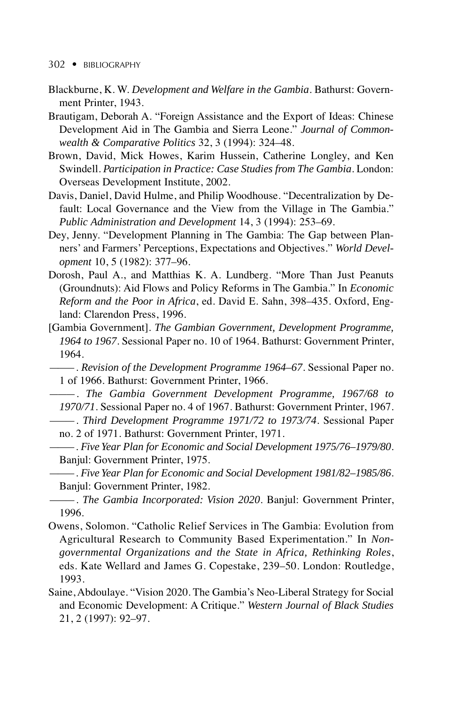- 302 BIBLIOGRAPHY
- Blackburne, K. W. *Development and Welfare in the Gambia*. Bathurst: Government Printer, 1943.
- Brautigam, Deborah A. "Foreign Assistance and the Export of Ideas: Chinese Development Aid in The Gambia and Sierra Leone." *Journal of Commonwealth & Comparative Politics* 32, 3 (1994): 324–48.
- Brown, David, Mick Howes, Karim Hussein, Catherine Longley, and Ken Swindell. *Participation in Practice: Case Studies from The Gambia*. London: Overseas Development Institute, 2002.
- Davis, Daniel, David Hulme, and Philip Woodhouse. "Decentralization by Default: Local Governance and the View from the Village in The Gambia." *Public Administration and Development* 14, 3 (1994): 253–69.
- Dey, Jenny. "Development Planning in The Gambia: The Gap between Planners' and Farmers' Perceptions, Expectations and Objectives." *World Development* 10, 5 (1982): 377–96.
- Dorosh, Paul A., and Matthias K. A. Lundberg. "More Than Just Peanuts (Groundnuts): Aid Flows and Policy Reforms in The Gambia." In *Economic Reform and the Poor in Africa*, ed. David E. Sahn, 398–435. Oxford, England: Clarendon Press, 1996.
- [Gambia Government]. *The Gambian Government, Development Programme, 1964 to 1967*. Sessional Paper no. 10 of 1964. Bathurst: Government Printer, 1964.

———. *Revision of the Development Programme 1964–67*. Sessional Paper no. 1 of 1966. Bathurst: Government Printer, 1966.

———. *The Gambia Government Development Programme, 1967/68 to 1970/71*. Sessional Paper no. 4 of 1967. Bathurst: Government Printer, 1967.

- ———. *Third Development Programme 1971/72 to 1973/74*. Sessional Paper no. 2 of 1971. Bathurst: Government Printer, 1971.
- ———. *Five Year Plan for Economic and Social Development 1975/76–1979/80*. Banjul: Government Printer, 1975.
- ———. *Five Year Plan for Economic and Social Development 1981/82–1985/86*. Banjul: Government Printer, 1982.

———. *The Gambia Incorporated: Vision 2020*. Banjul: Government Printer, 1996.

- Owens, Solomon. "Catholic Relief Services in The Gambia: Evolution from Agricultural Research to Community Based Experimentation." In *Nongovernmental Organizations and the State in Africa, Rethinking Roles*, eds. Kate Wellard and James G. Copestake, 239–50. London: Routledge, 1993.
- Saine, Abdoulaye. "Vision 2020. The Gambia's Neo-Liberal Strategy for Social and Economic Development: A Critique." *Western Journal of Black Studies* 21, 2 (1997): 92–97.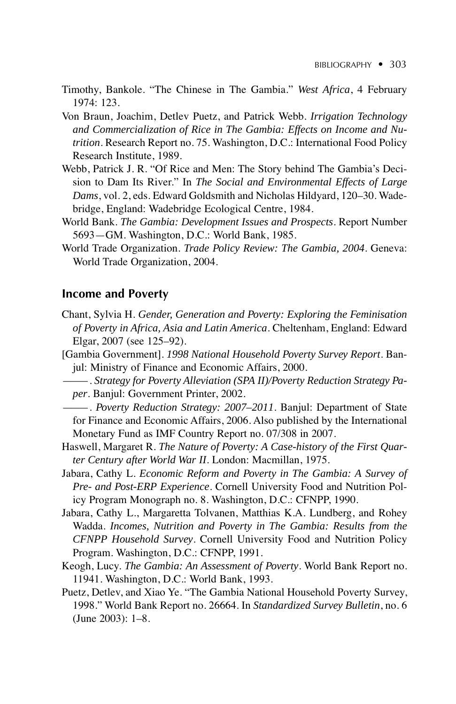- Timothy, Bankole. "The Chinese in The Gambia." *West Africa*, 4 February 1974: 123.
- Von Braun, Joachim, Detlev Puetz, and Patrick Webb. *Irrigation Technology and Commercialization of Rice in The Gambia: Effects on Income and Nutrition*. Research Report no. 75. Washington, D.C.: International Food Policy Research Institute, 1989.
- Webb, Patrick J. R. "Of Rice and Men: The Story behind The Gambia's Decision to Dam Its River." In *The Social and Environmental Effects of Large Dams*, vol. 2, eds. Edward Goldsmith and Nicholas Hildyard, 120–30. Wadebridge, England: Wadebridge Ecological Centre, 1984.
- World Bank. *The Gambia: Development Issues and Prospects*. Report Number 5693—GM. Washington, D.C.: World Bank, 1985.
- World Trade Organization. *Trade Policy Review: The Gambia, 2004*. Geneva: World Trade Organization, 2004.

### **Income and Poverty**

- Chant, Sylvia H. *Gender, Generation and Poverty: Exploring the Feminisation of Poverty in Africa, Asia and Latin America*. Cheltenham, England: Edward Elgar, 2007 (see 125–92).
- [Gambia Government]. *1998 National Household Poverty Survey Report*. Banjul: Ministry of Finance and Economic Affairs, 2000.
- ———. *Strategy for Poverty Alleviation (SPA II)/Poverty Reduction Strategy Paper*. Banjul: Government Printer, 2002.
- ———. *Poverty Reduction Strategy: 2007–2011*. Banjul: Department of State for Finance and Economic Affairs, 2006. Also published by the International Monetary Fund as IMF Country Report no. 07/308 in 2007.
- Haswell, Margaret R. *The Nature of Poverty: A Case-history of the First Quarter Century after World War II*. London: Macmillan, 1975.
- Jabara, Cathy L. *Economic Reform and Poverty in The Gambia: A Survey of Pre- and Post-ERP Experience*. Cornell University Food and Nutrition Policy Program Monograph no. 8. Washington, D.C.: CFNPP, 1990.
- Jabara, Cathy L., Margaretta Tolvanen, Matthias K.A. Lundberg, and Rohey Wadda. *Incomes, Nutrition and Poverty in The Gambia: Results from the CFNPP Household Survey*. Cornell University Food and Nutrition Policy Program. Washington, D.C.: CFNPP, 1991.
- Keogh, Lucy. *The Gambia: An Assessment of Poverty*. World Bank Report no. 11941. Washington, D.C.: World Bank, 1993.
- Puetz, Detlev, and Xiao Ye. "The Gambia National Household Poverty Survey, 1998." World Bank Report no. 26664. In *Standardized Survey Bulletin*, no. 6 (June 2003): 1–8.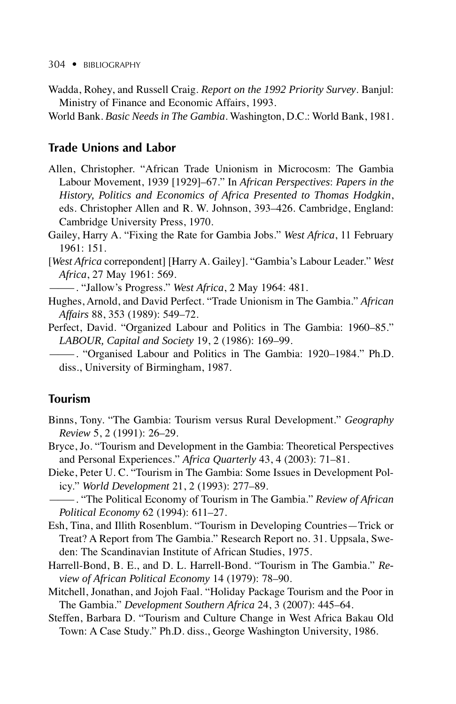Wadda, Rohey, and Russell Craig. *Report on the 1992 Priority Survey*. Banjul: Ministry of Finance and Economic Affairs, 1993.

World Bank. *Basic Needs in The Gambia*. Washington, D.C.: World Bank, 1981.

## **Trade Unions and Labor**

- Allen, Christopher. "African Trade Unionism in Microcosm: The Gambia Labour Movement, 1939 [1929]–67." In *African Perspectives*: *Papers in the History, Politics and Economics of Africa Presented to Thomas Hodgkin*, eds. Christopher Allen and R. W. Johnson, 393–426. Cambridge, England: Cambridge University Press, 1970.
- Gailey, Harry A. "Fixing the Rate for Gambia Jobs." *West Africa*, 11 February 1961: 151.
- [*West Africa* correpondent] [Harry A. Gailey]. "Gambia's Labour Leader." *West Africa*, 27 May 1961: 569.

———. "Jallow's Progress." *West Africa*, 2 May 1964: 481.

- Hughes, Arnold, and David Perfect. "Trade Unionism in The Gambia." *African Affairs* 88, 353 (1989): 549–72.
- Perfect, David. "Organized Labour and Politics in The Gambia: 1960–85." *LABOUR, Capital and Society* 19, 2 (1986): 169–99.

———. "Organised Labour and Politics in The Gambia: 1920–1984." Ph.D. diss., University of Birmingham, 1987.

## **Tourism**

- Binns, Tony. "The Gambia: Tourism versus Rural Development." *Geography Review* 5, 2 (1991): 26–29.
- Bryce, Jo. "Tourism and Development in the Gambia: Theoretical Perspectives and Personal Experiences." *Africa Quarterly* 43, 4 (2003): 71–81.
- Dieke, Peter U. C. "Tourism in The Gambia: Some Issues in Development Policy." *World Development* 21, 2 (1993): 277–89.

———. "The Political Economy of Tourism in The Gambia." *Review of African Political Economy* 62 (1994): 611–27.

Esh, Tina, and Illith Rosenblum. "Tourism in Developing Countries—Trick or Treat? A Report from The Gambia." Research Report no. 31. Uppsala, Sweden: The Scandinavian Institute of African Studies, 1975.

- Harrell-Bond, B. E., and D. L. Harrell-Bond. "Tourism in The Gambia." *Review of African Political Economy* 14 (1979): 78–90.
- Mitchell, Jonathan, and Jojoh Faal. "Holiday Package Tourism and the Poor in The Gambia." *Development Southern Africa* 24, 3 (2007): 445–64.
- Steffen, Barbara D. "Tourism and Culture Change in West Africa Bakau Old Town: A Case Study." Ph.D. diss., George Washington University, 1986.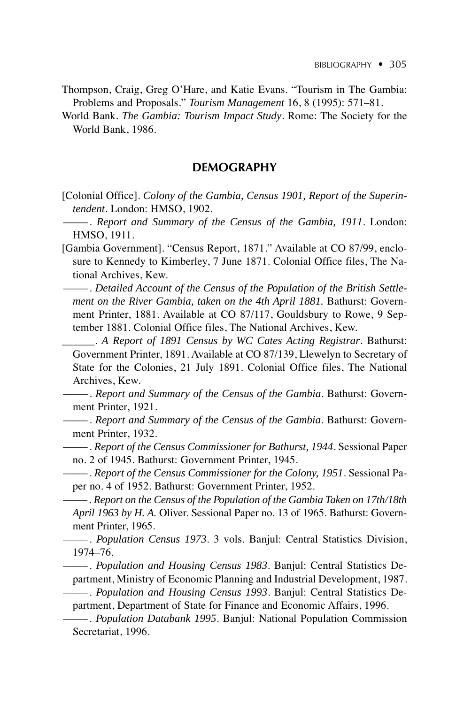- Thompson, Craig, Greg O'Hare, and Katie Evans. "Tourism in The Gambia: Problems and Proposals." *Tourism Management* 16, 8 (1995): 571–81.
- World Bank. *The Gambia: Tourism Impact Study*. Rome: The Society for the World Bank, 1986.

### **DEMOGRAPHY**

[Colonial Office]. *Colony of the Gambia, Census 1901, Report of the Superintendent*. London: HMSO, 1902.

———. *Report and Summary of the Census of the Gambia, 1911*. London: HMSO, 1911.

[Gambia Government]. "Census Report, 1871." Available at CO 87/99, enclosure to Kennedy to Kimberley, 7 June 1871. Colonial Office files, The National Archives, Kew.

———. *Detailed Account of the Census of the Population of the British Settlement on the River Gambia, taken on the 4th April 1881.* Bathurst: Government Printer, 1881. Available at CO 87/117, Gouldsbury to Rowe, 9 September 1881. Colonial Office files, The National Archives, Kew.

\_\_\_\_\_\_. *A Report of 1891 Census by WC Cates Acting Registrar*. Bathurst: Government Printer, 1891. Available at CO 87/139, Llewelyn to Secretary of State for the Colonies, 21 July 1891. Colonial Office files, The National Archives, Kew.

———. *Report and Summary of the Census of the Gambia*. Bathurst: Government Printer, 1921.

———. *Report and Summary of the Census of the Gambia*. Bathurst: Government Printer, 1932.

———. *Report of the Census Commissioner for Bathurst, 1944*. Sessional Paper no. 2 of 1945. Bathurst: Government Printer, 1945.

———. *Report of the Census Commissioner for the Colony, 1951*. Sessional Paper no. 4 of 1952. Bathurst: Government Printer, 1952.

———. *Report on the Census of the Population of the Gambia Taken on 17th/18th April 1963 by H. A.* Oliver. Sessional Paper no. 13 of 1965. Bathurst: Government Printer, 1965.

———. *Population Census 1973*. 3 vols. Banjul: Central Statistics Division, 1974–76.

———. *Population and Housing Census 1983*. Banjul: Central Statistics Department, Ministry of Economic Planning and Industrial Development, 1987.

———. *Population and Housing Census 1993*. Banjul: Central Statistics Department, Department of State for Finance and Economic Affairs, 1996.

———. *Population Databank 1995*. Banjul: National Population Commission Secretariat, 1996.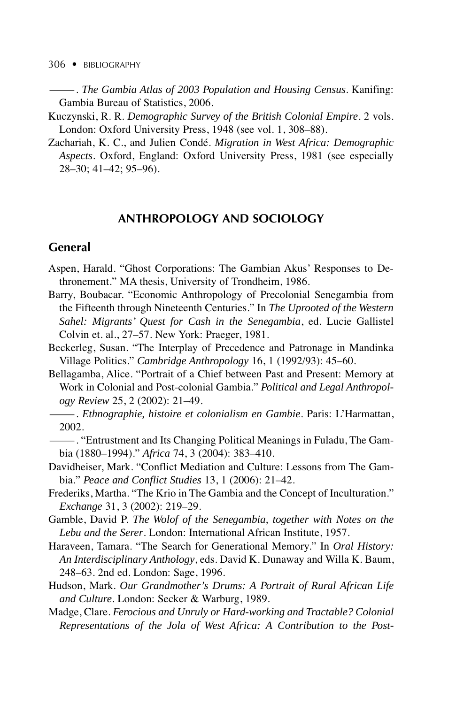#### 306 • BIBLIOGRAPHY

———. *The Gambia Atlas of 2003 Population and Housing Census*. Kanifing: Gambia Bureau of Statistics, 2006.

- Kuczynski, R. R. *Demographic Survey of the British Colonial Empire*. 2 vols. London: Oxford University Press, 1948 (see vol. 1, 308–88).
- Zachariah, K. C., and Julien Condé. *Migration in West Africa: Demographic Aspects*. Oxford, England: Oxford University Press, 1981 (see especially 28–30; 41–42; 95–96).

### **ANTHROPOLOGY AND SOCIOLOGY**

## **General**

- Aspen, Harald. "Ghost Corporations: The Gambian Akus' Responses to Dethronement." MA thesis, University of Trondheim, 1986.
- Barry, Boubacar. "Economic Anthropology of Precolonial Senegambia from the Fifteenth through Nineteenth Centuries." In *The Uprooted of the Western Sahel: Migrants' Quest for Cash in the Senegambia*, ed. Lucie Gallistel Colvin et. al., 27–57. New York: Praeger, 1981.
- Beckerleg, Susan. "The Interplay of Precedence and Patronage in Mandinka Village Politics." *Cambridge Anthropology* 16, 1 (1992/93): 45–60.
- Bellagamba, Alice. "Portrait of a Chief between Past and Present: Memory at Work in Colonial and Post-colonial Gambia." *Political and Legal Anthropology Review* 25, 2 (2002): 21–49.
- ———. *Ethnographie, histoire et colonialism en Gambie*. Paris: L'Harmattan, 2002.
- ———. "Entrustment and Its Changing Political Meanings in Fuladu, The Gambia (1880–1994)." *Africa* 74, 3 (2004): 383–410.
- Davidheiser, Mark. "Conflict Mediation and Culture: Lessons from The Gambia." *Peace and Conflict Studies* 13, 1 (2006): 21–42.
- Frederiks, Martha. "The Krio in The Gambia and the Concept of Inculturation." *Exchange* 31, 3 (2002): 219–29.
- Gamble, David P. *The Wolof of the Senegambia, together with Notes on the Lebu and the Serer*. London: International African Institute, 1957.
- Haraveen, Tamara. "The Search for Generational Memory." In *Oral History: An Interdisciplinary Anthology*, eds. David K. Dunaway and Willa K. Baum, 248–63. 2nd ed. London: Sage, 1996.
- Hudson, Mark. *Our Grandmother's Drums: A Portrait of Rural African Life and Culture*. London: Secker & Warburg, 1989.
- Madge, Clare. *Ferocious and Unruly or Hard-working and Tractable? Colonial Representations of the Jola of West Africa: A Contribution to the Post-*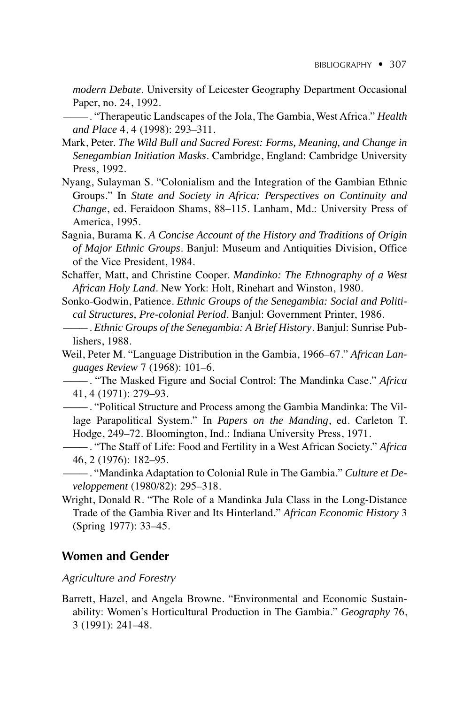*modern Debate*. University of Leicester Geography Department Occasional Paper, no. 24, 1992.

———. "Therapeutic Landscapes of the Jola, The Gambia, West Africa." *Health and Place* 4, 4 (1998): 293–311.

- Mark, Peter. *The Wild Bull and Sacred Forest: Forms, Meaning, and Change in Senegambian Initiation Masks*. Cambridge, England: Cambridge University Press, 1992.
- Nyang, Sulayman S. "Colonialism and the Integration of the Gambian Ethnic Groups." In *State and Society in Africa: Perspectives on Continuity and Change*, ed. Feraidoon Shams, 88–115. Lanham, Md.: University Press of America, 1995.
- Sagnia, Burama K. *A Concise Account of the History and Traditions of Origin of Major Ethnic Groups*. Banjul: Museum and Antiquities Division, Office of the Vice President, 1984.
- Schaffer, Matt, and Christine Cooper. *Mandinko: The Ethnography of a West African Holy Land*. New York: Holt, Rinehart and Winston, 1980.

Sonko-Godwin, Patience. *Ethnic Groups of the Senegambia: Social and Political Structures, Pre-colonial Period*. Banjul: Government Printer, 1986.

———. *Ethnic Groups of the Senegambia: A Brief History*. Banjul: Sunrise Publishers, 1988.

Weil, Peter M. "Language Distribution in the Gambia, 1966–67." *African Languages Review* 7 (1968): 101–6.

———. "The Masked Figure and Social Control: The Mandinka Case." *Africa* 41, 4 (1971): 279–93.

———. "Political Structure and Process among the Gambia Mandinka: The Village Parapolitical System." In *Papers on the Manding*, ed. Carleton T. Hodge, 249–72. Bloomington, Ind.: Indiana University Press, 1971.

- ———. "The Staff of Life: Food and Fertility in a West African Society." *Africa* 46, 2 (1976): 182–95.
- ———. "Mandinka Adaptation to Colonial Rule in The Gambia." *Culture et Developpement* (1980/82): 295–318.
- Wright, Donald R. "The Role of a Mandinka Jula Class in the Long-Distance Trade of the Gambia River and Its Hinterland." *African Economic History* 3 (Spring 1977): 33–45.

# **Women and Gender**

### Agriculture and Forestry

Barrett, Hazel, and Angela Browne. "Environmental and Economic Sustainability: Women's Horticultural Production in The Gambia." *Geography* 76, 3 (1991): 241–48.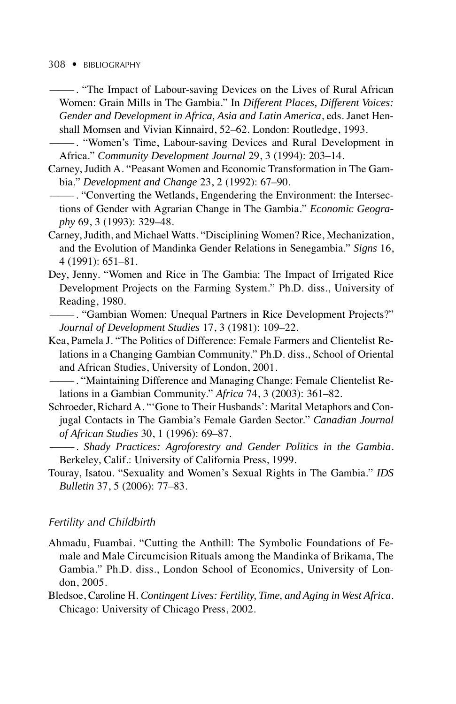#### 308 • BIBLIOGRAPHY

———. "The Impact of Labour-saving Devices on the Lives of Rural African Women: Grain Mills in The Gambia." In *Different Places, Different Voices: Gender and Development in Africa, Asia and Latin America*, eds. Janet Henshall Momsen and Vivian Kinnaird, 52–62. London: Routledge, 1993.

———. "Women's Time, Labour-saving Devices and Rural Development in Africa." *Community Development Journal* 29, 3 (1994): 203–14.

- Carney, Judith A. "Peasant Women and Economic Transformation in The Gambia." *Development and Change* 23, 2 (1992): 67–90.
- ———. "Converting the Wetlands, Engendering the Environment: the Intersections of Gender with Agrarian Change in The Gambia." *Economic Geography* 69, 3 (1993): 329–48.
- Carney, Judith, and Michael Watts. "Disciplining Women? Rice, Mechanization, and the Evolution of Mandinka Gender Relations in Senegambia." *Signs* 16, 4 (1991): 651–81.
- Dey, Jenny. "Women and Rice in The Gambia: The Impact of Irrigated Rice Development Projects on the Farming System." Ph.D. diss., University of Reading, 1980.
- ———. "Gambian Women: Unequal Partners in Rice Development Projects?" *Journal of Development Studies* 17, 3 (1981): 109–22.
- Kea, Pamela J. "The Politics of Difference: Female Farmers and Clientelist Relations in a Changing Gambian Community." Ph.D. diss., School of Oriental and African Studies, University of London, 2001.

———. "Maintaining Difference and Managing Change: Female Clientelist Relations in a Gambian Community." *Africa* 74, 3 (2003): 361–82.

- Schroeder, Richard A. "'Gone to Their Husbands': Marital Metaphors and Conjugal Contacts in The Gambia's Female Garden Sector." *Canadian Journal of African Studies* 30, 1 (1996): 69–87.
- ———. *Shady Practices: Agroforestry and Gender Politics in the Gambia*. Berkeley, Calif.: University of California Press, 1999.
- Touray, Isatou. "Sexuality and Women's Sexual Rights in The Gambia." *IDS Bulletin* 37, 5 (2006): 77–83.

#### Fertility and Childbirth

- Ahmadu, Fuambai. "Cutting the Anthill: The Symbolic Foundations of Female and Male Circumcision Rituals among the Mandinka of Brikama, The Gambia." Ph.D. diss., London School of Economics, University of London, 2005.
- Bledsoe, Caroline H. *Contingent Lives: Fertility, Time, and Aging in West Africa*. Chicago: University of Chicago Press, 2002.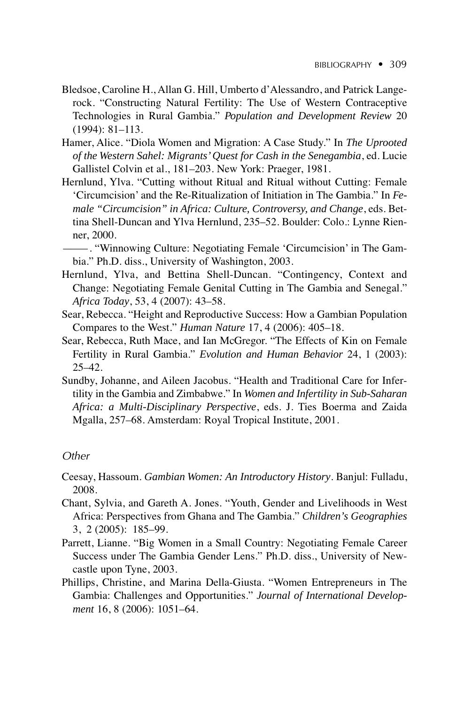- Bledsoe, Caroline H., Allan G. Hill, Umberto d'Alessandro, and Patrick Langerock. "Constructing Natural Fertility: The Use of Western Contraceptive Technologies in Rural Gambia." *Population and Development Review* 20 (1994): 81–113.
- Hamer, Alice. "Diola Women and Migration: A Case Study." In *The Uprooted of the Western Sahel: Migrants' Quest for Cash in the Senegambia*, ed. Lucie Gallistel Colvin et al., 181–203. New York: Praeger, 1981.
- Hernlund, Ylva. "Cutting without Ritual and Ritual without Cutting: Female 'Circumcision' and the Re-Ritualization of Initiation in The Gambia." In *Female "Circumcision" in Africa: Culture, Controversy, and Change*, eds. Bettina Shell-Duncan and Ylva Hernlund, 235–52. Boulder: Colo.: Lynne Rienner, 2000.
- ———. "Winnowing Culture: Negotiating Female 'Circumcision' in The Gambia." Ph.D. diss., University of Washington, 2003.
- Hernlund, Ylva, and Bettina Shell-Duncan. "Contingency, Context and Change: Negotiating Female Genital Cutting in The Gambia and Senegal." *Africa Today*, 53, 4 (2007): 43–58.
- Sear, Rebecca. "Height and Reproductive Success: How a Gambian Population Compares to the West." *Human Nature* 17, 4 (2006): 405–18.
- Sear, Rebecca, Ruth Mace, and Ian McGregor. "The Effects of Kin on Female Fertility in Rural Gambia." *Evolution and Human Behavior* 24, 1 (2003): 25–42.
- Sundby, Johanne, and Aileen Jacobus. "Health and Traditional Care for Infertility in the Gambia and Zimbabwe." In *Women and Infertility in Sub-Saharan Africa: a Multi-Disciplinary Perspective*, eds. J. Ties Boerma and Zaida Mgalla, 257–68. Amsterdam: Royal Tropical Institute, 2001.

## **Other**

- Ceesay, Hassoum. *Gambian Women: An Introductory History*. Banjul: Fulladu, 2008.
- Chant, Sylvia, and Gareth A. Jones. "Youth, Gender and Livelihoods in West Africa: Perspectives from Ghana and The Gambia." *Children's Geographies* 3, 2 (2005): 185–99.
- Parrett, Lianne. "Big Women in a Small Country: Negotiating Female Career Success under The Gambia Gender Lens." Ph.D. diss., University of Newcastle upon Tyne, 2003.
- Phillips, Christine, and Marina Della-Giusta. "Women Entrepreneurs in The Gambia: Challenges and Opportunities." *Journal of International Development* 16, 8 (2006): 1051–64.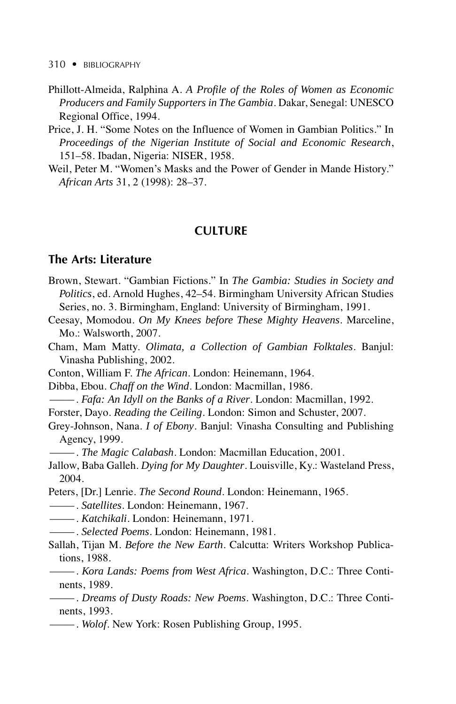- 310 BIBLIOGRAPHY
- Phillott-Almeida, Ralphina A. *A Profile of the Roles of Women as Economic Producers and Family Supporters in The Gambia*. Dakar, Senegal: UNESCO Regional Office, 1994.
- Price, J. H. "Some Notes on the Influence of Women in Gambian Politics." In *Proceedings of the Nigerian Institute of Social and Economic Research*, 151–58. Ibadan, Nigeria: NISER, 1958.
- Weil, Peter M. "Women's Masks and the Power of Gender in Mande History." *African Arts* 31, 2 (1998): 28–37.

## **CULTURE**

## **The Arts: Literature**

- Brown, Stewart. "Gambian Fictions." In *The Gambia: Studies in Society and Politics*, ed. Arnold Hughes, 42–54. Birmingham University African Studies Series, no. 3. Birmingham, England: University of Birmingham, 1991.
- Ceesay, Momodou. *On My Knees before These Mighty Heavens*. Marceline, Mo.: Walsworth, 2007.
- Cham, Mam Matty. *Olimata, a Collection of Gambian Folktales*. Banjul: Vinasha Publishing, 2002.
- Conton, William F. *The African*. London: Heinemann, 1964.
- Dibba, Ebou. *Chaff on the Wind*. London: Macmillan, 1986.
- ———. *Fafa: An Idyll on the Banks of a River*. London: Macmillan, 1992.
- Forster, Dayo. *Reading the Ceiling*. London: Simon and Schuster, 2007.
- Grey-Johnson, Nana. *I of Ebony*. Banjul: Vinasha Consulting and Publishing Agency, 1999.
- ———. *The Magic Calabash*. London: Macmillan Education, 2001.
- Jallow, Baba Galleh. *Dying for My Daughter*. Louisville, Ky.: Wasteland Press, 2004.
- Peters, [Dr.] Lenrie. *The Second Round*. London: Heinemann, 1965.
- ———. *Satellites*. London: Heinemann, 1967.
- ———. *Katchikali*. London: Heinemann, 1971.
- ———. *Selected Poems*. London: Heinemann, 1981.
- Sallah, Tijan M. *Before the New Earth*. Calcutta: Writers Workshop Publications, 1988.
- ———. *Kora Lands: Poems from West Africa*. Washington, D.C.: Three Continents, 1989.
- ———. *Dreams of Dusty Roads: New Poems*. Washington, D.C.: Three Continents, 1993.
- ———. *Wolof*. New York: Rosen Publishing Group, 1995.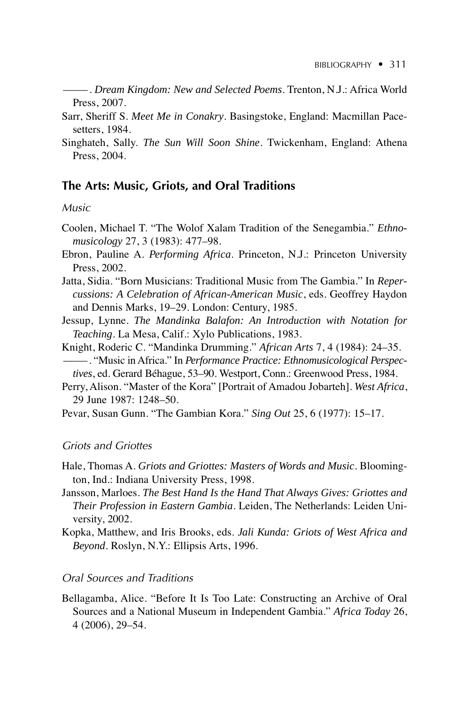———. *Dream Kingdom: New and Selected Poems*. Trenton, N.J.: Africa World Press, 2007.

- Sarr, Sheriff S. *Meet Me in Conakry*. Basingstoke, England: Macmillan Pacesetters, 1984.
- Singhateh, Sally. *The Sun Will Soon Shine*. Twickenham, England: Athena Press, 2004.

### **The Arts: Music, Griots, and Oral Traditions**

### Music

- Coolen, Michael T. "The Wolof Xalam Tradition of the Senegambia." *Ethnomusicology* 27, 3 (1983): 477–98.
- Ebron, Pauline A. *Performing Africa*. Princeton, N.J.: Princeton University Press, 2002.
- Jatta, Sidia. "Born Musicians: Traditional Music from The Gambia." In *Repercussions: A Celebration of African-American Music*, eds. Geoffrey Haydon and Dennis Marks, 19–29. London: Century, 1985.
- Jessup, Lynne. *The Mandinka Balafon: An Introduction with Notation for Teaching*. La Mesa, Calif.: Xylo Publications, 1983.
- Knight, Roderic C. "Mandinka Drumming." *African Arts* 7, 4 (1984): 24–35.
- ———. "Music in Africa." In *Performance Practice: Ethnomusicological Perspectives*, ed. Gerard Béhague, 53–90. Westport, Conn.: Greenwood Press, 1984.
- Perry, Alison. "Master of the Kora" [Portrait of Amadou Jobarteh]. *West Africa*, 29 June 1987: 1248–50.

Pevar, Susan Gunn. "The Gambian Kora." *Sing Out* 25, 6 (1977): 15–17.

#### Griots and Griottes

- Hale, Thomas A. *Griots and Griottes: Masters of Words and Music*. Bloomington, Ind.: Indiana University Press, 1998.
- Jansson, Marloes. *The Best Hand Is the Hand That Always Gives: Griottes and Their Profession in Eastern Gambia*. Leiden, The Netherlands: Leiden University, 2002.
- Kopka, Matthew, and Iris Brooks, eds. *Jali Kunda: Griots of West Africa and Beyond*. Roslyn, N.Y.: Ellipsis Arts, 1996.

### Oral Sources and Traditions

Bellagamba, Alice. "Before It Is Too Late: Constructing an Archive of Oral Sources and a National Museum in Independent Gambia." *Africa Today* 26, 4 (2006), 29–54.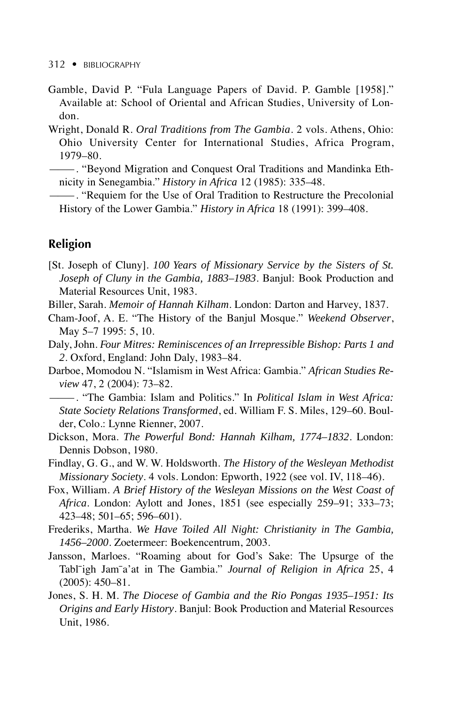- Gamble, David P. "Fula Language Papers of David. P. Gamble [1958]." Available at: School of Oriental and African Studies, University of London.
- Wright, Donald R. *Oral Traditions from The Gambia*. 2 vols. Athens, Ohio: Ohio University Center for International Studies, Africa Program, 1979–80.
	- ———. "Beyond Migration and Conquest Oral Traditions and Mandinka Ethnicity in Senegambia." *History in Africa* 12 (1985): 335–48.

———. "Requiem for the Use of Oral Tradition to Restructure the Precolonial History of the Lower Gambia." *History in Africa* 18 (1991): 399–408.

## **Religion**

- [St. Joseph of Cluny]. *100 Years of Missionary Service by the Sisters of St. Joseph of Cluny in the Gambia, 1883–1983*. Banjul: Book Production and Material Resources Unit, 1983.
- Biller, Sarah. *Memoir of Hannah Kilham*. London: Darton and Harvey, 1837.
- Cham-Joof, A. E. "The History of the Banjul Mosque." *Weekend Observer*, May 5–7 1995: 5, 10.
- Daly, John. *Four Mitres: Reminiscences of an Irrepressible Bishop: Parts 1 and 2*. Oxford, England: John Daly, 1983–84.
- Darboe, Momodou N. "Islamism in West Africa: Gambia." *African Studies Review* 47, 2 (2004): 73–82.
- ———. "The Gambia: Islam and Politics." In *Political Islam in West Africa: State Society Relations Transformed*, ed. William F. S. Miles, 129–60. Boulder, Colo.: Lynne Rienner, 2007.
- Dickson, Mora. *The Powerful Bond: Hannah Kilham, 1774–1832*. London: Dennis Dobson, 1980.
- Findlay, G. G., and W. W. Holdsworth. *The History of the Wesleyan Methodist Missionary Society*. 4 vols. London: Epworth, 1922 (see vol. IV, 118–46).
- Fox, William. *A Brief History of the Wesleyan Missions on the West Coast of Africa*. London: Aylott and Jones, 1851 (see especially 259–91; 333–73; 423–48; 501–65; 596–601).
- Frederiks, Martha. *We Have Toiled All Night: Christianity in The Gambia, 1456–2000*. Zoetermeer: Boekencentrum, 2003.
- Jansson, Marloes. "Roaming about for God's Sake: The Upsurge of the Tabl¯igh Jam¯a'at in The Gambia." *Journal of Religion in Africa* 25, 4 (2005): 450–81.
- Jones, S. H. M. *The Diocese of Gambia and the Rio Pongas 1935–1951: Its Origins and Early History*. Banjul: Book Production and Material Resources Unit, 1986.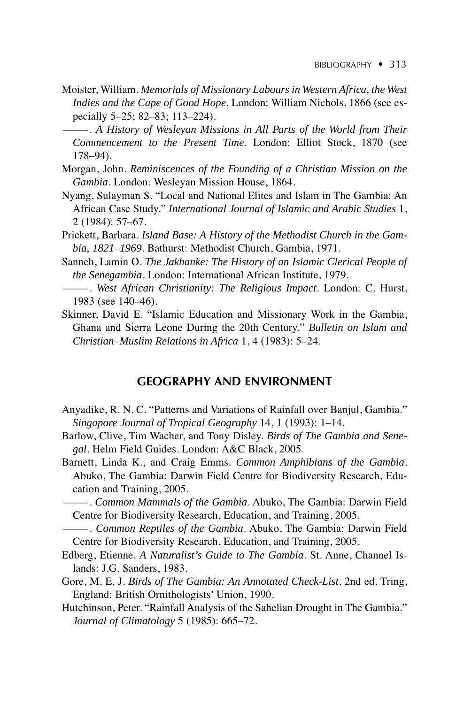- Moister, William. *Memorials of Missionary Labours in Western Africa, the West Indies and the Cape of Good Hope*. London: William Nichols, 1866 (see especially 5–25; 82–83; 113–224).
- ———. *A History of Wesleyan Missions in All Parts of the World from Their Commencement to the Present Time*. London: Elliot Stock, 1870 (see 178–94).
- Morgan, John. *Reminiscences of the Founding of a Christian Mission on the Gambia*. London: Wesleyan Mission House, 1864.
- Nyang, Sulayman S. "Local and National Elites and Islam in The Gambia: An African Case Study." *International Journal of Islamic and Arabic Studies* 1, 2 (1984): 57–67.
- Prickett, Barbara. *Island Base: A History of the Methodist Church in the Gambia, 1821–1969*. Bathurst: Methodist Church, Gambia, 1971.
- Sanneh, Lamin O. *The Jakhanke: The History of an Islamic Clerical People of the Senegambia*. London: International African Institute, 1979.
- ———. *West African Christianity: The Religious Impact*. London: C. Hurst, 1983 (see 140–46).
- Skinner, David E. "Islamic Education and Missionary Work in the Gambia, Ghana and Sierra Leone During the 20th Century." *Bulletin on Islam and Christian–Muslim Relations in Africa* 1, 4 (1983): 5–24.

### **GEOGRAPHY AND ENVIRONMENT**

- Anyadike, R. N. C. "Patterns and Variations of Rainfall over Banjul, Gambia." *Singapore Journal of Tropical Geography* 14, 1 (1993): 1–14.
- Barlow, Clive, Tim Wacher, and Tony Disley. *Birds of The Gambia and Senegal*. Helm Field Guides. London: A&C Black, 2005.
- Barnett, Linda K., and Craig Emms. *Common Amphibians of the Gambia*. Abuko, The Gambia: Darwin Field Centre for Biodiversity Research, Education and Training, 2005.
	- ———. *Common Mammals of the Gambia*. Abuko, The Gambia: Darwin Field Centre for Biodiversity Research, Education, and Training, 2005.
- ———. *Common Reptiles of the Gambia*. Abuko, The Gambia: Darwin Field Centre for Biodiversity Research, Education, and Training, 2005.
- Edberg, Etienne. *A Naturalist's Guide to The Gambia*. St. Anne, Channel Islands: J.G. Sanders, 1983.
- Gore, M. E. J. *Birds of The Gambia: An Annotated Check-List*. 2nd ed. Tring, England: British Ornithologists' Union, 1990.
- Hutchinson, Peter. "Rainfall Analysis of the Sahelian Drought in The Gambia." *Journal of Climatology* 5 (1985): 665–72.